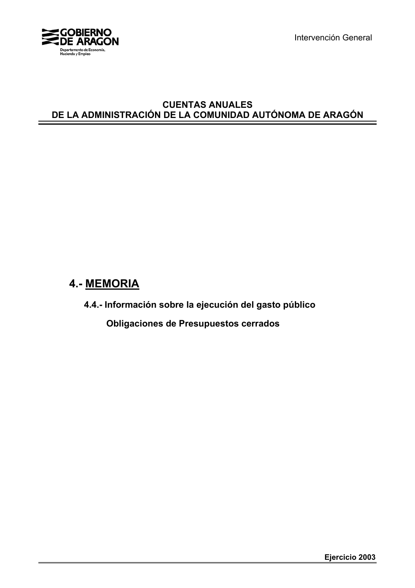

Intervención General

# **CUENTAS ANUALES DE LA ADMINISTRACIÓN DE LA COMUNIDAD AUTÓNOMA DE ARAGÓN**

# **4.- MEMORIA**

**4.4.- Información sobre la ejecución del gasto público**

 **Obligaciones de Presupuestos cerrados**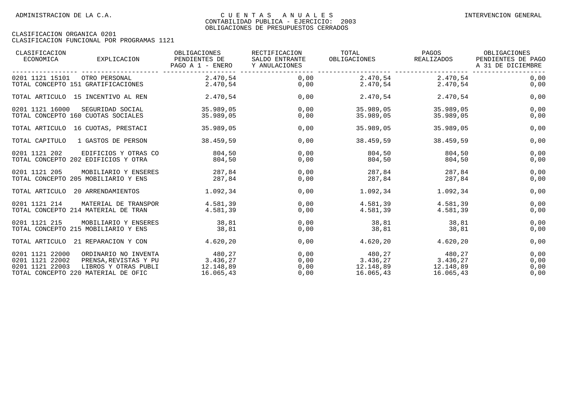| CLASIFICACION<br>ECONOMICA                                                                   | EXPLICACION                                                           | OBLIGACIONES<br>PENDIENTES DE<br>PAGO A 1 - ENERO | RECTIFICACION<br>SALDO ENTRANTE<br>Y ANULACIONES | TOTAL<br>OBLIGACIONES                                       | PAGOS<br>REALIZADOS               | OBLIGACIONES<br>PENDIENTES DE PAGO<br>A 31 DE DICIEMBRE |
|----------------------------------------------------------------------------------------------|-----------------------------------------------------------------------|---------------------------------------------------|--------------------------------------------------|-------------------------------------------------------------|-----------------------------------|---------------------------------------------------------|
| 0201 1121 15101                                                                              | OTRO PERSONAL<br>TOTAL CONCEPTO 151 GRATIFICACIONES                   | 2.470,54<br>2.470,54                              | 0,00<br>0,00                                     | 2.470,54<br>2.470,54                                        | 2.470,54<br>2.470,54              | 0,00<br>0,00                                            |
| TOTAL ARTICULO 15 INCENTIVO AL REN                                                           |                                                                       | 2.470,54                                          | 0,00                                             | 2.470,54                                                    | 2.470,54                          | 0,00                                                    |
| 0201 1121 16000<br>TOTAL CONCEPTO 160 CUOTAS SOCIALES                                        | SEGURIDAD SOCIAL                                                      | 35.989,05<br>35.989,05                            | 0,00<br>0,00                                     | 35.989,05<br>35.989,05                                      | 35.989,05<br>35.989,05            | 0,00<br>0,00                                            |
| TOTAL ARTICULO 16 CUOTAS, PRESTACI                                                           |                                                                       | 35.989,05                                         | 0,00                                             | 35.989,05                                                   | 35.989,05                         | 0,00                                                    |
| TOTAL CAPITULO                                                                               | 1 GASTOS DE PERSON                                                    | 38.459,59                                         | 0,00                                             | 38.459,59                                                   | 38.459,59                         | 0,00                                                    |
| 0201 1121 202<br>TOTAL CONCEPTO 202 EDIFICIOS Y OTRA                                         | EDIFICIOS Y OTRAS CO                                                  | 804,50<br>804,50                                  | 0,00<br>0,00                                     | 804,50<br>804,50                                            | 804,50<br>804,50                  | 0,00<br>0,00                                            |
| 0201 1121 205<br>TOTAL CONCEPTO 205 MOBILIARIO Y ENS                                         | MOBILIARIO Y ENSERES                                                  | 287,84<br>287.84                                  | 0,00<br>0,00                                     | 287,84<br>287,84                                            | 287,84<br>287.84                  | 0,00<br>0,00                                            |
| TOTAL ARTICULO                                                                               | 20 ARRENDAMIENTOS                                                     | 1.092,34                                          | 0,00                                             | 1.092,34                                                    | 1.092,34                          | 0,00                                                    |
| 0201 1121 214<br>TOTAL CONCEPTO 214 MATERIAL DE TRAN                                         | MATERIAL DE TRANSPOR                                                  | 4.581,39<br>4.581.39                              | 0,00<br>0,00                                     | 4.581,39<br>4.581.39                                        | 4.581,39<br>4.581.39              | 0,00<br>0,00                                            |
| 0201 1121 215<br>TOTAL CONCEPTO 215 MOBILIARIO Y ENS                                         | MOBILIARIO Y ENSERES                                                  | 38,81<br>38,81                                    | 0,00<br>0,00                                     | 38,81<br>38,81                                              | 38,81<br>38,81                    | 0,00<br>0,00                                            |
| TOTAL ARTICULO 21 REPARACION Y CON                                                           |                                                                       | 4.620.20                                          | 0,00                                             | 4.620,20                                                    | 4.620.20                          | 0,00                                                    |
| 0201 1121 22000<br>0201 1121 22002<br>0201 1121 22003<br>TOTAL CONCEPTO 220 MATERIAL DE OFIC | ORDINARIO NO INVENTA<br>PRENSA, REVISTAS Y PU<br>LIBROS Y OTRAS PUBLI | 480,27<br>3.436,27<br>12.148,89<br>16.065,43      | 0,00<br>0,00<br>0,00<br>0,00                     | 480,27<br>$3.436, 27$ $3.436, 27$<br>12.148,89<br>16.065,43 | 480, 27<br>12.148,89<br>16.065,43 | 0,00<br>0,00<br>0,00<br>0,00                            |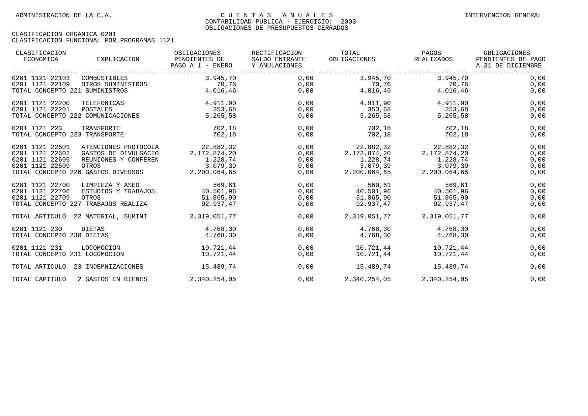| CLASIFICACION<br>EXPLICACION<br>ECONOMICA       | OBLIGACIONES<br>PENDIENTES DE<br>PAGO A 1 - ENERO | RECTIFICACION<br>SALDO ENTRANTE<br>Y ANULACIONES | TOTAL<br>OBLIGACIONES | PAGOS<br>REALIZADOS                      | OBLIGACIONES<br>PENDIENTES DE PAGO<br>A 31 DE DICIEMBRE |
|-------------------------------------------------|---------------------------------------------------|--------------------------------------------------|-----------------------|------------------------------------------|---------------------------------------------------------|
| 0201 1121 22103<br>COMBUSTIBLES                 | 3.945,70                                          | _ __________________<br>0.00                     | 3.945,70              | 3.945,70                                 | 0,00                                                    |
| 0201 1121 22109<br>OTROS SUMINISTROS            |                                                   | 0,00                                             | 70,76                 | 70,76                                    | 0,00                                                    |
| TOTAL CONCEPTO 221 SUMINISTROS                  | 70,76<br>4.016,46                                 | 0,00                                             | 4.016,46              | 4.016, 46                                | 0,00                                                    |
| 0201 1121 22200<br>TELEFONICAS                  | 4.911,90                                          | 0,00                                             | 4.911,90              | 4.911,90                                 | 0,00                                                    |
| 0201 1121 22201<br>POSTALES                     | 353,68                                            | 0,00                                             | 353,68                | 353,68                                   | 0,00                                                    |
| TOTAL CONCEPTO 222 COMUNICACIONES               | 5.265,58                                          | 0,00                                             | 5.265,58              | 5.265,58                                 | 0,00                                                    |
| 0201 1121 223<br>TRANSPORTE                     | 702,18                                            | 0,00                                             | 702,18                | 702,18                                   | 0,00                                                    |
| TOTAL CONCEPTO 223 TRANSPORTE                   | 702,18                                            | 0,00                                             | 702,18                | 702,18                                   | 0,00                                                    |
| 0201 1121 22601<br>ATENCIONES PROTOCOLA         | 22.882,32                                         | 0,00                                             | 22.882,32             | 22.882,32                                | 0,00                                                    |
| 0201 1121 22602<br>GASTOS DE DIVULGACIO         | 2.172.874,20                                      | 0,00                                             | 2.172.874,20          | 2.172.874,20                             | 0,00                                                    |
| 0201 1121 22605<br>REUNIONES Y CONFEREN         | 1.228,74                                          | 0,00                                             | 1.228,74              | 1.228,74                                 | 0,00                                                    |
| 0201 1121 22609<br>OTROS                        | 3.079.39                                          | 0,00                                             | 3.079,39              | 3.079,39                                 | 0,00                                                    |
| TOTAL CONCEPTO 226 GASTOS DIVERSOS 2.200.064,65 |                                                   | 0,00                                             | 2.200.064,65          | $\overline{\phantom{a}}$<br>2.200.064,65 | 0,00                                                    |
| 0201 1121 22700<br>LIMPIEZA Y ASEO              | 569,61                                            | 0,00                                             |                       | 569,61 569,61                            | 0,00                                                    |
| 0201 1121 22706<br>ESTUDIOS Y TRABAJOS          | 40.501,96                                         | 0,00                                             | 40.501,96 40.501,96   |                                          | 0,00                                                    |
| 0201 1121 22709<br>OTROS                        | 51.865,90                                         | 0,00                                             |                       | 51.865,90 51.865,90                      | 0,00                                                    |
| TOTAL CONCEPTO 227 TRABAJOS REALIZA             | 92.937,47                                         | 0,00                                             | 92.937,47             | 92.937,47                                | 0,00                                                    |
| TOTAL ARTICULO 22 MATERIAL, SUMINI              | 2.319.051,77                                      | 0,00                                             | 2.319.051,77          | 2.319.051,77                             | 0,00                                                    |
| 0201 1121 230<br>DIETAS                         | 4.768,30                                          | 0,00                                             |                       | 4.768,30 4.768,30                        | 0,00                                                    |
| TOTAL CONCEPTO 230 DIETAS                       | 4.768,30                                          | 0,00                                             | 4.768,30              | 4.768,30                                 | 0,00                                                    |
| 0201 1121 231<br>LOCOMOCION                     | 10.721,44                                         | 0,00                                             |                       | 10.721,44 10.721,44                      | 0,00                                                    |
| TOTAL CONCEPTO 231 LOCOMOCION                   | 10.721,44                                         | 0,00                                             | 10.721,44             | 10.721,44                                | 0,00                                                    |
| TOTAL ARTICULO 23 INDEMNIZACIONES               | 15.489,74                                         | 0,00                                             | 15.489,74             | 15.489,74                                | 0,00                                                    |
| TOTAL CAPITULO<br>2 GASTOS EN BIENES            | 2.340.254,05                                      | 0,00                                             | 2.340.254,05          | 2.340.254,05                             | 0,00                                                    |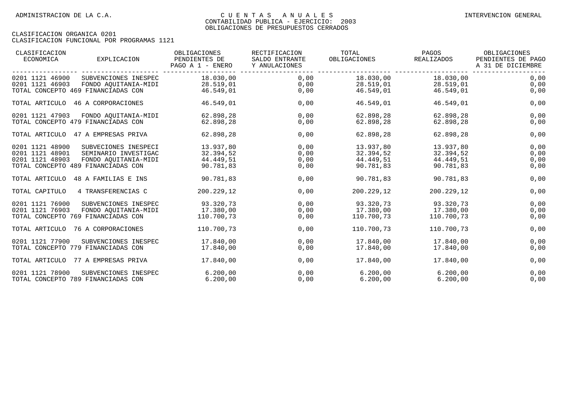| CLASIFICACION<br>ECONOMICA         | EXPLICACION                        | OBLIGACIONES<br>PENDIENTES DE<br>PAGO A 1 - ENERO | RECTIFICACION<br>SALDO ENTRANTE<br>Y ANULACIONES | TOTAL<br>OBLIGACIONES | PAGOS<br>REALIZADOS | OBLIGACIONES<br>PENDIENTES DE PAGO<br>A 31 DE DICIEMBRE |
|------------------------------------|------------------------------------|---------------------------------------------------|--------------------------------------------------|-----------------------|---------------------|---------------------------------------------------------|
| 0201 1121 46900                    | SUBVENCIONES INESPEC               | 18.030,00                                         | 0,00                                             | 18.030,00             | 18.030,00           | 0,00                                                    |
| 0201 1121 46903                    | FONDO AQUITANIA-MIDI               | 28.519,01                                         | 0,00                                             | 28.519,01             | 28.519,01           | 0,00                                                    |
|                                    | TOTAL CONCEPTO 469 FINANCIADAS CON | 46.549.01                                         | 0,00                                             | 46.549,01             | 46.549,01           | 0,00                                                    |
| TOTAL ARTICULO 46 A CORPORACIONES  |                                    | 46.549,01                                         | 0,00                                             | 46.549,01             | 46.549,01           | 0,00                                                    |
| 0201 1121 47903                    | FONDO AQUITANIA-MIDI               | 62.898,28                                         | 0,00                                             | 62.898,28             | 62.898,28           | 0,00                                                    |
|                                    | TOTAL CONCEPTO 479 FINANCIADAS CON | 62.898,28                                         | 0,00                                             | 62.898,28             | 62.898,28           | 0,00                                                    |
|                                    | TOTAL ARTICULO 47 A EMPRESAS PRIVA | 62.898,28                                         | 0,00                                             | 62.898,28             | 62.898,28           | 0,00                                                    |
| 0201 1121 48900                    | SUBVECIONES INESPECI               | 13.937.80                                         | 0,00                                             | 13.937,80             | 13.937,80           | 0,00                                                    |
| 0201 1121 48901                    | SEMINARIO INVESTIGAC               | 32.394,52                                         | 0,00                                             | 32.394,52             | 32.394,52           | 0,00                                                    |
| 0201 1121 48903                    | FONDO AOUITANIA-MIDI               | 44.449,51                                         | 0,00                                             | 44.449,51             | 44.449,51           | 0,00                                                    |
|                                    | TOTAL CONCEPTO 489 FINANCIADAS CON | 90.781,83                                         | 0,00                                             | 90.781,83             | 90.781,83           | 0,00                                                    |
|                                    | TOTAL ARTICULO 48 A FAMILIAS E INS | 90.781,83                                         | 0,00                                             | 90.781,83             | 90.781,83           | 0,00                                                    |
| TOTAL CAPITULO                     | 4 TRANSFERENCIAS C                 | 200.229,12                                        | 0,00                                             | 200.229,12            | 200.229,12          | 0,00                                                    |
| 0201 1121 76900                    | SUBVENCIONES INESPEC               | 93.320.73                                         | 0,00                                             | 93.320,73             | 93.320.73           | 0,00                                                    |
| 0201 1121 76903                    | FONDO AOUITANIA-MIDI               | 17.380,00                                         | 0,00                                             | 17.380,00             | 17.380,00           | 0,00                                                    |
|                                    | TOTAL CONCEPTO 769 FINANCIADAS CON | 110.700,73                                        | 0,00                                             | 110.700,73            | 110.700,73          | 0,00                                                    |
| TOTAL ARTICULO 76 A CORPORACIONES  |                                    | 110.700,73                                        | 0,00                                             | 110.700,73            | 110.700,73          | 0,00                                                    |
| 0201 1121 77900                    | SUBVENCIONES INESPEC               | 17.840,00                                         | 0,00                                             | 17.840,00             | 17.840,00           | 0,00                                                    |
| TOTAL CONCEPTO 779 FINANCIADAS CON |                                    | 17.840,00                                         | 0,00                                             | 17.840,00             | 17.840,00           | 0,00                                                    |
| TOTAL ARTICULO                     | 77 A EMPRESAS PRIVA                | 17.840,00                                         | 0,00                                             | 17.840,00             | 17.840,00           | 0,00                                                    |
| 0201 1121 78900                    | SUBVENCIONES INESPEC               | 6.200,00                                          | 0,00                                             | 6.200,00              | 6.200,00            | 0,00                                                    |
| TOTAL CONCEPTO 789 FINANCIADAS CON |                                    | 6.200,00                                          | 0,00                                             | 6.200,00              | 6.200,00            | 0,00                                                    |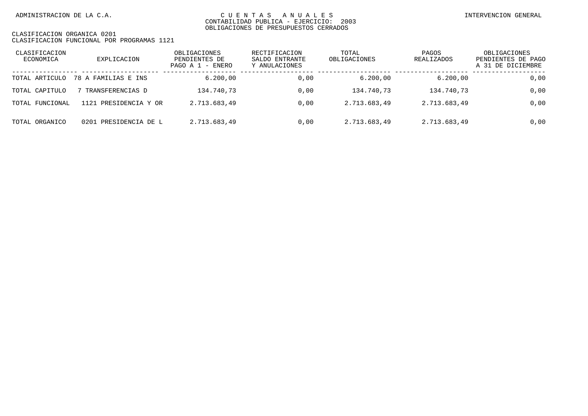| CLASIFICACION<br>ECONOMICA | EXPLICACION              | OBLIGACIONES<br>PENDIENTES DE<br>PAGO A 1 - ENERO | RECTIFICACION<br>SALDO ENTRANTE<br>Y ANULACIONES | TOTAL<br>OBLIGACIONES | PAGOS<br>REALIZADOS | OBLIGACIONES<br>PENDIENTES DE PAGO<br>A 31 DE DICIEMBRE |
|----------------------------|--------------------------|---------------------------------------------------|--------------------------------------------------|-----------------------|---------------------|---------------------------------------------------------|
| TOTAL ARTICULO             | 78 A FAMILIAS E INS      | 6.200,00                                          | 0.00                                             | 6.200.00              | 6.200,00            | 0,00                                                    |
| TOTAL CAPITULO             | TRANSFERENCIAS D         | 134.740,73                                        | 0.00                                             | 134.740,73            | 134.740.73          | 0,00                                                    |
| TOTAL FUNCIONAL            | PRESIDENCIA Y OR<br>1121 | 2.713.683,49                                      | 0.00                                             | 2.713.683,49          | 2.713.683,49        | 0,00                                                    |
| TOTAL ORGANICO             | PRESIDENCIA DE L<br>0201 | 2.713.683,49                                      | 0.00                                             | 2.713.683,49          | 2.713.683,49        | 0,00                                                    |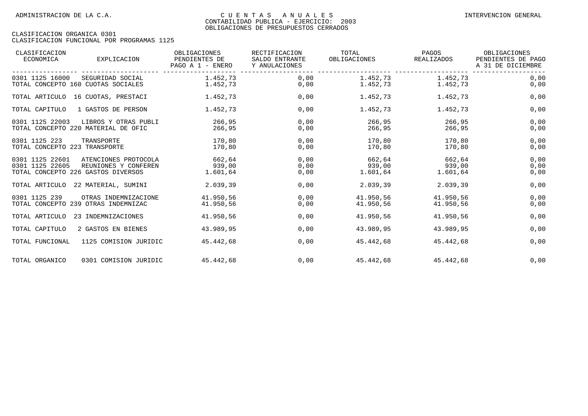| CLASIFICACION<br>ECONOMICA                                               | EXPLICACION                                                 | OBLIGACIONES<br>PENDIENTES DE<br>PAGO A 1 - ENERO | RECTIFICACION<br>SALDO ENTRANTE<br>Y ANULACIONES | TOTAL<br>OBLIGACIONES        | PAGOS<br>REALIZADOS          | OBLIGACIONES<br>PENDIENTES DE PAGO<br>A 31 DE DICIEMBRE |
|--------------------------------------------------------------------------|-------------------------------------------------------------|---------------------------------------------------|--------------------------------------------------|------------------------------|------------------------------|---------------------------------------------------------|
| 0301 1125 16000<br>TOTAL CONCEPTO 160 CUOTAS SOCIALES                    | SEGURIDAD SOCIAL                                            | 1.452,73<br>1.452.73                              | 0.00<br>0,00                                     | 1.452,73<br>1.452.73         | 1.452,73<br>1.452.73         | 0,00<br>0,00                                            |
| TOTAL ARTICULO                                                           | 16 CUOTAS, PRESTACI                                         | 1.452,73                                          | 0,00                                             | 1.452,73                     | 1.452,73                     | 0,00                                                    |
| TOTAL CAPITULO                                                           | 1 GASTOS DE PERSON                                          | 1.452,73                                          | 0,00                                             | 1.452,73                     | 1.452,73                     | 0,00                                                    |
| 0301 1125 22003                                                          | LIBROS Y OTRAS PUBLI<br>TOTAL CONCEPTO 220 MATERIAL DE OFIC | 266,95<br>266,95                                  | 0,00<br>0,00                                     | 266,95<br>266,95             | 266,95<br>266,95             | 0,00<br>0,00                                            |
| 0301 1125 223<br>TOTAL CONCEPTO 223 TRANSPORTE                           | TRANSPORTE                                                  | 170,80<br>170,80                                  | 0,00<br>0,00                                     | 170,80<br>170,80             | 170,80<br>170,80             | 0,00<br>0,00                                            |
| 0301 1125 22601<br>0301 1125 22605<br>TOTAL CONCEPTO 226 GASTOS DIVERSOS | ATENCIONES PROTOCOLA<br>REUNIONES Y CONFEREN                | 662,64<br>939,00<br>1.601,64                      | 0,00<br>0,00<br>0,00                             | 662,64<br>939,00<br>1.601,64 | 662,64<br>939,00<br>1.601,64 | 0,00<br>0,00<br>0,00                                    |
| TOTAL ARTICULO                                                           | 22 MATERIAL, SUMINI                                         | 2.039,39                                          | 0,00                                             | 2.039,39                     | 2.039.39                     | 0,00                                                    |
| 0301 1125 239                                                            | OTRAS INDEMNIZACIONE<br>TOTAL CONCEPTO 239 OTRAS INDEMNIZAC | 41.950,56<br>41.950,56                            | 0,00<br>0,00                                     | 41.950,56<br>41.950,56       | 41.950,56<br>41.950,56       | 0,00<br>0,00                                            |
| TOTAL ARTICULO                                                           | 23 INDEMNIZACIONES                                          | 41.950,56                                         | 0,00                                             | 41.950,56                    | 41.950,56                    | 0,00                                                    |
| TOTAL CAPITULO                                                           | 2 GASTOS EN BIENES                                          | 43.989.95                                         | 0.00                                             | 43.989.95                    | 43.989.95                    | 0,00                                                    |
| TOTAL FUNCIONAL                                                          | 1125 COMISION JURIDIC                                       | 45.442,68                                         | 0,00                                             | 45.442,68                    | 45.442,68                    | 0,00                                                    |
| TOTAL ORGANICO                                                           | 0301 COMISION JURIDIC                                       | 45.442,68                                         | 0,00                                             | 45.442,68                    | 45.442,68                    | 0,00                                                    |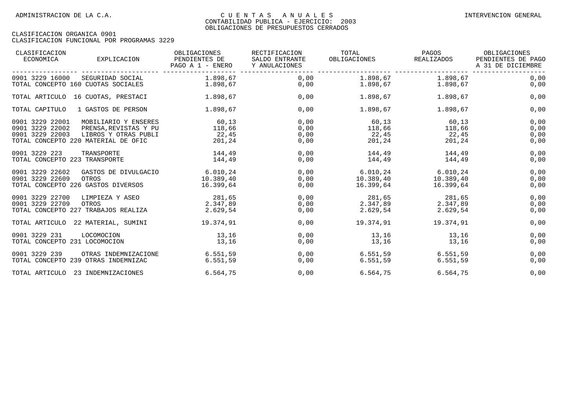| CLASIFICACION<br>ECONOMICA                            | EXPLICACION                                                                                                  | OBLIGACIONES<br>PENDIENTES DE<br>PAGO A 1 - ENERO | RECTIFICACION<br>SALDO ENTRANTE<br>Y ANULACIONES | TOTAL<br>OBLIGACIONES              | PAGOS<br>REALIZADOS                           | OBLIGACIONES<br>PENDIENTES DE PAGO<br>A 31 DE DICIEMBRE |
|-------------------------------------------------------|--------------------------------------------------------------------------------------------------------------|---------------------------------------------------|--------------------------------------------------|------------------------------------|-----------------------------------------------|---------------------------------------------------------|
|                                                       | 0901 3229 16000 SEGURIDAD SOCIAL<br>TOTAL CONCEPTO 160 CUOTAS SOCIALES                                       | 1.898.67<br>1.898.67                              | 0,00<br>0,00                                     | 1.898.67<br>1.898,67               | 1.898.67<br>1.898,67                          | 0,00<br>0,00                                            |
|                                                       | TOTAL ARTICULO 16 CUOTAS, PRESTACI                                                                           | 1.898,67                                          | 0,00                                             | 1.898,67                           | 1.898,67                                      | 0,00                                                    |
| TOTAL CAPITULO                                        | 1 GASTOS DE PERSON                                                                                           | 1.898,67                                          | 0,00                                             | 1.898,67                           | 1.898,67                                      | 0,00                                                    |
| 0901 3229 22001<br>0901 3229 22002<br>0901 3229 22003 | MOBILIARIO Y ENSERES<br>PRENSA, REVISTAS Y PU<br>LIBROS Y OTRAS PUBLI<br>TOTAL CONCEPTO 220 MATERIAL DE OFIC | 60,13<br>118,66<br>22,45<br>201,24                | 0,00<br>0,00<br>0,00<br>0,00                     | 60,13<br>118,66<br>22,45<br>201,24 | 60,13<br>118,66<br>22,45<br>201,24            | 0,00<br>0,00<br>0,00<br>0,00                            |
| 0901 3229 223<br>TOTAL CONCEPTO 223 TRANSPORTE        | TRANSPORTE                                                                                                   | 144,49<br>144,49                                  | 0,00<br>0,00                                     | 144,49<br>144,49                   | 144,49<br>144,49                              | 0,00<br>0,00                                            |
| 0901 3229 22602<br>0901 3229 22609                    | GASTOS DE DIVULGACIO<br>OTROS<br>TOTAL CONCEPTO 226 GASTOS DIVERSOS                                          | 6.010, 24<br>10.389,40<br>16.399,64               | 0,00<br>0,00<br>0,00                             | 6.010, 24<br>16.399,64             | 6.010, 24<br>10.389,40 10.389,40<br>16.399,64 | 0,00<br>0,00<br>0,00                                    |
| 0901 3229 22700<br>0901 3229 22709                    | LIMPIEZA Y ASEO<br>OTROS<br>TOTAL CONCEPTO 227 TRABAJOS REALIZA                                              | 281,65<br>2.347,89<br>2.629,54                    | 0,00<br>0,00<br>0,00                             | 281,65<br>2.347,89<br>2.629,54     | 281,65<br>2.347,89<br>2.629,54                | 0,00<br>0,00<br>0,00                                    |
| TOTAL ARTICULO                                        | 22 MATERIAL, SUMINI                                                                                          | 19.374,91                                         | 0,00                                             | 19.374,91                          | 19.374.91                                     | 0,00                                                    |
| 0901 3229 231<br>TOTAL CONCEPTO 231 LOCOMOCION        | LOCOMOCION                                                                                                   | 13,16<br>13,16                                    | 0,00<br>0,00                                     | 13,16<br>13,16                     | 13,16<br>13,16                                | 0,00<br>0,00                                            |
| 0901 3229 239                                         | OTRAS INDEMNIZACIONE<br>TOTAL CONCEPTO 239 OTRAS INDEMNIZAC                                                  | 6.551.59<br>6.551,59                              | 0.00<br>0,00                                     | 6.551.59<br>6.551,59               | 6.551,59<br>6.551,59                          | 0,00<br>0,00                                            |
|                                                       | TOTAL ARTICULO 23 INDEMNIZACIONES                                                                            | 6.564,75                                          | 0,00                                             | 6.564,75                           | 6.564,75                                      | 0,00                                                    |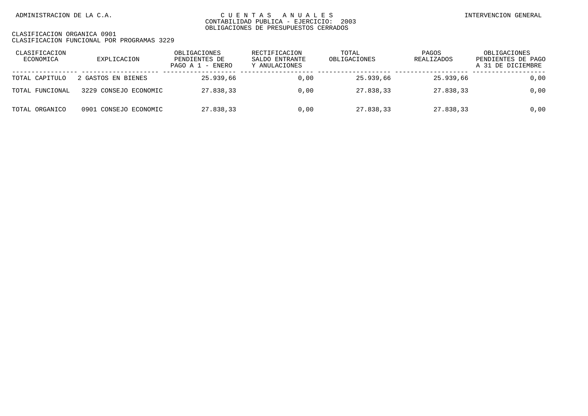| CLASIFICACION<br>ECONOMICA | EXPLICACION           | OBLIGACIONES<br>PENDIENTES DE<br>PAGO A 1 - ENERO | RECTIFICACION<br>SALDO ENTRANTE<br>Y ANULACIONES | TOTAL<br>OBLIGACIONES | PAGOS<br>REALIZADOS | OBLIGACIONES<br>PENDIENTES DE PAGO<br>A 31 DE DICIEMBRE |
|----------------------------|-----------------------|---------------------------------------------------|--------------------------------------------------|-----------------------|---------------------|---------------------------------------------------------|
| TOTAL CAPITULO             | 2 GASTOS EN BIENES    | 25.939,66                                         | 0,00                                             | 25.939,66             | 25.939.66           | 0,00                                                    |
| TOTAL FUNCIONAL            | 3229 CONSEJO ECONOMIC | 27.838,33                                         | 0,00                                             | 27.838,33             | 27.838,33           | 0,00                                                    |
| TOTAL ORGANICO             | 0901 CONSEJO ECONOMIC | 27.838.33                                         | 0,00                                             | 27.838,33             | 27.838,33           | 0.00                                                    |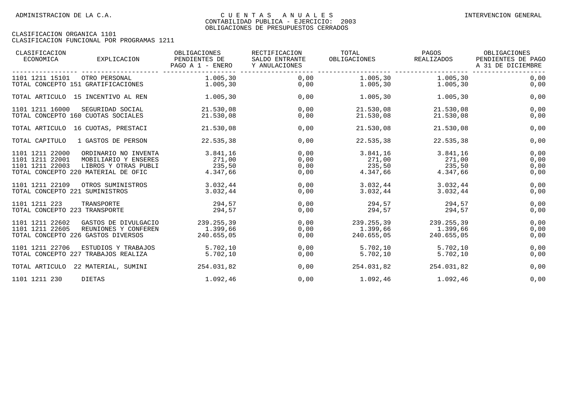| CLASIFICACION<br>ECONOMICA<br>EXPLICACION                                                                                                                            | OBLIGACIONES<br>PENDIENTES DE<br>PAGO A 1 - ENERO | RECTIFICACION<br>SALDO ENTRANTE<br>Y ANULACIONES | TOTAL<br>OBLIGACIONES                             | PAGOS<br>REALIZADOS                  | OBLIGACIONES<br>PENDIENTES DE PAGO<br>A 31 DE DICIEMBRE |
|----------------------------------------------------------------------------------------------------------------------------------------------------------------------|---------------------------------------------------|--------------------------------------------------|---------------------------------------------------|--------------------------------------|---------------------------------------------------------|
| 1101 1211 15101<br>OTRO PERSONAL<br>TOTAL CONCEPTO 151 GRATIFICACIONES                                                                                               | 1.005,30<br>1.005,30                              | 0,00<br>0,00                                     | 1.005,30<br>1.005, 30                             | 1.005,30<br>1.005, 30                | 0,00<br>0,00                                            |
| TOTAL ARTICULO 15 INCENTIVO AL REN                                                                                                                                   | 1.005,30                                          | 0,00                                             | 1.005,30                                          | 1.005,30                             | 0,00                                                    |
| 1101 1211 16000<br>SEGURIDAD SOCIAL<br>TOTAL CONCEPTO 160 CUOTAS SOCIALES                                                                                            | 21.530,08<br>21.530,08                            | 0,00<br>0,00                                     | 21.530,08<br>21.530,08                            | 21.530,08<br>21.530,08               | 0,00<br>0,00                                            |
| TOTAL ARTICULO 16 CUOTAS, PRESTACI                                                                                                                                   | 21.530,08                                         | 0,00                                             | 21.530.08                                         | 21.530,08                            | 0,00                                                    |
| TOTAL CAPITULO<br>1 GASTOS DE PERSON                                                                                                                                 | 22.535,38                                         | 0,00                                             | 22.535,38                                         | 22.535,38                            | 0,00                                                    |
| 1101 1211 22000<br>ORDINARIO NO INVENTA<br>1101 1211 22001<br>MOBILIARIO Y ENSERES<br>1101 1211 22003<br>LIBROS Y OTRAS PUBLI<br>TOTAL CONCEPTO 220 MATERIAL DE OFIC | 3.841,16<br>271,00<br>235,50<br>4.347,66          | 0,00<br>0,00<br>0,00<br>0,00                     | 3.841,16<br>271,00<br>235,50<br>4.347,66 4.347,66 | 3.841,16<br>271,00<br>235,50         | 0,00<br>0,00<br>0,00<br>0,00                            |
| 1101 1211 22109<br>OTROS SUMINISTROS<br>TOTAL CONCEPTO 221 SUMINISTROS                                                                                               | 3.032,44<br>3.032.44                              | 0,00<br>0,00                                     | 3.032,44<br>3.032,44                              | 3.032,44<br>3.032.44                 | 0,00<br>0,00                                            |
| 1101 1211 223<br>TRANSPORTE<br>TOTAL CONCEPTO 223 TRANSPORTE                                                                                                         | 294,57<br>294,57                                  | 0,00<br>0,00                                     | 294,57<br>294,57                                  | 294,57<br>294,57                     | 0,00<br>0,00                                            |
| 1101 1211 22602<br>GASTOS DE DIVULGACIO<br>1101 1211 22605<br>REUNIONES Y CONFEREN<br>TOTAL CONCEPTO 226 GASTOS DIVERSOS                                             | 239.255,39<br>1.399.66<br>240.655.05              | 0,00<br>0,00<br>0,00                             | 239.255,39<br>1.399,66<br>240.655,05              | 239.255,39<br>1.399,66<br>240.655,05 | 0,00<br>0,00<br>0,00                                    |
| 1101 1211 22706<br>ESTUDIOS Y TRABAJOS<br>TOTAL CONCEPTO 227 TRABAJOS REALIZA                                                                                        | 5.702, 10<br>5.702,10                             | 0,00<br>0,00                                     | 5.702,10<br>5.702, 10                             | 5.702,10<br>5.702,10                 | 0,00<br>0,00                                            |
| TOTAL ARTICULO 22 MATERIAL, SUMINI                                                                                                                                   | 254.031,82                                        | 0,00                                             | 254.031,82                                        | 254.031,82                           | 0,00                                                    |
| DIETAS<br>1101 1211 230                                                                                                                                              | 1.092,46                                          | 0,00                                             | 1.092,46                                          | 1.092, 46                            | 0,00                                                    |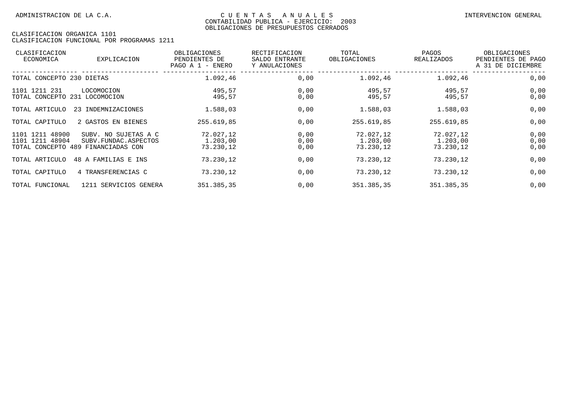| CLASIFICACION<br>ECONOMICA                               | EXPLICACION                                                       | OBLIGACIONES<br>PENDIENTES DE<br>PAGO A $1$ -<br>ENERO | RECTIFICACION<br>SALDO ENTRANTE<br>Y ANULACIONES | TOTAL<br>OBLIGACIONES              | PAGOS<br>REALIZADOS                | OBLIGACIONES<br>PENDIENTES DE PAGO<br>A 31 DE DICIEMBRE |
|----------------------------------------------------------|-------------------------------------------------------------------|--------------------------------------------------------|--------------------------------------------------|------------------------------------|------------------------------------|---------------------------------------------------------|
| TOTAL CONCEPTO 230 DIETAS                                |                                                                   | 1.092,46                                               | 0,00                                             | 1.092,46                           | 1.092,46                           | 0,00                                                    |
| 1101 1211 231<br>TOTAL CONCEPTO 231 LOCOMOCION           | LOCOMOCION                                                        | 495,57<br>495,57                                       | 0,00<br>0,00                                     | 495,57<br>495,57                   | 495,57<br>495,57                   | 0,00<br>0,00                                            |
| TOTAL ARTICULO                                           | 23 INDEMNIZACIONES                                                | 1.588,03                                               | 0,00                                             | 1.588,03                           | 1.588,03                           | 0,00                                                    |
| TOTAL CAPITULO                                           | 2 GASTOS EN BIENES                                                | 255.619,85                                             | 0,00                                             | 255.619,85                         | 255.619,85                         | 0,00                                                    |
| 1101 1211 48900<br>1101 1211 48904<br>TOTAL CONCEPTO 489 | SUBV. NO SUJETAS A C<br>SUBV. FUNDAC. ASPECTOS<br>FINANCIADAS CON | 72.027,12<br>1.203,00<br>73.230,12                     | 0,00<br>0,00<br>0,00                             | 72.027,12<br>1,203,00<br>73.230,12 | 72.027,12<br>1.203,00<br>73.230,12 | 0,00<br>0,00<br>0,00                                    |
| TOTAL ARTICULO                                           | 48 A FAMILIAS E INS                                               | 73.230,12                                              | 0,00                                             | 73.230,12                          | 73.230,12                          | 0,00                                                    |
| TOTAL CAPITULO                                           | 4 TRANSFERENCIAS C                                                | 73.230,12                                              | 0,00                                             | 73.230,12                          | 73.230,12                          | 0,00                                                    |
| TOTAL FUNCIONAL                                          | 1211 SERVICIOS GENERA                                             | 351.385,35                                             | 0,00                                             | 351.385,35                         | 351.385,35                         | 0,00                                                    |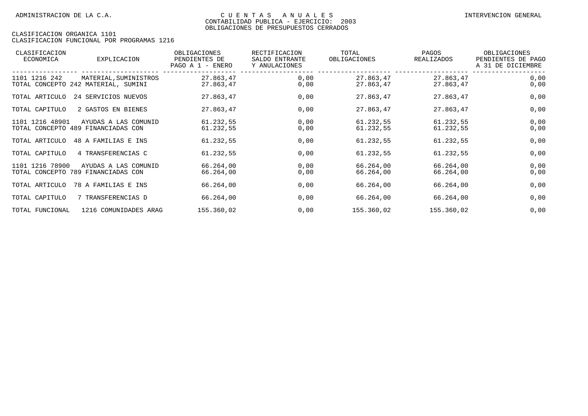| CLASIFICACION<br>ECONOMICA        | EXPLICACION                                                  | OBLIGACIONES<br>PENDIENTES DE<br>PAGO A 1 - ENERO | RECTIFICACION<br>SALDO ENTRANTE<br>Y ANULACIONES | TOTAL<br>OBLIGACIONES  | PAGOS<br>REALIZADOS    | OBLIGACIONES<br>PENDIENTES DE PAGO<br>A 31 DE DICIEMBRE |
|-----------------------------------|--------------------------------------------------------------|---------------------------------------------------|--------------------------------------------------|------------------------|------------------------|---------------------------------------------------------|
| 1101 1216 242                     | MATERIAL, SUMINISTROS<br>TOTAL CONCEPTO 242 MATERIAL, SUMINI | 27.863,47<br>27.863,47                            | 0,00<br>0,00                                     | 27.863,47<br>27.863,47 | 27.863,47<br>27.863,47 | 0,00<br>0,00                                            |
| TOTAL ARTICULO                    | 24 SERVICIOS NUEVOS                                          | 27.863,47                                         | 0,00                                             | 27.863,47              | 27.863,47              | 0,00                                                    |
| TOTAL CAPITULO                    | 2 GASTOS EN BIENES                                           | 27.863,47                                         | 0,00                                             | 27.863,47              | 27.863,47              | 0,00                                                    |
| 1101 1216 48901                   | AYUDAS A LAS COMUNID<br>TOTAL CONCEPTO 489 FINANCIADAS CON   | 61.232,55<br>61.232,55                            | 0,00<br>0,00                                     | 61.232,55<br>61.232,55 | 61.232,55<br>61.232,55 | 0,00<br>0,00                                            |
| TOTAL ARTICULO                    | 48 A FAMILIAS E INS                                          | 61.232,55                                         | 0,00                                             | 61.232,55              | 61.232,55              | 0,00                                                    |
| TOTAL CAPITULO                    | 4 TRANSFERENCIAS C                                           | 61.232,55                                         | 0,00                                             | 61.232,55              | 61.232,55              | 0,00                                                    |
| 1101 1216 78900<br>TOTAL CONCEPTO | AYUDAS A LAS COMUNID<br>789 FINANCIADAS CON                  | 66.264,00<br>66.264,00                            | 0,00<br>0,00                                     | 66.264,00<br>66.264,00 | 66.264,00<br>66.264,00 | 0,00<br>0,00                                            |
| TOTAL ARTICULO                    | 78 A FAMILIAS E INS                                          | 66.264,00                                         | 0,00                                             | 66.264,00              | 66.264,00              | 0,00                                                    |
| TOTAL CAPITULO                    | 7 TRANSFERENCIAS D                                           | 66.264,00                                         | 0,00                                             | 66.264,00              | 66.264,00              | 0,00                                                    |
| TOTAL FUNCIONAL                   | 1216 COMUNIDADES ARAG                                        | 155.360,02                                        | 0,00                                             | 155.360,02             | 155.360,02             | 0,00                                                    |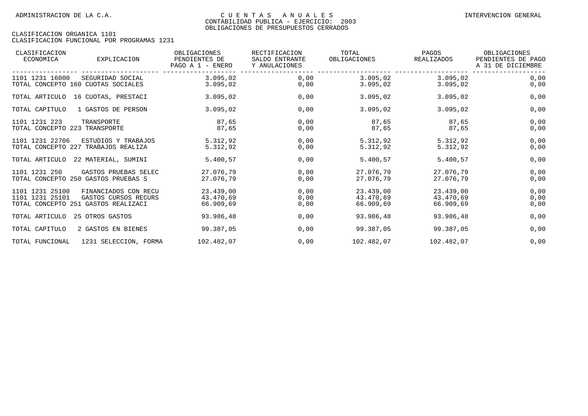| CLASIFICACION<br>ECONOMICA                     | EXPLICACION                                                                         | OBLIGACIONES<br>PENDIENTES DE<br>PAGO A 1 - ENERO | RECTIFICACION<br>SALDO ENTRANTE<br>Y ANULACIONES | TOTAL<br>OBLIGACIONES               | PAGOS<br>REALIZADOS                 | OBLIGACIONES<br>PENDIENTES DE PAGO<br>A 31 DE DICIEMBRE |
|------------------------------------------------|-------------------------------------------------------------------------------------|---------------------------------------------------|--------------------------------------------------|-------------------------------------|-------------------------------------|---------------------------------------------------------|
| 1101 1231 16000                                | SEGURIDAD SOCIAL<br>TOTAL CONCEPTO 160 CUOTAS SOCIALES                              | 3.095,02<br>3.095,02                              | 0,00<br>0,00                                     | 3.095,02<br>3.095,02                | 3.095,02<br>3.095,02                | 0,00<br>0,00                                            |
| TOTAL ARTICULO                                 | 16 CUOTAS, PRESTACI                                                                 | 3.095,02                                          | 0,00                                             | 3.095,02                            | 3.095,02                            | 0,00                                                    |
| TOTAL CAPITULO                                 | 1 GASTOS DE PERSON                                                                  | 3.095,02                                          | 0,00                                             | 3.095,02                            | 3.095,02                            | 0,00                                                    |
| 1101 1231 223<br>TOTAL CONCEPTO 223 TRANSPORTE | TRANSPORTE                                                                          | 87,65<br>87,65                                    | 0,00<br>0,00                                     | 87,65<br>87,65                      | 87,65<br>87,65                      | 0,00<br>0,00                                            |
| 1101 1231 22706                                | ESTUDIOS Y TRABAJOS<br>TOTAL CONCEPTO 227 TRABAJOS REALIZA                          | 5.312,92<br>5.312,92                              | 0,00<br>0,00                                     | 5.312,92<br>5.312,92                | 5.312,92<br>5.312,92                | 0,00<br>0,00                                            |
| TOTAL ARTICULO                                 | 22 MATERIAL, SUMINI                                                                 | 5.400.57                                          | 0,00                                             | 5.400,57                            | 5.400,57                            | 0,00                                                    |
| 1101 1231 250                                  | GASTOS PRUEBAS SELEC<br>TOTAL CONCEPTO 250 GASTOS PRUEBAS S                         | 27.076.79<br>27.076,79                            | 0,00<br>0,00                                     | 27.076.79<br>27.076,79              | 27.076.79<br>27.076,79              | 0,00<br>0,00                                            |
| 1101 1231 25100<br>1101 1231 25101             | FINANCIADOS CON RECU<br>GASTOS CURSOS RECURS<br>TOTAL CONCEPTO 251 GASTOS REALIZACI | 23.439,00<br>43.470,69<br>66.909,69               | 0,00<br>0,00<br>0,00                             | 23.439,00<br>43.470,69<br>66.909,69 | 23.439,00<br>43.470,69<br>66.909,69 | 0,00<br>0,00<br>0,00                                    |
| TOTAL ARTICULO                                 | 25 OTROS GASTOS                                                                     | 93.986,48                                         | 0,00                                             | 93.986,48                           | 93.986,48                           | 0,00                                                    |
| TOTAL CAPITULO                                 | 2 GASTOS EN BIENES                                                                  | 99.387.05                                         | 0,00                                             | 99.387.05                           | 99.387.05                           | 0,00                                                    |
| TOTAL FUNCIONAL                                | 1231 SELECCION, FORMA                                                               | 102.482,07                                        | 0,00                                             | 102.482,07                          | 102.482,07                          | 0,00                                                    |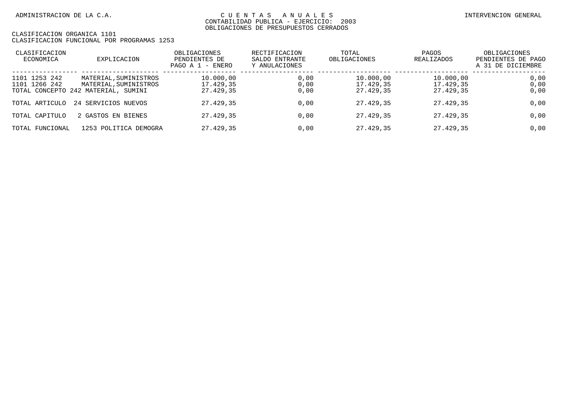| CLASIFICACION<br>ECONOMICA     | EXPLICACION                                                                           | OBLIGACIONES<br>PENDIENTES DE<br>PAGO A 1 - ENERO | RECTIFICACION<br>SALDO ENTRANTE<br>Y ANULACIONES | TOTAL<br>OBLIGACIONES               | PAGOS<br><b>REALIZADOS</b>          | OBLIGACIONES<br>PENDIENTES DE PAGO<br>A 31 DE DICIEMBRE |
|--------------------------------|---------------------------------------------------------------------------------------|---------------------------------------------------|--------------------------------------------------|-------------------------------------|-------------------------------------|---------------------------------------------------------|
| 1101 1253 242<br>1101 1266 242 | MATERIAL, SUMINISTROS<br>MATERIAL, SUMINISTROS<br>TOTAL CONCEPTO 242 MATERIAL, SUMINI | 10.000,00<br>17.429,35<br>27.429,35               | 0,00<br>0,00<br>0,00                             | 10.000,00<br>17.429,35<br>27.429,35 | 10.000,00<br>17.429,35<br>27.429,35 | 0,00<br>0,00<br>0,00                                    |
| TOTAL ARTICULO                 | 24 SERVICIOS NUEVOS                                                                   | 27.429.35                                         | 0,00                                             | 27.429,35                           | 27.429.35                           | 0,00                                                    |
| TOTAL CAPITULO                 | 2 GASTOS EN BIENES                                                                    | 27.429.35                                         | 0,00                                             | 27.429.35                           | 27.429.35                           | 0,00                                                    |
| TOTAL FUNCIONAL                | 1253 POLITICA DEMOGRA                                                                 | 27.429.35                                         | 0.00                                             | 27.429,35                           | 27.429.35                           | 0.00                                                    |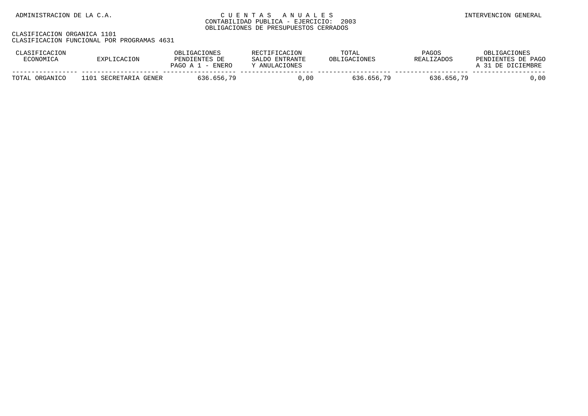| CLASIFICACION<br>ECONOMICA | EXPLICACION           | OBLIGACIONES<br>PENDIENTES DE<br>PAGO A 1 - ENERO | RECTIFICACION<br>SALDO ENTRANTE<br>Y ANULACIONES | TOTAL<br>OBLIGACIONES | PAGOS<br><b>REALIZADOS</b> | OBLIGACIONES<br>PENDIENTES DE PAGO<br>A 31 DE DICIEMBRE |
|----------------------------|-----------------------|---------------------------------------------------|--------------------------------------------------|-----------------------|----------------------------|---------------------------------------------------------|
| TOTAL ORGANICO             | 1101 SECRETARIA GENER | 636.656.79                                        | 0.00                                             | 636.656.79            | 636.656.79                 | 0,00                                                    |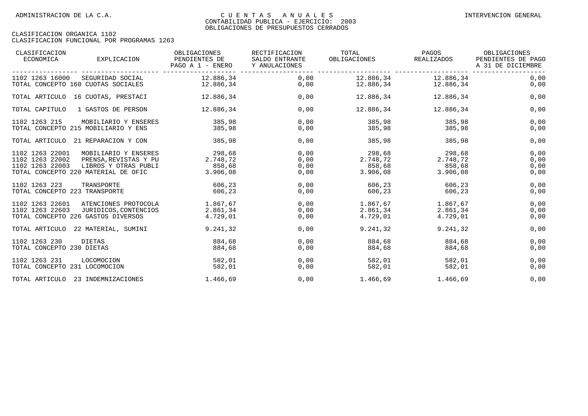| CLASIFICACION<br>ECONOMICA<br>EXPLICACION                                                                                                                             | OBLIGACIONES<br>PENDIENTES DE<br>PAGO A 1 - ENERO | RECTIFICACION<br>SALDO ENTRANTE<br>Y ANULACIONES | TOTAL<br>OBLIGACIONES                    | PAGOS<br>REALIZADOS                      | OBLIGACIONES<br>PENDIENTES DE PAGO<br>A 31 DE DICIEMBRE |
|-----------------------------------------------------------------------------------------------------------------------------------------------------------------------|---------------------------------------------------|--------------------------------------------------|------------------------------------------|------------------------------------------|---------------------------------------------------------|
| 1102 1263 16000<br>SEGURIDAD SOCIAL<br>TOTAL CONCEPTO 160 CUOTAS SOCIALES                                                                                             | 12.886,34<br>12.886,34                            | 0.00<br>0,00                                     | 12.886,34<br>12.886,34                   | 12.886,34<br>12.886,34                   | 0,00<br>0,00                                            |
| TOTAL ARTICULO 16 CUOTAS, PRESTACI                                                                                                                                    | 12.886,34                                         | 0,00                                             | 12.886,34                                | 12.886,34                                | 0,00                                                    |
| TOTAL CAPITULO<br>1 GASTOS DE PERSON                                                                                                                                  | 12.886,34                                         | 0,00                                             | 12.886,34                                | 12.886,34                                | 0,00                                                    |
| 1102 1263 215<br>MOBILIARIO Y ENSERES<br>TOTAL CONCEPTO 215 MOBILIARIO Y ENS                                                                                          | 385,98<br>385,98                                  | 0,00<br>0,00                                     | 385,98<br>385,98                         | 385,98<br>385,98                         | 0,00<br>0,00                                            |
| TOTAL ARTICULO 21 REPARACION Y CON                                                                                                                                    | 385,98                                            | 0,00                                             | 385,98                                   | 385,98                                   | 0,00                                                    |
| 1102 1263 22001<br>MOBILIARIO Y ENSERES<br>1102 1263 22002<br>PRENSA, REVISTAS Y PU<br>1102 1263 22003<br>LIBROS Y OTRAS PUBLI<br>TOTAL CONCEPTO 220 MATERIAL DE OFIC | 298,68<br>2.748,72<br>858,68<br>3.906,08          | 0,00<br>0,00<br>0,00<br>0,00                     | 298,68<br>2.748,72<br>858,68<br>3.906,08 | 298,68<br>2.748,72<br>858,68<br>3.906,08 | 0,00<br>0,00<br>0,00<br>0,00                            |
| 1102 1263 223<br>TRANSPORTE<br>TOTAL CONCEPTO 223 TRANSPORTE                                                                                                          | 606,23<br>606,23                                  | 0,00<br>0,00                                     | 606,23<br>606,23                         | 606,23<br>606,23                         | 0,00<br>0,00                                            |
| 1102 1263 22601<br>ATENCIONES PROTOCOLA<br>1102 1263 22603<br>JURIDICOS, CONTENCIOS<br>TOTAL CONCEPTO 226 GASTOS DIVERSOS                                             | 1.867,67<br>2.861,34<br>4.729,01                  | 0,00<br>0,00<br>0,00                             | 1.867,67<br>2.861,34<br>4.729,01         | 1.867,67<br>2.861,34<br>4.729,01         | 0,00<br>0,00<br>0,00                                    |
| TOTAL ARTICULO 22 MATERIAL, SUMINI                                                                                                                                    | 9.241,32                                          | 0,00                                             | 9.241, 32                                | 9.241,32                                 | 0,00                                                    |
| 1102 1263 230<br>DIETAS<br>TOTAL CONCEPTO 230 DIETAS                                                                                                                  | 884,68<br>884,68                                  | 0,00<br>0,00                                     | 884,68<br>884,68                         | 884,68<br>884,68                         | 0,00<br>0,00                                            |
| 1102 1263 231<br>LOCOMOCION<br>TOTAL CONCEPTO 231 LOCOMOCION                                                                                                          | 582,01<br>582,01                                  | 0,00<br>0,00                                     | 582,01<br>582,01                         | 582,01<br>582,01                         | 0,00<br>0,00                                            |
| TOTAL ARTICULO<br>23 INDEMNIZACIONES                                                                                                                                  | 1.466,69                                          | 0,00                                             | 1.466,69                                 | 1.466,69                                 | 0,00                                                    |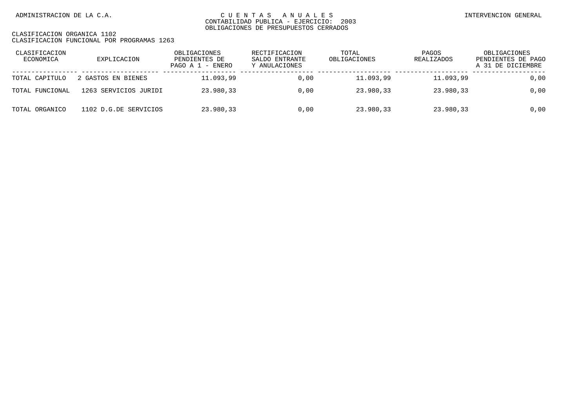| CLASIFICACION<br>ECONOMICA | EXPLICACION           | OBLIGACIONES<br>PENDIENTES DE<br>PAGO A 1 - ENERO | RECTIFICACION<br>SALDO ENTRANTE<br>Y ANULACIONES | TOTAL<br>OBLIGACIONES | PAGOS<br>REALIZADOS | OBLIGACIONES<br>PENDIENTES DE PAGO<br>A 31 DE DICIEMBRE |
|----------------------------|-----------------------|---------------------------------------------------|--------------------------------------------------|-----------------------|---------------------|---------------------------------------------------------|
| TOTAL CAPITULO             | 2 GASTOS EN BIENES    | 11.093.99                                         | 0.00                                             | 11.093,99             | 11.093.99           | 0,00                                                    |
| TOTAL FUNCIONAL            | 1263 SERVICIOS JURIDI | 23.980,33                                         | 0.00                                             | 23.980,33             | 23.980,33           | 0,00                                                    |
| TOTAL ORGANICO             | 1102 D.G.DE SERVICIOS | 23.980,33                                         | 0.00                                             | 23.980,33             | 23.980,33           | 0.00                                                    |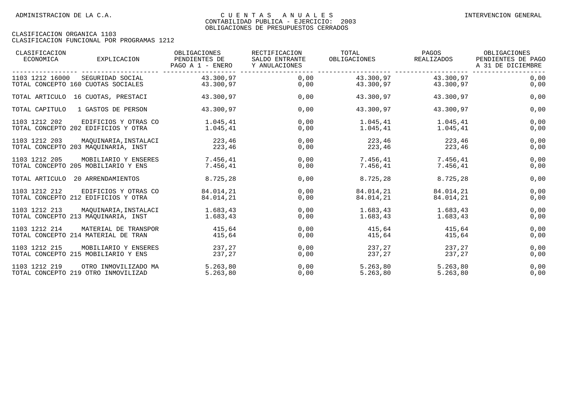| CLASIFICACION<br>ECONOMICA | EXPLICACION                                            | OBLIGACIONES<br>PENDIENTES DE<br>PAGO A 1 - ENERO | RECTIFICACION<br>SALDO ENTRANTE<br>Y ANULACIONES | TOTAL<br>OBLIGACIONES  | PAGOS<br>REALIZADOS    | OBLIGACIONES<br>PENDIENTES DE PAGO<br>A 31 DE DICIEMBRE |
|----------------------------|--------------------------------------------------------|---------------------------------------------------|--------------------------------------------------|------------------------|------------------------|---------------------------------------------------------|
| 1103 1212 16000            | SEGURIDAD SOCIAL<br>TOTAL CONCEPTO 160 CUOTAS SOCIALES | 43.300,97<br>43.300,97                            | 0,00<br>0,00                                     | 43.300,97<br>43.300,97 | 43.300,97<br>43.300,97 | 0,00<br>0,00                                            |
|                            | TOTAL ARTICULO 16 CUOTAS, PRESTACI                     | 43.300.97                                         | 0,00                                             | 43.300.97              | 43.300.97              | 0,00                                                    |
| TOTAL CAPITULO             | 1 GASTOS DE PERSON                                     | 43.300,97                                         | 0,00                                             | 43.300,97              | 43.300,97              | 0,00                                                    |
| 1103 1212 202              | EDIFICIOS Y OTRAS CO                                   | 1.045,41                                          | 0,00                                             | 1.045,41               | 1.045,41               | 0,00                                                    |
|                            | TOTAL CONCEPTO 202 EDIFICIOS Y OTRA                    | 1.045,41                                          | 0,00                                             | 1.045,41               | 1.045,41               | 0,00                                                    |
| 1103 1212 203              | MAOUINARIA, INSTALACI                                  | 223,46                                            | 0,00                                             | 223,46                 | 223,46                 | 0,00                                                    |
|                            | TOTAL CONCEPTO 203 MAOUINARIA, INST                    | 223,46                                            | 0,00                                             | 223,46                 | 223,46                 | 0,00                                                    |
| 1103 1212 205              | MOBILIARIO Y ENSERES                                   | 7.456,41                                          | 0,00                                             | 7.456,41               | 7.456,41               | 0,00                                                    |
|                            | TOTAL CONCEPTO 205 MOBILIARIO Y ENS                    | 7.456,41                                          | 0,00                                             | 7.456,41               | 7.456,41               | 0,00                                                    |
| TOTAL ARTICULO             | 20 ARRENDAMIENTOS                                      | 8.725,28                                          | 0,00                                             | 8.725,28               | 8.725,28               | 0,00                                                    |
| 1103 1212 212              | EDIFICIOS Y OTRAS CO                                   | 84.014.21                                         | 0,00                                             | 84.014,21              | 84.014,21              | 0,00                                                    |
|                            | TOTAL CONCEPTO 212 EDIFICIOS Y OTRA                    | 84.014,21                                         | 0,00                                             | 84.014,21              | 84.014,21              | 0,00                                                    |
| 1103 1212 213              | MAOUINARIA, INSTALACI                                  | 1.683,43                                          | 0.00                                             | 1.683.43               | 1.683,43               | 0,00                                                    |
|                            | TOTAL CONCEPTO 213 MAOUINARIA, INST                    | 1.683,43                                          | 0,00                                             | 1.683,43               | 1.683.43               | 0,00                                                    |
| 1103 1212 214              | MATERIAL DE TRANSPOR                                   | 415,64                                            | 0,00                                             | 415,64                 | 415,64                 | 0,00                                                    |
|                            | TOTAL CONCEPTO 214 MATERIAL DE TRAN                    | 415,64                                            | 0,00                                             | 415,64                 | 415,64                 | 0,00                                                    |
| 1103 1212 215              | MOBILIARIO Y ENSERES                                   | 237.27                                            | 0,00                                             | 237,27                 | 237,27                 | 0,00                                                    |
|                            | TOTAL CONCEPTO 215 MOBILIARIO Y ENS                    | 237,27                                            | 0,00                                             | 237,27                 | 237,27                 | 0,00                                                    |
| 1103 1212 219              | OTRO INMOVILIZADO MA                                   | 5.263.80                                          | 0,00                                             | 5.263,80               | 5.263,80               | 0,00                                                    |
|                            | TOTAL CONCEPTO 219 OTRO INMOVILIZAD                    | 5.263, 80                                         | 0,00                                             | 5.263,80               | 5.263,80               | 0,00                                                    |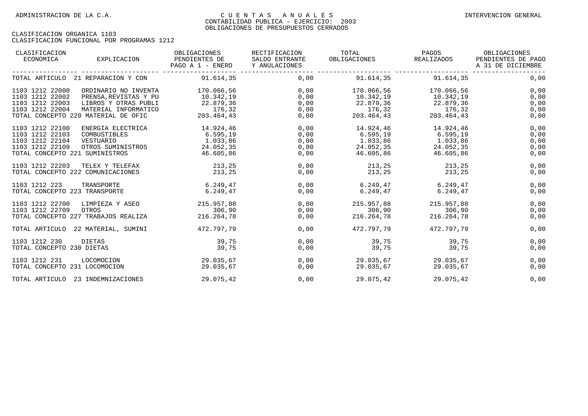| CLASIFICACION<br>ECONOMICA                                                                                 | EXPLICACION                                                                                                                          | OBLIGACIONES<br>PENDIENTES DE<br>PAGO A 1 - ENERO            | RECTIFICACION<br>SALDO ENTRANTE<br>Y ANULACIONES | TOTAL<br>OBLIGACIONES REALIZADOS                             | PAGOS                                                        | OBLIGACIONES<br>PENDIENTES DE PAGO<br>A 31 DE DICIEMBRE |
|------------------------------------------------------------------------------------------------------------|--------------------------------------------------------------------------------------------------------------------------------------|--------------------------------------------------------------|--------------------------------------------------|--------------------------------------------------------------|--------------------------------------------------------------|---------------------------------------------------------|
|                                                                                                            | TOTAL ARTICULO 21 REPARACION Y CON 91.614,35                                                                                         |                                                              | 0,00                                             |                                                              | 91.614,35 91.614,35                                          | 0,00                                                    |
| 1103 1212 22000<br>1103 1212 22002<br>1103 1212 22003<br>1103 1212 22004                                   | ORDINARIO NO INVENTA<br>PRENSA, REVISTAS Y PU<br>LIBROS Y OTRAS PUBLI<br>MATERIAL INFORMATICO<br>TOTAL CONCEPTO 220 MATERIAL DE OFIC | 170.066,56<br>10.342,19<br>22.879,36<br>176,32<br>203.464,43 | 0,00<br>0,00<br>0,00<br>0,00<br>0,00             | 170.066,56<br>10.342,19<br>22.879,36<br>176,32<br>203.464,43 | 170.066,56<br>10.342,19<br>22.879,36<br>176,32<br>203.464,43 | 0,00<br>0,00<br>0,00<br>0,00<br>0,00                    |
| 1103 1212 22100<br>1103 1212 22103<br>1103 1212 22104<br>1103 1212 22109<br>TOTAL CONCEPTO 221 SUMINISTROS | ENERGIA ELECTRICA<br>COMBUSTIBLES<br>VESTUARIO<br>OTROS SUMINISTROS 24.052,35                                                        | 14.924,46<br>6.595,19<br>1.033,86<br>46.605,86               | 0,00<br>0,00<br>0,00<br>0,00<br>0,00             | 14.924,46<br>6.595, 19<br>1.033,86<br>24.052,35<br>46.605,86 | 14.924,46<br>6.595, 19<br>1.033,86<br>24.052,35<br>46.605,86 | 0,00<br>0,00<br>0,00<br>0,00<br>0,00                    |
| 1103 1212 22203<br>TOTAL CONCEPTO 222 COMUNICACIONES                                                       | TELEX Y TELEFAX                                                                                                                      | 213,25<br>213, 25                                            | 0,00<br>0,00                                     | 213, 25<br>213, 25                                           | 213, 25<br>213,25                                            | 0,00<br>0,00                                            |
| 1103 1212 223<br>TOTAL CONCEPTO 223 TRANSPORTE                                                             | TRANSPORTE                                                                                                                           | 6.249, 47<br>6.249.47                                        | 0,00<br>0,00                                     | $6.249,47$ 6.249,47                                          | 6.249.47 6.249.47                                            | 0,00<br>0,00                                            |
| 1103 1212 22700<br>1103 1212 22709                                                                         | LIMPIEZA Y ASEO 215.957,88<br>OTROS<br>TOTAL CONCEPTO 227 TRABAJOS REALIZA                                                           | 306,90<br>216.264,78                                         | 0,00<br>0,00<br>0,00                             | 215.957,88<br>306,90<br>216.264,78                           | 215.957,88<br>306,90<br>216.264,78                           | 0,00<br>0,00<br>0,00                                    |
|                                                                                                            | TOTAL ARTICULO 22 MATERIAL, SUMINI                                                                                                   | 472.797.79                                                   | 0,00                                             | 472.797.79                                                   | 472.797.79                                                   | 0,00                                                    |
| 1103 1212 230<br>TOTAL CONCEPTO 230 DIETAS                                                                 | DIETAS                                                                                                                               | 39,75<br>39,75                                               | 0,00<br>0,00                                     | 39,75<br>39,75                                               | 39,75<br>39,75                                               | 0,00<br>0,00                                            |
| 1103 1212 231<br>TOTAL CONCEPTO 231 LOCOMOCION                                                             | LOCOMOCION                                                                                                                           | 29.035,67<br>29.035,67                                       | 0,00<br>0,00                                     | 29.035,67                                                    | 29.035,67 29.035,67<br>29.035,67                             | 0,00<br>0,00                                            |
|                                                                                                            | TOTAL ARTICULO 23 INDEMNIZACIONES                                                                                                    | 29.075,42                                                    | 0,00                                             | 29.075,42                                                    | 29.075,42                                                    | 0,00                                                    |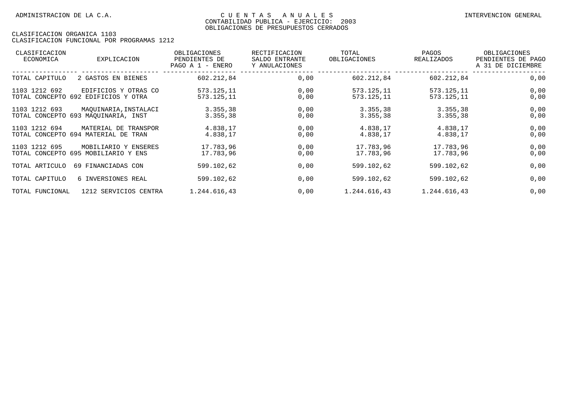| CLASIFICACION<br>ECONOMICA | EXPLICACION                                                  | OBLIGACIONES<br>PENDIENTES DE<br>PAGO A $1$ - ENERO | RECTIFICACION<br>SALDO ENTRANTE<br>Y ANULACIONES | TOTAL<br>OBLIGACIONES    | PAGOS<br>REALIZADOS      | OBLIGACIONES<br>PENDIENTES DE PAGO<br>A 31 DE DICIEMBRE |
|----------------------------|--------------------------------------------------------------|-----------------------------------------------------|--------------------------------------------------|--------------------------|--------------------------|---------------------------------------------------------|
| TOTAL CAPITULO             | 2 GASTOS EN BIENES                                           | 602.212,84                                          | 0,00                                             | 602.212,84               | 602.212,84               | 0,00                                                    |
| 1103 1212 692              | EDIFICIOS Y OTRAS CO<br>TOTAL CONCEPTO 692 EDIFICIOS Y OTRA  | 573.125,11<br>573.125,11                            | 0,00<br>0,00                                     | 573.125,11<br>573.125,11 | 573.125,11<br>573.125,11 | 0,00<br>0,00                                            |
| 1103 1212 693              | MAOUINARIA, INSTALACI<br>TOTAL CONCEPTO 693 MAOUINARIA, INST | 3.355,38<br>3.355,38                                | 0,00<br>0,00                                     | 3.355,38<br>3.355,38     | 3.355,38<br>3.355,38     | 0,00<br>0,00                                            |
| 1103 1212 694              | MATERIAL DE TRANSPOR<br>TOTAL CONCEPTO 694 MATERIAL DE TRAN  | 4.838,17<br>4.838,17                                | 0,00<br>0,00                                     | 4.838,17<br>4.838,17     | 4.838,17<br>4.838,17     | 0,00<br>0,00                                            |
| 1103 1212 695              | MOBILIARIO Y ENSERES<br>TOTAL CONCEPTO 695 MOBILIARIO Y ENS  | 17.783.96<br>17.783,96                              | 0,00<br>0,00                                     | 17.783,96<br>17.783,96   | 17.783,96<br>17.783,96   | 0,00<br>0,00                                            |
| TOTAL ARTICULO             | 69 FINANCIADAS CON                                           | 599.102,62                                          | 0,00                                             | 599.102,62               | 599.102,62               | 0,00                                                    |
| TOTAL CAPITULO             | 6 INVERSIONES REAL                                           | 599.102,62                                          | 0,00                                             | 599.102,62               | 599.102,62               | 0,00                                                    |
| TOTAL FUNCIONAL            | 1212 SERVICIOS CENTRA                                        | 1.244.616,43                                        | 0,00                                             | 1.244.616,43             | 1.244.616,43             | 0,00                                                    |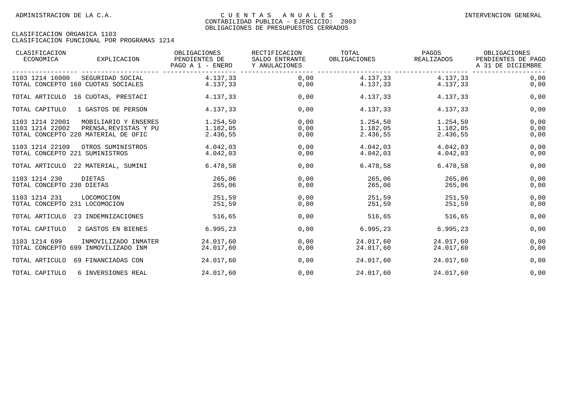| CLASIFICACION<br>ECONOMICA                        | EXPLICACION                                                                          | OBLIGACIONES<br>PENDIENTES DE<br>PAGO A 1 - ENERO | RECTIFICACION<br>SALDO ENTRANTE<br>Y ANULACIONES | TOTAL<br>OBLIGACIONES            | PAGOS<br>REALIZADOS              | OBLIGACIONES<br>PENDIENTES DE PAGO<br>A 31 DE DICIEMBRE |
|---------------------------------------------------|--------------------------------------------------------------------------------------|---------------------------------------------------|--------------------------------------------------|----------------------------------|----------------------------------|---------------------------------------------------------|
| 1103 1214 16000                                   | SEGURIDAD SOCIAL<br>TOTAL CONCEPTO 160 CUOTAS SOCIALES                               | 4.137,33<br>4.137,33                              | 0,00<br>0,00                                     | 4.137,33<br>4.137,33             | 4.137,33<br>4.137,33             | 0,00<br>0,00                                            |
|                                                   | TOTAL ARTICULO 16 CUOTAS, PRESTACI                                                   | 4.137,33                                          | 0,00                                             | 4.137,33                         | 4.137,33                         | 0,00                                                    |
| TOTAL CAPITULO                                    | 1 GASTOS DE PERSON                                                                   | 4.137,33                                          | 0,00                                             | 4.137,33                         | 4.137,33                         | 0,00                                                    |
| 1103 1214 22001<br>1103 1214 22002                | MOBILIARIO Y ENSERES<br>PRENSA, REVISTAS Y PU<br>TOTAL CONCEPTO 220 MATERIAL DE OFIC | 1.254,50<br>1.182,05<br>2.436,55                  | 0,00<br>0,00<br>0,00                             | 1.254,50<br>1.182,05<br>2.436,55 | 1.254,50<br>1.182,05<br>2.436,55 | 0,00<br>0,00<br>0,00                                    |
| 1103 1214 22109<br>TOTAL CONCEPTO 221 SUMINISTROS | OTROS SUMINISTROS                                                                    | 4.042,03<br>4.042,03                              | 0,00<br>0,00                                     | 4.042,03<br>4.042,03             | 4.042,03<br>4.042,03             | 0,00<br>0,00                                            |
| TOTAL ARTICULO                                    | 22 MATERIAL, SUMINI                                                                  | 6.478,58                                          | 0,00                                             | 6.478,58                         | 6.478,58                         | 0,00                                                    |
| 1103 1214 230<br>TOTAL CONCEPTO 230 DIETAS        | DIETAS                                                                               | 265,06<br>265,06                                  | 0,00<br>0,00                                     | 265,06<br>265,06                 | 265,06<br>265,06                 | 0,00<br>0,00                                            |
| 1103 1214 231<br>TOTAL CONCEPTO 231 LOCOMOCION    | LOCOMOCION                                                                           | 251,59<br>251,59                                  | 0,00<br>0,00                                     | 251,59<br>251,59                 | 251,59<br>251,59                 | 0,00<br>0,00                                            |
| TOTAL ARTICULO                                    | 23 INDEMNIZACIONES                                                                   | 516,65                                            | 0,00                                             | 516,65                           | 516,65                           | 0,00                                                    |
| TOTAL CAPITULO                                    | 2 GASTOS EN BIENES                                                                   | 6.995,23                                          | 0.00                                             | 6.995,23                         | 6.995,23                         | 0,00                                                    |
| 1103 1214 699                                     | INMOVILIZADO INMATER<br>TOTAL CONCEPTO 699 INMOVILIZADO INM                          | 24.017,60<br>24.017,60                            | 0,00<br>0,00                                     | 24.017,60<br>24.017,60           | 24.017,60<br>24.017,60           | 0,00<br>0,00                                            |
| TOTAL ARTICULO                                    | 69 FINANCIADAS CON                                                                   | 24.017,60                                         | 0,00                                             | 24.017,60                        | 24.017,60                        | 0,00                                                    |
| TOTAL CAPITULO                                    | 6 INVERSIONES REAL                                                                   | 24.017,60                                         | 0,00                                             | 24.017,60                        | 24.017,60                        | 0,00                                                    |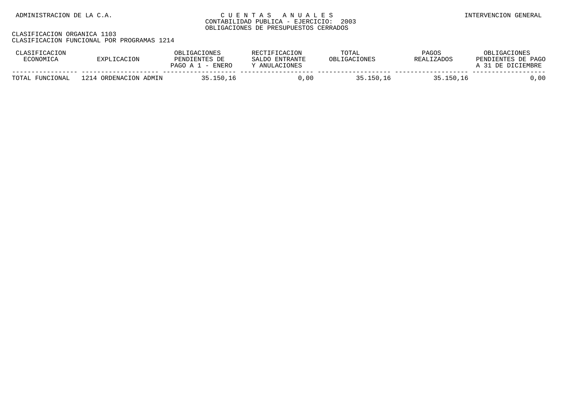| CLASIFICACION<br>ECONOMICA | EXPLICACION           | OBLIGACIONES<br>PENDIENTES DE<br>PAGO A 1 - ENERO | RECTIFICACION<br>SALDO ENTRANTE<br>Y ANULACIONES | TOTAL<br>OBLIGACIONES | PAGOS<br>REALIZADOS | OBLIGACIONES<br>PENDIENTES DE PAGO<br>A 31 DE DICIEMBRE |
|----------------------------|-----------------------|---------------------------------------------------|--------------------------------------------------|-----------------------|---------------------|---------------------------------------------------------|
| TOTAL FUNCIONAL            | 1214 ORDENACION ADMIN | 35.150.16                                         | 0.00                                             | 35.150.16             | 35.150.16           | ,00                                                     |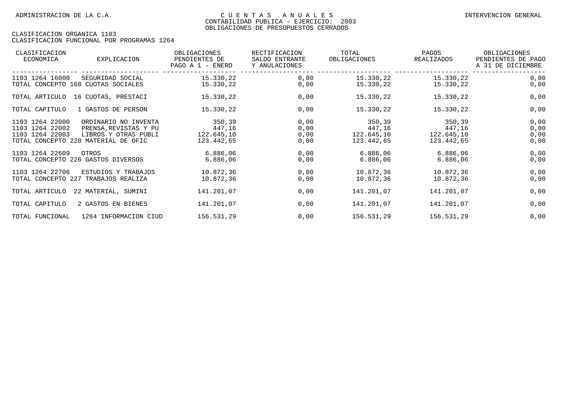| CLASIFICACION<br>ECONOMICA                            | EXPLICACION                                                                                                  | OBLIGACIONES<br>PENDIENTES DE<br>PAGO A 1 - ENERO | RECTIFICACION<br>SALDO ENTRANTE<br>Y ANULACIONES | TOTAL<br>OBLIGACIONES                        | PAGOS<br>REALIZADOS                          | OBLIGACIONES<br>PENDIENTES DE PAGO<br>A 31 DE DICIEMBRE |
|-------------------------------------------------------|--------------------------------------------------------------------------------------------------------------|---------------------------------------------------|--------------------------------------------------|----------------------------------------------|----------------------------------------------|---------------------------------------------------------|
| 1103 1264 16000                                       | SEGURIDAD SOCIAL<br>TOTAL CONCEPTO 160 CUOTAS SOCIALES                                                       | 15.330,22<br>15.330,22                            | 0,00<br>0,00                                     | 15.330,22<br>15.330,22                       | 15.330,22<br>15.330,22                       | 0,00<br>0,00                                            |
| TOTAL ARTICULO                                        | 16 CUOTAS, PRESTACI                                                                                          | 15.330,22                                         | 0,00                                             | 15.330,22                                    | 15.330,22                                    | 0,00                                                    |
| TOTAL CAPITULO                                        | 1 GASTOS DE PERSON                                                                                           | 15.330,22                                         | 0,00                                             | 15.330,22                                    | 15.330,22                                    | 0,00                                                    |
| 1103 1264 22000<br>1103 1264 22002<br>1103 1264 22003 | ORDINARIO NO INVENTA<br>PRENSA, REVISTAS Y PU<br>LIBROS Y OTRAS PUBLI<br>TOTAL CONCEPTO 220 MATERIAL DE OFIC | 350,39<br>447,16<br>122.645,10<br>123.442,65      | 0,00<br>0,00<br>0,00<br>0,00                     | 350,39<br>447,16<br>122.645,10<br>123.442,65 | 350,39<br>447,16<br>122.645,10<br>123.442,65 | 0,00<br>0,00<br>0,00<br>0,00                            |
| 1103 1264 22609                                       | OTROS<br>TOTAL CONCEPTO 226 GASTOS DIVERSOS                                                                  | 6.886,06<br>6.886,06                              | 0,00<br>0,00                                     | 6.886,06<br>6.886,06                         | 6.886,06<br>6.886,06                         | 0,00<br>0,00                                            |
| 1103 1264 22706                                       | ESTUDIOS Y TRABAJOS<br>TOTAL CONCEPTO 227 TRABAJOS REALIZA                                                   | 10.872,36<br>10.872,36                            | 0,00<br>0,00                                     | 10.872,36<br>10.872,36                       | 10.872,36<br>10.872,36                       | 0,00<br>0,00                                            |
| TOTAL ARTICULO                                        | 22 MATERIAL, SUMINI                                                                                          | 141.201,07                                        | 0,00                                             | 141.201,07                                   | 141.201,07                                   | 0,00                                                    |
| TOTAL CAPITULO                                        | 2 GASTOS EN BIENES                                                                                           | 141.201,07                                        | 0,00                                             | 141.201,07                                   | 141.201,07                                   | 0,00                                                    |
| TOTAL FUNCIONAL                                       | 1264 INFORMACION CIUD                                                                                        | 156.531,29                                        | 0,00                                             | 156.531,29                                   | 156.531,29                                   | 0,00                                                    |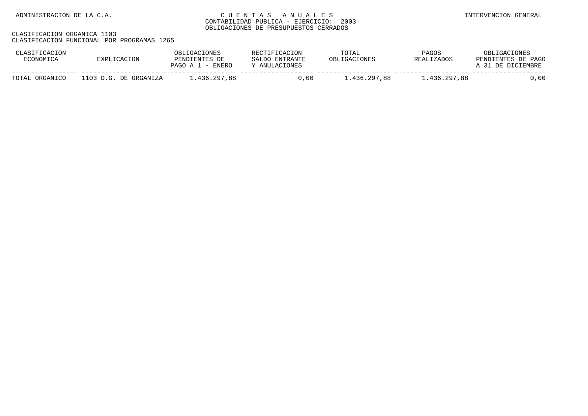|                           | ּבר<br>DF<br>D∏NT<br><b>ENERO</b><br>PAGO<br>$\sim$ | 55715<br>י סים דור<br>A NTT | TOTAL          | PAGOS<br>ר פ אח<br>י סם | <b>PAGO</b><br>PENDIENTES<br>ים רו |
|---------------------------|-----------------------------------------------------|-----------------------------|----------------|-------------------------|------------------------------------|
| <b>ORCANTCO</b><br>ΤΟΤΑΙ. | 436.297,88                                          | . O C                       | .297,88<br>436 | ר מר<br>A 26            | ,00                                |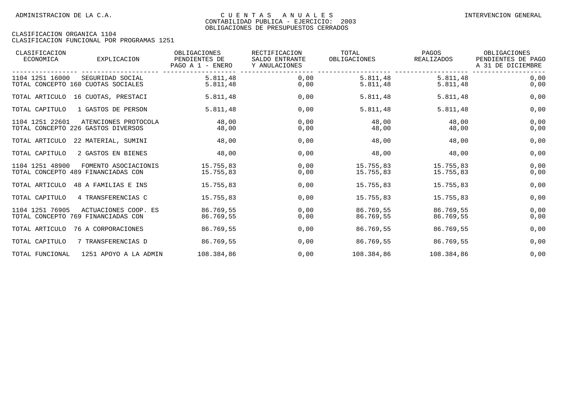| CLASIFICACION<br>ECONOMICA                            | EXPLICACION           | OBLIGACIONES<br>PENDIENTES DE<br>PAGO A 1 - ENERO | RECTIFICACION<br>SALDO ENTRANTE<br>Y ANULACIONES | TOTAL<br>OBLIGACIONES  | PAGOS<br>REALIZADOS    | OBLIGACIONES<br>PENDIENTES DE PAGO<br>A 31 DE DICIEMBRE |
|-------------------------------------------------------|-----------------------|---------------------------------------------------|--------------------------------------------------|------------------------|------------------------|---------------------------------------------------------|
| 1104 1251 16000<br>TOTAL CONCEPTO 160 CUOTAS SOCIALES | SEGURIDAD SOCIAL      | 5.811,48<br>5.811,48                              | 0,00<br>0,00                                     | 5.811,48<br>5.811,48   | 5.811,48<br>5.811,48   | 0,00<br>0,00                                            |
| TOTAL ARTICULO                                        | 16 CUOTAS, PRESTACI   | 5.811,48                                          | 0,00                                             | 5.811,48               | 5.811,48               | 0,00                                                    |
| TOTAL CAPITULO                                        | 1 GASTOS DE PERSON    | 5.811,48                                          | 0,00                                             | 5.811,48               | 5.811,48               | 0,00                                                    |
| 1104 1251 22601<br>TOTAL CONCEPTO 226 GASTOS DIVERSOS | ATENCIONES PROTOCOLA  | 48,00<br>48,00                                    | 0,00<br>0,00                                     | 48,00<br>48,00         | 48,00<br>48,00         | 0,00<br>0,00                                            |
| TOTAL ARTICULO                                        | 22 MATERIAL, SUMINI   | 48,00                                             | 0,00                                             | 48,00                  | 48,00                  | 0,00                                                    |
| TOTAL CAPITULO                                        | 2 GASTOS EN BIENES    | 48,00                                             | 0,00                                             | 48,00                  | 48,00                  | 0,00                                                    |
| 1104 1251 48900<br>TOTAL CONCEPTO 489 FINANCIADAS CON | FOMENTO ASOCIACIONIS  | 15.755,83<br>15.755.83                            | 0,00<br>0,00                                     | 15.755,83<br>15.755.83 | 15.755,83<br>15.755,83 | 0,00<br>0,00                                            |
| TOTAL ARTICULO                                        | 48 A FAMILIAS E INS   | 15.755.83                                         | 0,00                                             | 15.755,83              | 15.755,83              | 0,00                                                    |
| TOTAL CAPITULO                                        | 4 TRANSFERENCIAS C    | 15.755,83                                         | 0,00                                             | 15.755,83              | 15.755,83              | 0,00                                                    |
| 1104 1251 76905<br>TOTAL CONCEPTO 769 FINANCIADAS CON | ACTUACIONES COOP. ES  | 86.769,55<br>86.769,55                            | 0,00<br>0,00                                     | 86.769,55<br>86.769,55 | 86.769,55<br>86.769,55 | 0,00<br>0,00                                            |
| TOTAL ARTICULO                                        | 76 A CORPORACIONES    | 86.769.55                                         | 0,00                                             | 86.769.55              | 86.769.55              | 0,00                                                    |
| TOTAL CAPITULO                                        | 7 TRANSFERENCIAS D    | 86.769.55                                         | 0,00                                             | 86.769,55              | 86.769,55              | 0,00                                                    |
| TOTAL FUNCIONAL                                       | 1251 APOYO A LA ADMIN | 108.384,86                                        | 0,00                                             | 108.384,86             | 108.384,86             | 0,00                                                    |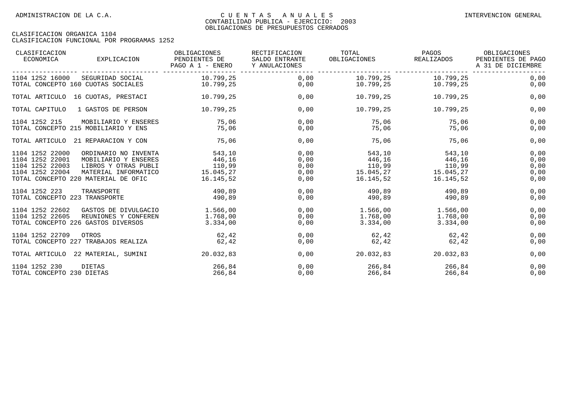| CLASIFICACION<br>ECONOMICA                                               | EXPLICACION                                                                                                                         | OBLIGACIONES<br>PENDIENTES DE<br>PAGO A 1 - ENERO    | RECTIFICACION<br>SALDO ENTRANTE<br>Y ANULACIONES | TOTAL<br>OBLIGACIONES                                | PAGOS<br>REALIZADOS                                  | OBLIGACIONES<br>PENDIENTES DE PAGO<br>A 31 DE DICIEMBRE |
|--------------------------------------------------------------------------|-------------------------------------------------------------------------------------------------------------------------------------|------------------------------------------------------|--------------------------------------------------|------------------------------------------------------|------------------------------------------------------|---------------------------------------------------------|
| 1104 1252 16000<br>TOTAL CONCEPTO 160 CUOTAS SOCIALES                    | SEGURIDAD SOCIAL                                                                                                                    | 10.799,25<br>10.799,25                               | 0,00<br>0,00                                     | 10.799,25                                            | 10.799,25 10.799,25<br>10.799,25                     | 0,00<br>0,00                                            |
|                                                                          | TOTAL ARTICULO 16 CUOTAS, PRESTACI                                                                                                  | 10.799,25                                            | 0,00                                             | 10.799,25                                            | 10.799,25                                            | 0,00                                                    |
| TOTAL CAPITULO                                                           | 1 GASTOS DE PERSON                                                                                                                  | 10.799,25                                            | 0,00                                             | 10.799,25                                            | 10.799,25                                            | 0,00                                                    |
| 1104 1252 215                                                            | MOBILIARIO Y ENSERES<br>TOTAL CONCEPTO 215 MOBILIARIO Y ENS                                                                         | 75,06<br>75,06                                       | 0,00<br>0,00                                     | 75,06<br>75,06                                       | 75,06<br>75,06                                       | 0,00<br>0,00                                            |
| TOTAL ARTICULO                                                           | 21 REPARACION Y CON                                                                                                                 | 75,06                                                | 0,00                                             | 75,06                                                | 75,06                                                | 0,00                                                    |
| 1104 1252 22000<br>1104 1252 22001<br>1104 1252 22003<br>1104 1252 22004 | ORDINARIO NO INVENTA<br>MOBILIARIO Y ENSERES<br>LIBROS Y OTRAS PUBLI<br>MATERIAL INFORMATICO<br>TOTAL CONCEPTO 220 MATERIAL DE OFIC | 543,10<br>446,16<br>110,99<br>15.045,27<br>16.145,52 | 0,00<br>0,00<br>0,00<br>0,00<br>0,00             | 543,10<br>446,16<br>110,99<br>15.045,27<br>16.145,52 | 543,10<br>446,16<br>110,99<br>15.045,27<br>16.145,52 | 0,00<br>0,00<br>0,00<br>0,00<br>0,00                    |
| 1104 1252 223<br>TOTAL CONCEPTO 223 TRANSPORTE                           | TRANSPORTE                                                                                                                          | 490.89<br>490,89                                     | 0.00<br>0,00                                     | 490,89<br>490,89                                     | 490.89<br>490,89                                     | 0,00<br>0,00                                            |
| 1104 1252 22602<br>1104 1252 22605<br>TOTAL CONCEPTO 226 GASTOS DIVERSOS | GASTOS DE DIVULGACIO<br>REUNIONES Y CONFEREN                                                                                        | 1.566,00<br>1.768,00<br>3.334,00                     | 0,00<br>0,00<br>0,00                             | 1.566,00<br>1.768,00<br>3.334,00                     | 1.566,00<br>1.768,00<br>3.334,00                     | 0,00<br>0,00<br>0,00                                    |
| 1104 1252 22709                                                          | OTROS<br>TOTAL CONCEPTO 227 TRABAJOS REALIZA                                                                                        | 62,42<br>62,42                                       | 0,00<br>0,00                                     | 62,42<br>62,42                                       | 62,42<br>62,42                                       | 0,00<br>0,00                                            |
|                                                                          | TOTAL ARTICULO 22 MATERIAL, SUMINI                                                                                                  | 20.032,83                                            | 0,00                                             | 20.032,83                                            | 20.032,83                                            | 0,00                                                    |
| 1104 1252 230<br>TOTAL CONCEPTO 230 DIETAS                               | <b>DIETAS</b>                                                                                                                       | 266,84<br>266,84                                     | 0,00<br>0,00                                     | 266,84<br>266,84                                     | 266,84<br>266,84                                     | 0,00<br>0,00                                            |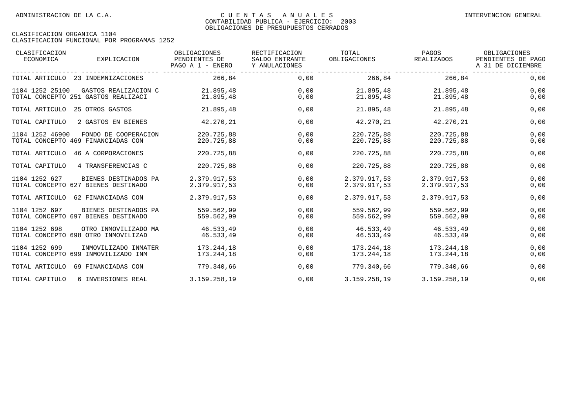| CLASIFICACION<br>ECONOMICA     | EXPLICACION                                                 | OBLIGACIONES<br>PENDIENTES DE<br>PAGO A 1 - ENERO | RECTIFICACION<br>SALDO ENTRANTE<br>Y ANULACIONES | TOTAL<br>OBLIGACIONES        | PAGOS<br>REALIZADOS          | OBLIGACIONES<br>PENDIENTES DE PAGO<br>A 31 DE DICIEMBRE |
|--------------------------------|-------------------------------------------------------------|---------------------------------------------------|--------------------------------------------------|------------------------------|------------------------------|---------------------------------------------------------|
|                                | TOTAL ARTICULO 23 INDEMNIZACIONES                           | 266,84                                            | 0,00                                             | 266,84                       | 266,84                       | 0,00                                                    |
| 1104 1252 25100                | GASTOS REALIZACION C<br>TOTAL CONCEPTO 251 GASTOS REALIZACI | 21.895,48<br>21.895,48                            | 0,00<br>0,00                                     | 21.895,48<br>21.895,48       | 21.895,48<br>21.895,48       | 0,00<br>0,00                                            |
| TOTAL ARTICULO 25 OTROS GASTOS |                                                             | 21.895,48                                         | 0,00                                             | 21.895,48                    | 21.895,48                    | 0,00                                                    |
| TOTAL CAPITULO                 | 2 GASTOS EN BIENES                                          | 42.270,21                                         | 0,00                                             | 42.270,21                    | 42.270,21                    | 0,00                                                    |
| 1104 1252 46900                | FONDO DE COOPERACION<br>TOTAL CONCEPTO 469 FINANCIADAS CON  | 220.725,88<br>220.725,88                          | 0,00<br>0,00                                     | 220.725,88<br>220.725,88     | 220.725,88<br>220.725,88     | 0,00<br>0,00                                            |
| TOTAL ARTICULO                 | 46 A CORPORACIONES                                          | 220.725,88                                        | 0,00                                             | 220.725,88                   | 220.725,88                   | 0,00                                                    |
| TOTAL CAPITULO                 | 4 TRANSFERENCIAS C                                          | 220.725,88                                        | 0,00                                             | 220.725,88                   | 220.725,88                   | 0,00                                                    |
| 1104 1252 627                  | BIENES DESTINADOS PA<br>TOTAL CONCEPTO 627 BIENES DESTINADO | 2.379.917.53<br>2.379.917,53                      | 0,00<br>0,00                                     | 2.379.917,53<br>2.379.917,53 | 2.379.917,53<br>2.379.917,53 | 0,00<br>0,00                                            |
|                                | TOTAL ARTICULO 62 FINANCIADAS CON                           | 2.379.917,53                                      | 0,00                                             | 2.379.917,53                 | 2.379.917,53                 | 0,00                                                    |
| 1104 1252 697                  | BIENES DESTINADOS PA<br>TOTAL CONCEPTO 697 BIENES DESTINADO | 559.562.99<br>559.562,99                          | 0,00<br>0,00                                     | 559.562,99<br>559.562,99     | 559.562.99<br>559.562,99     | 0,00<br>0,00                                            |
| 1104 1252 698                  | OTRO INMOVILIZADO MA<br>TOTAL CONCEPTO 698 OTRO INMOVILIZAD | 46.533,49<br>46.533,49                            | 0,00<br>0,00                                     | 46.533,49<br>46.533,49       | 46.533,49<br>46.533,49       | 0,00<br>0,00                                            |
| 1104 1252 699                  | INMOVILIZADO INMATER<br>TOTAL CONCEPTO 699 INMOVILIZADO INM | 173.244,18<br>173.244,18                          | 0,00<br>0,00                                     | 173.244,18<br>173.244,18     | 173.244,18<br>173.244,18     | 0,00<br>0,00                                            |
| TOTAL ARTICULO                 | 69 FINANCIADAS CON                                          | 779.340,66                                        | 0,00                                             | 779.340,66                   | 779.340,66                   | 0,00                                                    |
| TOTAL CAPITULO                 | 6 INVERSIONES REAL                                          | 3.159.258,19                                      | 0,00                                             | 3.159.258,19                 | 3.159.258,19                 | 0,00                                                    |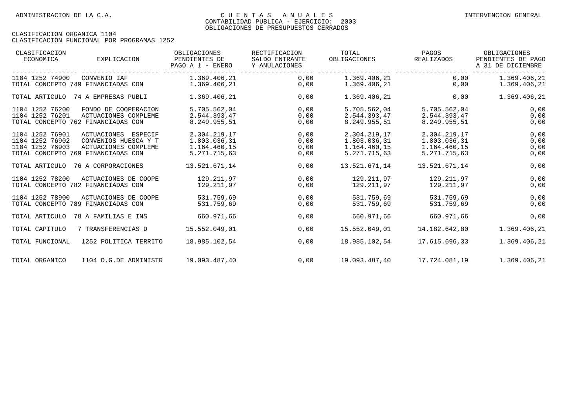| CLASIFICACION<br>ECONOMICA                                               | EXPLICACION                                                                                               | OBLIGACIONES<br>PENDIENTES DE<br>PAGO A 1 - ENERO            | RECTIFICACION<br>SALDO ENTRANTE<br>Y ANULACIONES | TOTAL<br>OBLIGACIONES                                        | PAGOS<br>REALIZADOS                                          | OBLIGACIONES<br>PENDIENTES DE PAGO<br>A 31 DE DICIEMBRE |
|--------------------------------------------------------------------------|-----------------------------------------------------------------------------------------------------------|--------------------------------------------------------------|--------------------------------------------------|--------------------------------------------------------------|--------------------------------------------------------------|---------------------------------------------------------|
| 1104 1252 74900                                                          | CONVENIO IAF<br>TOTAL CONCEPTO 749 FINANCIADAS CON                                                        | 1.369.406,21<br>1.369.406,21                                 | 0.00<br>0,00                                     | 1.369.406,21<br>1.369.406,21                                 | 0,00<br>0,00                                                 | 1.369.406,21<br>1.369.406,21                            |
| TOTAL ARTICULO                                                           | 74 A EMPRESAS PUBLI                                                                                       | 1.369.406,21                                                 | 0,00                                             | 1.369.406,21                                                 | 0,00                                                         | 1.369.406,21                                            |
| 1104 1252 76200<br>1104 1252 76201<br>TOTAL CONCEPTO 762 FINANCIADAS CON | FONDO DE COOPERACION<br>ACTUACIONES COMPLEME                                                              | 5.705.562,04<br>2.544.393,47<br>8.249.955,51                 | 0,00<br>0,00<br>0,00                             | 5.705.562,04<br>2.544.393,47<br>8.249.955,51                 | 5.705.562,04<br>2.544.393,47<br>8.249.955,51                 | 0,00<br>0,00<br>0,00                                    |
| 1104 1252 76901<br>1104 1252 76902<br>1104 1252 76903                    | ACTUACIONES ESPECIF<br>CONVENIOS HUESCA Y T<br>ACTUACIONES COMPLEME<br>TOTAL CONCEPTO 769 FINANCIADAS CON | 2.304.219,17<br>1.803.036,31<br>1.164.460,15<br>5.271.715,63 | 0,00<br>0,00<br>0,00<br>0,00                     | 2.304.219,17<br>1.803.036,31<br>1.164.460,15<br>5.271.715,63 | 2.304.219,17<br>1.803.036,31<br>1.164.460,15<br>5.271.715,63 | 0,00<br>0,00<br>0,00<br>0,00                            |
| TOTAL ARTICULO                                                           | 76 A CORPORACIONES                                                                                        | 13.521.671,14                                                | 0,00                                             | 13.521.671.14                                                | 13.521.671,14                                                | 0,00                                                    |
| 1104 1252 78200                                                          | ACTUACIONES DE COOPE<br>TOTAL CONCEPTO 782 FINANCIADAS CON                                                | 129.211,97<br>129.211,97                                     | 0.00<br>0,00                                     | 129.211,97<br>129.211,97                                     | 129.211,97<br>129.211,97                                     | 0,00<br>0,00                                            |
| 1104 1252 78900                                                          | ACTUACIONES DE COOPE<br>TOTAL CONCEPTO 789 FINANCIADAS CON                                                | 531.759.69<br>531.759,69                                     | 0,00<br>0,00                                     | 531.759,69<br>531.759,69                                     | 531.759.69<br>531.759,69                                     | 0,00<br>0,00                                            |
| TOTAL ARTICULO                                                           | 78 A FAMILIAS E INS                                                                                       | 660.971.66                                                   | 0,00                                             | 660.971.66                                                   | 660.971.66                                                   | 0,00                                                    |
| TOTAL CAPITULO                                                           | 7 TRANSFERENCIAS D                                                                                        | 15.552.049.01                                                | 0,00                                             | 15.552.049,01                                                | 14.182.642,80                                                | 1.369.406,21                                            |
| TOTAL FUNCIONAL                                                          | 1252 POLITICA TERRITO                                                                                     | 18.985.102,54                                                | 0,00                                             | 18.985.102.54                                                | 17.615.696,33                                                | 1.369.406,21                                            |
| TOTAL ORGANICO                                                           | 1104 D.G.DE ADMINISTR                                                                                     | 19.093.487.40                                                | 0,00                                             | 19.093.487,40                                                | 17.724.081,19                                                | 1.369.406,21                                            |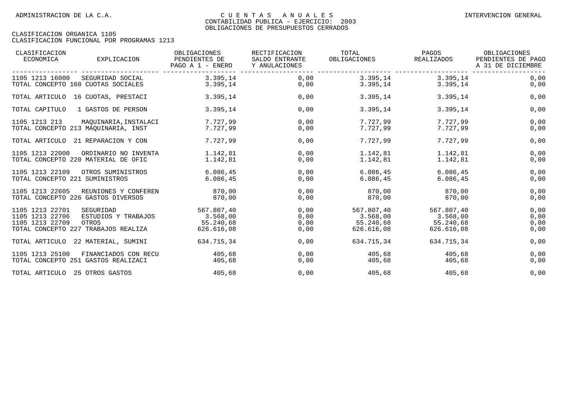| CLASIFICACION<br>ECONOMICA                                                                                         | EXPLICACION           | OBLIGACIONES<br>PENDIENTES DE<br>PAGO A 1 - ENERO | RECTIFICACION<br>SALDO ENTRANTE<br>Y ANULACIONES | TOTAL<br>OBLIGACIONES                             | PAGOS<br>REALIZADOS                               | OBLIGACIONES<br>PENDIENTES DE PAGO<br>A 31 DE DICIEMBRE |
|--------------------------------------------------------------------------------------------------------------------|-----------------------|---------------------------------------------------|--------------------------------------------------|---------------------------------------------------|---------------------------------------------------|---------------------------------------------------------|
| 1105 1213 16000<br>TOTAL CONCEPTO 160 CUOTAS SOCIALES                                                              | SEGURIDAD SOCIAL      | 3.395.14<br>3.395.14                              | 0,00<br>0,00                                     | 3.395,14<br>3.395,14                              | 3.395.14<br>3.395.14                              | 0,00<br>0,00                                            |
| TOTAL ARTICULO 16 CUOTAS, PRESTACI                                                                                 |                       | 3.395,14                                          | 0,00                                             | 3.395,14                                          | 3.395,14                                          | 0,00                                                    |
| TOTAL CAPITULO                                                                                                     | 1 GASTOS DE PERSON    | 3.395,14                                          | 0,00                                             | 3.395,14                                          | 3.395,14                                          | 0,00                                                    |
| 1105 1213 213<br>TOTAL CONCEPTO 213 MAOUINARIA, INST                                                               | MAOUINARIA, INSTALACI | 7.727,99<br>7.727,99                              | 0,00<br>0,00                                     | 7.727,99<br>7.727,99                              | 7.727,99<br>7.727,99                              | 0,00<br>0,00                                            |
| TOTAL ARTICULO                                                                                                     | 21 REPARACION Y CON   | 7.727.99                                          | 0,00                                             | 7.727.99                                          | 7.727.99                                          | 0,00                                                    |
| 1105 1213 22000<br>TOTAL CONCEPTO 220 MATERIAL DE OFIC                                                             | ORDINARIO NO INVENTA  | 1.142,81<br>1.142.81                              | 0,00<br>0,00                                     | 1.142,81<br>1.142,81                              | 1.142,81<br>1.142.81                              | 0,00<br>0,00                                            |
| 1105 1213 22109<br>TOTAL CONCEPTO 221 SUMINISTROS                                                                  | OTROS SUMINISTROS     | 6.086,45<br>6.086, 45                             | 0,00<br>0,00                                     | 6.086, 45<br>6.086, 45                            | 6.086, 45<br>6.086, 45                            | 0,00<br>0,00                                            |
| 1105 1213 22605<br>TOTAL CONCEPTO 226 GASTOS DIVERSOS                                                              | REUNIONES Y CONFEREN  | 870,00<br>870,00                                  | 0,00<br>0,00                                     | 870,00<br>870,00                                  | 870,00<br>870,00                                  | 0,00<br>0,00                                            |
| 1105 1213 22701<br>SEGURIDAD<br>1105 1213 22706<br>1105 1213 22709<br>OTROS<br>TOTAL CONCEPTO 227 TRABAJOS REALIZA | ESTUDIOS Y TRABAJOS   | 567.807,40<br>3.568,00<br>55.240,68<br>626.616,08 | 0.00<br>0,00<br>0,00<br>0,00                     | 567.807,40<br>3.568,00<br>55.240,68<br>626.616,08 | 567.807,40<br>3.568,00<br>55.240,68<br>626.616,08 | 0,00<br>0,00<br>0,00<br>0,00                            |
| TOTAL ARTICULO 22 MATERIAL, SUMINI                                                                                 |                       | 634.715,34                                        | 0,00                                             | 634.715,34                                        | 634.715.34                                        | 0,00                                                    |
| 1105 1213 25100<br>TOTAL CONCEPTO 251 GASTOS REALIZACI                                                             | FINANCIADOS CON RECU  | 405,68<br>405,68                                  | 0,00<br>0,00                                     | 405,68<br>405,68                                  | 405,68<br>405,68                                  | 0,00<br>0,00                                            |
| TOTAL ARTICULO 25 OTROS GASTOS                                                                                     |                       | 405,68                                            | 0,00                                             | 405,68                                            | 405,68                                            | 0,00                                                    |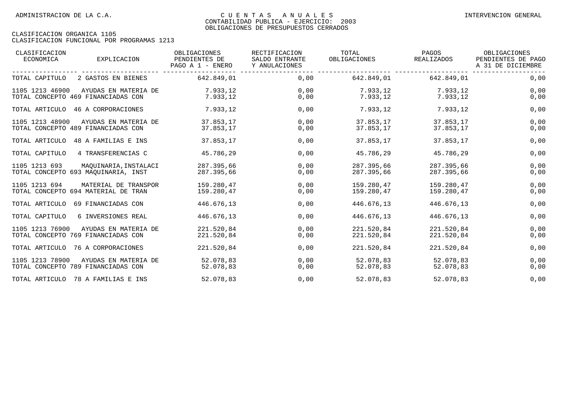| CLASIFICACION<br>ECONOMICA | EXPLICACION                                                  | OBLIGACIONES<br>PENDIENTES DE<br>PAGO A 1 - ENERO | RECTIFICACION<br>SALDO ENTRANTE<br>Y ANULACIONES | TOTAL<br>OBLIGACIONES    | PAGOS<br>REALIZADOS      | OBLIGACIONES<br>PENDIENTES DE PAGO<br>A 31 DE DICIEMBRE |
|----------------------------|--------------------------------------------------------------|---------------------------------------------------|--------------------------------------------------|--------------------------|--------------------------|---------------------------------------------------------|
| TOTAL CAPITULO             | 2 GASTOS EN BIENES                                           | 642.849,01                                        | 0,00                                             | 642.849,01               | 642.849,01               | 0,00                                                    |
| 1105 1213 46900            | AYUDAS EN MATERIA DE<br>TOTAL CONCEPTO 469 FINANCIADAS CON   | 7.933,12<br>7.933,12                              | 0,00<br>0,00                                     | 7.933,12<br>7.933,12     | 7.933,12<br>7.933,12     | 0,00<br>0,00                                            |
|                            | TOTAL ARTICULO 46 A CORPORACIONES                            | 7.933,12                                          | 0,00                                             | 7.933,12                 | 7.933,12                 | 0,00                                                    |
| 1105 1213 48900            | AYUDAS EN MATERIA DE<br>TOTAL CONCEPTO 489 FINANCIADAS CON   | 37.853,17<br>37.853,17                            | 0,00<br>0,00                                     | 37.853,17<br>37.853,17   | 37.853,17<br>37.853,17   | 0,00<br>0,00                                            |
|                            | TOTAL ARTICULO 48 A FAMILIAS E INS                           | 37.853,17                                         | 0,00                                             | 37.853,17                | 37.853,17                | 0,00                                                    |
| TOTAL CAPITULO             | 4 TRANSFERENCIAS C                                           | 45.786,29                                         | 0,00                                             | 45.786,29                | 45.786,29                | 0,00                                                    |
| 1105 1213 693              | MAQUINARIA, INSTALACI<br>TOTAL CONCEPTO 693 MAOUINARIA, INST | 287.395.66<br>287.395,66                          | 0,00<br>0,00                                     | 287.395,66<br>287.395,66 | 287.395.66<br>287.395,66 | 0,00<br>0,00                                            |
| 1105 1213 694              | MATERIAL DE TRANSPOR<br>TOTAL CONCEPTO 694 MATERIAL DE TRAN  | 159.280.47<br>159.280,47                          | 0,00<br>0,00                                     | 159.280.47<br>159.280,47 | 159.280.47<br>159.280,47 | 0,00<br>0,00                                            |
| TOTAL ARTICULO             | 69 FINANCIADAS CON                                           | 446.676,13                                        | 0,00                                             | 446.676.13               | 446.676,13               | 0,00                                                    |
| TOTAL CAPITULO             | 6 INVERSIONES REAL                                           | 446.676,13                                        | 0,00                                             | 446.676,13               | 446.676,13               | 0,00                                                    |
| 1105 1213 76900            | AYUDAS EN MATERIA DE<br>TOTAL CONCEPTO 769 FINANCIADAS CON   | 221.520,84<br>221.520,84                          | 0,00<br>0,00                                     | 221.520,84<br>221.520,84 | 221.520,84<br>221.520,84 | 0,00<br>0,00                                            |
|                            | TOTAL ARTICULO 76 A CORPORACIONES                            | 221.520,84                                        | 0,00                                             | 221.520,84               | 221.520,84               | 0,00                                                    |
| 1105 1213 78900            | AYUDAS EN MATERIA DE<br>TOTAL CONCEPTO 789 FINANCIADAS CON   | 52.078,83<br>52.078,83                            | 0,00<br>0,00                                     | 52.078,83<br>52.078,83   | 52.078,83<br>52.078,83   | 0,00<br>0,00                                            |
| TOTAL ARTICULO             | 78 A FAMILIAS E INS                                          | 52.078,83                                         | 0,00                                             | 52.078,83                | 52.078,83                | 0,00                                                    |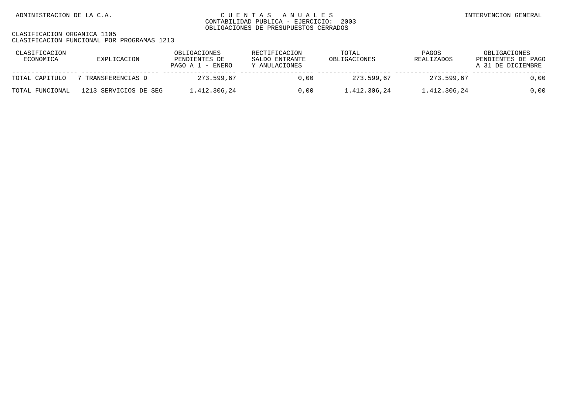| CLASIFICACION<br>ECONOMICA | EXPLICACION           | OBLIGACIONES<br>PENDIENTES DE<br>PAGO A $1$ - ENERO | RECTIFICACION<br>SALDO ENTRANTE<br>Y ANULACIONES | TOTAL<br>OBLIGACIONES | PAGOS<br>REALIZADOS | OBLIGACIONES<br>PENDIENTES DE PAGO<br>A 31 DE DICIEMBRE |
|----------------------------|-----------------------|-----------------------------------------------------|--------------------------------------------------|-----------------------|---------------------|---------------------------------------------------------|
| TOTAL CAPITULO             | TRANSFERENCIAS D      | 273.599.67                                          | 0.00                                             | 273.599.67            | 273.599.67          | 0,00                                                    |
| TOTAL FUNCIONAL            | 1213 SERVICIOS DE SEG | 1.412.306.24                                        | 0.00                                             | 1.412.306.24          | 1.412.306.24        | 0,00                                                    |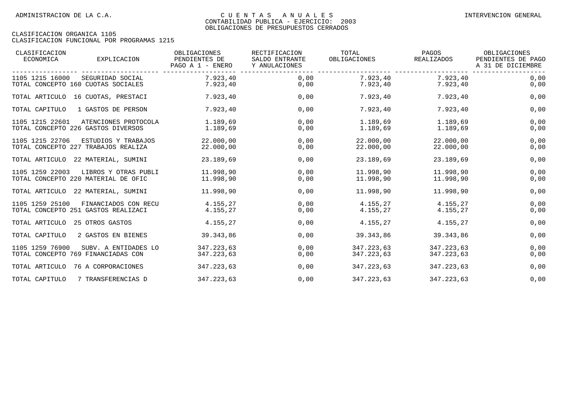| CLASIFICACION<br>ECONOMICA<br>EXPLICACION                                      | OBLIGACIONES<br>PENDIENTES DE<br>PAGO A 1 - ENERO | RECTIFICACION<br>SALDO ENTRANTE<br>Y ANULACIONES | TOTAL<br>OBLIGACIONES    | PAGOS<br>REALIZADOS      | OBLIGACIONES<br>PENDIENTES DE PAGO<br>A 31 DE DICIEMBRE |
|--------------------------------------------------------------------------------|---------------------------------------------------|--------------------------------------------------|--------------------------|--------------------------|---------------------------------------------------------|
| 1105 1215 16000<br>SEGURIDAD SOCIAL<br>TOTAL CONCEPTO 160 CUOTAS SOCIALES      | 7.923,40<br>7.923,40                              | 0,00<br>0,00                                     | 7.923,40<br>7.923,40     | 7.923,40<br>7.923,40     | 0,00<br>0,00                                            |
| TOTAL ARTICULO 16 CUOTAS, PRESTACI                                             | 7.923,40                                          | 0,00                                             | 7.923,40                 | 7.923,40                 | 0,00                                                    |
| TOTAL CAPITULO<br>1 GASTOS DE PERSON                                           | 7.923,40                                          | 0,00                                             | 7.923,40                 | 7.923,40                 | 0,00                                                    |
| 1105 1215 22601<br>ATENCIONES PROTOCOLA<br>TOTAL CONCEPTO 226 GASTOS DIVERSOS  | 1.189,69<br>1.189,69                              | 0,00<br>0,00                                     | 1.189,69<br>1.189,69     | 1.189,69<br>1.189,69     | 0,00<br>0,00                                            |
| 1105 1215 22706<br>ESTUDIOS Y TRABAJOS<br>TOTAL CONCEPTO 227 TRABAJOS REALIZA  | 22.000,00<br>22.000,00                            | 0,00<br>0,00                                     | 22.000,00<br>22.000,00   | 22.000,00<br>22.000,00   | 0,00<br>0,00                                            |
| TOTAL ARTICULO 22 MATERIAL, SUMINI                                             | 23.189,69                                         | 0,00                                             | 23.189,69                | 23.189,69                | 0,00                                                    |
| 1105 1259 22003<br>LIBROS Y OTRAS PUBLI<br>TOTAL CONCEPTO 220 MATERIAL DE OFIC | 11.998,90<br>11.998,90                            | 0,00<br>0,00                                     | 11.998,90<br>11.998,90   | 11.998,90<br>11.998,90   | 0,00<br>0,00                                            |
| TOTAL ARTICULO 22 MATERIAL, SUMINI                                             | 11.998,90                                         | 0,00                                             | 11.998,90                | 11.998,90                | 0,00                                                    |
| 1105 1259 25100<br>FINANCIADOS CON RECU<br>TOTAL CONCEPTO 251 GASTOS REALIZACI | 4.155.27<br>4.155,27                              | 0,00<br>0,00                                     | 4.155,27<br>4.155,27     | 4.155,27<br>4.155,27     | 0,00<br>0,00                                            |
| TOTAL ARTICULO 25 OTROS GASTOS                                                 | 4.155,27                                          | 0,00                                             | 4.155,27                 | 4.155,27                 | 0,00                                                    |
| TOTAL CAPITULO<br>2 GASTOS EN BIENES                                           | 39.343,86                                         | 0,00                                             | 39.343,86                | 39.343,86                | 0,00                                                    |
| 1105 1259 76900<br>SUBV. A ENTIDADES LO<br>TOTAL CONCEPTO 769 FINANCIADAS CON  | 347.223,63<br>347.223,63                          | 0,00<br>0,00                                     | 347.223,63<br>347.223,63 | 347.223.63<br>347.223,63 | 0,00<br>0,00                                            |
| 76 A CORPORACIONES<br>TOTAL ARTICULO                                           | 347.223,63                                        | 0,00                                             | 347.223,63               | 347.223,63               | 0,00                                                    |
| TOTAL CAPITULO<br>7 TRANSFERENCIAS D                                           | 347.223,63                                        | 0,00                                             | 347.223,63               | 347.223,63               | 0,00                                                    |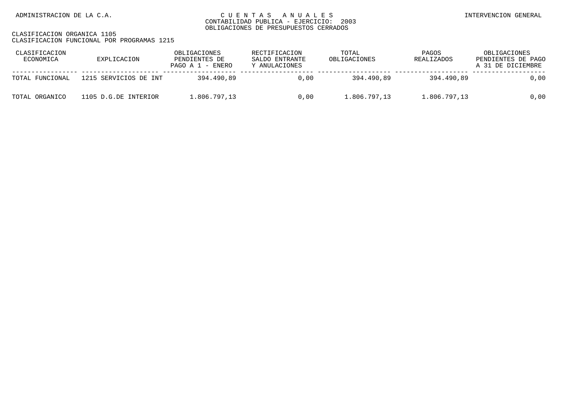| CLASIFICACION<br>ECONOMICA | EXPLICACION           | OBLIGACIONES<br>PENDIENTES DE<br>PAGO A $1$ - ENERO | RECTIFICACION<br>SALDO ENTRANTE<br>Y ANULACIONES | TOTAL<br>OBLIGACIONES | PAGOS<br>REALIZADOS | OBLIGACIONES<br>PENDIENTES DE PAGO<br>A 31 DE DICIEMBRE |
|----------------------------|-----------------------|-----------------------------------------------------|--------------------------------------------------|-----------------------|---------------------|---------------------------------------------------------|
| TOTAL FUNCIONAL            | 1215 SERVICIOS DE INT | 394.490,89                                          | 0.00                                             | 394.490,89            | 394.490,89          | 0,00                                                    |
| TOTAL ORGANICO             | 1105 D.G.DE INTERIOR  | 1.806.797,13                                        | 0.00                                             | 1.806.797,13          | 1.806.797,13        | $0\,$ , $00\,$                                          |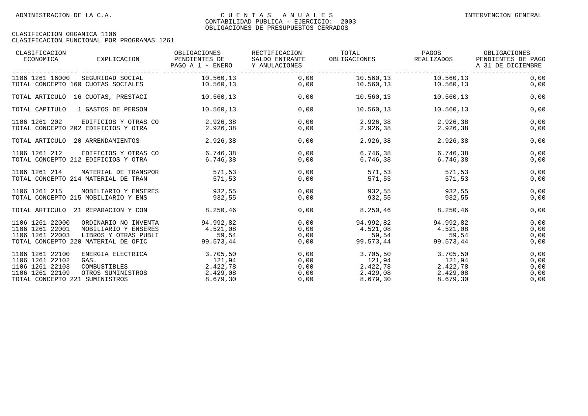| CLASIFICACION<br>ECONOMICA                                                                                 | EXPLICACION                                                          | OBLIGACIONES<br>PENDIENTES DE<br>PAGO A 1 - ENERO       | RECTIFICACION<br>SALDO ENTRANTE<br>Y ANULACIONES | TOTAL<br>OBLIGACIONES                                  | PAGOS<br>REALIZADOS                                     | OBLIGACIONES<br>PENDIENTES DE PAGO<br>A 31 DE DICIEMBRE |
|------------------------------------------------------------------------------------------------------------|----------------------------------------------------------------------|---------------------------------------------------------|--------------------------------------------------|--------------------------------------------------------|---------------------------------------------------------|---------------------------------------------------------|
| 1106 1261 16000<br>TOTAL CONCEPTO 160 CUOTAS SOCIALES                                                      | SEGURIDAD SOCIAL                                                     | 10.560,13<br>10.560,13                                  | 0,00<br>0,00                                     | 10.560,13<br>10.560,13                                 | 10.560,13<br>10.560,13                                  | 0,00<br>0,00                                            |
| TOTAL ARTICULO 16 CUOTAS, PRESTACI                                                                         |                                                                      | 10.560,13                                               | 0,00                                             | 10.560,13                                              | 10.560,13                                               | 0,00                                                    |
| TOTAL CAPITULO                                                                                             | 1 GASTOS DE PERSON                                                   | 10.560.13                                               | 0,00                                             | 10.560,13                                              | 10.560,13                                               | 0,00                                                    |
| 1106 1261 202<br>TOTAL CONCEPTO 202 EDIFICIOS Y OTRA                                                       | EDIFICIOS Y OTRAS CO                                                 | 2.926,38<br>2.926,38                                    | 0,00<br>0,00                                     | 2.926,38<br>2.926,38                                   | 2.926,38<br>2.926,38                                    | 0,00<br>0,00                                            |
| TOTAL ARTICULO 20 ARRENDAMIENTOS                                                                           |                                                                      | 2.926,38                                                | 0,00                                             | 2.926,38                                               | 2.926,38                                                | 0,00                                                    |
| 1106 1261 212<br>TOTAL CONCEPTO 212 EDIFICIOS Y OTRA                                                       | EDIFICIOS Y OTRAS CO                                                 | 6.746,38<br>6.746,38                                    | 0,00<br>0,00                                     | 6.746,38<br>6.746,38                                   | 6.746,38<br>6.746,38                                    | 0,00<br>0,00                                            |
| 1106 1261 214<br>TOTAL CONCEPTO 214 MATERIAL DE TRAN                                                       | MATERIAL DE TRANSPOR                                                 | 571,53<br>571,53                                        | 0,00<br>0,00                                     | 571,53<br>571,53                                       | 571,53<br>571,53                                        | 0,00<br>0,00                                            |
| 1106 1261 215<br>TOTAL CONCEPTO 215 MOBILIARIO Y ENS                                                       | MOBILIARIO Y ENSERES                                                 | 932,55<br>932,55                                        | 0,00<br>0,00                                     | 932,55<br>932,55                                       | 932,55<br>932,55                                        | 0,00<br>0,00                                            |
| TOTAL ARTICULO 21 REPARACION Y CON                                                                         |                                                                      | 8.250,46                                                | 0,00                                             | 8.250, 46                                              | 8.250,46                                                | 0,00                                                    |
| 1106 1261 22000<br>1106 1261 22001<br>1106 1261 22003<br>TOTAL CONCEPTO 220 MATERIAL DE OFIC               | ORDINARIO NO INVENTA<br>MOBILIARIO Y ENSERES<br>LIBROS Y OTRAS PUBLI | 94.992,82<br>4.521,08<br>59,54<br>99.573,44             | 0,00<br>0,00<br>0,00<br>0,00                     | 94.992,82<br>4.521,08<br>59,54<br>99.573,44            | 94.992,82<br>4.521,08<br>59,54<br>99.573,44             | 0,00<br>0,00<br>0,00<br>0,00                            |
| 1106 1261 22100<br>1106 1261 22102<br>1106 1261 22103<br>1106 1261 22109<br>TOTAL CONCEPTO 221 SUMINISTROS | ENERGIA ELECTRICA<br>GAS.<br>COMBUSTIBLES<br>OTROS SUMINISTROS       | 3.705,50<br>121,94<br>2.422,78<br>2.429,08<br>8.679, 30 | 0,00<br>0,00<br>0,00<br>0,00<br>0,00             | 3.705,50<br>121,94<br>2.422,78<br>2.429,08<br>8.679,30 | 3.705,50<br>121,94<br>2.422,78<br>2.429,08<br>8.679, 30 | 0,00<br>0,00<br>0,00<br>0,00<br>0,00                    |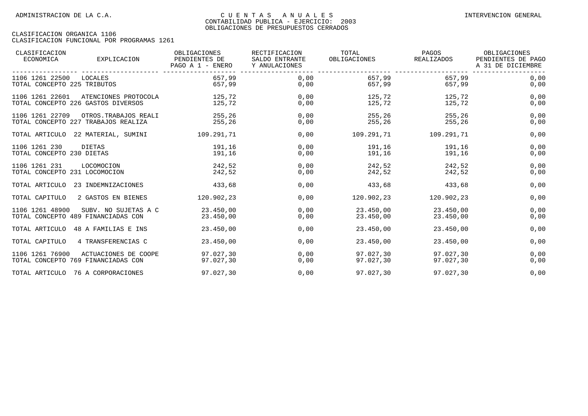| CLASIFICACION<br>ECONOMICA          | EXPLICACION           | OBLIGACIONES<br>PENDIENTES DE<br>PAGO A 1 - ENERO | RECTIFICACION<br>SALDO ENTRANTE<br>Y ANULACIONES | TOTAL<br>OBLIGACIONES | PAGOS<br>REALIZADOS | OBLIGACIONES<br>PENDIENTES DE PAGO<br>A 31 DE DICIEMBRE |
|-------------------------------------|-----------------------|---------------------------------------------------|--------------------------------------------------|-----------------------|---------------------|---------------------------------------------------------|
| 1106 1261 22500                     | LOCALES               | 657,99                                            | 0.00                                             | 657,99                | 657.99              | 0,00                                                    |
| TOTAL CONCEPTO 225 TRIBUTOS         |                       | 657,99                                            | 0,00                                             | 657,99                | 657,99              | 0,00                                                    |
| 1106 1261 22601                     | ATENCIONES PROTOCOLA  | 125,72                                            | 0,00                                             | 125,72                | 125,72              | 0,00                                                    |
| TOTAL CONCEPTO 226 GASTOS DIVERSOS  |                       | 125,72                                            | 0,00                                             | 125,72                | 125,72              | 0,00                                                    |
| 1106 1261 22709                     | OTROS. TRABAJOS REALI | 255,26                                            | 0,00                                             | 255,26                | 255,26              | 0,00                                                    |
| TOTAL CONCEPTO 227 TRABAJOS REALIZA |                       | 255,26                                            | 0,00                                             | 255,26                | 255,26              | 0,00                                                    |
| TOTAL ARTICULO                      | 22 MATERIAL, SUMINI   | 109.291,71                                        | 0,00                                             | 109.291,71            | 109.291,71          | 0,00                                                    |
| 1106 1261 230                       | DIETAS                | 191,16                                            | 0,00                                             | 191,16                | 191,16              | 0,00                                                    |
| TOTAL CONCEPTO 230 DIETAS           |                       | 191,16                                            | 0,00                                             | 191,16                | 191,16              | 0,00                                                    |
| 1106 1261 231                       | LOCOMOCION            | 242,52                                            | 0,00                                             | 242,52                | 242,52              | 0,00                                                    |
| TOTAL CONCEPTO 231 LOCOMOCION       |                       | 242,52                                            | 0,00                                             | 242,52                | 242,52              | 0,00                                                    |
| TOTAL ARTICULO                      | 23 INDEMNIZACIONES    | 433,68                                            | 0,00                                             | 433,68                | 433,68              | 0,00                                                    |
| TOTAL CAPITULO                      | 2 GASTOS EN BIENES    | 120.902,23                                        | 0,00                                             | 120.902,23            | 120.902,23          | 0,00                                                    |
| 1106 1261 48900                     | SUBV. NO SUJETAS A C  | 23.450,00                                         | 0,00                                             | 23.450,00             | 23.450,00           | 0,00                                                    |
| TOTAL CONCEPTO 489 FINANCIADAS CON  |                       | 23.450,00                                         | 0,00                                             | 23.450,00             | 23.450,00           | 0,00                                                    |
| TOTAL ARTICULO                      | 48 A FAMILIAS E INS   | 23.450.00                                         | 0,00                                             | 23.450.00             | 23.450.00           | 0,00                                                    |
| TOTAL CAPITULO                      | 4 TRANSFERENCIAS C    | 23.450.00                                         | 0,00                                             | 23.450,00             | 23.450.00           | 0,00                                                    |
| 1106 1261 76900                     | ACTUACIONES DE COOPE  | 97.027.30                                         | 0,00                                             | 97.027,30             | 97.027,30           | 0,00                                                    |
| TOTAL CONCEPTO 769 FINANCIADAS CON  |                       | 97.027,30                                         | 0,00                                             | 97.027,30             | 97.027,30           | 0,00                                                    |
| TOTAL ARTICULO 76 A CORPORACIONES   |                       | 97.027.30                                         | 0,00                                             | 97.027,30             | 97.027,30           | 0,00                                                    |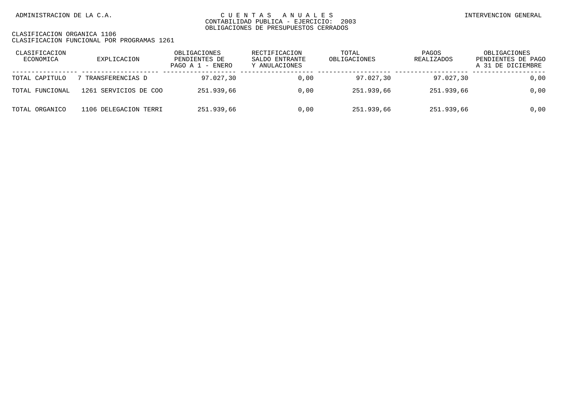| CLASIFICACION<br>ECONOMICA | EXPLICACION           | OBLIGACIONES<br>PENDIENTES DE<br>PAGO A 1 - ENERO | RECTIFICACION<br>SALDO ENTRANTE<br>Y ANULACIONES | TOTAL<br>OBLIGACIONES | PAGOS<br>REALIZADOS | OBLIGACIONES<br>PENDIENTES DE PAGO<br>A 31 DE DICIEMBRE |
|----------------------------|-----------------------|---------------------------------------------------|--------------------------------------------------|-----------------------|---------------------|---------------------------------------------------------|
| TOTAL CAPITULO             | 7 TRANSFERENCIAS D    | 97.027.30                                         | 0.00                                             | 97.027.30             | 97.027.30           | 0,00                                                    |
| TOTAL FUNCIONAL            | 1261 SERVICIOS DE COO | 251.939,66                                        | 0,00                                             | 251.939.66            | 251.939,66          | 0,00                                                    |
| TOTAL ORGANICO             | 1106 DELEGACION TERRI | 251.939,66                                        | 0,00                                             | 251.939,66            | 251.939,66          | 0.00                                                    |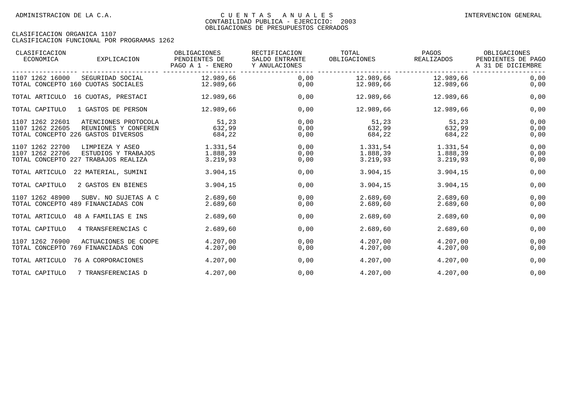| CLASIFICACION<br>ECONOMICA         | EXPLICACION                                                                        | OBLIGACIONES<br>PENDIENTES DE<br>PAGO A 1 - ENERO | RECTIFICACION<br>SALDO ENTRANTE<br>Y ANULACIONES | TOTAL<br>OBLIGACIONES            | PAGOS<br><b>REALIZADOS</b>       | OBLIGACIONES<br>PENDIENTES DE PAGO<br>A 31 DE DICIEMBRE |
|------------------------------------|------------------------------------------------------------------------------------|---------------------------------------------------|--------------------------------------------------|----------------------------------|----------------------------------|---------------------------------------------------------|
| 1107 1262 16000                    | SEGURIDAD SOCIAL<br>TOTAL CONCEPTO 160 CUOTAS SOCIALES                             | 12.989,66<br>12.989,66                            | 0,00<br>0,00                                     | 12.989,66<br>12.989,66           | 12.989,66<br>12.989,66           | 0,00<br>0,00                                            |
|                                    | TOTAL ARTICULO 16 CUOTAS, PRESTACI                                                 | 12.989,66                                         | 0,00                                             | 12.989,66                        | 12.989,66                        | 0,00                                                    |
| TOTAL CAPITULO                     | 1 GASTOS DE PERSON                                                                 | 12.989.66                                         | 0,00                                             | 12.989,66                        | 12.989,66                        | 0,00                                                    |
| 1107 1262 22601<br>1107 1262 22605 | ATENCIONES PROTOCOLA<br>REUNIONES Y CONFEREN<br>TOTAL CONCEPTO 226 GASTOS DIVERSOS | 51,23<br>632,99<br>684,22                         | 0,00<br>0,00<br>0,00                             | 51,23<br>632,99<br>684,22        | 51,23<br>632,99<br>684,22        | 0,00<br>0,00<br>0,00                                    |
| 1107 1262 22700<br>1107 1262 22706 | LIMPIEZA Y ASEO<br>ESTUDIOS Y TRABAJOS<br>TOTAL CONCEPTO 227 TRABAJOS REALIZA      | 1.331,54<br>1.888,39<br>3.219,93                  | 0,00<br>0,00<br>0,00                             | 1.331,54<br>1.888,39<br>3.219,93 | 1.331,54<br>1.888,39<br>3.219,93 | 0,00<br>0,00<br>0,00                                    |
| TOTAL ARTICULO                     | 22 MATERIAL, SUMINI                                                                | 3.904,15                                          | 0,00                                             | 3.904,15                         | 3.904,15                         | 0,00                                                    |
| TOTAL CAPITULO                     | 2 GASTOS EN BIENES                                                                 | 3.904,15                                          | 0,00                                             | 3.904,15                         | 3.904,15                         | 0,00                                                    |
| 1107 1262 48900                    | SUBV. NO SUJETAS A C<br>TOTAL CONCEPTO 489 FINANCIADAS CON                         | 2.689,60<br>2.689,60                              | 0,00<br>0,00                                     | 2.689,60<br>2.689,60             | 2.689,60<br>2.689,60             | 0,00<br>0,00                                            |
| TOTAL ARTICULO                     | 48 A FAMILIAS E INS                                                                | 2.689,60                                          | 0,00                                             | 2.689,60                         | 2.689,60                         | 0,00                                                    |
| TOTAL CAPITULO                     | 4 TRANSFERENCIAS C                                                                 | 2.689.60                                          | 0,00                                             | 2.689,60                         | 2.689,60                         | 0,00                                                    |
| 1107 1262 76900                    | ACTUACIONES DE COOPE<br>TOTAL CONCEPTO 769 FINANCIADAS CON                         | 4.207,00<br>4.207,00                              | 0,00<br>0,00                                     | 4.207,00<br>4.207,00             | 4.207,00<br>4.207,00             | 0,00<br>0,00                                            |
| TOTAL ARTICULO                     | 76 A CORPORACIONES                                                                 | 4.207,00                                          | 0,00                                             | 4.207,00                         | 4.207,00                         | 0,00                                                    |
| TOTAL CAPITULO                     | 7 TRANSFERENCIAS D                                                                 | 4.207,00                                          | 0,00                                             | 4.207,00                         | 4.207,00                         | 0,00                                                    |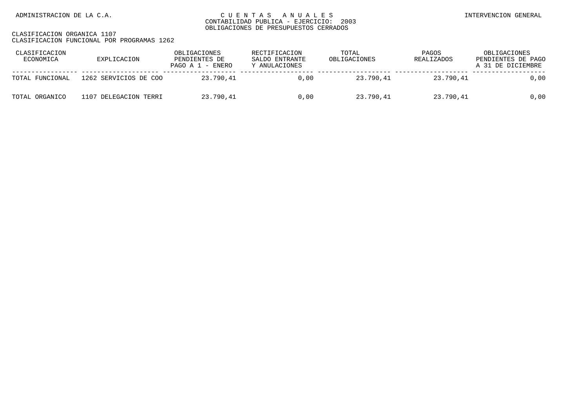| CLASIFICACION<br>ECONOMICA | EXPLICACION           | OBLIGACIONES<br>PENDIENTES DE<br>PAGO A $1$ - ENERO | RECTIFICACION<br>SALDO ENTRANTE<br>Y ANULACIONES | TOTAL<br>OBLIGACIONES | PAGOS<br>REALIZADOS | OBLIGACIONES<br>PENDIENTES DE PAGO<br>A 31 DE DICIEMBRE |
|----------------------------|-----------------------|-----------------------------------------------------|--------------------------------------------------|-----------------------|---------------------|---------------------------------------------------------|
| TOTAL FUNCIONAL            | 1262 SERVICIOS DE COO | 23.790.41                                           | 0.00                                             | 23.790,41             | 23.790,41           | 0,00                                                    |
| TOTAL ORGANICO             | 1107 DELEGACION TERRI | 23.790,41                                           | 0.00                                             | 23.790,41             | 23.790,41           | 0,00                                                    |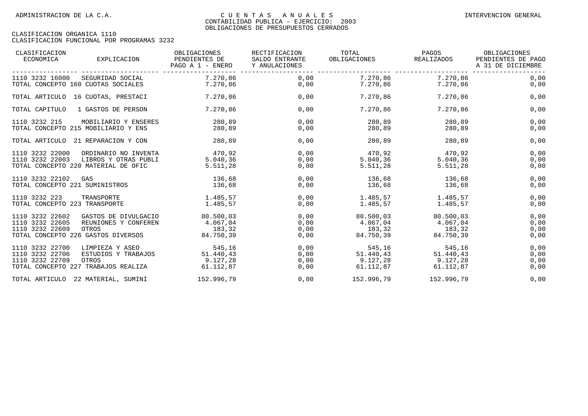| CLASIFICACION<br>ECONOMICA                            | EXPLICACION                                                                                 | OBLIGACIONES<br>PENDIENTES DE<br>PAGO A 1 - ENERO | RECTIFICACION<br>SALDO ENTRANTE<br>Y ANULACIONES | TOTAL<br>OBLIGACIONES           | PAGOS<br>REALIZADOS                                              | OBLIGACIONES<br>PENDIENTES DE PAGO<br>A 31 DE DICIEMBRE |
|-------------------------------------------------------|---------------------------------------------------------------------------------------------|---------------------------------------------------|--------------------------------------------------|---------------------------------|------------------------------------------------------------------|---------------------------------------------------------|
| 1110 3232 16000                                       | SEGURIDAD SOCIAL<br>TOTAL CONCEPTO 160 CUOTAS SOCIALES                                      | 7.270,86<br>7.270.86                              | 0.00<br>0,00                                     | 7.270,86<br>7.270,86            | 7.270,86<br>7.270.86                                             | 0,00<br>0,00                                            |
| TOTAL ARTICULO                                        | 16 CUOTAS, PRESTACI                                                                         | 7.270,86                                          | 0,00                                             | 7.270,86                        | 7.270.86                                                         | 0,00                                                    |
| TOTAL CAPITULO                                        | 1 GASTOS DE PERSON                                                                          | 7.270,86                                          | 0,00                                             | 7.270,86                        | 7.270,86                                                         | 0,00                                                    |
| 1110 3232 215                                         | MOBILIARIO Y ENSERES<br>TOTAL CONCEPTO 215 MOBILIARIO Y ENS                                 | 280,89<br>280,89                                  | 0.00<br>0,00                                     | 280,89<br>280,89                | 280,89<br>280,89                                                 | 0,00<br>0,00                                            |
|                                                       | TOTAL ARTICULO 21 REPARACION Y CON                                                          | 280,89                                            | 0,00                                             | 280,89                          | 280,89                                                           | 0,00                                                    |
| 1110 3232 22000<br>1110 3232 22003                    | ORDINARIO NO INVENTA<br>LIBROS Y OTRAS PUBLI<br>TOTAL CONCEPTO 220 MATERIAL DE OFIC         | 470,92<br>5.040,36<br>5.511,28                    | 0,00<br>0,00<br>0,00                             | 470,92<br>5.040, 36<br>5.511,28 | 470,92<br>5.040, 36<br>5.511,28                                  | 0,00<br>0,00<br>0,00                                    |
| 1110 3232 22102<br>TOTAL CONCEPTO 221 SUMINISTROS     | GAS                                                                                         | 136,68<br>136,68                                  | 0.00<br>0,00                                     | 136,68<br>136,68                | 136,68<br>136,68                                                 | 0,00<br>0,00                                            |
| 1110 3232 223<br>TOTAL CONCEPTO 223 TRANSPORTE        | TRANSPORTE                                                                                  | 1.485,57<br>1.485,57                              | 0,00<br>0,00                                     | 1.485,57                        | 1.485,57 1.485,57<br>1.485,57                                    | 0,00<br>0,00                                            |
| 1110 3232 22602<br>1110 3232 22605<br>1110 3232 22609 | GASTOS DE DIVULGACIO<br>REUNIONES Y CONFEREN<br>OTROS<br>TOTAL CONCEPTO 226 GASTOS DIVERSOS | 80.500.03<br>4.067,04<br>183,32<br>84.750.39      | 0.00<br>0,00<br>0,00<br>0,00                     | 4.067,04<br>183,32              | 80.500,03 80.500,03<br>4.067,04<br>183,32<br>84.750,39 84.750,39 | 0,00<br>0,00<br>0,00<br>0,00                            |
| 1110 3232 22700<br>1110 3232 22706<br>1110 3232 22709 | LIMPIEZA Y ASEO<br>ESTUDIOS Y TRABAJOS<br>OTROS<br>TOTAL CONCEPTO 227 TRABAJOS REALIZA      | 545,16<br>51.440,43<br>9.127,28<br>61.112,87      | 0,00<br>0,00<br>0,00<br>0,00                     | 545,16<br>51.440,43<br>9.127,28 | 545,16<br>51.440,43<br>9.127,28<br>61.112,87 61.112,87           | 0,00<br>0,00<br>0,00<br>0,00                            |
|                                                       | TOTAL ARTICULO 22 MATERIAL, SUMINI                                                          | 152.996,79                                        | 0,00                                             | 152.996,79                      | 152.996,79                                                       | 0,00                                                    |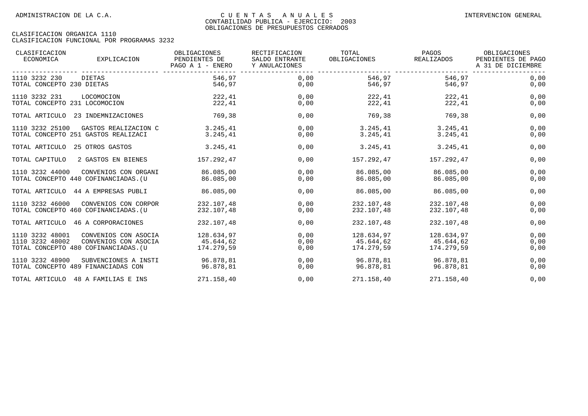| CLASIFICACION<br>ECONOMICA                                                 | EXPLICACION                                  | OBLIGACIONES<br>PENDIENTES DE<br>PAGO A 1 - ENERO | RECTIFICACION<br>SALDO ENTRANTE<br>Y ANULACIONES | TOTAL<br>OBLIGACIONES                 | PAGOS<br>REALIZADOS                   | OBLIGACIONES<br>PENDIENTES DE PAGO<br>A 31 DE DICIEMBRE |
|----------------------------------------------------------------------------|----------------------------------------------|---------------------------------------------------|--------------------------------------------------|---------------------------------------|---------------------------------------|---------------------------------------------------------|
| 1110 3232 230<br>TOTAL CONCEPTO 230 DIETAS                                 | DIETAS                                       | 546,97<br>546,97                                  | 0.00<br>0,00                                     | 546,97<br>546,97                      | 546,97<br>546,97                      | 0,00<br>0,00                                            |
| 1110 3232 231<br>TOTAL CONCEPTO 231 LOCOMOCION                             | LOCOMOCION                                   | 222,41<br>222,41                                  | 0,00<br>0,00                                     | 222,41<br>222,41                      | 222,41<br>222,41                      | 0,00<br>0,00                                            |
| TOTAL ARTICULO                                                             | 23 INDEMNIZACIONES                           | 769,38                                            | 0,00                                             | 769,38                                | 769,38                                | 0,00                                                    |
| 1110 3232 25100<br>TOTAL CONCEPTO 251 GASTOS REALIZACI                     | GASTOS REALIZACION C                         | 3.245,41<br>3.245,41                              | 0,00<br>0,00                                     | 3.245,41<br>3.245, 41                 | 3.245,41<br>3.245,41                  | 0,00<br>0,00                                            |
| TOTAL ARTICULO 25 OTROS GASTOS                                             |                                              | 3.245,41                                          | 0,00                                             | 3.245,41                              | 3.245,41                              | 0,00                                                    |
| TOTAL CAPITULO                                                             | 2 GASTOS EN BIENES                           | 157.292,47                                        | 0,00                                             | 157.292,47                            | 157.292,47                            | 0,00                                                    |
| 1110 3232 44000<br>TOTAL CONCEPTO 440 COFINANCIADAS. (U                    | CONVENIOS CON ORGANI                         | 86.085,00<br>86.085,00                            | 0,00<br>0,00                                     | 86.085,00<br>86.085,00                | 86.085,00<br>86.085,00                | 0,00<br>0,00                                            |
| TOTAL ARTICULO 44 A EMPRESAS PUBLI                                         |                                              | 86.085,00                                         | 0,00                                             | 86.085,00                             | 86.085,00                             | 0,00                                                    |
| 1110 3232 46000<br>TOTAL CONCEPTO 460 COFINANCIADAS. (U                    | CONVENIOS CON CORPOR                         | 232.107,48<br>232.107,48                          | 0,00<br>0,00                                     | 232.107,48<br>232.107,48              | 232.107,48<br>232.107,48              | 0,00<br>0,00                                            |
| TOTAL ARTICULO 46 A CORPORACIONES                                          |                                              | 232.107,48                                        | 0,00                                             | 232.107,48                            | 232.107,48                            | 0,00                                                    |
| 1110 3232 48001<br>1110 3232 48002<br>TOTAL CONCEPTO 480 COFINANCIADAS. (U | CONVENIOS CON ASOCIA<br>CONVENIOS CON ASOCIA | 128.634.97<br>45.644,62<br>174.279,59             | 0,00<br>0,00<br>0,00                             | 128.634,97<br>45.644,62<br>174.279,59 | 128.634.97<br>45.644,62<br>174.279,59 | 0,00<br>0,00<br>0,00                                    |
| 1110 3232 48900<br>TOTAL CONCEPTO 489 FINANCIADAS CON                      | SUBVENCIONES A INSTI                         | 96.878,81<br>96.878,81                            | 0,00<br>0,00                                     | 96.878,81                             | 96.878,81 96.878,81<br>96.878,81      | 0,00<br>0,00                                            |
| TOTAL ARTICULO                                                             | 48 A FAMILIAS E INS                          | 271.158,40                                        | 0,00                                             | 271.158,40                            | 271.158,40                            | 0,00                                                    |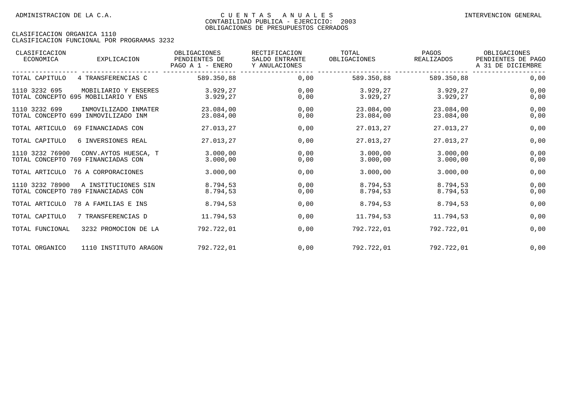| CLASIFICACION<br>ECONOMICA | EXPLICACION                                                 | OBLIGACIONES<br>PENDIENTES DE<br>PAGO A 1 - ENERO | RECTIFICACION<br>SALDO ENTRANTE<br>Y ANULACIONES | TOTAL<br>OBLIGACIONES  | PAGOS<br>REALIZADOS    | OBLIGACIONES<br>PENDIENTES DE PAGO<br>A 31 DE DICIEMBRE |
|----------------------------|-------------------------------------------------------------|---------------------------------------------------|--------------------------------------------------|------------------------|------------------------|---------------------------------------------------------|
| TOTAL CAPITULO             | 4 TRANSFERENCIAS C                                          | 589.350,88                                        | 0,00                                             | 589.350,88             | 589.350.88             | 0,00                                                    |
| 1110 3232 695              | MOBILIARIO Y ENSERES<br>TOTAL CONCEPTO 695 MOBILIARIO Y ENS | 3.929,27<br>3.929,27                              | 0,00<br>0,00                                     | 3.929,27<br>3.929,27   | 3.929,27<br>3.929,27   | 0,00<br>0,00                                            |
| 1110 3232 699              | INMOVILIZADO INMATER<br>TOTAL CONCEPTO 699 INMOVILIZADO INM | 23.084,00<br>23.084,00                            | 0,00<br>0,00                                     | 23.084,00<br>23.084,00 | 23.084,00<br>23.084,00 | 0,00<br>0,00                                            |
| TOTAL ARTICULO             | 69 FINANCIADAS CON                                          | 27.013,27                                         | 0,00                                             | 27.013,27              | 27.013,27              | 0,00                                                    |
| TOTAL CAPITULO             | 6 INVERSIONES REAL                                          | 27.013,27                                         | 0,00                                             | 27.013,27              | 27.013,27              | 0,00                                                    |
| 1110 3232 76900            | CONV.AYTOS HUESCA, T<br>TOTAL CONCEPTO 769 FINANCIADAS CON  | 3.000.00<br>3.000,00                              | 0,00<br>0,00                                     | 3.000,00<br>3.000,00   | 3.000.00<br>3.000,00   | 0,00<br>0,00                                            |
| TOTAL ARTICULO             | 76 A CORPORACIONES                                          | 3.000,00                                          | 0,00                                             | 3.000,00               | 3.000,00               | 0,00                                                    |
| 1110 3232 78900            | A INSTITUCIONES SIN<br>TOTAL CONCEPTO 789 FINANCIADAS CON   | 8.794.53<br>8.794,53                              | 0,00<br>0,00                                     | 8.794.53<br>8.794,53   | 8.794.53<br>8.794,53   | 0,00<br>0,00                                            |
| TOTAL ARTICULO             | 78 A FAMILIAS E INS                                         | 8.794,53                                          | 0,00                                             | 8.794,53               | 8.794,53               | 0,00                                                    |
| TOTAL CAPITULO             | 7 TRANSFERENCIAS D                                          | 11.794,53                                         | 0,00                                             | 11.794,53              | 11.794,53              | 0,00                                                    |
| TOTAL FUNCIONAL            | 3232 PROMOCION DE LA                                        | 792.722,01                                        | 0,00                                             | 792.722,01             | 792.722,01             | 0,00                                                    |
| TOTAL ORGANICO             | 1110 INSTITUTO ARAGON                                       | 792.722,01                                        | 0,00                                             | 792.722,01             | 792.722,01             | 0,00                                                    |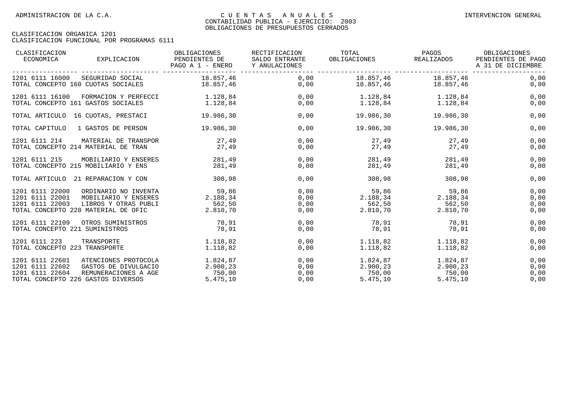| CLASIFICACION<br>ECONOMICA                                                                  | EXPLICACION                                                                                                 | OBLIGACIONES<br>PENDIENTES DE<br>PAGO A 1 - ENERO | RECTIFICACION<br>SALDO ENTRANTE<br>Y ANULACIONES | TOTAL<br>OBLIGACIONES                      | PAGOS<br>REALIZADOS                        | OBLIGACIONES<br>PENDIENTES DE PAGO<br>A 31 DE DICIEMBRE |
|---------------------------------------------------------------------------------------------|-------------------------------------------------------------------------------------------------------------|---------------------------------------------------|--------------------------------------------------|--------------------------------------------|--------------------------------------------|---------------------------------------------------------|
| 1201 6111 16000<br>TOTAL CONCEPTO 160 CUOTAS SOCIALES                                       | SEGURIDAD SOCIAL                                                                                            | 18.857,46<br>18.857,46                            | 0,00<br>0,00                                     |                                            | 18.857,46 18.857,46<br>18.857,46 18.857,46 | 0,00<br>0,00                                            |
| 1201 6111 16100<br>TOTAL CONCEPTO 161 GASTOS SOCIALES                                       | FORMACION Y PERFECCI                                                                                        | 1.128,84<br>1.128,84                              | 0,00<br>0,00                                     | 1.128,84<br>1.128,84                       | 1.128,84<br>1.128,84                       | 0,00<br>0,00                                            |
|                                                                                             | TOTAL ARTICULO 16 CUOTAS, PRESTACI                                                                          | 19.986,30                                         | 0,00                                             | 19.986,30                                  | 19.986,30                                  | 0,00                                                    |
| TOTAL CAPITULO                                                                              | 1 GASTOS DE PERSON                                                                                          | 19.986,30                                         | 0,00                                             | 19.986,30                                  | 19.986,30                                  | 0,00                                                    |
| 1201 6111 214<br>TOTAL CONCEPTO 214 MATERIAL DE TRAN                                        | MATERIAL DE TRANSPOR                                                                                        | 27,49<br>27,49                                    | 0,00<br>0,00                                     | 27,49<br>27,49                             | 27,49<br>27,49                             | 0,00<br>0,00                                            |
| 1201 6111 215<br>TOTAL CONCEPTO 215 MOBILIARIO Y ENS                                        | MOBILIARIO Y ENSERES                                                                                        | 281,49<br>281,49                                  | 0,00<br>0,00                                     | 281,49<br>281,49                           | 281,49<br>281,49                           | 0,00<br>0,00                                            |
|                                                                                             | TOTAL ARTICULO 21 REPARACION Y CON                                                                          | 308,98                                            | 0,00                                             | 308,98                                     | 308,98                                     | 0,00                                                    |
| 1201 6111 22000<br>1201 6111 22001<br>1201 6111 22003                                       | ORDINARIO NO INVENTA<br>MOBILIARIO Y ENSERES<br>LIBROS Y OTRAS PUBLI<br>TOTAL CONCEPTO 220 MATERIAL DE OFIC | 59,86<br>2.188.34<br>562, 50<br>2.810,70          | 0,00<br>0,00<br>0,00<br>0,00                     | 59,86<br>2.188,34<br>562,50<br>2.810,70    | 59,86<br>2.188,34<br>562,50<br>2.810,70    | 0,00<br>0,00<br>0,00<br>0,00                            |
| 1201 6111 22109<br>TOTAL CONCEPTO 221 SUMINISTROS                                           | OTROS SUMINISTROS                                                                                           | 78,91<br>78,91                                    | 0,00<br>0,00                                     | 78,91<br>78,91                             | 78,91<br>78,91                             | 0,00<br>0,00                                            |
| 1201 6111 223<br>TOTAL CONCEPTO 223 TRANSPORTE                                              | TRANSPORTE                                                                                                  | 1.118,82<br>1.118,82                              | 0,00<br>0,00                                     | 1.118,82<br>1.118,82                       | 1.118,82<br>1.118,82                       | 0,00<br>0,00                                            |
| 1201 6111 22601<br>1201 6111 22602<br>1201 6111 22604<br>TOTAL CONCEPTO 226 GASTOS DIVERSOS | ATENCIONES PROTOCOLA<br>GASTOS DE DIVULGACIO<br>REMUNERACIONES A AGE                                        | 1.824,87<br>2.900,23<br>750,00<br>5.475,10        | 0,00<br>0,00<br>0,00<br>0,00                     | 1.824,87<br>2.900,23<br>750,00<br>5.475,10 | 1.824,87<br>2.900,23<br>750,00<br>5.475,10 | 0,00<br>0,00<br>0,00<br>0,00                            |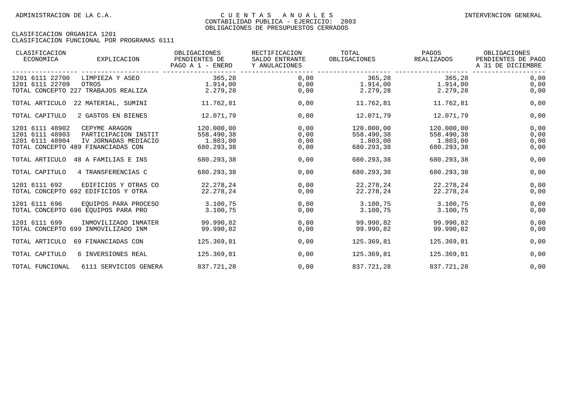| CLASIFICACION<br>ECONOMICA          | EXPLICACION              | OBLIGACIONES<br>PENDIENTES DE<br>PAGO A 1 - ENERO | RECTIFICACION<br>SALDO ENTRANTE<br>Y ANULACIONES | TOTAL<br>OBLIGACIONES | PAGOS<br>REALIZADOS | OBLIGACIONES<br>PENDIENTES DE PAGO<br>A 31 DE DICIEMBRE |
|-------------------------------------|--------------------------|---------------------------------------------------|--------------------------------------------------|-----------------------|---------------------|---------------------------------------------------------|
| 1201 6111 22700<br>1201 6111 22709  | LIMPIEZA Y ASEO<br>OTROS | 365,28<br>1.914,00                                | 0,00<br>0,00                                     | 365,28<br>1.914,00    | 365,28<br>1.914,00  | 0,00<br>0,00                                            |
| TOTAL CONCEPTO 227 TRABAJOS REALIZA |                          | 2.279.28                                          | 0,00                                             | 2.279,28              | 2.279,28            | 0,00                                                    |
| TOTAL ARTICULO                      | 22 MATERIAL, SUMINI      | 11.762,81                                         | 0,00                                             | 11.762,81             | 11.762,81           | 0,00                                                    |
| TOTAL CAPITULO                      | 2 GASTOS EN BIENES       | 12.071,79                                         | 0,00                                             | 12.071,79             | 12.071,79           | 0,00                                                    |
| 1201 6111 48902                     | CEPYME ARAGON            | 120.000,00                                        | 0,00                                             | 120.000,00            | 120.000,00          | 0,00                                                    |
| 1201 6111 48903                     | PARTICIPACION INSTIT     | 558.490,38                                        | 0,00                                             | 558.490,38            | 558.490,38          | 0,00                                                    |
| 1201 6111 48904                     | IV JORNADAS MEDIACIO     | 1.803,00                                          | 0,00                                             | 1.803,00              | 1.803,00            | 0,00                                                    |
| TOTAL CONCEPTO 489 FINANCIADAS CON  |                          | 680.293,38                                        | 0,00                                             | 680.293,38            | 680.293,38          | 0,00                                                    |
| TOTAL ARTICULO                      | 48 A FAMILIAS E INS      | 680.293,38                                        | 0,00                                             | 680.293.38            | 680.293,38          | 0,00                                                    |
| TOTAL CAPITULO                      | 4 TRANSFERENCIAS C       | 680.293,38                                        | 0,00                                             | 680.293,38            | 680.293,38          | 0,00                                                    |
| 1201 6111 692                       | EDIFICIOS Y OTRAS CO     | 22.278,24                                         | 0,00                                             | 22.278,24             | 22.278,24           | 0,00                                                    |
| TOTAL CONCEPTO 692 EDIFICIOS Y OTRA |                          | 22.278,24                                         | 0,00                                             | 22.278,24             | 22.278,24           | 0,00                                                    |
| 1201 6111 696                       | EOUIPOS PARA PROCESO     | 3.100,75                                          | 0,00                                             | 3.100,75              | 3.100,75            | 0,00                                                    |
| TOTAL CONCEPTO 696 EOUIPOS PARA PRO |                          | 3.100,75                                          | 0,00                                             | 3.100,75              | 3.100,75            | 0,00                                                    |
| 1201 6111 699                       | INMOVILIZADO INMATER     | 99.990,82                                         | 0,00                                             | 99.990,82             | 99.990,82           | 0,00                                                    |
| TOTAL CONCEPTO 699 INMOVILIZADO INM |                          | 99.990,82                                         | 0,00                                             | 99.990,82             | 99.990,82           | 0,00                                                    |
| TOTAL ARTICULO                      | 69 FINANCIADAS CON       | 125.369.81                                        | 0.00                                             | 125.369.81            | 125.369.81          | 0,00                                                    |
| TOTAL CAPITULO                      | 6 INVERSIONES REAL       | 125.369,81                                        | 0,00                                             | 125.369.81            | 125.369,81          | 0,00                                                    |
| TOTAL FUNCIONAL                     | 6111 SERVICIOS GENERA    | 837.721,28                                        | 0,00                                             | 837.721,28            | 837.721,28          | 0,00                                                    |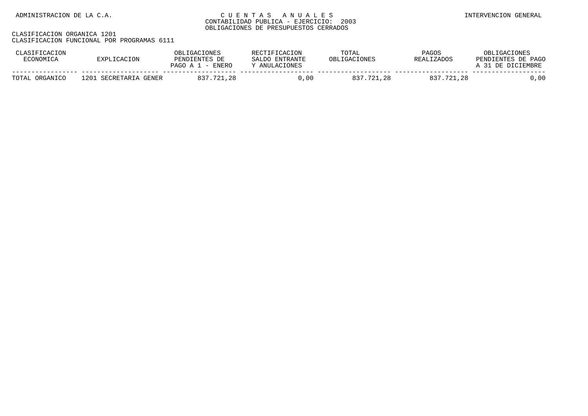|       |                      | ותר<br><b>ENERO</b><br>na qo |      | $T$ $\cap$ $T$ $\Delta$ $T$ . | PAGOS<br>י התיקי<br>חר | PAGO<br>ם סתימים ו |
|-------|----------------------|------------------------------|------|-------------------------------|------------------------|--------------------|
| ͲႶͲϪነ | $\sim$ 20<br>םסחותים | 22.<br>່າ ຂ                  | . 00 | つつり<br>. 28                   |                        | nn.                |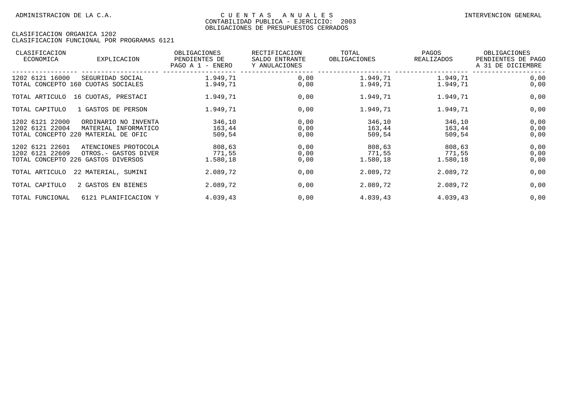| CLASIFICACION<br>ECONOMICA                                                | EXPLICACION                                  | OBLIGACIONES<br>PENDIENTES DE<br>PAGO A 1 - ENERO | RECTIFICACION<br>SALDO ENTRANTE<br>Y ANULACIONES | TOTAL<br>OBLIGACIONES        | PAGOS<br>REALIZADOS          | OBLIGACIONES<br>PENDIENTES DE PAGO<br>A 31 DE DICIEMBRE |
|---------------------------------------------------------------------------|----------------------------------------------|---------------------------------------------------|--------------------------------------------------|------------------------------|------------------------------|---------------------------------------------------------|
| 1202 6121 16000<br>TOTAL CONCEPTO 160 CUOTAS SOCIALES                     | SEGURIDAD SOCIAL                             | 1.949.71<br>1.949,71                              | 0,00<br>0,00                                     | 1.949,71<br>1.949,71         | 1.949,71<br>1.949,71         | 0,00<br>0,00                                            |
| TOTAL ARTICULO                                                            | 16 CUOTAS, PRESTACI                          | 1.949,71                                          | 0,00                                             | 1.949,71                     | 1.949,71                     | 0,00                                                    |
| TOTAL CAPITULO                                                            | 1 GASTOS DE PERSON                           | 1.949,71                                          | 0,00                                             | 1.949,71                     | 1.949,71                     | 0,00                                                    |
| 1202 6121 22000<br>1202 6121 22004<br>TOTAL CONCEPTO 220 MATERIAL DE OFIC | ORDINARIO NO INVENTA<br>MATERIAL INFORMATICO | 346,10<br>163,44<br>509,54                        | 0,00<br>0,00<br>0,00                             | 346,10<br>163,44<br>509,54   | 346,10<br>163,44<br>509,54   | 0,00<br>0,00<br>0,00                                    |
| 1202 6121 22601<br>1202 6121 22609<br>TOTAL CONCEPTO 226 GASTOS DIVERSOS  | ATENCIONES PROTOCOLA<br>OTROS.- GASTOS DIVER | 808,63<br>771,55<br>1.580,18                      | 0,00<br>0,00<br>0,00                             | 808,63<br>771,55<br>1.580,18 | 808,63<br>771,55<br>1.580,18 | 0,00<br>0,00<br>0,00                                    |
| TOTAL ARTICULO                                                            | 22 MATERIAL, SUMINI                          | 2.089,72                                          | 0,00                                             | 2.089,72                     | 2.089,72                     | 0,00                                                    |
| TOTAL CAPITULO                                                            | 2 GASTOS EN BIENES                           | 2.089,72                                          | 0,00                                             | 2.089,72                     | 2.089,72                     | 0,00                                                    |
| TOTAL FUNCIONAL                                                           | 6121 PLANIFICACION Y                         | 4.039,43                                          | 0,00                                             | 4.039,43                     | 4.039,43                     | 0,00                                                    |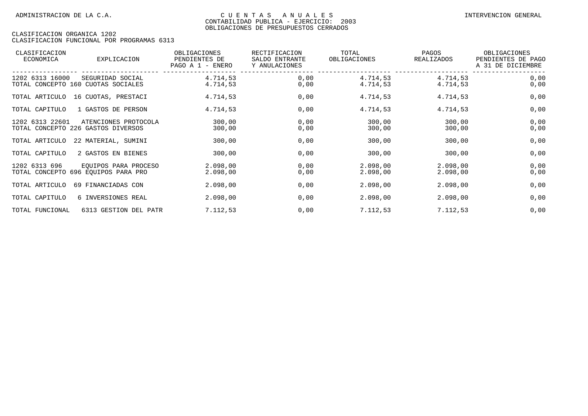| CLASIFICACION<br>ECONOMICA                            | EXPLICACION                                                 | OBLIGACIONES<br>PENDIENTES DE<br>PAGO A 1 - ENERO | RECTIFICACION<br>SALDO ENTRANTE<br>Y ANULACIONES | TOTAL<br>OBLIGACIONES | PAGOS<br>REALIZADOS  | OBLIGACIONES<br>PENDIENTES DE PAGO<br>A 31 DE DICIEMBRE |
|-------------------------------------------------------|-------------------------------------------------------------|---------------------------------------------------|--------------------------------------------------|-----------------------|----------------------|---------------------------------------------------------|
| 1202 6313 16000<br>TOTAL CONCEPTO 160 CUOTAS SOCIALES | SEGURIDAD SOCIAL                                            | 4.714,53<br>4.714,53                              | 0,00<br>0,00                                     | 4.714,53<br>4.714,53  | 4.714,53<br>4.714,53 | 0,00<br>0,00                                            |
| TOTAL ARTICULO                                        | 16 CUOTAS, PRESTACI                                         | 4.714,53                                          | 0,00                                             | 4.714,53              | 4.714,53             | 0,00                                                    |
| TOTAL CAPITULO                                        | 1 GASTOS DE PERSON                                          | 4.714,53                                          | 0,00                                             | 4.714,53              | 4.714,53             | 0,00                                                    |
| 1202 6313 22601<br>TOTAL CONCEPTO 226 GASTOS DIVERSOS | ATENCIONES PROTOCOLA                                        | 300,00<br>300,00                                  | 0,00<br>0,00                                     | 300,00<br>300,00      | 300,00<br>300,00     | 0,00<br>0,00                                            |
| TOTAL ARTICULO                                        | 22 MATERIAL, SUMINI                                         | 300,00                                            | 0,00                                             | 300,00                | 300,00               | 0,00                                                    |
| TOTAL CAPITULO                                        | 2 GASTOS EN BIENES                                          | 300,00                                            | 0,00                                             | 300,00                | 300,00               | 0,00                                                    |
| 1202 6313 696                                         | EQUIPOS PARA PROCESO<br>TOTAL CONCEPTO 696 EOUIPOS PARA PRO | 2.098,00<br>2.098,00                              | 0,00<br>0,00                                     | 2.098,00<br>2.098,00  | 2.098,00<br>2.098,00 | 0,00<br>0,00                                            |
| TOTAL ARTICULO                                        | 69 FINANCIADAS CON                                          | 2.098,00                                          | 0,00                                             | 2.098,00              | 2.098,00             | 0,00                                                    |
| TOTAL CAPITULO                                        | 6 INVERSIONES REAL                                          | 2.098,00                                          | 0,00                                             | 2.098,00              | 2.098,00             | 0,00                                                    |
| TOTAL FUNCIONAL                                       | 6313 GESTION DEL PATR                                       | 7.112,53                                          | 0,00                                             | 7.112,53              | 7.112,53             | 0,00                                                    |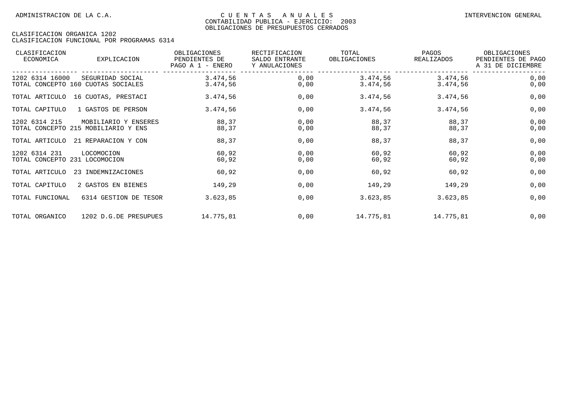| CLASIFICACION<br>ECONOMICA                     | EXPLICACION                                                 | OBLIGACIONES<br>PENDIENTES DE<br>PAGO A 1 - ENERO | RECTIFICACION<br>SALDO ENTRANTE<br>Y ANULACIONES | TOTAL<br>OBLIGACIONES | PAGOS<br>REALIZADOS  | OBLIGACIONES<br>PENDIENTES DE PAGO<br>A 31 DE DICIEMBRE |
|------------------------------------------------|-------------------------------------------------------------|---------------------------------------------------|--------------------------------------------------|-----------------------|----------------------|---------------------------------------------------------|
| 1202 6314 16000                                | SEGURIDAD SOCIAL<br>TOTAL CONCEPTO 160 CUOTAS SOCIALES      | 3.474,56<br>3.474,56                              | 0,00<br>0,00                                     | 3.474,56<br>3.474,56  | 3.474,56<br>3.474,56 | 0,00<br>0,00                                            |
| TOTAL ARTICULO                                 | 16 CUOTAS, PRESTACI                                         | 3.474,56                                          | 0,00                                             | 3.474,56              | 3.474,56             | 0,00                                                    |
| TOTAL CAPITULO                                 | 1 GASTOS DE PERSON                                          | 3.474,56                                          | 0,00                                             | 3.474,56              | 3.474,56             | 0,00                                                    |
| 1202 6314 215                                  | MOBILIARIO Y ENSERES<br>TOTAL CONCEPTO 215 MOBILIARIO Y ENS | 88,37<br>88,37                                    | 0,00<br>0,00                                     | 88,37<br>88,37        | 88,37<br>88,37       | 0,00<br>0,00                                            |
| TOTAL ARTICULO                                 | 21 REPARACION Y CON                                         | 88,37                                             | 0,00                                             | 88,37                 | 88,37                | 0,00                                                    |
| 1202 6314 231<br>TOTAL CONCEPTO 231 LOCOMOCION | LOCOMOCION                                                  | 60,92<br>60,92                                    | 0,00<br>0,00                                     | 60,92<br>60,92        | 60,92<br>60,92       | 0,00<br>0,00                                            |
| TOTAL ARTICULO                                 | 23 INDEMNIZACIONES                                          | 60,92                                             | 0,00                                             | 60,92                 | 60,92                | 0,00                                                    |
| TOTAL CAPITULO                                 | 2 GASTOS EN BIENES                                          | 149,29                                            | 0,00                                             | 149,29                | 149,29               | 0,00                                                    |
| TOTAL FUNCIONAL                                | 6314 GESTION DE TESOR                                       | 3.623,85                                          | 0,00                                             | 3.623,85              | 3.623,85             | 0,00                                                    |
| TOTAL ORGANICO                                 | 1202 D.G.DE PRESUPUES                                       | 14.775,81                                         | 0,00                                             | 14.775,81             | 14.775,81            | 0,00                                                    |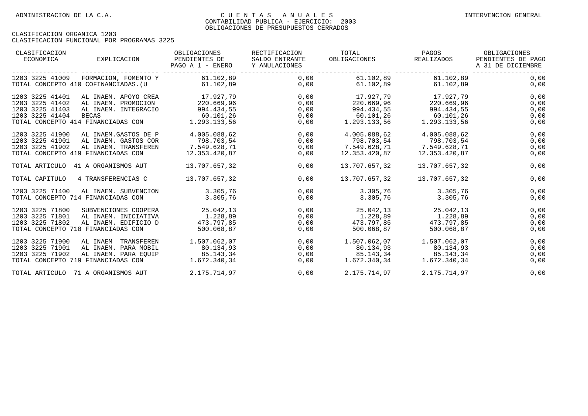| CLASIFICACION<br>ECONOMICA<br>EXPLICACION                                                                                                   |                                                                      | OBLIGACIONES<br>PENDIENTES DE<br>PAGO A 1 - ENERO                       | RECTIFICACION<br>SALDO ENTRANTE<br>Y ANULACIONES | TOTAL<br>OBLIGACIONES                             | PAGOS<br>REALIZADOS                                                                                 | OBLIGACIONES<br>PENDIENTES DE PAGO<br>A 31 DE DICIEMBRE |
|---------------------------------------------------------------------------------------------------------------------------------------------|----------------------------------------------------------------------|-------------------------------------------------------------------------|--------------------------------------------------|---------------------------------------------------|-----------------------------------------------------------------------------------------------------|---------------------------------------------------------|
| 1203 3225 41009<br>TOTAL CONCEPTO 410 COFINANCIADAS. (U                                                                                     |                                                                      | FORMACION, FOMENTO Y 61.102,89<br>61.102.89                             | 0,00<br>0,00                                     | 61.102,89                                         | 61.102,89<br>61.102.89 61.102.89                                                                    | 0,00<br>0,00                                            |
| 1203 3225 41401<br>1203 3225 41402<br>1203 3225 41403<br>1203 3225 41404<br><b>BECAS</b><br>TOTAL CONCEPTO 414 FINANCIADAS CON 1.293.133,56 | AL INAEM. PROMOCION<br>AL INAEM. INTEGRACIO                          | AL INAEM. APOYO CREA 17.927,79<br>220.669,96<br>994.434,55<br>60.101,26 | 0,00<br>0,00<br>0,00<br>0,00<br>0,00             | 220.669,96                                        | 220.669,96<br>994.434,55 994.434,55<br>$60.101, 26$<br>1.293.133,56<br>1.293.133,56<br>1.293.133,56 | 0,00<br>0,00<br>0,00<br>0,00<br>0,00                    |
| 1203 3225 41900<br>1203 3225 41901<br>1203 3225 41902<br>TOTAL CONCEPTO 419 FINANCIADAS CON                                                 | AL INAEM.GASTOS DE P<br>AL INAEM. GASTOS COR<br>AL INAEM. TRANSFEREN | 4.005.088,62<br>798.703,54<br>7.549.628,71<br>12.353.420,87             | 0,00<br>0,00<br>0,00<br>0,00                     | 4.005.088,62<br>798.703,54<br>12.353.420,87       | 4.005.088,62<br>798.703,54<br>7.549.628,71<br>7.549.628,71<br>7.549.628,71<br>12.353.420,87         | 0,00<br>0,00<br>0,00<br>0,00                            |
| TOTAL ARTICULO                                                                                                                              | 41 A ORGANISMOS AUT                                                  | 13.707.657.32                                                           | 0,00                                             | 13.707.657.32                                     | 13.707.657.32                                                                                       | 0,00                                                    |
| TOTAL CAPITULO                                                                                                                              | 4 TRANSFERENCIAS C                                                   | 13.707.657,32                                                           | 0,00                                             | 13.707.657,32                                     | 13.707.657,32                                                                                       | 0,00                                                    |
| 1203 3225 71400<br>TOTAL CONCEPTO 714 FINANCIADAS CON                                                                                       | AL INAEM. SUBVENCION                                                 | 3.305,76<br>3.305,76                                                    | 0,00<br>0,00                                     | 3.305,76<br>3.305,76                              | 3.305,76<br>3.305,76                                                                                | 0,00<br>0,00                                            |
| 1203 3225 71800<br>1203 3225 71801<br>1203 3225 71802<br>TOTAL CONCEPTO 718 FINANCIADAS CON                                                 | AL INAEM. INICIATIVA<br>AL INAEM. EDIFICIO D                         | SUBVENCIONES COOPERA 25.042,13<br>1.228,89<br>473.797,85<br>500.068,87  | 0,00<br>0,00<br>0,00<br>0,00                     | 25.042,13<br>1.228,89<br>473.797,85<br>500.068,87 | 25.042,13<br>1.228,89<br>473.797,85<br>500.068,87                                                   | 0,00<br>0,00<br>0,00<br>0,00                            |
| 1203 3225 71900<br>1203 3225 71901<br>1203 3225 71902<br>TOTAL CONCEPTO 719 FINANCIADAS CON                                                 | AL INAEM TRANSFEREN<br>AL INAEM. PARA MOBIL<br>AL INAEM. PARA EOUIP  | 1.507.062,07<br>80.134,93<br>85.143,34<br>1.672.340,34                  | 0,00<br>0,00<br>0,00<br>0,00                     | 1.507.062,07<br>80.134,93                         | 1.507.062,07<br>80.134,93<br>85.143,34 85.143,34<br>1.672.340,34 1.672.340,34                       | 0,00<br>0,00<br>0,00<br>0,00                            |
| TOTAL ARTICULO 71 A ORGANISMOS AUT                                                                                                          |                                                                      | 2.175.714,97                                                            | 0,00                                             | 2.175.714,97                                      | 2.175.714,97                                                                                        | 0,00                                                    |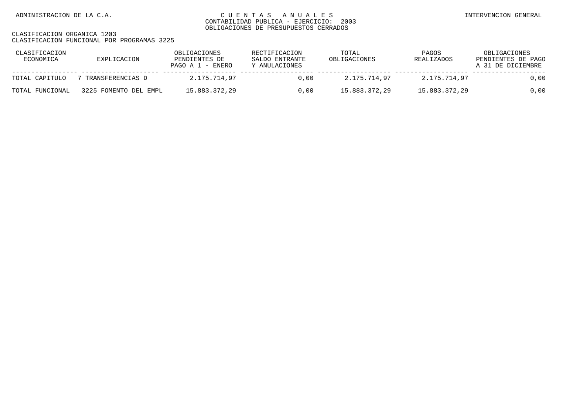| CLASIFICACION<br>ECONOMICA | EXPLICACION           | OBLIGACIONES<br>PENDIENTES DE<br>PAGO A $1$ - ENERO | RECTIFICACION<br>SALDO ENTRANTE<br>Y ANULACIONES | TOTAL<br>OBLIGACIONES | PAGOS<br><b>REALIZADOS</b> | OBLIGACIONES<br>PENDIENTES DE PAGO<br>A 31 DE DICIEMBRE |
|----------------------------|-----------------------|-----------------------------------------------------|--------------------------------------------------|-----------------------|----------------------------|---------------------------------------------------------|
| TOTAL CAPITULO             | 7 TRANSFERENCIAS D    | 2.175.714.97                                        | 0.00                                             | 2.175.714.97          | 2.175.714.97               | 0,00                                                    |
| TOTAL FUNCIONAL            | 3225 FOMENTO DEL EMPL | 15.883.372.29                                       | 0.00                                             | 15.883.372.29         | 15.883.372.29              | 0,00                                                    |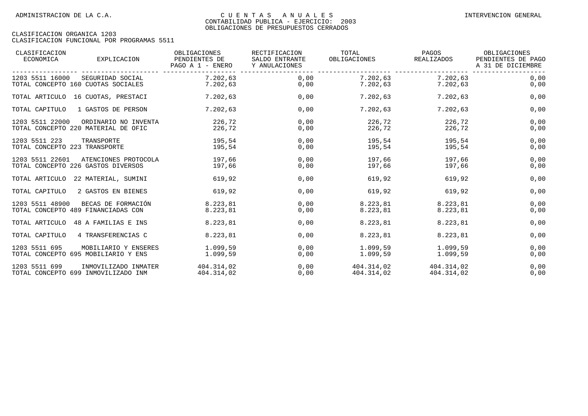| CLASIFICACION<br>ECONOMICA    | EXPLICACION                         | OBLIGACIONES<br>PENDIENTES DE<br>PAGO A 1 - ENERO | RECTIFICACION<br>SALDO ENTRANTE<br>Y ANULACIONES | TOTAL<br>OBLIGACIONES | PAGOS<br>REALIZADOS | OBLIGACIONES<br>PENDIENTES DE PAGO<br>A 31 DE DICIEMBRE |
|-------------------------------|-------------------------------------|---------------------------------------------------|--------------------------------------------------|-----------------------|---------------------|---------------------------------------------------------|
| 1203 5511 16000               | SEGURIDAD SOCIAL                    | 7.202,63                                          | 0,00                                             | 7.202,63              | 7.202,63            | 0,00                                                    |
|                               | TOTAL CONCEPTO 160 CUOTAS SOCIALES  | 7.202,63                                          | 0,00                                             | 7.202,63              | 7.202,63            | 0,00                                                    |
|                               | TOTAL ARTICULO 16 CUOTAS, PRESTACI  | 7.202,63                                          | 0,00                                             | 7.202,63              | 7.202,63            | 0,00                                                    |
| TOTAL CAPITULO                | 1 GASTOS DE PERSON                  | 7.202,63                                          | 0,00                                             | 7.202,63              | 7.202.63            | 0,00                                                    |
| 1203 5511 22000               | ORDINARIO NO INVENTA                | 226,72                                            | 0,00                                             | 226,72                | 226,72              | 0,00                                                    |
|                               | TOTAL CONCEPTO 220 MATERIAL DE OFIC | 226,72                                            | 0,00                                             | 226,72                | 226,72              | 0,00                                                    |
| 1203 5511 223                 | TRANSPORTE                          | 195,54                                            | 0,00                                             | 195,54                | 195,54              | 0,00                                                    |
| TOTAL CONCEPTO 223 TRANSPORTE |                                     | 195,54                                            | 0,00                                             | 195,54                | 195,54              | 0,00                                                    |
| 1203 5511 22601               | ATENCIONES PROTOCOLA                | 197.66                                            | 0,00                                             | 197.66                | 197,66              | 0,00                                                    |
|                               | TOTAL CONCEPTO 226 GASTOS DIVERSOS  | 197,66                                            | 0,00                                             | 197,66                | 197,66              | 0,00                                                    |
| TOTAL ARTICULO                | 22 MATERIAL, SUMINI                 | 619,92                                            | 0,00                                             | 619,92                | 619,92              | 0,00                                                    |
| TOTAL CAPITULO                | 2 GASTOS EN BIENES                  | 619,92                                            | 0,00                                             | 619,92                | 619,92              | 0,00                                                    |
| 1203 5511 48900               | BECAS DE FORMACIÓN                  | 8.223,81                                          | 0,00                                             | 8.223,81              | 8.223,81            | 0,00                                                    |
|                               | TOTAL CONCEPTO 489 FINANCIADAS CON  | 8.223.81                                          | 0,00                                             | 8.223,81              | 8.223,81            | 0,00                                                    |
| TOTAL ARTICULO                | 48 A FAMILIAS E INS                 | 8.223,81                                          | 0,00                                             | 8.223,81              | 8.223,81            | 0,00                                                    |
| TOTAL CAPITULO                | 4 TRANSFERENCIAS C                  | 8.223.81                                          | 0,00                                             | 8.223,81              | 8.223,81            | 0,00                                                    |
| 1203 5511 695                 | MOBILIARIO Y ENSERES                | 1.099,59                                          | 0,00                                             | 1.099,59              | 1.099,59            | 0,00                                                    |
|                               | TOTAL CONCEPTO 695 MOBILIARIO Y ENS | 1.099,59                                          | 0,00                                             | 1.099,59              | 1.099,59            | 0,00                                                    |
| 1203 5511 699                 | INMOVILIZADO INMATER                | 404.314.02                                        | 0,00                                             | 404.314,02            | 404.314,02          | 0,00                                                    |
|                               | TOTAL CONCEPTO 699 INMOVILIZADO INM | 404.314,02                                        | 0,00                                             | 404.314,02            | 404.314,02          | 0,00                                                    |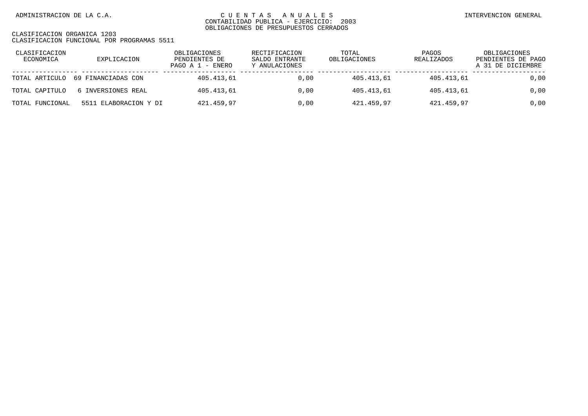| CLASIFICACION<br>ECONOMICA | EXPLICACION           | OBLIGACIONES<br>PENDIENTES DE<br>PAGO A 1 - ENERO | RECTIFICACION<br>SALDO ENTRANTE<br>Y ANULACIONES | TOTAL<br>OBLIGACIONES | PAGOS<br><b>REALIZADOS</b> | OBLIGACIONES<br>PENDIENTES DE PAGO<br>A 31 DE DICIEMBRE |
|----------------------------|-----------------------|---------------------------------------------------|--------------------------------------------------|-----------------------|----------------------------|---------------------------------------------------------|
| TOTAL ARTICULO             | 69 FINANCIADAS CON    | 405.413.61                                        | 0.00                                             | 405.413.61            | 405.413.61                 | 0,00                                                    |
| TOTAL CAPITULO             | 6 INVERSIONES REAL    | 405.413,61                                        | 0.00                                             | 405.413,61            | 405.413.61                 | 0,00                                                    |
| TOTAL FUNCIONAL            | 5511 ELABORACION Y DI | 421.459,97                                        | 0.00                                             | 421.459,97            | 421.459,97                 | 0,00                                                    |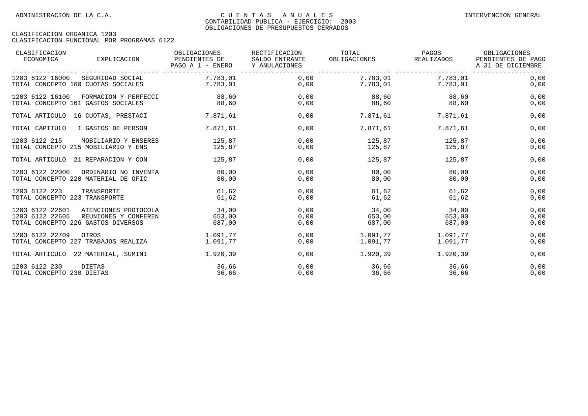| CLASIFICACION<br>ECONOMICA<br>EXPLICACION                                                                                | OBLIGACIONES<br>PENDIENTES DE<br>PAGO A 1 - ENERO | RECTIFICACION<br>SALDO ENTRANTE<br>Y ANULACIONES | TOTAL<br>OBLIGACIONES     | PAGOS<br>REALIZADOS       | OBLIGACIONES<br>PENDIENTES DE PAGO<br>A 31 DE DICIEMBRE |
|--------------------------------------------------------------------------------------------------------------------------|---------------------------------------------------|--------------------------------------------------|---------------------------|---------------------------|---------------------------------------------------------|
| 1203 6122 16000<br>SEGURIDAD SOCIAL<br>TOTAL CONCEPTO 160 CUOTAS SOCIALES                                                | 7.783,01<br>7.783,01                              | 0,00<br>0,00                                     | 7.783,01<br>7.783,01      | 7.783,01<br>7.783,01      | 0,00<br>0,00                                            |
| 1203 6122 16100<br>FORMACION Y PERFECCI<br>TOTAL CONCEPTO 161 GASTOS SOCIALES                                            | 88,60<br>88,60                                    | 0,00<br>0,00                                     | 88,60<br>88,60            | 88,60<br>88,60            | 0,00<br>0,00                                            |
| TOTAL ARTICULO 16 CUOTAS, PRESTACI                                                                                       | 7.871,61                                          | 0,00                                             | 7.871,61                  | 7.871,61                  | 0,00                                                    |
| TOTAL CAPITULO<br>1 GASTOS DE PERSON                                                                                     | 7.871,61                                          | 0,00                                             | 7.871,61                  | 7.871.61                  | 0,00                                                    |
| 1203 6122 215<br>MOBILIARIO Y ENSERES<br>TOTAL CONCEPTO 215 MOBILIARIO Y ENS                                             | 125,87<br>125,87                                  | 0,00<br>0,00                                     | 125,87<br>125,87          | 125,87<br>125,87          | 0,00<br>0,00                                            |
| TOTAL ARTICULO 21 REPARACION Y CON                                                                                       | 125,87                                            | 0,00                                             | 125,87                    | 125,87                    | 0,00                                                    |
| 1203 6122 22000<br>ORDINARIO NO INVENTA<br>TOTAL CONCEPTO 220 MATERIAL DE OFIC                                           | 80,00<br>80,00                                    | 0,00<br>0,00                                     | 80,00<br>80,00            | 80,00<br>80,00            | 0,00<br>0,00                                            |
| 1203 6122 223<br>TRANSPORTE<br>TOTAL CONCEPTO 223 TRANSPORTE                                                             | 61,62<br>61,62                                    | 0,00<br>0,00                                     | 61,62<br>61,62            | 61,62<br>61,62            | 0,00<br>0,00                                            |
| 1203 6122 22601<br>ATENCIONES PROTOCOLA<br>1203 6122 22605<br>REUNIONES Y CONFEREN<br>TOTAL CONCEPTO 226 GASTOS DIVERSOS | 34,00<br>653,00<br>687,00                         | 0.00<br>0,00<br>0,00                             | 34,00<br>653,00<br>687,00 | 34,00<br>653,00<br>687,00 | 0,00<br>0,00<br>0,00                                    |
| 1203 6122 22709<br>OTROS<br>TOTAL CONCEPTO 227 TRABAJOS REALIZA                                                          | 1.091.77<br>1.091,77                              | 0.00<br>0,00                                     | 1.091.77<br>1.091,77      | 1.091.77<br>1.091,77      | 0,00<br>0,00                                            |
| TOTAL ARTICULO 22 MATERIAL, SUMINI                                                                                       | 1.920,39                                          | 0,00                                             | 1.920,39                  | 1.920,39                  | 0,00                                                    |
| 1203 6122 230<br>DIETAS<br>TOTAL CONCEPTO 230 DIETAS                                                                     | 36,66<br>36,66                                    | 0,00<br>0,00                                     | 36,66<br>36,66            | 36,66<br>36,66            | 0,00<br>0,00                                            |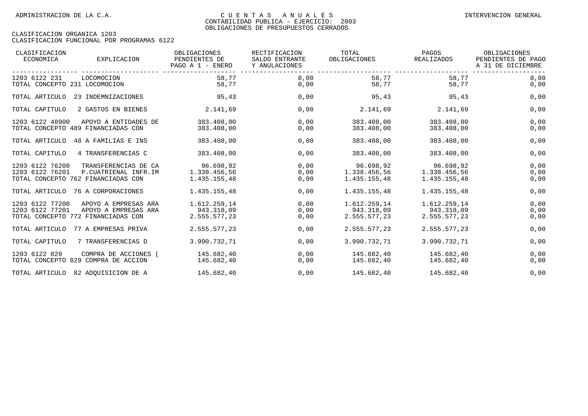| CLASIFICACION<br>ECONOMICA                            | EXPLICACION                                                                        | OBLIGACIONES<br>PENDIENTES DE<br>PAGO A 1 - ENERO | RECTIFICACION<br>SALDO ENTRANTE<br>Y ANULACIONES | TOTAL<br>OBLIGACIONES                      | PAGOS<br>REALIZADOS                        | OBLIGACIONES<br>PENDIENTES DE PAGO<br>A 31 DE DICIEMBRE |
|-------------------------------------------------------|------------------------------------------------------------------------------------|---------------------------------------------------|--------------------------------------------------|--------------------------------------------|--------------------------------------------|---------------------------------------------------------|
| 1203 6122 231<br>TOTAL CONCEPTO 231 LOCOMOCION        | LOCOMOCION                                                                         | 58,77<br>58,77                                    | 0,00<br>0,00                                     | 58,77<br>58,77                             | 58,77<br>58,77                             | 0,00<br>0,00                                            |
| TOTAL ARTICULO                                        | 23 INDEMNIZACIONES                                                                 | 95,43                                             | 0,00                                             | 95,43                                      | 95,43                                      | 0,00                                                    |
| TOTAL CAPITULO                                        | 2 GASTOS EN BIENES                                                                 | 2.141,69                                          | 0,00                                             | 2.141,69                                   | 2.141,69                                   | 0,00                                                    |
| 1203 6122 48900<br>TOTAL CONCEPTO 489 FINANCIADAS CON | APOYO A ENTIDADES DE                                                               | 383.408,00<br>383.408,00                          | 0,00<br>0,00                                     | 383.408,00<br>383.408,00                   | 383.408,00<br>383.408,00                   | 0,00<br>0,00                                            |
| TOTAL ARTICULO                                        | 48 A FAMILIAS E INS                                                                | 383.408,00                                        | 0,00                                             | 383.408,00                                 | 383.408,00                                 | 0,00                                                    |
| TOTAL CAPITULO                                        | 4 TRANSFERENCIAS C                                                                 | 383.408,00                                        | 0,00                                             | 383.408,00                                 | 383.408,00                                 | 0,00                                                    |
| 1203 6122 76200<br>1203 6122 76201                    | TRANSFERENCIAS DE CA<br>P.CUATRIENAL INFR.IM<br>TOTAL CONCEPTO 762 FINANCIADAS CON | 96.698,92<br>1.338.456,56<br>1.435.155.48         | 0,00<br>0,00<br>0,00                             | 96.698,92<br>1.338.456,56<br>1.435.155,48  | 96.698,92<br>1.338.456,56<br>1.435.155,48  | 0,00<br>0,00<br>0,00                                    |
| TOTAL ARTICULO                                        | 76 A CORPORACIONES                                                                 | 1.435.155,48                                      | 0,00                                             | 1.435.155,48                               | 1.435.155,48                               | 0,00                                                    |
| 1203 6122 77200<br>1203 6122 77201                    | APOYO A EMPRESAS ARA<br>APOYO A EMPRESAS ARA<br>TOTAL CONCEPTO 772 FINANCIADAS CON | 1.612.259,14<br>943.318,09<br>2.555.577,23        | 0,00<br>0,00<br>0,00                             | 1.612.259,14<br>943.318,09<br>2.555.577,23 | 1.612.259,14<br>943.318,09<br>2.555.577,23 | 0,00<br>0,00<br>0,00                                    |
| TOTAL ARTICULO                                        | 77 A EMPRESAS PRIVA                                                                | 2.555.577,23                                      | 0,00                                             | 2.555.577,23                               | 2.555.577,23                               | 0,00                                                    |
| TOTAL CAPITULO                                        | 7 TRANSFERENCIAS D                                                                 | 3.990.732,71                                      | 0.00                                             | 3.990.732.71                               | 3.990.732.71                               | 0,00                                                    |
| 1203 6122 829                                         | COMPRA DE ACCIONES (<br>TOTAL CONCEPTO 829 COMPRA DE ACCION                        | 145.682,40<br>145.682,40                          | 0,00<br>0,00                                     | 145.682,40<br>145.682,40                   | 145.682,40<br>145.682,40                   | 0,00<br>0,00                                            |
| TOTAL ARTICULO                                        | 82 ADQUISICION DE A                                                                | 145.682,40                                        | 0,00                                             | 145.682,40                                 | 145.682,40                                 | 0,00                                                    |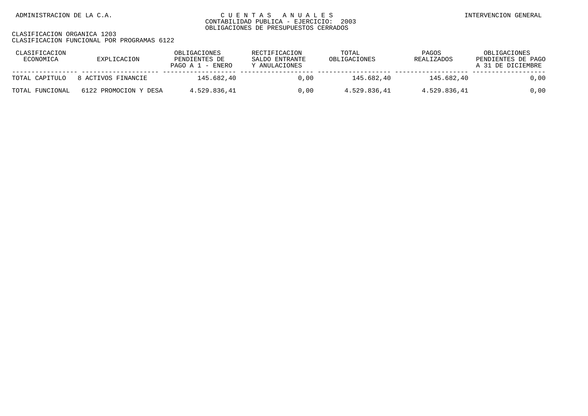| CLASIFICACION<br>ECONOMICA | EXPLICACION           | OBLIGACIONES<br>PENDIENTES DE<br>PAGO A $1$ - ENERO | RECTIFICACION<br>SALDO ENTRANTE<br>Y ANULACIONES | TOTAL<br>OBLIGACIONES | PAGOS<br>REALIZADOS | OBLIGACIONES<br>PENDIENTES DE PAGO<br>A 31 DE DICIEMBRE |
|----------------------------|-----------------------|-----------------------------------------------------|--------------------------------------------------|-----------------------|---------------------|---------------------------------------------------------|
| TOTAL CAPITULO             | 8 ACTIVOS FINANCIE    | 145.682.40                                          | 0.00                                             | 145.682.40            | 145.682.40          | 0,00                                                    |
| TOTAL FUNCIONAL            | 6122 PROMOCION Y DESA | 4.529.836.41                                        | 0.00                                             | 4.529.836.41          | 4.529.836.41        | 0,00                                                    |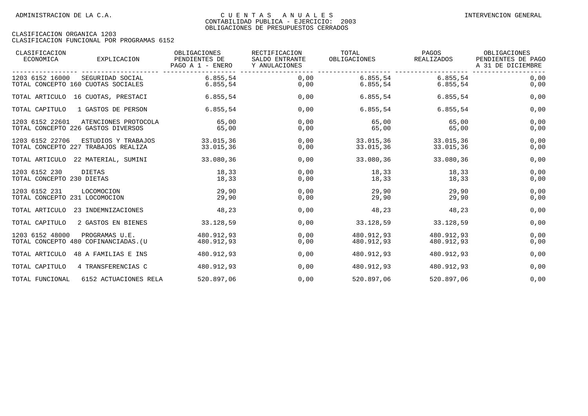| CLASIFICACION<br>ECONOMICA                     | EXPLICACION                                                | OBLIGACIONES<br>PENDIENTES DE<br>PAGO A 1 - ENERO | RECTIFICACION<br>SALDO ENTRANTE<br>Y ANULACIONES | TOTAL<br>OBLIGACIONES    | PAGOS<br>REALIZADOS      | OBLIGACIONES<br>PENDIENTES DE PAGO<br>A 31 DE DICIEMBRE |
|------------------------------------------------|------------------------------------------------------------|---------------------------------------------------|--------------------------------------------------|--------------------------|--------------------------|---------------------------------------------------------|
| 1203 6152 16000                                | SEGURIDAD SOCIAL<br>TOTAL CONCEPTO 160 CUOTAS SOCIALES     | 6.855,54<br>6.855,54                              | --------------------<br>0,00<br>0,00             | 6.855,54<br>6.855, 54    | 6.855,54<br>6.855, 54    | 0,00<br>0,00                                            |
|                                                | TOTAL ARTICULO 16 CUOTAS, PRESTACI                         | 6.855,54                                          | 0,00                                             | 6.855,54                 | 6.855,54                 | 0,00                                                    |
| TOTAL CAPITULO                                 | 1 GASTOS DE PERSON                                         | 6.855,54                                          | 0,00                                             | 6.855,54                 | 6.855,54                 | 0,00                                                    |
| 1203 6152 22601                                | ATENCIONES PROTOCOLA<br>TOTAL CONCEPTO 226 GASTOS DIVERSOS | 65,00<br>65,00                                    | 0,00<br>0,00                                     | 65,00<br>65,00           | 65,00<br>65,00           | 0,00<br>0,00                                            |
| 1203 6152 22706                                | ESTUDIOS Y TRABAJOS<br>TOTAL CONCEPTO 227 TRABAJOS REALIZA | 33.015,36<br>33.015,36                            | 0,00<br>0,00                                     | 33.015,36<br>33.015,36   | 33.015,36<br>33.015,36   | 0,00<br>0,00                                            |
|                                                | TOTAL ARTICULO 22 MATERIAL, SUMINI                         | 33.080,36                                         | 0,00                                             | 33.080,36                | 33.080,36                | 0,00                                                    |
| 1203 6152 230<br>TOTAL CONCEPTO 230 DIETAS     | DIETAS                                                     | 18,33<br>18,33                                    | 0,00<br>0,00                                     | 18,33<br>18,33           | 18,33<br>18,33           | 0,00<br>0,00                                            |
| 1203 6152 231<br>TOTAL CONCEPTO 231 LOCOMOCION | LOCOMOCION                                                 | 29,90<br>29,90                                    | 0,00<br>0,00                                     | 29,90<br>29,90           | 29,90<br>29,90           | 0,00<br>0,00                                            |
| TOTAL ARTICULO                                 | 23 INDEMNIZACIONES                                         | 48,23                                             | 0,00                                             | 48,23                    | 48,23                    | 0,00                                                    |
| TOTAL CAPITULO                                 | 2 GASTOS EN BIENES                                         | 33.128,59                                         | 0,00                                             | 33.128,59                | 33.128,59                | 0,00                                                    |
| 1203 6152 48000                                | PROGRAMAS U.E.<br>TOTAL CONCEPTO 480 COFINANCIADAS. (U     | 480.912.93<br>480.912,93                          | 0,00<br>0,00                                     | 480.912,93<br>480.912,93 | 480.912.93<br>480.912,93 | 0,00<br>0,00                                            |
| TOTAL ARTICULO                                 | 48 A FAMILIAS E INS                                        | 480.912,93                                        | 0,00                                             | 480.912,93               | 480.912,93               | 0,00                                                    |
| TOTAL CAPITULO                                 | 4 TRANSFERENCIAS C                                         | 480.912,93                                        | 0,00                                             | 480.912,93               | 480.912,93               | 0,00                                                    |
| TOTAL FUNCIONAL                                | 6152 ACTUACIONES RELA                                      | 520.897,06                                        | 0,00                                             | 520.897,06               | 520.897,06               | 0,00                                                    |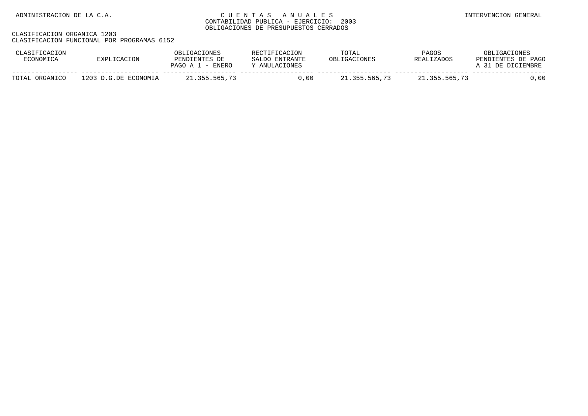| CLASTETCACTON  | ותעי                 | ∴CACTONF⊂<br>ותר<br>PENDIENTES DE<br>ENERO<br>PAGO A 1<br>$\overline{\phantom{0}}$ | RECTIFICACION<br>ENTRANTE<br>SALDO.<br>ANULACIONES | TOTAL         | PAGOS<br>REALIZADOS | ONES <sup>.</sup><br>TRT.<br>PAGO<br>PENDIENTES DE<br>DE DICIEMBRE |
|----------------|----------------------|------------------------------------------------------------------------------------|----------------------------------------------------|---------------|---------------------|--------------------------------------------------------------------|
| TOTAL ORGANICO | 1203 D.G.DE ECONOMIA | .355.565.73<br>-21                                                                 | 0.00                                               | 21.355.565.73 | 21.355.565.73       | .00                                                                |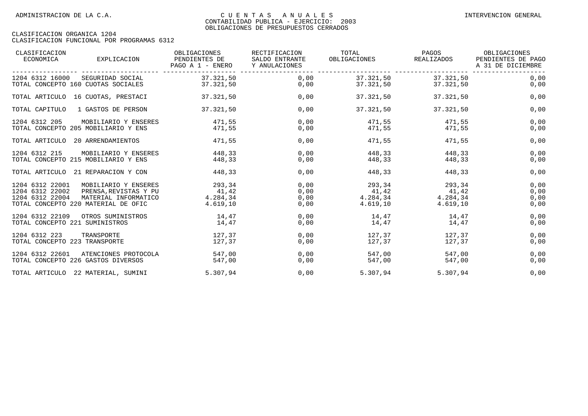| CLASIFICACION<br>ECONOMICA                                                                   | EXPLICACION                                                           | OBLIGACIONES<br>PENDIENTES DE<br>PAGO A 1 - ENERO | RECTIFICACION<br>SALDO ENTRANTE<br>Y ANULACIONES | TOTAL<br>OBLIGACIONES REALIZADOS        | PAGOS                                      | OBLIGACIONES<br>PENDIENTES DE PAGO<br>A 31 DE DICIEMBRE |
|----------------------------------------------------------------------------------------------|-----------------------------------------------------------------------|---------------------------------------------------|--------------------------------------------------|-----------------------------------------|--------------------------------------------|---------------------------------------------------------|
| 1204 6312 16000 SEGURIDAD SOCIAL<br>TOTAL CONCEPTO 160 CUOTAS SOCIALES                       |                                                                       | 37.321,50<br>37.321,50                            | 0,00<br>0,00                                     |                                         | 37.321,50 37.321,50<br>37.321,50 37.321,50 | 0,00<br>0,00                                            |
| TOTAL ARTICULO 16 CUOTAS, PRESTACI                                                           |                                                                       | 37.321,50                                         | 0,00                                             | 37.321,50                               | 37.321,50                                  | 0,00                                                    |
| TOTAL CAPITULO                                                                               | 1 GASTOS DE PERSON                                                    | 37.321,50                                         | 0,00                                             | 37.321,50                               | 37.321,50                                  | 0,00                                                    |
| 1204 6312 205<br>TOTAL CONCEPTO 205 MOBILIARIO Y ENS                                         | MOBILIARIO Y ENSERES                                                  | 471,55<br>471,55                                  | 0,00<br>0,00                                     | 471,55<br>471,55                        | 471,55<br>471,55                           | 0,00<br>0,00                                            |
| TOTAL ARTICULO                                                                               | 20 ARRENDAMIENTOS                                                     | 471,55                                            | 0,00                                             | 471,55                                  | 471,55                                     | 0,00                                                    |
| 1204 6312 215<br>TOTAL CONCEPTO 215 MOBILIARIO Y ENS                                         | MOBILIARIO Y ENSERES                                                  | 448,33<br>448,33                                  | 0,00<br>0,00                                     | 448,33<br>448,33                        | 448,33<br>448,33                           | 0,00<br>0,00                                            |
| TOTAL ARTICULO 21 REPARACION Y CON                                                           |                                                                       | 448,33                                            | 0,00                                             | 448,33                                  | 448,33                                     | 0,00                                                    |
| 1204 6312 22001<br>1204 6312 22002<br>1204 6312 22004<br>TOTAL CONCEPTO 220 MATERIAL DE OFIC | MOBILIARIO Y ENSERES<br>PRENSA, REVISTAS Y PU<br>MATERIAL INFORMATICO | 293,34<br>41,42<br>4.284,34<br>4.619,10           | 0,00<br>0,00<br>0,00<br>0,00                     | 293,34<br>41,42<br>4.284,34<br>4.619,10 | 293,34<br>41,42<br>4.284,34<br>4.619,10    | 0,00<br>0,00<br>0,00<br>0,00                            |
| 1204 6312 22109<br>TOTAL CONCEPTO 221 SUMINISTROS                                            | OTROS SUMINISTROS                                                     | 14,47<br>14,47                                    | 0,00<br>0,00                                     | 14,47<br>14,47                          | 14,47<br>14,47                             | 0,00<br>0,00                                            |
| 1204 6312 223<br>TOTAL CONCEPTO 223 TRANSPORTE                                               | TRANSPORTE                                                            | 127,37<br>127,37                                  | 0.00<br>0,00                                     | 127.37<br>127,37                        | 127.37<br>127.37                           | 0,00<br>0,00                                            |
| 1204 6312 22601<br>TOTAL CONCEPTO 226 GASTOS DIVERSOS                                        | ATENCIONES PROTOCOLA                                                  | 547.00<br>547,00                                  | 0.00<br>0,00                                     | 547.00<br>547,00                        | 547.00<br>547,00                           | 0,00<br>0,00                                            |
| TOTAL ARTICULO 22 MATERIAL, SUMINI                                                           |                                                                       | 5.307.94                                          | 0,00                                             | 5.307,94                                | 5.307.94                                   | 0,00                                                    |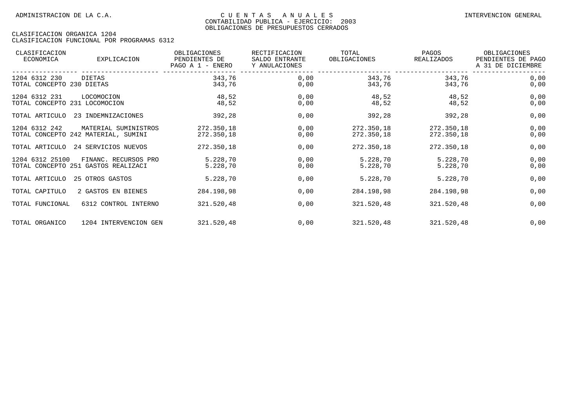| CLASIFICACION<br>ECONOMICA                     | <b>EXPLICACION</b>                                          | OBLIGACIONES<br>PENDIENTES DE<br>PAGO A 1 - ENERO | RECTIFICACION<br>SALDO ENTRANTE<br>Y ANULACIONES | TOTAL<br>OBLIGACIONES    | PAGOS<br>REALIZADOS      | OBLIGACIONES<br>PENDIENTES DE PAGO<br>A 31 DE DICIEMBRE |
|------------------------------------------------|-------------------------------------------------------------|---------------------------------------------------|--------------------------------------------------|--------------------------|--------------------------|---------------------------------------------------------|
| 1204 6312 230<br>TOTAL CONCEPTO 230 DIETAS     | DIETAS                                                      | 343,76<br>343,76                                  | 0,00<br>0,00                                     | 343,76<br>343,76         | 343,76<br>343,76         | 0,00<br>0,00                                            |
| 1204 6312 231<br>TOTAL CONCEPTO 231 LOCOMOCION | LOCOMOCION                                                  | 48,52<br>48,52                                    | 0,00<br>0,00                                     | 48,52<br>48,52           | 48,52<br>48,52           | 0,00<br>0,00                                            |
| TOTAL ARTICULO                                 | 23 INDEMNIZACIONES                                          | 392,28                                            | 0,00                                             | 392,28                   | 392,28                   | 0,00                                                    |
| 1204 6312 242                                  | MATERIAL SUMINISTROS<br>TOTAL CONCEPTO 242 MATERIAL, SUMINI | 272.350,18<br>272.350,18                          | 0,00<br>0,00                                     | 272.350,18<br>272.350,18 | 272.350,18<br>272.350,18 | 0,00<br>0,00                                            |
| TOTAL ARTICULO                                 | 24 SERVICIOS NUEVOS                                         | 272.350,18                                        | 0,00                                             | 272.350,18               | 272.350,18               | 0,00                                                    |
| 1204 6312 25100                                | FINANC. RECURSOS PRO<br>TOTAL CONCEPTO 251 GASTOS REALIZACI | 5.228,70<br>5.228,70                              | 0,00<br>0,00                                     | 5.228,70<br>5.228,70     | 5.228,70<br>5.228,70     | 0,00<br>0,00                                            |
| TOTAL ARTICULO                                 | 25 OTROS GASTOS                                             | 5.228,70                                          | 0,00                                             | 5.228,70                 | 5.228,70                 | 0,00                                                    |
| TOTAL CAPITULO                                 | 2 GASTOS EN BIENES                                          | 284.198,98                                        | 0,00                                             | 284.198,98               | 284.198,98               | 0,00                                                    |
| TOTAL FUNCIONAL                                | 6312 CONTROL INTERNO                                        | 321.520,48                                        | 0,00                                             | 321.520,48               | 321.520,48               | 0,00                                                    |
| TOTAL ORGANICO                                 | 1204 INTERVENCION GEN                                       | 321.520,48                                        | 0,00                                             | 321.520,48               | 321.520,48               | 0,00                                                    |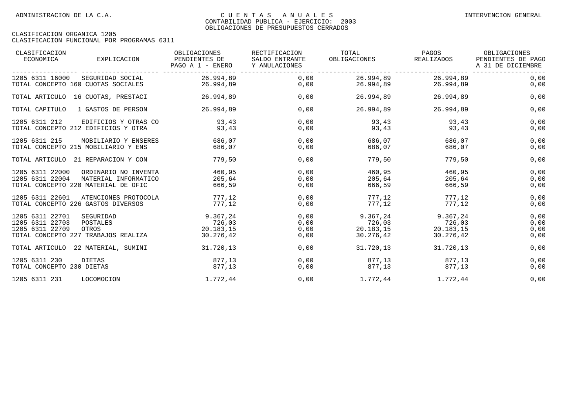| CLASIFICACION<br>ECONOMICA                            | EXPLICACION                                                                         | OBLIGACIONES<br>PENDIENTES DE<br>PAGO A 1 - ENERO | RECTIFICACION<br>SALDO ENTRANTE<br>Y ANULACIONES | TOTAL<br>OBLIGACIONES      | PAGOS<br>REALIZADOS                                           | OBLIGACIONES<br>PENDIENTES DE PAGO<br>A 31 DE DICIEMBRE |
|-------------------------------------------------------|-------------------------------------------------------------------------------------|---------------------------------------------------|--------------------------------------------------|----------------------------|---------------------------------------------------------------|---------------------------------------------------------|
| 1205 6311 16000                                       | SEGURIDAD SOCIAL<br>TOTAL CONCEPTO 160 CUOTAS SOCIALES                              | 26.994,89<br>26.994,89                            | 0,00<br>0,00                                     | 26.994,89<br>26.994,89     | 26.994,89<br>26.994,89                                        | 0,00<br>0,00                                            |
|                                                       | TOTAL ARTICULO 16 CUOTAS, PRESTACI                                                  | 26.994,89                                         | 0,00                                             | 26.994,89                  | 26.994,89                                                     | 0,00                                                    |
| TOTAL CAPITULO                                        | 1 GASTOS DE PERSON                                                                  | 26.994,89                                         | 0,00                                             | 26.994,89                  | 26.994.89                                                     | 0,00                                                    |
| 1205 6311 212                                         | EDIFICIOS Y OTRAS CO<br>TOTAL CONCEPTO 212 EDIFICIOS Y OTRA                         | 93,43<br>93,43                                    | 0,00<br>0,00                                     | 93,43<br>93,43             | 93,43<br>93,43                                                | 0,00<br>0,00                                            |
| 1205 6311 215                                         | MOBILIARIO Y ENSERES<br>TOTAL CONCEPTO 215 MOBILIARIO Y ENS                         | 686,07<br>686,07                                  | 0,00<br>0,00                                     | 686,07<br>686,07           | 686,07<br>686,07                                              | 0,00<br>0,00                                            |
|                                                       | TOTAL ARTICULO 21 REPARACION Y CON                                                  | 779,50                                            | 0,00                                             | 779,50                     | 779,50                                                        | 0,00                                                    |
| 1205 6311 22000<br>1205 6311 22004                    | ORDINARIO NO INVENTA<br>MATERIAL INFORMATICO<br>TOTAL CONCEPTO 220 MATERIAL DE OFIC | 460,95<br>205,64<br>666,59                        | 0,00<br>0,00<br>0,00                             | 460,95<br>205,64<br>666,59 | 460,95<br>205,64<br>666,59                                    | 0,00<br>0,00<br>0,00                                    |
| 1205 6311 22601                                       | ATENCIONES PROTOCOLA<br>TOTAL CONCEPTO 226 GASTOS DIVERSOS                          | 777,12<br>777,12                                  | 0,00<br>0,00                                     | 777,12<br>777,12           | 777,12<br>777,12                                              | 0,00<br>0,00                                            |
| 1205 6311 22701<br>1205 6311 22703<br>1205 6311 22709 | SEGURIDAD<br>POSTALES<br>OTROS<br>TOTAL CONCEPTO 227 TRABAJOS REALIZA               | 9.367,24<br>726,03<br>20.183,15<br>30.276,42      | 0,00<br>0,00<br>0,00<br>0,00                     | 9.367,24<br>30.276,42      | 9.367,24<br>726,03 726,03<br>20.183.15 20.183.15<br>30.276,42 | 0,00<br>0,00<br>0,00<br>0,00                            |
|                                                       | TOTAL ARTICULO 22 MATERIAL, SUMINI                                                  | 31.720,13                                         | 0,00                                             | 31.720,13                  | 31.720,13                                                     | 0,00                                                    |
| 1205 6311 230<br>TOTAL CONCEPTO 230 DIETAS            | DIETAS                                                                              | 877,13<br>877,13                                  | 0,00<br>0,00                                     | 877,13<br>877,13           | 877.13<br>877,13                                              | 0,00<br>0,00                                            |
| 1205 6311 231                                         | LOCOMOCION                                                                          | 1.772,44                                          | 0,00                                             | 1.772,44                   | 1.772.44                                                      | 0,00                                                    |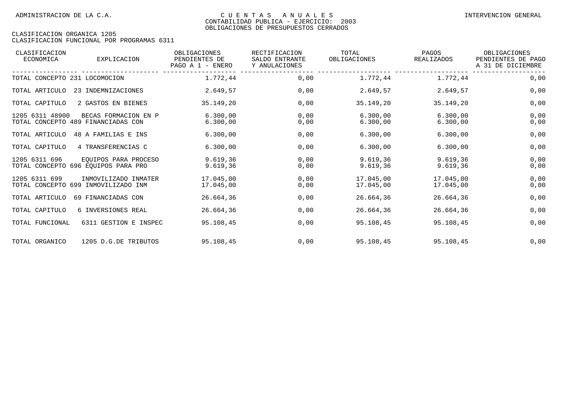| CLASIFICACION<br>ECONOMICA    | <b>EXPLICACION</b>                                          | OBLIGACIONES<br>PENDIENTES DE<br>PAGO A 1 - ENERO | RECTIFICACION<br>SALDO ENTRANTE<br>Y ANULACIONES | TOTAL<br>OBLIGACIONES  | PAGOS<br><b>REALIZADOS</b> | OBLIGACIONES<br>PENDIENTES DE PAGO<br>A 31 DE DICIEMBRE |
|-------------------------------|-------------------------------------------------------------|---------------------------------------------------|--------------------------------------------------|------------------------|----------------------------|---------------------------------------------------------|
| TOTAL CONCEPTO 231 LOCOMOCION |                                                             | 1.772,44                                          | 0,00                                             | 1.772,44               | 1.772,44                   | 0,00                                                    |
| TOTAL ARTICULO                | 23 INDEMNIZACIONES                                          | 2.649,57                                          | 0,00                                             | 2.649,57               | 2.649,57                   | 0,00                                                    |
| TOTAL CAPITULO                | 2 GASTOS EN BIENES                                          | 35.149,20                                         | 0,00                                             | 35.149,20              | 35.149,20                  | 0,00                                                    |
| 1205 6311 48900               | BECAS FORMACION EN P<br>TOTAL CONCEPTO 489 FINANCIADAS CON  | 6.300.00<br>6.300,00                              | 0,00<br>0,00                                     | 6.300.00<br>6.300,00   | 6.300.00<br>6.300,00       | 0,00<br>0,00                                            |
| TOTAL ARTICULO                | 48 A FAMILIAS E INS                                         | 6.300,00                                          | 0,00                                             | 6.300,00               | 6.300,00                   | 0,00                                                    |
| TOTAL CAPITULO                | 4 TRANSFERENCIAS C                                          | 6.300,00                                          | 0,00                                             | 6.300,00               | 6.300,00                   | 0,00                                                    |
| 1205 6311 696                 | EQUIPOS PARA PROCESO<br>TOTAL CONCEPTO 696 EQUIPOS PARA PRO | 9.619, 36<br>9.619, 36                            | 0,00<br>0,00                                     | 9.619, 36<br>9.619, 36 | 9.619,36<br>9.619,36       | 0,00<br>0,00                                            |
| 1205 6311 699                 | INMOVILIZADO INMATER<br>TOTAL CONCEPTO 699 INMOVILIZADO INM | 17.045.00<br>17.045,00                            | 0,00<br>0,00                                     | 17.045,00<br>17.045,00 | 17.045,00<br>17.045,00     | 0,00<br>0,00                                            |
| TOTAL ARTICULO                | 69 FINANCIADAS CON                                          | 26.664,36                                         | 0,00                                             | 26.664,36              | 26.664,36                  | 0,00                                                    |
| TOTAL CAPITULO                | 6 INVERSIONES REAL                                          | 26.664,36                                         | 0,00                                             | 26.664,36              | 26.664,36                  | 0,00                                                    |
| TOTAL FUNCIONAL               | 6311 GESTION E INSPEC                                       | 95.108,45                                         | 0,00                                             | 95.108,45              | 95.108,45                  | 0,00                                                    |
| TOTAL ORGANICO                | 1205 D.G.DE TRIBUTOS                                        | 95.108,45                                         | 0,00                                             | 95.108,45              | 95.108,45                  | 0,00                                                    |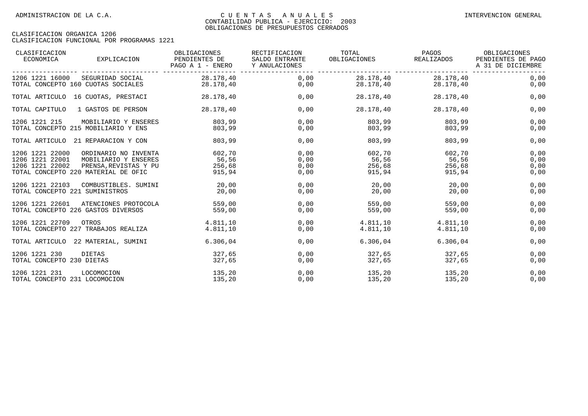| CLASIFICACION<br>ECONOMICA                            | EXPLICACION                                                                                                  | OBLIGACIONES<br>PENDIENTES DE<br>PAGO A 1 - ENERO | RECTIFICACION<br>SALDO ENTRANTE<br>Y ANULACIONES | TOTAL<br>OBLIGACIONES               | PAGOS<br>REALIZADOS                        | OBLIGACIONES<br>PENDIENTES DE PAGO<br>A 31 DE DICIEMBRE |
|-------------------------------------------------------|--------------------------------------------------------------------------------------------------------------|---------------------------------------------------|--------------------------------------------------|-------------------------------------|--------------------------------------------|---------------------------------------------------------|
| 1206 1221 16000<br>TOTAL CONCEPTO 160 CUOTAS SOCIALES | SEGURIDAD SOCIAL                                                                                             | 28.178,40<br>28.178,40                            | 0,00<br>0,00                                     |                                     | 28.178,40 28.178,40<br>28.178,40 28.178,40 | 0,00<br>0,00                                            |
| TOTAL ARTICULO 16 CUOTAS, PRESTACI                    |                                                                                                              | 28.178,40                                         | 0,00                                             | 28.178,40                           | 28.178,40                                  | 0,00                                                    |
| TOTAL CAPITULO                                        | 1 GASTOS DE PERSON                                                                                           | 28.178.40                                         | 0,00                                             | 28.178,40                           | 28.178.40                                  | 0,00                                                    |
| 1206 1221 215<br>TOTAL CONCEPTO 215 MOBILIARIO Y ENS  | MOBILIARIO Y ENSERES                                                                                         | 803,99<br>803,99                                  | 0.00<br>0,00                                     | 803,99<br>803,99                    | 803,99<br>803,99                           | 0,00<br>0,00                                            |
|                                                       | TOTAL ARTICULO 21 REPARACION Y CON                                                                           | 803,99                                            | 0,00                                             | 803,99                              | 803,99                                     | 0,00                                                    |
| 1206 1221 22000<br>1206 1221 22001<br>1206 1221 22002 | ORDINARIO NO INVENTA<br>MOBILIARIO Y ENSERES<br>PRENSA, REVISTAS Y PU<br>TOTAL CONCEPTO 220 MATERIAL DE OFIC | 602,70<br>56,56<br>256,68<br>915,94               | 0,00<br>0,00<br>0,00<br>0,00                     | 602,70<br>56,56<br>256,68<br>915,94 | 602,70<br>56,56<br>256,68<br>915,94        | 0,00<br>0,00<br>0,00<br>0,00                            |
| 1206 1221 22103<br>TOTAL CONCEPTO 221 SUMINISTROS     | COMBUSTIBLES. SUMINI                                                                                         | 20,00<br>20,00                                    | 0,00<br>0,00                                     | 20,00<br>20,00                      | 20,00<br>20,00                             | 0,00<br>0,00                                            |
| 1206 1221 22601<br>TOTAL CONCEPTO 226 GASTOS DIVERSOS | ATENCIONES PROTOCOLA                                                                                         | 559,00<br>559,00                                  | 0,00<br>0,00                                     | 559,00<br>559,00                    | 559,00<br>559,00                           | 0,00<br>0,00                                            |
| 1206 1221 22709                                       | OTROS<br>TOTAL CONCEPTO 227 TRABAJOS REALIZA                                                                 | 4.811,10<br>4.811,10                              | 0,00<br>0,00                                     | 4.811,10                            | 4.811,10 4.811,10<br>4.811,10              | 0,00<br>0,00                                            |
|                                                       | TOTAL ARTICULO 22 MATERIAL, SUMINI                                                                           | 6.306,04                                          | 0,00                                             | 6.306,04                            | 6.306,04                                   | 0,00                                                    |
| 1206 1221 230<br>TOTAL CONCEPTO 230 DIETAS            | DIETAS                                                                                                       | 327,65<br>327,65                                  | 0,00<br>0,00                                     | 327,65<br>327,65                    | 327,65<br>327,65                           | 0,00<br>0,00                                            |
| 1206 1221 231<br>TOTAL CONCEPTO 231 LOCOMOCION        | LOCOMOCION                                                                                                   | 135,20<br>135,20                                  | 0,00<br>0,00                                     | 135,20<br>135,20                    | 135,20<br>135,20                           | 0,00<br>0,00                                            |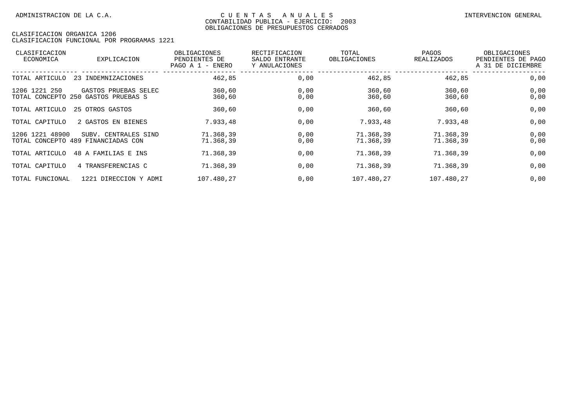| CLASIFICACION<br>ECONOMICA | EXPLICACION                                                 | OBLIGACIONES<br>PENDIENTES DE<br>PAGO A $1$ -<br>ENERO | RECTIFICACION<br>SALDO ENTRANTE<br>Y ANULACIONES | TOTAL<br>OBLIGACIONES  | PAGOS<br>REALIZADOS    | OBLIGACIONES<br>PENDIENTES DE PAGO<br>A 31 DE DICIEMBRE |
|----------------------------|-------------------------------------------------------------|--------------------------------------------------------|--------------------------------------------------|------------------------|------------------------|---------------------------------------------------------|
| TOTAL ARTICULO             | INDEMNIZACIONES<br>23                                       | 462,85                                                 | 0,00                                             | 462,85                 | 462,85                 | 0,00                                                    |
| 1206 1221 250              | GASTOS PRUEBAS SELEC<br>TOTAL CONCEPTO 250 GASTOS PRUEBAS S | 360,60<br>360,60                                       | 0,00<br>0,00                                     | 360,60<br>360,60       | 360,60<br>360,60       | 0,00<br>0,00                                            |
| TOTAL ARTICULO             | 25 OTROS GASTOS                                             | 360,60                                                 | 0,00                                             | 360,60                 | 360,60                 | 0,00                                                    |
| TOTAL CAPITULO             | 2 GASTOS EN BIENES                                          | 7.933,48                                               | 0,00                                             | 7.933,48               | 7.933,48               | 0,00                                                    |
| 1206 1221 48900            | SUBV. CENTRALES SIND<br>TOTAL CONCEPTO 489 FINANCIADAS CON  | 71.368,39<br>71.368,39                                 | 0,00<br>0,00                                     | 71.368,39<br>71.368,39 | 71.368,39<br>71.368,39 | 0,00<br>0,00                                            |
| TOTAL ARTICULO             | 48 A FAMILIAS E INS                                         | 71.368.39                                              | 0,00                                             | 71.368,39              | 71.368.39              | 0,00                                                    |
| TOTAL CAPITULO             | 4 TRANSFERENCIAS C                                          | 71.368,39                                              | 0,00                                             | 71.368,39              | 71.368,39              | 0,00                                                    |
| TOTAL FUNCIONAL            | 1221 DIRECCION Y ADMI                                       | 107.480,27                                             | 0,00                                             | 107.480,27             | 107.480,27             | 0,00                                                    |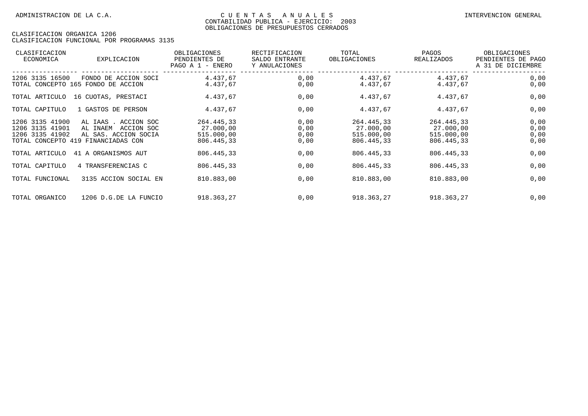| CLASIFICACION<br>ECONOMICA                            | EXPLICACION                                                                                                     | OBLIGACIONES<br>PENDIENTES DE<br>PAGO A 1 - ENERO   | RECTIFICACION<br>SALDO ENTRANTE<br>Y ANULACIONES | TOTAL<br>OBLIGACIONES                               | PAGOS<br>REALIZADOS                                 | OBLIGACIONES<br>PENDIENTES DE PAGO<br>A 31 DE DICIEMBRE |
|-------------------------------------------------------|-----------------------------------------------------------------------------------------------------------------|-----------------------------------------------------|--------------------------------------------------|-----------------------------------------------------|-----------------------------------------------------|---------------------------------------------------------|
| 1206 3135 16500                                       | FONDO DE ACCION SOCI<br>TOTAL CONCEPTO 165 FONDO DE ACCION                                                      | 4.437,67<br>4.437,67                                | 0,00<br>0,00                                     | 4.437,67<br>4.437,67                                | 4.437,67<br>4.437,67                                | 0,00<br>0,00                                            |
| TOTAL ARTICULO                                        | 16 CUOTAS, PRESTACI                                                                                             | 4.437,67                                            | 0,00                                             | 4.437,67                                            | 4.437,67                                            | 0,00                                                    |
| TOTAL CAPITULO                                        | 1 GASTOS DE PERSON                                                                                              | 4.437,67                                            | 0,00                                             | 4.437,67                                            | 4.437,67                                            | 0,00                                                    |
| 1206 3135 41900<br>1206 3135 41901<br>1206 3135 41902 | AL IAAS<br>. ACCION SOC<br>AL INAEM<br>ACCION SOC<br>AL SAS. ACCION SOCIA<br>TOTAL CONCEPTO 419 FINANCIADAS CON | 264.445,33<br>27.000,00<br>515.000,00<br>806.445,33 | 0,00<br>0,00<br>0,00<br>0,00                     | 264.445,33<br>27.000,00<br>515.000,00<br>806.445,33 | 264.445,33<br>27.000,00<br>515.000,00<br>806.445,33 | 0,00<br>0,00<br>0,00<br>0,00                            |
| TOTAL ARTICULO                                        | 41 A ORGANISMOS AUT                                                                                             | 806.445,33                                          | 0,00                                             | 806.445,33                                          | 806.445,33                                          | 0,00                                                    |
| TOTAL CAPITULO                                        | 4 TRANSFERENCIAS C                                                                                              | 806.445,33                                          | 0,00                                             | 806.445,33                                          | 806.445,33                                          | 0,00                                                    |
| TOTAL FUNCIONAL                                       | 3135 ACCION SOCIAL EN                                                                                           | 810.883,00                                          | 0,00                                             | 810.883,00                                          | 810.883,00                                          | 0,00                                                    |
| TOTAL ORGANICO                                        | 1206 D.G.DE LA FUNCIO                                                                                           | 918.363,27                                          | 0,00                                             | 918.363,27                                          | 918.363,27                                          | 0,00                                                    |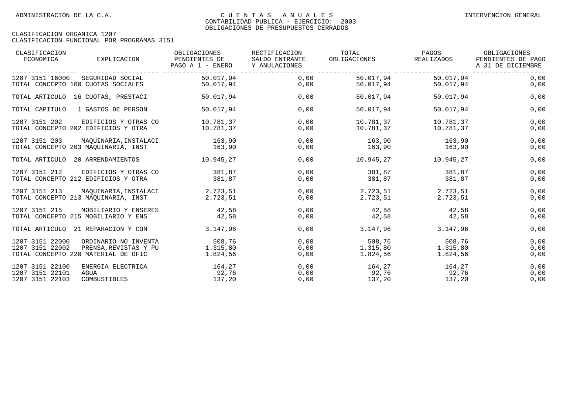| CLASIFICACION<br>ECONOMICA                                                | EXPLICACION                                   | OBLIGACIONES<br>PENDIENTES DE<br>PAGO A 1 - ENERO | RECTIFICACION<br>SALDO ENTRANTE<br>Y ANULACIONES | TOTAL<br>OBLIGACIONES         | PAGOS<br>REALIZADOS                        | OBLIGACIONES<br>PENDIENTES DE PAGO<br>A 31 DE DICIEMBRE |
|---------------------------------------------------------------------------|-----------------------------------------------|---------------------------------------------------|--------------------------------------------------|-------------------------------|--------------------------------------------|---------------------------------------------------------|
| 1207 3151 16000<br>TOTAL CONCEPTO 160 CUOTAS SOCIALES                     | SEGURIDAD SOCIAL                              | 50.017.94<br>50.017,94                            | 0,00<br>0,00                                     | 50.017,94<br>50.017,94        | 50.017,94<br>50.017,94                     | 0,00<br>0,00                                            |
| TOTAL ARTICULO 16 CUOTAS, PRESTACI                                        |                                               | 50.017,94                                         | 0,00                                             | 50.017,94                     | 50.017,94                                  | 0,00                                                    |
| TOTAL CAPITULO                                                            | 1 GASTOS DE PERSON                            | 50.017,94                                         | 0,00                                             | 50.017,94                     | 50.017,94                                  | 0,00                                                    |
| 1207 3151 202<br>TOTAL CONCEPTO 202 EDIFICIOS Y OTRA                      | EDIFICIOS Y OTRAS CO                          | 10.781,37<br>10.781,37                            | 0,00<br>0,00                                     |                               | 10.781,37 10.781,37<br>10.781,37 10.781,37 | 0,00<br>0,00                                            |
| 1207 3151 203<br>TOTAL CONCEPTO 203 MAOUINARIA, INST                      | MAOUINARIA, INSTALACI                         | 163,90<br>163,90                                  | 0,00<br>0,00                                     | 163,90<br>163,90              | 163,90<br>163,90                           | 0,00<br>0,00                                            |
| TOTAL ARTICULO 20 ARRENDAMIENTOS                                          |                                               | 10.945,27                                         | 0,00                                             | 10.945,27                     | 10.945,27                                  | 0,00                                                    |
| 1207 3151 212<br>TOTAL CONCEPTO 212 EDIFICIOS Y OTRA                      | EDIFICIOS Y OTRAS CO                          | 381,87<br>381,87                                  | 0,00<br>0,00                                     | 381,87<br>381,87              | 381,87<br>381,87                           | 0,00<br>0,00                                            |
| 1207 3151 213<br>TOTAL CONCEPTO 213 MAOUINARIA, INST                      | MAOUINARIA, INSTALACI                         | 2.723.51<br>2.723.51                              | 0,00<br>0,00                                     | 2.723,51 2.723,51<br>2.723,51 | 2.723,51                                   | 0,00<br>0,00                                            |
| 1207 3151 215<br>TOTAL CONCEPTO 215 MOBILIARIO Y ENS                      | MOBILIARIO Y ENSERES                          | 42,58<br>42,58                                    | 0,00<br>0,00                                     | 42,58<br>42,58                | 42,58<br>42,58                             | 0,00<br>0,00                                            |
| TOTAL ARTICULO 21 REPARACION Y CON                                        |                                               | 3.147,96                                          | 0,00                                             | 3.147,96                      | 3.147.96                                   | 0,00                                                    |
| 1207 3151 22000<br>1207 3151 22002<br>TOTAL CONCEPTO 220 MATERIAL DE OFIC | ORDINARIO NO INVENTA<br>PRENSA, REVISTAS Y PU | 508,76<br>1.315,80<br>1.824,56                    | 0,00<br>0,00<br>0,00                             | 508,76<br>1.824,56            | 508,76<br>1.315,80 1.315,80<br>1.824,56    | 0,00<br>0,00<br>0,00                                    |
| 1207 3151 22100<br>1207 3151 22101<br>1207 3151 22103                     | ENERGIA ELECTRICA<br>AGUA<br>COMBUSTIBLES     | 164,27<br>92,76<br>137,20                         | 0,00<br>0,00<br>0,00                             | 164,27<br>92,76<br>137,20     | 164,27<br>92,76<br>137,20                  | 0,00<br>0,00<br>0,00                                    |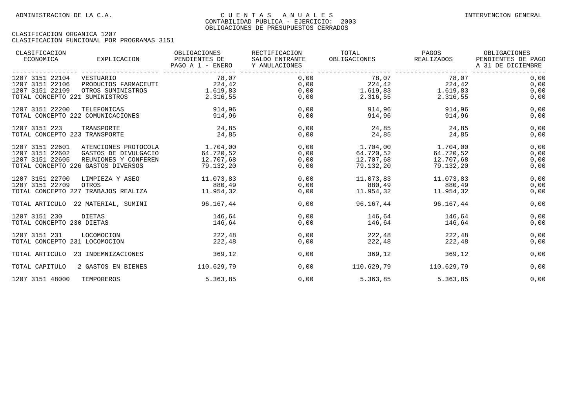| CLASIFICACION<br>ECONOMICA<br>EXPLICACION                                                                                                                           | OBLIGACIONES<br>PENDIENTES DE<br>PAGO A 1 - ENERO | RECTIFICACION<br>SALDO ENTRANTE<br>Y ANULACIONES<br>__________________ | TOTAL<br>OBLIGACIONES                           | PAGOS<br>REALIZADOS                               | OBLIGACIONES<br>PENDIENTES DE PAGO<br>A 31 DE DICIEMBRE |
|---------------------------------------------------------------------------------------------------------------------------------------------------------------------|---------------------------------------------------|------------------------------------------------------------------------|-------------------------------------------------|---------------------------------------------------|---------------------------------------------------------|
| 1207 3151 22104<br>VESTUARIO<br>1207 3151 22106<br>PRODUCTOS FARMACEUTI<br>1207 3151 22109<br>OTROS SUMINISTROS<br>TOTAL CONCEPTO 221 SUMINISTROS                   | 78,07<br>224, 42<br>1.619,83<br>2.316,55          | 0,00<br>0,00<br>0,00<br>0,00                                           | 78,07<br>224, 42<br>1.619, 83<br>2.316,55       | 78,07<br>224,42<br>224,42<br>1.619,83<br>2.316,55 | 0,00<br>0,00<br>0,00<br>0,00                            |
| 1207 3151 22200<br>TELEFONICAS<br>TOTAL CONCEPTO 222 COMUNICACIONES                                                                                                 | 914,96<br>914,96                                  | 0,00<br>0,00                                                           | 914,96<br>914,96                                | 914,96<br>914,96                                  | 0,00<br>0,00                                            |
| 1207 3151 223<br>TRANSPORTE<br>TOTAL CONCEPTO 223 TRANSPORTE                                                                                                        | 24,85<br>24,85                                    | 0,00<br>0,00                                                           | 24,85<br>24,85                                  | 24,85<br>24,85                                    | 0,00<br>0,00                                            |
| 1207 3151 22601<br>ATENCIONES PROTOCOLA<br>1207 3151 22602<br>GASTOS DE DIVULGACIO<br>1207 3151 22605<br>REUNIONES Y CONFEREN<br>TOTAL CONCEPTO 226 GASTOS DIVERSOS | 1.704,00<br>64.720,52<br>12.707,68<br>79.132,20   | 0,00<br>0,00<br>0,00<br>0,00                                           | 1.704,00<br>64.720,52<br>12.707,68<br>79.132,20 | 1.704,00<br>64.720,52<br>12.707,68<br>79.132,20   | 0,00<br>0,00<br>0,00<br>0,00                            |
| 1207 3151 22700<br>LIMPIEZA Y ASEO<br>1207 3151 22709<br>OTROS<br>TOTAL CONCEPTO 227 TRABAJOS REALIZA                                                               | 11.073,83<br>880,49<br>11.954,32                  | 0,00<br>0,00<br>0,00                                                   | 11.954,32                                       | 11.073.83 11.073.83<br>880,49 880,49<br>11.954,32 | 0,00<br>0,00<br>0,00                                    |
| TOTAL ARTICULO 22 MATERIAL, SUMINI                                                                                                                                  | 96.167,44                                         | 0,00                                                                   | 96.167,44                                       | 96.167.44                                         | 0,00                                                    |
| 1207 3151 230<br>DIETAS<br>TOTAL CONCEPTO 230 DIETAS                                                                                                                | 146,64<br>146,64                                  | 0,00<br>0,00                                                           | 146,64<br>146,64                                | 146,64<br>146,64                                  | 0,00<br>0,00                                            |
| 1207 3151 231<br>LOCOMOCION<br>TOTAL CONCEPTO 231 LOCOMOCION                                                                                                        | 222,48<br>222,48                                  | 0,00<br>0,00                                                           | 222,48<br>222,48                                | 222,48<br>222,48                                  | 0,00<br>0,00                                            |
| 23 INDEMNIZACIONES<br>TOTAL ARTICULO                                                                                                                                | 369,12                                            | 0,00                                                                   | 369,12                                          | 369,12                                            | 0,00                                                    |
| TOTAL CAPITULO<br>2 GASTOS EN BIENES                                                                                                                                | 110.629,79                                        | 0,00                                                                   | 110.629,79                                      | 110.629,79                                        | 0,00                                                    |
| 1207 3151 48000<br>TEMPOREROS                                                                                                                                       | 5.363,85                                          | 0,00                                                                   | 5.363,85                                        | 5.363,85                                          | 0,00                                                    |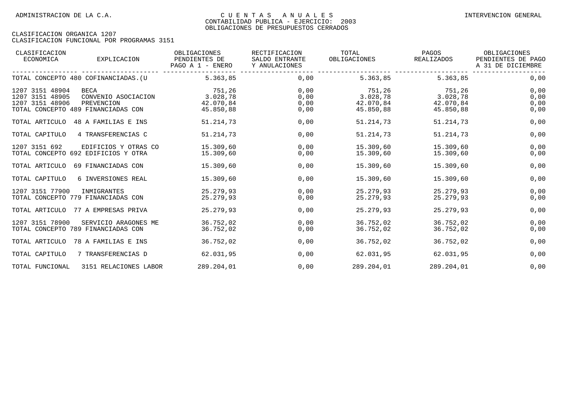| CLASIFICACION<br>ECONOMICA                            | EXPLICACION                                                                            | OBLIGACIONES<br>PENDIENTES DE<br>PAGO A 1 - ENERO | RECTIFICACION<br>SALDO ENTRANTE<br>Y ANULACIONES | TOTAL<br>OBLIGACIONES                        | PAGOS<br>REALIZADOS                          | OBLIGACIONES<br>PENDIENTES DE PAGO<br>A 31 DE DICIEMBRE |
|-------------------------------------------------------|----------------------------------------------------------------------------------------|---------------------------------------------------|--------------------------------------------------|----------------------------------------------|----------------------------------------------|---------------------------------------------------------|
|                                                       | TOTAL CONCEPTO 480 COFINANCIADAS. (U                                                   | 5.363,85                                          | 0.00                                             | 5.363.85                                     | -------------------<br>5.363.85              | 0,00                                                    |
| 1207 3151 48904<br>1207 3151 48905<br>1207 3151 48906 | <b>BECA</b><br>CONVENIO ASOCIACION<br>PREVENCION<br>TOTAL CONCEPTO 489 FINANCIADAS CON | 751,26<br>3.028,78<br>42.070,84<br>45.850,88      | 0,00<br>0,00<br>0,00<br>0,00                     | 751,26<br>3.028,78<br>42.070,84<br>45.850,88 | 751,26<br>3.028,78<br>42.070,84<br>45.850,88 | 0,00<br>0,00<br>0,00<br>0,00                            |
| TOTAL ARTICULO                                        | 48 A FAMILIAS E INS                                                                    | 51.214,73                                         | 0,00                                             | 51.214,73                                    | 51.214,73                                    | 0,00                                                    |
| TOTAL CAPITULO                                        | 4 TRANSFERENCIAS C                                                                     | 51.214,73                                         | 0,00                                             | 51.214,73                                    | 51.214,73                                    | 0,00                                                    |
| 1207 3151 692                                         | EDIFICIOS Y OTRAS CO<br>TOTAL CONCEPTO 692 EDIFICIOS Y OTRA                            | 15.309,60<br>15.309.60                            | 0,00<br>0,00                                     | 15.309,60<br>15.309,60                       | 15.309,60<br>15.309,60                       | 0,00<br>0,00                                            |
| TOTAL ARTICULO                                        | 69 FINANCIADAS CON                                                                     | 15.309,60                                         | 0,00                                             | 15.309,60                                    | 15.309,60                                    | 0,00                                                    |
| TOTAL CAPITULO                                        | 6 INVERSIONES REAL                                                                     | 15.309,60                                         | 0,00                                             | 15.309,60                                    | 15.309,60                                    | 0,00                                                    |
| 1207 3151 77900                                       | INMIGRANTES<br>TOTAL CONCEPTO 779 FINANCIADAS CON                                      | 25.279.93<br>25.279.93                            | 0.00<br>0,00                                     | 25.279.93<br>25.279.93                       | 25.279.93<br>25.279.93                       | 0,00<br>0,00                                            |
| TOTAL ARTICULO                                        | 77 A EMPRESAS PRIVA                                                                    | 25.279,93                                         | 0,00                                             | 25.279,93                                    | 25.279,93                                    | 0,00                                                    |
| 1207 3151 78900                                       | SERVICIO ARAGONES ME<br>TOTAL CONCEPTO 789 FINANCIADAS CON                             | 36.752,02<br>36.752,02                            | 0,00<br>0,00                                     | 36.752,02<br>36.752,02                       | 36.752,02<br>36.752,02                       | 0,00<br>0,00                                            |
| TOTAL ARTICULO                                        | 78 A FAMILIAS E INS                                                                    | 36.752,02                                         | 0,00                                             | 36.752,02                                    | 36.752,02                                    | 0,00                                                    |
| TOTAL CAPITULO                                        | 7 TRANSFERENCIAS D                                                                     | 62.031,95                                         | 0,00                                             | 62.031,95                                    | 62.031,95                                    | 0,00                                                    |
| TOTAL FUNCIONAL                                       | 3151 RELACIONES LABOR                                                                  | 289.204,01                                        | 0,00                                             | 289.204,01                                   | 289.204,01                                   | 0,00                                                    |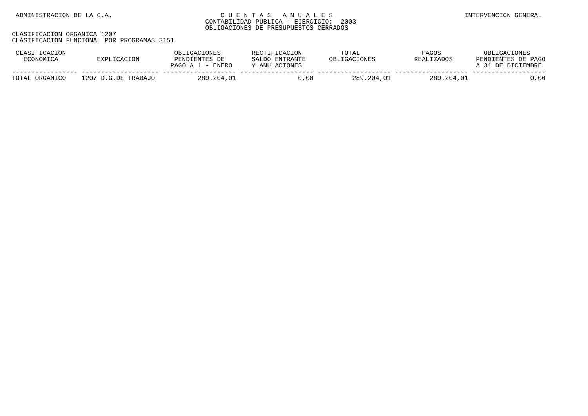| CLASIFICACION<br>ECONOMICA | EXPLICACION         | OBLIGACIONES<br>PENDIENTES DE<br>PAGO A $1$ - ENERO | RECTIFICACION<br>SALDO ENTRANTE<br>Y ANULACIONES | TOTAL<br>OBLIGACIONES | PAGOS<br><b>REALIZADOS</b> | OBLIGACIONES<br>PENDIENTES DE PAGO<br>A 31 DE DICIEMBRE |
|----------------------------|---------------------|-----------------------------------------------------|--------------------------------------------------|-----------------------|----------------------------|---------------------------------------------------------|
| TOTAL ORGANICO             | 1207 D.G.DE TRABAJO | 289.204.01                                          | 0,00                                             | 289.204.01            | 289.204.01                 | ,00                                                     |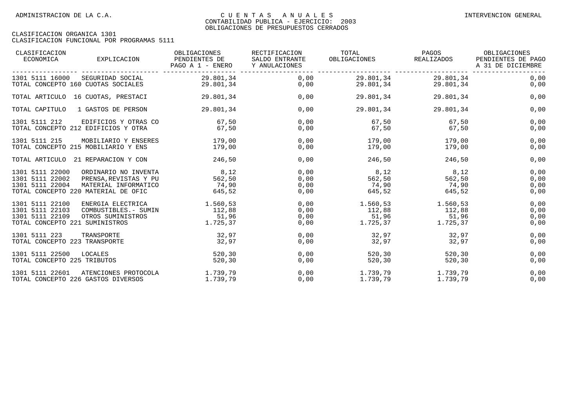| CLASIFICACION<br>ECONOMICA<br>EXPLICACION                                                                                                                             | OBLIGACIONES<br>PENDIENTES DE<br>PAGO A 1 - ENERO              | RECTIFICACION<br>SALDO ENTRANTE<br>Y ANULACIONES | TOTAL<br>OBLIGACIONES                                                            | PAGOS<br>REALIZADOS                                        | OBLIGACIONES<br>PENDIENTES DE PAGO<br>A 31 DE DICIEMBRE |
|-----------------------------------------------------------------------------------------------------------------------------------------------------------------------|----------------------------------------------------------------|--------------------------------------------------|----------------------------------------------------------------------------------|------------------------------------------------------------|---------------------------------------------------------|
| 1301 5111 16000<br>SEGURIDAD SOCIAL<br>TOTAL CONCEPTO 160 CUOTAS SOCIALES                                                                                             | 29.801,34<br>29.801,34                                         | 0.00<br>0,00                                     | 29.801,34<br>29.801,34                                                           | _ ____________________ _________<br>29.801,34<br>29.801,34 | 0,00<br>0,00                                            |
| TOTAL ARTICULO 16 CUOTAS, PRESTACI                                                                                                                                    | 29.801,34                                                      | 0,00                                             | 29.801,34                                                                        | 29.801,34                                                  | 0,00                                                    |
| TOTAL CAPITULO<br>1 GASTOS DE PERSON                                                                                                                                  | 29.801,34                                                      | 0,00                                             | 29.801,34                                                                        | 29.801,34                                                  | 0,00                                                    |
| 1301 5111 212<br>EDIFICIOS Y OTRAS CO<br>TOTAL CONCEPTO 212 EDIFICIOS Y OTRA                                                                                          | 67,50<br>67,50                                                 | 0,00<br>0,00                                     | 67,50<br>67,50                                                                   | 67,50<br>67,50                                             | 0,00<br>0,00                                            |
| 1301 5111 215<br>MOBILIARIO Y ENSERES<br>TOTAL CONCEPTO 215 MOBILIARIO Y ENS                                                                                          | 179,00<br>179,00                                               | 0,00<br>0,00                                     | 179,00<br>179,00                                                                 | 179,00<br>179,00                                           | 0,00<br>0,00                                            |
| TOTAL ARTICULO 21 REPARACION Y CON                                                                                                                                    | 246,50                                                         | 0,00                                             | 246,50                                                                           | 246,50                                                     | 0,00                                                    |
| 1301 5111 22000<br>ORDINARIO NO INVENTA<br>1301 5111 22002<br>PRENSA, REVISTAS Y PU<br>1301 5111 22004<br>MATERIAL INFORMATICO<br>TOTAL CONCEPTO 220 MATERIAL DE OFIC | 8,12<br>562,50<br>74,90<br>645,52                              | 0,00<br>0,00<br>0,00<br>0,00                     | 8,12<br>562,50<br>74,90<br>645,52                                                | 8,12<br>562,50<br>74,90<br>645,52                          | 0,00<br>0,00<br>0,00<br>0,00                            |
| 1301 5111 22100<br>ENERGIA ELECTRICA<br>1301 5111 22103<br>1301 5111 22109<br>OTROS SUMINISTROS<br>TOTAL CONCEPTO 221 SUMINISTROS                                     | 1.560, 53<br>COMBUSTIBLES. - SUMIN 112,88<br>51,96<br>1.725,37 | 0,00<br>0,00<br>0,00<br>0,00                     | $1.560, 53$ $1.560, 53$<br>$112,88$ $112,88$<br>51,96<br>$1.725, 37$ $1.725, 37$ | 51,96                                                      | 0,00<br>0,00<br>0,00<br>0,00                            |
| 1301 5111 223<br>TRANSPORTE<br>TOTAL CONCEPTO 223 TRANSPORTE                                                                                                          | 32,97<br>32,97                                                 | 0,00<br>0,00                                     | 32,97<br>32,97                                                                   | 32,97<br>32,97                                             | 0,00<br>0,00                                            |
| 1301 5111 22500<br>LOCALES<br>TOTAL CONCEPTO 225 TRIBUTOS                                                                                                             | 520,30<br>520,30                                               | 0,00<br>0,00                                     | 520,30<br>520,30                                                                 | 520,30<br>520,30                                           | 0,00<br>0,00                                            |
| 1301 5111 22601<br>ATENCIONES PROTOCOLA<br>TOTAL CONCEPTO 226 GASTOS DIVERSOS                                                                                         | 1.739,79<br>1.739,79                                           | 0,00<br>0,00                                     | 1.739,79<br>1.739,79                                                             | 1.739,79<br>1.739,79                                       | 0,00<br>0,00                                            |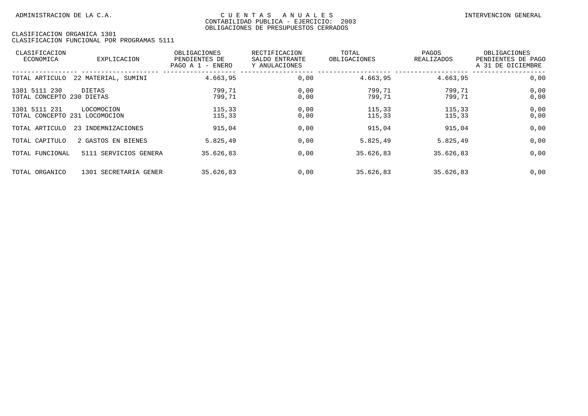| CLASIFICACION<br>ECONOMICA                     | EXPLICACION           | OBLIGACIONES<br>PENDIENTES DE<br>PAGO A 1 - ENERO | RECTIFICACION<br>SALDO ENTRANTE<br>Y ANULACIONES | TOTAL<br>OBLIGACIONES | PAGOS<br><b>REALIZADOS</b> | OBLIGACIONES<br>PENDIENTES DE PAGO<br>A 31 DE DICIEMBRE |
|------------------------------------------------|-----------------------|---------------------------------------------------|--------------------------------------------------|-----------------------|----------------------------|---------------------------------------------------------|
| TOTAL ARTICULO                                 | 22 MATERIAL, SUMINI   | 4.663,95                                          | 0,00                                             | 4.663,95              | 4.663,95                   | 0,00                                                    |
| 1301 5111 230<br>TOTAL CONCEPTO 230 DIETAS     | DIETAS                | 799,71<br>799,71                                  | 0,00<br>0,00                                     | 799,71<br>799,71      | 799,71<br>799,71           | 0,00<br>0,00                                            |
| 1301 5111 231<br>TOTAL CONCEPTO 231 LOCOMOCION | LOCOMOCION            | 115,33<br>115,33                                  | 0,00<br>0,00                                     | 115,33<br>115,33      | 115,33<br>115,33           | 0,00<br>0,00                                            |
| TOTAL ARTICULO                                 | 23 INDEMNIZACIONES    | 915,04                                            | 0,00                                             | 915,04                | 915,04                     | 0,00                                                    |
| TOTAL CAPITULO                                 | 2 GASTOS EN BIENES    | 5.825,49                                          | 0,00                                             | 5.825,49              | 5.825,49                   | 0,00                                                    |
| TOTAL FUNCIONAL                                | 5111 SERVICIOS GENERA | 35.626,83                                         | 0,00                                             | 35.626,83             | 35.626,83                  | 0,00                                                    |
| TOTAL ORGANICO                                 | 1301 SECRETARIA GENER | 35.626.83                                         | 0,00                                             | 35.626,83             | 35.626.83                  | 0,00                                                    |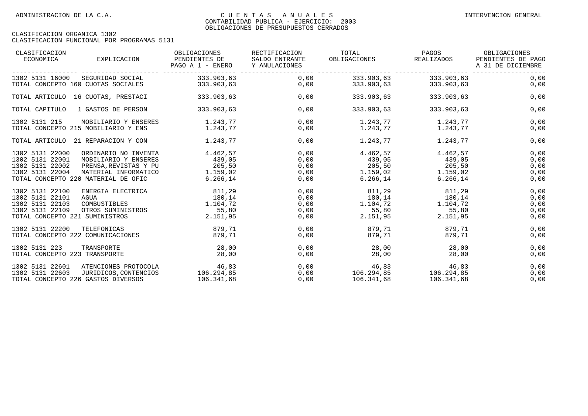| PENDIENTES DE<br>PAGO A 1 - ENERO | SALDO ENTRANTE<br>Y ANULACIONES                                                                                                                                                                                                                                                                                     | TOTAL<br>OBLIGACIONES                        | PAGOS<br>REALIZADOS                             | OBLIGACIONES<br>PENDIENTES DE PAGO<br>A 31 DE DICIEMBRE                                                                                                                                                                                                                                                                                                       |
|-----------------------------------|---------------------------------------------------------------------------------------------------------------------------------------------------------------------------------------------------------------------------------------------------------------------------------------------------------------------|----------------------------------------------|-------------------------------------------------|---------------------------------------------------------------------------------------------------------------------------------------------------------------------------------------------------------------------------------------------------------------------------------------------------------------------------------------------------------------|
| 333.903,63                        |                                                                                                                                                                                                                                                                                                                     |                                              | 333.903,63                                      | 0,00<br>0,00                                                                                                                                                                                                                                                                                                                                                  |
| 333.903,63                        | 0,00                                                                                                                                                                                                                                                                                                                | 333.903,63                                   | 333.903,63                                      | 0,00                                                                                                                                                                                                                                                                                                                                                          |
| 333.903,63                        | 0,00                                                                                                                                                                                                                                                                                                                | 333.903,63                                   | 333.903,63                                      | 0,00                                                                                                                                                                                                                                                                                                                                                          |
| 1.243,77                          | 0,00                                                                                                                                                                                                                                                                                                                |                                              |                                                 | 0,00<br>0,00                                                                                                                                                                                                                                                                                                                                                  |
| 1.243,77                          | 0,00                                                                                                                                                                                                                                                                                                                |                                              | 1.243,77                                        | 0,00                                                                                                                                                                                                                                                                                                                                                          |
| 4.462,57                          | 0,00                                                                                                                                                                                                                                                                                                                | 4.462,57                                     |                                                 | 0,00                                                                                                                                                                                                                                                                                                                                                          |
| 205, 50                           | 0,00                                                                                                                                                                                                                                                                                                                |                                              |                                                 | 0,00<br>0,00<br>0,00                                                                                                                                                                                                                                                                                                                                          |
|                                   | 0,00                                                                                                                                                                                                                                                                                                                |                                              | 6.266,14                                        | 0,00                                                                                                                                                                                                                                                                                                                                                          |
| 180,14                            | 0,00<br>0,00                                                                                                                                                                                                                                                                                                        |                                              |                                                 | 0,00<br>0,00                                                                                                                                                                                                                                                                                                                                                  |
| 55,80                             | 0,00                                                                                                                                                                                                                                                                                                                |                                              | 55,80                                           | 0,00<br>0,00                                                                                                                                                                                                                                                                                                                                                  |
|                                   |                                                                                                                                                                                                                                                                                                                     |                                              |                                                 | 0,00                                                                                                                                                                                                                                                                                                                                                          |
| 879,71                            | 0,00                                                                                                                                                                                                                                                                                                                | 879,71                                       | 879,71                                          | 0,00<br>0,00                                                                                                                                                                                                                                                                                                                                                  |
| 28,00<br>28,00                    | 0,00<br>0,00                                                                                                                                                                                                                                                                                                        | 28,00<br>28,00                               | 28,00<br>28,00                                  | 0,00<br>0,00                                                                                                                                                                                                                                                                                                                                                  |
| 46,83<br>106.294,85               | 0,00                                                                                                                                                                                                                                                                                                                |                                              | 46,83                                           | 0,00<br>0,00<br>0,00                                                                                                                                                                                                                                                                                                                                          |
|                                   | 333.903,63<br>MOBILIARIO Y ENSERES<br>1.243.77<br>ORDINARIO NO INVENTA<br>MOBILIARIO Y ENSERES<br>439,05<br>PRENSA, REVISTAS Y PU<br>1.159.02<br>MATERIAL INFORMATICO<br>6.266, 14<br>811,29<br>1.104, 72<br>OTROS SUMINISTROS<br>2.151,95<br>879,71<br>ATENCIONES PROTOCOLA<br>JURIDICOS, CONTENCIOS<br>106.341,68 | 0,00<br>0,00<br>0,00<br>0,00<br>0,00<br>0,00 | 0,00<br>439,05<br>205, 50<br>0,00<br>106.341,68 | 333.903,63<br>333.903,63<br>333.903,63<br>$1.243,77$ $1.243,77$<br>1.243,77<br>1.243,77<br>1.243,77<br>4.462,57<br>439,05<br>205, 50<br>$0,00$ $1.159,02$ $1.159,02$<br>6.266, 14<br>811,29 811,29<br>180,14 180,14<br>$1.104, 72$ $1.104, 72$<br>$0,00$ 55,80<br>$2.151,95$ $2.151,95$<br>879,71<br>879,71<br>46,83<br>$106.294,85$ 106.294,85<br>106.341,68 |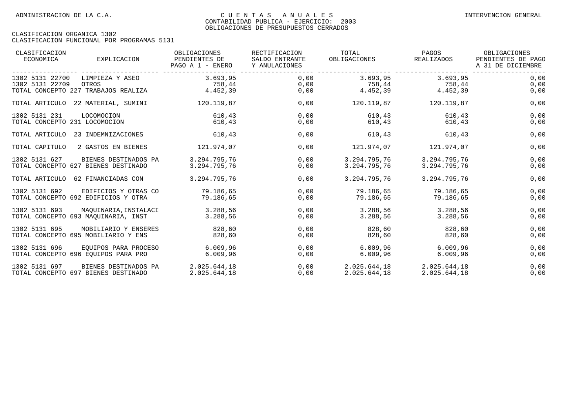| CLASIFICACION<br>ECONOMICA    | EXPLICACION                                                 | OBLIGACIONES<br>PENDIENTES DE<br>PAGO A 1 - ENERO | RECTIFICACION<br>SALDO ENTRANTE<br>Y ANULACIONES | TOTAL<br>OBLIGACIONES | PAGOS<br>REALIZADOS   | OBLIGACIONES<br>PENDIENTES DE PAGO<br>A 31 DE DICIEMBRE |
|-------------------------------|-------------------------------------------------------------|---------------------------------------------------|--------------------------------------------------|-----------------------|-----------------------|---------------------------------------------------------|
| 1302 5131 22700               | LIMPIEZA Y ASEO                                             | 3.693,95                                          | 0,00                                             | 3.693,95              | 3.693,95              | 0,00                                                    |
| 1302 5131 22709               | OTROS                                                       | 758,44                                            | 0,00                                             | $758,44$ $758,44$     |                       | 0,00                                                    |
|                               | TOTAL CONCEPTO 227 TRABAJOS REALIZA                         | 4.452,39                                          | 0,00                                             | $4.452,39$ $4.452,39$ |                       | 0,00                                                    |
|                               | TOTAL ARTICULO 22 MATERIAL, SUMINI                          | 120.119,87                                        | 0,00                                             | 120.119,87            | 120.119,87            | 0,00                                                    |
| 1302 5131 231                 | LOCOMOCION                                                  | 610,43                                            | 0,00                                             | 610,43                | 610,43                | 0,00                                                    |
| TOTAL CONCEPTO 231 LOCOMOCION |                                                             | 610,43                                            | 0,00                                             | 610,43                | 610,43                | 0,00                                                    |
| TOTAL ARTICULO                | 23 INDEMNIZACIONES                                          | 610,43                                            | 0,00                                             | 610,43                | 610,43                | 0,00                                                    |
| TOTAL CAPITULO                | 2 GASTOS EN BIENES                                          | 121.974,07                                        | 0,00                                             | 121.974,07            | 121.974,07            | 0,00                                                    |
| 1302 5131 627                 | BIENES DESTINADOS PA                                        | 3.294.795,76                                      | 0,00                                             | 3.294.795,76          | 3.294.795,76          | 0,00                                                    |
|                               | TOTAL CONCEPTO 627 BIENES DESTINADO                         | 3.294.795.76                                      | 0,00                                             | 3.294.795,76          | 3.294.795,76          | 0,00                                                    |
| TOTAL ARTICULO                | 62 FINANCIADAS CON                                          | 3.294.795.76                                      | 0,00                                             | 3.294.795,76          | 3.294.795.76          | 0,00                                                    |
| 1302 5131 692                 | EDIFICIOS Y OTRAS CO                                        | 79.186,65                                         | 0,00                                             | 79.186,65             | 79.186,65             | 0,00                                                    |
|                               | TOTAL CONCEPTO 692 EDIFICIOS Y OTRA                         | 79.186,65                                         | 0,00                                             | 79.186,65             | 79.186,65             | 0,00                                                    |
| 1302 5131 693                 | MAOUINARIA, INSTALACI                                       | 3.288,56                                          | 0.00                                             | 3.288,56              | 3.288,56              | 0,00                                                    |
|                               | TOTAL CONCEPTO 693 MAOUINARIA, INST                         | 3.288,56                                          | 0,00                                             | 3.288,56              | 3.288,56              | 0,00                                                    |
| 1302 5131 695                 | MOBILIARIO Y ENSERES                                        | 828,60                                            | 0,00                                             | 828,60                | 828,60                | 0,00                                                    |
|                               | TOTAL CONCEPTO 695 MOBILIARIO Y ENS                         | 828,60                                            | 0,00                                             | 828,60                | 828,60                | 0,00                                                    |
| 1302 5131 696                 | EOUIPOS PARA PROCESO<br>TOTAL CONCEPTO 696 EOUIPOS PARA PRO | 6.009,96<br>6.009,96                              | 0,00<br>0,00                                     | 6.009,96<br>6.009,96  | 6.009, 96<br>6.009,96 | 0,00<br>0,00                                            |
| 1302 5131 697                 | BIENES DESTINADOS PA                                        | 2.025.644.18                                      | 0,00                                             | 2.025.644,18          | 2.025.644,18          | 0,00                                                    |
|                               | TOTAL CONCEPTO 697 BIENES DESTINADO                         | 2.025.644,18                                      | 0,00                                             | 2.025.644,18          | 2.025.644,18          | 0,00                                                    |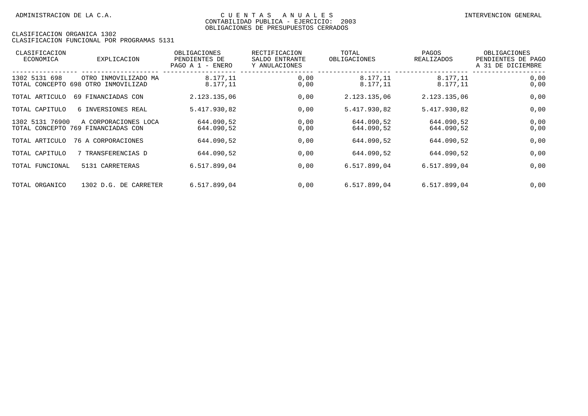| CLASIFICACION<br>ECONOMICA        | <b>EXPLICACION</b>                                          | OBLIGACIONES<br>PENDIENTES DE<br>ENERO<br>PAGO A $1$ - | RECTIFICACION<br>SALDO ENTRANTE<br>Y ANULACIONES | TOTAL<br>OBLIGACIONES    | PAGOS<br><b>REALIZADOS</b> | OBLIGACIONES<br>PENDIENTES DE PAGO<br>A 31 DE DICIEMBRE |
|-----------------------------------|-------------------------------------------------------------|--------------------------------------------------------|--------------------------------------------------|--------------------------|----------------------------|---------------------------------------------------------|
| 1302 5131 698                     | OTRO INMOVILIZADO MA<br>TOTAL CONCEPTO 698 OTRO INMOVILIZAD | 8.177,11<br>8.177,11                                   | 0,00<br>0,00                                     | 8.177,11<br>8.177,11     | 8.177,11<br>8.177,11       | 0,00<br>0,00                                            |
| TOTAL ARTICULO                    | 69 FINANCIADAS CON                                          | 2.123.135,06                                           | 0,00                                             | 2.123.135,06             | 2.123.135,06               | 0,00                                                    |
| TOTAL CAPITULO                    | 6 INVERSIONES REAL                                          | 5.417.930,82                                           | 0,00                                             | 5.417.930,82             | 5.417.930.82               | 0,00                                                    |
| 1302 5131 76900<br>TOTAL CONCEPTO | A CORPORACIONES LOCA<br>769 FINANCIADAS CON                 | 644.090,52<br>644.090,52                               | 0,00<br>0,00                                     | 644.090,52<br>644.090,52 | 644.090,52<br>644.090,52   | 0,00<br>0,00                                            |
| TOTAL ARTICULO                    | 76 A CORPORACIONES                                          | 644.090,52                                             | 0,00                                             | 644.090,52               | 644.090,52                 | 0,00                                                    |
| TOTAL CAPITULO                    | 7 TRANSFERENCIAS D                                          | 644.090,52                                             | 0,00                                             | 644.090,52               | 644.090,52                 | 0,00                                                    |
| TOTAL FUNCIONAL                   | 5131 CARRETERAS                                             | 6.517.899,04                                           | 0,00                                             | 6.517.899,04             | 6.517.899,04               | 0,00                                                    |
| TOTAL ORGANICO                    | 1302 D.G. DE CARRETER                                       | 6.517.899,04                                           | 0,00                                             | 6.517.899,04             | 6.517.899,04               | 0,00                                                    |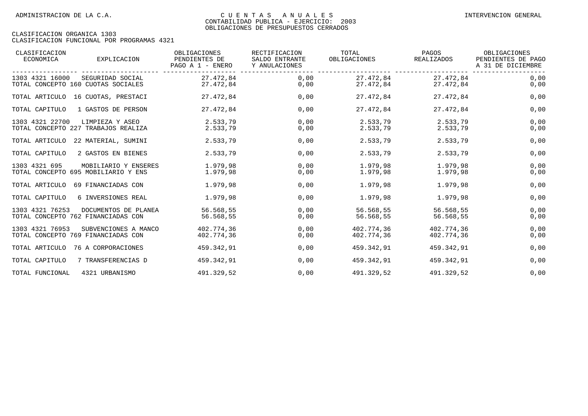| CLASIFICACION<br>ECONOMICA | EXPLICACION                                                 | OBLIGACIONES<br>PENDIENTES DE<br>PAGO A 1 - ENERO | RECTIFICACION<br>SALDO ENTRANTE<br>Y ANULACIONES | TOTAL<br>OBLIGACIONES    | PAGOS<br>REALIZADOS      | OBLIGACIONES<br>PENDIENTES DE PAGO<br>A 31 DE DICIEMBRE |
|----------------------------|-------------------------------------------------------------|---------------------------------------------------|--------------------------------------------------|--------------------------|--------------------------|---------------------------------------------------------|
| 1303 4321 16000            | SEGURIDAD SOCIAL<br>TOTAL CONCEPTO 160 CUOTAS SOCIALES      | 27.472.84<br>27.472,84                            | 0,00<br>0,00                                     | 27.472.84<br>27.472,84   | 27.472,84<br>27.472,84   | 0,00<br>0,00                                            |
|                            | TOTAL ARTICULO 16 CUOTAS, PRESTACI                          | 27.472,84                                         | 0,00                                             | 27.472,84                | 27.472.84                | 0,00                                                    |
| TOTAL CAPITULO             | 1 GASTOS DE PERSON                                          | 27.472,84                                         | 0,00                                             | 27.472,84                | 27.472,84                | 0,00                                                    |
| 1303 4321 22700            | LIMPIEZA Y ASEO<br>TOTAL CONCEPTO 227 TRABAJOS REALIZA      | 2.533,79<br>2.533,79                              | 0,00<br>0,00                                     | 2.533,79<br>2.533,79     | 2.533,79<br>2.533,79     | 0,00<br>0,00                                            |
| TOTAL ARTICULO             | 22 MATERIAL, SUMINI                                         | 2.533,79                                          | 0,00                                             | 2.533,79                 | 2.533,79                 | 0,00                                                    |
| TOTAL CAPITULO             | 2 GASTOS EN BIENES                                          | 2.533,79                                          | 0,00                                             | 2.533,79                 | 2.533,79                 | 0,00                                                    |
| 1303 4321 695              | MOBILIARIO Y ENSERES<br>TOTAL CONCEPTO 695 MOBILIARIO Y ENS | 1.979,98<br>1.979.98                              | 0,00<br>0,00                                     | 1.979,98<br>1.979,98     | 1.979,98<br>1.979,98     | 0,00<br>0,00                                            |
| TOTAL ARTICULO             | 69 FINANCIADAS CON                                          | 1.979,98                                          | 0,00                                             | 1.979,98                 | 1.979,98                 | 0,00                                                    |
| TOTAL CAPITULO             | 6 INVERSIONES REAL                                          | 1.979.98                                          | 0,00                                             | 1.979,98                 | 1.979,98                 | 0,00                                                    |
| 1303 4321 76253            | DOCUMENTOS DE PLANEA<br>TOTAL CONCEPTO 762 FINANCIADAS CON  | 56.568,55<br>56.568,55                            | 0,00<br>0,00                                     | 56.568,55<br>56.568,55   | 56.568,55<br>56.568,55   | 0,00<br>0,00                                            |
| 1303 4321 76953            | SUBVENCIONES A MANCO<br>TOTAL CONCEPTO 769 FINANCIADAS CON  | 402.774,36<br>402.774,36                          | 0,00<br>0,00                                     | 402.774,36<br>402.774,36 | 402.774,36<br>402.774,36 | 0,00<br>0,00                                            |
| TOTAL ARTICULO             | 76 A CORPORACIONES                                          | 459.342,91                                        | 0,00                                             | 459.342,91               | 459.342,91               | 0,00                                                    |
| TOTAL CAPITULO             | 7 TRANSFERENCIAS D                                          | 459.342,91                                        | 0,00                                             | 459.342,91               | 459.342,91               | 0,00                                                    |
| TOTAL FUNCIONAL            | 4321 URBANISMO                                              | 491.329,52                                        | 0,00                                             | 491.329,52               | 491.329,52               | 0,00                                                    |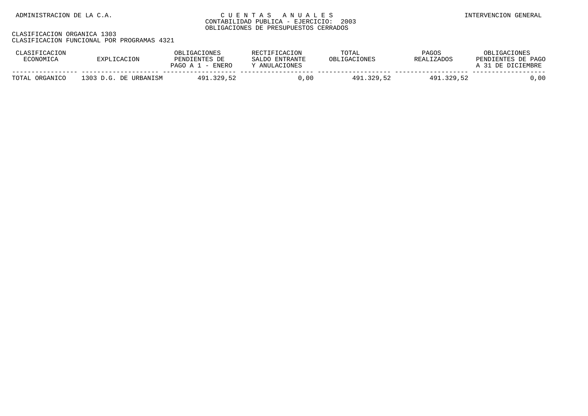| CLASIFICACION<br>ECONOMICA | EXPLICACION           | OBLIGACIONES<br>PENDIENTES DE<br>PAGO A $1$ - ENERO | RECTIFICACION<br>SALDO ENTRANTE<br>Y ANULACIONES | TOTAL<br>OBLIGACIONES | PAGOS<br><b>REALIZADOS</b> | OBLIGACIONES<br>PENDIENTES DE PAGO<br>A 31 DE DICIEMBRE |
|----------------------------|-----------------------|-----------------------------------------------------|--------------------------------------------------|-----------------------|----------------------------|---------------------------------------------------------|
| TOTAL ORGANICO             | 1303 D.G. DE URBANISM | 491.329.52                                          | 0,00                                             | 491.329.52            | 491.329.52                 | ,00                                                     |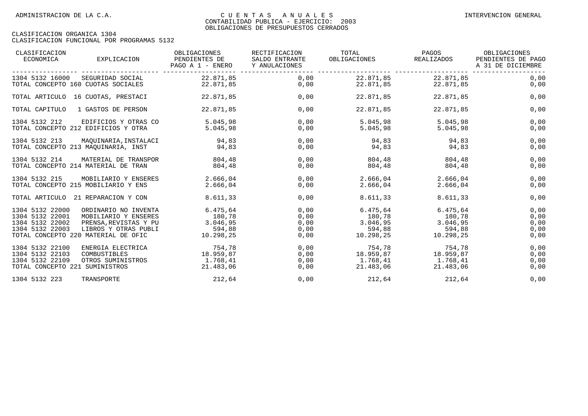| CLASIFICACION<br>ECONOMICA                                                              | EXPLICACION                                                                                                                          | OBLIGACIONES<br>PENDIENTES DE<br>PAGO A 1 - ENERO      | RECTIFICACION<br>SALDO ENTRANTE<br>Y ANULACIONES | TOTAL<br>OBLIGACIONES                                  | PAGOS<br>REALIZADOS                                             | OBLIGACIONES<br>PENDIENTES DE PAGO<br>A 31 DE DICIEMBRE |
|-----------------------------------------------------------------------------------------|--------------------------------------------------------------------------------------------------------------------------------------|--------------------------------------------------------|--------------------------------------------------|--------------------------------------------------------|-----------------------------------------------------------------|---------------------------------------------------------|
| 1304 5132 16000                                                                         | SEGURIDAD SOCIAL<br>TOTAL CONCEPTO 160 CUOTAS SOCIALES                                                                               | 22.871,85<br>22.871.85                                 | 0.00<br>0,00                                     | 22.871,85<br>22.871,85                                 | 22.871,85<br>22.871.85                                          | 0,00<br>0,00                                            |
|                                                                                         | TOTAL ARTICULO 16 CUOTAS, PRESTACI                                                                                                   | 22.871,85                                              | 0,00                                             | 22.871,85                                              | 22.871,85                                                       | 0,00                                                    |
| TOTAL CAPITULO                                                                          | 1 GASTOS DE PERSON                                                                                                                   | 22.871.85                                              | 0.00                                             | 22.871.85                                              | 22.871.85                                                       | 0,00                                                    |
| 1304 5132 212                                                                           | EDIFICIOS Y OTRAS CO<br>TOTAL CONCEPTO 212 EDIFICIOS Y OTRA                                                                          | 5.045,98<br>5.045,98                                   | 0.00<br>0,00                                     | 5.045,98<br>5.045,98                                   | 5.045,98<br>5.045,98                                            | 0,00<br>0,00                                            |
| 1304 5132 213                                                                           | MAOUINARIA,INSTALACI<br>TOTAL CONCEPTO 213 MAOUINARIA, INST                                                                          | 94,83<br>94,83                                         | 0,00<br>0,00                                     | 94,83<br>94,83                                         | 94,83<br>94,83                                                  | 0,00<br>0,00                                            |
| 1304 5132 214                                                                           | MATERIAL DE TRANSPOR<br>TOTAL CONCEPTO 214 MATERIAL DE TRAN                                                                          | 804,48<br>804,48                                       | 0,00<br>0,00                                     | 804,48<br>804,48                                       | 804,48<br>804,48                                                | 0,00<br>0,00                                            |
| 1304 5132 215                                                                           | MOBILIARIO Y ENSERES<br>TOTAL CONCEPTO 215 MOBILIARIO Y ENS                                                                          | 2.666.04<br>2.666.04                                   | 0.00<br>0,00                                     | 2.666.04<br>2.666.04                                   | 2.666,04<br>2.666.04                                            | 0,00<br>0,00                                            |
|                                                                                         | TOTAL ARTICULO 21 REPARACION Y CON                                                                                                   | 8.611.33                                               | 0,00                                             | 8.611,33                                               | 8.611,33                                                        | 0,00                                                    |
| 1304 5132 22000<br>1304 5132 22001<br>1304 5132 22002<br>1304 5132 22003                | ORDINARIO NO INVENTA<br>MOBILIARIO Y ENSERES<br>PRENSA, REVISTAS Y PU<br>LIBROS Y OTRAS PUBLI<br>TOTAL CONCEPTO 220 MATERIAL DE OFIC | 6.475,64<br>180,78<br>3.046,95<br>594,88<br>10.298, 25 | 0,00<br>0,00<br>0,00<br>0,00<br>0,00             | 6.475,64<br>180,78<br>3.046, 95<br>594,88<br>10.298,25 | 6.475,64<br>180,78<br>3.046,95<br>594,88<br>10.298, 25          | 0,00<br>0,00<br>0,00<br>0,00<br>0,00                    |
| 1304 5132 22100<br>1304 5132 22103<br>1304 5132 22109<br>TOTAL CONCEPTO 221 SUMINISTROS | ENERGIA ELECTRICA<br>COMBUSTIBLES<br>OTROS SUMINISTROS                                                                               | 754,78<br>18.959.87<br>1.768, 41<br>21.483,06          | 0,00<br>0,00<br>0,00<br>0,00                     | 754,78<br>18.959,87                                    | 754,78<br>18.959,87<br>1.768,41 1.768,41<br>21.483,06 21.483,06 | 0,00<br>0,00<br>0,00<br>0,00                            |
| 1304 5132 223                                                                           | TRANSPORTE                                                                                                                           | 212,64                                                 | 0,00                                             | 212,64                                                 | 212,64                                                          | 0,00                                                    |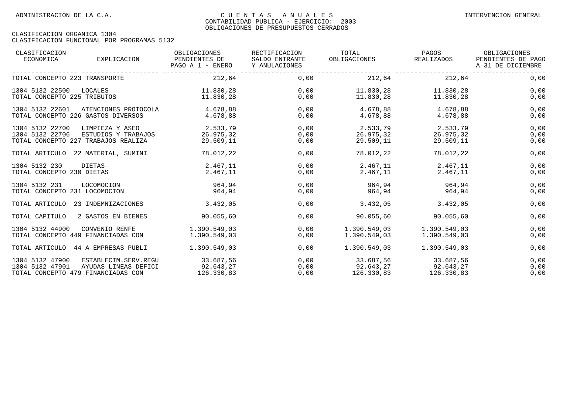| CLASIFICACION<br>ECONOMICA                                                | EXPLICACION                                  | OBLIGACIONES<br>PENDIENTES DE<br>PAGO A 1 - ENERO | RECTIFICACION<br>SALDO ENTRANTE<br>Y ANULACIONES | TOTAL<br>OBLIGACIONES                                    | PAGOS<br>REALIZADOS                | OBLIGACIONES<br>PENDIENTES DE PAGO<br>A 31 DE DICIEMBRE |
|---------------------------------------------------------------------------|----------------------------------------------|---------------------------------------------------|--------------------------------------------------|----------------------------------------------------------|------------------------------------|---------------------------------------------------------|
| TOTAL CONCEPTO 223 TRANSPORTE                                             |                                              | 212,64                                            | 0,00                                             |                                                          | 212,64 212,64                      | 0,00                                                    |
| 1304 5132 22500 LOCALES<br>TOTAL CONCEPTO 225 TRIBUTOS                    |                                              | 11.830.28<br>11.830,28                            | 0,00<br>0,00                                     | 11.830,28 11.830,28<br>11.830,28                         | 11.830,28                          | 0,00<br>0,00                                            |
| 1304 5132 22601<br>TOTAL CONCEPTO 226 GASTOS DIVERSOS                     | ATENCIONES PROTOCOLA                         | 4.678,88<br>4.678,88                              | 0,00<br>0,00                                     | 4.678.88<br>4.678,88                                     | 4.678,88<br>4.678,88               | 0,00<br>0,00                                            |
| 1304 5132 22700<br>1304 5132 22706<br>TOTAL CONCEPTO 227 TRABAJOS REALIZA | LIMPIEZA Y ASEO<br>ESTUDIOS Y TRABAJOS       | 2.533,79<br>26.975,32<br>29.509,11                | 0,00<br>0,00<br>0,00                             | 2.533,79<br>26.975,32<br>29.509,11                       | 2.533,79<br>26.975,32<br>29.509,11 | 0,00<br>0,00<br>0,00                                    |
| TOTAL ARTICULO                                                            | 22 MATERIAL, SUMINI                          | 78.012,22                                         | 0,00                                             | 78.012,22                                                | 78.012,22                          | 0,00                                                    |
| 1304 5132 230<br>TOTAL CONCEPTO 230 DIETAS                                | DIETAS                                       | 2.467,11<br>2.467,11                              | 0,00<br>0,00                                     | 2.467,11<br>2.467,11                                     | 2.467,11<br>2.467,11               | 0,00<br>0,00                                            |
| 1304 5132 231<br>TOTAL CONCEPTO 231 LOCOMOCION                            | LOCOMOCION                                   | 964,94<br>964,94                                  | 0,00<br>0,00                                     | 964,94<br>964,94                                         | 964,94<br>964,94                   | 0,00<br>0,00                                            |
| TOTAL ARTICULO                                                            | 23 INDEMNIZACIONES                           | 3.432,05                                          | 0,00                                             | 3.432,05                                                 | 3.432,05                           | 0,00                                                    |
| TOTAL CAPITULO                                                            | 2 GASTOS EN BIENES                           | 90.055,60                                         | 0.00                                             | 90.055,60                                                | 90.055,60                          | 0,00                                                    |
| 1304 5132 44900<br>TOTAL CONCEPTO 449 FINANCIADAS CON                     | CONVENIO RENFE                               | 1.390.549,03<br>1.390.549,03                      | 0,00<br>0,00                                     | 1.390.549,03<br>1.390.549,03                             | 1.390.549,03<br>1.390.549,03       | 0,00<br>0,00                                            |
| TOTAL ARTICULO 44 A EMPRESAS PUBLI                                        |                                              | 1.390.549,03                                      | 0,00                                             | 1.390.549,03                                             | 1.390.549,03                       | 0,00                                                    |
| 1304 5132 47900<br>1304 5132 47901<br>TOTAL CONCEPTO 479 FINANCIADAS CON  | ESTABLECIM.SERV.REGU<br>AYUDAS LINEAS DEFICI | 33.687,56<br>92.643,27<br>126.330,83              | 0,00<br>0,00<br>0,00                             | 33.687,56 33.687,56<br>92.643,27 92.643,27<br>126.330,83 | 126.330,83                         | 0,00<br>0,00<br>0,00                                    |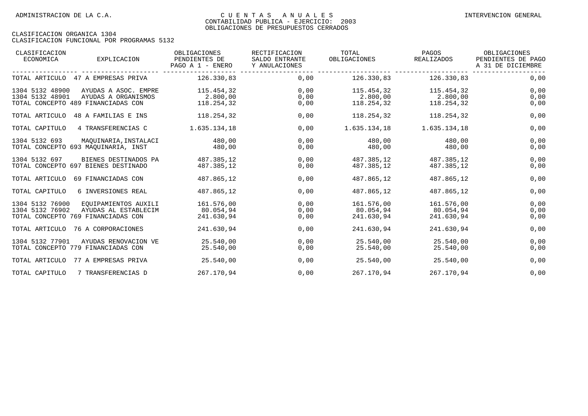| CLASIFICACION<br>ECONOMICA         | EXPLICACION                                                                        | OBLIGACIONES<br>PENDIENTES DE<br>PAGO A 1 - ENERO | RECTIFICACION<br>SALDO ENTRANTE<br>Y ANULACIONES | TOTAL<br>OBLIGACIONES                 | PAGOS<br>REALIZADOS                   | OBLIGACIONES<br>PENDIENTES DE PAGO<br>A 31 DE DICIEMBRE |
|------------------------------------|------------------------------------------------------------------------------------|---------------------------------------------------|--------------------------------------------------|---------------------------------------|---------------------------------------|---------------------------------------------------------|
|                                    | TOTAL ARTICULO 47 A EMPRESAS PRIVA                                                 | 126.330,83                                        | 0,00                                             | 126.330,83                            | 126.330,83                            | 0,00                                                    |
| 1304 5132 48900<br>1304 5132 48901 | AYUDAS A ASOC. EMPRE<br>AYUDAS A ORGANISMOS<br>TOTAL CONCEPTO 489 FINANCIADAS CON  | 115.454,32<br>2.800,00<br>118.254,32              | 0,00<br>0,00<br>0,00                             | 115.454,32<br>2.800,00<br>118.254,32  | 115.454,32<br>2.800,00<br>118.254,32  | 0,00<br>0,00<br>0,00                                    |
| TOTAL ARTICULO                     | 48 A FAMILIAS E INS                                                                | 118.254,32                                        | 0,00                                             | 118.254,32                            | 118.254,32                            | 0,00                                                    |
| TOTAL CAPITULO                     | 4 TRANSFERENCIAS C                                                                 | 1.635.134,18                                      | 0,00                                             | 1.635.134,18                          | 1.635.134,18                          | 0,00                                                    |
| 1304 5132 693                      | MAOUINARIA, INSTALACI<br>TOTAL CONCEPTO 693 MAQUINARIA, INST                       | 480,00<br>480,00                                  | 0,00<br>0,00                                     | 480,00<br>480,00                      | 480,00<br>480,00                      | 0,00<br>0,00                                            |
| 1304 5132 697                      | BIENES DESTINADOS PA<br>TOTAL CONCEPTO 697 BIENES DESTINADO                        | 487.385,12<br>487.385.12                          | 0,00<br>0,00                                     | 487.385,12<br>487.385,12              | 487.385,12<br>487.385,12              | 0,00<br>0,00                                            |
| TOTAL ARTICULO                     | 69 FINANCIADAS CON                                                                 | 487.865,12                                        | 0,00                                             | 487.865,12                            | 487.865.12                            | 0,00                                                    |
| TOTAL CAPITULO                     | 6 INVERSIONES REAL                                                                 | 487.865,12                                        | 0,00                                             | 487.865,12                            | 487.865,12                            | 0,00                                                    |
| 1304 5132 76900<br>1304 5132 76902 | EQUIPAMIENTOS AUXILI<br>AYUDAS AL ESTABLECIM<br>TOTAL CONCEPTO 769 FINANCIADAS CON | 161.576,00<br>80.054,94<br>241.630.94             | 0,00<br>0,00<br>0,00                             | 161.576,00<br>80.054,94<br>241.630,94 | 161.576,00<br>80.054,94<br>241.630,94 | 0,00<br>0,00<br>0,00                                    |
|                                    | TOTAL ARTICULO 76 A CORPORACIONES                                                  | 241.630,94                                        | 0,00                                             | 241.630,94                            | 241.630,94                            | 0,00                                                    |
| 1304 5132 77901                    | AYUDAS RENOVACION VE<br>TOTAL CONCEPTO 779 FINANCIADAS CON                         | 25.540.00<br>25.540,00                            | 0,00<br>0,00                                     | 25.540.00<br>25.540,00                | 25.540,00<br>25.540,00                | 0,00<br>0,00                                            |
|                                    | TOTAL ARTICULO 77 A EMPRESAS PRIVA                                                 | 25.540,00                                         | 0,00                                             | 25.540,00                             | 25.540,00                             | 0,00                                                    |
| TOTAL CAPITULO                     | 7 TRANSFERENCIAS D                                                                 | 267.170,94                                        | 0,00                                             | 267.170,94                            | 267.170,94                            | 0,00                                                    |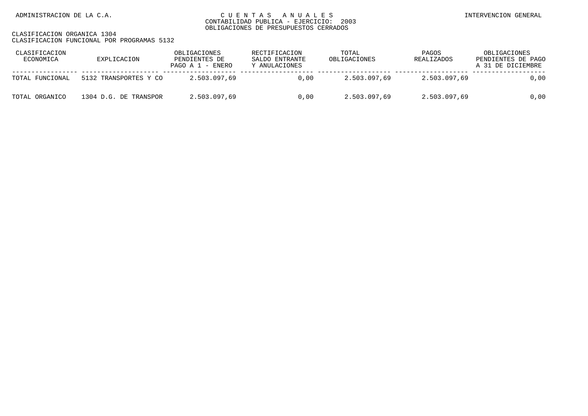| CLASIFICACION<br>ECONOMICA | EXPLICACION           | OBLIGACIONES<br>PENDIENTES DE<br>PAGO A $1$ - ENERO | RECTIFICACION<br>SALDO ENTRANTE<br>Y ANULACIONES | TOTAL<br>OBLIGACIONES | PAGOS<br>REALIZADOS | OBLIGACIONES<br>PENDIENTES DE PAGO<br>A 31 DE DICIEMBRE |
|----------------------------|-----------------------|-----------------------------------------------------|--------------------------------------------------|-----------------------|---------------------|---------------------------------------------------------|
| TOTAL FUNCIONAL            | 5132 TRANSPORTES Y CO | 2.503.097,69                                        | 0.00                                             | 2.503.097.69          | 2.503.097,69        | 0,00                                                    |
| TOTAL ORGANICO             | 1304 D.G. DE TRANSPOR | 2.503.097,69                                        | 0.00                                             | 2.503.097,69          | 2.503.097,69        | 0,00                                                    |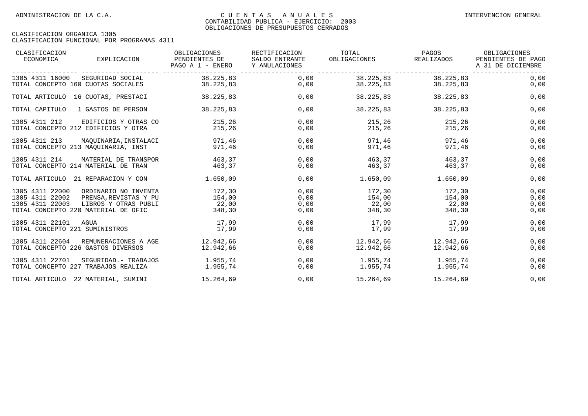| CLASIFICACION<br>ECONOMICA                                                                   | EXPLICACION                                                           | OBLIGACIONES<br>PENDIENTES DE<br>PAGO A 1 - ENERO | RECTIFICACION<br>SALDO ENTRANTE<br>Y ANULACIONES | TOTAL<br>OBLIGACIONES               | PAGOS<br>REALIZADOS                 | OBLIGACIONES<br>PENDIENTES DE PAGO<br>A 31 DE DICIEMBRE |
|----------------------------------------------------------------------------------------------|-----------------------------------------------------------------------|---------------------------------------------------|--------------------------------------------------|-------------------------------------|-------------------------------------|---------------------------------------------------------|
| 1305 4311 16000<br>TOTAL CONCEPTO 160 CUOTAS SOCIALES                                        | SEGURIDAD SOCIAL                                                      | 38.225,83<br>38.225,83                            | 0.00<br>0,00                                     | 38.225,83                           | 38.225,83 38.225,83<br>38.225,83    | 0,00<br>0,00                                            |
| TOTAL ARTICULO 16 CUOTAS, PRESTACI                                                           |                                                                       | 38.225,83                                         | 0,00                                             | 38.225,83                           | 38.225,83                           | 0,00                                                    |
| TOTAL CAPITULO                                                                               | 1 GASTOS DE PERSON                                                    | 38.225,83                                         | 0,00                                             | 38.225,83                           | 38.225,83                           | 0,00                                                    |
| 1305 4311 212<br>TOTAL CONCEPTO 212 EDIFICIOS Y OTRA                                         | EDIFICIOS Y OTRAS CO                                                  | 215,26<br>215,26                                  | 0,00<br>0,00                                     | 215,26<br>215,26                    | 215,26<br>215,26                    | 0,00<br>0,00                                            |
| 1305 4311 213<br>TOTAL CONCEPTO 213 MAOUINARIA, INST                                         | MAOUINARIA, INSTALACI                                                 | 971,46<br>971,46                                  | 0,00<br>0,00                                     | 971,46<br>971,46                    | 971,46<br>971,46                    | 0,00<br>0,00                                            |
| 1305 4311 214<br>TOTAL CONCEPTO 214 MATERIAL DE TRAN                                         | MATERIAL DE TRANSPOR                                                  | 463,37<br>463,37                                  | 0,00<br>0,00                                     | 463,37<br>463,37                    | 463,37<br>463,37                    | 0,00<br>0,00                                            |
| TOTAL ARTICULO 21 REPARACION Y CON                                                           |                                                                       | 1.650,09                                          | 0,00                                             | 1.650,09                            | 1.650,09                            | 0,00                                                    |
| 1305 4311 22000<br>1305 4311 22002<br>1305 4311 22003<br>TOTAL CONCEPTO 220 MATERIAL DE OFIC | ORDINARIO NO INVENTA<br>PRENSA, REVISTAS Y PU<br>LIBROS Y OTRAS PUBLI | 172,30<br>154,00<br>22,00<br>348,30               | 0,00<br>0,00<br>0,00<br>0,00                     | 172,30<br>154,00<br>22,00<br>348,30 | 172,30<br>154,00<br>22,00<br>348,30 | 0,00<br>0,00<br>0,00<br>0,00                            |
| 1305 4311 22101<br>TOTAL CONCEPTO 221 SUMINISTROS                                            | AGUA                                                                  | 17,99<br>17,99                                    | 0,00<br>0,00                                     | 17,99<br>17,99                      | 17,99<br>17,99                      | 0,00<br>0,00                                            |
| 1305 4311 22604<br>TOTAL CONCEPTO 226 GASTOS DIVERSOS                                        | REMUNERACIONES A AGE                                                  | 12.942,66<br>12.942,66                            | 0,00<br>0,00                                     | 12.942,66                           | 12.942,66 12.942,66<br>12.942,66    | 0,00<br>0,00                                            |
| 1305 4311 22701<br>TOTAL CONCEPTO 227 TRABAJOS REALIZA                                       | SEGURIDAD. - TRABAJOS 1.955,74                                        | 1.955,74                                          | 0,00<br>0,00                                     | $1.955, 74$ $1.955, 74$<br>1.955,74 | 1.955,74                            | 0,00<br>0,00                                            |
| TOTAL ARTICULO 22 MATERIAL, SUMINI                                                           |                                                                       | 15.264,69                                         | 0,00                                             | 15.264,69                           | 15.264,69                           | 0,00                                                    |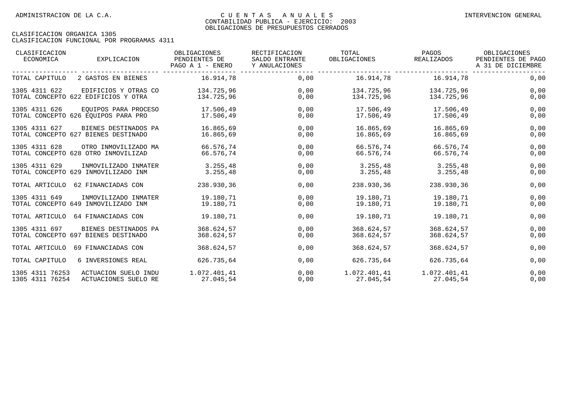| CLASIFICACION<br>ECONOMICA         | EXPLICACION                                                 | OBLIGACIONES<br>PENDIENTES DE<br>PAGO A 1 - ENERO | RECTIFICACION<br>SALDO ENTRANTE<br>Y ANULACIONES | TOTAL<br>OBLIGACIONES    | PAGOS<br>REALIZADOS              | OBLIGACIONES<br>PENDIENTES DE PAGO<br>A 31 DE DICIEMBRE |
|------------------------------------|-------------------------------------------------------------|---------------------------------------------------|--------------------------------------------------|--------------------------|----------------------------------|---------------------------------------------------------|
| TOTAL CAPITULO                     | 2 GASTOS EN BIENES                                          | 16.914,78                                         | 0,00                                             |                          |                                  | 0,00                                                    |
| 1305 4311 622                      | EDIFICIOS Y OTRAS CO<br>TOTAL CONCEPTO 622 EDIFICIOS Y OTRA | 134.725,96<br>134.725,96                          | 0,00<br>0,00                                     | 134.725,96<br>134.725,96 | 134.725,96<br>134.725,96         | 0,00<br>0,00                                            |
| 1305 4311 626                      | EOUIPOS PARA PROCESO<br>TOTAL CONCEPTO 626 EOUIPOS PARA PRO | 17.506,49<br>17.506,49                            | 0,00<br>0,00                                     | 17.506,49<br>17.506,49   | 17.506,49<br>17.506,49           | 0,00<br>0,00                                            |
| 1305 4311 627                      | BIENES DESTINADOS PA<br>TOTAL CONCEPTO 627 BIENES DESTINADO | 16.865,69<br>16.865.69                            | 0,00<br>0,00                                     | 16.865,69<br>16.865,69   | 16.865,69<br>16.865,69           | 0,00<br>0,00                                            |
| 1305 4311 628                      | OTRO INMOVILIZADO MA<br>TOTAL CONCEPTO 628 OTRO INMOVILIZAD | 66.576,74<br>66.576.74                            | 0,00<br>0,00                                     | 66.576,74<br>66.576,74   | 66.576,74<br>66.576,74           | 0,00<br>0,00                                            |
| 1305 4311 629                      | INMOVILIZADO INMATER<br>TOTAL CONCEPTO 629 INMOVILIZADO INM | 3.255,48<br>3.255,48                              | 0,00<br>0,00                                     | 3.255,48<br>3.255,48     | 3.255,48<br>3.255,48             | 0,00<br>0,00                                            |
|                                    | TOTAL ARTICULO 62 FINANCIADAS CON                           | 238.930,36                                        | 0,00                                             | 238.930,36               | 238.930,36                       | 0,00                                                    |
| 1305 4311 649                      | INMOVILIZADO INMATER<br>TOTAL CONCEPTO 649 INMOVILIZADO INM | 19.180.71<br>19.180,71                            | 0,00<br>0,00                                     | 19.180,71                | 19.180.71 19.180.71<br>19.180,71 | 0,00<br>0,00                                            |
|                                    | TOTAL ARTICULO 64 FINANCIADAS CON                           | 19.180,71                                         | 0,00                                             | 19.180,71                | 19.180,71                        | 0,00                                                    |
| 1305 4311 697                      | BIENES DESTINADOS PA<br>TOTAL CONCEPTO 697 BIENES DESTINADO | 368.624,57<br>368.624,57                          | 0,00<br>0,00                                     | 368.624,57<br>368.624,57 | 368.624,57<br>368.624,57         | 0,00<br>0,00                                            |
| TOTAL ARTICULO                     | 69 FINANCIADAS CON                                          | 368.624,57                                        | 0,00                                             | 368.624,57               | 368.624,57                       | 0,00                                                    |
| TOTAL CAPITULO                     | 6 INVERSIONES REAL                                          | 626.735,64                                        | 0,00                                             | 626.735,64               | 626.735,64                       | 0,00                                                    |
| 1305 4311 76253<br>1305 4311 76254 | ACTUACION SUELO INDU<br>ACTUACIONES SUELO RE                | 1.072.401.41<br>27.045,54                         | 0,00<br>0,00                                     | 27.045,54                | 27.045,54                        | 0,00<br>0,00                                            |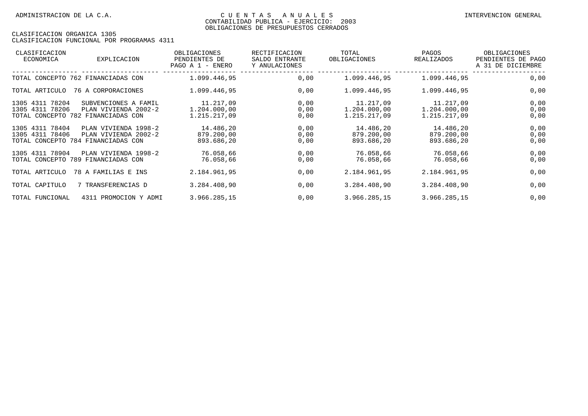| CLASIFICACION<br>ECONOMICA                                               | <b>EXPLICACION</b>                           | OBLIGACIONES<br>PENDIENTES DE<br>PAGO A 1 - ENERO | RECTIFICACION<br>SALDO ENTRANTE<br>Y ANULACIONES | TOTAL<br>OBLIGACIONES                     | PAGOS<br><b>REALIZADOS</b>                | OBLIGACIONES<br>PENDIENTES DE PAGO<br>A 31 DE DICIEMBRE |
|--------------------------------------------------------------------------|----------------------------------------------|---------------------------------------------------|--------------------------------------------------|-------------------------------------------|-------------------------------------------|---------------------------------------------------------|
|                                                                          | TOTAL CONCEPTO 762 FINANCIADAS CON           | 1.099.446,95                                      | 0,00                                             | 1.099.446,95                              | 1.099.446,95                              | 0,00                                                    |
| TOTAL ARTICULO                                                           | 76 A CORPORACIONES                           | 1.099.446,95                                      | 0,00                                             | 1.099.446,95                              | 1.099.446,95                              | 0,00                                                    |
| 1305 4311 78204<br>1305 4311 78206<br>TOTAL CONCEPTO 782 FINANCIADAS CON | SUBVENCIONES A FAMIL<br>PLAN VIVIENDA 2002-2 | 11.217,09<br>1.204.000,00<br>1.215.217,09         | 0,00<br>0,00<br>0,00                             | 11.217,09<br>1.204.000,00<br>1.215.217,09 | 11.217,09<br>1.204.000,00<br>1.215.217,09 | 0,00<br>0,00<br>0,00                                    |
| 1305 4311 78404<br>1305 4311 78406<br>TOTAL CONCEPTO 784 FINANCIADAS CON | PLAN VIVIENDA 1998-2<br>PLAN VIVIENDA 2002-2 | 14.486,20<br>879.200,00<br>893.686,20             | 0,00<br>0,00<br>0,00                             | 14.486,20<br>879.200,00<br>893.686,20     | 14.486,20<br>879.200,00<br>893.686,20     | 0,00<br>0,00<br>0,00                                    |
| 1305 4311 78904<br>TOTAL CONCEPTO 789 FINANCIADAS CON                    | PLAN VIVIENDA 1998-2                         | 76.058,66<br>76.058,66                            | 0,00<br>0,00                                     | 76.058,66<br>76.058,66                    | 76.058,66<br>76.058,66                    | 0,00<br>0,00                                            |
| TOTAL ARTICULO                                                           | 78 A FAMILIAS E INS                          | 2.184.961,95                                      | 0,00                                             | 2.184.961,95                              | 2.184.961,95                              | 0,00                                                    |
| TOTAL CAPITULO                                                           | 7 TRANSFERENCIAS D                           | 3.284.408,90                                      | 0,00                                             | 3.284.408,90                              | 3.284.408,90                              | 0,00                                                    |
| TOTAL FUNCIONAL                                                          | 4311 PROMOCION Y ADMI                        | 3.966.285,15                                      | 0,00                                             | 3.966.285,15                              | 3.966.285,15                              | 0,00                                                    |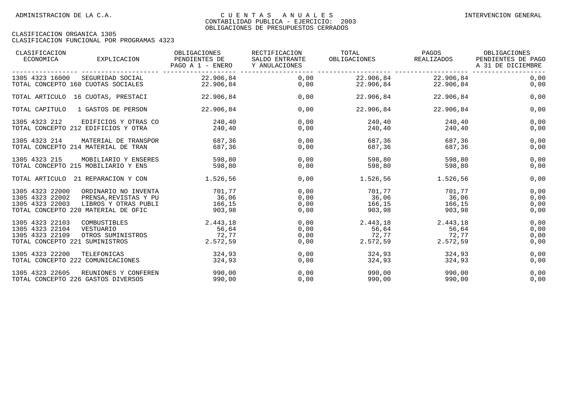| CLASIFICACION<br>ECONOMICA         | EXPLICACION                         | OBLIGACIONES<br>PENDIENTES DE<br>PAGO A 1 - ENERO | RECTIFICACION<br>SALDO ENTRANTE<br>Y ANULACIONES | TOTAL<br>OBLIGACIONES | PAGOS<br>REALIZADOS | OBLIGACIONES<br>PENDIENTES DE PAGO<br>A 31 DE DICIEMBRE |
|------------------------------------|-------------------------------------|---------------------------------------------------|--------------------------------------------------|-----------------------|---------------------|---------------------------------------------------------|
| 1305 4323 16000                    | SEGURIDAD SOCIAL                    | 22.906,84                                         | 0,00                                             |                       | 22.906,84 22.906,84 | 0,00                                                    |
| TOTAL CONCEPTO 160 CUOTAS SOCIALES |                                     | 22.906,84                                         | 0,00                                             |                       | 22.906,84 22.906,84 | 0,00                                                    |
|                                    | TOTAL ARTICULO 16 CUOTAS, PRESTACI  | 22.906,84                                         | 0,00                                             | 22.906,84             | 22.906,84           | 0,00                                                    |
| TOTAL CAPITULO                     | 1 GASTOS DE PERSON                  | 22.906,84                                         | 0,00                                             | 22.906,84             | 22.906,84           | 0,00                                                    |
| 1305 4323 212                      | EDIFICIOS Y OTRAS CO                | 240,40                                            | 0,00                                             | 240,40                | 240,40              | 0,00                                                    |
|                                    | TOTAL CONCEPTO 212 EDIFICIOS Y OTRA | 240,40                                            | 0,00                                             | 240,40                | 240,40              | 0,00                                                    |
| 1305 4323 214                      | MATERIAL DE TRANSPOR                | 687,36                                            | 0,00                                             | 687,36                | 687,36              | 0,00                                                    |
|                                    | TOTAL CONCEPTO 214 MATERIAL DE TRAN | 687,36                                            | 0,00                                             | 687,36                | 687,36              | 0,00                                                    |
| 1305 4323 215                      | MOBILIARIO Y ENSERES                | 598,80                                            | 0,00                                             | 598,80                | 598,80              | 0,00                                                    |
|                                    | TOTAL CONCEPTO 215 MOBILIARIO Y ENS | 598,80                                            | 0,00                                             | 598,80                | 598,80              | 0,00                                                    |
|                                    | TOTAL ARTICULO 21 REPARACION Y CON  | 1.526,56                                          | 0,00                                             | 1.526,56              | 1.526,56            | 0,00                                                    |
| 1305 4323 22000                    | ORDINARIO NO INVENTA                | 701.77                                            | 0,00                                             | 701,77                | 701,77              | 0,00                                                    |
| 1305 4323 22002                    | PRENSA, REVISTAS Y PU               | 36,06                                             | 0,00                                             | 36,06                 | 36,06               | 0,00                                                    |
| 1305 4323 22003                    | LIBROS Y OTRAS PUBLI                | 166,15                                            | 0,00                                             | 166,15                | 166,15              | 0,00                                                    |
|                                    | TOTAL CONCEPTO 220 MATERIAL DE OFIC | 903,98                                            | 0,00                                             | 903,98                | 903,98              | 0,00                                                    |
| 1305 4323 22103                    | COMBUSTIBLES                        | 2.443,18                                          | 0,00                                             | 2.443,18              | 2.443,18            | 0,00                                                    |
| 1305 4323 22104                    | VESTUARIO                           | 56,64                                             | 0,00                                             | 56,64                 | 56,64               | 0,00                                                    |
| 1305 4323 22109                    | OTROS SUMINISTROS                   | 72,77                                             | 0,00                                             | 72,77                 | 72,77               | 0,00                                                    |
| TOTAL CONCEPTO 221 SUMINISTROS     |                                     | 2.572,59                                          | 0,00                                             | 2.572,59              | 2.572,59            | 0,00                                                    |
| 1305 4323 22200                    | TELEFONICAS                         | 324,93                                            | 0,00                                             | 324,93                | 324,93              | 0,00                                                    |
| TOTAL CONCEPTO 222 COMUNICACIONES  |                                     | 324,93                                            | 0,00                                             | 324,93                | 324,93              | 0,00                                                    |
| 1305 4323 22605                    | REUNIONES Y CONFEREN                | 990,00                                            | 0,00                                             | 990,00                | 990,00              | 0,00                                                    |
| TOTAL CONCEPTO 226 GASTOS DIVERSOS |                                     | 990,00                                            | 0,00                                             | 990,00                | 990,00              | 0,00                                                    |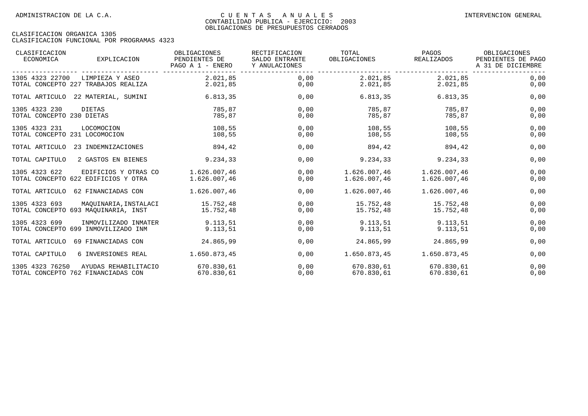| CLASIFICACION<br>ECONOMICA                             | EXPLICACION           | OBLIGACIONES<br>PENDIENTES DE<br>PAGO A 1 - ENERO | RECTIFICACION<br>SALDO ENTRANTE<br>Y ANULACIONES | TOTAL<br>OBLIGACIONES        | PAGOS<br>REALIZADOS          | OBLIGACIONES<br>PENDIENTES DE PAGO<br>A 31 DE DICIEMBRE |
|--------------------------------------------------------|-----------------------|---------------------------------------------------|--------------------------------------------------|------------------------------|------------------------------|---------------------------------------------------------|
| 1305 4323 22700<br>TOTAL CONCEPTO 227 TRABAJOS REALIZA | LIMPIEZA Y ASEO       | 2.021,85<br>2.021,85                              | 0,00<br>0,00                                     | 2.021,85<br>2.021,85         | 2.021,85<br>2.021,85         | 0,00<br>0,00                                            |
| TOTAL ARTICULO 22 MATERIAL, SUMINI                     |                       | 6.813,35                                          | 0,00                                             | 6.813,35                     | 6.813, 35                    | 0,00                                                    |
| 1305 4323 230<br>TOTAL CONCEPTO 230 DIETAS             | DIETAS                | 785,87<br>785,87                                  | 0.00<br>0,00                                     | 785,87<br>785,87             | 785,87<br>785,87             | 0,00<br>0,00                                            |
| 1305 4323 231<br>TOTAL CONCEPTO 231 LOCOMOCION         | LOCOMOCION            | 108,55<br>108,55                                  | 0,00<br>0,00                                     | 108,55<br>108,55             | 108,55<br>108,55             | 0,00<br>0,00                                            |
| TOTAL ARTICULO                                         | 23 INDEMNIZACIONES    | 894,42                                            | 0,00                                             | 894,42                       | 894,42                       | 0,00                                                    |
| TOTAL CAPITULO                                         | 2 GASTOS EN BIENES    | 9.234,33                                          | 0,00                                             | 9.234,33                     | 9.234,33                     | 0,00                                                    |
| 1305 4323 622<br>TOTAL CONCEPTO 622 EDIFICIOS Y OTRA   | EDIFICIOS Y OTRAS CO  | 1.626.007.46<br>1.626.007,46                      | 0,00<br>0,00                                     | 1.626.007,46<br>1.626.007,46 | 1.626.007.46<br>1.626.007,46 | 0,00<br>0,00                                            |
| TOTAL ARTICULO                                         | 62 FINANCIADAS CON    | 1.626.007.46                                      | 0,00                                             | 1.626.007.46                 | 1.626.007.46                 | 0,00                                                    |
| 1305 4323 693<br>TOTAL CONCEPTO 693 MAOUINARIA, INST   | MAOUINARIA, INSTALACI | 15.752,48<br>15.752,48                            | 0,00<br>0,00                                     | 15.752,48<br>15.752,48       | 15.752,48<br>15.752,48       | 0,00<br>0,00                                            |
| 1305 4323 699<br>TOTAL CONCEPTO 699 INMOVILIZADO INM   | INMOVILIZADO INMATER  | 9.113,51<br>9.113,51                              | 0,00<br>0,00                                     | 9.113,51<br>9.113,51         | 9.113,51<br>9.113.51         | 0,00<br>0,00                                            |
| TOTAL ARTICULO                                         | 69 FINANCIADAS CON    | 24.865,99                                         | 0,00                                             | 24.865,99                    | 24.865,99                    | 0,00                                                    |
| TOTAL CAPITULO                                         | 6 INVERSIONES REAL    | 1.650.873,45                                      | 0,00                                             | 1.650.873,45                 | 1.650.873,45                 | 0,00                                                    |
| 1305 4323 76250<br>TOTAL CONCEPTO 762 FINANCIADAS CON  | AYUDAS REHABILITACIO  | 670.830,61<br>670.830,61                          | 0,00<br>0,00                                     | 670.830,61<br>670.830,61     | 670.830,61<br>670.830,61     | 0,00<br>0,00                                            |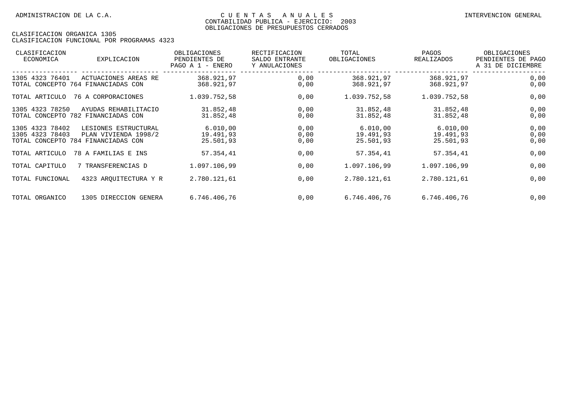| CLASIFICACION<br>ECONOMICA                                                  | EXPLICACION                                  | OBLIGACIONES<br>PENDIENTES DE<br>PAGO A 1 - ENERO | RECTIFICACION<br>SALDO ENTRANTE<br>Y ANULACIONES | TOTAL<br>OBLIGACIONES              | PAGOS<br>REALIZADOS                | OBLIGACIONES<br>PENDIENTES DE PAGO<br>A 31 DE DICIEMBRE |
|-----------------------------------------------------------------------------|----------------------------------------------|---------------------------------------------------|--------------------------------------------------|------------------------------------|------------------------------------|---------------------------------------------------------|
| 1305 4323 76401<br>TOTAL CONCEPTO 764 FINANCIADAS CON                       | ACTUACIONES AREAS RE                         | 368.921,97<br>368.921,97                          | 0,00<br>0,00                                     | 368.921,97<br>368.921,97           | 368.921,97<br>368.921,97           | 0,00<br>0,00                                            |
| TOTAL ARTICULO                                                              | 76 A CORPORACIONES                           | 1.039.752,58                                      | 0,00                                             | 1.039.752,58                       | 1.039.752,58                       | 0,00                                                    |
| 1305 4323 78250<br>TOTAL CONCEPTO 782 FINANCIADAS CON                       | AYUDAS REHABILITACIO                         | 31.852,48<br>31.852,48                            | 0,00<br>0,00                                     | 31.852,48<br>31.852,48             | 31.852,48<br>31.852,48             | 0,00<br>0,00                                            |
| 78402<br>1305 4323<br>1305 4323 78403<br>TOTAL CONCEPTO 784 FINANCIADAS CON | LESIONES ESTRUCTURAL<br>PLAN VIVIENDA 1998/2 | 6.010,00<br>19.491,93<br>25.501,93                | 0,00<br>0,00<br>0,00                             | 6.010,00<br>19.491,93<br>25.501,93 | 6.010,00<br>19.491,93<br>25.501,93 | 0,00<br>0,00<br>0,00                                    |
| TOTAL ARTICULO                                                              | 78 A FAMILIAS E INS                          | 57.354,41                                         | 0,00                                             | 57.354,41                          | 57.354,41                          | 0,00                                                    |
| TOTAL CAPITULO                                                              | 7 TRANSFERENCIAS D                           | 1.097.106,99                                      | 0,00                                             | 1.097.106,99                       | 1.097.106,99                       | 0,00                                                    |
| TOTAL FUNCIONAL                                                             | 4323 AROUITECTURA Y R                        | 2.780.121,61                                      | 0,00                                             | 2.780.121,61                       | 2.780.121,61                       | 0,00                                                    |
| TOTAL ORGANICO                                                              | 1305 DIRECCION GENERA                        | 6.746.406,76                                      | 0,00                                             | 6.746.406,76                       | 6.746.406,76                       | 0,00                                                    |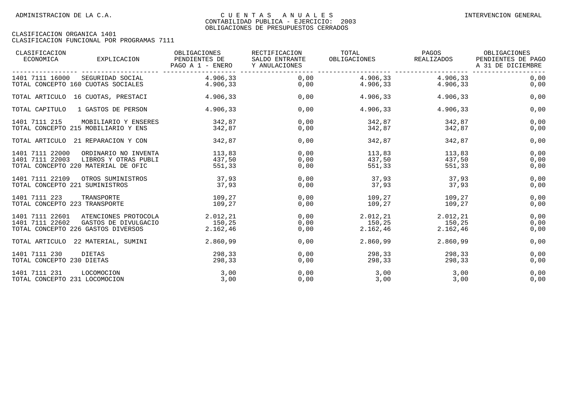| CLASIFICACION<br>ECONOMICA                        | EXPLICACION                                                                         | OBLIGACIONES<br>PENDIENTES DE<br>PAGO A 1 - ENERO | RECTIFICACION<br>SALDO ENTRANTE<br>Y ANULACIONES | TOTAL<br>OBLIGACIONES            | PAGOS<br>REALIZADOS            | OBLIGACIONES<br>PENDIENTES DE PAGO<br>A 31 DE DICIEMBRE |
|---------------------------------------------------|-------------------------------------------------------------------------------------|---------------------------------------------------|--------------------------------------------------|----------------------------------|--------------------------------|---------------------------------------------------------|
| 1401 7111 16000                                   | SEGURIDAD SOCIAL<br>TOTAL CONCEPTO 160 CUOTAS SOCIALES                              | 4.906,33<br>4.906,33                              | 0.00<br>0,00                                     | 4.906,33<br>4.906,33             | 4.906,33<br>4.906,33           | 0,00<br>0,00                                            |
|                                                   | TOTAL ARTICULO 16 CUOTAS, PRESTACI                                                  | 4.906,33                                          | 0,00                                             | 4.906,33                         | 4.906,33                       | 0,00                                                    |
| TOTAL CAPITULO                                    | 1 GASTOS DE PERSON                                                                  | 4.906,33                                          | 0,00                                             | 4.906,33                         | 4.906,33                       | 0,00                                                    |
| 1401 7111 215                                     | MOBILIARIO Y ENSERES<br>TOTAL CONCEPTO 215 MOBILIARIO Y ENS                         | 342.87<br>342,87                                  | 0.00<br>0,00                                     | 342,87<br>342,87                 | 342,87<br>342,87               | 0,00<br>0,00                                            |
|                                                   | TOTAL ARTICULO 21 REPARACION Y CON                                                  | 342,87                                            | 0,00                                             | 342,87                           | 342,87                         | 0,00                                                    |
| 1401 7111 22000<br>1401 7111 22003                | ORDINARIO NO INVENTA<br>LIBROS Y OTRAS PUBLI<br>TOTAL CONCEPTO 220 MATERIAL DE OFIC | 113,83<br>437,50<br>551,33                        | 0,00<br>0,00<br>0,00                             | 113,83<br>437,50<br>551,33       | 113,83<br>437,50<br>551,33     | 0,00<br>0,00<br>0,00                                    |
| 1401 7111 22109<br>TOTAL CONCEPTO 221 SUMINISTROS | OTROS SUMINISTROS                                                                   | 37,93<br>37,93                                    | 0,00<br>0,00                                     | 37,93<br>37,93                   | 37,93<br>37,93                 | 0,00<br>0,00                                            |
| 1401 7111 223<br>TOTAL CONCEPTO 223 TRANSPORTE    | TRANSPORTE                                                                          | 109,27<br>109,27                                  | 0,00<br>0,00                                     | 109,27<br>109,27                 | 109,27<br>109,27               | 0,00<br>0,00                                            |
| 1401 7111 22601<br>1401 7111 22602                | ATENCIONES PROTOCOLA<br>GASTOS DE DIVULGACIO<br>TOTAL CONCEPTO 226 GASTOS DIVERSOS  | 2.012,21<br>150, 25<br>2.162,46                   | 0,00<br>0,00<br>0,00                             | 2.012, 21<br>150, 25<br>2.162,46 | 2.012,21<br>150,25<br>2.162,46 | 0,00<br>0,00<br>0,00                                    |
|                                                   | TOTAL ARTICULO 22 MATERIAL, SUMINI                                                  | 2.860,99                                          | 0,00                                             | 2.860,99                         | 2.860,99                       | 0,00                                                    |
| 1401 7111 230<br>TOTAL CONCEPTO 230 DIETAS        | DIETAS                                                                              | 298,33<br>298,33                                  | 0,00<br>0,00                                     | 298,33<br>298,33                 | 298,33<br>298,33               | 0,00<br>0,00                                            |
| 1401 7111 231<br>TOTAL CONCEPTO 231 LOCOMOCION    | LOCOMOCION                                                                          | 3,00<br>3,00                                      | 0,00<br>0,00                                     | 3,00<br>3,00                     | 3,00<br>3,00                   | 0,00<br>0,00                                            |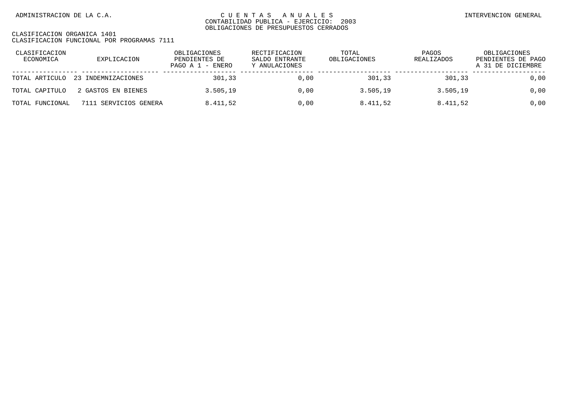| CLASIFICACION<br>ECONOMICA | EXPLICACION           | OBLIGACIONES<br>PENDIENTES DE<br>PAGO A 1 - ENERO | RECTIFICACION<br>SALDO ENTRANTE<br>Y ANULACIONES | TOTAL<br>OBLIGACIONES | PAGOS<br>REALIZADOS | OBLIGACIONES<br>PENDIENTES DE PAGO<br>A 31 DE DICIEMBRE |
|----------------------------|-----------------------|---------------------------------------------------|--------------------------------------------------|-----------------------|---------------------|---------------------------------------------------------|
| TOTAL ARTICULO             | 23 INDEMNIZACIONES    | 301,33                                            | 0.00                                             | 301,33                | 301,33              | 0,00                                                    |
| TOTAL CAPITULO             | 2 GASTOS EN BIENES    | 3.505.19                                          | 0.00                                             | 3.505,19              | 3.505,19            | 0,00                                                    |
| TOTAL FUNCIONAL            | 7111 SERVICIOS GENERA | 8.411,52                                          | 0,00                                             | 8.411,52              | 8.411,52            | 0,00                                                    |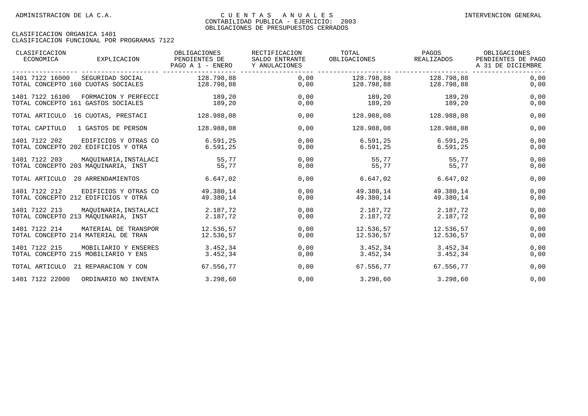| CLASIFICACION<br>ECONOMICA                            | EXPLICACION           | OBLIGACIONES<br>PENDIENTES DE<br>PAGO A 1 - ENERO | RECTIFICACION<br>SALDO ENTRANTE<br>Y ANULACIONES | TOTAL<br>OBLIGACIONES           | PAGOS<br>REALIZADOS              | OBLIGACIONES<br>PENDIENTES DE PAGO<br>A 31 DE DICIEMBRE |
|-------------------------------------------------------|-----------------------|---------------------------------------------------|--------------------------------------------------|---------------------------------|----------------------------------|---------------------------------------------------------|
| 1401 7122 16000<br>TOTAL CONCEPTO 160 CUOTAS SOCIALES | SEGURIDAD SOCIAL      | 128.798.88<br>128.798,88                          | - - -------------------<br>0,00                  | $0,00$ 128.798,88<br>128.798,88 | 128.798.88<br>128.798,88         | 0,00<br>0,00                                            |
| 1401 7122 16100<br>TOTAL CONCEPTO 161 GASTOS SOCIALES | FORMACION Y PERFECCI  | 189,20<br>189,20                                  | 0,00<br>0,00                                     | 189,20<br>189,20                | 189,20<br>189,20                 | 0,00<br>0,00                                            |
| TOTAL ARTICULO 16 CUOTAS, PRESTACI                    |                       | 128.988,08                                        | 0,00                                             | 128.988,08                      | 128.988,08                       | 0,00                                                    |
| TOTAL CAPITULO                                        | 1 GASTOS DE PERSON    | 128.988,08                                        | 0,00                                             | 128.988,08                      | 128.988,08                       | 0,00                                                    |
| 1401 7122 202<br>TOTAL CONCEPTO 202 EDIFICIOS Y OTRA  | EDIFICIOS Y OTRAS CO  | 6.591,25<br>6.591.25                              | 0,00<br>0,00                                     | 6.591,25<br>6.591,25            | 6.591,25<br>6.591.25             | 0,00<br>0,00                                            |
| 1401 7122 203<br>TOTAL CONCEPTO 203 MAOUINARIA, INST  | MAOUINARIA, INSTALACI | 55,77<br>55,77                                    | 0,00<br>0,00                                     | 55,77<br>55,77                  | 55,77<br>55,77                   | 0,00<br>0,00                                            |
| TOTAL ARTICULO 20 ARRENDAMIENTOS                      |                       | 6.647,02                                          | 0,00                                             | 6.647,02                        | 6.647,02                         | 0,00                                                    |
| 1401 7122 212<br>TOTAL CONCEPTO 212 EDIFICIOS Y OTRA  | EDIFICIOS Y OTRAS CO  | 49.380,14<br>49.380,14                            | 0,00<br>0,00                                     | 49.380,14<br>49.380,14          | 49.380,14<br>49.380,14           | 0,00<br>0,00                                            |
| 1401 7122 213<br>TOTAL CONCEPTO 213 MAOUINARIA, INST  | MAQUINARIA, INSTALACI | 2.187,72<br>2.187,72                              | 0,00<br>0,00                                     | 2.187,72<br>2.187,72            | 2.187,72<br>2.187,72             | 0,00<br>0,00                                            |
| 1401 7122 214<br>TOTAL CONCEPTO 214 MATERIAL DE TRAN  | MATERIAL DE TRANSPOR  | 12.536,57<br>12.536,57                            | 0,00<br>0,00                                     | 12.536,57                       | 12.536,57 12.536,57<br>12.536,57 | 0,00<br>0,00                                            |
| 1401 7122 215<br>TOTAL CONCEPTO 215 MOBILIARIO Y ENS  | MOBILIARIO Y ENSERES  | 3.452,34<br>3.452,34                              | 0,00<br>0,00                                     | 3.452,34<br>3.452,34            | 3.452,34<br>3.452,34             | 0,00<br>0,00                                            |
| TOTAL ARTICULO 21 REPARACION Y CON                    |                       | 67.556,77                                         | 0,00                                             | 67.556,77                       | 67.556,77                        | 0,00                                                    |
| 1401 7122 22000                                       | ORDINARIO NO INVENTA  | 3.298,60                                          | 0,00                                             | 3.298,60                        | 3.298,60                         | 0,00                                                    |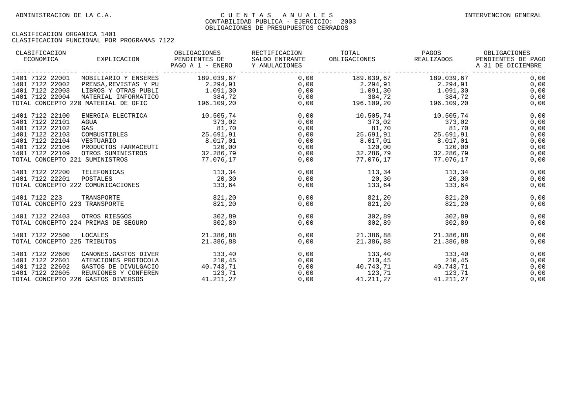| CLASIFICACION<br>EXPLICACION<br>ECONOMICA                                                           | OBLIGACIONES<br>PENDIENTES DE<br>PAGO A 1 - ENERO Y ANULACIONES | RECTIFICACION<br>SALDO ENTRANTE | TOTAL<br>OBLIGACIONES REALIZADOS                                                                                                                                                                                                                                                                                                                  | PAGOS                     | OBLIGACIONES<br>PENDIENTES DE PAGO<br>A 31 DE DICIEMBRE<br>---------- -------------- |
|-----------------------------------------------------------------------------------------------------|-----------------------------------------------------------------|---------------------------------|---------------------------------------------------------------------------------------------------------------------------------------------------------------------------------------------------------------------------------------------------------------------------------------------------------------------------------------------------|---------------------------|--------------------------------------------------------------------------------------|
| MOBILIARIO Y ENSERES 189.039,67<br>1401 7122 22001                                                  |                                                                 |                                 |                                                                                                                                                                                                                                                                                                                                                   |                           | 0,00                                                                                 |
| 1401 7122 22002<br>PRENSA, REVISTAS Y PU 2.294, 91                                                  |                                                                 |                                 |                                                                                                                                                                                                                                                                                                                                                   |                           | 0,00                                                                                 |
| 1401 7122 22003<br>LIBROS Y OTRAS PUBLI 1.091,30                                                    |                                                                 |                                 |                                                                                                                                                                                                                                                                                                                                                   |                           | 0,00                                                                                 |
| 1401 7122 22004                                                                                     |                                                                 |                                 |                                                                                                                                                                                                                                                                                                                                                   |                           | 0,00                                                                                 |
| MATERIAL INFORMATICO 384,72<br>3 MATERIAL DE OFIC 196.109,20<br>TOTAL CONCEPTO 220 MATERIAL DE OFIC |                                                                 |                                 | $\begin{array}{cccc} 0\,,\,0\,0 \qquad & \qquad 189\,.039\,,\,67 \qquad & \qquad 189\,.039\,,\,67 \ 0\,,\,00 \qquad & \qquad 2\,.294\,,\,91 \qquad & \qquad 2\,.294\,,\,91 \ 0\,,\,00 \qquad & \qquad 1\,.091\,,\,30 \qquad & \qquad 1\,.091\,,\,30 \ 0\,,\,00 \qquad & \qquad 384\,,\,72 \ 0\,,\,00 \qquad & \qquad 196\,.109\,,\,20 \end{array$ |                           | 0,00                                                                                 |
| 1401 7122 22100<br>ENERGIA ELECTRICA 10.505,74                                                      |                                                                 | 0,00                            |                                                                                                                                                                                                                                                                                                                                                   | $10.505, 74$ $10.505, 74$ | 0,00                                                                                 |
| 1401 7122 22101<br>AGUA                                                                             | 373,02                                                          | 0,00                            | 373,02                                                                                                                                                                                                                                                                                                                                            | 373,02                    | 0,00                                                                                 |
| 1401 7122 22102<br>GAS 81,70<br>COMBUSTIBLES 25.691,91                                              |                                                                 | 0,00                            | 81,70                                                                                                                                                                                                                                                                                                                                             | 81,70                     | 0,00                                                                                 |
| 1401 7122 22103                                                                                     |                                                                 | 0,00                            | 25.691,91 25.691,91                                                                                                                                                                                                                                                                                                                               |                           | 0,00                                                                                 |
| 1401 7122 22104<br>VESTUARIO                                                                        | 8.017,01                                                        | 0,00                            | 8.017,01 8.017,01                                                                                                                                                                                                                                                                                                                                 |                           | 0,00                                                                                 |
| 1401 7122 22106<br>PRODUCTOS FARMACEUTI 120,00<br>OTROS SUMINISTROS 32.286,79                       |                                                                 |                                 | 0,00                                                                                                                                                                                                                                                                                                                                              |                           | 0,00                                                                                 |
| 1401 7122 22109                                                                                     |                                                                 |                                 | 0,00 32.286,79 32.286,79                                                                                                                                                                                                                                                                                                                          |                           | 0,00                                                                                 |
| TOTAL CONCEPTO 221 SUMINISTROS                                                                      | 77.076, 17                                                      |                                 | 0,00                                                                                                                                                                                                                                                                                                                                              | 77.076,17 77.076,17       | 0,00                                                                                 |
| 1401 7122 22200<br>TELEFONICAS                                                                      | 113,34                                                          |                                 | $0,00$ $113,34$ $113,34$                                                                                                                                                                                                                                                                                                                          |                           | 0,00                                                                                 |
| 1401 7122 22201<br>POSTALES                                                                         | 20, 30                                                          |                                 | $0,00$ 20,30 20,30                                                                                                                                                                                                                                                                                                                                |                           | 0,00                                                                                 |
| TOTAL CONCEPTO 222 COMUNICACIONES                                                                   | 133,64                                                          |                                 | $0,00$ 133,64                                                                                                                                                                                                                                                                                                                                     | 133,64                    | 0,00                                                                                 |
| 1401 7122 223<br>TRANSPORTE                                                                         | 821,20                                                          | 0,00                            | 821,20                                                                                                                                                                                                                                                                                                                                            | 821,20                    | 0,00                                                                                 |
| TOTAL CONCEPTO 223 TRANSPORTE                                                                       | 821,20                                                          | 0,00                            | 821,20                                                                                                                                                                                                                                                                                                                                            | 821,20                    | 0,00                                                                                 |
| 1401 7122 22403<br>OTROS RIESGOS                                                                    | 302,89                                                          | 0,00                            |                                                                                                                                                                                                                                                                                                                                                   | 302,89<br>302,89          | 0,00                                                                                 |
| TOTAL CONCEPTO 224 PRIMAS DE SEGURO                                                                 | 302,89                                                          | 0,00                            |                                                                                                                                                                                                                                                                                                                                                   | 302,89<br>302,89          | 0,00                                                                                 |
| 1401 7122 22500<br>LOCALES                                                                          | 21.386,88                                                       |                                 | 0,00                                                                                                                                                                                                                                                                                                                                              | 21.386,88 21.386,88       | 0,00                                                                                 |
| TOTAL CONCEPTO 225 TRIBUTOS                                                                         | 21.386,88                                                       |                                 | 0,00                                                                                                                                                                                                                                                                                                                                              | 21.386,88 21.386,88       | 0,00                                                                                 |
| 1401 7122 22600<br>CANONES.GASTOS DIVER                                                             | 133,40                                                          | 0,00                            |                                                                                                                                                                                                                                                                                                                                                   | 133,40 133,40             | 0,00                                                                                 |
| 1401 7122 22601<br>ATENCIONES PROTOCOLA 210,45<br>GASTOS DE DIVULGACIO 40.743,71                    |                                                                 |                                 |                                                                                                                                                                                                                                                                                                                                                   |                           | 0,00                                                                                 |
| 1401 7122 22602                                                                                     |                                                                 |                                 |                                                                                                                                                                                                                                                                                                                                                   |                           | 0,00                                                                                 |
| 1401 7122 22605<br>REUNIONES Y CONFEREN                                                             | REN $123, 71$<br>41.211.27                                      |                                 | $\begin{array}{cccc} 0,00 & 210,45 & 133,40 \\ 0,00 & 40.743,71 & 40.743,71 \\ 0,00 & 123,71 & 123,71 \\ 0,00 & 41.211,27 & 41.211,27 \end{array}$                                                                                                                                                                                                |                           | 0,00                                                                                 |
| TOTAL CONCEPTO 226 GASTOS DIVERSOS                                                                  | 41.211,27                                                       |                                 |                                                                                                                                                                                                                                                                                                                                                   |                           | 0,00                                                                                 |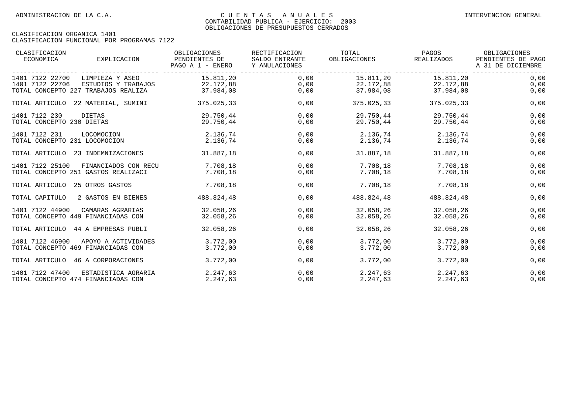| CLASIFICACION<br>ECONOMICA                                                | EXPLICACION                            | OBLIGACIONES<br>PENDIENTES DE<br>PAGO A 1 - ENERO                | RECTIFICACION<br>SALDO ENTRANTE<br>Y ANULACIONES | TOTAL<br>OBLIGACIONES               | PAGOS<br>REALIZADOS                 | OBLIGACIONES<br>PENDIENTES DE PAGO<br>A 31 DE DICIEMBRE |
|---------------------------------------------------------------------------|----------------------------------------|------------------------------------------------------------------|--------------------------------------------------|-------------------------------------|-------------------------------------|---------------------------------------------------------|
| 1401 7122 22700<br>1401 7122 22706<br>TOTAL CONCEPTO 227 TRABAJOS REALIZA | LIMPIEZA Y ASEO<br>ESTUDIOS Y TRABAJOS | -------- ----------------<br>15.811,20<br>22.172,88<br>37.984,08 | _____________________<br>0,00<br>0,00<br>0,00    | 15.811,20<br>22.172,88<br>37.984,08 | 15.811,20<br>22.172,88<br>37.984,08 | 0,00<br>0,00<br>0,00                                    |
| TOTAL ARTICULO 22 MATERIAL, SUMINI                                        |                                        | 375.025,33                                                       | 0,00                                             | 375.025,33                          | 375.025,33                          | 0,00                                                    |
| 1401 7122 230<br>DIETAS<br>TOTAL CONCEPTO 230 DIETAS                      |                                        | 29.750,44<br>29.750,44                                           | 0,00<br>0,00                                     | 29.750,44<br>29.750,44              | 29.750,44<br>29.750,44              | 0,00<br>0,00                                            |
| 1401 7122 231<br>LOCOMOCION<br>TOTAL CONCEPTO 231 LOCOMOCION              |                                        | 2.136,74<br>2.136,74                                             | 0,00<br>0,00                                     | 2.136,74<br>2.136,74                | 2.136,74<br>2.136,74                | 0,00<br>0,00                                            |
| TOTAL ARTICULO 23 INDEMNIZACIONES                                         |                                        | 31.887,18                                                        | 0,00                                             | 31.887,18                           | 31.887,18                           | 0,00                                                    |
| 1401 7122 25100<br>TOTAL CONCEPTO 251 GASTOS REALIZACI                    | FINANCIADOS CON RECU                   | 7.708,18<br>7.708,18                                             | 0,00<br>0,00                                     | 7.708,18<br>7.708,18                | 7.708,18<br>7.708,18                | 0,00<br>0,00                                            |
| TOTAL ARTICULO 25 OTROS GASTOS                                            |                                        | 7.708,18                                                         | 0,00                                             | 7.708,18                            | 7.708,18                            | 0,00                                                    |
| TOTAL CAPITULO                                                            | 2 GASTOS EN BIENES                     | 488.824,48                                                       | 0,00                                             | 488.824,48                          | 488.824,48                          | 0,00                                                    |
| 1401 7122 44900<br>TOTAL CONCEPTO 449 FINANCIADAS CON                     | CAMARAS AGRARIAS                       | 32.058,26<br>32.058,26                                           | 0,00<br>0,00                                     | 32.058,26<br>32.058,26              | 32.058,26<br>32.058,26              | 0,00<br>0,00                                            |
| TOTAL ARTICULO 44 A EMPRESAS PUBLI                                        |                                        | 32.058,26                                                        | 0,00                                             | 32.058,26                           | 32.058,26                           | 0,00                                                    |
| 1401 7122 46900<br>TOTAL CONCEPTO 469 FINANCIADAS CON                     | APOYO A ACTIVIDADES                    | 3.772,00<br>3.772,00                                             | 0,00<br>0,00                                     | 3.772,00<br>3.772,00                | 3.772,00<br>3.772,00                | 0,00<br>0,00                                            |
| TOTAL ARTICULO 46 A CORPORACIONES                                         |                                        | 3.772,00                                                         | 0,00                                             | 3.772,00                            | 3.772,00                            | 0,00                                                    |
| 1401 7122 47400<br>TOTAL CONCEPTO 474 FINANCIADAS CON                     | ESTADISTICA AGRARIA                    | 2.247,63<br>2.247,63                                             | 0,00<br>0,00                                     | 2.247,63<br>2.247,63                | 2.247,63<br>2.247,63                | 0,00<br>0,00                                            |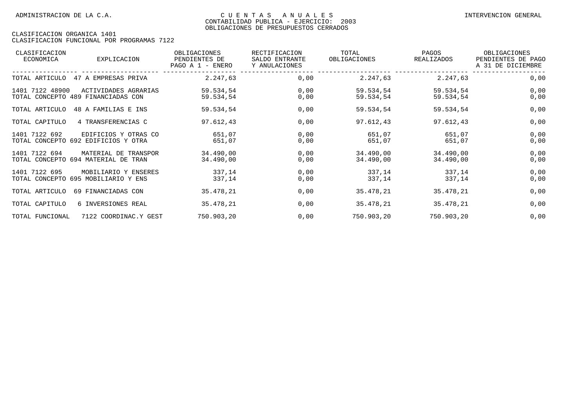| CLASIFICACION<br>ECONOMICA | EXPLICACION                                                 | OBLIGACIONES<br>PENDIENTES DE<br>PAGO A 1 - ENERO | RECTIFICACION<br>SALDO ENTRANTE<br>Y ANULACIONES | TOTAL<br>OBLIGACIONES  | PAGOS<br>REALIZADOS    | OBLIGACIONES<br>PENDIENTES DE PAGO<br>A 31 DE DICIEMBRE |
|----------------------------|-------------------------------------------------------------|---------------------------------------------------|--------------------------------------------------|------------------------|------------------------|---------------------------------------------------------|
| TOTAL ARTICULO             | 47 A EMPRESAS PRIVA                                         | 2.247,63                                          | 0,00                                             | 2.247,63               | 2.247,63               | 0,00                                                    |
| 1401 7122 48900            | ACTIVIDADES AGRARIAS<br>TOTAL CONCEPTO 489 FINANCIADAS CON  | 59.534,54<br>59.534,54                            | 0,00<br>0,00                                     | 59.534,54<br>59.534,54 | 59.534,54<br>59.534,54 | 0,00<br>0,00                                            |
| TOTAL ARTICULO             | 48 A FAMILIAS E INS                                         | 59.534,54                                         | 0,00                                             | 59.534,54              | 59.534,54              | 0,00                                                    |
| TOTAL CAPITULO             | 4 TRANSFERENCIAS C                                          | 97.612,43                                         | 0,00                                             | 97.612,43              | 97.612,43              | 0,00                                                    |
| 1401 7122 692              | EDIFICIOS Y OTRAS CO<br>TOTAL CONCEPTO 692 EDIFICIOS Y OTRA | 651,07<br>651,07                                  | 0,00<br>0,00                                     | 651,07<br>651,07       | 651,07<br>651,07       | 0,00<br>0,00                                            |
| 1401 7122 694              | MATERIAL DE TRANSPOR<br>TOTAL CONCEPTO 694 MATERIAL DE TRAN | 34.490,00<br>34.490,00                            | 0,00<br>0,00                                     | 34.490,00<br>34.490,00 | 34.490,00<br>34.490,00 | 0,00<br>0,00                                            |
| 1401 7122 695              | MOBILIARIO Y ENSERES<br>TOTAL CONCEPTO 695 MOBILIARIO Y ENS | 337,14<br>337,14                                  | 0,00<br>0,00                                     | 337,14<br>337,14       | 337,14<br>337,14       | 0,00<br>0,00                                            |
| TOTAL ARTICULO             | 69 FINANCIADAS CON                                          | 35.478,21                                         | 0,00                                             | 35.478,21              | 35.478,21              | 0,00                                                    |
| TOTAL CAPITULO             | 6 INVERSIONES REAL                                          | 35.478,21                                         | 0,00                                             | 35.478,21              | 35.478,21              | 0,00                                                    |
| TOTAL FUNCIONAL            | 7122 COORDINAC.Y GEST                                       | 750.903,20                                        | 0,00                                             | 750.903,20             | 750.903,20             | 0,00                                                    |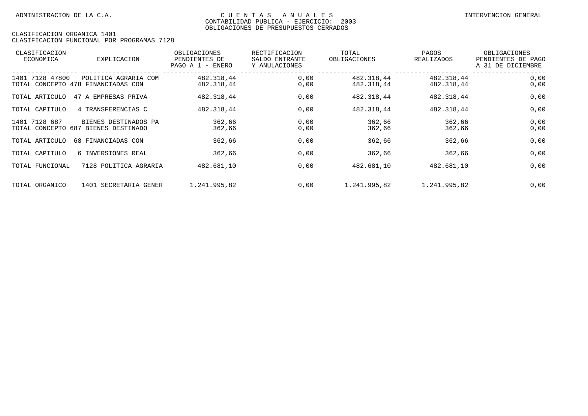| CLASIFICACION<br>ECONOMICA | <b>EXPLICACION</b>                                          | OBLIGACIONES<br>PENDIENTES DE<br>PAGO A $1$ -<br>ENERO | RECTIFICACION<br>SALDO ENTRANTE<br>Y ANULACIONES | TOTAL<br>OBLIGACIONES    | PAGOS<br>REALIZADOS      | OBLIGACIONES<br>PENDIENTES DE PAGO<br>A 31 DE DICIEMBRE |
|----------------------------|-------------------------------------------------------------|--------------------------------------------------------|--------------------------------------------------|--------------------------|--------------------------|---------------------------------------------------------|
| 1401 7128 47800            | POLITICA AGRARIA COM<br>TOTAL CONCEPTO 478 FINANCIADAS CON  | 482.318,44<br>482.318,44                               | 0,00<br>0,00                                     | 482.318,44<br>482.318,44 | 482.318,44<br>482.318,44 | 0,00<br>0,00                                            |
| TOTAL ARTICULO             | 47 A EMPRESAS PRIVA                                         | 482.318,44                                             | 0,00                                             | 482.318,44               | 482.318,44               | 0,00                                                    |
| TOTAL CAPITULO             | 4 TRANSFERENCIAS C                                          | 482.318,44                                             | 0,00                                             | 482.318,44               | 482.318,44               | 0,00                                                    |
| 1401 7128 687              | BIENES DESTINADOS PA<br>TOTAL CONCEPTO 687 BIENES DESTINADO | 362,66<br>362,66                                       | 0,00<br>0,00                                     | 362,66<br>362,66         | 362,66<br>362,66         | 0,00<br>0,00                                            |
| TOTAL ARTICULO             | 68 FINANCIADAS CON                                          | 362,66                                                 | 0,00                                             | 362,66                   | 362,66                   | 0,00                                                    |
| TOTAL CAPITULO             | 6 INVERSIONES REAL                                          | 362,66                                                 | 0,00                                             | 362,66                   | 362,66                   | 0,00                                                    |
| TOTAL FUNCIONAL            | 7128 POLITICA AGRARIA                                       | 482.681,10                                             | 0,00                                             | 482.681,10               | 482.681,10               | 0,00                                                    |
| TOTAL ORGANICO             | 1401 SECRETARIA GENER                                       | 1.241.995.82                                           | 0,00                                             | 1.241.995,82             | 1.241.995.82             | 0,00                                                    |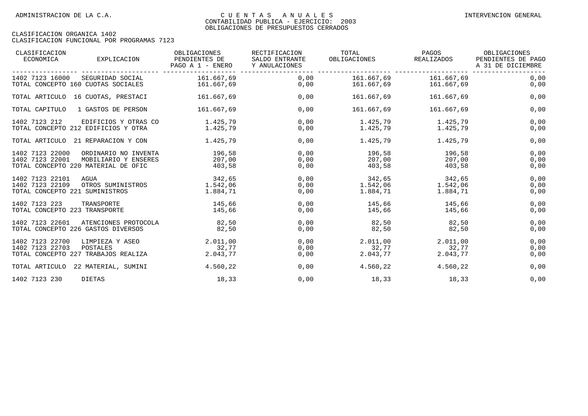| CLASIFICACION<br>ECONOMICA<br>EXPLICACION                                                                                 | OBLIGACIONES<br>PENDIENTES DE<br>PAGO A 1 - ENERO | RECTIFICACION<br>SALDO ENTRANTE<br>Y ANULACIONES | TOTAL<br>OBLIGACIONES          | PAGOS<br>REALIZADOS            | OBLIGACIONES<br>PENDIENTES DE PAGO<br>A 31 DE DICIEMBRE |
|---------------------------------------------------------------------------------------------------------------------------|---------------------------------------------------|--------------------------------------------------|--------------------------------|--------------------------------|---------------------------------------------------------|
| 1402 7123 16000<br>SEGURIDAD SOCIAL<br>TOTAL CONCEPTO 160 CUOTAS SOCIALES                                                 | 161.667,69<br>161.667,69                          | 0,00<br>0,00                                     | 161.667,69<br>161.667,69       | 161.667,69<br>161.667,69       | 0,00<br>0,00                                            |
| TOTAL ARTICULO 16 CUOTAS, PRESTACI                                                                                        | 161.667.69                                        | 0,00                                             | 161.667.69                     | 161.667.69                     | 0,00                                                    |
| TOTAL CAPITULO<br>1 GASTOS DE PERSON                                                                                      | 161.667,69                                        | 0,00                                             | 161.667,69                     | 161.667,69                     | 0,00                                                    |
| 1402 7123 212<br>EDIFICIOS Y OTRAS CO<br>TOTAL CONCEPTO 212 EDIFICIOS Y OTRA                                              | 1.425,79<br>1.425.79                              | 0,00<br>0,00                                     | 1.425,79<br>1.425,79           | 1.425,79<br>1.425,79           | 0,00<br>0,00                                            |
| TOTAL ARTICULO 21 REPARACION Y CON                                                                                        | 1.425,79                                          | 0,00                                             | 1.425,79                       | 1.425,79                       | 0,00                                                    |
| 1402 7123 22000<br>ORDINARIO NO INVENTA<br>1402 7123 22001<br>MOBILIARIO Y ENSERES<br>TOTAL CONCEPTO 220 MATERIAL DE OFIC | 196,58<br>207,00<br>403,58                        | 0,00<br>0,00<br>0,00                             | 196,58<br>207,00<br>403,58     | 196,58<br>207,00<br>403,58     | 0,00<br>0,00<br>0,00                                    |
| 1402 7123 22101<br>AGUA<br>1402 7123 22109<br>OTROS SUMINISTROS<br>TOTAL CONCEPTO 221 SUMINISTROS                         | 342,65<br>1.542,06<br>1.884,71                    | 0,00<br>0,00<br>0,00                             | 342,65<br>1.542,06<br>1.884,71 | 342,65<br>1.542,06<br>1.884,71 | 0,00<br>0,00<br>0,00                                    |
| 1402 7123 223<br>TRANSPORTE<br>TOTAL CONCEPTO 223 TRANSPORTE                                                              | 145,66<br>145,66                                  | 0,00<br>0,00                                     | 145,66<br>145,66               | 145,66<br>145,66               | 0,00<br>0,00                                            |
| 1402 7123 22601<br>ATENCIONES PROTOCOLA<br>TOTAL CONCEPTO 226 GASTOS DIVERSOS                                             | 82,50<br>82,50                                    | 0,00<br>0,00                                     | 82,50<br>82,50                 | 82,50<br>82,50                 | 0,00<br>0,00                                            |
| 1402 7123 22700<br>LIMPIEZA Y ASEO<br>1402 7123 22703<br>POSTALES<br>TOTAL CONCEPTO 227 TRABAJOS REALIZA                  | 2.011,00<br>32,77<br>2.043,77                     | 0,00<br>0,00<br>0,00                             | 2.011,00<br>32,77<br>2.043,77  | 2.011,00<br>32,77<br>2.043,77  | 0,00<br>0,00<br>0,00                                    |
| TOTAL ARTICULO 22 MATERIAL, SUMINI                                                                                        | 4.560,22                                          | 0,00                                             | 4.560,22                       | 4.560.22                       | 0,00                                                    |
| 1402 7123 230<br>DIETAS                                                                                                   | 18,33                                             | 0,00                                             | 18,33                          | 18,33                          | 0,00                                                    |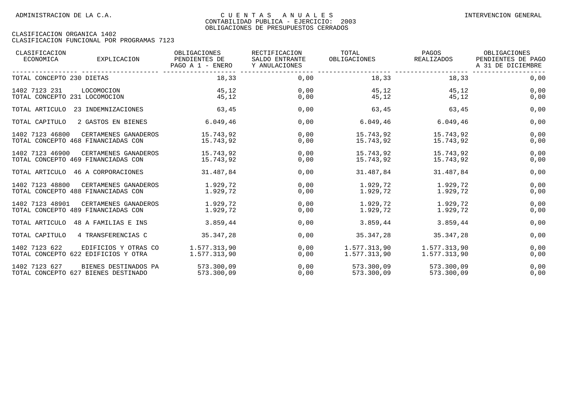| CLASIFICACION<br>ECONOMICA                     | EXPLICACION                                                 | OBLIGACIONES<br>PENDIENTES DE<br>PAGO A 1 - ENERO | RECTIFICACION<br>SALDO ENTRANTE<br>Y ANULACIONES | TOTAL<br>OBLIGACIONES    | PAGOS<br>REALIZADOS                         | OBLIGACIONES<br>PENDIENTES DE PAGO<br>A 31 DE DICIEMBRE |
|------------------------------------------------|-------------------------------------------------------------|---------------------------------------------------|--------------------------------------------------|--------------------------|---------------------------------------------|---------------------------------------------------------|
| TOTAL CONCEPTO 230 DIETAS                      |                                                             | 18,33                                             | 0,00                                             | 18,33                    | _____________ ____________________<br>18,33 | 0,00                                                    |
| 1402 7123 231<br>TOTAL CONCEPTO 231 LOCOMOCION | LOCOMOCION                                                  | 45,12<br>45,12                                    | 0,00<br>0,00                                     | 45,12<br>45,12           | 45,12<br>45,12                              | 0,00<br>0,00                                            |
| TOTAL ARTICULO                                 | 23 INDEMNIZACIONES                                          | 63,45                                             | 0,00                                             | 63,45                    | 63,45                                       | 0,00                                                    |
| TOTAL CAPITULO                                 | 2 GASTOS EN BIENES                                          | 6.049, 46                                         | 0,00                                             | 6.049, 46                | 6.049, 46                                   | 0,00                                                    |
| 1402 7123 46800                                | CERTAMENES GANADEROS<br>TOTAL CONCEPTO 468 FINANCIADAS CON  | 15.743,92<br>15.743.92                            | 0,00<br>0,00                                     | 15.743,92<br>15.743,92   | 15.743,92<br>15.743,92                      | 0,00<br>0,00                                            |
| 1402 7123 46900                                | CERTAMENES GANADEROS<br>TOTAL CONCEPTO 469 FINANCIADAS CON  | 15.743.92<br>15.743,92                            | 0,00<br>0,00                                     | 15.743,92<br>15.743,92   | 15.743,92<br>15.743,92                      | 0,00<br>0,00                                            |
|                                                | TOTAL ARTICULO 46 A CORPORACIONES                           | 31.487,84                                         | 0,00                                             | 31.487,84                | 31.487,84                                   | 0,00                                                    |
| 1402 7123 48800                                | CERTAMENES GANADEROS<br>TOTAL CONCEPTO 488 FINANCIADAS CON  | 1.929,72<br>1.929,72                              | 0,00<br>0,00                                     | 1.929,72<br>1.929,72     | 1.929,72<br>1.929,72                        | 0,00<br>0,00                                            |
| 1402 7123 48901                                | CERTAMENES GANADEROS<br>TOTAL CONCEPTO 489 FINANCIADAS CON  | 1.929,72<br>1.929,72                              | 0.00<br>0,00                                     | 1.929.72<br>1.929,72     | 1.929.72<br>1.929,72                        | 0,00<br>0,00                                            |
| TOTAL ARTICULO                                 | 48 A FAMILIAS E INS                                         | 3.859.44                                          | 0.00                                             | 3.859,44                 | 3.859.44                                    | 0,00                                                    |
| TOTAL CAPITULO                                 | 4 TRANSFERENCIAS C                                          | 35.347,28                                         | 0,00                                             | 35.347,28                | 35.347,28                                   | 0,00                                                    |
| 1402 7123 622                                  | EDIFICIOS Y OTRAS CO<br>TOTAL CONCEPTO 622 EDIFICIOS Y OTRA | 1.577.313,90<br>1.577.313,90                      | 0,00<br>0,00                                     | 1.577.313,90             | 1.577.313,90                                | 0,00<br>0,00                                            |
| 1402 7123 627                                  | BIENES DESTINADOS PA<br>TOTAL CONCEPTO 627 BIENES DESTINADO | 573.300.09<br>573.300,09                          | 0,00<br>0,00                                     | 573.300.09<br>573.300,09 | 573.300.09<br>573.300,09                    | 0,00<br>0,00                                            |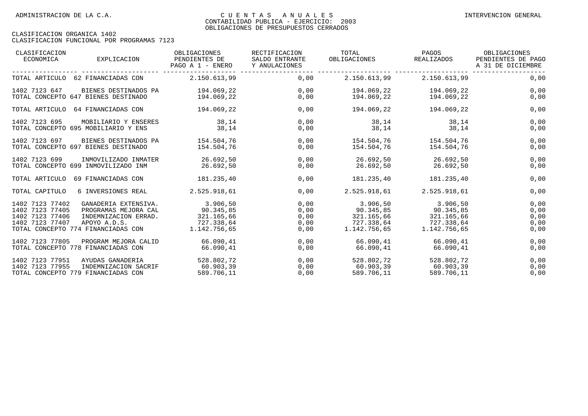| CLASIFICACION<br>ECONOMICA                                                                                                     | EXPLICACION                                                          | OBLIGACIONES<br>PENDIENTES DE<br>PAGO A 1 - ENERO                 | RECTIFICACION<br>SALDO ENTRANTE<br>Y ANULACIONES | TOTAL<br>OBLIGACIONES                                             | PAGOS<br>REALIZADOS                                               | OBLIGACIONES<br>PENDIENTES DE PAGO<br>A 31 DE DICIEMBRE |
|--------------------------------------------------------------------------------------------------------------------------------|----------------------------------------------------------------------|-------------------------------------------------------------------|--------------------------------------------------|-------------------------------------------------------------------|-------------------------------------------------------------------|---------------------------------------------------------|
| TOTAL ARTICULO 62 FINANCIADAS CON                                                                                              |                                                                      | 2.150.613.99                                                      | 0,00                                             | 2.150.613,99                                                      | 2.150.613.99                                                      | 0,00                                                    |
| 1402 7123 647<br>TOTAL CONCEPTO 647 BIENES DESTINADO                                                                           | BIENES DESTINADOS PA                                                 | 194.069,22<br>194.069,22                                          | 0,00<br>0,00                                     | 194.069,22<br>194.069,22                                          | 194.069,22<br>194.069,22                                          | 0,00<br>0,00                                            |
| TOTAL ARTICULO                                                                                                                 | 64 FINANCIADAS CON                                                   | 194.069,22                                                        | 0,00                                             | 194.069,22                                                        | 194.069,22                                                        | 0,00                                                    |
| 1402 7123 695<br>TOTAL CONCEPTO 695 MOBILIARIO Y ENS                                                                           | MOBILIARIO Y ENSERES                                                 | 38,14<br>38,14                                                    | 0,00<br>0,00                                     | 38,14<br>38,14                                                    | 38,14<br>38,14                                                    | 0,00<br>0,00                                            |
| 1402 7123 697<br>TOTAL CONCEPTO 697 BIENES DESTINADO                                                                           | BIENES DESTINADOS PA                                                 | 154.504,76<br>154.504.76                                          | 0,00<br>0,00                                     | 154.504,76<br>154.504,76                                          | 154.504,76<br>154.504,76                                          | 0,00<br>0,00                                            |
| 1402 7123 699<br>TOTAL CONCEPTO 699 INMOVILIZADO INM                                                                           | INMOVILIZADO INMATER                                                 | 26.692,50<br>26.692,50                                            | 0,00<br>0,00                                     | 26.692,50<br>26.692,50                                            | 26.692,50<br>26.692,50                                            | 0,00<br>0,00                                            |
| TOTAL ARTICULO                                                                                                                 | 69 FINANCIADAS CON                                                   | 181.235,40                                                        | 0.00                                             | 181.235,40                                                        | 181.235.40                                                        | 0,00                                                    |
| TOTAL CAPITULO                                                                                                                 | 6 INVERSIONES REAL                                                   | 2.525.918.61                                                      | 0,00                                             | 2.525.918.61                                                      | 2.525.918.61                                                      | 0,00                                                    |
| 1402 7123 77402<br>1402 7123 77405<br>1402 7123 77406<br>1402 7123 77407<br>APOYO A.D.S.<br>TOTAL CONCEPTO 774 FINANCIADAS CON | GANADERIA EXTENSIVA.<br>PROGRAMAS MEJORA CAL<br>INDEMNIZACION ERRAD. | 3.906,50<br>90.345,85<br>321.165,66<br>727.338,64<br>1.142.756,65 | 0.00<br>0,00<br>0,00<br>0,00<br>0,00             | 3.906,50<br>90.345,85<br>321.165,66<br>727.338,64<br>1.142.756,65 | 3.906,50<br>90.345,85<br>321.165,66<br>727.338,64<br>1.142.756,65 | 0,00<br>0,00<br>0,00<br>0,00<br>0,00                    |
| 1402 7123 77805<br>TOTAL CONCEPTO 778 FINANCIADAS CON                                                                          | PROGRAM MEJORA CALID                                                 | 66.090.41<br>66.090,41                                            | 0,00<br>0,00                                     | 66.090.41<br>66.090,41                                            | 66.090,41<br>66.090,41                                            | 0,00<br>0,00                                            |
| 1402 7123 77951<br>1402 7123 77955<br>TOTAL CONCEPTO 779 FINANCIADAS CON                                                       | AYUDAS GANADERIA<br>INDEMNIZACION SACRIF                             | 528.802,72<br>60.903,39<br>589.706,11                             | 0,00<br>0,00<br>0,00                             | 528.802,72<br>60.903,39<br>589.706,11                             | 528.802,72<br>60.903,39<br>589.706,11                             | 0,00<br>0,00<br>0,00                                    |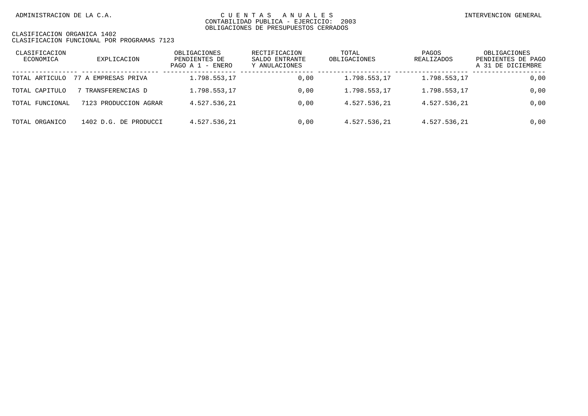| CLASIFICACION<br>ECONOMICA | EXPLICACION           | OBLIGACIONES<br>PENDIENTES DE<br>PAGO A 1 - ENERO | RECTIFICACION<br>SALDO ENTRANTE<br>Y ANULACIONES | TOTAL<br>OBLIGACIONES | PAGOS<br>REALIZADOS | OBLIGACIONES<br>PENDIENTES DE PAGO<br>A 31 DE DICIEMBRE |
|----------------------------|-----------------------|---------------------------------------------------|--------------------------------------------------|-----------------------|---------------------|---------------------------------------------------------|
| TOTAL ARTICULO             | 77 A EMPRESAS PRIVA   | 1.798.553,17                                      | 0.00                                             | 1.798.553.17          | 1.798.553,17        | 0,00                                                    |
| TOTAL CAPITULO             | TRANSFERENCIAS D      | 1.798.553,17                                      | 0.00                                             | 1.798.553.17          | 1.798.553,17        | 0,00                                                    |
| TOTAL FUNCIONAL            | 7123 PRODUCCION AGRAR | 4.527.536,21                                      | 0.00                                             | 4.527.536.21          | 4.527.536,21        | 0,00                                                    |
| TOTAL ORGANICO             | 1402 D.G. DE PRODUCCI | 4.527.536,21                                      | 0.00                                             | 4.527.536,21          | 4.527.536,21        | 0,00                                                    |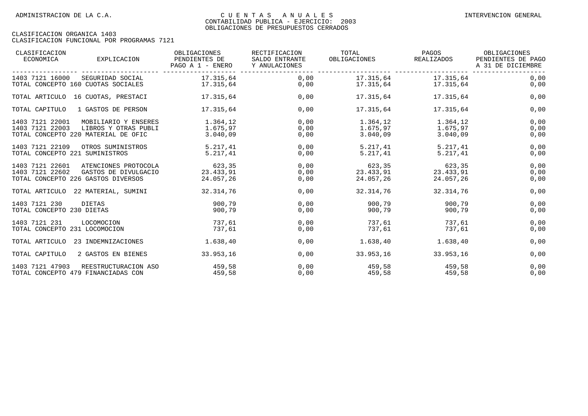| CLASIFICACION<br>ECONOMICA                        | EXPLICACION                                                                         | OBLIGACIONES<br>PENDIENTES DE<br>PAGO A 1 - ENERO | RECTIFICACION<br>SALDO ENTRANTE<br>Y ANULACIONES | TOTAL<br>OBLIGACIONES            | PAGOS<br>REALIZADOS                        | OBLIGACIONES<br>PENDIENTES DE PAGO<br>A 31 DE DICIEMBRE |
|---------------------------------------------------|-------------------------------------------------------------------------------------|---------------------------------------------------|--------------------------------------------------|----------------------------------|--------------------------------------------|---------------------------------------------------------|
|                                                   | 1403 7121 16000 SEGURIDAD SOCIAL<br>TOTAL CONCEPTO 160 CUOTAS SOCIALES              | 17.315,64<br>17.315,64                            | 0,00<br>0,00                                     |                                  | 17.315,64 17.315,64<br>17.315,64 17.315,64 | 0,00<br>0,00                                            |
|                                                   | TOTAL ARTICULO 16 CUOTAS, PRESTACI                                                  | 17.315,64                                         | 0,00                                             |                                  | 17.315,64 17.315,64                        | 0,00                                                    |
| TOTAL CAPITULO                                    | 1 GASTOS DE PERSON                                                                  | 17.315,64                                         | 0,00                                             | 17.315,64                        | 17.315,64                                  | 0,00                                                    |
| 1403 7121 22001<br>1403 7121 22003                | MOBILIARIO Y ENSERES<br>LIBROS Y OTRAS PUBLI<br>TOTAL CONCEPTO 220 MATERIAL DE OFIC | 1.364,12<br>1.675,97<br>3.040,09                  | 0,00<br>0,00<br>0,00                             | 1.364,12<br>1.675,97<br>3.040,09 | 1.364,12<br>1.675,97<br>3.040,09           | 0,00<br>0,00<br>0,00                                    |
| 1403 7121 22109<br>TOTAL CONCEPTO 221 SUMINISTROS | OTROS SUMINISTROS                                                                   | 5.217,41<br>5.217.41                              | 0,00<br>0,00                                     | 5.217,41<br>5.217,41             | 5.217,41<br>5.217,41                       | 0,00<br>0,00                                            |
| 1403 7121 22601<br>1403 7121 22602                | ATENCIONES PROTOCOLA<br>GASTOS DE DIVULGACIO<br>TOTAL CONCEPTO 226 GASTOS DIVERSOS  | 623,35<br>23.433.91<br>24.057,26                  | 0,00<br>0,00<br>0,00                             | 623,35<br>23.433,91<br>24.057,26 | 623,35<br>23.433.91<br>24.057,26           | 0,00<br>0,00<br>0,00                                    |
| TOTAL ARTICULO                                    | 22 MATERIAL, SUMINI                                                                 | 32.314,76                                         | 0,00                                             | 32.314,76                        | 32.314,76                                  | 0,00                                                    |
| 1403 7121 230<br>TOTAL CONCEPTO 230 DIETAS        | DIETAS                                                                              | 900,79<br>900,79                                  | 0,00<br>0,00                                     | 900,79<br>900,79                 | 900,79<br>900,79                           | 0,00<br>0,00                                            |
| 1403 7121 231<br>TOTAL CONCEPTO 231 LOCOMOCION    | LOCOMOCION                                                                          | 737,61<br>737.61                                  | 0,00<br>0,00                                     | 737,61<br>737.61                 | 737,61<br>737.61                           | 0,00<br>0,00                                            |
| TOTAL ARTICULO                                    | 23 INDEMNIZACIONES                                                                  | 1.638,40                                          | 0,00                                             | 1.638,40                         | 1.638,40                                   | 0,00                                                    |
| TOTAL CAPITULO                                    | 2 GASTOS EN BIENES                                                                  | 33.953,16                                         | 0,00                                             | 33.953,16                        | 33.953,16                                  | 0,00                                                    |
| 1403 7121 47903                                   | REESTRUCTURACION ASO<br>TOTAL CONCEPTO 479 FINANCIADAS CON                          | 459,58<br>459,58                                  | 0,00<br>0,00                                     | 459,58<br>459,58                 | 459,58<br>459,58                           | 0,00<br>0,00                                            |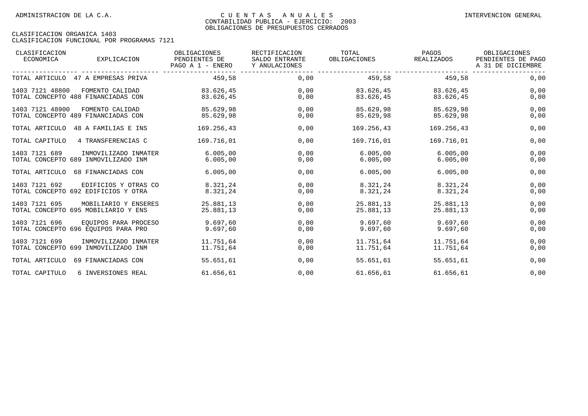| CLASIFICACION<br>ECONOMICA | EXPLICACION                         | OBLIGACIONES<br>PENDIENTES DE<br>PAGO A 1 - ENERO | RECTIFICACION<br>SALDO ENTRANTE<br>Y ANULACIONES | TOTAL<br>OBLIGACIONES | PAGOS<br>REALIZADOS | OBLIGACIONES<br>PENDIENTES DE PAGO<br>A 31 DE DICIEMBRE |
|----------------------------|-------------------------------------|---------------------------------------------------|--------------------------------------------------|-----------------------|---------------------|---------------------------------------------------------|
|                            | TOTAL ARTICULO 47 A EMPRESAS PRIVA  | 459,58                                            | 0,00                                             | 459,58                | 459,58              | 0,00                                                    |
| 1403 7121 48800            | FOMENTO CALIDAD                     | 83.626,45                                         | 0,00                                             | 83.626,45             | 83.626,45           | 0,00                                                    |
|                            | TOTAL CONCEPTO 488 FINANCIADAS CON  | 83.626,45                                         | 0,00                                             | 83.626,45             | 83.626,45           | 0,00                                                    |
| 1403 7121 48900            | FOMENTO CALIDAD                     | 85.629,98                                         | 0.00                                             | 85.629,98             | 85.629,98           | 0,00                                                    |
|                            | TOTAL CONCEPTO 489 FINANCIADAS CON  | 85.629,98                                         | 0,00                                             | 85.629,98             | 85.629,98           | 0,00                                                    |
| TOTAL ARTICULO             | 48 A FAMILIAS E INS                 | 169.256,43                                        | 0,00                                             | 169.256,43            | 169.256,43          | 0,00                                                    |
| TOTAL CAPITULO             | 4 TRANSFERENCIAS C                  | 169.716,01                                        | 0,00                                             | 169.716,01            | 169.716,01          | 0,00                                                    |
| 1403 7121 689              | INMOVILIZADO INMATER                | 6.005,00                                          | 0,00                                             | 6.005.00              | 6.005,00            | 0,00                                                    |
|                            | TOTAL CONCEPTO 689 INMOVILIZADO INM | 6.005.00                                          | 0,00                                             | 6.005,00              | 6.005,00            | 0,00                                                    |
| TOTAL ARTICULO             | 68 FINANCIADAS CON                  | 6.005,00                                          | 0,00                                             | 6.005,00              | 6.005,00            | 0,00                                                    |
| 1403 7121 692              | EDIFICIOS Y OTRAS CO                | 8.321,24                                          | 0,00                                             | 8.321,24              | 8.321,24            | 0,00                                                    |
|                            | TOTAL CONCEPTO 692 EDIFICIOS Y OTRA | 8.321,24                                          | 0,00                                             | 8.321,24              | 8.321,24            | 0,00                                                    |
| 1403 7121 695              | MOBILIARIO Y ENSERES                | 25.881,13                                         | 0,00                                             | 25.881,13             | 25.881,13           | 0,00                                                    |
|                            | TOTAL CONCEPTO 695 MOBILIARIO Y ENS | 25.881,13                                         | 0,00                                             | 25.881,13             | 25.881,13           | 0,00                                                    |
| 1403 7121 696              | EOUIPOS PARA PROCESO                | 9.697,60                                          | 0,00                                             | 9.697,60              | 9.697,60            | 0,00                                                    |
|                            | TOTAL CONCEPTO 696 EOUIPOS PARA PRO | 9.697,60                                          | 0,00                                             | 9.697,60              | 9.697,60            | 0,00                                                    |
| 1403 7121 699              | INMOVILIZADO INMATER                | 11.751.64                                         | 0,00                                             | 11.751.64             | 11.751,64           | 0,00                                                    |
|                            | TOTAL CONCEPTO 699 INMOVILIZADO INM | 11.751,64                                         | 0,00                                             | 11.751,64             | 11.751,64           | 0,00                                                    |
| TOTAL ARTICULO             | 69 FINANCIADAS CON                  | 55.651,61                                         | 0,00                                             | 55.651,61             | 55.651,61           | 0,00                                                    |
| TOTAL CAPITULO             | 6 INVERSIONES REAL                  | 61.656,61                                         | 0,00                                             | 61.656,61             | 61.656,61           | 0,00                                                    |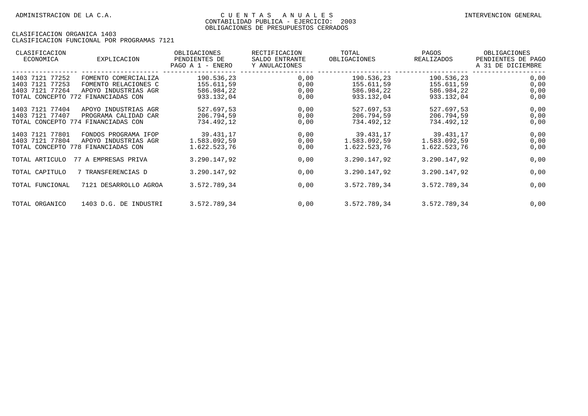| CLASIFICACION<br>ECONOMICA                            | EXPLICACION                                                                                                | OBLIGACIONES<br>PENDIENTES DE<br>PAGO A 1 - ENERO    | RECTIFICACION<br>SALDO ENTRANTE<br>Y ANULACIONES | TOTAL<br>OBLIGACIONES                                | PAGOS<br>REALIZADOS                                  | OBLIGACIONES<br>PENDIENTES DE PAGO<br>A 31 DE DICIEMBRE |
|-------------------------------------------------------|------------------------------------------------------------------------------------------------------------|------------------------------------------------------|--------------------------------------------------|------------------------------------------------------|------------------------------------------------------|---------------------------------------------------------|
| 1403 7121 77252<br>1403 7121 77253<br>1403 7121 77264 | FOMENTO COMERCIALIZA<br>FOMENTO RELACIONES C<br>APOYO INDUSTRIAS AGR<br>TOTAL CONCEPTO 772 FINANCIADAS CON | 190.536,23<br>155.611,59<br>586.984,22<br>933.132,04 | 0,00<br>0,00<br>0,00<br>0,00                     | 190.536,23<br>155.611,59<br>586.984,22<br>933.132,04 | 190.536,23<br>155.611,59<br>586.984,22<br>933.132,04 | 0,00<br>0,00<br>0,00<br>0,00                            |
| 1403 7121 77404<br>1403 7121 77407                    | APOYO INDUSTRIAS AGR<br>PROGRAMA CALIDAD CAR<br>TOTAL CONCEPTO 774 FINANCIADAS CON                         | 527.697,53<br>206.794,59<br>734.492,12               | 0,00<br>0,00<br>0,00                             | 527.697,53<br>206.794,59<br>734.492,12               | 527.697,53<br>206.794,59<br>734.492,12               | 0,00<br>0,00<br>0,00                                    |
| 1403 7121 77801<br>1403 7121 77804                    | FONDOS PROGRAMA IFOP<br>APOYO INDUSTRIAS AGR<br>TOTAL CONCEPTO 778 FINANCIADAS CON                         | 39.431,17<br>1.583.092,59<br>1.622.523,76            | 0,00<br>0,00<br>0,00                             | 39.431,17<br>1.583.092,59<br>1.622.523,76            | 39.431,17<br>1.583.092,59<br>1.622.523,76            | 0,00<br>0,00<br>0,00                                    |
| TOTAL ARTICULO                                        | 77 A EMPRESAS PRIVA                                                                                        | 3.290.147.92                                         | 0,00                                             | 3.290.147.92                                         | 3.290.147.92                                         | 0,00                                                    |
| TOTAL CAPITULO                                        | 7 TRANSFERENCIAS D                                                                                         | 3.290.147,92                                         | 0,00                                             | 3.290.147,92                                         | 3.290.147,92                                         | 0,00                                                    |
| TOTAL FUNCIONAL                                       | 7121 DESARROLLO AGROA                                                                                      | 3.572.789.34                                         | 0,00                                             | 3.572.789.34                                         | 3.572.789.34                                         | 0,00                                                    |
| TOTAL ORGANICO                                        | 1403 D.G. DE INDUSTRI                                                                                      | 3.572.789,34                                         | 0,00                                             | 3.572.789,34                                         | 3.572.789,34                                         | 0,00                                                    |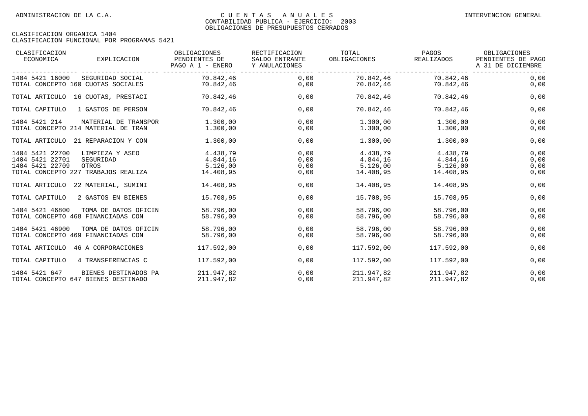| CLASIFICACION<br>ECONOMICA                            | EXPLICACION                                                                  | OBLIGACIONES<br>PENDIENTES DE<br>PAGO A 1 - ENERO | RECTIFICACION<br>SALDO ENTRANTE<br>Y ANULACIONES | TOTAL<br>OBLIGACIONES                         | PAGOS<br>REALIZADOS                           | OBLIGACIONES<br>PENDIENTES DE PAGO<br>A 31 DE DICIEMBRE |
|-------------------------------------------------------|------------------------------------------------------------------------------|---------------------------------------------------|--------------------------------------------------|-----------------------------------------------|-----------------------------------------------|---------------------------------------------------------|
| 1404 5421 16000                                       | SEGURIDAD SOCIAL<br>TOTAL CONCEPTO 160 CUOTAS SOCIALES                       | 70.842.46<br>70.842,46                            | - -------------------<br>0.00<br>0,00            | 70.842,46<br>70.842,46                        | 70.842.46<br>70.842,46                        | 0,00<br>0,00                                            |
|                                                       | TOTAL ARTICULO 16 CUOTAS, PRESTACI                                           | 70.842,46                                         | 0,00                                             | 70.842,46                                     | 70.842,46                                     | 0,00                                                    |
| TOTAL CAPITULO                                        | 1 GASTOS DE PERSON                                                           | 70.842,46                                         | 0,00                                             | 70.842,46                                     | 70.842,46                                     | 0,00                                                    |
| 1404 5421 214                                         | MATERIAL DE TRANSPOR<br>TOTAL CONCEPTO 214 MATERIAL DE TRAN                  | 1.300,00<br>1.300,00                              | 0.00<br>0,00                                     | 1.300,00<br>1.300,00                          | 1.300,00<br>1.300,00                          | 0,00<br>0,00                                            |
|                                                       | TOTAL ARTICULO 21 REPARACION Y CON                                           | 1.300,00                                          | 0,00                                             | 1.300,00                                      | 1.300,00                                      | 0,00                                                    |
| 1404 5421 22700<br>1404 5421 22701<br>1404 5421 22709 | LIMPIEZA Y ASEO<br>SEGURIDAD<br>OTROS<br>TOTAL CONCEPTO 227 TRABAJOS REALIZA | 4.438,79<br>4.844,16<br>5.126,00<br>14.408,95     | 0,00<br>0,00<br>0,00<br>0,00                     | 4.438,79<br>4.844,16<br>5.126,00<br>14.408,95 | 4.438,79<br>4.844,16<br>5.126,00<br>14.408,95 | 0,00<br>0,00<br>0,00<br>0,00                            |
| TOTAL ARTICULO                                        | 22 MATERIAL, SUMINI                                                          | 14.408,95                                         | 0,00                                             | 14.408,95                                     | 14.408,95                                     | 0,00                                                    |
| TOTAL CAPITULO                                        | 2 GASTOS EN BIENES                                                           | 15.708,95                                         | 0,00                                             | 15.708,95                                     | 15.708,95                                     | 0,00                                                    |
| 1404 5421 46800                                       | TOMA DE DATOS OFICIN<br>TOTAL CONCEPTO 468 FINANCIADAS CON                   | 58.796,00<br>58.796,00                            | 0,00<br>0,00                                     | 58.796,00<br>58.796,00                        | 58.796,00<br>58.796,00                        | 0,00<br>0,00                                            |
| 1404 5421 46900                                       | TOMA DE DATOS OFICIN<br>TOTAL CONCEPTO 469 FINANCIADAS CON                   | 58.796,00<br>58.796,00                            | 0,00<br>0,00                                     | 58.796,00<br>58.796,00                        | 58.796,00<br>58.796,00                        | 0,00<br>0,00                                            |
|                                                       | TOTAL ARTICULO 46 A CORPORACIONES                                            | 117.592,00                                        | 0,00                                             | 117.592,00                                    | 117.592,00                                    | 0,00                                                    |
| TOTAL CAPITULO                                        | 4 TRANSFERENCIAS C                                                           | 117.592,00                                        | 0,00                                             | 117.592,00                                    | 117.592,00                                    | 0,00                                                    |
| 1404 5421 647                                         | BIENES DESTINADOS PA<br>TOTAL CONCEPTO 647 BIENES DESTINADO                  | 211.947,82<br>211.947,82                          | 0,00<br>0,00                                     | 211.947,82<br>211.947,82                      | 211.947,82<br>211.947,82                      | 0,00<br>0,00                                            |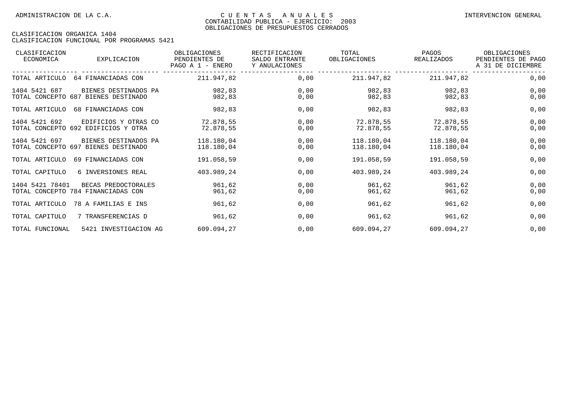| CLASIFICACION<br>ECONOMICA | EXPLICACION                                                 | OBLIGACIONES<br>PENDIENTES DE<br>PAGO A 1 - ENERO | RECTIFICACION<br>SALDO ENTRANTE<br>Y ANULACIONES | TOTAL<br>OBLIGACIONES    | PAGOS<br><b>REALIZADOS</b> | OBLIGACIONES<br>PENDIENTES DE PAGO<br>A 31 DE DICIEMBRE |
|----------------------------|-------------------------------------------------------------|---------------------------------------------------|--------------------------------------------------|--------------------------|----------------------------|---------------------------------------------------------|
| TOTAL ARTICULO             | 64 FINANCIADAS CON                                          | 211.947,82                                        | 0,00                                             | 211.947,82               | 211.947,82                 | 0,00                                                    |
| 1404 5421 687              | BIENES DESTINADOS PA<br>TOTAL CONCEPTO 687 BIENES DESTINADO | 982,83<br>982,83                                  | 0,00<br>0,00                                     | 982,83<br>982,83         | 982,83<br>982,83           | 0,00<br>0,00                                            |
| TOTAL ARTICULO             | 68 FINANCIADAS CON                                          | 982,83                                            | 0,00                                             | 982,83                   | 982,83                     | 0,00                                                    |
| 1404 5421 692              | EDIFICIOS Y OTRAS CO<br>TOTAL CONCEPTO 692 EDIFICIOS Y OTRA | 72.878,55<br>72.878,55                            | 0,00<br>0,00                                     | 72.878,55<br>72.878,55   | 72.878,55<br>72.878,55     | 0,00<br>0,00                                            |
| 1404 5421 697              | BIENES DESTINADOS PA<br>TOTAL CONCEPTO 697 BIENES DESTINADO | 118.180,04<br>118.180,04                          | 0,00<br>0,00                                     | 118.180,04<br>118.180,04 | 118.180,04<br>118.180,04   | 0,00<br>0,00                                            |
| TOTAL ARTICULO             | 69 FINANCIADAS CON                                          | 191.058,59                                        | 0,00                                             | 191.058,59               | 191.058,59                 | 0,00                                                    |
| TOTAL CAPITULO             | 6 INVERSIONES REAL                                          | 403.989,24                                        | 0,00                                             | 403.989,24               | 403.989,24                 | 0,00                                                    |
| 1404 5421 78401            | BECAS PREDOCTORALES<br>TOTAL CONCEPTO 784 FINANCIADAS CON   | 961,62<br>961,62                                  | 0,00<br>0,00                                     | 961,62<br>961,62         | 961,62<br>961,62           | 0,00<br>0,00                                            |
| TOTAL ARTICULO             | 78 A FAMILIAS E INS                                         | 961,62                                            | 0,00                                             | 961,62                   | 961,62                     | 0,00                                                    |
| TOTAL CAPITULO             | 7 TRANSFERENCIAS D                                          | 961,62                                            | 0,00                                             | 961,62                   | 961,62                     | 0,00                                                    |
| TOTAL FUNCIONAL            | 5421 INVESTIGACION AG                                       | 609.094,27                                        | 0,00                                             | 609.094,27               | 609.094,27                 | 0,00                                                    |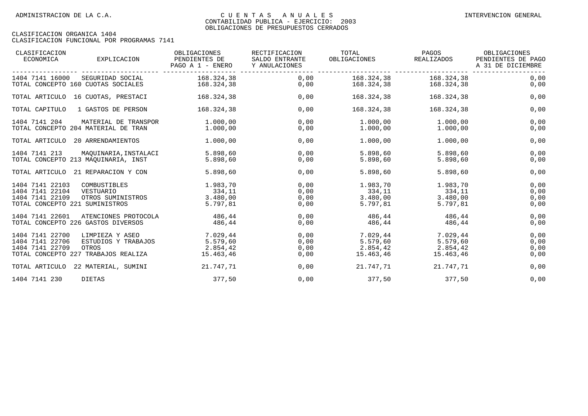| CLASIFICACION<br>ECONOMICA                                                              | EXPLICACION                                                                            | OBLIGACIONES<br>PENDIENTES DE<br>PAGO A 1 - ENERO | RECTIFICACION<br>SALDO ENTRANTE<br>Y ANULACIONES | TOTAL<br>OBLIGACIONES                         | PAGOS<br>REALIZADOS                           | OBLIGACIONES<br>PENDIENTES DE PAGO<br>A 31 DE DICIEMBRE |
|-----------------------------------------------------------------------------------------|----------------------------------------------------------------------------------------|---------------------------------------------------|--------------------------------------------------|-----------------------------------------------|-----------------------------------------------|---------------------------------------------------------|
| 1404 7141 16000                                                                         | SEGURIDAD SOCIAL<br>TOTAL CONCEPTO 160 CUOTAS SOCIALES                                 | 168.324,38<br>168.324,38                          | 0.00<br>0,00                                     | 168.324,38<br>168.324,38                      | 168.324,38<br>168.324,38                      | 0,00<br>0,00                                            |
|                                                                                         | TOTAL ARTICULO 16 CUOTAS, PRESTACI                                                     | 168.324,38                                        | 0,00                                             | 168.324,38                                    | 168.324,38                                    | 0,00                                                    |
| TOTAL CAPITULO                                                                          | 1 GASTOS DE PERSON                                                                     | 168.324,38                                        | 0,00                                             | 168.324,38                                    | 168.324,38                                    | 0,00                                                    |
| 1404 7141 204                                                                           | MATERIAL DE TRANSPOR<br>TOTAL CONCEPTO 204 MATERIAL DE TRAN                            | 1.000,00<br>1.000,00                              | 0,00<br>0,00                                     | 1.000,00<br>1.000,00                          | 1.000,00<br>1.000,00                          | 0,00<br>0,00                                            |
| TOTAL ARTICULO                                                                          | 20 ARRENDAMIENTOS                                                                      | 1.000,00                                          | 0,00                                             | 1.000,00                                      | 1.000,00                                      | 0,00                                                    |
| 1404 7141 213                                                                           | MAQUINARIA, INSTALACI<br>TOTAL CONCEPTO 213 MAOUINARIA, INST                           | 5.898,60<br>5.898,60                              | 0,00<br>0,00                                     | 5.898,60<br>5.898,60                          | 5.898,60<br>5.898,60                          | 0,00<br>0,00                                            |
|                                                                                         | TOTAL ARTICULO 21 REPARACION Y CON                                                     | 5.898,60                                          | 0,00                                             | 5.898,60                                      | 5.898,60                                      | 0,00                                                    |
| 1404 7141 22103<br>1404 7141 22104<br>1404 7141 22109<br>TOTAL CONCEPTO 221 SUMINISTROS | COMBUSTIBLES<br>VESTUARIO<br>OTROS SUMINISTROS                                         | 1.983,70<br>334,11<br>3.480,00<br>5.797,81        | 0,00<br>0,00<br>0,00<br>0,00                     | 1.983,70<br>334,11<br>3.480,00<br>5.797,81    | 1.983,70<br>334,11<br>3.480,00<br>5.797,81    | 0,00<br>0,00<br>0,00<br>0,00                            |
| 1404 7141 22601<br>TOTAL CONCEPTO 226 GASTOS DIVERSOS                                   | ATENCIONES PROTOCOLA                                                                   | 486,44<br>486,44                                  | 0,00<br>0,00                                     | 486,44<br>486,44                              | 486,44<br>486,44                              | 0,00<br>0,00                                            |
| 1404 7141 22700<br>1404 7141 22706<br>1404 7141 22709                                   | LIMPIEZA Y ASEO<br>ESTUDIOS Y TRABAJOS<br>OTROS<br>TOTAL CONCEPTO 227 TRABAJOS REALIZA | 7.029.44<br>5.579,60<br>2.854,42<br>15.463,46     | 0,00<br>0,00<br>0,00<br>0,00                     | 7.029.44<br>5.579,60<br>2.854,42<br>15.463,46 | 7.029,44<br>5.579.60<br>2.854,42<br>15.463,46 | 0,00<br>0,00<br>0,00<br>0,00                            |
| TOTAL ARTICULO                                                                          | 22 MATERIAL, SUMINI                                                                    | 21.747,71                                         | 0,00                                             | 21.747,71                                     | 21.747,71                                     | 0,00                                                    |
| 1404 7141 230                                                                           | DIETAS                                                                                 | 377,50                                            | 0,00                                             | 377,50                                        | 377,50                                        | 0,00                                                    |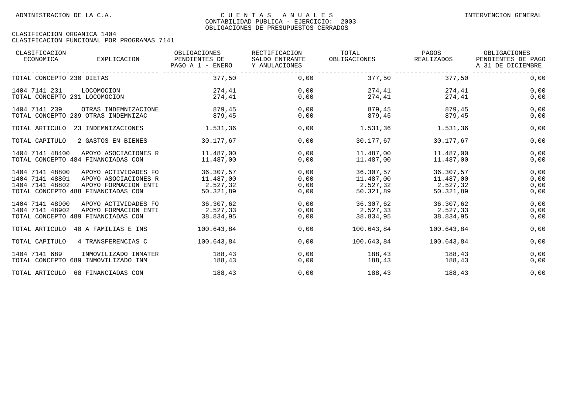| CLASIFICACION<br>ECONOMICA                                                                  | EXPLICACION                                                          | OBLIGACIONES<br>PENDIENTES DE<br>PAGO A 1 - ENERO | RECTIFICACION<br>SALDO ENTRANTE<br>Y ANULACIONES | TOTAL<br>OBLIGACIONES                           | PAGOS<br>REALIZADOS                             | OBLIGACIONES<br>PENDIENTES DE PAGO<br>A 31 DE DICIEMBRE |
|---------------------------------------------------------------------------------------------|----------------------------------------------------------------------|---------------------------------------------------|--------------------------------------------------|-------------------------------------------------|-------------------------------------------------|---------------------------------------------------------|
| TOTAL CONCEPTO 230 DIETAS                                                                   |                                                                      | 377,50                                            | 0,00                                             | 377,50                                          | 377,50                                          | 0,00                                                    |
| 1404 7141 231<br>TOTAL CONCEPTO 231 LOCOMOCION                                              | LOCOMOCION                                                           | 274,41<br>274,41                                  | 0,00<br>0,00                                     | 274,41<br>274,41                                | 274,41<br>274,41                                | 0,00<br>0,00                                            |
| 1404 7141 239<br>TOTAL CONCEPTO 239 OTRAS INDEMNIZAC                                        | OTRAS INDEMNIZACIONE                                                 | 879,45<br>879,45                                  | 0.00<br>0,00                                     | 879,45<br>879,45                                | 879,45<br>879,45                                | 0,00<br>0,00                                            |
| TOTAL ARTICULO                                                                              | 23 INDEMNIZACIONES                                                   | 1.531,36                                          | 0,00                                             | 1.531,36                                        | 1.531,36                                        | 0,00                                                    |
| TOTAL CAPITULO                                                                              | 2 GASTOS EN BIENES                                                   | 30.177,67                                         | 0,00                                             | 30.177,67                                       | 30.177,67                                       | 0,00                                                    |
| 1404 7141 48400<br>TOTAL CONCEPTO 484 FINANCIADAS CON                                       | APOYO ASOCIACIONES R                                                 | 11.487,00<br>11.487,00                            | 0,00<br>0,00                                     | 11.487,00<br>11.487,00                          | 11.487,00<br>11.487,00                          | 0,00<br>0,00                                            |
| 1404 7141 48800<br>1404 7141 48801<br>1404 7141 48802<br>TOTAL CONCEPTO 488 FINANCIADAS CON | APOYO ACTIVIDADES FO<br>APOYO ASOCIACIONES R<br>APOYO FORMACION ENTI | 36.307,57<br>11.487,00<br>2.527,32<br>50.321,89   | 0,00<br>0,00<br>0,00<br>0,00                     | 36.307,57<br>11.487,00<br>2.527,32<br>50.321,89 | 36.307,57<br>11.487,00<br>2.527,32<br>50.321,89 | 0,00<br>0,00<br>0,00<br>0,00                            |
| 1404 7141 48900<br>1404 7141 48902<br>TOTAL CONCEPTO 489 FINANCIADAS CON                    | APOYO ACTIVIDADES FO<br>APOYO FORMACION ENTI                         | 36.307,62<br>2.527,33<br>38.834,95                | 0,00<br>0,00<br>0,00                             | 36.307,62<br>2.527,33<br>38.834,95              | 36.307,62<br>2.527,33<br>38.834,95              | 0,00<br>0,00<br>0,00                                    |
| TOTAL ARTICULO                                                                              | 48 A FAMILIAS E INS                                                  | 100.643.84                                        | 0.00                                             | 100.643.84                                      | 100.643.84                                      | 0,00                                                    |
| TOTAL CAPITULO                                                                              | 4 TRANSFERENCIAS C                                                   | 100.643,84                                        | 0,00                                             | 100.643,84                                      | 100.643,84                                      | 0,00                                                    |
| 1404 7141 689<br>TOTAL CONCEPTO 689 INMOVILIZADO INM                                        | INMOVILIZADO INMATER                                                 | 188,43<br>188,43                                  | 0,00<br>0,00                                     | 188,43<br>188,43                                | 188,43<br>188,43                                | 0,00<br>0,00                                            |
| TOTAL ARTICULO                                                                              | 68 FINANCIADAS CON                                                   | 188,43                                            | 0,00                                             | 188,43                                          | 188,43                                          | 0,00                                                    |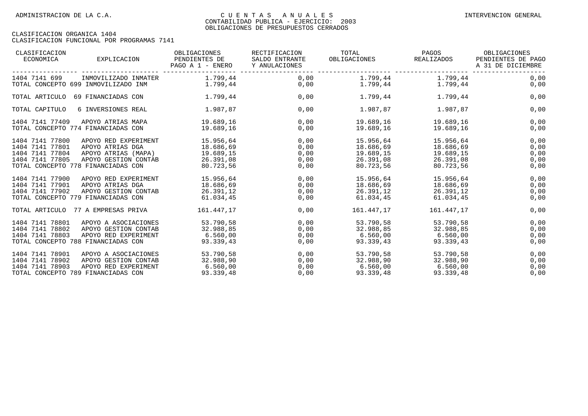| CLASIFICACION<br>ECONOMICA                                                                                     | EXPLICACION                                                                             | OBLIGACIONES<br>PENDIENTES DE<br>PAGO A 1 - ENERO             | RECTIFICACION<br>SALDO ENTRANTE<br>Y ANULACIONES | TOTAL<br>OBLIGACIONES                                         | PAGOS<br>REALIZADOS                                           | OBLIGACIONES<br>PENDIENTES DE PAGO<br>A 31 DE DICIEMBRE |
|----------------------------------------------------------------------------------------------------------------|-----------------------------------------------------------------------------------------|---------------------------------------------------------------|--------------------------------------------------|---------------------------------------------------------------|---------------------------------------------------------------|---------------------------------------------------------|
| 1404 7141 699                                                                                                  | INMOVILIZADO INMATER $1.799,44$<br>TOTAL CONCEPTO 699 INMOVILIZADO INM                  | 1.799,44                                                      |                                                  | $0,00$ 1.799,44<br>$0,00$ $1,799,44$                          | 1.799,44<br>1.799,44                                          | 0,00<br>0,00                                            |
| TOTAL ARTICULO 69 FINANCIADAS CON                                                                              |                                                                                         | 1.799,44                                                      | 0,00                                             | 1.799,44                                                      | 1.799,44                                                      | 0,00                                                    |
| TOTAL CAPITULO                                                                                                 | 6 INVERSIONES REAL                                                                      | 1.987,87                                                      | 0,00                                             | 1.987,87                                                      | 1.987,87                                                      | 0,00                                                    |
| 1404 7141 77409<br>TOTAL CONCEPTO 774 FINANCIADAS CON                                                          | APOYO ATRIAS MAPA                                                                       | 19.689,16<br>19.689,16                                        | 0,00<br>0,00                                     | 19.689,16<br>19.689,16                                        | 19.689,16<br>19.689,16                                        | 0,00<br>0,00                                            |
| 1404 7141 77800<br>1404 7141 77801<br>1404 7141 77804<br>1404 7141 77805<br>TOTAL CONCEPTO 778 FINANCIADAS CON | APOYO RED EXPERIMENT<br>APOYO ATRIAS DGA<br>APOYO ATRIAS (MAPA)<br>APOYO GESTION CONTAB | 15.956,64<br>18.686,69<br>19.689,15<br>26.391,08<br>80.723,56 | 0,00<br>0,00<br>0,00<br>0,00<br>0,00             | 15.956,64<br>18.686,69<br>19.689,15<br>26.391,08<br>80.723,56 | 15.956,64<br>18.686,69<br>19.689,15<br>26.391,08<br>80.723,56 | 0,00<br>0,00<br>0,00<br>0,00<br>0,00                    |
| 1404 7141 77900<br>1404 7141 77901<br>1404 7141 77902<br>TOTAL CONCEPTO 779 FINANCIADAS CON                    | APOYO RED EXPERIMENT<br>APOYO ATRIAS DGA<br>APOYO GESTION CONTAB                        | 15.956,64<br>18.686,69<br>26.391,12<br>61.034,45              | 0,00<br>0,00<br>0,00<br>0,00                     | 15.956,64<br>26.391,12<br>61.034,45                           | 15.956,64<br>18.686,69 18.686,69<br>26.391,12<br>61.034,45    | 0,00<br>0,00<br>0,00<br>0,00                            |
|                                                                                                                | TOTAL ARTICULO 77 A EMPRESAS PRIVA                                                      | 161.447,17                                                    | 0,00                                             | 161.447.17                                                    | 161.447.17                                                    | 0,00                                                    |
| 1404 7141 78801<br>1404 7141 78802<br>1404 7141 78803<br>TOTAL CONCEPTO 788 FINANCIADAS CON                    | APOYO A ASOCIACIONES<br>APOYO GESTION CONTAB<br>APOYO RED EXPERIMENT                    | 53.790,58<br>32.988,85<br>6.560,00<br>93.339,43               | 0,00<br>0,00<br>0,00<br>0,00                     | 53.790,58<br>32.988,85<br>6.560,00<br>93.339,43               | 53.790,58<br>32.988,85<br>6.560,00<br>93.339,43               | 0,00<br>0,00<br>0,00<br>0,00                            |
| 1404 7141 78901<br>1404 7141 78902<br>1404 7141 78903<br>TOTAL CONCEPTO 789 FINANCIADAS CON                    | APOYO A ASOCIACIONES<br>APOYO GESTION CONTAB<br>APOYO RED EXPERIMENT                    | 53.790,58<br>32.988,90<br>6.560,00<br>93.339,48               | 0,00<br>0,00<br>0,00<br>0,00                     | 53.790,58<br>6.560,00<br>93.339,48                            | 53.790,58<br>32.988,90 32.988,90<br>6.560,00<br>93.339,48     | 0,00<br>0,00<br>0,00<br>0,00                            |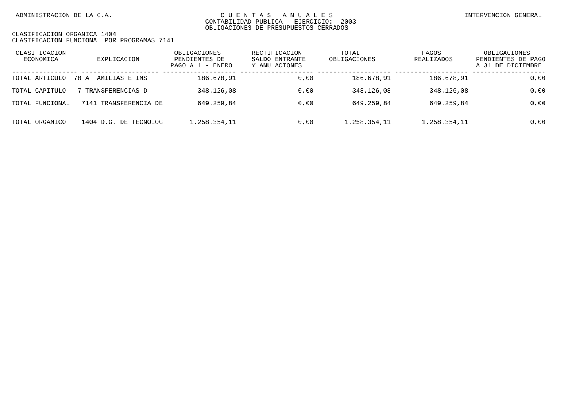| CLASIFICACION<br>ECONOMICA | EXPLICACION           | OBLIGACIONES<br>PENDIENTES DE<br>PAGO A $1$ - ENERO | RECTIFICACION<br>SALDO ENTRANTE<br>Y ANULACIONES | TOTAL<br>OBLIGACIONES | PAGOS<br>REALIZADOS | OBLIGACIONES<br>PENDIENTES DE PAGO<br>A 31 DE DICIEMBRE |
|----------------------------|-----------------------|-----------------------------------------------------|--------------------------------------------------|-----------------------|---------------------|---------------------------------------------------------|
| TOTAL ARTICULO             | 78 A FAMILIAS E INS   | 186.678,91                                          | 0,00                                             | 186.678,91            | 186.678,91          | 0,00                                                    |
| TOTAL CAPITULO             | TRANSFERENCIAS D      | 348.126,08                                          | 0,00                                             | 348.126.08            | 348.126,08          | 0,00                                                    |
| TOTAL FUNCIONAL            | 7141 TRANSFERENCIA DE | 649.259.84                                          | 0.00                                             | 649.259.84            | 649.259.84          | 0,00                                                    |
| TOTAL ORGANICO             | 1404 D.G. DE TECNOLOG | 1.258.354,11                                        | 0.00                                             | 1.258.354,11          | 1.258.354,11        | 0,00                                                    |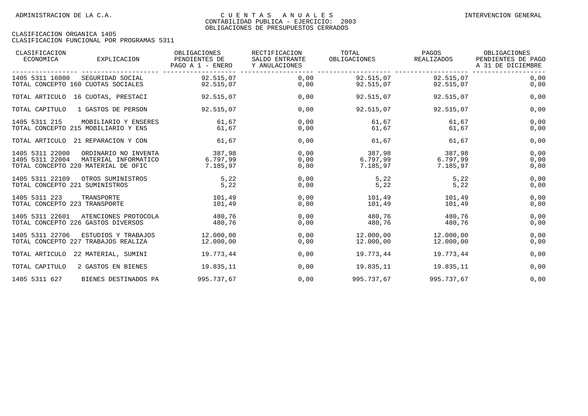| CLASIFICACION<br>ECONOMICA<br>EXPLICACION                                                                                 | OBLIGACIONES<br>PENDIENTES DE<br>PAGO A 1 - ENERO | RECTIFICACION<br>SALDO ENTRANTE<br>Y ANULACIONES | TOTAL<br>OBLIGACIONES          | PAGOS<br>REALIZADOS            | OBLIGACIONES<br>PENDIENTES DE PAGO<br>A 31 DE DICIEMBRE |
|---------------------------------------------------------------------------------------------------------------------------|---------------------------------------------------|--------------------------------------------------|--------------------------------|--------------------------------|---------------------------------------------------------|
| 1405 5311 16000<br>SEGURIDAD SOCIAL<br>TOTAL CONCEPTO 160 CUOTAS SOCIALES                                                 | 92.515,07<br>92.515,07                            | 0,00<br>0,00                                     | 92.515,07<br>92.515,07         | 92.515,07<br>92.515,07         | 0,00<br>0,00                                            |
| TOTAL ARTICULO 16 CUOTAS, PRESTACI                                                                                        | 92.515,07                                         | 0,00                                             | 92.515,07                      | 92.515,07                      | 0,00                                                    |
| TOTAL CAPITULO<br>1 GASTOS DE PERSON                                                                                      | 92.515,07                                         | 0,00                                             | 92.515,07                      | 92.515,07                      | 0,00                                                    |
| 1405 5311 215<br>MOBILIARIO Y ENSERES<br>TOTAL CONCEPTO 215 MOBILIARIO Y ENS                                              | 61,67<br>61,67                                    | 0,00<br>0,00                                     | 61,67<br>61,67                 | 61,67<br>61,67                 | 0,00<br>0,00                                            |
| TOTAL ARTICULO 21 REPARACION Y CON                                                                                        | 61,67                                             | 0,00                                             | 61,67                          | 61,67                          | 0,00                                                    |
| 1405 5311 22000<br>ORDINARIO NO INVENTA<br>1405 5311 22004<br>MATERIAL INFORMATICO<br>TOTAL CONCEPTO 220 MATERIAL DE OFIC | 387,98<br>6.797,99<br>7.185,97                    | 0,00<br>0,00<br>0,00                             | 387,98<br>6.797,99<br>7.185,97 | 387,98<br>6.797,99<br>7.185,97 | 0,00<br>0,00<br>0,00                                    |
| 1405 5311 22109<br>OTROS SUMINISTROS<br>TOTAL CONCEPTO 221 SUMINISTROS                                                    | 5,22<br>5,22                                      | 0,00<br>0,00                                     | 5,22<br>5,22                   | 5,22<br>5,22                   | 0,00<br>0,00                                            |
| 1405 5311 223<br>TRANSPORTE<br>TOTAL CONCEPTO 223 TRANSPORTE                                                              | 101,49<br>101,49                                  | 0,00<br>0,00                                     | 101,49<br>101,49               | 101,49<br>101,49               | 0,00<br>0,00                                            |
| 1405 5311 22601<br>ATENCIONES PROTOCOLA<br>TOTAL CONCEPTO 226 GASTOS DIVERSOS                                             | 480,76<br>480,76                                  | 0,00<br>0,00                                     | 480,76<br>480,76               | 480,76<br>480,76               | 0,00<br>0,00                                            |
| 1405 5311 22706<br>ESTUDIOS Y TRABAJOS<br>TOTAL CONCEPTO 227 TRABAJOS REALIZA                                             | 12.000,00<br>12.000,00                            | 0,00<br>0,00                                     | 12.000,00<br>12.000,00         | 12,000,00<br>12.000,00         | 0,00<br>0,00                                            |
| TOTAL ARTICULO<br>22 MATERIAL, SUMINI                                                                                     | 19.773,44                                         | 0,00                                             | 19.773,44                      | 19.773,44                      | 0,00                                                    |
| TOTAL CAPITULO<br>2 GASTOS EN BIENES                                                                                      | 19.835,11                                         | 0,00                                             | 19.835,11                      | 19.835,11                      | 0,00                                                    |
| 1405 5311 627<br>BIENES DESTINADOS PA                                                                                     | 995.737,67                                        | 0,00                                             | 995.737,67                     | 995.737,67                     | 0,00                                                    |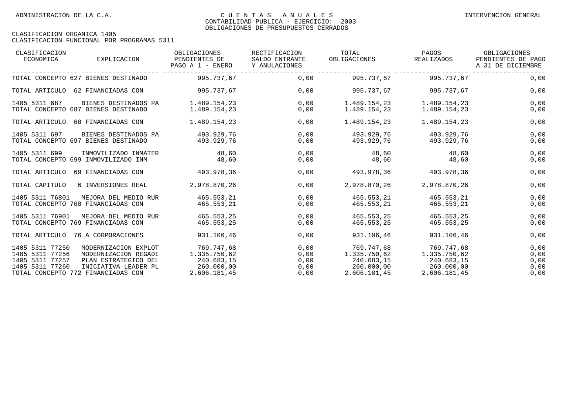| CLASIFICACION<br>ECONOMICA                                               | EXPLICACION                                                                                                                        | OBLIGACIONES<br>PENDIENTES DE<br>PAGO A 1 - ENERO                      | RECTIFICACION<br>SALDO ENTRANTE<br>Y ANULACIONES | TOTAL<br>OBLIGACIONES                                                  | PAGOS<br>REALIZADOS                                                    | OBLIGACIONES<br>PENDIENTES DE PAGO<br>A 31 DE DICIEMBRE<br>- - - - - - - - - - |
|--------------------------------------------------------------------------|------------------------------------------------------------------------------------------------------------------------------------|------------------------------------------------------------------------|--------------------------------------------------|------------------------------------------------------------------------|------------------------------------------------------------------------|--------------------------------------------------------------------------------|
|                                                                          | TOTAL CONCEPTO 627 BIENES DESTINADO                                                                                                | 995.737.67                                                             | 0.00                                             | 995.737.67                                                             | 995.737.67                                                             | 0,00                                                                           |
| TOTAL ARTICULO                                                           | 62 FINANCIADAS CON                                                                                                                 | 995.737,67                                                             | 0,00                                             | 995.737,67                                                             | 995.737,67                                                             | 0,00                                                                           |
| 1405 5311 687                                                            | BIENES DESTINADOS PA<br>TOTAL CONCEPTO 687 BIENES DESTINADO                                                                        | 1.489.154,23<br>1.489.154,23                                           | 0,00<br>0,00                                     | 1.489.154,23<br>1.489.154,23                                           | 1.489.154,23<br>1.489.154,23                                           | 0,00<br>0,00                                                                   |
| TOTAL ARTICULO                                                           | 68 FINANCIADAS CON                                                                                                                 | 1.489.154,23                                                           | 0,00                                             | 1.489.154,23                                                           | 1.489.154,23                                                           | 0,00                                                                           |
| 1405 5311 697                                                            | BIENES DESTINADOS PA<br>TOTAL CONCEPTO 697 BIENES DESTINADO                                                                        | 493.929,76<br>493.929.76                                               | 0,00<br>0,00                                     | 493.929,76<br>493.929.76                                               | 493.929,76<br>493.929.76                                               | 0,00<br>0,00                                                                   |
| 1405 5311 699                                                            | INMOVILIZADO INMATER<br>TOTAL CONCEPTO 699 INMOVILIZADO INM                                                                        | 48,60<br>48,60                                                         | 0,00<br>0,00                                     | 48,60<br>48,60                                                         | 48,60<br>48,60                                                         | 0,00<br>0,00                                                                   |
| TOTAL ARTICULO                                                           | 69 FINANCIADAS CON                                                                                                                 | 493.978.36                                                             | 0,00                                             | 493.978,36                                                             | 493.978.36                                                             | 0,00                                                                           |
| TOTAL CAPITULO                                                           | 6 INVERSIONES REAL                                                                                                                 | 2.978.870,26                                                           | 0,00                                             | 2.978.870.26                                                           | 2.978.870,26                                                           | 0,00                                                                           |
| 1405 5311 76801                                                          | MEJORA DEL MEDIO RUR<br>TOTAL CONCEPTO 768 FINANCIADAS CON                                                                         | 465.553,21<br>465.553,21                                               | 0,00<br>0,00                                     | 465.553,21<br>465.553,21                                               | 465.553,21<br>465.553,21                                               | 0,00<br>0,00                                                                   |
| 1405 5311 76901                                                          | MEJORA DEL MEDIO RUR<br>TOTAL CONCEPTO 769 FINANCIADAS CON                                                                         | 465.553,25<br>465.553,25                                               | 0.00<br>0,00                                     | 465.553,25<br>465.553,25                                               | 465.553.25<br>465.553,25                                               | 0,00<br>0,00                                                                   |
|                                                                          | TOTAL ARTICULO 76 A CORPORACIONES                                                                                                  | 931.106.46                                                             | 0.00                                             | 931.106.46                                                             | 931.106.46                                                             | 0,00                                                                           |
| 1405 5311 77250<br>1405 5311 77256<br>1405 5311 77257<br>1405 5311 77260 | MODERNIZACION EXPLOT<br>MODERNIZACION REGADI<br>PLAN ESTRATEGICO DEL<br>INICIATIVA LEADER PL<br>TOTAL CONCEPTO 772 FINANCIADAS CON | 769.747.68<br>1.335.750.62<br>240.683.15<br>260.000,00<br>2.606.181,45 | 0,00<br>0,00<br>0,00<br>0,00<br>0,00             | 769.747,68<br>1.335.750.62<br>240.683,15<br>260.000,00<br>2.606.181,45 | 769.747,68<br>1.335.750,62<br>240.683,15<br>260.000,00<br>2.606.181,45 | 0,00<br>0,00<br>0,00<br>0,00<br>0,00                                           |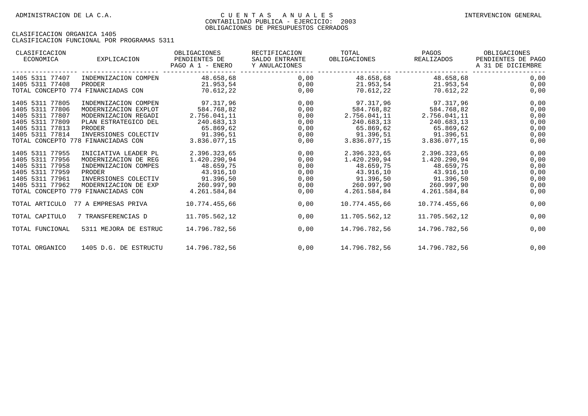| CLASIFICACION<br>ECONOMICA | EXPLICACION                        | OBLIGACIONES<br>PENDIENTES DE<br>PAGO A 1 - ENERO | RECTIFICACION<br>SALDO ENTRANTE<br>Y ANULACIONES | TOTAL<br>OBLIGACIONES | PAGOS<br>REALIZADOS | OBLIGACIONES<br>PENDIENTES DE PAGO<br>A 31 DE DICIEMBRE |
|----------------------------|------------------------------------|---------------------------------------------------|--------------------------------------------------|-----------------------|---------------------|---------------------------------------------------------|
| 1405 5311 77407            | INDEMNIZACION COMPEN               | 48.658,68                                         | 0,00                                             | 48.658,68             | 48.658,68           | 0,00                                                    |
| 1405 5311 77408            | PRODER                             | 21.953,54                                         | 0,00                                             | 21.953,54             | 21.953,54           | 0,00                                                    |
|                            | TOTAL CONCEPTO 774 FINANCIADAS CON | 70.612,22                                         | 0,00                                             | 70.612,22             | 70.612,22           | 0,00                                                    |
| 1405 5311 77805            | INDEMNIZACION COMPEN               | 97.317,96                                         | 0,00                                             | 97.317,96             | 97.317,96           | 0,00                                                    |
| 1405 5311 77806            | MODERNIZACION EXPLOT               | 584.768,82                                        | 0,00                                             | 584.768,82            | 584.768,82          | 0,00                                                    |
| 1405 5311 77807            | MODERNIZACION REGADI               | 2.756.041,11                                      | 0,00                                             | 2.756.041,11          | 2.756.041,11        | 0,00                                                    |
| 1405 5311 77809            | PLAN ESTRATEGICO DEL               | 240.683,13                                        | 0,00                                             | 240.683,13            | 240.683,13          | 0,00                                                    |
| 1405 5311 77813            | PRODER                             | 65.869,62                                         | 0,00                                             | 65.869,62             | 65.869,62           | 0,00                                                    |
| 1405 5311 77814            | INVERSIONES COLECTIV               | 91.396,51                                         | 0,00                                             | 91.396,51             | 91.396,51           | 0,00                                                    |
|                            | TOTAL CONCEPTO 778 FINANCIADAS CON | 3.836.077,15                                      | 0,00                                             | 3.836.077,15          | 3.836.077,15        | 0,00                                                    |
| 1405 5311 77955            | INICIATIVA LEADER PL               | 2.396.323,65                                      | 0,00                                             | 2.396.323,65          | 2.396.323,65        | 0,00                                                    |
| 1405 5311 77956            | MODERNIZACION DE REG               | 1.420.290,94                                      | 0,00                                             | 1.420.290,94          | 1.420.290,94        | 0,00                                                    |
| 1405 5311 77958            | INDEMNIZACION COMPES               | 48.659,75                                         | 0,00                                             | 48.659,75             | 48.659.75           | 0,00                                                    |
| 1405 5311 77959            | PRODER                             | 43.916,10                                         | 0,00                                             | 43.916,10             | 43.916,10           | 0,00                                                    |
| 1405 5311 77961            | INVERSIONES COLECTIV               | 91.396,50                                         | 0,00                                             | 91.396,50             | 91.396,50           | 0,00                                                    |
| 1405 5311 77962            | MODERNIZACION DE EXP               | 260.997,90                                        | 0,00                                             | 260.997,90            | 260.997,90          | 0,00                                                    |
|                            | TOTAL CONCEPTO 779 FINANCIADAS CON | 4.261.584,84                                      | 0,00                                             | 4.261.584,84          | 4.261.584.84        | 0,00                                                    |
| TOTAL ARTICULO             | 77 A EMPRESAS PRIVA                | 10.774.455,66                                     | 0,00                                             | 10.774.455,66         | 10.774.455,66       | 0,00                                                    |
| TOTAL CAPITULO             | 7 TRANSFERENCIAS D                 | 11.705.562,12                                     | 0,00                                             | 11.705.562,12         | 11.705.562,12       | 0,00                                                    |
| TOTAL FUNCIONAL            | 5311 MEJORA DE ESTRUC              | 14.796.782,56                                     | 0,00                                             | 14.796.782,56         | 14.796.782,56       | 0,00                                                    |
| TOTAL ORGANICO             | 1405 D.G. DE ESTRUCTU              | 14.796.782,56                                     | 0,00                                             | 14.796.782,56         | 14.796.782,56       | 0,00                                                    |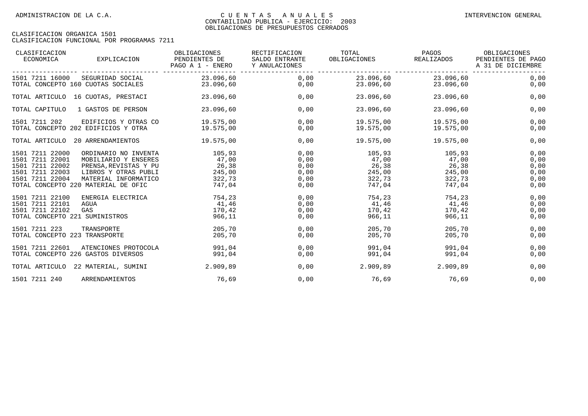| CLASIFICACION<br>ECONOMICA<br>EXPLICACION                                                                                                                                                                                                                   | OBLIGACIONES<br>PENDIENTES DE<br>PAGO A 1 - ENERO      | RECTIFICACION<br>SALDO ENTRANTE<br>Y ANULACIONES | TOTAL<br>OBLIGACIONES                                  | PAGOS<br>REALIZADOS                                    | OBLIGACIONES<br>PENDIENTES DE PAGO<br>A 31 DE DICIEMBRE |
|-------------------------------------------------------------------------------------------------------------------------------------------------------------------------------------------------------------------------------------------------------------|--------------------------------------------------------|--------------------------------------------------|--------------------------------------------------------|--------------------------------------------------------|---------------------------------------------------------|
| 1501 7211 16000<br>SEGURIDAD SOCIAL<br>TOTAL CONCEPTO 160 CUOTAS SOCIALES                                                                                                                                                                                   | 23.096,60<br>23.096,60                                 | 0.00<br>0,00                                     | 23.096,60                                              | 23.096,60 23.096,60<br>23.096,60                       | 0,00<br>0,00                                            |
| TOTAL ARTICULO 16 CUOTAS, PRESTACI                                                                                                                                                                                                                          | 23.096,60                                              | 0,00                                             | 23.096,60                                              | 23.096,60                                              | 0,00                                                    |
| TOTAL CAPITULO<br>1 GASTOS DE PERSON                                                                                                                                                                                                                        | 23.096,60                                              | 0,00                                             | 23.096,60                                              | 23.096,60                                              | 0,00                                                    |
| 1501 7211 202<br>EDIFICIOS Y OTRAS CO<br>TOTAL CONCEPTO 202 EDIFICIOS Y OTRA                                                                                                                                                                                | 19.575,00<br>19.575,00                                 | 0,00<br>0,00                                     | 19.575,00<br>19.575,00                                 | 19.575,00<br>19.575,00                                 | 0,00<br>0,00                                            |
| TOTAL ARTICULO 20 ARRENDAMIENTOS                                                                                                                                                                                                                            | 19.575,00                                              | 0,00                                             | 19.575,00                                              | 19.575,00                                              | 0,00                                                    |
| 1501 7211 22000<br>ORDINARIO NO INVENTA<br>1501 7211 22001<br>MOBILIARIO Y ENSERES<br>1501 7211 22002<br>PRENSA, REVISTAS Y PU<br>1501 7211 22003<br>LIBROS Y OTRAS PUBLI<br>1501 7211 22004<br>MATERIAL INFORMATICO<br>TOTAL CONCEPTO 220 MATERIAL DE OFIC | 105,93<br>47,00<br>26,38<br>245,00<br>322,73<br>747,04 | 0,00<br>0,00<br>0,00<br>0,00<br>0,00<br>0,00     | 105,93<br>47,00<br>26,38<br>245,00<br>322,73<br>747,04 | 105,93<br>47,00<br>26,38<br>245,00<br>322,73<br>747,04 | 0,00<br>0,00<br>0,00<br>0,00<br>0,00<br>0,00            |
| 1501 7211 22100<br>ENERGIA ELECTRICA<br>1501 7211 22101<br>AGUA<br>1501 7211 22102<br>GAS<br>TOTAL CONCEPTO 221 SUMINISTROS                                                                                                                                 | 754,23<br>41,46<br>170,42<br>966,11                    | 0,00<br>0,00<br>0,00<br>0,00                     | 754,23<br>41,46<br>170,42<br>966,11                    | 754,23<br>41,46<br>170,42<br>966,11                    | 0,00<br>0,00<br>0,00<br>0,00                            |
| 1501 7211 223<br>TRANSPORTE<br>TOTAL CONCEPTO 223 TRANSPORTE                                                                                                                                                                                                | 205,70<br>205,70                                       | 0,00<br>0,00                                     | 205,70<br>205,70                                       | 205,70<br>205,70                                       | 0,00<br>0,00                                            |
| 1501 7211 22601<br>ATENCIONES PROTOCOLA<br>TOTAL CONCEPTO 226 GASTOS DIVERSOS                                                                                                                                                                               | 991,04<br>991,04                                       | 0,00<br>0,00                                     | 991,04<br>991,04                                       | 991,04<br>991,04                                       | 0,00<br>0,00                                            |
| TOTAL ARTICULO 22 MATERIAL, SUMINI                                                                                                                                                                                                                          | 2.909,89                                               | 0,00                                             | 2.909,89                                               | 2.909,89                                               | 0,00                                                    |
| 1501 7211 240<br>ARRENDAMIENTOS                                                                                                                                                                                                                             | 76,69                                                  | 0,00                                             | 76,69                                                  | 76,69                                                  | 0,00                                                    |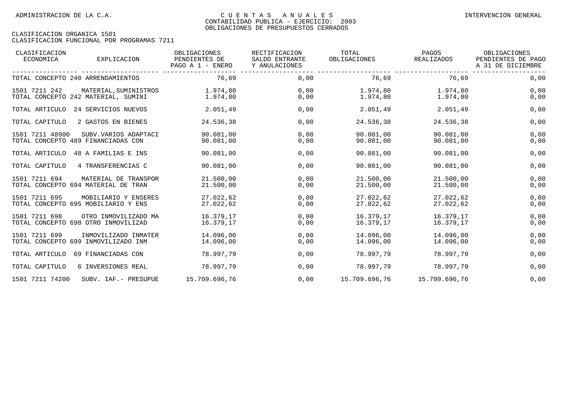| CLASIFICACION<br>ECONOMICA | EXPLICACION                                                  | OBLIGACIONES<br>PENDIENTES DE<br>PAGO A 1 - ENERO | RECTIFICACION<br>SALDO ENTRANTE<br>Y ANULACIONES | TOTAL<br>OBLIGACIONES  | PAGOS<br>REALIZADOS    | OBLIGACIONES<br>PENDIENTES DE PAGO<br>A 31 DE DICIEMBRE |
|----------------------------|--------------------------------------------------------------|---------------------------------------------------|--------------------------------------------------|------------------------|------------------------|---------------------------------------------------------|
|                            | TOTAL CONCEPTO 240 ARRENDAMIENTOS                            | 76,69                                             | 0,00                                             | 76,69                  | 76.69                  | 0,00                                                    |
| 1501 7211 242              | MATERIAL, SUMINISTROS<br>TOTAL CONCEPTO 242 MATERIAL, SUMINI | 1.974,80<br>1.974,80                              | 0,00<br>0,00                                     | 1.974,80<br>1.974,80   | 1.974,80<br>1.974,80   | 0,00<br>0,00                                            |
| TOTAL ARTICULO             | 24 SERVICIOS NUEVOS                                          | 2.051,49                                          | 0,00                                             | 2.051,49               | 2.051,49               | 0,00                                                    |
| TOTAL CAPITULO             | 2 GASTOS EN BIENES                                           | 24.536,38                                         | 0,00                                             | 24.536,38              | 24.536,38              | 0,00                                                    |
| 1501 7211 48900            | SUBV.VARIOS ADAPTACI<br>TOTAL CONCEPTO 489 FINANCIADAS CON   | 90.081,00<br>90.081,00                            | 0.00<br>0,00                                     | 90.081,00<br>90.081,00 | 90.081.00<br>90.081,00 | 0,00<br>0,00                                            |
| TOTAL ARTICULO             | 48 A FAMILIAS E INS                                          | 90.081,00                                         | 0,00                                             | 90.081,00              | 90.081,00              | 0,00                                                    |
| TOTAL CAPITULO             | 4 TRANSFERENCIAS C                                           | 90.081,00                                         | 0,00                                             | 90.081,00              | 90.081,00              | 0,00                                                    |
| 1501 7211 694              | MATERIAL DE TRANSPOR<br>TOTAL CONCEPTO 694 MATERIAL DE TRAN  | 21.500,00<br>21.500,00                            | 0,00<br>0,00                                     | 21.500,00<br>21.500,00 | 21.500,00<br>21.500,00 | 0,00<br>0,00                                            |
| 1501 7211 695              | MOBILIARIO Y ENSERES<br>TOTAL CONCEPTO 695 MOBILIARIO Y ENS  | 27.022,62<br>27.022,62                            | 0,00<br>0,00                                     | 27.022,62<br>27.022,62 | 27.022,62<br>27.022,62 | 0,00<br>0,00                                            |
| 1501 7211 698              | OTRO INMOVILIZADO MA<br>TOTAL CONCEPTO 698 OTRO INMOVILIZAD  | 16.379,17<br>16.379,17                            | 0,00<br>0,00                                     | 16.379,17<br>16.379,17 | 16.379,17<br>16.379,17 | 0,00<br>0,00                                            |
| 1501 7211 699              | INMOVILIZADO INMATER<br>TOTAL CONCEPTO 699 INMOVILIZADO INM  | 14.096,00<br>14.096,00                            | 0,00<br>0,00                                     | 14.096,00<br>14.096,00 | 14.096,00<br>14.096,00 | 0,00<br>0,00                                            |
| TOTAL ARTICULO             | 69 FINANCIADAS CON                                           | 78.997,79                                         | 0,00                                             | 78.997,79              | 78.997.79              | 0,00                                                    |
| TOTAL CAPITULO             | 6 INVERSIONES REAL                                           | 78.997,79                                         | 0,00                                             | 78.997,79              | 78.997,79              | 0,00                                                    |
| 1501 7211 74200            | SUBV. IAF. - PRESUPUE                                        | 15.709.696,76                                     | 0,00                                             | 15.709.696,76          | 15.709.696,76          | 0,00                                                    |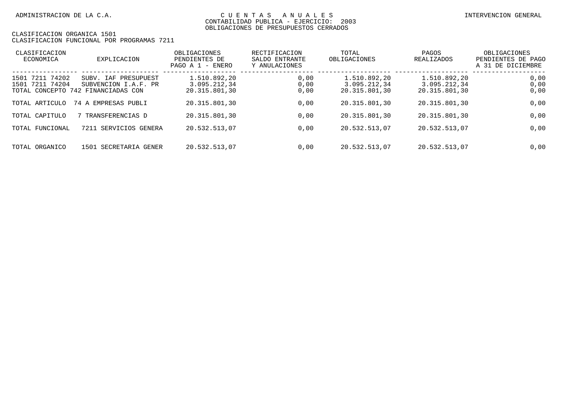| CLASIFICACION<br>ECONOMICA         | EXPLICACION                                                                        | OBLIGACIONES<br>PENDIENTES DE<br>PAGO A $1$ - ENERO | RECTIFICACION<br>SALDO ENTRANTE<br>Y ANULACIONES | TOTAL<br>OBLIGACIONES                         | PAGOS<br>REALIZADOS                           | OBLIGACIONES<br>PENDIENTES DE PAGO<br>A 31 DE DICIEMBRE |
|------------------------------------|------------------------------------------------------------------------------------|-----------------------------------------------------|--------------------------------------------------|-----------------------------------------------|-----------------------------------------------|---------------------------------------------------------|
| 1501 7211 74202<br>1501 7211 74204 | SUBV, IAF PRESUPUEST<br>SUBVENCION I.A.F. PR<br>TOTAL CONCEPTO 742 FINANCIADAS CON | 1.510.892.20<br>3.095.212.34<br>20.315.801.30       | 0,00<br>0,00<br>0,00                             | 1.510.892.20<br>3.095.212.34<br>20.315.801,30 | 1.510.892.20<br>3.095.212.34<br>20.315.801.30 | 0,00<br>0,00<br>0,00                                    |
| TOTAL ARTICULO                     | 74 A EMPRESAS PUBLI                                                                | 20.315.801,30                                       | 0,00                                             | 20.315.801.30                                 | 20.315.801,30                                 | 0,00                                                    |
| TOTAL CAPITULO                     | TRANSFERENCIAS D                                                                   | 20.315.801.30                                       | 0,00                                             | 20.315.801.30                                 | 20.315.801.30                                 | 0,00                                                    |
| TOTAL FUNCIONAL                    | 7211 SERVICIOS GENERA                                                              | 20.532.513.07                                       | 0,00                                             | 20.532.513,07                                 | 20.532.513.07                                 | 0,00                                                    |
| TOTAL ORGANICO                     | 1501 SECRETARIA GENER                                                              | 20.532.513.07                                       | 0.00                                             | 20.532.513.07                                 | 20.532.513,07                                 | 0,00                                                    |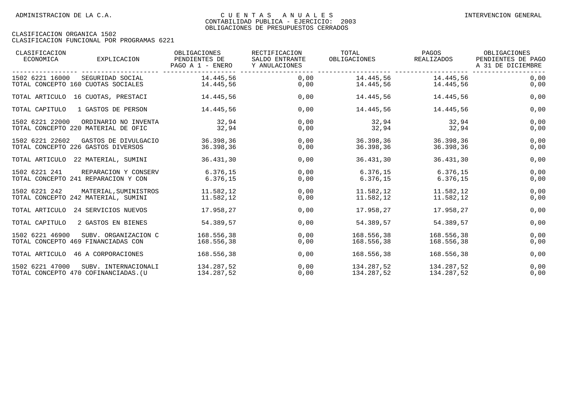| CLASIFICACION<br>ECONOMICA                                                | EXPLICACION           | OBLIGACIONES<br>PENDIENTES DE<br>PAGO A 1 - ENERO | <b>RECTIFICACION</b><br>SALDO ENTRANTE<br>Y ANULACIONES | TOTAL<br>OBLIGACIONES    | PAGOS<br>REALIZADOS      | OBLIGACIONES<br>PENDIENTES DE PAGO<br>A 31 DE DICIEMBRE |
|---------------------------------------------------------------------------|-----------------------|---------------------------------------------------|---------------------------------------------------------|--------------------------|--------------------------|---------------------------------------------------------|
| 1502 6221 16000<br>SEGURIDAD SOCIAL<br>TOTAL CONCEPTO 160 CUOTAS SOCIALES |                       | 14.445,56<br>14.445,56                            | 0,00<br>0,00                                            | 14.445,56<br>14.445,56   | 14.445,56<br>14.445,56   | 0,00<br>0,00                                            |
| TOTAL ARTICULO 16 CUOTAS, PRESTACI                                        |                       | 14.445,56                                         | 0,00                                                    | 14.445,56                | 14.445,56                | 0,00                                                    |
| 1 GASTOS DE PERSON<br>TOTAL CAPITULO                                      |                       | 14.445.56                                         | 0,00                                                    | 14.445,56                | 14.445.56                | 0,00                                                    |
| 1502 6221 22000<br>TOTAL CONCEPTO 220 MATERIAL DE OFIC                    | ORDINARIO NO INVENTA  | 32,94<br>32,94                                    | 0,00<br>0,00                                            | 32,94<br>32,94           | 32,94<br>32,94           | 0,00<br>0,00                                            |
| 1502 6221 22602<br>TOTAL CONCEPTO 226 GASTOS DIVERSOS                     | GASTOS DE DIVULGACIO  | 36.398,36<br>36.398,36                            | 0,00<br>0,00                                            | 36.398,36<br>36.398,36   | 36.398,36<br>36.398,36   | 0,00<br>0,00                                            |
| TOTAL ARTICULO<br>22 MATERIAL, SUMINI                                     |                       | 36.431,30                                         | 0,00                                                    | 36.431,30                | 36.431,30                | 0,00                                                    |
| 1502 6221 241<br>TOTAL CONCEPTO 241 REPARACION Y CON                      | REPARACION Y CONSERV  | 6.376,15<br>6.376,15                              | 0,00<br>0,00                                            | 6.376,15<br>6.376,15     | 6.376,15<br>6.376,15     | 0,00<br>0,00                                            |
| 1502 6221 242<br>TOTAL CONCEPTO 242 MATERIAL, SUMINI                      | MATERIAL, SUMINISTROS | 11.582,12<br>11.582,12                            | 0,00<br>0,00                                            | 11.582,12<br>11.582,12   | 11.582,12<br>11.582,12   | 0,00<br>0,00                                            |
| TOTAL ARTICULO<br>24 SERVICIOS NUEVOS                                     |                       | 17.958.27                                         | 0,00                                                    | 17.958.27                | 17.958.27                | 0,00                                                    |
| TOTAL CAPITULO<br>2 GASTOS EN BIENES                                      |                       | 54.389.57                                         | 0.00                                                    | 54.389.57                | 54.389.57                | 0,00                                                    |
| 1502 6221 46900<br>TOTAL CONCEPTO 469 FINANCIADAS CON                     | SUBV. ORGANIZACION C  | 168.556,38<br>168.556,38                          | 0,00<br>0,00                                            | 168.556,38<br>168.556,38 | 168.556,38<br>168.556,38 | 0,00<br>0,00                                            |
| TOTAL ARTICULO 46 A CORPORACIONES                                         |                       | 168.556,38                                        | 0,00                                                    | 168.556,38               | 168.556,38               | 0,00                                                    |
| 1502 6221 47000<br>TOTAL CONCEPTO 470 COFINANCIADAS. (U                   | SUBV. INTERNACIONALI  | 134.287,52<br>134.287,52                          | 0,00<br>0,00                                            | 134.287,52<br>134.287,52 | 134.287,52<br>134.287,52 | 0,00<br>0,00                                            |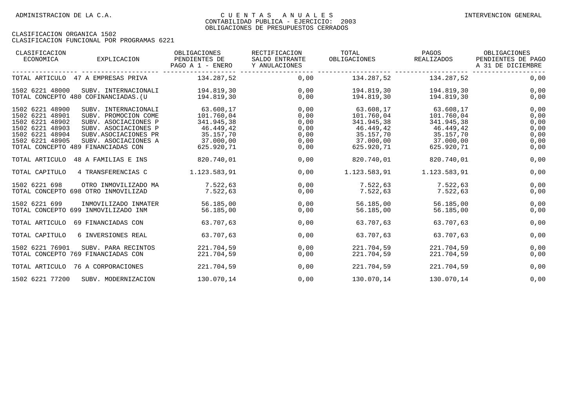| CLASIFICACION<br>ECONOMICA                                                                                                                           | EXPLICACION                                                                                                                                  | OBLIGACIONES<br>PENDIENTES DE<br>PAGO A 1 - ENERO                                          | RECTIFICACION<br>SALDO ENTRANTE<br>Y ANULACIONES     | TOTAL<br>OBLIGACIONES                                                                                    | PAGOS<br>REALIZADOS                                                           | OBLIGACIONES<br>PENDIENTES DE PAGO<br>A 31 DE DICIEMBRE |
|------------------------------------------------------------------------------------------------------------------------------------------------------|----------------------------------------------------------------------------------------------------------------------------------------------|--------------------------------------------------------------------------------------------|------------------------------------------------------|----------------------------------------------------------------------------------------------------------|-------------------------------------------------------------------------------|---------------------------------------------------------|
|                                                                                                                                                      | TOTAL ARTICULO 47 A EMPRESAS PRIVA                                                                                                           | 134.287,52                                                                                 | 0,00                                                 | 134.287,52                                                                                               | 134.287,52                                                                    | 0,00                                                    |
| 1502 6221 48000<br>TOTAL CONCEPTO 480 COFINANCIADAS. (U                                                                                              | SUBV. INTERNACIONALI                                                                                                                         | 194.819,30<br>194.819,30                                                                   | 0,00<br>0,00                                         | 194.819,30<br>194.819,30                                                                                 | 194.819,30<br>194.819,30                                                      | 0,00<br>0,00                                            |
| 1502 6221 48900<br>1502 6221 48901<br>1502 6221 48902<br>1502 6221 48903<br>1502 6221 48904<br>1502 6221 48905<br>TOTAL CONCEPTO 489 FINANCIADAS CON | SUBV. INTERNACIONALI<br>SUBV. PROMOCION COME<br>SUBV. ASOCIACIONES P<br>SUBV. ASOCIACIONES P<br>SUBV.ASOCIACIONES PR<br>SUBV. ASOCIACIONES A | 63.608,17<br>101.760,04<br>341.945,38<br>46.449,42<br>35.157,70<br>37.000,00<br>625.920,71 | 0,00<br>0,00<br>0,00<br>0,00<br>0,00<br>0,00<br>0,00 | 63.608,17<br>101.760,04<br>341.945,38<br>46.449,42<br>35.157,70<br>$37.000,00$ $37.000,00$<br>625.920,71 | 63.608,17<br>101.760,04<br>341.945,38<br>46.449,42<br>35.157,70<br>625.920,71 | 0,00<br>0,00<br>0,00<br>0,00<br>0,00<br>0,00<br>0,00    |
| TOTAL ARTICULO 48 A FAMILIAS E INS                                                                                                                   |                                                                                                                                              | 820.740,01                                                                                 | 0,00                                                 | 820.740,01                                                                                               | 820.740,01                                                                    | 0,00                                                    |
| TOTAL CAPITULO                                                                                                                                       | 4 TRANSFERENCIAS C                                                                                                                           | 1.123.583,91                                                                               | 0,00                                                 |                                                                                                          |                                                                               | 0,00                                                    |
| 1502 6221 698<br>TOTAL CONCEPTO 698 OTRO INMOVILIZAD                                                                                                 | OTRO INMOVILIZADO MA                                                                                                                         | 7.522.63<br>7.522,63                                                                       | 0,00<br>0,00                                         | 7.522,63<br>7.522,63                                                                                     | 7.522,63<br>7.522,63                                                          | 0,00<br>0,00                                            |
| 1502 6221 699<br>TOTAL CONCEPTO 699 INMOVILIZADO INM                                                                                                 | INMOVILIZADO INMATER                                                                                                                         | 56.185,00<br>56.185,00                                                                     | 0,00<br>0,00                                         | 56.185,00                                                                                                | 56.185,00 56.185,00<br>56.185,00                                              | 0,00<br>0,00                                            |
| TOTAL ARTICULO                                                                                                                                       | 69 FINANCIADAS CON                                                                                                                           | 63.707,63                                                                                  | 0,00                                                 | 63.707,63                                                                                                | 63.707,63                                                                     | 0,00                                                    |
| TOTAL CAPITULO                                                                                                                                       | 6 INVERSIONES REAL                                                                                                                           | 63.707,63                                                                                  | 0,00                                                 | 63.707,63                                                                                                | 63.707,63                                                                     | 0,00                                                    |
| 1502 6221 76901<br>TOTAL CONCEPTO 769 FINANCIADAS CON                                                                                                | SUBV. PARA RECINTOS                                                                                                                          | 221.704,59<br>221.704,59                                                                   | 0,00<br>0,00                                         | 221.704,59<br>221.704,59                                                                                 | 221.704.59<br>221.704,59                                                      | 0,00<br>0,00                                            |
| TOTAL ARTICULO 76 A CORPORACIONES                                                                                                                    |                                                                                                                                              | 221.704,59                                                                                 | 0,00                                                 | 221.704,59                                                                                               | 221.704,59                                                                    | 0,00                                                    |
| 1502 6221 77200                                                                                                                                      | SUBV. MODERNIZACION                                                                                                                          | 130.070,14                                                                                 | 0,00                                                 | 130.070,14                                                                                               | 130.070,14                                                                    | 0,00                                                    |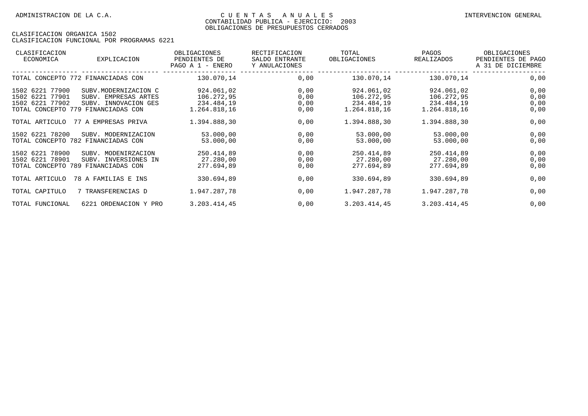| CLASIFICACION<br>ECONOMICA                                               | EXPLICACION                                                                                 | OBLIGACIONES<br>PENDIENTES DE<br>PAGO A 1 - ENERO      | RECTIFICACION<br>SALDO ENTRANTE<br>Y ANULACIONES | TOTAL<br>OBLIGACIONES                                  | PAGOS<br>REALIZADOS                                    | OBLIGACIONES<br>PENDIENTES DE PAGO<br>A 31 DE DICIEMBRE |
|--------------------------------------------------------------------------|---------------------------------------------------------------------------------------------|--------------------------------------------------------|--------------------------------------------------|--------------------------------------------------------|--------------------------------------------------------|---------------------------------------------------------|
| TOTAL CONCEPTO 772 FINANCIADAS CON                                       |                                                                                             | 130.070,14                                             | 0,00                                             | 130.070,14                                             | 130.070,14                                             | 0,00                                                    |
| 1502 6221 77900<br>1502 6221 77901<br>1502 6221 77902<br>TOTAL CONCEPTO  | SUBV.MODERNIZACION C<br>SUBV. EMPRESAS ARTES<br>SUBV. INNOVACION GES<br>779 FINANCIADAS CON | 924.061,02<br>106.272,95<br>234.484,19<br>1.264.818,16 | 0,00<br>0,00<br>0,00<br>0,00                     | 924.061,02<br>106.272,95<br>234.484,19<br>1.264.818,16 | 924.061,02<br>106.272,95<br>234.484,19<br>1.264.818,16 | 0,00<br>0,00<br>0,00<br>0,00                            |
| TOTAL ARTICULO                                                           | 77 A EMPRESAS PRIVA                                                                         | 1.394.888,30                                           | 0,00                                             | 1.394.888,30                                           | 1.394.888,30                                           | 0,00                                                    |
| 1502 6221 78200<br>TOTAL CONCEPTO 782 FINANCIADAS CON                    | SUBV. MODERNIZACION                                                                         | 53.000,00<br>53.000,00                                 | 0,00<br>0,00                                     | 53.000,00<br>53.000,00                                 | 53.000,00<br>53.000,00                                 | 0,00<br>0,00                                            |
| 1502 6221 78900<br>1502 6221 78901<br>TOTAL CONCEPTO 789 FINANCIADAS CON | SUBV. MODENIRZACION<br>SUBV. INVERSIONES IN                                                 | 250.414,89<br>27.280,00<br>277.694,89                  | 0,00<br>0,00<br>0,00                             | 250.414,89<br>27.280,00<br>277.694,89                  | 250.414,89<br>27.280,00<br>277.694,89                  | 0,00<br>0,00<br>0,00                                    |
| TOTAL ARTICULO                                                           | 78 A FAMILIAS E INS                                                                         | 330.694,89                                             | 0,00                                             | 330.694,89                                             | 330.694,89                                             | 0,00                                                    |
| TOTAL CAPITULO                                                           | 7 TRANSFERENCIAS D                                                                          | 1.947.287,78                                           | 0,00                                             | 1.947.287,78                                           | 1.947.287,78                                           | 0,00                                                    |
| TOTAL FUNCIONAL                                                          | 6221 ORDENACION Y PRO                                                                       | 3.203.414,45                                           | 0,00                                             | 3.203.414,45                                           | 3.203.414,45                                           | 0,00                                                    |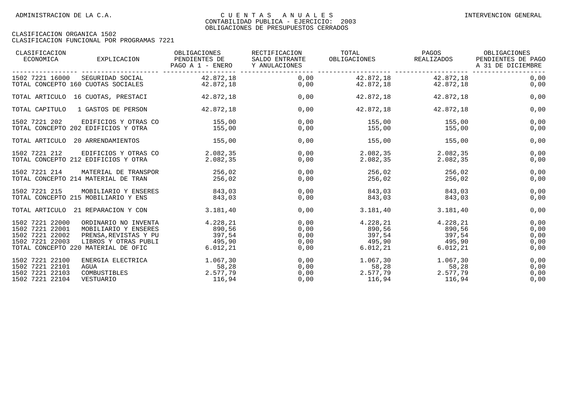| CLASIFICACION<br>ECONOMICA                                               | EXPLICACION                                                                                                                          | OBLIGACIONES<br>PENDIENTES DE<br>PAGO A 1 - ENERO    | RECTIFICACION<br>SALDO ENTRANTE<br>Y ANULACIONES | TOTAL<br>OBLIGACIONES                     | PAGOS<br>REALIZADOS                                        | OBLIGACIONES<br>PENDIENTES DE PAGO<br>A 31 DE DICIEMBRE |
|--------------------------------------------------------------------------|--------------------------------------------------------------------------------------------------------------------------------------|------------------------------------------------------|--------------------------------------------------|-------------------------------------------|------------------------------------------------------------|---------------------------------------------------------|
| 1502 7221 16000                                                          | SEGURIDAD SOCIAL<br>TOTAL CONCEPTO 160 CUOTAS SOCIALES                                                                               | 42.872,18<br>42.872,18                               | 0,00<br>0,00                                     |                                           | 42.872,18 42.872,18<br>42.872,18 42.872,18                 | 0,00<br>0,00                                            |
|                                                                          | TOTAL ARTICULO 16 CUOTAS, PRESTACI                                                                                                   | 42.872,18                                            | 0,00                                             | 42.872,18                                 | 42.872,18                                                  | 0,00                                                    |
| TOTAL CAPITULO                                                           | 1 GASTOS DE PERSON                                                                                                                   | 42.872,18                                            | 0,00                                             | 42.872,18                                 | 42.872,18                                                  | 0,00                                                    |
| 1502 7221 202                                                            | EDIFICIOS Y OTRAS CO<br>TOTAL CONCEPTO 202 EDIFICIOS Y OTRA                                                                          | 155,00<br>155,00                                     | 0,00<br>0,00                                     | 155,00<br>155,00                          | 155,00<br>155,00                                           | 0,00<br>0,00                                            |
| TOTAL ARTICULO 20 ARRENDAMIENTOS                                         |                                                                                                                                      | 155,00                                               | 0,00                                             | 155,00                                    | 155,00                                                     | 0,00                                                    |
| 1502 7221 212                                                            | EDIFICIOS Y OTRAS CO<br>TOTAL CONCEPTO 212 EDIFICIOS Y OTRA                                                                          | 2.082,35<br>2.082.35                                 | 0,00<br>0,00                                     | 2.082,35<br>2.082,35                      | 2.082,35<br>2.082,35                                       | 0,00<br>0,00                                            |
| 1502 7221 214                                                            | MATERIAL DE TRANSPOR<br>TOTAL CONCEPTO 214 MATERIAL DE TRAN                                                                          | 256,02<br>256,02                                     | 0,00<br>0,00                                     | 256,02<br>256,02                          | 256,02<br>256,02                                           | 0,00<br>0,00                                            |
| 1502 7221 215                                                            | MOBILIARIO Y ENSERES<br>TOTAL CONCEPTO 215 MOBILIARIO Y ENS                                                                          | 843,03<br>843,03                                     | 0,00<br>0,00                                     | 843,03<br>843,03                          | 843,03<br>843,03                                           | 0,00<br>0,00                                            |
|                                                                          | TOTAL ARTICULO 21 REPARACION Y CON                                                                                                   | 3.181,40                                             | 0,00                                             | 3.181, 40                                 | 3.181,40                                                   | 0,00                                                    |
| 1502 7221 22000<br>1502 7221 22001<br>1502 7221 22002<br>1502 7221 22003 | ORDINARIO NO INVENTA<br>MOBILIARIO Y ENSERES<br>PRENSA, REVISTAS Y PU<br>LIBROS Y OTRAS PUBLI<br>TOTAL CONCEPTO 220 MATERIAL DE OFIC | 4.228,21<br>890,56<br>397,54<br>495, 90<br>6.012, 21 | 0,00<br>0,00<br>0,00<br>0,00<br>0,00             | 4.228,21<br>890,56<br>397,54<br>6.012, 21 | 4.228,21<br>890,56<br>397,54<br>495,90 495,90<br>6.012, 21 | 0,00<br>0,00<br>0,00<br>0,00<br>0,00                    |
| 1502 7221 22100<br>1502 7221 22101<br>1502 7221 22103<br>1502 7221 22104 | ENERGIA ELECTRICA<br>AGUA<br>COMBUSTIBLES<br>VESTUARIO                                                                               | 1.067, 30<br>58,28<br>2.577,79<br>116,94             | 0,00<br>0,00<br>0,00<br>0,00                     | 1,067,30<br>58,28<br>2.577,79<br>116,94   | 1.067,30<br>58,28<br>2.577,79<br>116,94                    | 0,00<br>0,00<br>0,00<br>0,00                            |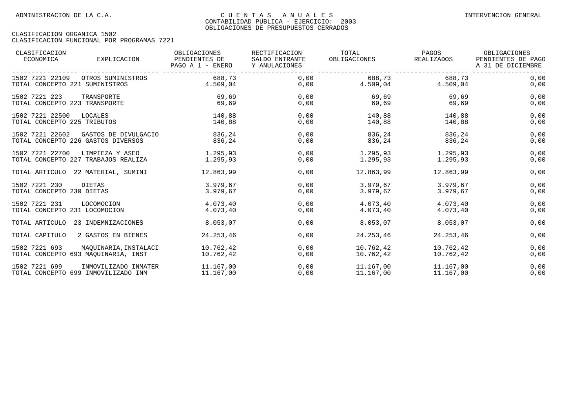| CLASIFICACION<br>ECONOMICA                           | EXPLICACION           | OBLIGACIONES<br>PENDIENTES DE<br>PAGO A 1 - ENERO | RECTIFICACION<br>SALDO ENTRANTE<br>Y ANULACIONES | TOTAL<br>OBLIGACIONES  | PAGOS<br>REALIZADOS    | OBLIGACIONES<br>PENDIENTES DE PAGO<br>A 31 DE DICIEMBRE |
|------------------------------------------------------|-----------------------|---------------------------------------------------|--------------------------------------------------|------------------------|------------------------|---------------------------------------------------------|
| 1502 7221 22109                                      | OTROS SUMINISTROS     | 688,73                                            | 0,00                                             | 688,73                 | 688,73                 | 0,00                                                    |
| TOTAL CONCEPTO 221 SUMINISTROS                       |                       | 4.509,04                                          | 0,00                                             | 4.509,04               | 4.509,04               | 0,00                                                    |
| 1502 7221 223                                        | TRANSPORTE            | 69,69                                             | 0,00                                             | 69,69                  | 69,69                  | 0,00                                                    |
| TOTAL CONCEPTO 223 TRANSPORTE                        |                       | 69,69                                             | 0,00                                             | 69,69                  | 69,69                  | 0,00                                                    |
| 1502 7221 22500                                      | LOCALES               | 140,88                                            | 0,00                                             | 140,88                 | 140,88                 | 0,00                                                    |
| TOTAL CONCEPTO 225 TRIBUTOS                          |                       | 140,88                                            | 0,00                                             | 140,88                 | 140,88                 | 0,00                                                    |
| 1502 7221 22602                                      | GASTOS DE DIVULGACIO  | 836,24                                            | 0,00                                             | 836,24                 | 836,24                 | 0,00                                                    |
| TOTAL CONCEPTO 226 GASTOS DIVERSOS                   |                       | 836,24                                            | 0,00                                             | 836,24                 | 836,24                 | 0,00                                                    |
| 1502 7221 22700                                      | LIMPIEZA Y ASEO       | 1.295,93                                          | 0,00                                             | 1.295,93               | 1.295,93               | 0,00                                                    |
| TOTAL CONCEPTO 227 TRABAJOS REALIZA                  |                       | 1.295.93                                          | 0,00                                             | 1.295,93               | 1.295,93               | 0,00                                                    |
| TOTAL ARTICULO                                       | 22 MATERIAL, SUMINI   | 12.863,99                                         | 0,00                                             | 12.863,99              | 12.863,99              | 0,00                                                    |
| 1502 7221 230                                        | DIETAS                | 3.979.67                                          | 0,00                                             | 3.979.67               | 3.979.67               | 0,00                                                    |
| TOTAL CONCEPTO 230 DIETAS                            |                       | 3.979.67                                          | 0,00                                             | 3.979.67               | 3.979,67               | 0,00                                                    |
| 1502 7221 231                                        | LOCOMOCION            | 4.073,40                                          | 0,00                                             | 4.073,40               | 4.073,40               | 0,00                                                    |
| TOTAL CONCEPTO 231 LOCOMOCION                        |                       | 4.073.40                                          | 0,00                                             | 4.073.40               | 4.073.40               | 0,00                                                    |
| TOTAL ARTICULO                                       | 23 INDEMNIZACIONES    | 8.053.07                                          | 0,00                                             | 8.053,07               | 8.053,07               | 0,00                                                    |
| TOTAL CAPITULO                                       | 2 GASTOS EN BIENES    | 24.253,46                                         | 0,00                                             | 24.253,46              | 24.253,46              | 0,00                                                    |
| 1502 7221 693<br>TOTAL CONCEPTO 693 MAOUINARIA, INST | MAOUINARIA, INSTALACI | 10.762,42<br>10.762,42                            | 0,00<br>0,00                                     | 10.762,42<br>10.762,42 | 10.762,42<br>10.762,42 | 0,00<br>0,00                                            |
| 1502 7221 699                                        | INMOVILIZADO INMATER  | 11.167.00                                         | 0,00                                             | 11.167,00              | 11.167.00              | 0,00                                                    |
| TOTAL CONCEPTO 699 INMOVILIZADO INM                  |                       | 11.167,00                                         | 0,00                                             | 11.167,00              | 11.167,00              | 0,00                                                    |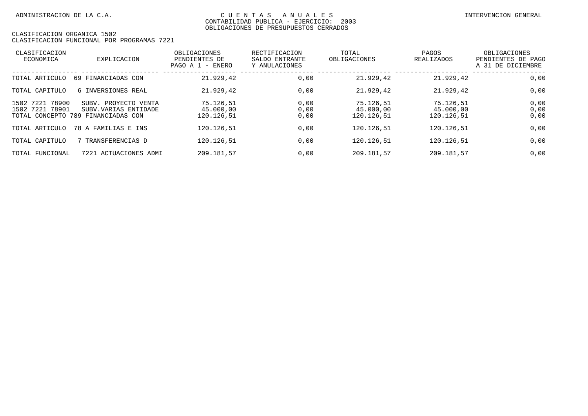| CLASIFICACION<br>ECONOMICA                              | EXPLICACION                                                         | OBLIGACIONES<br>PENDIENTES DE<br>PAGO A $1$ -<br>ENERO | RECTIFICACION<br>SALDO ENTRANTE<br>Y ANULACIONES | TOTAL<br>OBLIGACIONES                | PAGOS<br>REALIZADOS                  | OBLIGACIONES<br>PENDIENTES DE PAGO<br>A 31 DE DICIEMBRE |
|---------------------------------------------------------|---------------------------------------------------------------------|--------------------------------------------------------|--------------------------------------------------|--------------------------------------|--------------------------------------|---------------------------------------------------------|
| TOTAL ARTICULO                                          | 69 FINANCIADAS CON                                                  | 21.929,42                                              | 0,00                                             | 21.929,42                            | 21.929.42                            | 0,00                                                    |
| TOTAL CAPITULO                                          | 6 INVERSIONES REAL                                                  | 21.929,42                                              | 0,00                                             | 21.929,42                            | 21.929,42                            | 0,00                                                    |
| 1502 7221<br>78900<br>1502 7221 78901<br>TOTAL CONCEPTO | SUBV. PROYECTO VENTA<br>SUBV.VARIAS ENTIDADE<br>789 FINANCIADAS CON | 75.126,51<br>45.000,00<br>120.126,51                   | 0,00<br>0,00<br>0,00                             | 75.126.51<br>45.000,00<br>120.126,51 | 75.126,51<br>45.000,00<br>120.126.51 | 0,00<br>0,00<br>0,00                                    |
| TOTAL ARTICULO                                          | 78 A FAMILIAS E INS                                                 | 120.126.51                                             | 0,00                                             | 120.126.51                           | 120.126.51                           | 0,00                                                    |
| TOTAL CAPITULO                                          | TRANSFERENCIAS D                                                    | 120.126.51                                             | 0,00                                             | 120.126.51                           | 120.126.51                           | 0,00                                                    |
| TOTAL FUNCIONAL                                         | 7221 ACTUACIONES ADMI                                               | 209.181.57                                             | 0,00                                             | 209.181,57                           | 209.181.57                           | 0,00                                                    |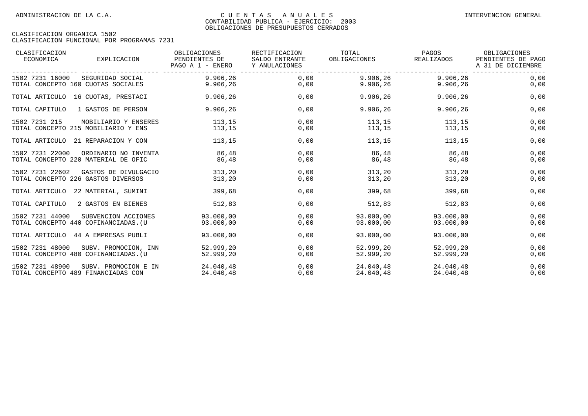| CLASIFICACION<br>ECONOMICA | EXPLICACION                                                  | OBLIGACIONES<br>PENDIENTES DE<br>PAGO A 1 - ENERO | RECTIFICACION<br>SALDO ENTRANTE<br>Y ANULACIONES | TOTAL<br>OBLIGACIONES  | PAGOS<br>REALIZADOS    | OBLIGACIONES<br>PENDIENTES DE PAGO<br>A 31 DE DICIEMBRE |
|----------------------------|--------------------------------------------------------------|---------------------------------------------------|--------------------------------------------------|------------------------|------------------------|---------------------------------------------------------|
| 1502 7231 16000            | SEGURIDAD SOCIAL<br>TOTAL CONCEPTO 160 CUOTAS SOCIALES       | 9.906,26<br>9.906.26                              | 0,00<br>0,00                                     | 9.906, 26<br>9.906,26  | 9.906,26<br>9.906,26   | 0,00<br>0,00                                            |
|                            | TOTAL ARTICULO 16 CUOTAS, PRESTACI                           | 9.906,26                                          | 0,00                                             | 9.906, 26              | 9.906,26               | 0,00                                                    |
| TOTAL CAPITULO             | 1 GASTOS DE PERSON                                           | 9.906,26                                          | 0,00                                             | 9.906,26               | 9.906,26               | 0,00                                                    |
| 1502 7231 215              | MOBILIARIO Y ENSERES<br>TOTAL CONCEPTO 215 MOBILIARIO Y ENS  | 113,15<br>113,15                                  | 0,00<br>0,00                                     | 113,15<br>113,15       | 113,15<br>113,15       | 0,00<br>0,00                                            |
|                            | TOTAL ARTICULO 21 REPARACION Y CON                           | 113,15                                            | 0,00                                             | 113,15                 | 113,15                 | 0,00                                                    |
| 1502 7231 22000            | ORDINARIO NO INVENTA<br>TOTAL CONCEPTO 220 MATERIAL DE OFIC  | 86,48<br>86,48                                    | 0,00<br>0,00                                     | 86,48<br>86,48         | 86,48<br>86,48         | 0,00<br>0,00                                            |
| 1502 7231 22602            | GASTOS DE DIVULGACIO<br>TOTAL CONCEPTO 226 GASTOS DIVERSOS   | 313,20<br>313,20                                  | 0,00<br>0,00                                     | 313,20<br>313,20       | 313,20<br>313,20       | 0,00<br>0,00                                            |
| TOTAL ARTICULO             | 22 MATERIAL, SUMINI                                          | 399,68                                            | 0,00                                             | 399,68                 | 399,68                 | 0,00                                                    |
| TOTAL CAPITULO             | 2 GASTOS EN BIENES                                           | 512,83                                            | 0.00                                             | 512,83                 | 512,83                 | 0,00                                                    |
| 1502 7231 44000            | SUBVENCION ACCIONES<br>TOTAL CONCEPTO 440 COFINANCIADAS. (U  | 93.000,00<br>93.000,00                            | 0,00<br>0,00                                     | 93.000,00<br>93.000,00 | 93.000,00<br>93.000,00 | 0,00<br>0,00                                            |
|                            | TOTAL ARTICULO 44 A EMPRESAS PUBLI                           | 93.000,00                                         | 0,00                                             | 93.000.00              | 93.000.00              | 0,00                                                    |
| 1502 7231 48000            | SUBV. PROMOCION, INN<br>TOTAL CONCEPTO 480 COFINANCIADAS. (U | 52.999,20<br>52.999,20                            | 0,00<br>0,00                                     | 52.999,20<br>52.999,20 | 52.999,20<br>52.999,20 | 0,00<br>0,00                                            |
| 1502 7231 48900            | SUBV. PROMOCION E IN<br>TOTAL CONCEPTO 489 FINANCIADAS CON   | 24.040,48<br>24.040,48                            | 0,00<br>0,00                                     | 24.040,48<br>24.040,48 | 24.040,48<br>24.040,48 | 0,00<br>0,00                                            |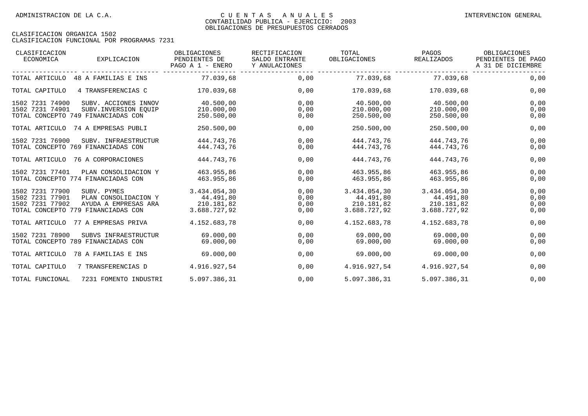| CLASIFICACION<br>ECONOMICA                            | EXPLICACION                                                                                       | OBLIGACIONES<br>PENDIENTES DE<br>PAGO A 1 - ENERO       | RECTIFICACION<br>SALDO ENTRANTE<br>Y ANULACIONES | TOTAL<br>OBLIGACIONES                                   | PAGOS<br>REALIZADOS                                     | OBLIGACIONES<br>PENDIENTES DE PAGO<br>A 31 DE DICIEMBRE |
|-------------------------------------------------------|---------------------------------------------------------------------------------------------------|---------------------------------------------------------|--------------------------------------------------|---------------------------------------------------------|---------------------------------------------------------|---------------------------------------------------------|
|                                                       | TOTAL ARTICULO 48 A FAMILIAS E INS                                                                | 77.039.68                                               | 0,00                                             |                                                         | 77.039,68 77.039,68                                     | 0,00                                                    |
| TOTAL CAPITULO                                        | 4 TRANSFERENCIAS C                                                                                | 170.039,68                                              | 0,00                                             | 170.039,68                                              | 170.039,68                                              | 0,00                                                    |
| 1502 7231 74900<br>1502 7231 74901                    | SUBV. ACCIONES INNOV<br>SUBV. INVERSION EOUIP<br>TOTAL CONCEPTO 749 FINANCIADAS CON               | 40.500,00<br>210.000.00<br>250.500,00                   | 0,00<br>0,00<br>0,00                             | 40.500,00<br>210.000,00<br>250.500,00                   | 40.500,00<br>210.000,00<br>250.500,00                   | 0,00<br>0,00<br>0,00                                    |
|                                                       | TOTAL ARTICULO 74 A EMPRESAS PUBLI                                                                | 250.500,00                                              | 0,00                                             | 250.500,00                                              | 250.500,00                                              | 0,00                                                    |
| 1502 7231 76900                                       | SUBV. INFRAESTRUCTUR<br>TOTAL CONCEPTO 769 FINANCIADAS CON                                        | 444.743.76<br>444.743,76                                | 0,00<br>0,00                                     | 444.743.76<br>444.743,76                                | 444.743.76<br>444.743,76                                | 0,00<br>0,00                                            |
|                                                       | TOTAL ARTICULO 76 A CORPORACIONES                                                                 | 444.743,76                                              | 0,00                                             | 444.743,76                                              | 444.743,76                                              | 0,00                                                    |
| 1502 7231 77401                                       | PLAN CONSOLIDACION Y<br>TOTAL CONCEPTO 774 FINANCIADAS CON                                        | 463.955,86<br>463.955,86                                | 0,00<br>0,00                                     | 463.955,86<br>463.955,86                                | 463.955,86<br>463.955,86                                | 0,00<br>0,00                                            |
| 1502 7231 77900<br>1502 7231 77901<br>1502 7231 77902 | SUBV. PYMES<br>PLAN CONSOLIDACION Y<br>AYUDA A EMPRESAS ARA<br>TOTAL CONCEPTO 779 FINANCIADAS CON | 3.434.054,30<br>44.491,80<br>210.181,82<br>3.688.727,92 | 0,00<br>0,00<br>0,00<br>0,00                     | 3.434.054,30<br>44.491,80<br>210.181,82<br>3.688.727,92 | 3.434.054,30<br>44.491.80<br>210.181,82<br>3.688.727,92 | 0,00<br>0,00<br>0,00<br>0,00                            |
| TOTAL ARTICULO                                        | 77 A EMPRESAS PRIVA                                                                               | 4.152.683,78                                            | 0,00                                             | 4.152.683,78                                            | 4.152.683,78                                            | 0,00                                                    |
| 1502 7231 78900                                       | SUBVS INFRAESTRUCTUR<br>TOTAL CONCEPTO 789 FINANCIADAS CON                                        | 69.000,00<br>69.000,00                                  | 0,00<br>0,00                                     | 69.000,00<br>69.000,00                                  | 69.000,00<br>69.000,00                                  | 0,00<br>0,00                                            |
| TOTAL ARTICULO                                        | 78 A FAMILIAS E INS                                                                               | 69.000,00                                               | 0,00                                             | 69.000,00                                               | 69.000,00                                               | 0,00                                                    |
| TOTAL CAPITULO                                        | 7 TRANSFERENCIAS D                                                                                | 4.916.927,54                                            | 0,00                                             | 4.916.927,54                                            | 4.916.927,54                                            | 0,00                                                    |
| TOTAL FUNCIONAL                                       | 7231 FOMENTO INDUSTRI                                                                             | 5.097.386,31                                            | 0,00                                             | 5.097.386,31                                            | 5.097.386,31                                            | 0,00                                                    |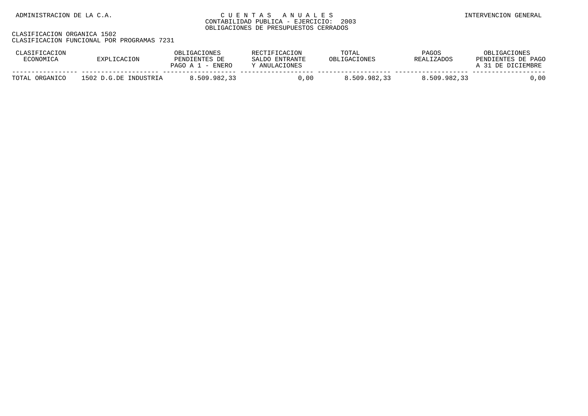| CLASIFICACION<br>ECONOMICA | EXPLICACION           | OBLIGACIONES<br>PENDIENTES DE<br>PAGO A 1 - ENERO | RECTIFICACION<br>SALDO ENTRANTE<br>Y ANULACIONES | TOTAL<br>OBLIGACIONES | PAGOS<br>REALIZADOS | OBLIGACIONES<br>PENDIENTES DE PAGO<br>A 31 DE DICIEMBRE |
|----------------------------|-----------------------|---------------------------------------------------|--------------------------------------------------|-----------------------|---------------------|---------------------------------------------------------|
| TOTAL ORGANICO             | 1502 D.G.DE INDUSTRIA | 8.509.982.33                                      | 0.00                                             | 8.509.982.33          | 8.509.982.33        | .00                                                     |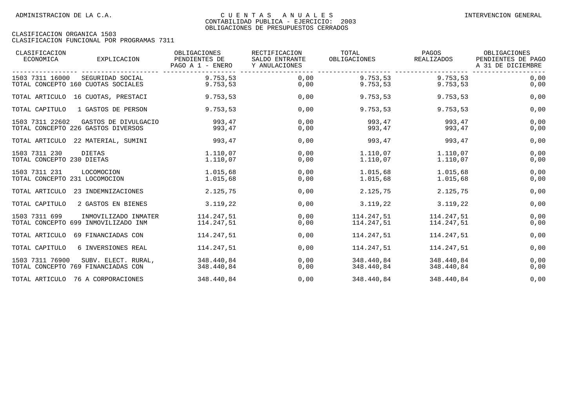| CLASIFICACION<br>ECONOMICA                            | EXPLICACION                                                 | OBLIGACIONES<br>PENDIENTES DE<br>PAGO A 1 - ENERO | RECTIFICACION<br>SALDO ENTRANTE<br>Y ANULACIONES | TOTAL<br>OBLIGACIONES    | PAGOS<br>REALIZADOS      | OBLIGACIONES<br>PENDIENTES DE PAGO<br>A 31 DE DICIEMBRE |
|-------------------------------------------------------|-------------------------------------------------------------|---------------------------------------------------|--------------------------------------------------|--------------------------|--------------------------|---------------------------------------------------------|
| 1503 7311 16000                                       | SEGURIDAD SOCIAL<br>TOTAL CONCEPTO 160 CUOTAS SOCIALES      | 9.753,53<br>9.753,53                              | 0,00<br>0,00                                     | 9.753,53<br>9.753,53     | 9.753,53<br>9.753,53     | 0,00<br>0,00                                            |
|                                                       | TOTAL ARTICULO 16 CUOTAS, PRESTACI                          | 9.753,53                                          | 0,00                                             | 9.753,53                 | 9.753,53                 | 0,00                                                    |
| TOTAL CAPITULO                                        | 1 GASTOS DE PERSON                                          | 9.753,53                                          | 0,00                                             | 9.753,53                 | 9.753,53                 | 0,00                                                    |
| 1503 7311 22602<br>TOTAL CONCEPTO 226 GASTOS DIVERSOS | GASTOS DE DIVULGACIO                                        | 993.47<br>993,47                                  | 0,00<br>0,00                                     | 993,47<br>993,47         | 993,47<br>993,47         | 0,00<br>0,00                                            |
|                                                       | TOTAL ARTICULO 22 MATERIAL, SUMINI                          | 993,47                                            | 0,00                                             | 993,47                   | 993,47                   | 0,00                                                    |
| 1503 7311 230<br>TOTAL CONCEPTO 230 DIETAS            | DIETAS                                                      | 1.110,07<br>1.110,07                              | 0,00<br>0,00                                     | 1.110,07<br>1.110,07     | 1.110,07<br>1.110,07     | 0,00<br>0,00                                            |
| 1503 7311 231<br>TOTAL CONCEPTO 231 LOCOMOCION        | LOCOMOCION                                                  | 1.015,68<br>1.015,68                              | 0,00<br>0,00                                     | 1.015,68<br>1.015,68     | 1.015,68<br>1.015,68     | 0,00<br>0,00                                            |
| TOTAL ARTICULO                                        | 23 INDEMNIZACIONES                                          | 2.125,75                                          | 0,00                                             | 2.125,75                 | 2.125,75                 | 0,00                                                    |
| TOTAL CAPITULO                                        | 2 GASTOS EN BIENES                                          | 3.119,22                                          | 0,00                                             | 3.119,22                 | 3.119,22                 | 0,00                                                    |
| 1503 7311 699                                         | INMOVILIZADO INMATER<br>TOTAL CONCEPTO 699 INMOVILIZADO INM | 114.247,51<br>114.247,51                          | 0,00<br>0,00                                     | 114.247,51<br>114.247,51 | 114.247,51<br>114.247,51 | 0,00<br>0,00                                            |
| TOTAL ARTICULO                                        | 69 FINANCIADAS CON                                          | 114.247,51                                        | 0,00                                             | 114.247,51               | 114.247,51               | 0,00                                                    |
| TOTAL CAPITULO                                        | 6 INVERSIONES REAL                                          | 114.247,51                                        | 0,00                                             | 114.247,51               | 114.247,51               | 0,00                                                    |
| 1503 7311 76900<br>TOTAL CONCEPTO 769 FINANCIADAS CON | SUBV. ELECT. RURAL,                                         | 348.440,84<br>348.440,84                          | 0,00<br>0,00                                     | 348.440,84<br>348.440,84 | 348.440,84<br>348.440,84 | 0,00<br>0,00                                            |
| TOTAL ARTICULO                                        | 76 A CORPORACIONES                                          | 348.440,84                                        | 0,00                                             | 348.440,84               | 348.440,84               | 0,00                                                    |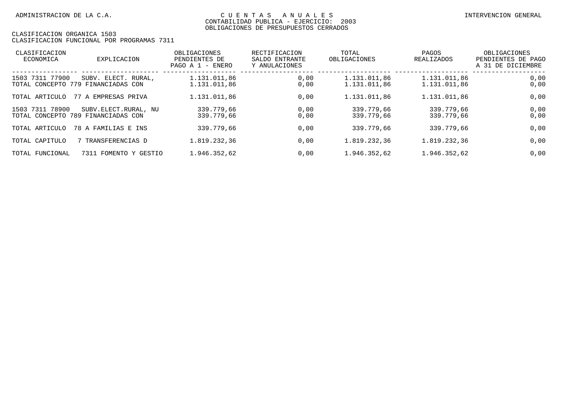| CLASIFICACION<br>ECONOMICA | EXPLICACION                                                | OBLIGACIONES<br>PENDIENTES DE<br>ENERO<br>PAGO A $1$ - | RECTIFICACION<br>SALDO ENTRANTE<br>Y ANULACIONES | TOTAL<br>OBLIGACIONES        | PAGOS<br>REALIZADOS          | OBLIGACIONES<br>PENDIENTES DE PAGO<br>A 31 DE DICIEMBRE |
|----------------------------|------------------------------------------------------------|--------------------------------------------------------|--------------------------------------------------|------------------------------|------------------------------|---------------------------------------------------------|
| 1503 7311 77900            | SUBV. ELECT. RURAL.<br>TOTAL CONCEPTO 779 FINANCIADAS CON  | 1.131.011,86<br>1.131.011,86                           | 0,00<br>0,00                                     | 1.131.011.86<br>1.131.011,86 | 1.131.011.86<br>1.131.011,86 | 0,00<br>0,00                                            |
| TOTAL ARTICULO             | 77 A EMPRESAS PRIVA                                        | 1.131.011,86                                           | 0,00                                             | 1.131.011.86                 | 1.131.011.86                 | 0,00                                                    |
| 1503 7311 78900            | SUBV.ELECT.RURAL, NU<br>TOTAL CONCEPTO 789 FINANCIADAS CON | 339.779.66<br>339.779.66                               | 0,00<br>0,00                                     | 339.779.66<br>339.779.66     | 339.779.66<br>339.779.66     | 0,00<br>0,00                                            |
| TOTAL ARTICULO             | 78 A FAMILIAS E INS                                        | 339.779.66                                             | 0,00                                             | 339.779.66                   | 339.779.66                   | 0,00                                                    |
| TOTAL CAPITULO             | TRANSFERENCIAS D                                           | 1.819.232.36                                           | 0,00                                             | 1.819.232.36                 | 1.819.232.36                 | 0,00                                                    |
| TOTAL FUNCIONAL            | 7311 FOMENTO Y GESTIO                                      | 1.946.352,62                                           | 0.00                                             | 1.946.352,62                 | 1.946.352,62                 | 0,00                                                    |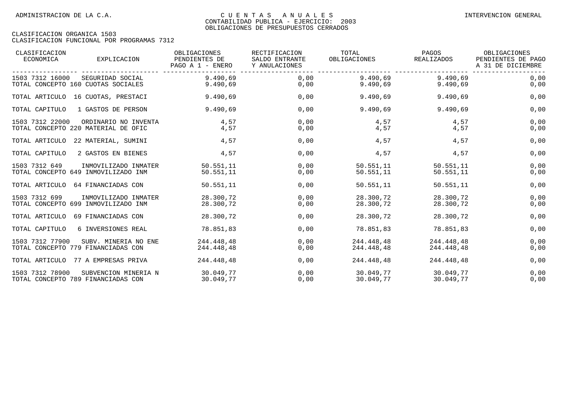| CLASIFICACION<br>ECONOMICA | EXPLICACION                                                 | OBLIGACIONES<br>PENDIENTES DE<br>PAGO A 1 - ENERO | RECTIFICACION<br>SALDO ENTRANTE<br>Y ANULACIONES | TOTAL<br>OBLIGACIONES    | PAGOS<br>REALIZADOS      | OBLIGACIONES<br>PENDIENTES DE PAGO<br>A 31 DE DICIEMBRE |
|----------------------------|-------------------------------------------------------------|---------------------------------------------------|--------------------------------------------------|--------------------------|--------------------------|---------------------------------------------------------|
| 1503 7312 16000            | SEGURIDAD SOCIAL<br>TOTAL CONCEPTO 160 CUOTAS SOCIALES      | 9.490,69<br>9.490,69                              | 0,00<br>0,00                                     | 9.490,69<br>9.490,69     | 9.490,69<br>9.490,69     | 0,00<br>0,00                                            |
|                            | TOTAL ARTICULO 16 CUOTAS, PRESTACI                          | 9.490,69                                          | 0,00                                             | 9.490,69                 | 9.490,69                 | 0,00                                                    |
| TOTAL CAPITULO             | 1 GASTOS DE PERSON                                          | 9.490.69                                          | 0,00                                             | 9.490,69                 | 9.490.69                 | 0,00                                                    |
| 1503 7312 22000            | ORDINARIO NO INVENTA<br>TOTAL CONCEPTO 220 MATERIAL DE OFIC | 4,57<br>4,57                                      | 0,00<br>0,00                                     | 4,57<br>4,57             | 4,57<br>4,57             | 0,00<br>0,00                                            |
|                            | TOTAL ARTICULO 22 MATERIAL, SUMINI                          | 4,57                                              | 0,00                                             | 4,57                     | 4,57                     | 0,00                                                    |
| TOTAL CAPITULO             | 2 GASTOS EN BIENES                                          | 4,57                                              | 0,00                                             | 4,57                     | 4,57                     | 0,00                                                    |
| 1503 7312 649              | INMOVILIZADO INMATER<br>TOTAL CONCEPTO 649 INMOVILIZADO INM | 50.551,11<br>50.551,11                            | 0,00<br>0,00                                     | 50.551,11<br>50.551,11   | 50.551,11<br>50.551,11   | 0,00<br>0,00                                            |
| TOTAL ARTICULO             | 64 FINANCIADAS CON                                          | 50.551,11                                         | 0,00                                             | 50.551,11                | 50.551,11                | 0,00                                                    |
| 1503 7312 699              | INMOVILIZADO INMATER<br>TOTAL CONCEPTO 699 INMOVILIZADO INM | 28.300.72<br>28.300,72                            | 0,00<br>0,00                                     | 28.300.72<br>28.300,72   | 28.300.72<br>28.300,72   | 0,00<br>0,00                                            |
| TOTAL ARTICULO             | 69 FINANCIADAS CON                                          | 28.300,72                                         | 0,00                                             | 28.300,72                | 28.300,72                | 0,00                                                    |
| TOTAL CAPITULO             | 6 INVERSIONES REAL                                          | 78.851,83                                         | 0,00                                             | 78.851,83                | 78.851,83                | 0,00                                                    |
| 1503 7312 77900            | SUBV. MINERIA NO ENE<br>TOTAL CONCEPTO 779 FINANCIADAS CON  | 244.448,48<br>244.448,48                          | 0,00<br>0,00                                     | 244.448,48<br>244.448,48 | 244.448,48<br>244.448,48 | 0,00<br>0,00                                            |
| TOTAL ARTICULO             | 77 A EMPRESAS PRIVA                                         | 244.448,48                                        | 0,00                                             | 244.448,48               | 244.448,48               | 0,00                                                    |
| 1503 7312 78900            | SUBVENCION MINERIA N<br>TOTAL CONCEPTO 789 FINANCIADAS CON  | 30.049,77<br>30.049,77                            | 0,00<br>0,00                                     | 30.049,77<br>30.049,77   | 30.049,77<br>30.049,77   | 0,00<br>0,00                                            |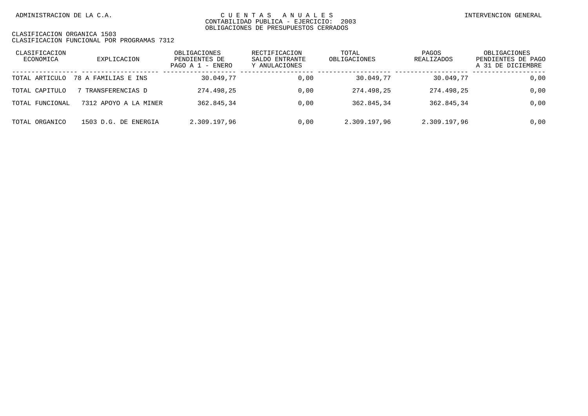| CLASIFICACION<br>ECONOMICA | EXPLICACION           | OBLIGACIONES<br>PENDIENTES DE<br>PAGO A 1 - ENERO | RECTIFICACION<br>SALDO ENTRANTE<br>Y ANULACIONES | TOTAL<br>OBLIGACIONES | PAGOS<br>REALIZADOS | OBLIGACIONES<br>PENDIENTES DE PAGO<br>A 31 DE DICIEMBRE |
|----------------------------|-----------------------|---------------------------------------------------|--------------------------------------------------|-----------------------|---------------------|---------------------------------------------------------|
| TOTAL ARTICULO             | 78 A FAMILIAS E INS   | 30.049,77                                         | 0.00                                             | 30.049,77             | 30.049.77           | 0,00                                                    |
| TOTAL CAPITULO             | TRANSFERENCIAS D      | 274.498.25                                        | 0.00                                             | 274.498.25            | 274.498.25          | 0,00                                                    |
| TOTAL FUNCIONAL            | 7312 APOYO A LA MINER | 362.845,34                                        | 0.00                                             | 362.845,34            | 362.845,34          | 0,00                                                    |
| TOTAL ORGANICO             | 1503 D.G. DE ENERGIA  | 2.309.197,96                                      | 0.00                                             | 2.309.197,96          | 2.309.197,96        | 0,00                                                    |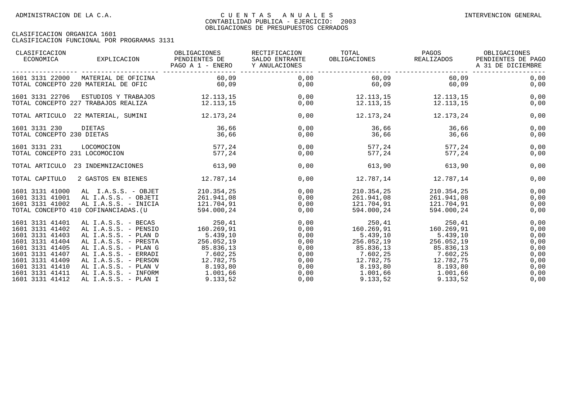### ADMINISTRACION DE LA C.A. CONSTRACION GENERAL CONSTRANT CONSTRANT CONSTRANT CONSTRANT A STRANGER AN U A L E STRANGER AND THE STRANGER ON GENERAL CONSTRANT CONSTRANT CONSTRANT CONSTRANT CONSTRANT CONSTRANT CONSTRANT CONSTRA CONTABILIDAD PUBLICA - EJERCICIO: 2003 OBLIGACIONES DE PRESUPUESTOS CERRADOS

| CLASIFICACION<br>ECONOMICA                                                                  | EXPLICACION                                                                                                          | OBLIGACIONES<br>PENDIENTES DE<br>PAGO A 1 - ENERO           | RECTIFICACION<br>SALDO ENTRANTE<br>Y ANULACIONES | TOTAL<br>OBLIGACIONES                                                                                                   | PAGOS<br>REALIZADOS                                  | OBLIGACIONES<br>PENDIENTES DE PAGO<br>A 31 DE DICIEMBRE |
|---------------------------------------------------------------------------------------------|----------------------------------------------------------------------------------------------------------------------|-------------------------------------------------------------|--------------------------------------------------|-------------------------------------------------------------------------------------------------------------------------|------------------------------------------------------|---------------------------------------------------------|
| 1601 3131 22000                                                                             | MATERIAL DE OFICINA<br>TOTAL CONCEPTO 220 MATERIAL DE OFIC                                                           | 60.09<br>60,09                                              | 0,00<br>0,00                                     | 60,09<br>60,09                                                                                                          | 60,09<br>60,09                                       | 0,00<br>0,00                                            |
| 1601 3131 22706                                                                             | ESTUDIOS Y TRABAJOS<br>TOTAL CONCEPTO 227 TRABAJOS REALIZA                                                           | 12.113,15<br>12.113,15                                      | 0,00                                             | $0,00$ 12.113,15 12.113,15                                                                                              | 12.113,15 12.113,15                                  | 0,00<br>0,00                                            |
|                                                                                             | TOTAL ARTICULO 22 MATERIAL, SUMINI                                                                                   | 12.173.24                                                   | 0,00                                             |                                                                                                                         | 12.173,24 12.173,24                                  | 0,00                                                    |
| 1601 3131 230<br>TOTAL CONCEPTO 230 DIETAS                                                  | DIETAS                                                                                                               | 36,66<br>36,66                                              | 0,00<br>0,00                                     | 36,66                                                                                                                   | 36,66<br>36,66 36,66                                 | 0,00<br>0,00                                            |
| 1601 3131 231<br>TOTAL CONCEPTO 231 LOCOMOCION                                              | LOCOMOCION                                                                                                           | 577,24<br>577,24                                            | 0,00<br>0,00                                     | 577,24<br>577,24                                                                                                        | 577,24<br>577,24                                     | 0,00<br>0,00                                            |
|                                                                                             | TOTAL ARTICULO 23 INDEMNIZACIONES                                                                                    | 613,90                                                      | 0,00                                             | 613,90                                                                                                                  | 613,90                                               | 0,00                                                    |
| TOTAL CAPITULO                                                                              | 2 GASTOS EN BIENES                                                                                                   | 12.787,14                                                   | 0,00                                             | 12.787,14                                                                                                               | 12.787,14                                            | 0,00                                                    |
| 1601 3131 41000<br>1601 3131 41001<br>1601 3131 41002                                       | AL I.A.S.S. - OBJET<br>AL I.A.S.S. - OBJETI<br>AL I.A.S.S. - INICIA<br>TOTAL CONCEPTO 410 COFINANCIADAS. (U          | 210.354,25<br>261.941,08<br>121.704.91<br>594.000,24        | 0,00<br>0,00<br>0,00<br>0,00                     | 210.354,25<br>261.941,08<br>121.704,91<br>594.000,24                                                                    | 210.354,25<br>261.941,08<br>121.704,91<br>594.000,24 | 0,00<br>0,00<br>0,00<br>0,00                            |
| 1601 3131 41401<br>1601 3131 41402<br>1601 3131 41403<br>1601 3131 41404                    | AL I.A.S.S. - BECAS 250,41<br>AL I.A.S.S. - PENSIO<br>AL I.A.S.S. - PLAN D<br>AL I.A.S.S. - PRESTA                   | 160.269,91<br>5.439, 10<br>256.052,19                       | 0,00<br>0,00<br>0,00<br>0,00                     | $160.269, 91$ $160.269, 91$<br>5.439, 10<br>256.052,19                                                                  | 250,41 250,41<br>5.439,10<br>256.052,19              | 0,00<br>0,00<br>0,00<br>0,00                            |
| 1601 3131 41405<br>1601 3131 41407<br>1601 3131 41409<br>1601 3131 41410<br>1601 3131 41411 | AL I.A.S.S. - PLAN G<br>AL I.A.S.S. - ERRADI<br>AL I.A.S.S. - PERSON<br>AL I.A.S.S. - PLAN V<br>AL I.A.S.S. - INFORM | 85.836,13<br>7.602, 25<br>12.782,75<br>8.193,80<br>1.001,66 | 0,00<br>0,00<br>0,00<br>0,00<br>0,00             | 85.836,13<br>85.836,13<br>7.602,25<br>12.782,75<br>8.193,80<br>1.001,66<br>9.133,52<br>8.133,52<br>8.133,52<br>8.133,52 |                                                      | 0,00<br>0,00<br>0,00<br>0,00<br>0,00                    |
| 1601 3131 41412                                                                             | AL I.A.S.S. - PLAN I                                                                                                 | 9.133,52                                                    | 0,00                                             |                                                                                                                         |                                                      | 0,00                                                    |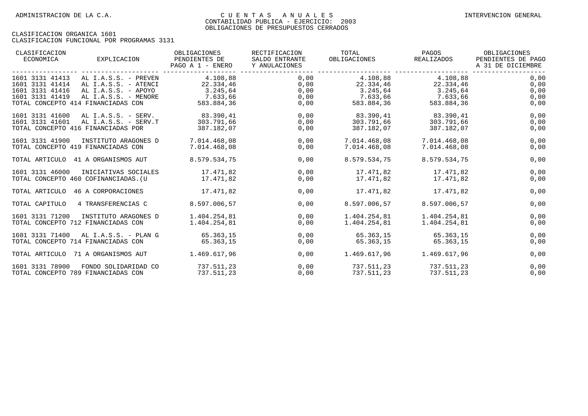| CLASIFICACION<br>ECONOMICA                                                                                     | EXPLICACION                                                                                 | OBLIGACIONES<br>PENDIENTES DE<br>PAGO A 1 - ENERO           | RECTIFICACION<br>SALDO ENTRANTE<br>Y ANULACIONES | TOTAL<br>OBLIGACIONES                                                                      | PAGOS<br>REALIZADOS            | OBLIGACIONES<br>PENDIENTES DE PAGO<br>A 31 DE DICIEMBRE |
|----------------------------------------------------------------------------------------------------------------|---------------------------------------------------------------------------------------------|-------------------------------------------------------------|--------------------------------------------------|--------------------------------------------------------------------------------------------|--------------------------------|---------------------------------------------------------|
| 1601 3131 41413<br>1601 3131 41414<br>1601 3131 41416<br>1601 3131 41419<br>TOTAL CONCEPTO 414 FINANCIADAS CON | AL I.A.S.S. - PREVEN<br>AL I.A.S.S. - ATENCI<br>AL I.A.S.S. - APOYO<br>AL I.A.S.S. - MENORE | 4.108,88<br>22.334,46<br>3.245.64<br>7.633,66<br>583.884,36 | 0,00<br>0,00<br>0,00<br>0,00<br>0,00             | 22.334,46<br>$3.245,64$ $3.245,64$<br>$7.633,66$<br>583.884,36<br>583.884,36<br>583.884,36 | 4.108,88 4.108,88<br>22.334,46 | 0,00<br>0,00<br>0,00<br>0,00<br>0,00                    |
| 1601 3131 41600                                                                                                | AL I.A.S.S. - SERV.T                                                                        | AL I.A.S.S. - SERV. 83.390,41                               | 0,00                                             | 83.390,41                                                                                  | 83.390,41                      | 0,00                                                    |
| 1601 3131 41601                                                                                                |                                                                                             | 303.791,66                                                  | 0,00                                             | 303.791,66                                                                                 | 303.791,66                     | 0,00                                                    |
| TOTAL CONCEPTO 416 FINANCIADAS POR                                                                             |                                                                                             | 387.182,07                                                  | 0,00                                             | 387.182,07                                                                                 | 387.182,07                     | 0,00                                                    |
| 1601 3131 41900                                                                                                | INSTITUTO ARAGONES D                                                                        | 7.014.468,08                                                | 0,00                                             | 7.014.468,08                                                                               | 7.014.468,08                   | 0,00                                                    |
| TOTAL CONCEPTO 419 FINANCIADAS CON                                                                             |                                                                                             | 7.014.468.08                                                | 0,00                                             | 7.014.468.08                                                                               | 7.014.468,08                   | 0,00                                                    |
| TOTAL ARTICULO 41 A ORGANISMOS AUT                                                                             |                                                                                             | 8.579.534.75                                                | 0,00                                             | 8.579.534.75                                                                               | 8.579.534.75                   | 0,00                                                    |
| 1601 3131 46000                                                                                                | INICIATIVAS SOCIALES                                                                        | 17.471,82                                                   | 0,00                                             | 17.471,82                                                                                  | 17.471.82                      | 0,00                                                    |
| TOTAL CONCEPTO 460 COFINANCIADAS. (U                                                                           |                                                                                             | 17.471,82                                                   | 0,00                                             | 17.471,82                                                                                  | 17.471,82                      | 0,00                                                    |
| TOTAL ARTICULO<br>46 A CORPORACIONES                                                                           |                                                                                             | 17.471,82                                                   | 0,00                                             | 17.471,82                                                                                  | 17.471,82                      | 0,00                                                    |
| TOTAL CAPITULO<br>4 TRANSFERENCIAS C                                                                           |                                                                                             | 8.597.006,57                                                | 0,00                                             | 8.597.006.57                                                                               | 8.597.006,57                   | 0,00                                                    |
| 1601 3131 71200                                                                                                | INSTITUTO ARAGONES D                                                                        | 1.404.254,81                                                | 0,00                                             | 1.404.254,81                                                                               | 1.404.254,81                   | 0,00                                                    |
| TOTAL CONCEPTO 712 FINANCIADAS CON                                                                             |                                                                                             | 1.404.254,81                                                | 0,00                                             | 1.404.254,81                                                                               | 1.404.254,81                   | 0,00                                                    |
| 1601 3131 71400                                                                                                | AL I.A.S.S. - PLAN G                                                                        | 65.363.15                                                   | 0.00                                             | 65.363.15                                                                                  | 65.363,15                      | 0,00                                                    |
| TOTAL CONCEPTO 714 FINANCIADAS CON                                                                             |                                                                                             | 65.363,15                                                   | 0,00                                             | 65.363,15                                                                                  | 65.363,15                      | 0,00                                                    |
| TOTAL ARTICULO 71 A ORGANISMOS AUT                                                                             |                                                                                             | 1.469.617,96                                                | 0,00                                             | 1.469.617,96                                                                               | 1.469.617,96                   | 0,00                                                    |
| 1601 3131 78900                                                                                                | FONDO SOLIDARIDAD CO                                                                        | 737.511,23                                                  | 0,00                                             | 737.511,23                                                                                 | 737.511,23                     | 0,00                                                    |
| TOTAL CONCEPTO 789 FINANCIADAS CON                                                                             |                                                                                             | 737.511,23                                                  | 0,00                                             | 737.511,23                                                                                 | 737.511,23                     | 0,00                                                    |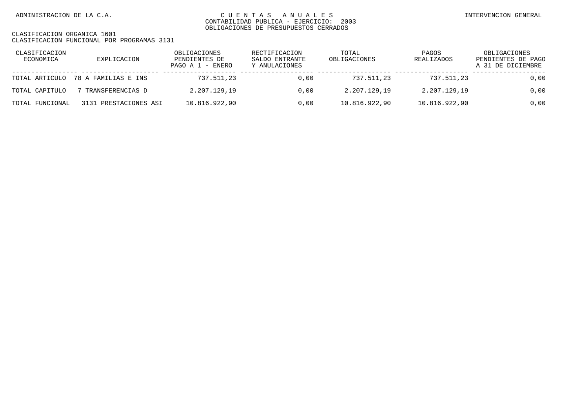| CLASIFICACION<br>ECONOMICA | EXPLICACION              | OBLIGACIONES<br>PENDIENTES DE<br>PAGO A $1$ - ENERO | RECTIFICACION<br>SALDO ENTRANTE<br>Y ANULACIONES | TOTAL<br>OBLIGACIONES | PAGOS<br>REALIZADOS | OBLIGACIONES<br>PENDIENTES DE PAGO<br>A 31 DE DICIEMBRE |
|----------------------------|--------------------------|-----------------------------------------------------|--------------------------------------------------|-----------------------|---------------------|---------------------------------------------------------|
| TOTAL ARTICULO             | 78 A FAMILIAS E INS      | 737.511.23                                          | 0.00                                             | 737.511.23            | 737.511,23          | 0,00                                                    |
| TOTAL CAPITULO             | TRANSFERENCIAS D         | 2.207.129.19                                        | 0.00                                             | 2.207.129.19          | 2.207.129,19        | 0,00                                                    |
| TOTAL FUNCIONAL            | PRESTACIONES ASI<br>3131 | 10.816.922,90                                       | 0.00                                             | 10.816.922,90         | 10.816.922,90       | 0,00                                                    |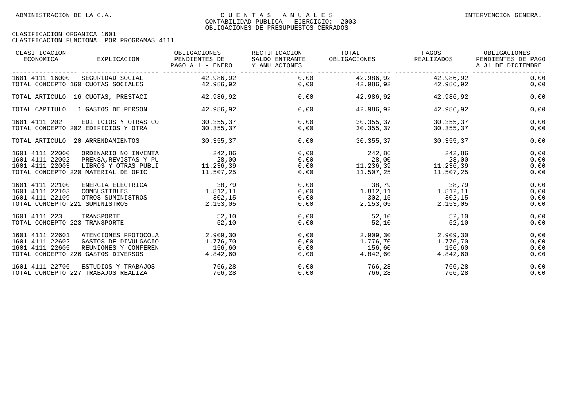| CLASIFICACION<br>ECONOMICA                                                                   | EXPLICACION                                                           | OBLIGACIONES<br>PENDIENTES DE<br>PAGO A 1 - ENERO | RECTIFICACION<br>SALDO ENTRANTE<br>Y ANULACIONES | TOTAL<br>OBLIGACIONES                      | PAGOS<br>REALIZADOS                                 | OBLIGACIONES<br>PENDIENTES DE PAGO<br>A 31 DE DICIEMBRE |
|----------------------------------------------------------------------------------------------|-----------------------------------------------------------------------|---------------------------------------------------|--------------------------------------------------|--------------------------------------------|-----------------------------------------------------|---------------------------------------------------------|
| 1601 4111 16000<br>TOTAL CONCEPTO 160 CUOTAS SOCIALES                                        | SEGURIDAD SOCIAL                                                      | 42.986,92<br>42.986,92                            | 0,00<br>0,00                                     | 42.986,92                                  | 42.986,92 42.986,92<br>42.986,92                    | 0,00<br>0,00                                            |
| TOTAL ARTICULO 16 CUOTAS, PRESTACI                                                           |                                                                       | 42.986.92                                         | 0,00                                             | 42.986.92                                  | 42.986.92                                           | 0,00                                                    |
| TOTAL CAPITULO                                                                               | 1 GASTOS DE PERSON                                                    | 42.986,92                                         | 0,00                                             | 42.986,92                                  | 42.986,92                                           | 0,00                                                    |
| 1601 4111 202<br>TOTAL CONCEPTO 202 EDIFICIOS Y OTRA                                         | EDIFICIOS Y OTRAS CO                                                  | 30.355,37<br>30.355,37                            | 0.00<br>0,00                                     | 30.355,37<br>30.355,37                     | 30.355,37<br>30.355,37                              | 0,00<br>0,00                                            |
| TOTAL ARTICULO                                                                               | 20 ARRENDAMIENTOS                                                     | 30.355,37                                         | 0,00                                             | 30.355,37                                  | 30.355,37                                           | 0,00                                                    |
| 1601 4111 22000<br>1601 4111 22002<br>1601 4111 22003<br>TOTAL CONCEPTO 220 MATERIAL DE OFIC | ORDINARIO NO INVENTA<br>PRENSA, REVISTAS Y PU<br>LIBROS Y OTRAS PUBLI | 242,86<br>28,00<br>11.236,39<br>11.507,25         | 0,00<br>0,00<br>0,00<br>0,00                     | 242,86<br>28,00<br>11.507,25               | 242,86<br>28,00<br>11.236,39 11.236,39<br>11.507,25 | 0,00<br>0,00<br>0,00<br>0,00                            |
| 1601 4111 22100<br>1601 4111 22103<br>1601 4111 22109<br>TOTAL CONCEPTO 221 SUMINISTROS      | ENERGIA ELECTRICA<br>COMBUSTIBLES<br>OTROS SUMINISTROS                | 38,79<br>1.812,11<br>302,15<br>2.153,05           | 0,00<br>0,00<br>0,00<br>0,00                     | 38,79<br>1.812,11<br>302,15<br>2.153,05    | 38,79<br>1.812,11<br>302,15<br>2.153,05             | 0,00<br>0,00<br>0,00<br>0,00                            |
| 1601 4111 223<br>TOTAL CONCEPTO 223 TRANSPORTE                                               | TRANSPORTE                                                            | 52,10<br>52,10                                    | 0,00<br>0,00                                     | 52,10<br>52,10                             | 52,10<br>52,10                                      | 0,00<br>0,00                                            |
| 1601 4111 22601<br>1601 4111 22602<br>1601 4111 22605<br>TOTAL CONCEPTO 226 GASTOS DIVERSOS  | ATENCIONES PROTOCOLA<br>GASTOS DE DIVULGACIO<br>REUNIONES Y CONFEREN  | 2.909,30<br>1.776,70<br>156,60<br>4.842,60        | 0,00<br>0,00<br>0,00<br>0,00                     | 2.909,30<br>1.776,70<br>156,60<br>4.842,60 | 2.909,30<br>1.776,70<br>156,60<br>4.842,60          | 0,00<br>0,00<br>0,00<br>0,00                            |
| 1601 4111 22706<br>TOTAL CONCEPTO 227 TRABAJOS REALIZA                                       | ESTUDIOS Y TRABAJOS                                                   | 766,28<br>766,28                                  | 0,00<br>0,00                                     | 766,28<br>766,28                           | 766,28<br>766,28                                    | 0,00<br>0,00                                            |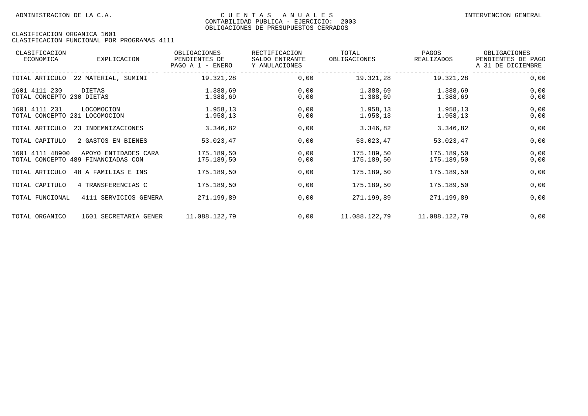| CLASIFICACION<br>ECONOMICA                     | <b>EXPLICACION</b>                                         | OBLIGACIONES<br>PENDIENTES DE<br>PAGO A 1 - ENERO | RECTIFICACION<br>SALDO ENTRANTE<br>Y ANULACIONES | TOTAL<br>OBLIGACIONES    | PAGOS<br>REALIZADOS      | OBLIGACIONES<br>PENDIENTES DE PAGO<br>A 31 DE DICIEMBRE |
|------------------------------------------------|------------------------------------------------------------|---------------------------------------------------|--------------------------------------------------|--------------------------|--------------------------|---------------------------------------------------------|
| TOTAL ARTICULO                                 | 22 MATERIAL, SUMINI                                        | 19.321,28                                         | 0,00                                             | 19.321,28                | 19.321,28                | 0,00                                                    |
| 1601 4111 230<br>TOTAL CONCEPTO 230 DIETAS     | DIETAS                                                     | 1.388,69<br>1.388,69                              | 0,00<br>0,00                                     | 1.388,69<br>1.388,69     | 1.388,69<br>1.388,69     | 0,00<br>0,00                                            |
| 1601 4111 231<br>TOTAL CONCEPTO 231 LOCOMOCION | LOCOMOCION                                                 | 1.958,13<br>1.958,13                              | 0,00<br>0,00                                     | 1.958,13<br>1.958,13     | 1.958,13<br>1.958,13     | 0,00<br>0,00                                            |
| TOTAL ARTICULO                                 | 23 INDEMNIZACIONES                                         | 3.346,82                                          | 0,00                                             | 3.346,82                 | 3.346,82                 | 0,00                                                    |
| TOTAL CAPITULO                                 | 2 GASTOS EN BIENES                                         | 53.023,47                                         | 0,00                                             | 53.023,47                | 53.023,47                | 0,00                                                    |
| 1601 4111 48900                                | APOYO ENTIDADES CARA<br>TOTAL CONCEPTO 489 FINANCIADAS CON | 175.189,50<br>175.189,50                          | 0,00<br>0,00                                     | 175.189,50<br>175.189,50 | 175.189,50<br>175.189,50 | 0,00<br>0,00                                            |
| TOTAL ARTICULO                                 | 48 A FAMILIAS E INS                                        | 175.189,50                                        | 0,00                                             | 175.189,50               | 175.189,50               | 0,00                                                    |
| TOTAL CAPITULO                                 | 4 TRANSFERENCIAS C                                         | 175.189,50                                        | 0,00                                             | 175.189,50               | 175.189,50               | 0,00                                                    |
| TOTAL FUNCIONAL                                | 4111 SERVICIOS GENERA                                      | 271.199,89                                        | 0,00                                             | 271.199,89               | 271.199,89               | 0,00                                                    |
| TOTAL ORGANICO                                 | 1601 SECRETARIA GENER                                      | 11.088.122,79                                     | 0,00                                             | 11.088.122,79            | 11.088.122,79            | 0,00                                                    |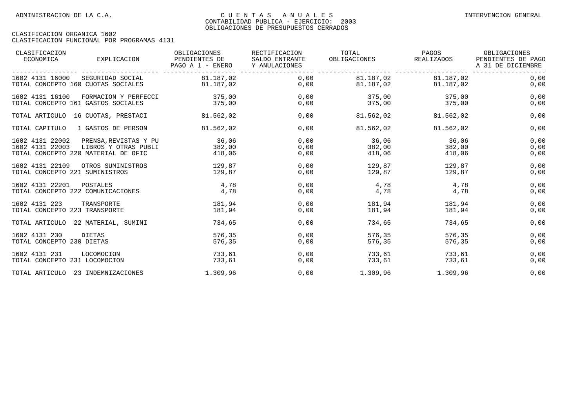| CLASIFICACION<br>ECONOMICA<br>EXPLICACION                                                                                  | OBLIGACIONES<br>PENDIENTES DE<br>PAGO A 1 - ENERO | RECTIFICACION<br>SALDO ENTRANTE<br>Y ANULACIONES | TOTAL<br>OBLIGACIONES     | PAGOS<br>REALIZADOS              | OBLIGACIONES<br>PENDIENTES DE PAGO<br>A 31 DE DICIEMBRE |
|----------------------------------------------------------------------------------------------------------------------------|---------------------------------------------------|--------------------------------------------------|---------------------------|----------------------------------|---------------------------------------------------------|
| 1602 4131 16000<br>SEGURIDAD SOCIAL<br>TOTAL CONCEPTO 160 CUOTAS SOCIALES                                                  | 81.187,02<br>81.187.02                            | 0,00<br>0,00                                     | 81.187,02                 | 81.187,02 81.187,02<br>81.187.02 | 0,00<br>0,00                                            |
| 1602 4131 16100<br>FORMACION Y PERFECCI<br>TOTAL CONCEPTO 161 GASTOS SOCIALES                                              | 375,00<br>375,00                                  | 0,00<br>0,00                                     | 375,00<br>375,00          | 375,00<br>375,00                 | 0,00<br>0,00                                            |
| TOTAL ARTICULO 16 CUOTAS, PRESTACI                                                                                         | 81.562,02                                         | 0,00                                             | 81.562,02                 | 81.562,02                        | 0,00                                                    |
| TOTAL CAPITULO<br>1 GASTOS DE PERSON                                                                                       | 81.562,02                                         | 0,00                                             | 81.562,02                 | 81.562,02                        | 0,00                                                    |
| 1602 4131 22002<br>PRENSA, REVISTAS Y PU<br>1602 4131 22003<br>LIBROS Y OTRAS PUBLI<br>TOTAL CONCEPTO 220 MATERIAL DE OFIC | 36,06<br>382,00<br>418,06                         | 0.00<br>0,00<br>0,00                             | 36,06<br>382,00<br>418,06 | 36,06<br>382,00<br>418,06        | 0,00<br>0,00<br>0,00                                    |
| 1602 4131 22109<br>OTROS SUMINISTROS<br>TOTAL CONCEPTO 221 SUMINISTROS                                                     | 129,87<br>129,87                                  | 0,00<br>0,00                                     | 129,87<br>129,87          | 129,87<br>129,87                 | 0,00<br>0,00                                            |
| 1602 4131 22201<br>POSTALES<br>TOTAL CONCEPTO 222 COMUNICACIONES                                                           | 4,78<br>4,78                                      | 0,00<br>0,00                                     | 4,78<br>4,78              | 4,78<br>4,78                     | 0,00<br>0,00                                            |
| 1602 4131 223<br>TRANSPORTE<br>TOTAL CONCEPTO 223 TRANSPORTE                                                               | 181,94<br>181,94                                  | 0.00<br>0,00                                     | 181,94<br>181,94          | 181,94<br>181,94                 | 0,00<br>0,00                                            |
| TOTAL ARTICULO 22 MATERIAL, SUMINI                                                                                         | 734.65                                            | 0,00                                             | 734,65                    | 734,65                           | 0,00                                                    |
| 1602 4131 230<br>DIETAS<br>TOTAL CONCEPTO 230 DIETAS                                                                       | 576,35<br>576,35                                  | 0.00<br>0,00                                     | 576,35<br>576,35          | 576,35<br>576,35                 | 0,00<br>0,00                                            |
| 1602 4131 231<br>LOCOMOCION<br>TOTAL CONCEPTO 231 LOCOMOCION                                                               | 733,61<br>733,61                                  | 0,00<br>0,00                                     | 733,61<br>733,61          | 733,61<br>733,61                 | 0,00<br>0,00                                            |
| TOTAL ARTICULO 23 INDEMNIZACIONES                                                                                          | 1.309,96                                          | 0,00                                             | 1.309,96                  | 1.309,96                         | 0,00                                                    |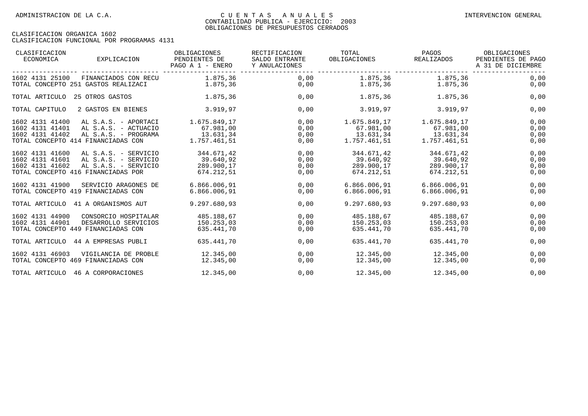| CLASIFICACION<br>ECONOMICA                            | EXPLICACION                                                                                                | OBLIGACIONES<br>PENDIENTES DE<br>PAGO A 1 - ENERO      | RECTIFICACION<br>SALDO ENTRANTE<br>Y ANULACIONES | TOTAL<br>OBLIGACIONES REALIZADOS                               | PAGOS                                                  | OBLIGACIONES<br>PENDIENTES DE PAGO<br>A 31 DE DICIEMBRE |
|-------------------------------------------------------|------------------------------------------------------------------------------------------------------------|--------------------------------------------------------|--------------------------------------------------|----------------------------------------------------------------|--------------------------------------------------------|---------------------------------------------------------|
|                                                       | 1602 4131 25100 FINANCIADOS CON RECU 1.875,36<br>TOTAL CONCEPTO 251 GASTOS REALIZACI                       | 1.875,36                                               | 0,00<br>0,00                                     | 1.875,36<br>1.875,36                                           | 1.875,36<br>1.875,36                                   | 0,00<br>0,00                                            |
| TOTAL ARTICULO 25 OTROS GASTOS                        |                                                                                                            | 1.875,36                                               | 0,00                                             | 1.875,36                                                       | 1.875,36                                               | 0,00                                                    |
| TOTAL CAPITULO                                        | 2 GASTOS EN BIENES                                                                                         | 3.919,97                                               | 0,00                                             | 3.919,97                                                       | 3.919,97                                               | 0,00                                                    |
| 1602 4131 41400<br>1602 4131 41401<br>1602 4131 41402 | AL S.A.S. - APORTACI<br>AL S.A.S. - ACTUACIO<br>AL S.A.S. - PROGRAMA<br>TOTAL CONCEPTO 414 FINANCIADAS CON | 1.675.849,17<br>67.981,00<br>13.631,34<br>1.757.461,51 | 0,00<br>0,00<br>0,00<br>0,00                     | 1.675.849,17<br>$67.981,00$<br>$13.631,34$<br>$1.757.461,51$ 1 | 1.675.849,17<br>67.981,00<br>13.631,34<br>1.757.461,51 | 0,00<br>0,00<br>0,00<br>0,00                            |
| 1602 4131 41600<br>1602 4131 41601<br>1602 4131 41602 | AL S.A.S. - SERVICIO<br>AL S.A.S. - SERVICIO<br>AL S.A.S. - SERVICIO<br>TOTAL CONCEPTO 416 FINANCIADAS POR | 344.671,42<br>39.640,92<br>289.900,17<br>674.212,51    | 0,00<br>0,00<br>0,00<br>0,00                     | 344.671,42<br>39.640,92<br>289.900,17<br>674.212,51            | 344.671,42<br>39.640, 92<br>289.900,17<br>674.212,51   | 0,00<br>0,00<br>0,00<br>0,00                            |
| 1602 4131 41900                                       | SERVICIO ARAGONES DE<br>TOTAL CONCEPTO 419 FINANCIADAS CON                                                 | 6.866.006, 91<br>6.866.006.91                          | 0,00<br>0,00                                     | 6.866.006, 91<br>6.866.006, 91                                 | 6.866.006, 91<br>6.866.006, 91                         | 0,00<br>0,00                                            |
|                                                       | TOTAL ARTICULO 41 A ORGANISMOS AUT                                                                         | 9.297.680,93                                           | 0,00                                             | 9.297.680,93                                                   | 9.297.680,93                                           | 0,00                                                    |
| 1602 4131 44900<br>1602 4131 44901                    | CONSORCIO HOSPITALAR<br>DESARROLLO SERVICIOS<br>TOTAL CONCEPTO 449 FINANCIADAS CON                         | 485.188,67<br>150.253.03<br>635.441.70                 | 0,00<br>0,00<br>0,00                             | 485.188,67<br>150.253,03<br>635.441.70                         | 485.188,67<br>150.253,03<br>635.441.70                 | 0,00<br>0,00<br>0,00                                    |
|                                                       | TOTAL ARTICULO 44 A EMPRESAS PUBLI                                                                         | 635.441.70                                             | 0.00                                             | 635.441.70                                                     | 635.441.70                                             | 0,00                                                    |
| 1602 4131 46903                                       | VIGILANCIA DE PROBLE<br>TOTAL CONCEPTO 469 FINANCIADAS CON                                                 | 12.345,00<br>12.345,00                                 | 0.00<br>0,00                                     | 12.345,00<br>12.345,00                                         | 12.345,00<br>12.345,00                                 | 0,00<br>0,00                                            |
|                                                       | TOTAL ARTICULO 46 A CORPORACIONES                                                                          | 12.345,00                                              | 0,00                                             | 12.345,00                                                      | 12.345,00                                              | 0,00                                                    |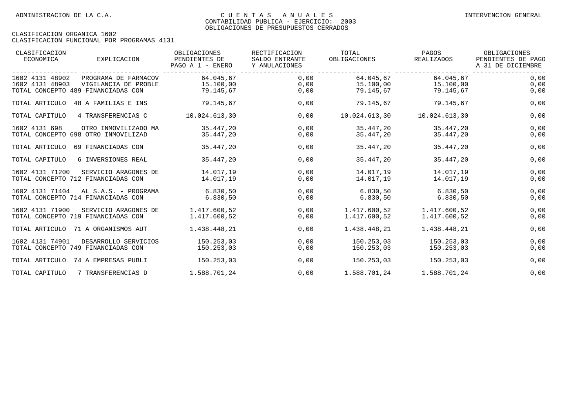| CLASIFICACION<br>ECONOMICA                            | EXPLICACION          | OBLIGACIONES<br>PENDIENTES DE<br>PAGO A 1 - ENERO | RECTIFICACION<br>SALDO ENTRANTE<br>Y ANULACIONES | TOTAL<br>OBLIGACIONES        | PAGOS<br>REALIZADOS          | OBLIGACIONES<br>PENDIENTES DE PAGO<br>A 31 DE DICIEMBRE |
|-------------------------------------------------------|----------------------|---------------------------------------------------|--------------------------------------------------|------------------------------|------------------------------|---------------------------------------------------------|
| 1602 4131 48902                                       | PROGRAMA DE FARMACOV | 64.045,67                                         | 0,00                                             |                              | 64.045,67 64.045,67          | 0,00                                                    |
| 1602 4131 48903<br>TOTAL CONCEPTO 489 FINANCIADAS CON | VIGILANCIA DE PROBLE | 15.100,00<br>79.145,67                            | 0,00<br>0,00                                     | 79.145,67                    | 79.145,67                    | 0,00<br>0,00                                            |
| TOTAL ARTICULO 48 A FAMILIAS E INS                    |                      | 79.145,67                                         | 0,00                                             | 79.145,67                    | 79.145,67                    | 0,00                                                    |
| TOTAL CAPITULO                                        | 4 TRANSFERENCIAS C   | 10.024.613,30                                     | 0,00                                             | 10.024.613,30                | 10.024.613,30                | 0,00                                                    |
| 1602 4131 698<br>TOTAL CONCEPTO 698 OTRO INMOVILIZAD  | OTRO INMOVILIZADO MA | 35.447,20<br>35.447,20                            | 0.00<br>0,00                                     | 35.447,20<br>35.447,20       | 35.447,20<br>35.447,20       | 0,00<br>0,00                                            |
| TOTAL ARTICULO                                        | 69 FINANCIADAS CON   | 35.447,20                                         | 0,00                                             | 35.447,20                    | 35.447,20                    | 0,00                                                    |
| TOTAL CAPITULO                                        | 6 INVERSIONES REAL   | 35.447.20                                         | 0,00                                             | 35.447,20                    | 35.447,20                    | 0,00                                                    |
| 1602 4131 71200<br>TOTAL CONCEPTO 712 FINANCIADAS CON | SERVICIO ARAGONES DE | 14.017.19<br>14.017,19                            | 0,00<br>0,00                                     | 14.017,19<br>14.017,19       | 14.017.19<br>14.017,19       | 0,00<br>0,00                                            |
| 1602 4131 71404<br>TOTAL CONCEPTO 714 FINANCIADAS CON | AL S.A.S. - PROGRAMA | 6.830, 50<br>6.830, 50                            | 0,00<br>0,00                                     | 6.830, 50<br>6.830, 50       | 6.830, 50<br>6.830, 50       | 0,00<br>0,00                                            |
| 1602 4131 71900<br>TOTAL CONCEPTO 719 FINANCIADAS CON | SERVICIO ARAGONES DE | 1.417.600,52<br>1.417.600,52                      | 0.00<br>0,00                                     | 1.417.600,52<br>1.417.600,52 | 1.417.600,52<br>1.417.600,52 | 0,00<br>0,00                                            |
| TOTAL ARTICULO 71 A ORGANISMOS AUT                    |                      | 1.438.448.21                                      | 0.00                                             | 1.438.448.21                 | 1.438.448.21                 | 0,00                                                    |
| 1602 4131 74901<br>TOTAL CONCEPTO 749 FINANCIADAS CON | DESARROLLO SERVICIOS | 150.253,03<br>150.253,03                          | 0,00<br>0,00                                     | 150.253,03<br>150.253,03     | 150.253,03<br>150.253,03     | 0,00<br>0,00                                            |
| TOTAL ARTICULO 74 A EMPRESAS PUBLI                    |                      | 150.253,03                                        | 0,00                                             | 150.253,03                   | 150.253,03                   | 0,00                                                    |
| TOTAL CAPITULO                                        | 7 TRANSFERENCIAS D   | 1.588.701,24                                      | 0,00                                             | 1.588.701,24                 | 1.588.701,24                 | 0,00                                                    |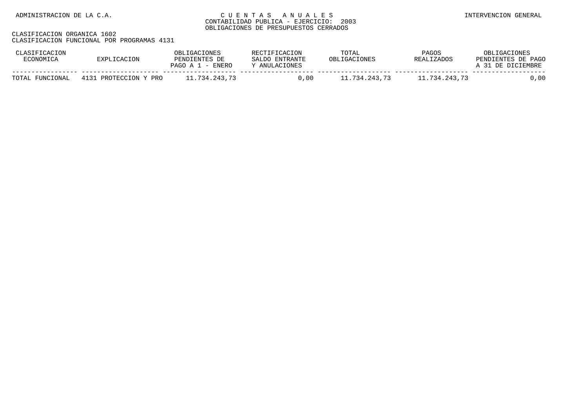| CLASIFICACION<br>ECONOMICA | EXPLICACION           | OBLIGACIONES<br>PENDIENTES DE<br>PAGO A $1$ - ENERO | RECTIFICACION<br>SALDO ENTRANTE<br>Y ANULACIONES | TOTAL<br>OBLIGACIONES | PAGOS<br><b>REALIZADOS</b> | OBLIGACIONES<br>PENDIENTES DE PAGO<br>A 31 DE DICIEMBRE |
|----------------------------|-----------------------|-----------------------------------------------------|--------------------------------------------------|-----------------------|----------------------------|---------------------------------------------------------|
| TOTAL FUNCIONAL            | 4131 PROTECCION Y PRO | 11.734.243.73                                       | 0.00                                             | 11.734.243.73         | 11.734.243.73              | 0,00                                                    |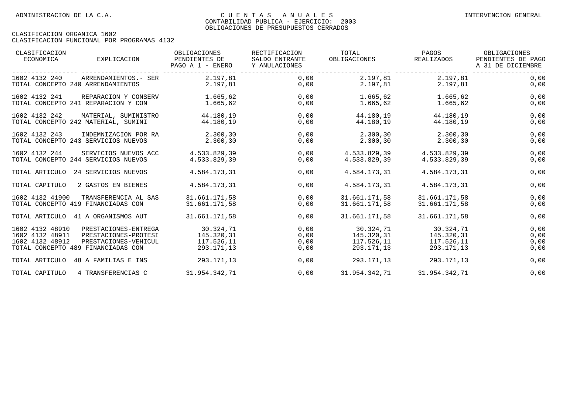| CLASIFICACION<br>ECONOMICA                            | EXPLICACION                                                                                                | OBLIGACIONES<br>PENDIENTES DE<br>PAGO A 1 - ENERO   | RECTIFICACION<br>SALDO ENTRANTE<br>Y ANULACIONES | TOTAL<br>OBLIGACIONES REALIZADOS                    | PAGOS                                               | OBLIGACIONES<br>PENDIENTES DE PAGO<br>A 31 DE DICIEMBRE |
|-------------------------------------------------------|------------------------------------------------------------------------------------------------------------|-----------------------------------------------------|--------------------------------------------------|-----------------------------------------------------|-----------------------------------------------------|---------------------------------------------------------|
| 1602 4132 240                                         | ARRENDAMIENTOS.- SER<br>TOTAL CONCEPTO 240 ARRENDAMIENTOS                                                  | 2.197,81<br>2.197,81                                | 0,00<br>0,00                                     | 2.197,81<br>2.197,81                                | 2.197,81<br>2.197,81                                | 0,00<br>0,00                                            |
| 1602 4132 241                                         | REPARACION Y CONSERV<br>TOTAL CONCEPTO 241 REPARACION Y CON                                                | 1.665,62<br>1.665,62                                | 0,00<br>0,00                                     | 1.665,62<br>1.665,62                                | 1.665,62<br>1.665,62                                | 0,00<br>0,00                                            |
| 1602 4132 242                                         | MATERIAL, SUMINISTRO<br>TOTAL CONCEPTO 242 MATERIAL, SUMINI                                                | 44.180,19<br>44.180.19                              | 0,00<br>0,00                                     | 44.180,19<br>44.180,19                              | 44.180,19<br>44.180,19                              | 0,00<br>0,00                                            |
| 1602 4132 243                                         | INDEMNIZACION POR RA<br>TOTAL CONCEPTO 243 SERVICIOS NUEVOS                                                | 2.300.30<br>2.300.30                                | 0.00<br>0,00                                     | 2.300.30<br>2.300,30                                | 2.300.30<br>2.300.30                                | 0,00<br>0,00                                            |
| 1602 4132 244                                         | SERVICIOS NUEVOS ACC<br>TOTAL CONCEPTO 244 SERVICIOS NUEVOS                                                | 4.533.829,39<br>4.533.829.39                        | 0,00<br>0,00                                     | 4.533.829,39<br>4.533.829.39                        | 4.533.829,39<br>4.533.829.39                        | 0,00<br>0,00                                            |
| TOTAL ARTICULO                                        | 24 SERVICIOS NUEVOS                                                                                        | 4.584.173.31                                        | 0,00                                             | 4.584.173,31                                        | 4.584.173,31                                        | 0,00                                                    |
| TOTAL CAPITULO                                        | 2 GASTOS EN BIENES                                                                                         | 4.584.173,31                                        | 0,00                                             | 4.584.173,31                                        | 4.584.173,31                                        | 0,00                                                    |
| 1602 4132 41900                                       | TRANSFERENCIA AL SAS<br>TOTAL CONCEPTO 419 FINANCIADAS CON                                                 | 31.661.171,58<br>31.661.171,58                      | 0,00<br>0,00                                     | 31.661.171,58<br>31.661.171,58                      | 31.661.171,58<br>31.661.171,58                      | 0,00<br>0,00                                            |
|                                                       | TOTAL ARTICULO 41 A ORGANISMOS AUT                                                                         | 31.661.171.58                                       | 0.00                                             | 31.661.171.58                                       | 31.661.171.58                                       | 0,00                                                    |
| 1602 4132 48910<br>1602 4132 48911<br>1602 4132 48912 | PRESTACIONES-ENTREGA<br>PRESTACIONES-PROTESI<br>PRESTACIONES-VEHICUL<br>TOTAL CONCEPTO 489 FINANCIADAS CON | 30.324,71<br>145.320,31<br>117.526,11<br>293.171,13 | 0.00<br>0,00<br>0,00<br>0,00                     | 30.324,71<br>145.320,31<br>117.526,11<br>293.171,13 | 30.324,71<br>145.320,31<br>117.526,11<br>293.171,13 | 0,00<br>0,00<br>0,00<br>0,00                            |
| TOTAL ARTICULO                                        | 48 A FAMILIAS E INS                                                                                        | 293.171,13                                          | 0,00                                             | 293.171,13                                          | 293.171,13                                          | 0,00                                                    |
| TOTAL CAPITULO                                        | 4 TRANSFERENCIAS C                                                                                         | 31.954.342,71                                       | 0,00                                             | 31.954.342,71                                       | 31.954.342,71                                       | 0,00                                                    |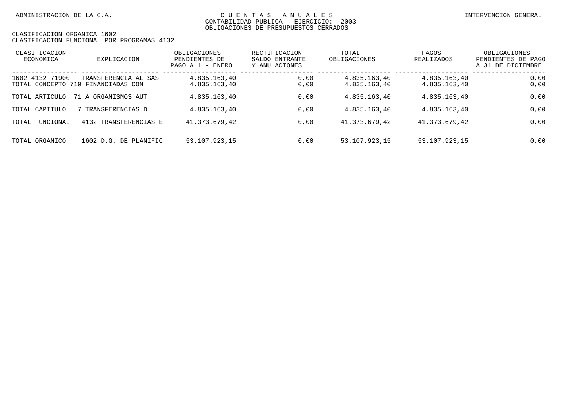| CLASIFICACION<br>ECONOMICA | EXPLICACION                                                | OBLIGACIONES<br>PENDIENTES DE<br>PAGO A 1 - ENERO | RECTIFICACION<br>SALDO ENTRANTE<br>Y ANULACIONES | TOTAL<br>OBLIGACIONES        | PAGOS<br>REALIZADOS          | OBLIGACIONES<br>PENDIENTES DE PAGO<br>A 31 DE DICIEMBRE |
|----------------------------|------------------------------------------------------------|---------------------------------------------------|--------------------------------------------------|------------------------------|------------------------------|---------------------------------------------------------|
| 1602 4132 71900            | TRANSFERENCIA AL SAS<br>TOTAL CONCEPTO 719 FINANCIADAS CON | 4.835.163,40<br>4.835.163,40                      | 0.00<br>0,00                                     | 4.835.163,40<br>4.835.163.40 | 4.835.163,40<br>4.835.163,40 | 0,00<br>0,00                                            |
| TOTAL ARTICULO             | 71 A ORGANISMOS AUT                                        | 4.835.163,40                                      | 0,00                                             | 4.835.163,40                 | 4.835.163,40                 | 0,00                                                    |
| TOTAL CAPITULO             | TRANSFERENCIAS D                                           | 4.835.163,40                                      | 0,00                                             | 4.835.163,40                 | 4.835.163,40                 | 0,00                                                    |
| TOTAL FUNCIONAL            | 4132 TRANSFERENCIAS E                                      | 41.373.679,42                                     | 0,00                                             | 41.373.679.42                | 41.373.679,42                | 0,00                                                    |
| TOTAL ORGANICO             | 1602 D.G. DE PLANIFIC                                      | 53.107.923.15                                     | 0.00                                             | 53.107.923.15                | 53.107.923,15                | 0,00                                                    |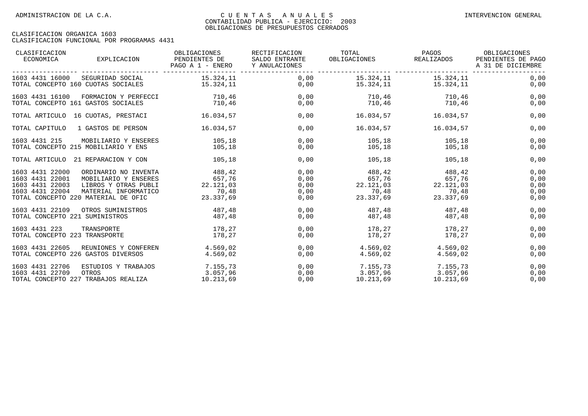| CLASIFICACION<br>ECONOMICA                                                                                      | EXPLICACION                                                                                  | OBLIGACIONES<br>PENDIENTES DE<br>PAGO A 1 - ENERO   | RECTIFICACION<br>SALDO ENTRANTE<br>Y ANULACIONES | TOTAL<br>OBLIGACIONES REALIZADOS       | PAGOS                                                         | OBLIGACIONES<br>PENDIENTES DE PAGO<br>A 31 DE DICIEMBRE |
|-----------------------------------------------------------------------------------------------------------------|----------------------------------------------------------------------------------------------|-----------------------------------------------------|--------------------------------------------------|----------------------------------------|---------------------------------------------------------------|---------------------------------------------------------|
| 1603 4431 16000<br>TOTAL CONCEPTO 160 CUOTAS SOCIALES                                                           | SEGURIDAD SOCIAL                                                                             | 15.324,11<br>15.324, 11                             | 0,00<br>0,00                                     |                                        | 15.324,11 15.324,11<br>15.324,11 15.324,11                    | 0,00<br>0,00                                            |
| 1603 4431 16100<br>TOTAL CONCEPTO 161 GASTOS SOCIALES                                                           | FORMACION Y PERFECCI                                                                         | 710,46<br>710,46                                    | 0,00<br>0,00                                     | 710,46<br>710,46                       | 710,46<br>710,46                                              | 0,00<br>0,00                                            |
| TOTAL ARTICULO 16 CUOTAS, PRESTACI                                                                              |                                                                                              | 16.034,57                                           | 0,00                                             |                                        | 16.034,57 16.034,57                                           | 0,00                                                    |
| TOTAL CAPITULO                                                                                                  | 1 GASTOS DE PERSON                                                                           | 16.034,57                                           | 0,00                                             | 16.034,57                              | 16.034,57                                                     | 0,00                                                    |
| 1603 4431 215<br>TOTAL CONCEPTO 215 MOBILIARIO Y ENS                                                            | MOBILIARIO Y ENSERES                                                                         | 105,18<br>105,18                                    | 0,00<br>0,00                                     | 105,18<br>105,18                       | 105,18<br>105,18                                              | 0,00<br>0,00                                            |
| TOTAL ARTICULO 21 REPARACION Y CON                                                                              |                                                                                              | 105,18                                              | 0,00                                             | 105,18                                 | 105,18                                                        | 0,00                                                    |
| 1603 4431 22000<br>1603 4431 22001<br>1603 4431 22003<br>1603 4431 22004<br>TOTAL CONCEPTO 220 MATERIAL DE OFIC | ORDINARIO NO INVENTA<br>MOBILIARIO Y ENSERES<br>LIBROS Y OTRAS PUBLI<br>MATERIAL INFORMATICO | 488,42<br>657.76<br>22.121,03<br>70,48<br>23.337,69 | 0,00<br>0,00<br>0,00<br>0,00<br>0,00             | 488,42<br>657,76<br>22.121,03<br>70,48 | 488,42<br>657,76<br>22.121,03<br>70,48<br>23.337,69 23.337,69 | 0,00<br>0,00<br>0,00<br>0,00<br>0,00                    |
| 1603 4431 22109<br>TOTAL CONCEPTO 221 SUMINISTROS                                                               | OTROS SUMINISTROS                                                                            | 487,48<br>487,48                                    | 0,00<br>0,00                                     | 487,48<br>487,48                       | 487,48<br>487,48                                              | 0,00<br>0,00                                            |
| 1603 4431 223<br>TOTAL CONCEPTO 223 TRANSPORTE                                                                  | TRANSPORTE                                                                                   | 178.27<br>178,27                                    | 0,00<br>0,00                                     | 178,27<br>178,27                       | 178.27<br>178,27                                              | 0,00<br>0,00                                            |
| 1603 4431 22605<br>TOTAL CONCEPTO 226 GASTOS DIVERSOS                                                           | REUNIONES Y CONFEREN                                                                         | 4.569.02<br>4.569,02                                | 0,00<br>0,00                                     | 4.569.02<br>4.569,02                   | 4.569,02<br>4.569,02                                          | 0,00<br>0,00                                            |
| 1603 4431 22706<br>1603 4431 22709<br>TOTAL CONCEPTO 227 TRABAJOS REALIZA                                       | ESTUDIOS Y TRABAJOS<br>OTROS                                                                 | 7.155,73<br>3.057,96<br>10.213,69                   | 0,00<br>0,00<br>0,00                             | 7.155,73<br>3.057,96<br>10.213,69      | 7.155,73<br>3.057,96<br>10.213,69                             | 0,00<br>0,00<br>0,00                                    |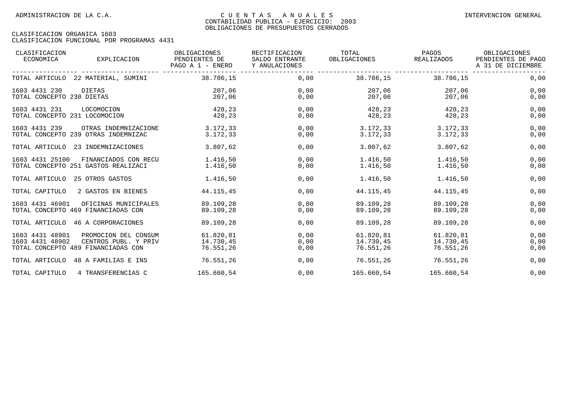| CLASIFICACION<br>ECONOMICA                     | EXPLICACION                                                                        | OBLIGACIONES<br>PENDIENTES DE<br>PAGO A 1 - ENERO | RECTIFICACION<br>SALDO ENTRANTE<br>Y ANULACIONES | TOTAL<br>OBLIGACIONES               | PAGOS<br>REALIZADOS                 | OBLIGACIONES<br>PENDIENTES DE PAGO<br>A 31 DE DICIEMBRE |
|------------------------------------------------|------------------------------------------------------------------------------------|---------------------------------------------------|--------------------------------------------------|-------------------------------------|-------------------------------------|---------------------------------------------------------|
|                                                | TOTAL ARTICULO 22 MATERIAL, SUMINI 38.786,15                                       |                                                   | 0,00                                             | 38.786,15                           | 38.786.15                           | 0,00                                                    |
| 1603 4431 230<br>TOTAL CONCEPTO 230 DIETAS     | DIETAS                                                                             | 207,06<br>207,06                                  | 0,00<br>0,00                                     | 207,06<br>207,06                    | 207,06<br>207,06                    | 0,00<br>0,00                                            |
| 1603 4431 231<br>TOTAL CONCEPTO 231 LOCOMOCION | LOCOMOCION                                                                         | 428,23<br>428,23                                  | 0,00<br>0,00                                     | 428,23<br>428,23                    | 428,23<br>428,23                    | 0,00<br>0,00                                            |
| 1603 4431 239                                  | OTRAS INDEMNIZACIONE<br>TOTAL CONCEPTO 239 OTRAS INDEMNIZAC                        | 3.172,33<br>3.172,33                              | 0,00<br>0,00                                     | 3.172,33<br>3.172,33                | 3.172,33<br>3.172,33                | 0,00<br>0,00                                            |
| TOTAL ARTICULO                                 | 23 INDEMNIZACIONES                                                                 | 3.807,62                                          | 0,00                                             | 3.807,62                            | 3.807,62                            | 0,00                                                    |
| 1603 4431 25100                                | FINANCIADOS CON RECU<br>TOTAL CONCEPTO 251 GASTOS REALIZACI                        | 1.416,50<br>1.416,50                              | 0,00<br>0,00                                     | 1.416,50<br>1.416,50                | 1.416,50<br>1.416,50                | 0,00<br>0,00                                            |
| TOTAL ARTICULO                                 | 25 OTROS GASTOS                                                                    | 1.416,50                                          | 0,00                                             | 1.416,50                            | 1.416,50                            | 0,00                                                    |
| TOTAL CAPITULO                                 | 2 GASTOS EN BIENES                                                                 | 44.115,45                                         | 0,00                                             | 44.115,45                           | 44.115,45                           | 0,00                                                    |
| 1603 4431 46901                                | OFICINAS MUNICIPALES<br>TOTAL CONCEPTO 469 FINANCIADAS CON                         | 89.109,28<br>89.109,28                            | 0,00<br>0,00                                     | 89.109,28<br>89.109,28              | 89.109,28<br>89.109,28              | 0,00<br>0,00                                            |
|                                                | TOTAL ARTICULO 46 A CORPORACIONES                                                  | 89.109.28                                         | 0.00                                             | 89.109.28                           | 89.109.28                           | 0,00                                                    |
| 1603 4431 48901<br>1603 4431 48902             | PROMOCION DEL CONSUM<br>CENTROS PUBL. Y PRIV<br>TOTAL CONCEPTO 489 FINANCIADAS CON | 61.820,81<br>14.730,45<br>76.551,26               | 0,00<br>0,00<br>0,00                             | 61.820,81<br>14.730,45<br>76.551,26 | 61.820,81<br>14.730,45<br>76.551,26 | 0,00<br>0,00<br>0,00                                    |
| TOTAL ARTICULO                                 | 48 A FAMILIAS E INS                                                                | 76.551,26                                         | 0,00                                             | 76.551,26                           | 76.551,26                           | 0,00                                                    |
| TOTAL CAPITULO                                 | 4 TRANSFERENCIAS C                                                                 | 165.660,54                                        | 0,00                                             | 165.660,54                          | 165.660,54                          | 0,00                                                    |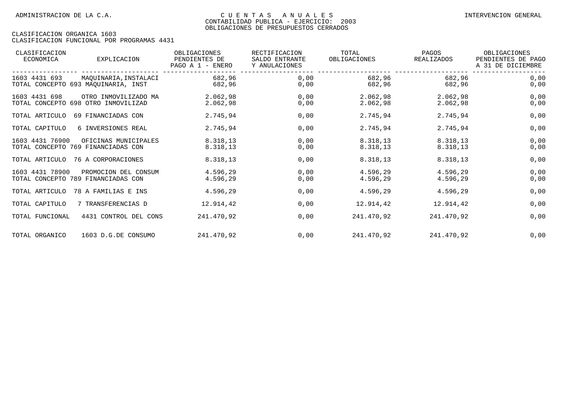| CLASIFICACION<br>ECONOMICA | <b>EXPLICACION</b>                                           | OBLIGACIONES<br>PENDIENTES DE<br>PAGO A 1 - ENERO | <b>RECTIFICACION</b><br>SALDO ENTRANTE<br>Y ANULACIONES | TOTAL<br>OBLIGACIONES | PAGOS<br><b>REALIZADOS</b> | OBLIGACIONES<br>PENDIENTES DE PAGO<br>A 31 DE DICIEMBRE |
|----------------------------|--------------------------------------------------------------|---------------------------------------------------|---------------------------------------------------------|-----------------------|----------------------------|---------------------------------------------------------|
| 1603 4431 693              | MAQUINARIA, INSTALACI<br>TOTAL CONCEPTO 693 MAOUINARIA, INST | 682,96<br>682,96                                  | 0,00<br>0,00                                            | 682,96<br>682,96      | 682,96<br>682,96           | 0,00<br>0,00                                            |
| 1603 4431 698              | OTRO INMOVILIZADO MA<br>TOTAL CONCEPTO 698 OTRO INMOVILIZAD  | 2.062,98<br>2.062,98                              | 0,00<br>0,00                                            | 2.062,98<br>2.062,98  | 2.062,98<br>2.062,98       | 0,00<br>0,00                                            |
| TOTAL ARTICULO             | 69 FINANCIADAS CON                                           | 2.745,94                                          | 0,00                                                    | 2.745,94              | 2.745,94                   | 0,00                                                    |
| TOTAL CAPITULO             | 6 INVERSIONES REAL                                           | 2.745,94                                          | 0,00                                                    | 2.745,94              | 2.745,94                   | 0,00                                                    |
| 1603 4431 76900            | OFICINAS MUNICIPALES<br>TOTAL CONCEPTO 769 FINANCIADAS CON   | 8.318,13<br>8.318,13                              | 0,00<br>0,00                                            | 8.318,13<br>8.318,13  | 8.318,13<br>8.318,13       | 0,00<br>0,00                                            |
| TOTAL ARTICULO             | 76 A CORPORACIONES                                           | 8.318,13                                          | 0,00                                                    | 8.318,13              | 8.318,13                   | 0,00                                                    |
| 1603 4431 78900            | PROMOCION DEL CONSUM<br>TOTAL CONCEPTO 789 FINANCIADAS CON   | 4.596,29<br>4.596,29                              | 0,00<br>0,00                                            | 4.596,29<br>4.596,29  | 4.596,29<br>4.596,29       | 0,00<br>0,00                                            |
| TOTAL ARTICULO             | 78 A FAMILIAS E INS                                          | 4.596,29                                          | 0,00                                                    | 4.596,29              | 4.596,29                   | 0,00                                                    |
| TOTAL CAPITULO             | 7 TRANSFERENCIAS D                                           | 12.914,42                                         | 0,00                                                    | 12.914,42             | 12.914,42                  | 0,00                                                    |
| TOTAL FUNCIONAL            | 4431 CONTROL DEL CONS                                        | 241.470,92                                        | 0,00                                                    | 241.470,92            | 241.470,92                 | 0,00                                                    |
| TOTAL ORGANICO             | 1603 D.G.DE CONSUMO                                          | 241.470,92                                        | 0,00                                                    | 241.470,92            | 241.470,92                 | 0,00                                                    |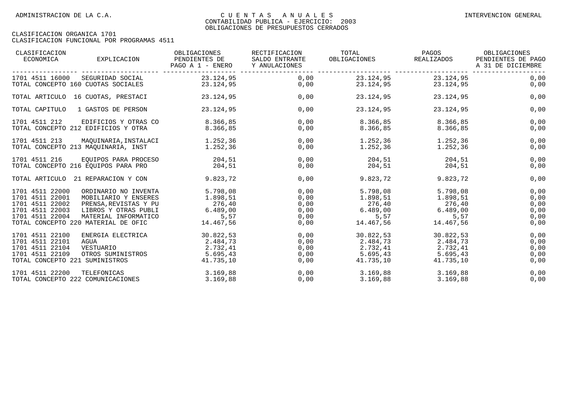| CLASIFICACION<br>ECONOMICA<br>EXPLICACION                                                                                                                                                                                                                   | OBLIGACIONES<br>PENDIENTES DE<br>PAGO A 1 - ENERO               | RECTIFICACION<br>SALDO ENTRANTE<br>Y ANULACIONES | TOTAL<br>OBLIGACIONES REALIZADOS                                                                              | PAGOS                                                          | OBLIGACIONES<br>PENDIENTES DE PAGO<br>A 31 DE DICIEMBRE |
|-------------------------------------------------------------------------------------------------------------------------------------------------------------------------------------------------------------------------------------------------------------|-----------------------------------------------------------------|--------------------------------------------------|---------------------------------------------------------------------------------------------------------------|----------------------------------------------------------------|---------------------------------------------------------|
| 1701 4511 16000<br>SEGURIDAD SOCIAL<br>TOTAL CONCEPTO 160 CUOTAS SOCIALES                                                                                                                                                                                   | 23.124,95<br>23.124,95                                          | 0,00<br>0,00                                     | 23.124,95                                                                                                     | 23.124,95 23.124,95<br>23.124.95                               | 0,00<br>0,00                                            |
| TOTAL ARTICULO 16 CUOTAS, PRESTACI                                                                                                                                                                                                                          | 23.124,95                                                       | 0,00                                             | 23.124,95                                                                                                     | 23.124,95                                                      | 0,00                                                    |
| TOTAL CAPITULO<br>1 GASTOS DE PERSON                                                                                                                                                                                                                        | 23.124,95                                                       | 0,00                                             | 23.124,95                                                                                                     | 23.124,95                                                      | 0,00                                                    |
| 1701 4511 212<br>EDIFICIOS Y OTRAS CO<br>TOTAL CONCEPTO 212 EDIFICIOS Y OTRA                                                                                                                                                                                | 8.366,85<br>8.366.85                                            | 0,00<br>0,00                                     | 8.366,85<br>8.366,85                                                                                          | 8.366,85<br>8.366.85                                           | 0,00<br>0,00                                            |
| 1701 4511 213<br>TOTAL CONCEPTO 213 MAQUINARIA, INST                                                                                                                                                                                                        | 1.252, 36                                                       | 0,00<br>0,00                                     | 1.252,36<br>1.252,36                                                                                          | 1.252,36<br>1.252,36                                           | 0,00<br>0,00                                            |
| 1701 4511 216<br>TOTAL CONCEPTO 216 EOUIPOS PARA PRO                                                                                                                                                                                                        | EQUIPOS PARA PROCESO 204,51<br>204,51                           | 0,00<br>0,00                                     | 204,51                                                                                                        | 204,51 204,51<br>204,51                                        | 0,00<br>0,00                                            |
| TOTAL ARTICULO 21 REPARACION Y CON                                                                                                                                                                                                                          | 9.823,72                                                        | 0,00                                             | 9.823,72                                                                                                      | 9.823,72                                                       | 0,00                                                    |
| 1701 4511 22000<br>ORDINARIO NO INVENTA<br>1701 4511 22001<br>MOBILIARIO Y ENSERES<br>1701 4511 22002<br>PRENSA, REVISTAS Y PU<br>1701 4511 22003<br>LIBROS Y OTRAS PUBLI<br>1701 4511 22004<br>MATERIAL INFORMATICO<br>TOTAL CONCEPTO 220 MATERIAL DE OFIC | 5.798,08<br>1.898,51<br>276,40<br>6.489,00<br>5,57<br>14.467,56 | 0,00<br>0,00<br>0,00<br>0,00<br>0,00<br>0,00     | 5.798,08<br>1.898,51<br>276,40<br>$6.489,00$ $6.489,00$<br>5,57                                               | 5.798,08<br>1.898, 51<br>276,40<br>5,57<br>14.467,56 14.467,56 | 0,00<br>0,00<br>0,00<br>0,00<br>0,00<br>0,00            |
| 1701 4511 22100<br>ENERGIA ELECTRICA<br>1701 4511 22101<br>AGUA<br>1701 4511 22104<br>VESTUARIO<br>1701 4511 22109<br>OTROS SUMINISTROS<br>TOTAL CONCEPTO 221 SUMINISTROS                                                                                   | 30.822,53<br>2.484,73<br>2.732,41<br>5.695, 43<br>41.735,10     | 0,00<br>0,00<br>0,00<br>0,00<br>0,00             | 30.822,53<br>$2.484,73$<br>$2.732,41$<br>$5.695,43$<br>$41.735,10$<br>$2.732,41$<br>$5.695,43$<br>$41.735,10$ | 30.822,53                                                      | 0,00<br>0,00<br>0,00<br>0,00<br>0,00                    |
| 1701 4511 22200<br>TELEFONICAS<br>TOTAL CONCEPTO 222 COMUNICACIONES                                                                                                                                                                                         | 3.169,88<br>3.169,88                                            | 0,00<br>0,00                                     | 3.169,88<br>3.169,88                                                                                          | 3.169,88<br>3.169,88                                           | 0,00<br>0,00                                            |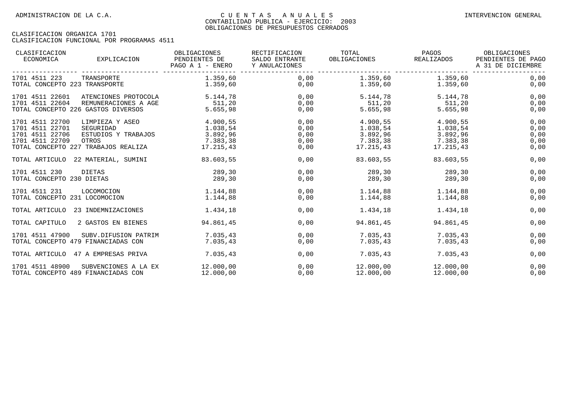| CLASIFICACION<br>ECONOMICA                                               | EXPLICACION                                                                                         | OBLIGACIONES<br>PENDIENTES DE<br>PAGO A 1 - ENERO         | RECTIFICACION<br>SALDO ENTRANTE<br>Y ANULACIONES | TOTAL<br>OBLIGACIONES                                     | PAGOS<br>REALIZADOS                                       | OBLIGACIONES<br>PENDIENTES DE PAGO<br>A 31 DE DICIEMBRE |
|--------------------------------------------------------------------------|-----------------------------------------------------------------------------------------------------|-----------------------------------------------------------|--------------------------------------------------|-----------------------------------------------------------|-----------------------------------------------------------|---------------------------------------------------------|
| 1701 4511 223<br>TOTAL CONCEPTO 223 TRANSPORTE                           | TRANSPORTE                                                                                          | 1.359,60<br>1.359,60                                      | 0.00<br>0,00                                     | 1.359,60<br>1.359,60                                      | 1.359,60<br>1.359,60                                      | 0,00<br>0,00                                            |
| 1701 4511 22601<br>1701 4511 22604<br>TOTAL CONCEPTO 226 GASTOS DIVERSOS | ATENCIONES PROTOCOLA<br>REMUNERACIONES A AGE                                                        | 5.144,78<br>511, 20<br>5.655,98                           | 0,00<br>0,00<br>0,00                             | 5.144,78<br>511,20<br>5.655,98                            | 5.144,78<br>511, 20<br>5.655,98                           | 0,00<br>0,00<br>0,00                                    |
| 1701 4511 22700<br>1701 4511 22701<br>1701 4511 22706<br>1701 4511 22709 | LIMPIEZA Y ASEO<br>SEGURIDAD<br>ESTUDIOS Y TRABAJOS<br>OTROS<br>TOTAL CONCEPTO 227 TRABAJOS REALIZA | 4.900,55<br>1.038,54<br>3.892,96<br>7.383,38<br>17.215,43 | 0,00<br>0,00<br>0,00<br>0,00<br>0,00             | 4.900,55<br>1.038,54<br>3.892,96<br>7.383,38<br>17.215,43 | 4.900,55<br>1.038,54<br>3.892,96<br>7.383,38<br>17.215,43 | 0,00<br>0,00<br>0,00<br>0,00<br>0,00                    |
| TOTAL ARTICULO                                                           | 22 MATERIAL, SUMINI                                                                                 | 83.603,55                                                 | 0,00                                             | 83.603,55                                                 | 83.603,55                                                 | 0,00                                                    |
| 1701 4511 230<br>TOTAL CONCEPTO 230 DIETAS                               | DIETAS                                                                                              | 289,30<br>289,30                                          | 0,00<br>0,00                                     | 289,30<br>289,30                                          | 289,30<br>289,30                                          | 0,00<br>0,00                                            |
| 1701 4511 231<br>TOTAL CONCEPTO 231 LOCOMOCION                           | LOCOMOCION                                                                                          | 1.144,88<br>1.144,88                                      | 0,00<br>0,00                                     | 1.144,88<br>1.144,88                                      | 1.144,88<br>1.144,88                                      | 0,00<br>0,00                                            |
| TOTAL ARTICULO                                                           | 23 INDEMNIZACIONES                                                                                  | 1.434,18                                                  | 0.00                                             | 1.434,18                                                  | 1.434.18                                                  | 0,00                                                    |
| TOTAL CAPITULO                                                           | 2 GASTOS EN BIENES                                                                                  | 94.861,45                                                 | 0,00                                             | 94.861,45                                                 | 94.861,45                                                 | 0,00                                                    |
| 1701 4511 47900<br>TOTAL CONCEPTO 479 FINANCIADAS CON                    | SUBV.DIFUSION PATRIM                                                                                | 7.035,43<br>7.035,43                                      | 0,00<br>0,00                                     | 7.035, 43<br>7.035,43                                     | 7.035,43<br>7.035,43                                      | 0,00<br>0,00                                            |
|                                                                          | TOTAL ARTICULO 47 A EMPRESAS PRIVA                                                                  | 7.035,43                                                  | 0,00                                             | 7.035,43                                                  | 7.035,43                                                  | 0,00                                                    |
| 1701 4511 48900<br>TOTAL CONCEPTO 489 FINANCIADAS CON                    | SUBVENCIONES A LA EX                                                                                | 12.000,00<br>12.000,00                                    | 0,00<br>0,00                                     | 12.000,00                                                 | 12.000,00                                                 | 0,00<br>0,00                                            |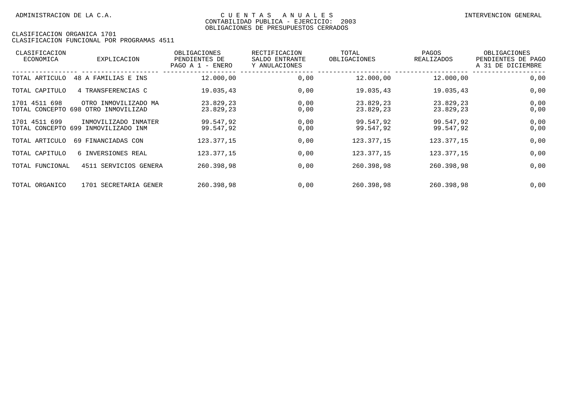| CLASIFICACION<br>ECONOMICA          | <b>EXPLICACION</b>                                          | OBLIGACIONES<br>PENDIENTES DE<br>ENERO<br>PAGO A $1$ - | RECTIFICACION<br>SALDO ENTRANTE<br>Y ANULACIONES | TOTAL<br>OBLIGACIONES  | PAGOS<br><b>REALIZADOS</b> | OBLIGACIONES<br>PENDIENTES DE PAGO<br>A 31 DE DICIEMBRE |
|-------------------------------------|-------------------------------------------------------------|--------------------------------------------------------|--------------------------------------------------|------------------------|----------------------------|---------------------------------------------------------|
| TOTAL ARTICULO                      | 48 A FAMILIAS E INS                                         | 12.000,00                                              | 0,00                                             | 12.000,00              | 12.000,00                  | 0,00                                                    |
| TOTAL CAPITULO                      | 4 TRANSFERENCIAS C                                          | 19.035,43                                              | 0,00                                             | 19.035,43              | 19.035,43                  | 0,00                                                    |
| 1701 4511 698                       | OTRO INMOVILIZADO MA<br>TOTAL CONCEPTO 698 OTRO INMOVILIZAD | 23.829,23<br>23.829,23                                 | 0,00<br>0,00                                     | 23.829,23<br>23.829,23 | 23.829,23<br>23.829,23     | 0,00<br>0,00                                            |
| 1701 4511 699<br>TOTAL CONCEPTO 699 | INMOVILIZADO INMATER<br>INMOVILIZADO INM                    | 99.547,92<br>99.547,92                                 | 0,00<br>0,00                                     | 99.547,92<br>99.547,92 | 99.547,92<br>99.547,92     | 0,00<br>0,00                                            |
| TOTAL ARTICULO                      | 69 FINANCIADAS CON                                          | 123.377,15                                             | 0,00                                             | 123.377.15             | 123.377,15                 | 0,00                                                    |
| TOTAL CAPITULO                      | 6 INVERSIONES REAL                                          | 123.377,15                                             | 0,00                                             | 123.377,15             | 123.377,15                 | 0,00                                                    |
| TOTAL FUNCIONAL                     | 4511 SERVICIOS GENERA                                       | 260.398,98                                             | 0,00                                             | 260.398,98             | 260.398,98                 | 0,00                                                    |
| TOTAL ORGANICO                      | 1701 SECRETARIA GENER                                       | 260.398,98                                             | 0,00                                             | 260.398,98             | 260.398.98                 | 0,00                                                    |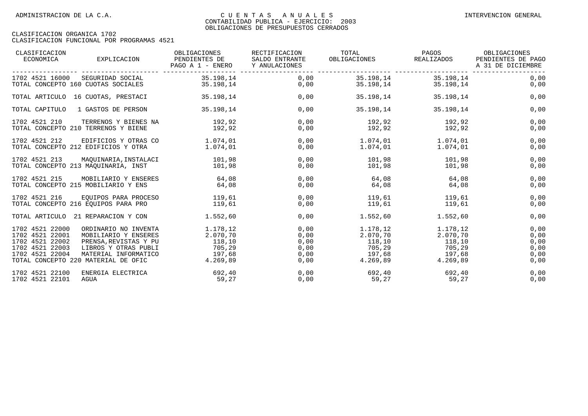| CLASIFICACION<br>ECONOMICA                                                                  | EXPLICACION                                                                                                                                                  | OBLIGACIONES<br>PENDIENTES DE<br>PAGO A 1 - ENERO               | RECTIFICACION<br>SALDO ENTRANTE<br>Y ANULACIONES | TOTAL<br>OBLIGACIONES                                                  | PAGOS<br>REALIZADOS                                    | OBLIGACIONES<br>PENDIENTES DE PAGO<br>A 31 DE DICIEMBRE |
|---------------------------------------------------------------------------------------------|--------------------------------------------------------------------------------------------------------------------------------------------------------------|-----------------------------------------------------------------|--------------------------------------------------|------------------------------------------------------------------------|--------------------------------------------------------|---------------------------------------------------------|
| 1702 4521 16000                                                                             | SEGURIDAD SOCIAL<br>TOTAL CONCEPTO 160 CUOTAS SOCIALES                                                                                                       | 35.198,14<br>35.198,14                                          | 0,00<br>0,00                                     |                                                                        | 35.198,14 35.198,14<br>35.198,14 35.198,14             | 0,00<br>0,00                                            |
|                                                                                             | TOTAL ARTICULO 16 CUOTAS, PRESTACI                                                                                                                           | 35.198,14                                                       | 0,00                                             | 35.198,14                                                              | 35.198,14                                              | 0,00                                                    |
| TOTAL CAPITULO                                                                              | 1 GASTOS DE PERSON                                                                                                                                           | 35.198,14                                                       | 0,00                                             | 35.198,14                                                              | 35.198,14                                              | 0,00                                                    |
| 1702 4521 210                                                                               | TERRENOS Y BIENES NA                                                                                                                                         | 192,92                                                          | 0,00                                             | 192,92                                                                 | 192,92                                                 | 0,00                                                    |
|                                                                                             | TOTAL CONCEPTO 210 TERRENOS Y BIENE                                                                                                                          | 192,92                                                          | 0,00                                             | 192,92                                                                 | 192, 92                                                | 0,00                                                    |
| 1702 4521 212                                                                               | EDIFICIOS Y OTRAS CO                                                                                                                                         | 1.074,01                                                        | 0,00                                             | 1.074,01                                                               | 1.074,01                                               | 0,00                                                    |
|                                                                                             | TOTAL CONCEPTO 212 EDIFICIOS Y OTRA                                                                                                                          | 1.074,01                                                        | 0,00                                             | 1.074,01                                                               | 1.074,01                                               | 0,00                                                    |
| 1702 4521 213                                                                               | MAOUINARIA, INSTALACI                                                                                                                                        | 101,98                                                          | 0,00                                             | 101,98                                                                 | 101,98                                                 | 0,00                                                    |
|                                                                                             | TOTAL CONCEPTO 213 MAQUINARIA, INST                                                                                                                          | 101,98                                                          | 0,00                                             | 101,98                                                                 | 101,98                                                 | 0,00                                                    |
| 1702 4521 215                                                                               | MOBILIARIO Y ENSERES                                                                                                                                         | 64,08                                                           | 0,00                                             | 64,08                                                                  | 64,08                                                  | 0,00                                                    |
|                                                                                             | TOTAL CONCEPTO 215 MOBILIARIO Y ENS                                                                                                                          | 64,08                                                           | 0,00                                             | 64,08                                                                  | 64,08                                                  | 0,00                                                    |
| 1702 4521 216                                                                               | EOUIPOS PARA PROCESO                                                                                                                                         | 119,61                                                          | 0,00                                             | 119,61                                                                 | 119,61                                                 | 0,00                                                    |
|                                                                                             | TOTAL CONCEPTO 216 EOUIPOS PARA PRO                                                                                                                          | 119,61                                                          | 0,00                                             | 119,61                                                                 | 119,61                                                 | 0,00                                                    |
|                                                                                             | TOTAL ARTICULO 21 REPARACION Y CON                                                                                                                           | 1.552,60                                                        | 0,00                                             | 1.552,60                                                               | 1.552,60                                               | 0,00                                                    |
| 1702 4521 22000<br>1702 4521 22001<br>1702 4521 22002<br>1702 4521 22003<br>1702 4521 22004 | ORDINARIO NO INVENTA<br>MOBILIARIO Y ENSERES<br>PRENSA, REVISTAS Y PU<br>LIBROS Y OTRAS PUBLI<br>MATERIAL INFORMATICO<br>TOTAL CONCEPTO 220 MATERIAL DE OFIC | 1.178.12<br>2.070,70<br>118, 10<br>705,29<br>197,68<br>4.269,89 | 0,00<br>0,00<br>0,00<br>0,00<br>0,00<br>0,00     | 1.178,12<br>2.070,70<br>118, 10<br>705,29<br>197,68 197,68<br>4.269,89 | 1.178,12<br>2.070, 70<br>118, 10<br>705,29<br>4.269,89 | 0,00<br>0,00<br>0,00<br>0,00<br>0,00<br>0,00            |
| 1702 4521 22100                                                                             | ENERGIA ELECTRICA                                                                                                                                            | 692,40                                                          | 0,00                                             | 692,40                                                                 | 692,40                                                 | 0,00                                                    |
| 1702 4521 22101                                                                             | AGUA                                                                                                                                                         | 59,27                                                           | 0,00                                             | 59,27                                                                  | 59,27                                                  | 0,00                                                    |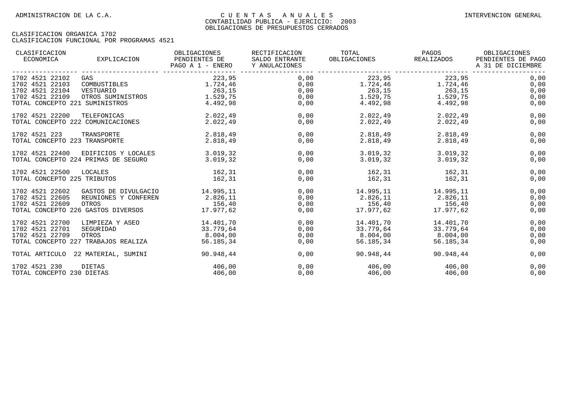| CLASIFICACION<br>ECONOMICA<br>EXPLICACION | OBLIGACIONES<br>PENDIENTES DE<br>PAGO A 1 - ENERO | RECTIFICACION<br>SALDO ENTRANTE<br>Y ANULACIONES | TOTAL<br>OBLIGACIONES | PAGOS<br>REALIZADOS | OBLIGACIONES<br>PENDIENTES DE PAGO<br>A 31 DE DICIEMBRE |
|-------------------------------------------|---------------------------------------------------|--------------------------------------------------|-----------------------|---------------------|---------------------------------------------------------|
| 1702 4521 22102<br>GAS                    | 223,95                                            | 0,00                                             | 223,95                | 223,95              | 0,00                                                    |
| 1702 4521 22103<br>COMBUSTIBLES           | 1.724,46                                          | 0,00                                             | 1.724,46              | 1.724,46            | 0,00                                                    |
| 1702 4521 22104<br>VESTUARIO              | 263,15                                            | 0,00                                             | 263, 15               | 263,15              | 0,00                                                    |
| 1702 4521 22109                           | OTROS SUMINISTROS 1.529,75                        | 0,00                                             | $1.529,75$ $1.529,75$ |                     | 0,00                                                    |
| TOTAL CONCEPTO 221 SUMINISTROS            | 4.492,98                                          | 0,00                                             | 4.492,98              | 4.492,98            | 0,00                                                    |
| 1702 4521 22200<br>TELEFONICAS            | 2.022,49                                          | 0,00                                             | 2.022,49              | 2.022,49            | 0,00                                                    |
| TOTAL CONCEPTO 222 COMUNICACIONES         | 2.022,49                                          | 0,00                                             | 2.022,49              | 2.022, 49           | 0,00                                                    |
| 1702 4521 223<br>TRANSPORTE               | 2.818,49                                          | 0.00                                             | 2.818,49              | 2.818,49            | 0,00                                                    |
| TOTAL CONCEPTO 223 TRANSPORTE             | 2.818,49                                          | 0,00                                             | 2.818,49              | 2.818,49            | 0,00                                                    |
| 1702 4521 22400<br>EDIFICIOS Y LOCALES    | 3.019,32                                          | 0,00                                             | 3.019,32              | 3.019,32            | 0,00                                                    |
| TOTAL CONCEPTO 224 PRIMAS DE SEGURO       | 3.019.32                                          | 0,00                                             | 3.019, 32             | 3.019,32            | 0,00                                                    |
| 1702 4521 22500<br>LOCALES                | 162,31                                            | 0,00                                             | 162,31                | 162,31              | 0,00                                                    |
| TOTAL CONCEPTO 225 TRIBUTOS               | 162,31                                            | 0,00                                             | 162,31                | 162,31              | 0,00                                                    |
| 1702 4521 22602<br>GASTOS DE DIVULGACIO   | 14.995,11                                         | 0,00                                             | 14.995,11             | 14.995,11           | 0,00                                                    |
| 1702 4521 22605<br>REUNIONES Y CONFEREN   | 2.826,11                                          | 0,00                                             | 2.826,11              | 2.826,11            | 0,00                                                    |
| 1702 4521 22609<br>OTROS                  | 156,40                                            | 0,00                                             | 156,40                | 156,40              | 0,00                                                    |
| TOTAL CONCEPTO 226 GASTOS DIVERSOS        | 17.977,62                                         | 0,00                                             | 17.977,62             | 17.977,62           | 0,00                                                    |
| 1702 4521 22700<br>LIMPIEZA Y ASEO        | 14.401,70                                         | 0,00                                             | 14.401,70             | 14.401,70           | 0,00                                                    |
| 1702 4521 22701<br>SEGURIDAD              | 33.779,64                                         | 0,00                                             | 33.779,64             | 33.779,64           | 0,00                                                    |
| 1702 4521 22709<br>OTROS                  | 8.004,00                                          | 0,00                                             | 8.004,00              | 8.004,00            | 0,00                                                    |
| TOTAL CONCEPTO 227 TRABAJOS REALIZA       | 56.185,34                                         | 0,00                                             | 56.185,34             | 56.185,34           | 0,00                                                    |
| TOTAL ARTICULO 22 MATERIAL, SUMINI        | 90.948,44                                         | 0,00                                             | 90.948,44             | 90.948,44           | 0,00                                                    |
| 1702 4521 230<br>DIETAS                   | 406,00                                            | 0.00                                             | 406,00                | 406,00              | 0,00                                                    |
| TOTAL CONCEPTO 230 DIETAS                 | 406,00                                            | 0,00                                             | 406,00                | 406,00              | 0,00                                                    |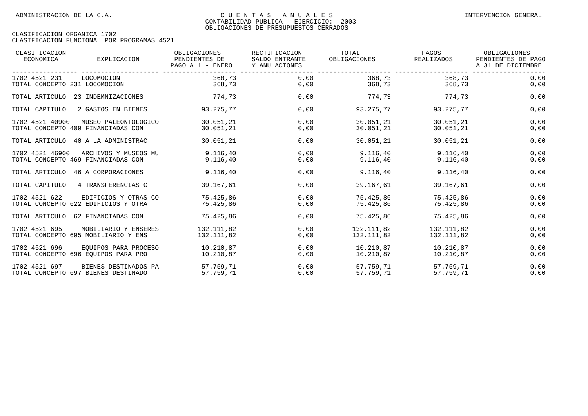| CLASIFICACION<br>ECONOMICA         | EXPLICACION                         | OBLIGACIONES<br>PENDIENTES DE<br>PAGO A 1 - ENERO | RECTIFICACION<br>SALDO ENTRANTE<br>Y ANULACIONES | TOTAL<br>OBLIGACIONES | PAGOS<br>REALIZADOS | OBLIGACIONES<br>PENDIENTES DE PAGO<br>A 31 DE DICIEMBRE |
|------------------------------------|-------------------------------------|---------------------------------------------------|--------------------------------------------------|-----------------------|---------------------|---------------------------------------------------------|
| 1702 4521 231                      | LOCOMOCION                          | 368,73                                            | 0,00                                             | 368,73                | 368,73              | 0,00                                                    |
| TOTAL CONCEPTO 231 LOCOMOCION      |                                     | 368,73                                            | 0,00                                             | 368,73                | 368,73              | 0,00                                                    |
| TOTAL ARTICULO                     | 23 INDEMNIZACIONES                  | 774,73                                            | 0,00                                             | 774,73                | 774,73              | 0,00                                                    |
| TOTAL CAPITULO                     | 2 GASTOS EN BIENES                  | 93.275,77                                         | 0,00                                             | 93.275,77             | 93.275,77           | 0,00                                                    |
| 1702 4521 40900                    | MUSEO PALEONTOLOGICO                | 30.051,21                                         | 0,00                                             | 30.051,21             | 30.051,21           | 0,00                                                    |
| TOTAL CONCEPTO 409 FINANCIADAS CON |                                     | 30.051,21                                         | 0,00                                             | 30.051,21             | 30.051,21           | 0,00                                                    |
|                                    | TOTAL ARTICULO 40 A LA ADMINISTRAC  | 30.051,21                                         | 0,00                                             | 30.051,21             | 30.051,21           | 0,00                                                    |
| 1702 4521 46900                    | ARCHIVOS Y MUSEOS MU                | 9.116, 40                                         | 0,00                                             | 9.116, 40             | 9.116, 40           | 0,00                                                    |
| TOTAL CONCEPTO 469 FINANCIADAS CON |                                     | 9.116, 40                                         | 0,00                                             | 9.116, 40             | 9.116, 40           | 0,00                                                    |
| TOTAL ARTICULO                     | 46 A CORPORACIONES                  | 9.116,40                                          | 0,00                                             | 9.116, 40             | 9.116.40            | 0,00                                                    |
| TOTAL CAPITULO                     | 4 TRANSFERENCIAS C                  | 39.167,61                                         | 0,00                                             | 39.167,61             | 39.167,61           | 0,00                                                    |
| 1702 4521 622                      | EDIFICIOS Y OTRAS CO                | 75.425,86                                         | 0,00                                             | 75.425,86             | 75.425,86           | 0,00                                                    |
|                                    | TOTAL CONCEPTO 622 EDIFICIOS Y OTRA | 75.425,86                                         | 0,00                                             | 75.425,86             | 75.425,86           | 0,00                                                    |
| TOTAL ARTICULO 62 FINANCIADAS CON  |                                     | 75.425,86                                         | 0,00                                             | 75.425,86             | 75.425,86           | 0,00                                                    |
| 1702 4521 695                      | MOBILIARIO Y ENSERES                | 132.111,82                                        | 0,00                                             | 132.111,82            | 132.111,82          | 0,00                                                    |
|                                    | TOTAL CONCEPTO 695 MOBILIARIO Y ENS | 132.111,82                                        | 0,00                                             | 132.111,82            | 132.111,82          | 0,00                                                    |
| 1702 4521 696                      | EOUIPOS PARA PROCESO                | 10.210,87                                         | 0,00                                             | 10.210,87             | 10.210,87           | 0,00                                                    |
|                                    | TOTAL CONCEPTO 696 EOUIPOS PARA PRO | 10.210,87                                         | 0,00                                             | 10.210,87             | 10.210,87           | 0,00                                                    |
| 1702 4521 697                      | BIENES DESTINADOS PA                | 57.759,71                                         | 0,00                                             | 57.759,71             | 57.759,71           | 0,00                                                    |
|                                    | TOTAL CONCEPTO 697 BIENES DESTINADO | 57.759,71                                         | 0,00                                             | 57.759,71             | 57.759,71           | 0,00                                                    |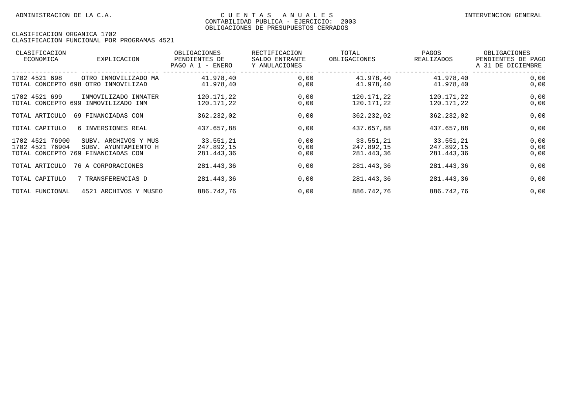| CLASIFICACION<br>ECONOMICA          | EXPLICACION                                                                        | OBLIGACIONES<br>PENDIENTES DE<br>PAGO A 1 - ENERO | RECTIFICACION<br>SALDO ENTRANTE<br>Y ANULACIONES | TOTAL<br>OBLIGACIONES                 | PAGOS<br>REALIZADOS                   | OBLIGACIONES<br>PENDIENTES DE PAGO<br>A 31 DE DICIEMBRE |
|-------------------------------------|------------------------------------------------------------------------------------|---------------------------------------------------|--------------------------------------------------|---------------------------------------|---------------------------------------|---------------------------------------------------------|
| 1702 4521 698                       | OTRO INMOVILIZADO MA<br>TOTAL CONCEPTO 698 OTRO INMOVILIZAD                        | 41.978,40<br>41.978.40                            | 0,00<br>0,00                                     | 41.978,40<br>41.978,40                | 41.978,40<br>41.978,40                | 0,00<br>0,00                                            |
| 1702 4521 699<br>TOTAL CONCEPTO 699 | INMOVILIZADO INMATER<br>INMOVILIZADO INM                                           | 120.171,22<br>120.171,22                          | 0,00<br>0,00                                     | 120.171,22<br>120.171,22              | 120.171,22<br>120.171,22              | 0,00<br>0,00                                            |
| TOTAL ARTICULO                      | 69 FINANCIADAS CON                                                                 | 362.232,02                                        | 0,00                                             | 362.232,02                            | 362.232,02                            | 0,00                                                    |
| TOTAL CAPITULO                      | 6 INVERSIONES REAL                                                                 | 437.657,88                                        | 0,00                                             | 437.657,88                            | 437.657,88                            | 0,00                                                    |
| 1702 4521 76900<br>1702 4521 76904  | SUBV. ARCHIVOS Y MUS<br>SUBV. AYUNTAMIENTO H<br>TOTAL CONCEPTO 769 FINANCIADAS CON | 33.551,21<br>247.892,15<br>281.443,36             | 0,00<br>0,00<br>0,00                             | 33.551,21<br>247.892,15<br>281.443,36 | 33.551,21<br>247.892,15<br>281.443,36 | 0,00<br>0,00<br>0,00                                    |
| TOTAL ARTICULO                      | 76 A CORPORACIONES                                                                 | 281.443,36                                        | 0,00                                             | 281.443,36                            | 281.443,36                            | 0,00                                                    |
| TOTAL CAPITULO                      | 7 TRANSFERENCIAS D                                                                 | 281.443,36                                        | 0,00                                             | 281.443,36                            | 281.443,36                            | 0,00                                                    |
| TOTAL FUNCIONAL                     | 4521 ARCHIVOS Y MUSEO                                                              | 886.742,76                                        | 0,00                                             | 886.742,76                            | 886.742,76                            | 0,00                                                    |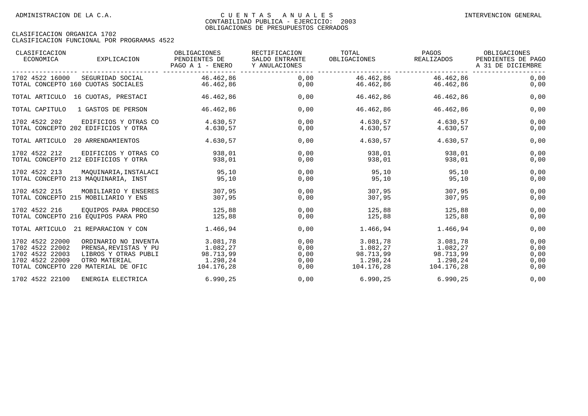| CLASIFICACION<br>ECONOMICA                                               | EXPLICACION                                                                                                                   | OBLIGACIONES<br>PENDIENTES DE<br>PAGO A 1 - ENERO           | RECTIFICACION<br>SALDO ENTRANTE<br>Y ANULACIONES | TOTAL<br>OBLIGACIONES                                        | PAGOS<br>REALIZADOS                                          | OBLIGACIONES<br>PENDIENTES DE PAGO<br>A 31 DE DICIEMBRE |
|--------------------------------------------------------------------------|-------------------------------------------------------------------------------------------------------------------------------|-------------------------------------------------------------|--------------------------------------------------|--------------------------------------------------------------|--------------------------------------------------------------|---------------------------------------------------------|
| 1702 4522 16000                                                          | SEGURIDAD SOCIAL<br>TOTAL CONCEPTO 160 CUOTAS SOCIALES                                                                        | 46.462,86<br>46.462.86                                      | 0,00<br>0,00                                     | 46.462,86<br>46.462,86                                       | 46.462,86<br>46.462.86                                       | 0,00<br>0,00                                            |
|                                                                          | TOTAL ARTICULO 16 CUOTAS, PRESTACI                                                                                            | 46.462,86                                                   | 0,00                                             | 46.462,86                                                    | 46.462,86                                                    | 0,00                                                    |
| TOTAL CAPITULO                                                           | 1 GASTOS DE PERSON                                                                                                            | 46.462,86                                                   | 0,00                                             | 46.462,86                                                    | 46.462,86                                                    | 0,00                                                    |
| 1702 4522 202                                                            | EDIFICIOS Y OTRAS CO<br>TOTAL CONCEPTO 202 EDIFICIOS Y OTRA                                                                   | 4.630,57<br>4.630,57                                        | 0,00<br>0,00                                     | 4.630,57<br>4.630,57                                         | 4.630,57<br>4.630,57                                         | 0,00<br>0,00                                            |
| TOTAL ARTICULO 20 ARRENDAMIENTOS                                         |                                                                                                                               | 4.630,57                                                    | 0,00                                             | 4.630,57                                                     | 4.630,57                                                     | 0,00                                                    |
| 1702 4522 212                                                            | EDIFICIOS Y OTRAS CO<br>TOTAL CONCEPTO 212 EDIFICIOS Y OTRA                                                                   | 938,01<br>938,01                                            | 0,00<br>0,00                                     | 938,01<br>938,01                                             | 938,01<br>938,01                                             | 0,00<br>0,00                                            |
| 1702 4522 213                                                            | MAOUINARIA, INSTALACI<br>TOTAL CONCEPTO 213 MAOUINARIA, INST                                                                  | 95,10<br>95,10                                              | 0,00<br>0,00                                     | 95,10<br>95,10                                               | 95,10<br>95,10                                               | 0,00<br>0,00                                            |
| 1702 4522 215                                                            | MOBILIARIO Y ENSERES<br>TOTAL CONCEPTO 215 MOBILIARIO Y ENS                                                                   | 307,95<br>307,95                                            | 0,00<br>0,00                                     | 307,95<br>307,95                                             | 307,95<br>307,95                                             | 0,00<br>0,00                                            |
| 1702 4522 216                                                            | EQUIPOS PARA PROCESO<br>TOTAL CONCEPTO 216 EOUIPOS PARA PRO                                                                   | 125,88<br>125,88                                            | 0,00<br>0,00                                     | 125,88<br>125,88                                             | 125,88<br>125,88                                             | 0,00<br>0,00                                            |
| TOTAL ARTICULO                                                           | 21 REPARACION Y CON                                                                                                           | 1.466,94                                                    | 0,00                                             | 1.466,94                                                     | 1.466,94                                                     | 0,00                                                    |
| 1702 4522 22000<br>1702 4522 22002<br>1702 4522 22003<br>1702 4522 22009 | ORDINARIO NO INVENTA<br>PRENSA, REVISTAS Y PU<br>LIBROS Y OTRAS PUBLI<br>OTRO MATERIAL<br>TOTAL CONCEPTO 220 MATERIAL DE OFIC | 3.081,78<br>1.082,27<br>98.713,99<br>1.298,24<br>104.176,28 | 0,00<br>0,00<br>0,00<br>0,00<br>0,00             | 3.081,78<br>1.082,27<br>98.713,99<br>1.298, 24<br>104.176,28 | 3.081,78<br>1.082, 27<br>98.713,99<br>1.298,24<br>104.176,28 | 0,00<br>0,00<br>0,00<br>0,00<br>0,00                    |
| 1702 4522 22100                                                          | ENERGIA ELECTRICA                                                                                                             | 6.990, 25                                                   | 0,00                                             | 6.990, 25                                                    | 6.990, 25                                                    | 0,00                                                    |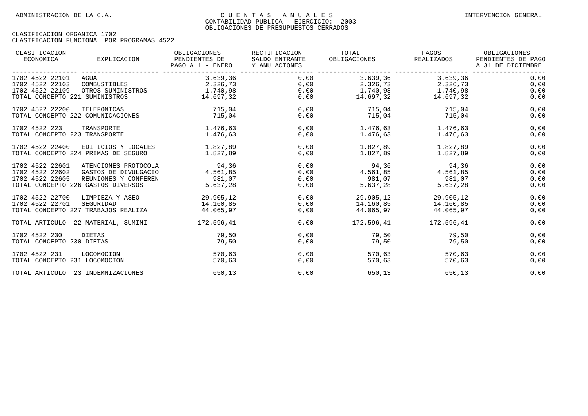| CLASIFICACION<br>ECONOMICA        | EXPLICACION                         | OBLIGACIONES<br>PENDIENTES DE<br>PAGO A 1 - ENERO | RECTIFICACION<br>SALDO ENTRANTE<br>Y ANULACIONES | TOTAL<br>OBLIGACIONES | PAGOS<br>REALIZADOS | OBLIGACIONES<br>PENDIENTES DE PAGO<br>A 31 DE DICIEMBRE |
|-----------------------------------|-------------------------------------|---------------------------------------------------|--------------------------------------------------|-----------------------|---------------------|---------------------------------------------------------|
| 1702 4522 22101                   | AGUA                                | 3.639,36                                          | 0,00                                             | 3.639,36              | 3.639,36            | 0,00                                                    |
| 1702 4522 22103                   | COMBUSTIBLES                        | 2.326,73                                          | 0,00                                             | 2.326,73              | 2.326,73            | 0,00                                                    |
| 1702 4522 22109                   | OTROS SUMINISTROS                   | 1.740,98                                          | 0,00                                             | $1.740,98$ $1.740,98$ |                     | 0,00                                                    |
| TOTAL CONCEPTO 221 SUMINISTROS    |                                     | 14.697.32                                         | 0,00                                             | 14.697,32             | 14.697,32           | 0,00                                                    |
| 1702 4522 22200                   | TELEFONICAS                         | 715,04                                            | 0,00                                             | 715,04                | 715,04              | 0,00                                                    |
| TOTAL CONCEPTO 222 COMUNICACIONES |                                     | 715,04                                            | 0,00                                             | 715,04                | 715,04              | 0,00                                                    |
| 1702 4522 223                     | TRANSPORTE                          | 1.476,63                                          | 0,00                                             | 1.476,63              | 1.476,63            | 0,00                                                    |
| TOTAL CONCEPTO 223 TRANSPORTE     |                                     | 1.476,63                                          | 0,00                                             | 1.476,63              | 1.476,63            | 0,00                                                    |
| 1702 4522 22400                   | EDIFICIOS Y LOCALES                 | 1.827,89                                          | 0,00                                             | 1.827,89              | 1.827,89            | 0,00                                                    |
|                                   | TOTAL CONCEPTO 224 PRIMAS DE SEGURO | 1.827,89                                          | 0,00                                             | 1.827,89              | 1.827,89            | 0,00                                                    |
| 1702 4522 22601                   | ATENCIONES PROTOCOLA                | 94,36                                             | 0,00                                             | 94,36                 | 94,36               | 0,00                                                    |
| 1702 4522 22602                   | GASTOS DE DIVULGACIO                | 4.561,85                                          | 0,00                                             | 4.561,85              | 4.561,85            | 0,00                                                    |
| 1702 4522 22605                   | REUNIONES Y CONFEREN                | 981,07                                            | 0,00                                             | 981,07                | 981,07              | 0,00                                                    |
|                                   | TOTAL CONCEPTO 226 GASTOS DIVERSOS  | 5.637,28                                          | 0,00                                             | 5.637,28              | 5.637,28            | 0,00                                                    |
| 1702 4522 22700                   | LIMPIEZA Y ASEO                     | 29.905,12                                         | 0,00                                             | 29.905,12             | 29.905,12           | 0,00                                                    |
| 1702 4522 22701                   | SEGURIDAD                           | 14.160,85                                         | 0,00                                             | 14.160,85             | 14.160,85           | 0,00                                                    |
|                                   | TOTAL CONCEPTO 227 TRABAJOS REALIZA | 44.065,97                                         | 0,00                                             | 44.065,97             | 44.065,97           | 0,00                                                    |
|                                   | TOTAL ARTICULO 22 MATERIAL, SUMINI  | 172.596,41                                        | 0,00                                             | 172.596,41            | 172.596,41          | 0,00                                                    |
| 1702 4522 230                     | DIETAS                              | 79,50                                             | 0,00                                             | 79,50                 | 79,50               | 0,00                                                    |
| TOTAL CONCEPTO 230 DIETAS         |                                     | 79,50                                             | 0,00                                             | 79,50                 | 79,50               | 0,00                                                    |
| 1702 4522 231                     | LOCOMOCION                          | 570.63                                            | 0,00                                             | 570.63                | 570.63              | 0,00                                                    |
| TOTAL CONCEPTO 231 LOCOMOCION     |                                     | 570,63                                            | 0,00                                             | 570,63                | 570,63              | 0,00                                                    |
|                                   | TOTAL ARTICULO 23 INDEMNIZACIONES   | 650,13                                            | 0,00                                             | 650,13                | 650,13              | 0,00                                                    |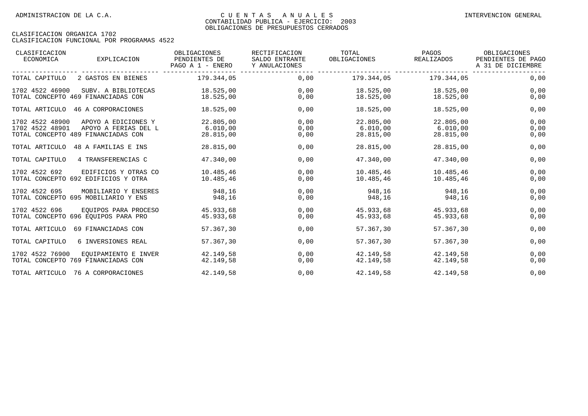| CLASIFICACION<br>ECONOMICA         | EXPLICACION                                                                       | OBLIGACIONES<br>PENDIENTES DE<br>PAGO A 1 - ENERO | RECTIFICACION<br>SALDO ENTRANTE<br>Y ANULACIONES | TOTAL<br>OBLIGACIONES              | PAGOS<br>REALIZADOS                | OBLIGACIONES<br>PENDIENTES DE PAGO<br>A 31 DE DICIEMBRE |
|------------------------------------|-----------------------------------------------------------------------------------|---------------------------------------------------|--------------------------------------------------|------------------------------------|------------------------------------|---------------------------------------------------------|
| TOTAL CAPITULO                     | 2 GASTOS EN BIENES                                                                | 179.344,05                                        | 0,00                                             | 179.344,05                         | 179.344,05                         | 0,00                                                    |
| 1702 4522 46900                    | SUBV. A BIBLIOTECAS<br>TOTAL CONCEPTO 469 FINANCIADAS CON                         | 18.525,00<br>18.525,00                            | 0,00<br>0,00                                     | 18.525,00<br>18.525,00             | 18.525,00<br>18.525,00             | 0,00<br>0,00                                            |
|                                    | TOTAL ARTICULO 46 A CORPORACIONES                                                 | 18.525,00                                         | 0,00                                             | 18.525,00                          | 18.525,00                          | 0,00                                                    |
| 1702 4522 48900<br>1702 4522 48901 | APOYO A EDICIONES Y<br>APOYO A FERIAS DEL L<br>TOTAL CONCEPTO 489 FINANCIADAS CON | 22.805,00<br>6.010,00<br>28.815,00                | 0.00<br>0,00<br>0,00                             | 22.805,00<br>6.010,00<br>28.815,00 | 22.805,00<br>6.010,00<br>28.815,00 | 0,00<br>0,00<br>0,00                                    |
| TOTAL ARTICULO                     | 48 A FAMILIAS E INS                                                               | 28.815,00                                         | 0,00                                             | 28.815,00                          | 28.815,00                          | 0,00                                                    |
| TOTAL CAPITULO                     | 4 TRANSFERENCIAS C                                                                | 47.340,00                                         | 0,00                                             | 47.340,00                          | 47.340.00                          | 0,00                                                    |
| 1702 4522 692                      | EDIFICIOS Y OTRAS CO<br>TOTAL CONCEPTO 692 EDIFICIOS Y OTRA                       | 10.485,46<br>10.485,46                            | 0,00<br>0,00                                     | 10.485,46<br>10.485,46             | 10.485,46<br>10.485,46             | 0,00<br>0,00                                            |
| 1702 4522 695                      | MOBILIARIO Y ENSERES<br>TOTAL CONCEPTO 695 MOBILIARIO Y ENS                       | 948,16<br>948,16                                  | 0,00<br>0,00                                     | 948,16<br>948,16                   | 948,16<br>948,16                   | 0,00<br>0,00                                            |
| 1702 4522 696                      | EOUIPOS PARA PROCESO<br>TOTAL CONCEPTO 696 EOUIPOS PARA PRO                       | 45.933,68<br>45.933,68                            | 0.00<br>0,00                                     | 45.933,68<br>45.933,68             | 45.933,68<br>45.933,68             | 0,00<br>0,00                                            |
| TOTAL ARTICULO                     | 69 FINANCIADAS CON                                                                | 57.367.30                                         | 0.00                                             | 57.367.30                          | 57.367.30                          | 0,00                                                    |
| TOTAL CAPITULO                     | 6 INVERSIONES REAL                                                                | 57.367,30                                         | 0,00                                             | 57.367,30                          | 57.367.30                          | 0,00                                                    |
| 1702 4522 76900                    | EOUIPAMIENTO E INVER<br>TOTAL CONCEPTO 769 FINANCIADAS CON                        | 42.149,58<br>42.149,58                            | 0,00<br>0,00                                     | 42.149,58<br>42.149,58             | 42.149,58<br>42.149,58             | 0,00<br>0,00                                            |
|                                    | TOTAL ARTICULO 76 A CORPORACIONES                                                 | 42.149,58                                         | 0,00                                             | 42.149,58                          | 42.149,58                          | 0,00                                                    |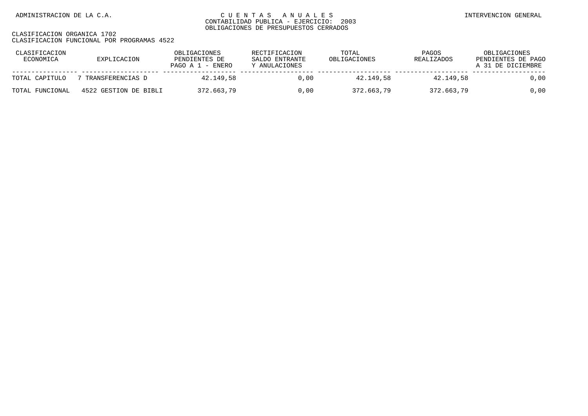| CLASIFICACION<br>ECONOMICA | EXPLICACION           | OBLIGACIONES<br>PENDIENTES DE<br>PAGO A $1$ - ENERO | RECTIFICACION<br>SALDO ENTRANTE<br>Y ANULACIONES | TOTAL<br>OBLIGACIONES | PAGOS<br>REALIZADOS | OBLIGACIONES<br>PENDIENTES DE PAGO<br>A 31 DE DICIEMBRE |
|----------------------------|-----------------------|-----------------------------------------------------|--------------------------------------------------|-----------------------|---------------------|---------------------------------------------------------|
| TOTAL CAPITULO             | TRANSFERENCIAS D      | 42.149.58                                           | 0.00                                             | 42.149.58             | 42.149.58           | 0,00                                                    |
| TOTAL FUNCIONAL            | 4522 GESTION DE BIBLI | 372.663,79                                          | 0.00                                             | 372.663,79            | 372.663.79          | 0,00                                                    |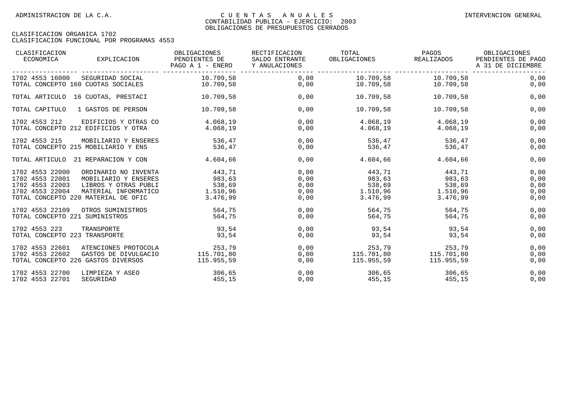| CLASIFICACION<br>ECONOMICA                                               | EXPLICACION                                                                                                                         | OBLIGACIONES<br>PENDIENTES DE<br>PAGO A 1 - ENERO  | RECTIFICACION<br>SALDO ENTRANTE<br>Y ANULACIONES | TOTAL<br>OBLIGACIONES                                           | PAGOS<br>REALIZADOS                        | OBLIGACIONES<br>PENDIENTES DE PAGO<br>A 31 DE DICIEMBRE |
|--------------------------------------------------------------------------|-------------------------------------------------------------------------------------------------------------------------------------|----------------------------------------------------|--------------------------------------------------|-----------------------------------------------------------------|--------------------------------------------|---------------------------------------------------------|
| 1702 4553 16000                                                          | SEGURIDAD SOCIAL<br>TOTAL CONCEPTO 160 CUOTAS SOCIALES                                                                              | 10.709.58<br>10.709,58                             | 0.00<br>0,00                                     |                                                                 | 10.709,58 10.709,58<br>10.709,58 10.709,58 | 0,00<br>0,00                                            |
|                                                                          | TOTAL ARTICULO 16 CUOTAS, PRESTACI                                                                                                  | 10.709,58                                          | 0,00                                             | 10.709,58                                                       | 10.709,58                                  | 0,00                                                    |
| TOTAL CAPITULO                                                           | 1 GASTOS DE PERSON                                                                                                                  | 10.709,58                                          | 0,00                                             | 10.709,58                                                       | 10.709,58                                  | 0,00                                                    |
| 1702 4553 212                                                            | EDIFICIOS Y OTRAS CO<br>TOTAL CONCEPTO 212 EDIFICIOS Y OTRA                                                                         | 4.068,19<br>4.068,19                               | 0,00<br>0,00                                     | 4.068,19<br>4.068,19                                            | 4.068,19<br>4.068,19                       | 0,00<br>0,00                                            |
| 1702 4553 215                                                            | MOBILIARIO Y ENSERES<br>TOTAL CONCEPTO 215 MOBILIARIO Y ENS                                                                         | 536,47<br>536,47                                   | 0,00<br>0,00                                     | 536,47<br>536,47                                                | 536,47<br>536,47                           | 0,00<br>0,00                                            |
|                                                                          | TOTAL ARTICULO 21 REPARACION Y CON                                                                                                  | 4.604,66                                           | 0,00                                             | 4.604,66                                                        | 4.604,66                                   | 0,00                                                    |
| 1702 4553 22000<br>1702 4553 22001<br>1702 4553 22003<br>1702 4553 22004 | ORDINARIO NO INVENTA<br>MOBILIARIO Y ENSERES<br>LIBROS Y OTRAS PUBLI<br>MATERIAL INFORMATICO<br>TOTAL CONCEPTO 220 MATERIAL DE OFIC | 443,71<br>983,63<br>538,69<br>1.510.96<br>3.476,99 | 0,00<br>0,00<br>0,00<br>0,00<br>0,00             | 443,71<br>983,63<br>538,69<br>$1.510,96$ $1.510,96$<br>3.476,99 | 443,71<br>983,63<br>538,69<br>3.476,99     | 0,00<br>0,00<br>0,00<br>0,00<br>0,00                    |
| 1702 4553 22109<br>TOTAL CONCEPTO 221 SUMINISTROS                        | OTROS SUMINISTROS                                                                                                                   | 564,75<br>564,75                                   | 0,00<br>0,00                                     | 564,75<br>564,75                                                | 564,75<br>564,75                           | 0,00<br>0,00                                            |
| 1702 4553 223<br>TOTAL CONCEPTO 223 TRANSPORTE                           | TRANSPORTE                                                                                                                          | 93,54<br>93,54                                     | 0,00<br>0,00                                     | 93,54<br>93,54                                                  | 93,54<br>93,54                             | 0,00<br>0,00                                            |
| 1702 4553 22601<br>1702 4553 22602                                       | ATENCIONES PROTOCOLA<br>GASTOS DE DIVULGACIO<br>TOTAL CONCEPTO 226 GASTOS DIVERSOS                                                  | 253,79<br>115.701,80<br>115.955,59                 | 0,00<br>0,00<br>0,00                             | 115.701,80    115.701,80<br>115.955,59                          | 253,79<br>253,79<br>115.955,59             | 0,00<br>0,00<br>0,00                                    |
| 1702 4553 22700<br>1702 4553 22701                                       | LIMPIEZA Y ASEO<br>SEGURIDAD                                                                                                        | 306,65<br>455,15                                   | 0,00<br>0,00                                     | 306,65<br>455,15                                                | 306,65<br>455,15                           | 0,00<br>0,00                                            |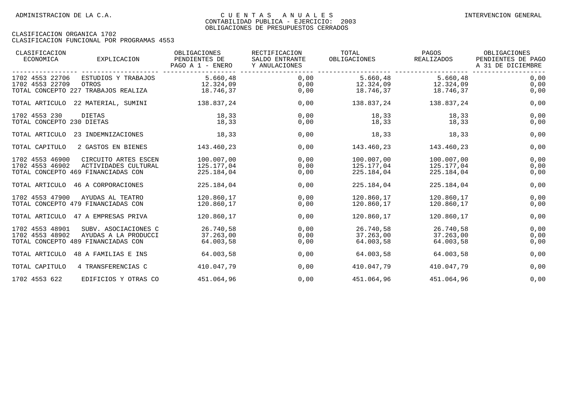| CLASIFICACION<br>ECONOMICA          | EXPLICACION          | OBLIGACIONES<br>PENDIENTES DE<br>PAGO A 1 - ENERO | RECTIFICACION<br>SALDO ENTRANTE<br>Y ANULACIONES | TOTAL<br>OBLIGACIONES | PAGOS<br>REALIZADOS | OBLIGACIONES<br>PENDIENTES DE PAGO<br>A 31 DE DICIEMBRE |
|-------------------------------------|----------------------|---------------------------------------------------|--------------------------------------------------|-----------------------|---------------------|---------------------------------------------------------|
| 1702 4553 22706                     | ESTUDIOS Y TRABAJOS  | 5.660,48                                          | 0,00                                             | 5.660,48              | 5.660,48            | 0,00                                                    |
| 1702 4553 22709                     | OTROS                | 12.324,09                                         | 0,00                                             |                       | 12.324,09 12.324,09 | 0,00                                                    |
| TOTAL CONCEPTO 227 TRABAJOS REALIZA |                      | 18.746,37                                         | 0,00                                             | 18.746,37             | 18.746,37           | 0,00                                                    |
| TOTAL ARTICULO 22 MATERIAL, SUMINI  |                      | 138.837,24                                        | 0,00                                             | 138.837,24            | 138.837,24          | 0,00                                                    |
| 1702 4553 230                       | DIETAS               | 18,33                                             | 0,00                                             | 18,33                 | 18,33               | 0,00                                                    |
| TOTAL CONCEPTO 230 DIETAS           |                      | 18,33                                             | 0,00                                             | 18,33                 | 18,33               | 0,00                                                    |
| TOTAL ARTICULO                      | 23 INDEMNIZACIONES   | 18,33                                             | 0,00                                             | 18,33                 | 18,33               | 0,00                                                    |
| TOTAL CAPITULO                      | 2 GASTOS EN BIENES   | 143.460,23                                        | 0,00                                             | 143.460,23            | 143.460,23          | 0,00                                                    |
| 1702 4553 46900                     | CIRCUITO ARTES ESCEN | 100.007.00                                        | 0,00                                             | 100.007,00            | 100.007,00          | 0,00                                                    |
| 1702 4553 46902                     | ACTIVIDADES CULTURAL | 125.177,04                                        | 0,00                                             | 125.177,04            | 125.177,04          | 0,00                                                    |
| TOTAL CONCEPTO 469 FINANCIADAS CON  |                      | 225.184,04                                        | 0,00                                             | 225.184,04            | 225.184,04          | 0,00                                                    |
| TOTAL ARTICULO 46 A CORPORACIONES   |                      | 225.184,04                                        | 0,00                                             | 225.184,04            | 225.184,04          | 0,00                                                    |
| 1702 4553 47900                     | AYUDAS AL TEATRO     | 120.860,17                                        | 0,00                                             | 120.860,17            | 120.860,17          | 0,00                                                    |
| TOTAL CONCEPTO 479 FINANCIADAS CON  |                      | 120.860,17                                        | 0,00                                             | 120.860,17            | 120.860,17          | 0,00                                                    |
| TOTAL ARTICULO 47 A EMPRESAS PRIVA  |                      | 120.860,17                                        | 0,00                                             | 120.860,17            | 120.860,17          | 0,00                                                    |
| 1702 4553 48901                     | SUBV. ASOCIACIONES C | 26.740,58                                         | 0,00                                             | 26.740,58             | 26.740,58           | 0,00                                                    |
| 1702 4553 48902                     | AYUDAS A LA PRODUCCI | 37.263,00                                         | 0,00                                             | 37.263,00             | 37, 263, 00         | 0,00                                                    |
| TOTAL CONCEPTO 489 FINANCIADAS CON  |                      | 64.003,58                                         | 0,00                                             | 64.003,58             | 64.003,58           | 0,00                                                    |
| TOTAL ARTICULO 48 A FAMILIAS E INS  |                      | 64.003,58                                         | 0,00                                             | 64.003,58             | 64.003,58           | 0,00                                                    |
| TOTAL CAPITULO                      | 4 TRANSFERENCIAS C   | 410.047,79                                        | 0,00                                             | 410.047,79            | 410.047,79          | 0,00                                                    |
| 1702 4553 622                       | EDIFICIOS Y OTRAS CO | 451.064,96                                        | 0,00                                             | 451.064,96            | 451.064,96          | 0,00                                                    |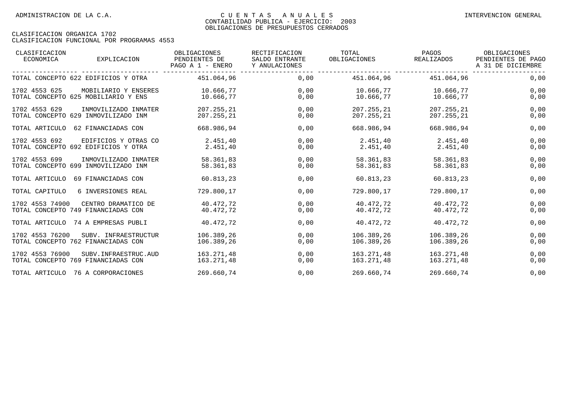| CLASIFICACION<br>ECONOMICA | EXPLICACION                         | OBLIGACIONES<br>PENDIENTES DE<br>PAGO A 1 - ENERO | RECTIFICACION<br>SALDO ENTRANTE<br>Y ANULACIONES | TOTAL<br>OBLIGACIONES | PAGOS<br>REALIZADOS | OBLIGACIONES<br>PENDIENTES DE PAGO<br>A 31 DE DICIEMBRE |
|----------------------------|-------------------------------------|---------------------------------------------------|--------------------------------------------------|-----------------------|---------------------|---------------------------------------------------------|
|                            | TOTAL CONCEPTO 622 EDIFICIOS Y OTRA | 451.064,96                                        | 0,00                                             | 451.064,96            | 451.064,96          | 0,00                                                    |
| 1702 4553 625              | MOBILIARIO Y ENSERES                | 10.666,77                                         | 0,00                                             | 10.666,77             | 10.666,77           | 0,00                                                    |
|                            | TOTAL CONCEPTO 625 MOBILIARIO Y ENS | 10.666,77                                         | 0,00                                             | 10.666,77             | 10.666,77           | 0,00                                                    |
| 1702 4553 629              | INMOVILIZADO INMATER                | 207.255,21                                        | 0,00                                             | 207.255,21            | 207.255,21          | 0,00                                                    |
|                            | TOTAL CONCEPTO 629 INMOVILIZADO INM | 207.255,21                                        | 0,00                                             | 207.255,21            | 207.255,21          | 0,00                                                    |
| TOTAL ARTICULO             | 62 FINANCIADAS CON                  | 668.986,94                                        | 0,00                                             | 668.986,94            | 668.986,94          | 0,00                                                    |
| 1702 4553 692              | EDIFICIOS Y OTRAS CO                | 2.451,40                                          | 0,00                                             | 2.451,40              | 2.451,40            | 0,00                                                    |
|                            | TOTAL CONCEPTO 692 EDIFICIOS Y OTRA | 2.451.40                                          | 0,00                                             | 2.451,40              | 2.451,40            | 0,00                                                    |
| 1702 4553 699              | INMOVILIZADO INMATER                | 58.361.83                                         | 0,00                                             | 58.361,83             | 58.361.83           | 0,00                                                    |
|                            | TOTAL CONCEPTO 699 INMOVILIZADO INM | 58.361.83                                         | 0,00                                             | 58.361,83             | 58.361,83           | 0,00                                                    |
| TOTAL ARTICULO             | 69 FINANCIADAS CON                  | 60.813,23                                         | 0,00                                             | 60.813,23             | 60.813,23           | 0,00                                                    |
| TOTAL CAPITULO             | 6 INVERSIONES REAL                  | 729.800,17                                        | 0,00                                             | 729.800,17            | 729.800,17          | 0,00                                                    |
| 1702 4553 74900            | CENTRO DRAMATICO DE                 | 40.472,72                                         | 0,00                                             | 40.472,72             | 40.472,72           | 0,00                                                    |
|                            | TOTAL CONCEPTO 749 FINANCIADAS CON  | 40.472,72                                         | 0,00                                             | 40.472,72             | 40.472,72           | 0,00                                                    |
| TOTAL ARTICULO             | 74 A EMPRESAS PUBLI                 | 40.472,72                                         | 0,00                                             | 40.472,72             | 40.472,72           | 0,00                                                    |
| 1702 4553 76200            | SUBV. INFRAESTRUCTUR                | 106.389.26                                        | 0,00                                             | 106.389.26            | 106.389,26          | 0,00                                                    |
|                            | TOTAL CONCEPTO 762 FINANCIADAS CON  | 106.389,26                                        | 0,00                                             | 106.389,26            | 106.389,26          | 0,00                                                    |
| 1702 4553 76900            | SUBV. INFRAESTRUC. AUD              | 163.271.48                                        | 0,00                                             | 163.271,48            | 163.271,48          | 0,00                                                    |
|                            | TOTAL CONCEPTO 769 FINANCIADAS CON  | 163.271,48                                        | 0,00                                             | 163.271,48            | 163.271,48          | 0,00                                                    |
|                            | TOTAL ARTICULO 76 A CORPORACIONES   | 269.660.74                                        | 0,00                                             | 269.660,74            | 269.660,74          | 0,00                                                    |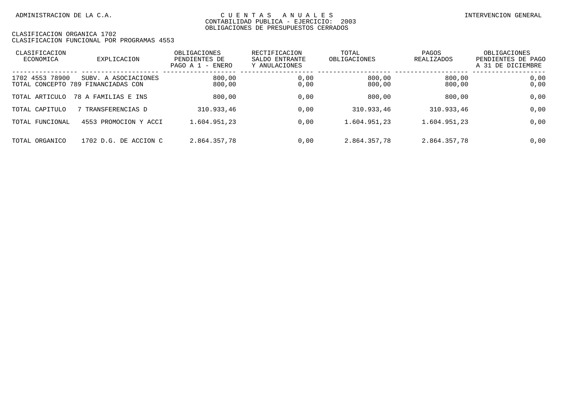| CLASIFICACION<br>ECONOMICA | EXPLICACION                                                | OBLIGACIONES<br>PENDIENTES DE<br>PAGO A $1$ -<br>ENERO | RECTIFICACION<br>SALDO ENTRANTE<br>Y ANULACIONES | TOTAL<br>OBLIGACIONES | PAGOS<br><b>REALIZADOS</b> | OBLIGACIONES<br>PENDIENTES DE PAGO<br>A 31 DE DICIEMBRE |
|----------------------------|------------------------------------------------------------|--------------------------------------------------------|--------------------------------------------------|-----------------------|----------------------------|---------------------------------------------------------|
| 1702 4553 78900            | SUBV. A ASOCIACIONES<br>TOTAL CONCEPTO 789 FINANCIADAS CON | 800,00<br>800,00                                       | 0,00<br>0,00                                     | 800,00<br>800,00      | 800,00<br>800,00           | 0,00<br>0,00                                            |
| TOTAL ARTICULO             | 78 A FAMILIAS E INS                                        | 800,00                                                 | 0,00                                             | 800,00                | 800,00                     | 0,00                                                    |
| TOTAL CAPITULO             | TRANSFERENCIAS D                                           | 310.933,46                                             | 0,00                                             | 310.933,46            | 310.933,46                 | 0,00                                                    |
| TOTAL FUNCIONAL            | 4553 PROMOCION Y ACCI                                      | 1.604.951,23                                           | 0,00                                             | 1.604.951,23          | 1.604.951,23               | 0,00                                                    |
| TOTAL ORGANICO             | 1702 D.G. DE ACCION C                                      | 2.864.357,78                                           | 0.00                                             | 2.864.357,78          | 2.864.357,78               | 0,00                                                    |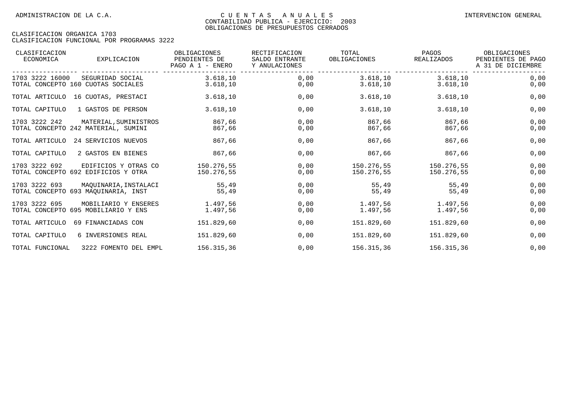| CLASIFICACION<br>ECONOMICA | EXPLICACION                                                  | OBLIGACIONES<br>PENDIENTES DE<br>PAGO A 1 - ENERO | RECTIFICACION<br>SALDO ENTRANTE<br>Y ANULACIONES | TOTAL<br>OBLIGACIONES    | PAGOS<br>REALIZADOS      | OBLIGACIONES<br>PENDIENTES DE PAGO<br>A 31 DE DICIEMBRE |
|----------------------------|--------------------------------------------------------------|---------------------------------------------------|--------------------------------------------------|--------------------------|--------------------------|---------------------------------------------------------|
| 1703 3222 16000            | SEGURIDAD SOCIAL<br>TOTAL CONCEPTO 160 CUOTAS SOCIALES       | 3.618, 10<br>3.618, 10                            | 0.00<br>0,00                                     | 3.618, 10<br>3.618, 10   | 3.618,10<br>3.618, 10    | 0,00<br>0,00                                            |
| TOTAL ARTICULO             | 16 CUOTAS, PRESTACI                                          | 3.618, 10                                         | 0,00                                             | 3.618, 10                | 3.618, 10                | 0,00                                                    |
| TOTAL CAPITULO             | 1 GASTOS DE PERSON                                           | 3.618, 10                                         | 0,00                                             | 3.618,10                 | 3.618,10                 | 0,00                                                    |
| 1703 3222 242              | MATERIAL, SUMINISTROS<br>TOTAL CONCEPTO 242 MATERIAL, SUMINI | 867,66<br>867,66                                  | 0,00<br>0,00                                     | 867,66<br>867,66         | 867,66<br>867,66         | 0,00<br>0,00                                            |
| TOTAL ARTICULO             | 24 SERVICIOS NUEVOS                                          | 867,66                                            | 0,00                                             | 867,66                   | 867,66                   | 0,00                                                    |
| TOTAL CAPITULO             | 2 GASTOS EN BIENES                                           | 867,66                                            | 0,00                                             | 867,66                   | 867,66                   | 0,00                                                    |
| 1703 3222 692              | EDIFICIOS Y OTRAS CO<br>TOTAL CONCEPTO 692 EDIFICIOS Y OTRA  | 150.276,55<br>150.276,55                          | 0,00<br>0,00                                     | 150.276,55<br>150.276,55 | 150.276,55<br>150.276,55 | 0,00<br>0,00                                            |
| 1703 3222 693              | MAOUINARIA, INSTALACI<br>TOTAL CONCEPTO 693 MAQUINARIA, INST | 55,49<br>55,49                                    | 0,00<br>0,00                                     | 55,49<br>55,49           | 55,49<br>55,49           | 0,00<br>0,00                                            |
| 1703 3222 695              | MOBILIARIO Y ENSERES<br>TOTAL CONCEPTO 695 MOBILIARIO Y ENS  | 1.497.56<br>1.497,56                              | 0,00<br>0,00                                     | 1.497.56<br>1.497,56     | 1.497.56<br>1.497,56     | 0,00<br>0,00                                            |
| TOTAL ARTICULO             | 69 FINANCIADAS CON                                           | 151.829,60                                        | 0,00                                             | 151.829,60               | 151.829,60               | 0,00                                                    |
| TOTAL CAPITULO             | 6 INVERSIONES REAL                                           | 151.829.60                                        | 0.00                                             | 151.829,60               | 151.829.60               | 0,00                                                    |
| TOTAL FUNCIONAL            | 3222 FOMENTO DEL EMPL                                        | 156.315,36                                        | 0,00                                             | 156.315,36               | 156.315,36               | 0,00                                                    |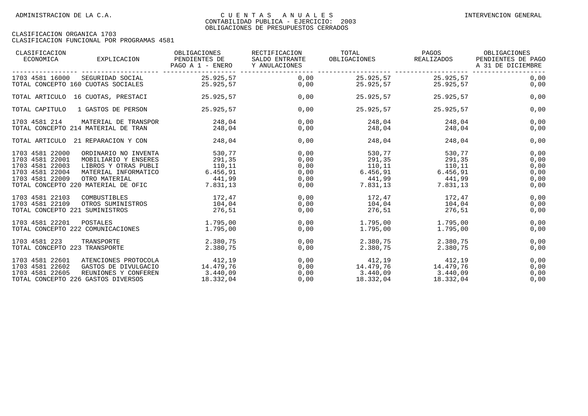| CLASIFICACION<br>ECONOMICA                                                                  | EXPLICACION                                                                                                                                                   | OBLIGACIONES<br>PENDIENTES DE<br>PAGO A 1 - ENERO   | RECTIFICACION<br>SALDO ENTRANTE<br>Y ANULACIONES | TOTAL<br>OBLIGACIONES                                                               | PAGOS<br>REALIZADOS                     | OBLIGACIONES<br>PENDIENTES DE PAGO<br>A 31 DE DICIEMBRE |
|---------------------------------------------------------------------------------------------|---------------------------------------------------------------------------------------------------------------------------------------------------------------|-----------------------------------------------------|--------------------------------------------------|-------------------------------------------------------------------------------------|-----------------------------------------|---------------------------------------------------------|
| 1703 4581 16000                                                                             | SEGURIDAD SOCIAL<br>TOTAL CONCEPTO 160 CUOTAS SOCIALES                                                                                                        | 25.925,57<br>25.925,57                              | 0,00<br>0,00                                     | 25.925,57                                                                           | 25.925,57 25.925,57<br>25.925,57        | 0,00<br>0,00                                            |
|                                                                                             | TOTAL ARTICULO 16 CUOTAS, PRESTACI                                                                                                                            | 25.925,57                                           | 0,00                                             | 25.925,57                                                                           | 25.925,57                               | 0,00                                                    |
| TOTAL CAPITULO                                                                              | 1 GASTOS DE PERSON                                                                                                                                            | 25.925,57                                           | 0,00                                             | 25.925,57                                                                           | 25.925,57                               | 0,00                                                    |
| 1703 4581 214                                                                               | MATERIAL DE TRANSPOR<br>TOTAL CONCEPTO 214 MATERIAL DE TRAN                                                                                                   | 248,04<br>248,04                                    | 0,00<br>0,00                                     | 248,04<br>248,04                                                                    | 248,04<br>248,04                        | 0,00<br>0,00                                            |
|                                                                                             | TOTAL ARTICULO 21 REPARACION Y CON                                                                                                                            | 248,04                                              | 0,00                                             | 248,04                                                                              | 248,04                                  | 0,00                                                    |
| 1703 4581 22000<br>1703 4581 22001<br>1703 4581 22003<br>1703 4581 22004<br>1703 4581 22009 | ORDINARIO NO INVENTA<br>MOBILIARIO Y ENSERES<br>LIBROS Y OTRAS PUBLI<br>MATERIAL INFORMATICO<br>OTRO MATERIAL<br>TOTAL CONCEPTO 220 MATERIAL DE OFIC 7.831,13 | 530,77<br>291, 35<br>110, 11<br>6.456, 91<br>441,99 | 0,00<br>0,00<br>0,00<br>0,00<br>0,00<br>0,00     | 530,77<br>291,35<br>110, 11<br>$6.456, 91$ $6.456, 91$<br>441,99 441,99<br>7.831,13 | 530,77<br>291,35<br>110, 11<br>7.831,13 | 0,00<br>0,00<br>0,00<br>0,00<br>0,00<br>0,00            |
| 1703 4581 22103<br>1703 4581 22109<br>TOTAL CONCEPTO 221 SUMINISTROS                        | COMBUSTIBLES<br>OTROS SUMINISTROS                                                                                                                             | 172.47<br>104,04<br>276,51                          | 0,00<br>0,00<br>0,00                             | $172,47$ $172,47$<br>104,04<br>276,51                                               | 104,04<br>276,51                        | 0,00<br>0,00<br>0,00                                    |
| 1703 4581 22201<br>TOTAL CONCEPTO 222 COMUNICACIONES                                        | POSTALES                                                                                                                                                      | 1.795,00<br>1.795,00                                | 0,00<br>0,00                                     | $1.795,00$ $1.795,00$<br>1.795,00                                                   | 1.795,00                                | 0,00<br>0,00                                            |
| 1703 4581 223<br>TOTAL CONCEPTO 223 TRANSPORTE                                              | TRANSPORTE                                                                                                                                                    | 2.380,75<br>2.380,75                                | 0,00<br>0,00                                     | 2.380,75<br>2.380,75                                                                | 2.380,75<br>2.380,75                    | 0,00<br>0,00                                            |
| 1703 4581 22601<br>1703 4581 22602<br>1703 4581 22605                                       | ATENCIONES PROTOCOLA<br>GASTOS DE DIVULGACIO<br>REUNIONES Y CONFEREN<br>TOTAL CONCEPTO 226 GASTOS DIVERSOS                                                    | 412,19<br>14.479,76<br>3.440,09<br>18.332,04        | 0,00<br>0,00<br>0,00<br>0,00                     | 14.479,76 14.479,76<br>3.440,09<br>18.332,04                                        | 412,19 412,19<br>3.440,09<br>18.332,04  | 0,00<br>0,00<br>0,00<br>0,00                            |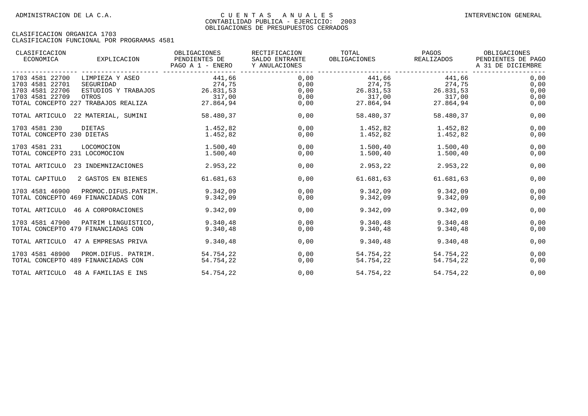| CLASIFICACION<br>ECONOMICA          | EXPLICACION          | OBLIGACIONES<br>PENDIENTES DE<br>PAGO A 1 - ENERO | RECTIFICACION<br>SALDO ENTRANTE<br>Y ANULACIONES | TOTAL<br>OBLIGACIONES | PAGOS<br>REALIZADOS | OBLIGACIONES<br>PENDIENTES DE PAGO<br>A 31 DE DICIEMBRE |
|-------------------------------------|----------------------|---------------------------------------------------|--------------------------------------------------|-----------------------|---------------------|---------------------------------------------------------|
| 1703 4581 22700                     | LIMPIEZA Y ASEO      | 441,66                                            | 0,00                                             | 441,66                | 441,66              | 0,00                                                    |
| 1703 4581 22701<br>SEGURIDAD        |                      | 274,75                                            | 0,00                                             | 274,75                | 274,75              | 0,00                                                    |
| 1703 4581 22706                     | ESTUDIOS Y TRABAJOS  | 26.831,53                                         | 0,00                                             | 26.831,53             | 26.831,53           | 0,00                                                    |
| 1703 4581 22709<br>OTROS            |                      | 317,00                                            | 0,00                                             | $317,00$ 317,00       |                     | 0,00                                                    |
| TOTAL CONCEPTO 227 TRABAJOS REALIZA |                      | 27.864,94                                         | 0,00                                             |                       | 27.864,94 27.864,94 | 0,00                                                    |
| TOTAL ARTICULO 22 MATERIAL, SUMINI  |                      | 58.480,37                                         | 0,00                                             | 58.480,37             | 58.480,37           | 0,00                                                    |
| 1703 4581 230<br>DIETAS             |                      | 1.452,82                                          | 0,00                                             | 1.452,82              | 1.452,82            | 0,00                                                    |
| TOTAL CONCEPTO 230 DIETAS           |                      | 1.452,82                                          | 0,00                                             | 1.452,82              | 1.452,82            | 0,00                                                    |
| 1703 4581 231<br>LOCOMOCION         |                      | 1.500,40                                          | 0,00                                             | 1.500,40              | 1.500,40            | 0,00                                                    |
| TOTAL CONCEPTO 231 LOCOMOCION       |                      | 1.500,40                                          | 0,00                                             | 1.500,40              | 1.500,40            | 0,00                                                    |
| TOTAL ARTICULO                      | 23 INDEMNIZACIONES   | 2.953,22                                          | 0,00                                             | 2.953,22              | 2.953,22            | 0,00                                                    |
| TOTAL CAPITULO                      | 2 GASTOS EN BIENES   | 61.681,63                                         | 0,00                                             | 61.681,63             | 61.681,63           | 0,00                                                    |
| 1703 4581 46900                     | PROMOC.DIFUS.PATRIM. | 9.342.09                                          | 0,00                                             | 9.342,09              | 9.342,09            | 0,00                                                    |
| TOTAL CONCEPTO 469 FINANCIADAS CON  |                      | 9.342.09                                          | 0,00                                             | 9.342,09              | 9.342,09            | 0,00                                                    |
| TOTAL ARTICULO 46 A CORPORACIONES   |                      | 9.342,09                                          | 0,00                                             | 9.342,09              | 9.342,09            | 0,00                                                    |
| 1703 4581 47900                     | PATRIM LINGUISTICO.  | 9.340.48                                          | 0.00                                             | 9.340.48              | 9.340.48            | 0,00                                                    |
| TOTAL CONCEPTO 479 FINANCIADAS CON  |                      | 9.340,48                                          | 0,00                                             | 9.340,48              | 9.340,48            | 0,00                                                    |
| TOTAL ARTICULO 47 A EMPRESAS PRIVA  |                      | 9.340,48                                          | 0,00                                             | 9.340,48              | 9.340,48            | 0,00                                                    |
| 1703 4581 48900                     | PROM.DIFUS. PATRIM.  | 54.754.22                                         | 0,00                                             | 54.754,22             | 54.754,22           | 0,00                                                    |
| TOTAL CONCEPTO 489 FINANCIADAS CON  |                      | 54.754,22                                         | 0,00                                             | 54.754,22             | 54.754,22           | 0,00                                                    |
| TOTAL ARTICULO 48 A FAMILIAS E INS  |                      | 54.754,22                                         | 0,00                                             | 54.754,22             | 54.754,22           | 0,00                                                    |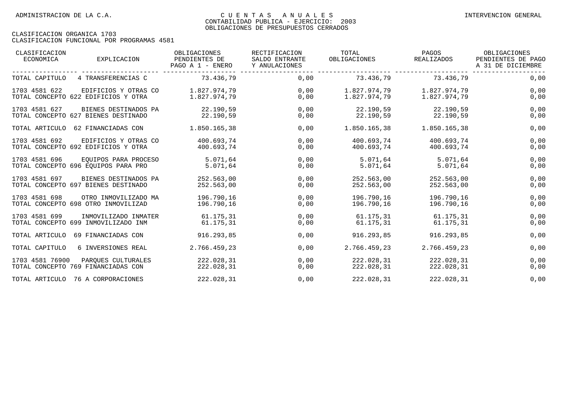| CLASIFICACION<br>ECONOMICA | EXPLICACION                         | OBLIGACIONES<br>PENDIENTES DE<br>PAGO A 1 - ENERO | RECTIFICACION<br>SALDO ENTRANTE<br>Y ANULACIONES | TOTAL<br>OBLIGACIONES | PAGOS<br>REALIZADOS | OBLIGACIONES<br>PENDIENTES DE PAGO<br>A 31 DE DICIEMBRE |
|----------------------------|-------------------------------------|---------------------------------------------------|--------------------------------------------------|-----------------------|---------------------|---------------------------------------------------------|
| TOTAL CAPITULO             | 4 TRANSFERENCIAS C                  | 73.436,79                                         | 0,00                                             |                       | 73.436,79 73.436,79 | 0,00                                                    |
| 1703 4581 622              | EDIFICIOS Y OTRAS CO                | 1.827.974,79                                      | 0,00                                             | 1.827.974,79          | 1.827.974,79        | 0,00                                                    |
|                            | TOTAL CONCEPTO 622 EDIFICIOS Y OTRA | 1.827.974.79                                      | 0,00                                             | 1.827.974.79          | 1.827.974.79        | 0,00                                                    |
| 1703 4581 627              | BIENES DESTINADOS PA                | 22.190,59                                         | 0,00                                             | 22.190,59             | 22.190,59           | 0,00                                                    |
|                            | TOTAL CONCEPTO 627 BIENES DESTINADO | 22.190,59                                         | 0,00                                             | 22.190,59             | 22.190,59           | 0,00                                                    |
|                            | TOTAL ARTICULO 62 FINANCIADAS CON   | 1.850.165,38                                      | 0,00                                             | 1.850.165,38          | 1.850.165,38        | 0,00                                                    |
| 1703 4581 692              | EDIFICIOS Y OTRAS CO                | 400.693,74                                        | 0,00                                             | 400.693.74            | 400.693,74          | 0,00                                                    |
|                            | TOTAL CONCEPTO 692 EDIFICIOS Y OTRA | 400.693,74                                        | 0,00                                             | 400.693,74            | 400.693,74          | 0,00                                                    |
| 1703 4581 696              | EOUIPOS PARA PROCESO                | 5.071,64                                          | 0,00                                             | 5.071.64              | 5.071,64            | 0,00                                                    |
|                            | TOTAL CONCEPTO 696 EOUIPOS PARA PRO | 5.071,64                                          | 0,00                                             | 5.071,64              | 5.071,64            | 0,00                                                    |
| 1703 4581 697              | BIENES DESTINADOS PA                | 252.563,00                                        | 0,00                                             | 252.563,00            | 252.563,00          | 0,00                                                    |
|                            | TOTAL CONCEPTO 697 BIENES DESTINADO | 252.563,00                                        | 0,00                                             | 252.563,00            | 252.563,00          | 0,00                                                    |
| 1703 4581 698              | OTRO INMOVILIZADO MA                | 196.790.16                                        | 0,00                                             | 196.790,16            | 196.790,16          | 0,00                                                    |
|                            | TOTAL CONCEPTO 698 OTRO INMOVILIZAD | 196.790,16                                        | 0,00                                             | 196.790,16            | 196.790,16          | 0,00                                                    |
| 1703 4581 699              | INMOVILIZADO INMATER                | 61.175.31                                         | 0,00                                             | 61.175,31             | 61.175.31           | 0,00                                                    |
|                            | TOTAL CONCEPTO 699 INMOVILIZADO INM | 61.175,31                                         | 0,00                                             | 61.175,31             | 61.175,31           | 0,00                                                    |
| TOTAL ARTICULO             | 69 FINANCIADAS CON                  | 916.293,85                                        | 0,00                                             | 916.293,85            | 916.293,85          | 0,00                                                    |
| TOTAL CAPITULO             | 6 INVERSIONES REAL                  | 2.766.459,23                                      | 0,00                                             | 2.766.459,23          | 2.766.459,23        | 0,00                                                    |
| 1703 4581 76900            | PAROUES CULTURALES                  | 222.028,31                                        | 0,00                                             | 222.028,31            | 222.028,31          | 0,00                                                    |
|                            | TOTAL CONCEPTO 769 FINANCIADAS CON  | 222.028,31                                        | 0,00                                             | 222.028,31            | 222.028,31          | 0,00                                                    |
|                            | TOTAL ARTICULO 76 A CORPORACIONES   | 222.028,31                                        | 0,00                                             | 222.028,31            | 222.028,31          | 0,00                                                    |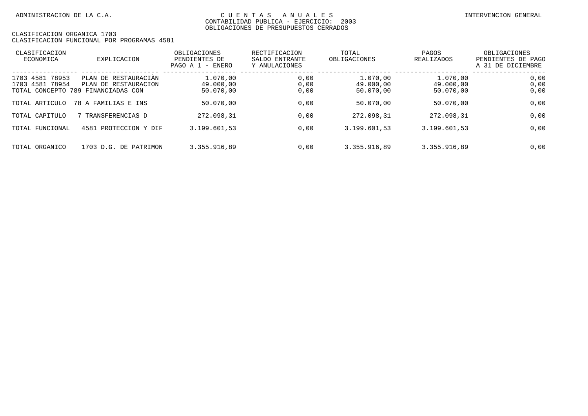| CLASIFICACION<br>ECONOMICA                                 | EXPLICACION                                                         | OBLIGACIONES<br>PENDIENTES DE<br>PAGO A 1<br>- ENERO | RECTIFICACION<br>SALDO ENTRANTE<br>Y ANULACIONES | TOTAL<br>OBLIGACIONES              | PAGOS<br><b>REALIZADOS</b>         | OBLIGACIONES<br>PENDIENTES DE PAGO<br>A 31 DE DICIEMBRE |
|------------------------------------------------------------|---------------------------------------------------------------------|------------------------------------------------------|--------------------------------------------------|------------------------------------|------------------------------------|---------------------------------------------------------|
| 1703 4581<br>78953<br>78954<br>1703 4581<br>TOTAL CONCEPTO | PLAN DE RESTAURACIAN<br>PLAN DE RESTAURACION<br>789 FINANCIADAS CON | 1.070,00<br>49.000.00<br>50.070,00                   | 0,00<br>0,00<br>0,00                             | 1.070.00<br>49.000.00<br>50.070,00 | 1.070.00<br>49.000,00<br>50.070,00 | 0,00<br>0,00<br>0,00                                    |
| TOTAL ARTICULO                                             | 78 A FAMILIAS E INS                                                 | 50.070.00                                            | 0,00                                             | 50.070,00                          | 50.070,00                          | 0,00                                                    |
| TOTAL CAPITULO                                             | TRANSFERENCIAS D                                                    | 272.098.31                                           | 0,00                                             | 272.098,31                         | 272.098.31                         | 0,00                                                    |
| TOTAL FUNCIONAL                                            | 4581 PROTECCION Y DIF                                               | 3.199.601,53                                         | 0,00                                             | 3.199.601,53                       | 3.199.601,53                       | 0,00                                                    |
| TOTAL ORGANICO                                             | DE PATRIMON<br>$1703$ D.G.                                          | 3.355.916.89                                         | 0,00                                             | 3.355.916.89                       | 3.355.916,89                       | 0,00                                                    |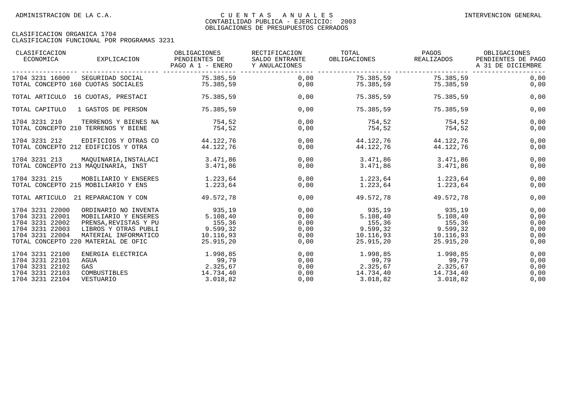| CLASIFICACION<br>ECONOMICA                                                                  | EXPLICACION                                                                                                                                                  | OBLIGACIONES<br>PENDIENTES DE<br>PAGO A 1 - ENERO                      | RECTIFICACION<br>SALDO ENTRANTE<br>Y ANULACIONES | TOTAL<br>OBLIGACIONES                                                        | PAGOS<br>REALIZADOS                                     | OBLIGACIONES<br>PENDIENTES DE PAGO<br>A 31 DE DICIEMBRE |
|---------------------------------------------------------------------------------------------|--------------------------------------------------------------------------------------------------------------------------------------------------------------|------------------------------------------------------------------------|--------------------------------------------------|------------------------------------------------------------------------------|---------------------------------------------------------|---------------------------------------------------------|
| 1704 3231 16000<br>TOTAL CONCEPTO 160 CUOTAS SOCIALES                                       | SEGURIDAD SOCIAL                                                                                                                                             | 75.385,59<br>75.385,59                                                 | 0,00<br>0,00                                     |                                                                              | 75.385,59 75.385,59<br>75.385,59 75.385,59              | 0,00<br>0,00                                            |
|                                                                                             | TOTAL ARTICULO 16 CUOTAS, PRESTACI                                                                                                                           | 75.385,59                                                              | 0,00                                             | 75.385,59                                                                    | 75.385,59                                               | 0,00                                                    |
| TOTAL CAPITULO                                                                              | 1 GASTOS DE PERSON                                                                                                                                           | 75.385.59                                                              | 0,00                                             |                                                                              | 75.385,59 75.385,59                                     | 0,00                                                    |
| 1704 3231 210                                                                               | TERRENOS Y BIENES NA<br>TOTAL CONCEPTO 210 TERRENOS Y BIENE                                                                                                  | 754,52<br>754,52                                                       | 0,00<br>0,00                                     | 754,52<br>754,52                                                             | 754,52<br>754, 52                                       | 0,00<br>0,00                                            |
| 1704 3231 212                                                                               | EDIFICIOS Y OTRAS CO<br>TOTAL CONCEPTO 212 EDIFICIOS Y OTRA                                                                                                  | 44.122,76<br>44.122.76                                                 | 0,00<br>0,00                                     | 44.122,76                                                                    | 44.122.76 44.122.76<br>44.122,76                        | 0,00<br>0,00                                            |
| 1704 3231 213                                                                               | MAQUINARIA, INSTALACI 3.471,86<br>TOTAL CONCEPTO 213 MAQUINARIA, INST                                                                                        | 3.471,86                                                               | 0,00<br>0,00                                     | 3.471,86 3.471,86<br>3.471,86                                                | 3.471,86                                                | 0,00<br>0,00                                            |
| 1704 3231 215                                                                               | MOBILIARIO Y ENSERES 1.223.64<br>TOTAL CONCEPTO 215 MOBILIARIO Y ENS                                                                                         | 1.223,64                                                               | 0,00<br>0,00                                     | 1.223,64<br>1.223,64                                                         | 1.223.64<br>1.223,64                                    | 0,00<br>0,00                                            |
|                                                                                             | TOTAL ARTICULO 21 REPARACION Y CON                                                                                                                           | 49.572.78                                                              | 0,00                                             | 49.572.78                                                                    | 49.572.78                                               | 0,00                                                    |
| 1704 3231 22000<br>1704 3231 22001<br>1704 3231 22002<br>1704 3231 22003<br>1704 3231 22004 | ORDINARIO NO INVENTA<br>MOBILIARIO Y ENSERES<br>PRENSA, REVISTAS Y PU<br>LIBROS Y OTRAS PUBLI<br>MATERIAL INFORMATICO<br>TOTAL CONCEPTO 220 MATERIAL DE OFIC | 935, 19<br>5.108, 40<br>155, 36<br>9.599, 32<br>10.116,93<br>25.915,20 | 0,00<br>0,00<br>0,00<br>0,00<br>0,00<br>0,00     | 935,19<br>5.108, 40<br>155,36 155,36<br>$9.599, 32$ $9.599, 32$<br>25.915,20 | 935,19<br>5.108, 40<br>10.116,93 10.116,93<br>25.915,20 | 0,00<br>0,00<br>0,00<br>0,00<br>0,00<br>0,00            |
| 1704 3231 22100<br>1704 3231 22101<br>1704 3231 22102<br>1704 3231 22103<br>1704 3231 22104 | ENERGIA ELECTRICA<br>AGUA<br>GAS<br>COMBUSTIBLES<br>VESTUARIO                                                                                                | 1.998, 85<br>99,79<br>2.325,67<br>14.734,40<br>3.018,82                | 0,00<br>0,00<br>0,00<br>0,00<br>0,00             | $1.998, 85$ $1.998, 85$<br>99,79<br>$2.325,67$ $2.325,67$<br>3.018, 82       | 99,79<br>3.018,82                                       | 0,00<br>0,00<br>0,00<br>0,00<br>0,00                    |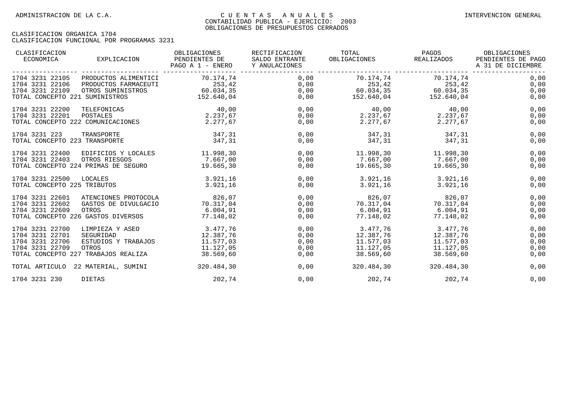| CLASIFICACION<br>ECONOMICA<br>EXPLICACION                                       | OBLIGACIONES<br>PENDIENTES DE<br>PAGO A 1 - ENERO | RECTIFICACION<br>SALDO ENTRANTE<br>Y ANULACIONES | TOTAL<br>OBLIGACIONES REALIZADOS | PAGOS                     | OBLIGACIONES<br>PENDIENTES DE PAGO<br>A 31 DE DICIEMBRE |
|---------------------------------------------------------------------------------|---------------------------------------------------|--------------------------------------------------|----------------------------------|---------------------------|---------------------------------------------------------|
| 1704 3231 22105<br>PRODUCTOS ALIMENTICI                                         | 70.174,74                                         | 0,00                                             |                                  | 70.174,74 70.174,74       | 0,00                                                    |
| 1704 3231 22106<br>PRODUCTOS FARMACEUTI<br>1704 3231 22109<br>OTROS SUMINISTROS | 253,42                                            | 0,00<br>0,00                                     | 253,42                           | $253, 42$<br>$60.034, 35$ | 0,00<br>0,00                                            |
| TOTAL CONCEPTO 221 SUMINISTROS                                                  | 60.034, 35<br>152.640,04                          | 0,00                                             | 60.034,35<br>152.640,04          | 152.640,04                | 0,00                                                    |
| 1704 3231 22200<br>TELEFONICAS                                                  | 40,00                                             | 0,00                                             | 40,00                            | 40,00                     | 0,00                                                    |
| 1704 3231 22201<br>POSTALES                                                     | 2.237,67                                          | 0,00                                             | $2.237,67$ $2.237,67$            |                           | 0,00                                                    |
| TOTAL CONCEPTO 222 COMUNICACIONES                                               | 2.277,67                                          | 0,00                                             | 2.277,67                         | 2.277.67                  | 0,00                                                    |
| 1704 3231 223<br>TRANSPORTE                                                     | 347,31                                            | 0,00                                             |                                  | 347,31 347,31             | 0,00                                                    |
| TOTAL CONCEPTO 223 TRANSPORTE                                                   | 347,31                                            | 0,00                                             | 347,31                           | 347, 31                   | 0,00                                                    |
| 1704 3231 22400<br>EDIFICIOS Y LOCALES                                          | 11,998,30                                         | 0,00                                             | $11.998, 30$ $11.998, 30$        |                           | 0,00                                                    |
| 1704 3231 22403<br>OTROS RIESGOS                                                | 7.667,00                                          | 0,00                                             | $7.667,00$ $7.667,00$            |                           | 0,00                                                    |
| TOTAL CONCEPTO 224 PRIMAS DE SEGURO                                             | 19.665,30                                         | 0,00                                             |                                  | 19.665,30 19.665,30       | 0,00                                                    |
| 1704 3231 22500<br>LOCALES                                                      | 3.921,16                                          | 0,00                                             | 3.921,16                         | 3.921,16                  | 0,00                                                    |
| TOTAL CONCEPTO 225 TRIBUTOS                                                     | 3.921,16                                          | 0,00                                             | 3.921, 16                        | 3.921,16                  | 0,00                                                    |
| 1704 3231 22601<br>ATENCIONES PROTOCOLA                                         | 826,07                                            | 0,00                                             |                                  | 826,07 826,07             | 0,00                                                    |
| 1704 3231 22602<br>GASTOS DE DIVULGACIO                                         | 70.317,04                                         | 0,00                                             | 70.317,04                        | 70.317,04                 | 0,00                                                    |
| 1704 3231 22609<br>OTROS                                                        | 6.004, 91                                         | 0,00                                             | $6.004, 91$ 6.004,91             |                           | 0,00                                                    |
| TOTAL CONCEPTO 226 GASTOS DIVERSOS 77.148,02                                    |                                                   | 0,00                                             | 77.148,02                        | 77.148,02                 | 0,00                                                    |
| 1704 3231 22700<br>LIMPIEZA Y ASEO                                              | 3.477,76                                          | 0,00                                             | $3.477,76$ 3.477,76              |                           | 0,00                                                    |
| 1704 3231 22701<br>SEGURIDAD                                                    | 12.387,76                                         | 0,00                                             | 12.387,76 12.387,76              |                           | 0,00                                                    |
| 1704 3231 22706<br>ESTUDIOS Y TRABAJOS                                          | 11.577,03                                         | 0,00                                             | $11.577.03$ $11.577.03$          |                           | 0,00                                                    |
| 1704 3231 22709<br>OTROS                                                        | 11.127,05                                         | 0,00                                             |                                  | 11.127,05 11.127,05       | 0,00                                                    |
| TOTAL CONCEPTO 227 TRABAJOS REALIZA                                             | 38.569,60                                         | 0,00                                             | 38.569,60                        | 38.569,60                 | 0,00                                                    |
| TOTAL ARTICULO 22 MATERIAL, SUMINI                                              | 320.484,30                                        | 0,00                                             | 320.484,30                       | 320.484,30                | 0,00                                                    |
| 1704 3231 230<br>DIETAS                                                         | 202,74                                            | 0,00                                             | 202,74                           | 202,74                    | 0,00                                                    |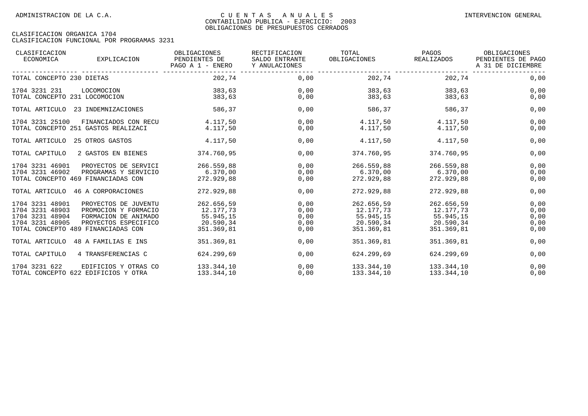| CLASIFICACION<br>ECONOMICA                                                                                     | EXPLICACION                                                                                  | OBLIGACIONES<br>PENDIENTES DE<br>PAGO A 1 - ENERO               | RECTIFICACION<br>SALDO ENTRANTE<br>Y ANULACIONES | TOTAL<br>OBLIGACIONES                                           | PAGOS<br>REALIZADOS                                             | OBLIGACIONES<br>PENDIENTES DE PAGO<br>A 31 DE DICIEMBRE |
|----------------------------------------------------------------------------------------------------------------|----------------------------------------------------------------------------------------------|-----------------------------------------------------------------|--------------------------------------------------|-----------------------------------------------------------------|-----------------------------------------------------------------|---------------------------------------------------------|
| TOTAL CONCEPTO 230 DIETAS                                                                                      |                                                                                              | 202,74                                                          | 0,00                                             | 202,74                                                          | 202,74                                                          | 0,00                                                    |
| 1704 3231 231<br>TOTAL CONCEPTO 231 LOCOMOCION                                                                 | LOCOMOCION                                                                                   | 383,63<br>383,63                                                | 0,00<br>0,00                                     | 383,63<br>383,63                                                | 383,63<br>383,63                                                | 0,00<br>0,00                                            |
| TOTAL ARTICULO                                                                                                 | 23 INDEMNIZACIONES                                                                           | 586,37                                                          | 0,00                                             | 586,37                                                          | 586,37                                                          | 0,00                                                    |
| 1704 3231 25100                                                                                                | FINANCIADOS CON RECU<br>TOTAL CONCEPTO 251 GASTOS REALIZACI                                  | 4.117,50<br>4.117,50                                            | 0,00<br>0,00                                     | 4.117,50<br>4.117,50                                            | 4.117,50<br>4.117,50                                            | 0,00<br>0,00                                            |
| TOTAL ARTICULO                                                                                                 | 25 OTROS GASTOS                                                                              | 4.117,50                                                        | 0,00                                             | 4.117,50                                                        | 4.117,50                                                        | 0,00                                                    |
| TOTAL CAPITULO                                                                                                 | 2 GASTOS EN BIENES                                                                           | 374.760,95                                                      | 0,00                                             | 374.760,95                                                      | 374.760,95                                                      | 0,00                                                    |
| 1704 3231 46901<br>1704 3231 46902<br>TOTAL CONCEPTO 469 FINANCIADAS CON                                       | PROYECTOS DE SERVICI<br>PROGRAMAS Y SERVICIO                                                 | 266.559,88<br>6.370,00<br>272.929.88                            | 0,00<br>0,00<br>0,00                             | 266.559,88<br>6.370,00<br>272.929,88                            | 266.559,88<br>6.370,00<br>272.929,88                            | 0,00<br>0,00<br>0,00                                    |
| TOTAL ARTICULO                                                                                                 | 46 A CORPORACIONES                                                                           | 272.929,88                                                      | 0,00                                             | 272.929,88                                                      | 272.929,88                                                      | 0,00                                                    |
| 1704 3231 48901<br>1704 3231 48903<br>1704 3231 48904<br>1704 3231 48905<br>TOTAL CONCEPTO 489 FINANCIADAS CON | PROYECTOS DE JUVENTU<br>PROMOCION Y FORMACIO<br>FORMACION DE ANIMADO<br>PROYECTOS ESPECIFICO | 262.656,59<br>12.177,73<br>55.945,15<br>20.590,34<br>351.369.81 | 0,00<br>0,00<br>0,00<br>0,00<br>0,00             | 262.656,59<br>12.177,73<br>55.945,15<br>20.590,34<br>351.369,81 | 262.656,59<br>12.177,73<br>55.945,15<br>20.590,34<br>351.369.81 | 0,00<br>0,00<br>0,00<br>0,00<br>0,00                    |
| TOTAL ARTICULO                                                                                                 | 48 A FAMILIAS E INS                                                                          | 351.369,81                                                      | 0,00                                             | 351.369,81                                                      | 351.369,81                                                      | 0,00                                                    |
| TOTAL CAPITULO                                                                                                 | 4 TRANSFERENCIAS C                                                                           | 624.299,69                                                      | 0,00                                             | 624.299,69                                                      | 624.299,69                                                      | 0,00                                                    |
| 1704 3231 622                                                                                                  | EDIFICIOS Y OTRAS CO<br>TOTAL CONCEPTO 622 EDIFICIOS Y OTRA                                  | 133.344,10<br>133.344,10                                        | 0,00<br>0,00                                     | 133.344,10<br>133.344,10                                        | 133.344,10<br>133.344,10                                        | 0,00<br>0,00                                            |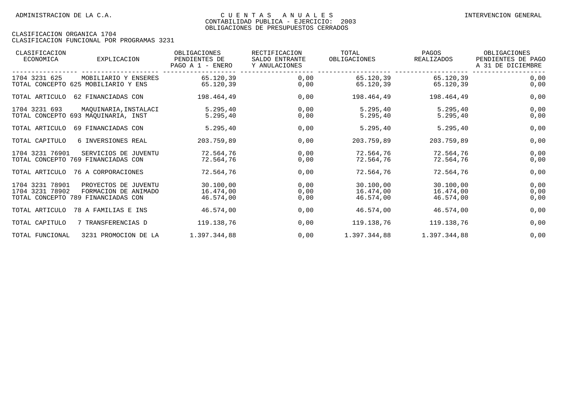| CLASIFICACION<br>ECONOMICA | <b>EXPLICACION</b>                  | OBLIGACIONES<br>PENDIENTES DE<br>PAGO A 1 - ENERO | RECTIFICACION<br>SALDO ENTRANTE<br>Y ANULACIONES | TOTAL<br>OBLIGACIONES | PAGOS<br>REALIZADOS | OBLIGACIONES<br>PENDIENTES DE PAGO<br>A 31 DE DICIEMBRE |
|----------------------------|-------------------------------------|---------------------------------------------------|--------------------------------------------------|-----------------------|---------------------|---------------------------------------------------------|
| 1704 3231 625              | MOBILIARIO Y ENSERES                | 65.120,39                                         | 0,00                                             | 65.120,39             | 65.120,39           | 0,00                                                    |
|                            | TOTAL CONCEPTO 625 MOBILIARIO Y ENS | 65.120,39                                         | 0,00                                             | 65.120,39             | 65.120,39           | 0,00                                                    |
| TOTAL ARTICULO             | 62 FINANCIADAS CON                  | 198.464,49                                        | 0,00                                             | 198.464,49            | 198.464,49          | 0,00                                                    |
| 1704 3231 693              | MAOUINARIA, INSTALACI               | 5.295, 40                                         | 0,00                                             | 5.295, 40             | 5.295, 40           | 0,00                                                    |
|                            | TOTAL CONCEPTO 693 MAOUINARIA, INST | 5.295, 40                                         | 0,00                                             | 5.295,40              | 5.295, 40           | 0,00                                                    |
| TOTAL ARTICULO             | 69 FINANCIADAS CON                  | 5.295,40                                          | 0,00                                             | 5.295,40              | 5.295,40            | 0,00                                                    |
| TOTAL CAPITULO             | 6 INVERSIONES REAL                  | 203.759.89                                        | 0,00                                             | 203.759,89            | 203.759,89          | 0,00                                                    |
| 1704 3231 76901            | SERVICIOS DE JUVENTU                | 72.564,76                                         | 0,00                                             | 72.564,76             | 72.564,76           | 0,00                                                    |
|                            | TOTAL CONCEPTO 769 FINANCIADAS CON  | 72.564,76                                         | 0,00                                             | 72.564,76             | 72.564,76           | 0,00                                                    |
| TOTAL ARTICULO             | 76 A CORPORACIONES                  | 72.564,76                                         | 0,00                                             | 72.564,76             | 72.564,76           | 0,00                                                    |
| 1704 3231 78901            | PROYECTOS DE JUVENTU                | 30.100,00                                         | 0,00                                             | 30.100,00             | 30.100,00           | 0,00                                                    |
| 1704 3231 78902            | FORMACION DE ANIMADO                | 16.474,00                                         | 0,00                                             | 16.474,00             | 16.474,00           | 0,00                                                    |
|                            | TOTAL CONCEPTO 789 FINANCIADAS CON  | 46.574.00                                         | 0,00                                             | 46.574,00             | 46.574,00           | 0,00                                                    |
| TOTAL ARTICULO             | 78 A FAMILIAS E INS                 | 46.574,00                                         | 0,00                                             | 46.574,00             | 46.574,00           | 0,00                                                    |
| TOTAL CAPITULO             | 7 TRANSFERENCIAS D                  | 119.138.76                                        | 0,00                                             | 119.138,76            | 119.138,76          | 0,00                                                    |
| TOTAL FUNCIONAL            | 3231 PROMOCION DE LA                | 1.397.344,88                                      | 0,00                                             | 1.397.344,88          | 1.397.344,88        | 0,00                                                    |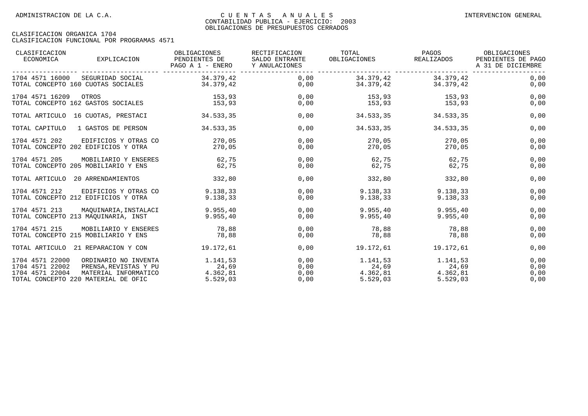| CLASIFICACION<br>ECONOMICA                                                                   | EXPLICACION                                                           | OBLIGACIONES<br>PENDIENTES DE<br>PAGO A 1 - ENERO | RECTIFICACION<br>SALDO ENTRANTE<br>Y ANULACIONES | TOTAL<br>OBLIGACIONES                     | PAGOS<br>REALIZADOS                        | OBLIGACIONES<br>PENDIENTES DE PAGO<br>A 31 DE DICIEMBRE |
|----------------------------------------------------------------------------------------------|-----------------------------------------------------------------------|---------------------------------------------------|--------------------------------------------------|-------------------------------------------|--------------------------------------------|---------------------------------------------------------|
| 1704 4571 16000<br>TOTAL CONCEPTO 160 CUOTAS SOCIALES                                        | SEGURIDAD SOCIAL                                                      | 34.379,42<br>34.379,42                            | 0,00<br>0,00                                     |                                           | 34.379,42 34.379,42<br>34.379,42 34.379,42 | 0,00<br>0,00                                            |
| 1704 4571 16209<br>OTROS<br>TOTAL CONCEPTO 162 GASTOS SOCIALES                               |                                                                       | 153,93<br>153,93                                  | 0,00<br>0,00                                     | 153,93<br>153,93                          | 153,93<br>153,93                           | 0,00<br>0,00                                            |
| TOTAL ARTICULO 16 CUOTAS, PRESTACI                                                           |                                                                       | 34.533,35                                         | 0,00                                             | 34.533,35                                 | 34.533,35                                  | 0,00                                                    |
| TOTAL CAPITULO                                                                               | 1 GASTOS DE PERSON                                                    | 34.533,35                                         | 0,00                                             | 34.533,35                                 | 34.533,35                                  | 0,00                                                    |
| 1704 4571 202<br>TOTAL CONCEPTO 202 EDIFICIOS Y OTRA                                         | EDIFICIOS Y OTRAS CO                                                  | 270,05<br>270,05                                  | 0,00<br>0,00                                     | 270,05<br>270,05                          | 270,05<br>270,05                           | 0,00<br>0,00                                            |
| 1704 4571 205<br>TOTAL CONCEPTO 205 MOBILIARIO Y ENS                                         | MOBILIARIO Y ENSERES                                                  | 62,75<br>62,75                                    | 0,00<br>0,00                                     | 62,75<br>62,75                            | 62,75<br>62,75                             | 0,00<br>0,00                                            |
| TOTAL ARTICULO 20 ARRENDAMIENTOS                                                             |                                                                       | 332,80                                            | 0,00                                             | 332,80                                    | 332,80                                     | 0,00                                                    |
| 1704 4571 212<br>TOTAL CONCEPTO 212 EDIFICIOS Y OTRA                                         | EDIFICIOS Y OTRAS CO                                                  | 9.138,33<br>9.138,33                              | 0,00<br>0,00                                     | 9.138,33<br>9.138,33                      | 9.138,33<br>9.138,33                       | 0,00<br>0,00                                            |
| 1704 4571 213<br>TOTAL CONCEPTO 213 MAQUINARIA, INST                                         | MAOUINARIA, INSTALACI                                                 | 9.955, 40<br>9.955,40                             | 0,00<br>0,00                                     | 9.955, 40<br>9.955,40                     | 9.955, 40<br>9.955,40                      | 0,00<br>0,00                                            |
| 1704 4571 215<br>TOTAL CONCEPTO 215 MOBILIARIO Y ENS                                         | MOBILIARIO Y ENSERES                                                  | 78,88<br>78,88                                    | 0,00<br>0,00                                     | 78,88<br>78,88                            | 78,88<br>78,88                             | 0,00<br>0,00                                            |
| TOTAL ARTICULO                                                                               | 21 REPARACION Y CON                                                   | 19.172,61                                         | 0,00                                             | 19.172,61                                 | 19.172,61                                  | 0,00                                                    |
| 1704 4571 22000<br>1704 4571 22002<br>1704 4571 22004<br>TOTAL CONCEPTO 220 MATERIAL DE OFIC | ORDINARIO NO INVENTA<br>PRENSA, REVISTAS Y PU<br>MATERIAL INFORMATICO | 1.141,53<br>24,69<br>4.362,81<br>5.529,03         | 0,00<br>0,00<br>0,00<br>0,00                     | 1.141,53<br>24,69<br>4.362,81<br>5.529,03 | 1.141,53<br>24,69<br>4.362,81<br>5.529,03  | 0,00<br>0,00<br>0,00<br>0,00                            |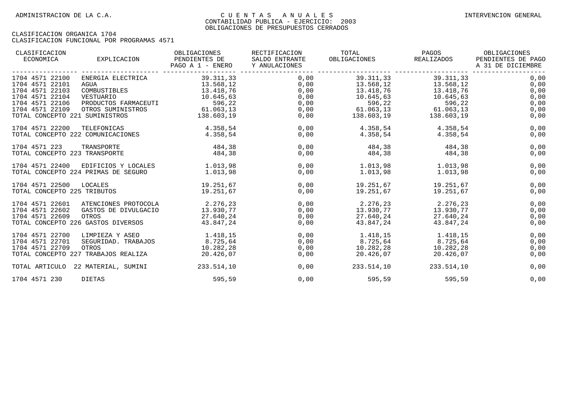| CLASIFICACION<br>ECONOMICA                                                                                                                                      | EXPLICACION                                                                                              | OBLIGACIONES<br>PENDIENTES DE<br>PAGO A 1 - ENERO Y ANULACIONES                            | RECTIFICACION<br>SALDO ENTRANTE | TOTAL<br>OBLIGACIONES                                                                                                                                                                                                                                                                                                   | PAGOS<br>REALIZADOS                                                                                                                                                                                                                            | OBLIGACIONES<br>PENDIENTES DE PAGO<br>A 31 DE DICIEMBRE |
|-----------------------------------------------------------------------------------------------------------------------------------------------------------------|----------------------------------------------------------------------------------------------------------|--------------------------------------------------------------------------------------------|---------------------------------|-------------------------------------------------------------------------------------------------------------------------------------------------------------------------------------------------------------------------------------------------------------------------------------------------------------------------|------------------------------------------------------------------------------------------------------------------------------------------------------------------------------------------------------------------------------------------------|---------------------------------------------------------|
| 1704 4571 22100<br>1704 4571 22101<br><b>AGUA</b><br>1704 4571 22103<br>1704 4571 22104<br>1704 4571 22106<br>1704 4571 22109<br>TOTAL CONCEPTO 221 SUMINISTROS | ENERGIA ELECTRICA<br>COMBUSTIBLES<br>VESTUARIO<br>VESTUARIO<br>PRODUCTOS FARMACEUTI<br>OTROS SUMINISTROS | 39.311,33<br>13.568,12<br>13.418,76<br>10.645,63<br>TI $596,22$ $61.063,13$<br>138.603, 19 | 0,00<br>0,00<br>0,00<br>0,00    | $\begin{array}{ccc} .730 & .7300 \\ .7300 & .7300 \\ .7300 & .7300 \\ .73800 & .7300 \\ .73800 & .7300 \\ .73800 & .73800 \\ .73800 & .73800 \\ .73800 & .73800 \\ .73800 & .73800 \\ .73800 & .73800 \\ .73800 & .73800 \\ .73800 & .73800 \\ .73800 & .73800 \\ .73800 & .73800 \\ .73800 & .73800 \\ .73800 & .7380$ | 39.311,33 39.311,33<br>$\begin{array}{cccc} 39.311, 33 & 39.311, 33 \\ 13.568, 12 & 13.568, 12 \\ 13.418, 76 & 13.418, 76 \\ 10.645, 63 & 10.645, 63 \\ 596, 22 & 596, 22 \\ 61.063, 13 & 61.063, 13 \\ 138.603, 19 & 138.603, 19 \end{array}$ | 0,00<br>0,00<br>0,00<br>0,00<br>0,00<br>0,00<br>0,00    |
| 1704 4571 22200<br>TOTAL CONCEPTO 222 COMUNICACIONES                                                                                                            | TELEFONICAS                                                                                              | 4.358,54<br>4.358,54                                                                       | 0.00<br>0,00                    | 4.358,54                                                                                                                                                                                                                                                                                                                | $4.358,54$ $4.358,54$<br>4.358.54                                                                                                                                                                                                              | 0,00<br>0,00                                            |
| 1704 4571 223<br>TOTAL CONCEPTO 223 TRANSPORTE                                                                                                                  | TRANSPORTE                                                                                               | 484,38<br>484,38                                                                           | 0,00<br>0,00                    | 484,38                                                                                                                                                                                                                                                                                                                  | 484,38<br>484,38 484,38                                                                                                                                                                                                                        | 0,00<br>0,00                                            |
| 1704 4571 22400<br>TOTAL CONCEPTO 224 PRIMAS DE SEGURO                                                                                                          | EDIFICIOS Y LOCALES                                                                                      | 1.013,98<br>1.013,98                                                                       | 0,00<br>0,00                    | 1.013,98<br>1.013,98                                                                                                                                                                                                                                                                                                    | 1.013,98<br>1.013,98                                                                                                                                                                                                                           | 0,00<br>0,00                                            |
| 1704 4571 22500<br>LOCALES<br>TOTAL CONCEPTO 225 TRIBUTOS                                                                                                       |                                                                                                          | 19.251,67<br>19.251.67                                                                     | 0,00<br>0,00                    | 19.251,67                                                                                                                                                                                                                                                                                                               | 19.251,67 19.251,67<br>19.251.67                                                                                                                                                                                                               | 0,00<br>0,00                                            |
| 1704 4571 22601<br>1704 4571 22602<br>1704 4571 22609<br>OTROS<br>TOTAL CONCEPTO 226 GASTOS DIVERSOS                                                            | ATENCIONES PROTOCOLA<br>GASTOS DE DIVULGACIO 13.930,77                                                   | 2.276,23<br>27.640,24<br>43.847,24                                                         | 0,00                            | $0,00$ 2.276,23 2.276,23<br>$0,00$ 13.930,77 13.930,77<br>0,00<br>43.847,24                                                                                                                                                                                                                                             | 27.640.24 27.640.24<br>43.847,24                                                                                                                                                                                                               | 0,00<br>0,00<br>0,00<br>0,00                            |
| 1704 4571 22700<br>1704 4571 22701<br>1704 4571 22709<br>OTROS<br>TOTAL CONCEPTO 227 TRABAJOS REALIZA                                                           | LIMPIEZA Y ASEO<br>SEGURIDAD. TRABAJOS 8.725,64                                                          | 1.418, 15<br>10.282,28<br>20.426,07                                                        | 0,00<br>0,00<br>0,00<br>0,00    | 1.418,15 1.418,15<br>8.725,64 8.725,64<br>10.282,28 10.282,28<br>20.426,07                                                                                                                                                                                                                                              | 20.426,07                                                                                                                                                                                                                                      | 0,00<br>0,00<br>0,00<br>0,00                            |
| TOTAL ARTICULO 22 MATERIAL, SUMINI                                                                                                                              |                                                                                                          | 233.514,10                                                                                 | 0,00                            | 233.514,10                                                                                                                                                                                                                                                                                                              | 233.514,10                                                                                                                                                                                                                                     | 0,00                                                    |
| 1704 4571 230<br>DIETAS                                                                                                                                         |                                                                                                          | 595,59                                                                                     | 0,00                            | 595,59                                                                                                                                                                                                                                                                                                                  | 595,59                                                                                                                                                                                                                                         | 0,00                                                    |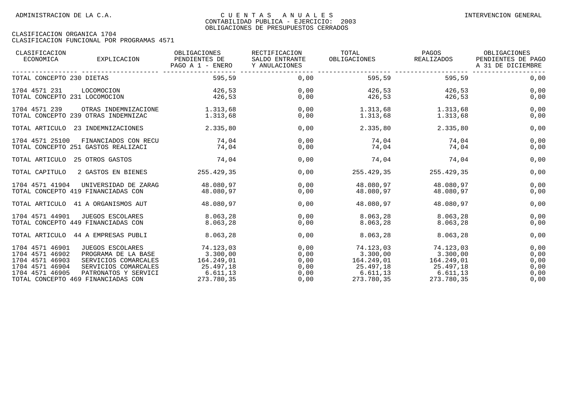| CLASIFICACION<br>ECONOMICA                                               | EXPLICACION                                                                             | OBLIGACIONES<br>PENDIENTES DE<br>PAGO A 1 - ENERO | RECTIFICACION<br>SALDO ENTRANTE<br>Y ANULACIONES | TOTAL<br>OBLIGACIONES                           | PAGOS<br>REALIZADOS                              | OBLIGACIONES<br>PENDIENTES DE PAGO<br>A 31 DE DICIEMBRE |
|--------------------------------------------------------------------------|-----------------------------------------------------------------------------------------|---------------------------------------------------|--------------------------------------------------|-------------------------------------------------|--------------------------------------------------|---------------------------------------------------------|
| TOTAL CONCEPTO 230 DIETAS                                                |                                                                                         | 595,59                                            | 0,00                                             | 595,59                                          | 595,59                                           | 0,00                                                    |
| 1704 4571 231<br>TOTAL CONCEPTO 231 LOCOMOCION                           | LOCOMOCION                                                                              | 426,53<br>426,53                                  | 0,00<br>0,00                                     | 426,53<br>426,53                                | 426,53<br>426,53                                 | 0,00<br>0,00                                            |
| 1704 4571 239                                                            | OTRAS INDEMNIZACIONE<br>TOTAL CONCEPTO 239 OTRAS INDEMNIZAC                             | 1.313,68<br>1.313,68                              | 0,00<br>0,00                                     | 1.313,68<br>1.313,68                            | 1.313,68<br>1.313,68                             | 0,00<br>0,00                                            |
|                                                                          | TOTAL ARTICULO 23 INDEMNIZACIONES                                                       | 2.335,80                                          | 0,00                                             | 2.335,80                                        | 2.335,80                                         | 0,00                                                    |
| 1704 4571 25100                                                          | FINANCIADOS CON RECU<br>TOTAL CONCEPTO 251 GASTOS REALIZACI                             | 74,04<br>74,04                                    | 0,00<br>0,00                                     | 74,04<br>74,04                                  | 74,04<br>74,04                                   | 0,00<br>0,00                                            |
| TOTAL ARTICULO 25 OTROS GASTOS                                           |                                                                                         | 74,04                                             | 0,00                                             | 74,04                                           | 74,04                                            | 0,00                                                    |
| TOTAL CAPITULO                                                           | 2 GASTOS EN BIENES                                                                      | 255.429,35                                        | 0,00                                             | 255.429,35                                      | 255.429,35                                       | 0,00                                                    |
| 1704 4571 41904                                                          | UNIVERSIDAD DE ZARAG<br>TOTAL CONCEPTO 419 FINANCIADAS CON                              | 48.080.97<br>48.080,97                            | 0,00<br>0,00                                     | 48.080,97                                       | 48.080.97 48.080.97<br>48.080,97                 | 0,00<br>0,00                                            |
|                                                                          | TOTAL ARTICULO 41 A ORGANISMOS AUT                                                      | 48.080.97                                         | 0,00                                             | 48.080.97                                       | 48.080.97                                        | 0,00                                                    |
| 1704 4571 44901                                                          | JUEGOS ESCOLARES<br>TOTAL CONCEPTO 449 FINANCIADAS CON                                  | 8.063, 28<br>8.063,28                             | 0,00<br>0,00                                     | 8.063, 28                                       | 8.063,28 8.063,28<br>8.063,28                    | 0,00<br>0,00                                            |
|                                                                          | TOTAL ARTICULO 44 A EMPRESAS PUBLI                                                      | 8.063,28                                          | 0,00                                             | 8.063,28                                        | 8.063,28                                         | 0,00                                                    |
| 1704 4571 46901<br>1704 4571 46902<br>1704 4571 46903<br>1704 4571 46904 | JUEGOS ESCOLARES<br>PROGRAMA DE LA BASE<br>SERVICIOS COMARCALES<br>SERVICIOS COMARCALES | 74.123,03<br>3.300,00<br>164.249,01<br>25.497,18  | 0,00<br>0,00<br>0,00<br>0,00                     | 74.123,03<br>3.300,00<br>164.249,01             | 74.123.03<br>3.300,00<br>164.249,01<br>25.497,18 | 0,00<br>0,00<br>0,00<br>0,00                            |
| 1704 4571 46905                                                          | PATRONATOS Y SERVICI<br>TOTAL CONCEPTO 469 FINANCIADAS CON                              | 6.611, 13<br>273.780,35                           | 0,00<br>0,00                                     | 25.497,18<br>6.611,13<br>6.611,13<br>273.780,35 | 6.611,13<br>273.780,35                           | 0,00<br>0,00                                            |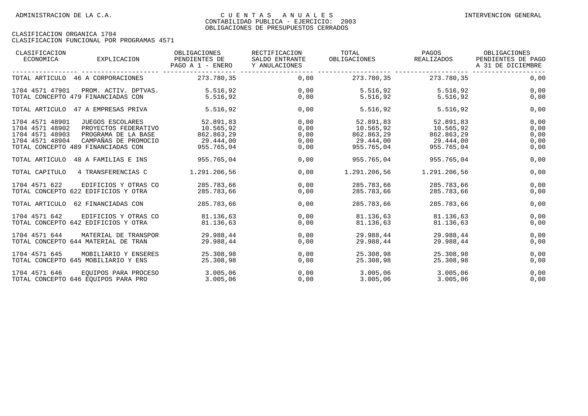| CLASIFICACION<br>ECONOMICA                                               | EXPLICACION                                                                                                                   | OBLIGACIONES<br>PENDIENTES DE<br>PAGO A 1 - ENERO               | RECTIFICACION<br>SALDO ENTRANTE<br>Y ANULACIONES | TOTAL<br>OBLIGACIONES                                                         | PAGOS<br>REALIZADOS                                | OBLIGACIONES<br>PENDIENTES DE PAGO<br>A 31 DE DICIEMBRE |
|--------------------------------------------------------------------------|-------------------------------------------------------------------------------------------------------------------------------|-----------------------------------------------------------------|--------------------------------------------------|-------------------------------------------------------------------------------|----------------------------------------------------|---------------------------------------------------------|
|                                                                          | TOTAL ARTICULO 46 A CORPORACIONES                                                                                             | 273.780,35                                                      | 0,00                                             | 273.780,35                                                                    | 273.780,35                                         | 0,00                                                    |
| 1704 4571 47901                                                          | PROM. ACTIV. DPTVAS.<br>TOTAL CONCEPTO 479 FINANCIADAS CON                                                                    | 5.516, 92<br>5.516,92                                           | 0,00<br>0,00                                     | 5.516,92<br>5.516, 92                                                         | 5.516,92<br>5.516,92                               | 0,00<br>0,00                                            |
|                                                                          | TOTAL ARTICULO 47 A EMPRESAS PRIVA                                                                                            | 5.516,92                                                        | 0,00                                             | 5.516, 92                                                                     | 5.516,92                                           | 0,00                                                    |
| 1704 4571 48901<br>1704 4571 48902<br>1704 4571 48903<br>1704 4571 48904 | JUEGOS ESCOLARES<br>PROYECTOS FEDERATIVO<br>PROGRAMA DE LA BASE<br>CAMPAÑAS DE PROMOCIO<br>TOTAL CONCEPTO 489 FINANCIADAS CON | 52.891,83<br>10.565,92<br>862.863,29<br>29.444,00<br>955.765,04 | 0,00<br>0,00<br>0,00<br>0,00<br>0,00             | 52.891,83<br>10.565,92<br>862.863,29<br>$29.444,00$ $29.444,00$<br>955.765,04 | 52.891,83<br>10.565,92<br>862.863,29<br>955.765,04 | 0,00<br>0,00<br>0,00<br>0,00<br>0,00                    |
|                                                                          | TOTAL ARTICULO 48 A FAMILIAS E INS                                                                                            | 955.765,04                                                      | 0,00                                             | 955.765,04                                                                    | 955.765,04                                         | 0,00                                                    |
| TOTAL CAPITULO                                                           | 4 TRANSFERENCIAS C                                                                                                            | 1.291.206,56                                                    | 0,00                                             | 1.291.206,56                                                                  | 1.291.206,56                                       | 0,00                                                    |
| 1704 4571 622                                                            | EDIFICIOS Y OTRAS CO<br>TOTAL CONCEPTO 622 EDIFICIOS Y OTRA                                                                   | 285.783.66<br>285.783,66                                        | 0,00<br>0,00                                     | 285.783.66<br>285.783,66                                                      | 285.783,66<br>285.783,66                           | 0,00<br>0,00                                            |
|                                                                          | TOTAL ARTICULO 62 FINANCIADAS CON                                                                                             | 285.783,66                                                      | 0,00                                             | 285.783.66                                                                    | 285.783.66                                         | 0,00                                                    |
| 1704 4571 642                                                            | EDIFICIOS Y OTRAS CO<br>TOTAL CONCEPTO 642 EDIFICIOS Y OTRA                                                                   | 81.136,63<br>81.136,63                                          | 0,00<br>0,00                                     | 81.136,63                                                                     | 81.136,63 81.136,63<br>81.136,63                   | 0,00<br>0,00                                            |
| 1704 4571 644                                                            | MATERIAL DE TRANSPOR<br>TOTAL CONCEPTO 644 MATERIAL DE TRAN                                                                   | 29.988,44<br>29.988,44                                          | 0,00<br>0,00                                     | 29.988,44<br>29.988,44                                                        | 29.988,44<br>29.988,44                             | 0,00<br>0,00                                            |
| 1704 4571 645                                                            | MOBILIARIO Y ENSERES<br>TOTAL CONCEPTO 645 MOBILIARIO Y ENS                                                                   | 25.308,98<br>25.308,98                                          | 0,00<br>0,00                                     | 25.308,98<br>25.308,98                                                        | 25.308,98<br>25.308,98                             | 0,00<br>0,00                                            |
| 1704 4571 646                                                            | EOUIPOS PARA PROCESO<br>TOTAL CONCEPTO 646 EOUIPOS PARA PRO                                                                   | 3.005,06<br>3.005,06                                            | 0,00<br>0,00                                     | 3.005,06<br>3.005,06                                                          | 3.005,06<br>3.005,06                               | 0,00<br>0,00                                            |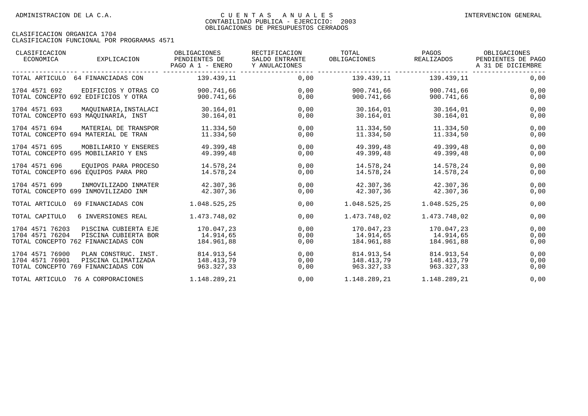| CLASIFICACION<br>ECONOMICA<br>EXPLICACION                                                                                | OBLIGACIONES<br>PENDIENTES DE<br>PAGO A 1 - ENERO | RECTIFICACION<br>SALDO ENTRANTE<br>Y ANULACIONES | TOTAL<br>OBLIGACIONES                  | PAGOS<br>REALIZADOS                    | OBLIGACIONES<br>PENDIENTES DE PAGO<br>A 31 DE DICIEMBRE |
|--------------------------------------------------------------------------------------------------------------------------|---------------------------------------------------|--------------------------------------------------|----------------------------------------|----------------------------------------|---------------------------------------------------------|
| TOTAL ARTICULO 64 FINANCIADAS CON                                                                                        | 139.439,11                                        | 0,00                                             | 139.439,11                             | 139.439,11                             | 0,00                                                    |
| 1704 4571 692<br>EDIFICIOS Y OTRAS CO<br>TOTAL CONCEPTO 692 EDIFICIOS Y OTRA                                             | 900.741,66<br>900.741,66                          | 0,00<br>0,00                                     | 900.741,66<br>900.741,66               | 900.741,66<br>900.741,66               | 0,00<br>0,00                                            |
| 1704 4571 693<br>MAOUINARIA, INSTALACI<br>TOTAL CONCEPTO 693 MAOUINARIA, INST                                            | 30.164,01<br>30.164,01                            | 0,00<br>0,00                                     | 30.164,01<br>30.164,01                 | 30.164,01<br>30.164,01                 | 0,00<br>0,00                                            |
| 1704 4571 694<br>MATERIAL DE TRANSPOR<br>TOTAL CONCEPTO 694 MATERIAL DE TRAN                                             | 11.334,50<br>11.334,50                            | 0,00<br>0,00                                     | 11.334,50<br>11.334,50                 | 11.334,50<br>11.334,50                 | 0,00<br>0,00                                            |
| 1704 4571 695<br>MOBILIARIO Y ENSERES<br>TOTAL CONCEPTO 695 MOBILIARIO Y ENS                                             | 49.399,48<br>49.399.48                            | 0,00<br>0,00                                     | 49.399,48<br>49.399.48                 | 49.399,48<br>49.399.48                 | 0,00<br>0,00                                            |
| 1704 4571 696<br>EOUIPOS PARA PROCESO<br>TOTAL CONCEPTO 696 EOUIPOS PARA PRO                                             | 14.578,24<br>14.578,24                            | 0,00<br>0,00                                     | 14.578,24<br>14.578,24                 | 14.578,24<br>14.578,24                 | 0,00<br>0,00                                            |
| 1704 4571 699<br>INMOVILIZADO INMATER<br>TOTAL CONCEPTO 699 INMOVILIZADO INM                                             | 42.307,36<br>42.307.36                            | 0,00<br>0,00                                     | 42.307,36<br>42.307,36                 | 42.307,36<br>42.307,36                 | 0,00<br>0,00                                            |
| TOTAL ARTICULO<br>69 FINANCIADAS CON                                                                                     | 1.048.525,25                                      | 0,00                                             | 1.048.525,25                           | 1.048.525,25                           | 0,00                                                    |
| TOTAL CAPITULO<br>6 INVERSIONES REAL                                                                                     | 1.473.748,02                                      | 0,00                                             | 1.473.748,02                           | 1.473.748,02                           | 0,00                                                    |
| 1704 4571 76203<br>PÌSCINA CUBIERTA EJE<br>1704 4571 76204<br>PISCINA CUBIERTA BOR<br>TOTAL CONCEPTO 762 FINANCIADAS CON | 170.047.23<br>14.914,65<br>184.961,88             | 0,00<br>0,00<br>0,00                             | 170.047.23<br>14.914,65<br>184.961,88  | 170.047,23<br>14.914,65<br>184.961,88  | 0,00<br>0,00<br>0,00                                    |
| 1704 4571 76900<br>PLAN CONSTRUC. INST.<br>1704 4571 76901<br>PISCINA CLIMATIZADA<br>TOTAL CONCEPTO 769 FINANCIADAS CON  | 814.913,54<br>148.413.79<br>963.327,33            | 0,00<br>0,00<br>0,00                             | 814.913,54<br>148.413,79<br>963.327,33 | 814.913,54<br>148.413,79<br>963.327,33 | 0,00<br>0,00<br>0,00                                    |
| TOTAL ARTICULO 76 A CORPORACIONES                                                                                        | 1.148.289,21                                      | 0,00                                             | 1.148.289,21                           | 1.148.289,21                           | 0,00                                                    |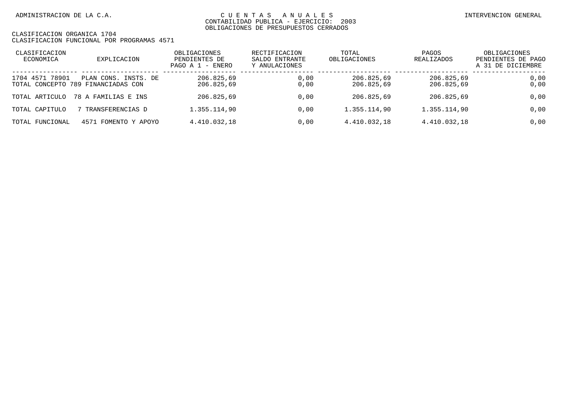| CLASIFICACION<br>ECONOMICA | EXPLICACION                                                | OBLIGACIONES<br>PENDIENTES DE<br>PAGO A 1 - ENERO | RECTIFICACION<br>SALDO ENTRANTE<br>Y ANULACIONES | TOTAL<br>OBLIGACIONES    | PAGOS<br>REALIZADOS      | OBLIGACIONES<br>PENDIENTES DE PAGO<br>A 31 DE DICIEMBRE |
|----------------------------|------------------------------------------------------------|---------------------------------------------------|--------------------------------------------------|--------------------------|--------------------------|---------------------------------------------------------|
| 1704 4571 78901            | PLAN CONS. INSTS. DE<br>TOTAL CONCEPTO 789 FINANCIADAS CON | 206.825,69<br>206.825,69                          | 0,00<br>0.00                                     | 206.825,69<br>206.825,69 | 206.825,69<br>206.825,69 | 0,00<br>0,00                                            |
| TOTAL ARTICULO             | 78 A FAMILIAS E INS                                        | 206.825,69                                        | 0.00                                             | 206.825,69               | 206.825,69               | 0,00                                                    |
| TOTAL CAPITULO             | TRANSFERENCIAS D                                           | 1.355.114,90                                      | 0.00                                             | 1.355.114.90             | 1.355.114,90             | 0,00                                                    |
| TOTAL FUNCIONAL            | 4571 FOMENTO Y APOYO                                       | 4.410.032,18                                      | 0.00                                             | 4.410.032.18             | 4.410.032,18             | 0,00                                                    |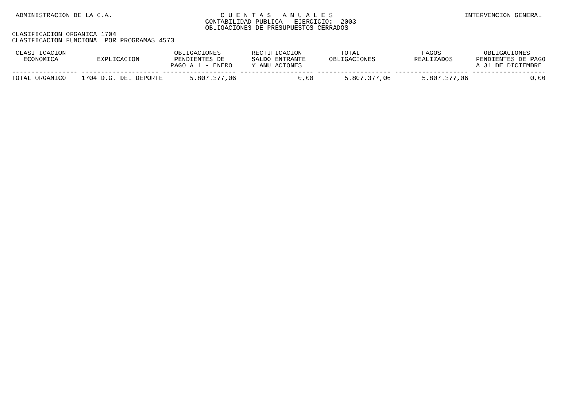| CLASIFICACION<br>ECONOMICA | EXPLICACION           | OBLIGACIONES<br>PENDIENTES DE<br>PAGO A $1$ - ENERO | RECTIFICACION<br>SALDO ENTRANTE<br>Y ANULACIONES | TOTAL<br>OBLIGACIONES | PAGOS<br><b>REALIZADOS</b> | OBLIGACIONES<br>PENDIENTES DE PAGO<br>A 31 DE DICIEMBRE |
|----------------------------|-----------------------|-----------------------------------------------------|--------------------------------------------------|-----------------------|----------------------------|---------------------------------------------------------|
| TOTAL ORGANICO             | 1704 D.G. DEL DEPORTE | 5.807.377,06                                        | 0.00                                             | 5.807.377.06          | 5.807.377.06               | ,00                                                     |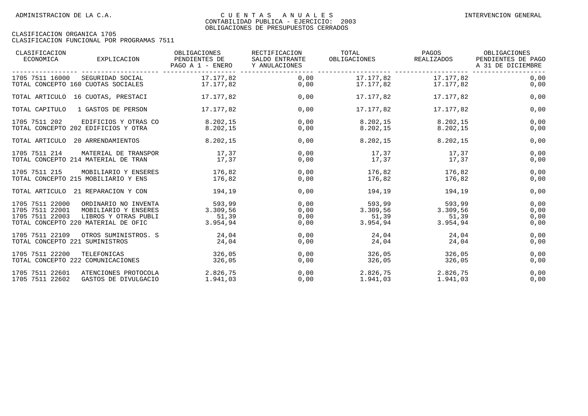| CLASIFICACION<br>ECONOMICA                                                                   | EXPLICACION                                                          | OBLIGACIONES<br>PENDIENTES DE<br>PAGO A 1 - ENERO | RECTIFICACION<br>SALDO ENTRANTE<br>Y ANULACIONES | TOTAL<br>OBLIGACIONES                   | PAGOS<br>REALIZADOS                     | OBLIGACIONES<br>PENDIENTES DE PAGO<br>A 31 DE DICIEMBRE |
|----------------------------------------------------------------------------------------------|----------------------------------------------------------------------|---------------------------------------------------|--------------------------------------------------|-----------------------------------------|-----------------------------------------|---------------------------------------------------------|
| 1705 7511 16000<br>TOTAL CONCEPTO 160 CUOTAS SOCIALES                                        | SEGURIDAD SOCIAL                                                     | 17.177,82<br>17.177,82                            | 0,00<br>0,00                                     | 17.177,82                               | 17.177,82 17.177,82<br>17.177,82        | 0,00<br>0,00                                            |
| TOTAL ARTICULO 16 CUOTAS, PRESTACI                                                           |                                                                      | 17.177.82                                         | 0,00                                             | 17.177.82                               | 17.177.82                               | 0,00                                                    |
| TOTAL CAPITULO                                                                               | 1 GASTOS DE PERSON                                                   | 17.177.82                                         | 0,00                                             | 17.177.82                               | 17.177.82                               | 0,00                                                    |
| 1705 7511 202<br>TOTAL CONCEPTO 202 EDIFICIOS Y OTRA                                         | EDIFICIOS Y OTRAS CO                                                 | 8.202,15<br>8.202.15                              | 0,00<br>0,00                                     | 8.202, 15<br>8.202,15                   | 8.202,15<br>8.202,15                    | 0,00<br>0,00                                            |
| TOTAL ARTICULO 20 ARRENDAMIENTOS                                                             |                                                                      | 8.202,15                                          | 0,00                                             | 8.202, 15                               | 8.202,15                                | 0,00                                                    |
| 1705 7511 214<br>TOTAL CONCEPTO 214 MATERIAL DE TRAN                                         | MATERIAL DE TRANSPOR                                                 | 17,37<br>17,37                                    | 0,00<br>0,00                                     | 17,37<br>17,37                          | 17,37<br>17,37                          | 0,00<br>0,00                                            |
| 1705 7511 215<br>TOTAL CONCEPTO 215 MOBILIARIO Y ENS                                         | MOBILIARIO Y ENSERES                                                 | 176,82<br>176,82                                  | 0,00<br>0,00                                     | 176,82<br>176,82                        | 176,82<br>176,82                        | 0,00<br>0,00                                            |
| TOTAL ARTICULO 21 REPARACION Y CON                                                           |                                                                      | 194,19                                            | 0,00                                             | 194,19                                  | 194,19                                  | 0,00                                                    |
| 1705 7511 22000<br>1705 7511 22001<br>1705 7511 22003<br>TOTAL CONCEPTO 220 MATERIAL DE OFIC | ORDINARIO NO INVENTA<br>MOBILIARIO Y ENSERES<br>LIBROS Y OTRAS PUBLI | 593,99<br>3.309,56<br>51,39<br>3.954,94           | 0,00<br>0,00<br>0,00<br>0,00                     | 593,99<br>3.309,56<br>51,39<br>3.954,94 | 593,99<br>3.309,56<br>51,39<br>3.954,94 | 0,00<br>0,00<br>0,00<br>0,00                            |
| 1705 7511 22109<br>TOTAL CONCEPTO 221 SUMINISTROS                                            | OTROS SUMINISTROS. S                                                 | 24,04<br>24,04                                    | 0,00<br>0,00                                     | 24,04<br>24,04                          | 24,04<br>24,04                          | 0,00<br>0,00                                            |
| 1705 7511 22200<br>TOTAL CONCEPTO 222 COMUNICACIONES                                         | TELEFONICAS                                                          | 326,05<br>326,05                                  | 0,00<br>0,00                                     | 326,05<br>326,05                        | 326,05<br>326,05                        | 0,00<br>0,00                                            |
| 1705 7511 22601<br>1705 7511 22602                                                           | ATENCIONES PROTOCOLA<br>GASTOS DE DIVULGACIO                         | 2.826,75<br>1.941,03                              | 0,00<br>0,00                                     | 2.826,75<br>1.941,03                    | 2.826,75<br>1.941,03                    | 0,00<br>0,00                                            |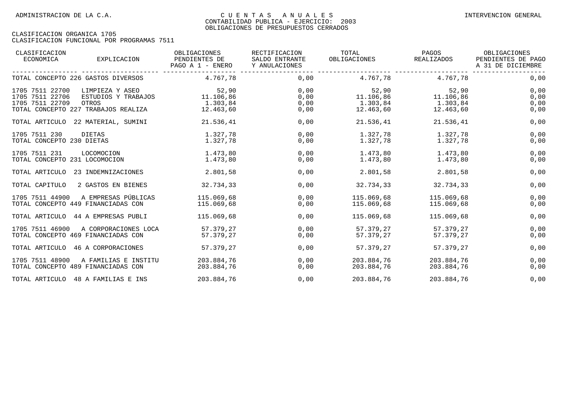| CLASIFICACION<br>ECONOMICA                            | EXPLICACION                                                                            | OBLIGACIONES<br>PENDIENTES DE<br>PAGO A 1 - ENERO | RECTIFICACION<br>SALDO ENTRANTE<br>Y ANULACIONES | TOTAL<br>OBLIGACIONES                       | PAGOS<br>REALIZADOS                         | OBLIGACIONES<br>PENDIENTES DE PAGO<br>A 31 DE DICIEMBRE |
|-------------------------------------------------------|----------------------------------------------------------------------------------------|---------------------------------------------------|--------------------------------------------------|---------------------------------------------|---------------------------------------------|---------------------------------------------------------|
|                                                       | TOTAL CONCEPTO 226 GASTOS DIVERSOS 4.767,78                                            |                                                   | 0,00                                             |                                             | 4.767,78 4.767,78                           | 0,00                                                    |
| 1705 7511 22700<br>1705 7511 22706<br>1705 7511 22709 | LIMPIEZA Y ASEO<br>ESTUDIOS Y TRABAJOS<br>OTROS<br>TOTAL CONCEPTO 227 TRABAJOS REALIZA | 52,90<br>11.106,86<br>1.303,84<br>12.463,60       | 0,00<br>0,00<br>0,00<br>0,00                     | 52,90<br>11.106,86<br>1.303,84<br>12.463,60 | 52,90<br>11.106,86<br>1.303,84<br>12.463,60 | 0,00<br>0,00<br>0,00<br>0,00                            |
|                                                       | TOTAL ARTICULO 22 MATERIAL, SUMINI                                                     | 21.536,41                                         | 0,00                                             | 21.536,41                                   | 21.536,41                                   | 0,00                                                    |
| 1705 7511 230<br>TOTAL CONCEPTO 230 DIETAS            | DIETAS                                                                                 | 1.327,78<br>1.327,78                              | 0,00<br>0,00                                     | 1.327,78<br>1.327,78                        | 1.327,78<br>1.327,78                        | 0,00<br>0,00                                            |
| 1705 7511 231<br>TOTAL CONCEPTO 231 LOCOMOCION        | LOCOMOCION                                                                             | 1.473,80<br>1.473,80                              | 0,00<br>0,00                                     | 1.473,80<br>1.473,80                        | 1.473,80<br>1.473,80                        | 0,00<br>0,00                                            |
| TOTAL ARTICULO                                        | 23 INDEMNIZACIONES                                                                     | 2.801,58                                          | 0,00                                             | 2.801,58                                    | 2.801,58                                    | 0,00                                                    |
| TOTAL CAPITULO                                        | 2 GASTOS EN BIENES                                                                     | 32.734,33                                         | 0,00                                             | 32.734,33                                   | 32.734,33                                   | 0,00                                                    |
| 1705 7511 44900                                       | A EMPRESAS PÚBLICAS<br>TOTAL CONCEPTO 449 FINANCIADAS CON                              | 115.069,68<br>115.069,68                          | 0,00<br>0,00                                     | 115.069,68<br>115.069,68                    | 115.069,68<br>115.069,68                    | 0,00<br>0,00                                            |
|                                                       | TOTAL ARTICULO 44 A EMPRESAS PUBLI                                                     | 115.069,68                                        | 0,00                                             | 115.069,68                                  | 115.069,68                                  | 0,00                                                    |
| 1705 7511 46900                                       | A CORPORACIONES LOCA<br>TOTAL CONCEPTO 469 FINANCIADAS CON                             | 57.379.27<br>57.379,27                            | 0,00<br>0,00                                     | 57.379.27<br>57.379,27                      | 57.379.27<br>57.379,27                      | 0,00<br>0,00                                            |
|                                                       | TOTAL ARTICULO 46 A CORPORACIONES                                                      | 57.379,27                                         | 0,00                                             | 57.379,27                                   | 57.379,27                                   | 0,00                                                    |
| 1705 7511 48900                                       | A FAMILIAS E INSTITU<br>TOTAL CONCEPTO 489 FINANCIADAS CON                             | 203.884,76<br>203.884,76                          | 0,00<br>0,00                                     | 203.884,76<br>203.884,76                    | 203.884,76<br>203.884,76                    | 0,00<br>0,00                                            |
| TOTAL ARTICULO                                        | 48 A FAMILIAS E INS                                                                    | 203.884,76                                        | 0,00                                             | 203.884,76                                  | 203.884,76                                  | 0,00                                                    |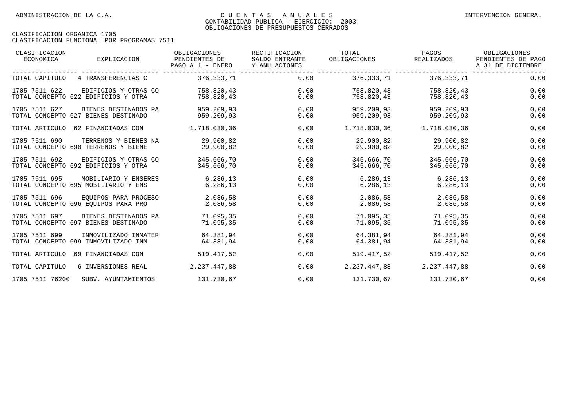| CLASIFICACION<br>ECONOMICA | EXPLICACION                                                 | OBLIGACIONES<br>PENDIENTES DE<br>PAGO A 1 - ENERO | RECTIFICACION<br>SALDO ENTRANTE<br>Y ANULACIONES | TOTAL<br>OBLIGACIONES    | PAGOS<br>REALIZADOS                     | OBLIGACIONES<br>PENDIENTES DE PAGO<br>A 31 DE DICIEMBRE |
|----------------------------|-------------------------------------------------------------|---------------------------------------------------|--------------------------------------------------|--------------------------|-----------------------------------------|---------------------------------------------------------|
| TOTAL CAPITULO             | 4 TRANSFERENCIAS C                                          | 376.333,71                                        | 0,00                                             | 376.333,71               | ___ _ ___________________<br>376.333,71 | 0,00                                                    |
| 1705 7511 622              | EDIFICIOS Y OTRAS CO<br>TOTAL CONCEPTO 622 EDIFICIOS Y OTRA | 758.820.43<br>758.820,43                          | 0,00<br>0,00                                     | 758.820,43<br>758.820,43 | 758.820,43<br>758.820,43                | 0,00<br>0,00                                            |
| 1705 7511 627              | BIENES DESTINADOS PA<br>TOTAL CONCEPTO 627 BIENES DESTINADO | 959.209,93<br>959.209,93                          | 0,00<br>0,00                                     | 959.209,93<br>959.209,93 | 959.209,93<br>959.209,93                | 0,00<br>0,00                                            |
|                            | TOTAL ARTICULO 62 FINANCIADAS CON                           | 1.718.030,36                                      | 0,00                                             | 1.718.030,36             | 1.718.030,36                            | 0,00                                                    |
| 1705 7511 690              | TERRENOS Y BIENES NA<br>TOTAL CONCEPTO 690 TERRENOS Y BIENE | 29.900.82<br>29.900,82                            | 0,00<br>0,00                                     | 29.900.82<br>29.900,82   | 29.900,82<br>29.900,82                  | 0,00<br>0,00                                            |
| 1705 7511 692              | EDIFICIOS Y OTRAS CO<br>TOTAL CONCEPTO 692 EDIFICIOS Y OTRA | 345.666,70<br>345.666,70                          | 0,00<br>0,00                                     | 345.666,70<br>345.666,70 | 345.666,70<br>345.666,70                | 0,00<br>0,00                                            |
| 1705 7511 695              | MOBILIARIO Y ENSERES<br>TOTAL CONCEPTO 695 MOBILIARIO Y ENS | 6.286, 13<br>6.286,13                             | 0,00<br>0,00                                     | 6.286,13<br>6.286, 13    | 6.286, 13<br>6.286,13                   | 0,00<br>0,00                                            |
| 1705 7511 696              | EOUIPOS PARA PROCESO<br>TOTAL CONCEPTO 696 EOUIPOS PARA PRO | 2.086,58<br>2.086,58                              | 0,00<br>0,00                                     | 2.086,58<br>2.086,58     | 2.086,58<br>2.086,58                    | 0,00<br>0,00                                            |
| 1705 7511 697              | BIENES DESTINADOS PA<br>TOTAL CONCEPTO 697 BIENES DESTINADO | 71.095.35<br>71.095,35                            | 0,00<br>0,00                                     | 71.095,35<br>71.095,35   | 71.095.35<br>71.095,35                  | 0,00<br>0,00                                            |
| 1705 7511 699              | INMOVILIZADO INMATER<br>TOTAL CONCEPTO 699 INMOVILIZADO INM | 64.381,94<br>64.381,94                            | 0,00<br>0,00                                     | 64.381,94<br>64.381,94   | 64.381,94<br>64.381,94                  | 0,00<br>0,00                                            |
| TOTAL ARTICULO             | 69 FINANCIADAS CON                                          | 519.417,52                                        | 0,00                                             | 519.417,52               | 519.417,52                              | 0,00                                                    |
| TOTAL CAPITULO             | 6 INVERSIONES REAL                                          | 2.237.447,88                                      | 0,00                                             | 2.237.447,88             | 2.237.447,88                            | 0,00                                                    |
| 1705 7511 76200            | SUBV. AYUNTAMIENTOS                                         | 131.730,67                                        | 0,00                                             | 131.730,67               | 131.730,67                              | 0,00                                                    |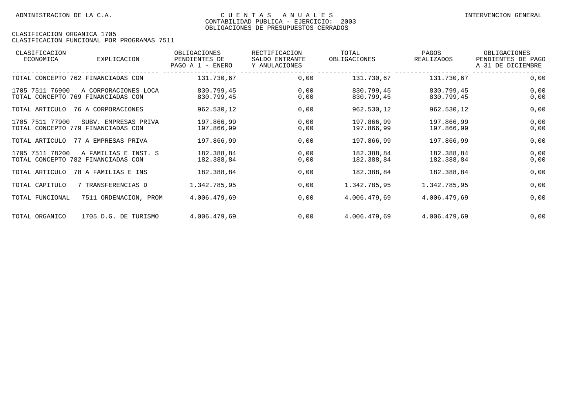| CLASIFICACION<br>ECONOMICA | EXPLICACION                                                | OBLIGACIONES<br>PENDIENTES DE<br>PAGO A 1 - ENERO | RECTIFICACION<br>SALDO ENTRANTE<br>Y ANULACIONES | TOTAL<br>OBLIGACIONES    | PAGOS<br>REALIZADOS      | OBLIGACIONES<br>PENDIENTES DE PAGO<br>A 31 DE DICIEMBRE |
|----------------------------|------------------------------------------------------------|---------------------------------------------------|--------------------------------------------------|--------------------------|--------------------------|---------------------------------------------------------|
|                            | TOTAL CONCEPTO 762 FINANCIADAS CON                         | 131.730,67                                        | 0,00                                             | 131.730,67               | 131.730,67               | 0,00                                                    |
| 1705 7511 76900            | A CORPORACIONES LOCA<br>TOTAL CONCEPTO 769 FINANCIADAS CON | 830.799,45<br>830.799,45                          | 0,00<br>0,00                                     | 830.799,45<br>830.799,45 | 830.799,45<br>830.799,45 | 0,00<br>0,00                                            |
| TOTAL ARTICULO             | 76 A CORPORACIONES                                         | 962.530,12                                        | 0,00                                             | 962.530,12               | 962.530,12               | 0,00                                                    |
| 1705 7511 77900            | SUBV. EMPRESAS PRIVA<br>TOTAL CONCEPTO 779 FINANCIADAS CON | 197.866,99<br>197.866,99                          | 0,00<br>0,00                                     | 197.866,99<br>197.866,99 | 197.866,99<br>197.866,99 | 0,00<br>0,00                                            |
| TOTAL ARTICULO             | 77 A EMPRESAS PRIVA                                        | 197.866,99                                        | 0,00                                             | 197.866,99               | 197.866,99               | 0,00                                                    |
| 1705 7511 78200            | A FAMILIAS E INST. S<br>TOTAL CONCEPTO 782 FINANCIADAS CON | 182.388,84<br>182.388,84                          | 0,00<br>0,00                                     | 182.388,84<br>182.388,84 | 182.388,84<br>182.388,84 | 0,00<br>0,00                                            |
| TOTAL ARTICULO             | 78 A FAMILIAS E INS                                        | 182.388,84                                        | 0,00                                             | 182.388,84               | 182.388,84               | 0,00                                                    |
| TOTAL CAPITULO             | 7 TRANSFERENCIAS D                                         | 1.342.785,95                                      | 0,00                                             | 1.342.785,95             | 1.342.785,95             | 0,00                                                    |
| TOTAL FUNCIONAL            | 7511 ORDENACION, PROM                                      | 4.006.479,69                                      | 0,00                                             | 4.006.479,69             | 4.006.479,69             | 0,00                                                    |
| TOTAL ORGANICO             | 1705 D.G. DE TURISMO                                       | 4.006.479,69                                      | 0,00                                             | 4.006.479,69             | 4.006.479,69             | 0,00                                                    |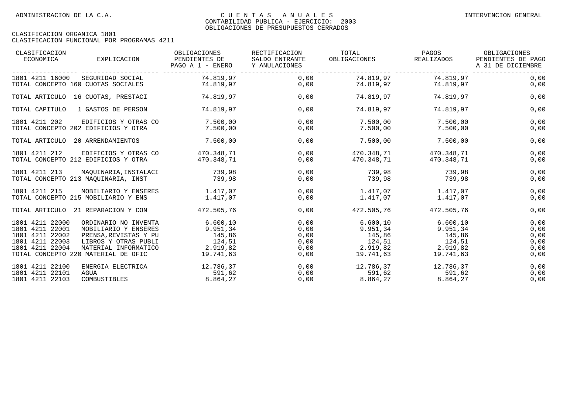| CLASIFICACION<br>ECONOMICA                                                                                                         | EXPLICACION                                                                                                           | OBLIGACIONES<br>PENDIENTES DE<br>PAGO A 1 - ENERO                  | RECTIFICACION<br>SALDO ENTRANTE<br>Y ANULACIONES | TOTAL<br>OBLIGACIONES                                   | PAGOS<br>REALIZADOS                                                             | OBLIGACIONES<br>PENDIENTES DE PAGO<br>A 31 DE DICIEMBRE |
|------------------------------------------------------------------------------------------------------------------------------------|-----------------------------------------------------------------------------------------------------------------------|--------------------------------------------------------------------|--------------------------------------------------|---------------------------------------------------------|---------------------------------------------------------------------------------|---------------------------------------------------------|
| 1801 4211 16000<br>TOTAL CONCEPTO 160 CUOTAS SOCIALES                                                                              | SEGURIDAD SOCIAL                                                                                                      | 74.819,97<br>74.819,97                                             | 0,00<br>0,00                                     | 74.819,97<br>74.819,97                                  | 74.819,97<br>74.819,97                                                          | 0,00<br>0,00                                            |
| TOTAL ARTICULO 16 CUOTAS, PRESTACI                                                                                                 |                                                                                                                       | 74.819,97                                                          | 0,00                                             | 74.819,97                                               | 74.819,97                                                                       | 0,00                                                    |
| TOTAL CAPITULO                                                                                                                     | 1 GASTOS DE PERSON                                                                                                    | 74.819.97                                                          | 0,00                                             | 74.819.97                                               | 74.819.97                                                                       | 0,00                                                    |
| 1801 4211 202<br>TOTAL CONCEPTO 202 EDIFICIOS Y OTRA                                                                               | EDIFICIOS Y OTRAS CO                                                                                                  | 7.500,00<br>7.500.00                                               | 0,00<br>0,00                                     | 7.500,00<br>7.500,00                                    | 7.500,00<br>7.500,00                                                            | 0,00<br>0,00                                            |
| TOTAL ARTICULO 20 ARRENDAMIENTOS                                                                                                   |                                                                                                                       | 7.500,00                                                           | 0,00                                             | 7.500,00                                                | 7.500,00                                                                        | 0,00                                                    |
| 1801 4211 212<br>TOTAL CONCEPTO 212 EDIFICIOS Y OTRA                                                                               | EDIFICIOS Y OTRAS CO                                                                                                  | 470.348,71<br>470.348.71                                           | 0,00<br>0,00                                     | 470.348,71<br>470.348.71                                | 470.348,71<br>470.348.71                                                        | 0,00<br>0,00                                            |
| 1801 4211 213<br>TOTAL CONCEPTO 213 MAOUINARIA, INST                                                                               | MAOUINARIA, INSTALACI                                                                                                 | 739,98<br>739,98                                                   | 0,00<br>0,00                                     | 739,98<br>739,98                                        | 739,98<br>739,98                                                                | 0,00<br>0,00                                            |
| 1801 4211 215<br>TOTAL CONCEPTO 215 MOBILIARIO Y ENS                                                                               | MOBILIARIO Y ENSERES 1.417,07                                                                                         | 1.417.07                                                           | 0,00<br>0,00                                     | $1.417,07$ $1.417,07$<br>$1.417,07$ $1.417,07$          |                                                                                 | 0,00<br>0,00                                            |
| TOTAL ARTICULO 21 REPARACION Y CON                                                                                                 |                                                                                                                       | 472.505,76                                                         | 0,00                                             | 472.505,76                                              | 472.505,76                                                                      | 0,00                                                    |
| 1801 4211 22000<br>1801 4211 22001<br>1801 4211 22002<br>1801 4211 22003<br>1801 4211 22004<br>TOTAL CONCEPTO 220 MATERIAL DE OFIC | ORDINARIO NO INVENTA<br>MOBILIARIO Y ENSERES<br>PRENSA, REVISTAS Y PU<br>LIBROS Y OTRAS PUBLI<br>MATERIAL INFORMATICO | 6.600, 10<br>9.951,34<br>145,86<br>124,51<br>2.919,82<br>19.741,63 | 0,00<br>0,00<br>0,00<br>0,00<br>0,00<br>0,00     | 6.600, 10<br>9.951, 34<br>145,86<br>124,51<br>19.741,63 | 6.600, 10<br>9.951.34<br>145,86<br>124,51<br>$2.919,82$ $2.919,82$<br>19.741,63 | 0,00<br>0,00<br>0,00<br>0,00<br>0,00<br>0,00            |
| 1801 4211 22100<br>1801 4211 22101<br>1801 4211 22103                                                                              | ENERGIA ELECTRICA<br>AGUA<br>COMBUSTIBLES                                                                             | 12.786,37<br>591,62<br>8.864,27                                    | 0,00<br>0,00<br>0,00                             | 591,62<br>8.864,27                                      | 12.786,37 12.786,37<br>591,62<br>8.864,27                                       | 0,00<br>0,00<br>0,00                                    |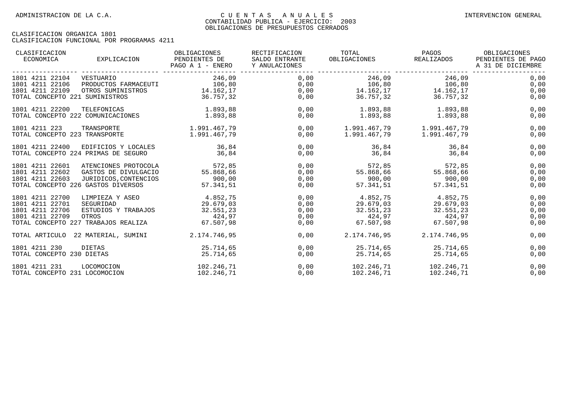| CLASIFICACION<br>ECONOMICA<br>EXPLICACION | OBLIGACIONES<br>PENDIENTES DE<br>PAGO A 1 - ENERO | RECTIFICACION<br>SALDO ENTRANTE<br>Y ANULACIONES | TOTAL<br>OBLIGACIONES      | PAGOS<br>REALIZADOS | OBLIGACIONES<br>PENDIENTES DE PAGO<br>A 31 DE DICIEMBRE |
|-------------------------------------------|---------------------------------------------------|--------------------------------------------------|----------------------------|---------------------|---------------------------------------------------------|
| 1801 4211 22104<br>VESTUARIO              | 246,09                                            | 0,00                                             | 246,09                     | 246,09              | 0,00                                                    |
| 1801 4211 22106<br>PRODUCTOS FARMACEUTI   | 106,80                                            | 0,00                                             | 106, 80                    | 106, 80             | 0,00                                                    |
| 1801 4211 22109<br>OTROS SUMINISTROS      | 14.162,17                                         |                                                  | $0,00$ 14.162,17 14.162,17 |                     | 0,00                                                    |
| TOTAL CONCEPTO 221 SUMINISTROS            | 36.757,32                                         | 0,00                                             | 36.757,32                  | 36.757,32           | 0,00                                                    |
| 1801 4211 22200<br>TELEFONICAS            | 1.893,88                                          | 0,00                                             | 1.893,88                   | 1.893,88            | 0,00                                                    |
| TOTAL CONCEPTO 222 COMUNICACIONES         | 1.893,88                                          | 0,00                                             | 1.893,88                   | 1.893,88            | 0,00                                                    |
| 1801 4211 223<br>TRANSPORTE               | 1.991.467,79                                      | 0,00                                             |                            |                     | 0,00                                                    |
| TOTAL CONCEPTO 223 TRANSPORTE             | 1.991.467,79                                      | 0,00                                             | 1.991.467,79               | 1.991.467.79        | 0,00                                                    |
| 1801 4211 22400<br>EDIFICIOS Y LOCALES    | 36,84                                             | 0,00                                             | 36,84                      | 36,84               | 0,00                                                    |
| TOTAL CONCEPTO 224 PRIMAS DE SEGURO       | 36,84                                             | 0,00                                             | 36,84                      | 36,84               | 0,00                                                    |
| 1801 4211 22601<br>ATENCIONES PROTOCOLA   | 572,85                                            | 0,00                                             | 572,85                     | 572,85              | 0,00                                                    |
| 1801 4211 22602<br>GASTOS DE DIVULGACIO   | 55.868,66                                         | 0,00                                             | 55.868,66                  | 55.868,66           | 0,00                                                    |
| 1801 4211 22603<br>JURIDICOS, CONTENCIOS  | 900,00                                            | 0,00                                             | 900,00                     | 900,00              | 0,00                                                    |
| TOTAL CONCEPTO 226 GASTOS DIVERSOS        | 57.341,51                                         | 0,00                                             | 57.341,51                  | 57.341,51           | 0,00                                                    |
| 1801 4211 22700<br>LIMPIEZA Y ASEO        | 4.852,75                                          | 0,00                                             | 4.852,75                   | 4.852,75            | 0,00                                                    |
| 1801 4211 22701<br>SEGURIDAD              | 29.679,03                                         | 0,00                                             | 29.679,03                  | 29.679,03           | 0,00                                                    |
| 1801 4211 22706<br>ESTUDIOS Y TRABAJOS    | 32.551,23                                         | 0,00                                             | 32.551,23                  | 32.551,23           | 0,00                                                    |
| 1801 4211 22709<br>OTROS                  | 424,97                                            | 0,00                                             | 424,97                     | 424,97              | 0,00                                                    |
| TOTAL CONCEPTO 227 TRABAJOS REALIZA       | 67.507.98                                         | 0,00                                             | 67.507.98                  | 67.507.98           | 0,00                                                    |
| TOTAL ARTICULO 22 MATERIAL, SUMINI        | 2.174.746,95                                      | 0,00                                             | 2.174.746,95               | 2.174.746,95        | 0,00                                                    |
| 1801 4211 230<br>DIETAS                   | 25.714,65                                         | 0,00                                             |                            | 25.714,65 25.714,65 | 0,00                                                    |
| TOTAL CONCEPTO 230 DIETAS                 | 25.714,65                                         | 0,00                                             | 25.714,65                  | 25.714,65           | 0,00                                                    |
| 1801 4211 231<br>LOCOMOCION               | 102.246,71                                        | 0.00                                             | 102.246,71                 | 102.246,71          | 0,00                                                    |
| TOTAL CONCEPTO 231 LOCOMOCION             | 102.246,71                                        | 0,00                                             | 102.246,71                 | 102.246,71          | 0,00                                                    |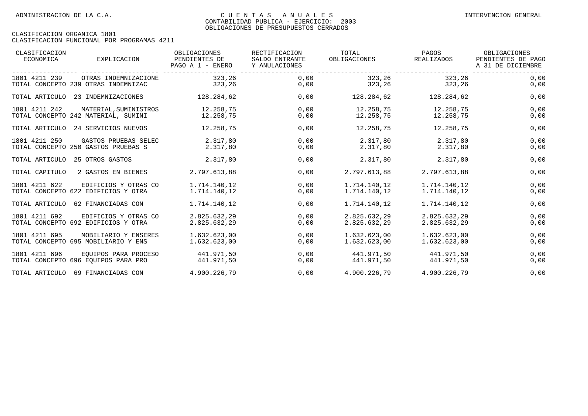| CLASIFICACION<br>ECONOMICA | EXPLICACION                         | OBLIGACIONES<br>PENDIENTES DE<br>PAGO A 1 - ENERO | RECTIFICACION<br>SALDO ENTRANTE<br>Y ANULACIONES | TOTAL<br>OBLIGACIONES | PAGOS<br>REALIZADOS | OBLIGACIONES<br>PENDIENTES DE PAGO<br>A 31 DE DICIEMBRE |
|----------------------------|-------------------------------------|---------------------------------------------------|--------------------------------------------------|-----------------------|---------------------|---------------------------------------------------------|
| 1801 4211 239              | OTRAS INDEMNIZACIONE                | 323,26                                            | 0,00                                             | 323,26                | 323,26              | 0,00                                                    |
|                            | TOTAL CONCEPTO 239 OTRAS INDEMNIZAC | 323,26                                            | 0,00                                             | 323,26                | 323,26              | 0,00                                                    |
|                            | TOTAL ARTICULO 23 INDEMNIZACIONES   | 128.284,62                                        | 0,00                                             | 128.284,62            | 128.284,62          | 0,00                                                    |
| 1801 4211 242              | MATERIAL, SUMINISTROS               | 12.258,75                                         | 0.00                                             | 12.258,75             | 12.258.75           | 0,00                                                    |
|                            | TOTAL CONCEPTO 242 MATERIAL, SUMINI | 12.258,75                                         | 0,00                                             | 12.258,75             | 12.258,75           | 0,00                                                    |
| TOTAL ARTICULO             | 24 SERVICIOS NUEVOS                 | 12.258,75                                         | 0,00                                             | 12.258,75             | 12.258,75           | 0,00                                                    |
| 1801 4211 250              | GASTOS PRUEBAS SELEC                | 2.317,80                                          | 0,00                                             | 2.317,80              | 2.317,80            | 0,00                                                    |
|                            | TOTAL CONCEPTO 250 GASTOS PRUEBAS S | 2.317,80                                          | 0,00                                             | 2.317,80              | 2.317,80            | 0,00                                                    |
| TOTAL ARTICULO             | 25 OTROS GASTOS                     | 2.317,80                                          | 0,00                                             | 2.317,80              | 2.317,80            | 0,00                                                    |
| TOTAL CAPITULO             | 2 GASTOS EN BIENES                  | 2.797.613,88                                      | 0,00                                             | 2.797.613,88          | 2.797.613.88        | 0,00                                                    |
| 1801 4211 622              | EDIFICIOS Y OTRAS CO                | 1.714.140,12                                      | 0,00                                             | 1.714.140,12          | 1.714.140,12        | 0,00                                                    |
|                            | TOTAL CONCEPTO 622 EDIFICIOS Y OTRA | 1.714.140,12                                      | 0,00                                             | 1.714.140,12          | 1.714.140,12        | 0,00                                                    |
| TOTAL ARTICULO             | 62 FINANCIADAS CON                  | 1.714.140,12                                      | 0,00                                             | 1.714.140,12          | 1.714.140,12        | 0,00                                                    |
| 1801 4211 692              | EDIFICIOS Y OTRAS CO                | 2.825.632,29                                      | 0,00                                             | 2.825.632,29          | 2.825.632,29        | 0,00                                                    |
|                            | TOTAL CONCEPTO 692 EDIFICIOS Y OTRA | 2.825.632,29                                      | 0,00                                             | 2.825.632,29          | 2.825.632,29        | 0,00                                                    |
| 1801 4211 695              | MOBILIARIO Y ENSERES                | 1.632.623,00                                      | 0.00                                             | 1.632.623,00          | 1.632.623,00        | 0,00                                                    |
|                            | TOTAL CONCEPTO 695 MOBILIARIO Y ENS | 1.632.623,00                                      | 0,00                                             | 1.632.623,00          | 1.632.623,00        | 0,00                                                    |
| 1801 4211 696              | EOUIPOS PARA PROCESO                | 441.971.50                                        | 0.00                                             | 441.971.50            | 441.971.50          | 0,00                                                    |
|                            | TOTAL CONCEPTO 696 EOUIPOS PARA PRO | 441.971,50                                        | 0,00                                             | 441.971,50            | 441.971,50          | 0,00                                                    |
|                            | TOTAL ARTICULO 69 FINANCIADAS CON   | 4.900.226,79                                      | 0,00                                             | 4.900.226,79          | 4.900.226,79        | 0,00                                                    |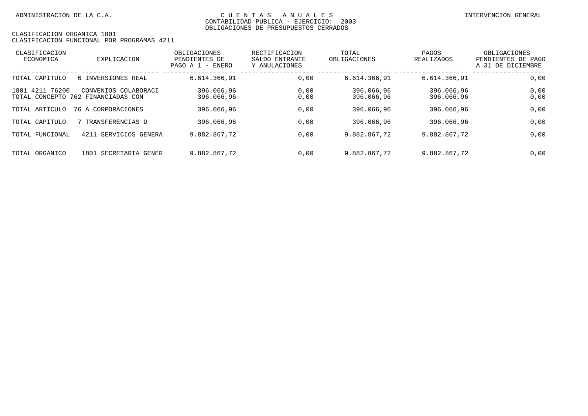| CLASIFICACION<br>ECONOMICA | EXPLICACION                                                | OBLIGACIONES<br>PENDIENTES DE<br>PAGO A $1$ -<br>ENERO | RECTIFICACION<br>SALDO ENTRANTE<br>Y ANULACIONES | TOTAL<br>OBLIGACIONES    | PAGOS<br><b>REALIZADOS</b> | OBLIGACIONES<br>PENDIENTES DE PAGO<br>A 31 DE DICIEMBRE |
|----------------------------|------------------------------------------------------------|--------------------------------------------------------|--------------------------------------------------|--------------------------|----------------------------|---------------------------------------------------------|
| TOTAL CAPITULO             | 6 INVERSIONES REAL                                         | 6.614.366,91                                           | 0,00                                             | 6.614.366,91             | 6.614.366,91               | 0,00                                                    |
| 1801 4211 76200            | CONVENIOS COLABORACI<br>TOTAL CONCEPTO 762 FINANCIADAS CON | 396.066,96<br>396.066.96                               | 0,00<br>0,00                                     | 396.066,96<br>396.066,96 | 396.066,96<br>396.066,96   | 0,00<br>0,00                                            |
| TOTAL ARTICULO             | 76 A CORPORACIONES                                         | 396.066.96                                             | 0,00                                             | 396.066,96               | 396.066.96                 | 0,00                                                    |
| TOTAL CAPITULO             | TRANSFERENCIAS D                                           | 396.066.96                                             | 0,00                                             | 396.066,96               | 396.066.96                 | 0,00                                                    |
| TOTAL FUNCIONAL            | 4211 SERVICIOS GENERA                                      | 9.882.867.72                                           | 0,00                                             | 9.882.867.72             | 9.882.867,72               | 0,00                                                    |
| TOTAL ORGANICO             | 1801 SECRETARIA GENER                                      | 9.882.867.72                                           | 0.00                                             | 9.882.867.72             | 9.882.867,72               | 0,00                                                    |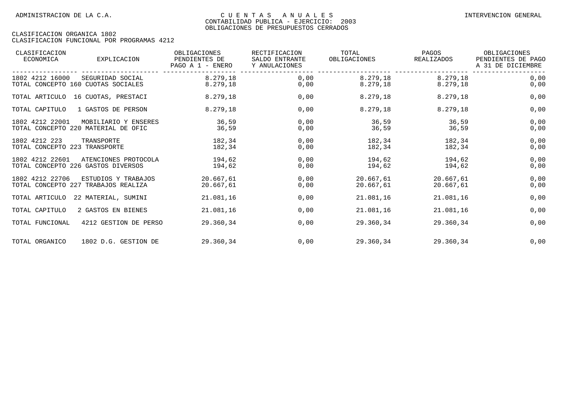| CLASIFICACION<br>ECONOMICA                     | <b>EXPLICACION</b>                                          | OBLIGACIONES<br>PENDIENTES DE<br>PAGO A 1 - ENERO | RECTIFICACION<br>SALDO ENTRANTE<br>Y ANULACIONES | TOTAL<br>OBLIGACIONES  | PAGOS<br>REALIZADOS    | OBLIGACIONES<br>PENDIENTES DE PAGO<br>A 31 DE DICIEMBRE |
|------------------------------------------------|-------------------------------------------------------------|---------------------------------------------------|--------------------------------------------------|------------------------|------------------------|---------------------------------------------------------|
| 1802 4212 16000                                | SEGURIDAD SOCIAL<br>TOTAL CONCEPTO 160 CUOTAS SOCIALES      | 8.279,18<br>8.279,18                              | 0,00<br>0,00                                     | 8.279,18<br>8.279,18   | 8.279,18<br>8.279,18   | 0,00<br>0,00                                            |
| TOTAL ARTICULO                                 | 16 CUOTAS, PRESTACI                                         | 8.279,18                                          | 0,00                                             | 8.279,18               | 8.279,18               | 0,00                                                    |
| TOTAL CAPITULO                                 | 1 GASTOS DE PERSON                                          | 8.279,18                                          | 0,00                                             | 8.279,18               | 8.279,18               | 0,00                                                    |
| 1802 4212 22001                                | MOBILIARIO Y ENSERES<br>TOTAL CONCEPTO 220 MATERIAL DE OFIC | 36,59<br>36,59                                    | 0,00<br>0,00                                     | 36,59<br>36,59         | 36,59<br>36,59         | 0,00<br>0,00                                            |
| 1802 4212 223<br>TOTAL CONCEPTO 223 TRANSPORTE | TRANSPORTE                                                  | 182,34<br>182,34                                  | 0,00<br>0,00                                     | 182,34<br>182,34       | 182,34<br>182,34       | 0,00<br>0,00                                            |
| 1802 4212 22601                                | ATENCIONES PROTOCOLA<br>TOTAL CONCEPTO 226 GASTOS DIVERSOS  | 194,62<br>194,62                                  | 0,00<br>0,00                                     | 194,62<br>194,62       | 194,62<br>194,62       | 0,00<br>0,00                                            |
| 1802 4212 22706                                | ESTUDIOS Y TRABAJOS<br>TOTAL CONCEPTO 227 TRABAJOS REALIZA  | 20.667,61<br>20.667,61                            | 0,00<br>0,00                                     | 20.667,61<br>20.667,61 | 20.667,61<br>20.667,61 | 0,00<br>0,00                                            |
| TOTAL ARTICULO                                 | 22 MATERIAL, SUMINI                                         | 21.081,16                                         | 0,00                                             | 21.081,16              | 21.081,16              | 0,00                                                    |
| TOTAL CAPITULO                                 | 2 GASTOS EN BIENES                                          | 21.081,16                                         | 0,00                                             | 21.081,16              | 21.081,16              | 0,00                                                    |
| TOTAL FUNCIONAL                                | 4212 GESTION DE PERSO                                       | 29.360,34                                         | 0,00                                             | 29.360,34              | 29.360,34              | 0,00                                                    |
| TOTAL ORGANICO                                 | 1802 D.G. GESTION DE                                        | 29.360,34                                         | 0,00                                             | 29.360,34              | 29.360,34              | 0,00                                                    |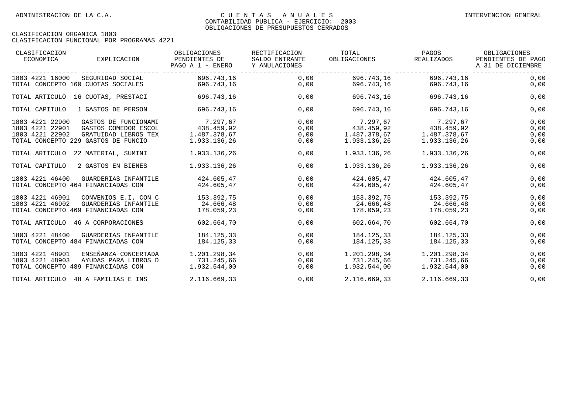| CLASIFICACION<br>ECONOMICA<br>EXPLICACION                                                                                                                            | OBLIGACIONES<br>PENDIENTES DE<br>PAGO A 1 - ENERO      | RECTIFICACION<br>SALDO ENTRANTE<br>Y ANULACIONES | TOTAL<br>OBLIGACIONES                                  | PAGOS<br>REALIZADOS                                    | OBLIGACIONES<br>PENDIENTES DE PAGO<br>A 31 DE DICIEMBRE |
|----------------------------------------------------------------------------------------------------------------------------------------------------------------------|--------------------------------------------------------|--------------------------------------------------|--------------------------------------------------------|--------------------------------------------------------|---------------------------------------------------------|
| 1803 4221 16000<br>SEGURIDAD SOCIAL<br>TOTAL CONCEPTO 160 CUOTAS SOCIALES                                                                                            | 696.743.16<br>696.743,16                               | 0.00<br>0,00                                     | 696.743,16<br>696.743.16                               | 696.743.16<br>696.743.16                               | 0,00<br>0,00                                            |
| TOTAL ARTICULO 16 CUOTAS, PRESTACI                                                                                                                                   | 696.743,16                                             | 0,00                                             | 696.743,16                                             | 696.743,16                                             | 0,00                                                    |
| TOTAL CAPITULO<br>1 GASTOS DE PERSON                                                                                                                                 | 696.743,16                                             | 0,00                                             | 696.743.16                                             | 696.743,16                                             | 0,00                                                    |
| 1803 4221 22900<br>GASTOS DE FUNCIONAMI<br>1803 4221 22901<br>GASTOS COMEDOR ESCOL<br>1803 4221 22902<br>GRATUIDAD LIBROS TEX<br>TOTAL CONCEPTO 229 GASTOS DE FUNCIO | 7.297,67<br>438.459,92<br>1.487.378,67<br>1.933.136,26 | 0,00<br>0,00<br>0,00<br>0,00                     | 7.297,67<br>438.459,92<br>1.487.378,67<br>1.933.136,26 | 7.297,67<br>438.459,92<br>1.487.378,67<br>1.933.136,26 | 0,00<br>0,00<br>0,00<br>0,00                            |
| TOTAL ARTICULO<br>22 MATERIAL, SUMINI                                                                                                                                | 1.933.136,26                                           | 0,00                                             | 1.933.136,26                                           | 1.933.136,26                                           | 0,00                                                    |
| TOTAL CAPITULO<br>2 GASTOS EN BIENES                                                                                                                                 | 1.933.136,26                                           | 0,00                                             | 1.933.136,26                                           | 1.933.136,26                                           | 0,00                                                    |
| 1803 4221 46400<br>GUARDERIAS INFANTILE<br>TOTAL CONCEPTO 464 FINANCIADAS CON                                                                                        | 424.605,47<br>424.605,47                               | 0,00<br>0,00                                     | 424.605,47<br>424.605,47                               | 424.605,47<br>424.605,47                               | 0,00<br>0,00                                            |
| 1803 4221 46901<br>CONVENIOS E.I. CON C<br>1803 4221 46902<br>GUARDERIAS INFANTILE<br>TOTAL CONCEPTO 469 FINANCIADAS CON                                             | 153.392,75<br>24.666,48<br>178.059,23                  | 0,00<br>0,00<br>0,00                             | 153.392.75<br>24.666,48<br>178.059,23                  | 153.392.75<br>24.666,48<br>178.059,23                  | 0,00<br>0,00<br>0,00                                    |
| TOTAL ARTICULO 46 A CORPORACIONES                                                                                                                                    | 602.664,70                                             | 0,00                                             | 602.664,70                                             | 602.664,70                                             | 0,00                                                    |
| 1803 4221 48400<br>GUARDERIAS INFANTILE<br>TOTAL CONCEPTO 484 FINANCIADAS CON                                                                                        | 184.125,33<br>184.125,33                               | 0,00<br>0,00                                     | 184.125,33<br>184.125,33                               | 184.125,33<br>184.125,33                               | 0,00<br>0,00                                            |
| ENSEÑANZA CONCERTADA<br>1803 4221 48901<br>1803 4221 48903<br>AYUDAS PARA LIBROS D<br>TOTAL CONCEPTO 489 FINANCIADAS CON                                             | 1.201.298.34<br>731.245,66<br>1.932.544,00             | 0,00<br>0,00<br>0,00                             | 1.201.298.34<br>731.245,66<br>1.932.544,00             | 1.201.298,34<br>731.245,66<br>1.932.544,00             | 0,00<br>0,00<br>0,00                                    |
| TOTAL ARTICULO 48 A FAMILIAS E INS                                                                                                                                   | 2.116.669,33                                           | 0,00                                             | 2.116.669,33                                           | 2.116.669,33                                           | 0,00                                                    |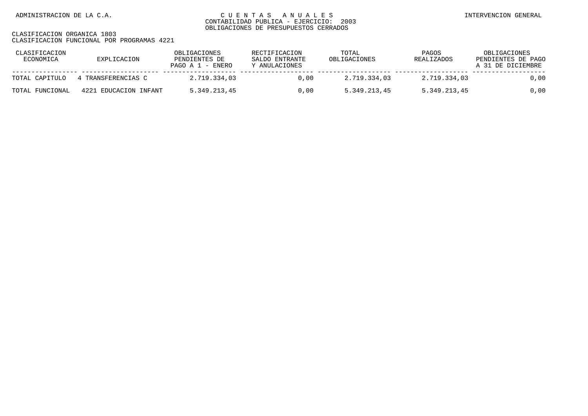| CLASIFICACION<br>ECONOMICA | EXPLICACION           | OBLIGACIONES<br>PENDIENTES DE<br>PAGO A $1$ – ENERO | RECTIFICACION<br>SALDO ENTRANTE<br>Y ANULACIONES | TOTAL<br>OBLIGACIONES | PAGOS<br>REALIZADOS | OBLIGACIONES<br>PENDIENTES DE PAGO<br>A 31 DE DICIEMBRE |
|----------------------------|-----------------------|-----------------------------------------------------|--------------------------------------------------|-----------------------|---------------------|---------------------------------------------------------|
| TOTAL CAPITULO             | 4 TRANSFERENCIAS C    | 2.719.334.03                                        | 0.00                                             | 2.719.334.03          | 2.719.334.03        | 0,00                                                    |
| TOTAL FUNCIONAL            | 4221 EDUCACION INFANT | 5.349.213,45                                        | 0.00                                             | 5.349.213.45          | 5.349.213,45        | 0,00                                                    |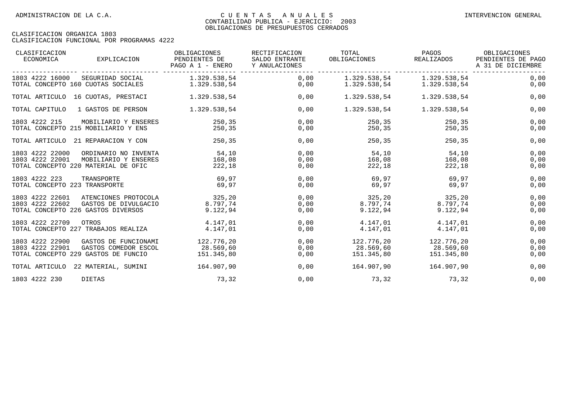| CLASIFICACION<br>ECONOMICA                     | EXPLICACION                                                                         | OBLIGACIONES<br>PENDIENTES DE<br>PAGO A 1 - ENERO | RECTIFICACION<br>SALDO ENTRANTE<br>Y ANULACIONES | TOTAL<br>OBLIGACIONES                                              | PAGOS<br>REALIZADOS                       | OBLIGACIONES<br>PENDIENTES DE PAGO<br>A 31 DE DICIEMBRE |
|------------------------------------------------|-------------------------------------------------------------------------------------|---------------------------------------------------|--------------------------------------------------|--------------------------------------------------------------------|-------------------------------------------|---------------------------------------------------------|
| 1803 4222 16000                                | SEGURIDAD SOCIAL 1.329.538,54<br>TOTAL CONCEPTO 160 CUOTAS SOCIALES                 | 1.329.538,54                                      | 0,00<br>0,00                                     | 1.329.538,54                                                       | 1.329.538,54<br>1.329.538,54 1.329.538,54 | 0,00<br>0,00                                            |
|                                                | TOTAL ARTICULO 16 CUOTAS, PRESTACI                                                  | 1.329.538.54                                      | 0,00                                             | 1.329.538,54                                                       | 1.329.538,54                              | 0,00                                                    |
| TOTAL CAPITULO                                 | 1 GASTOS DE PERSON                                                                  | 1.329.538.54                                      | 0,00                                             |                                                                    | 1.329.538,54 1.329.538,54                 | 0,00                                                    |
| 1803 4222 215                                  | MOBILIARIO Y ENSERES<br>TOTAL CONCEPTO 215 MOBILIARIO Y ENS                         | 250,35<br>250,35                                  | 0.00<br>0,00                                     | 250,35<br>250,35                                                   | 250,35<br>250,35                          | 0,00<br>0,00                                            |
|                                                | TOTAL ARTICULO 21 REPARACION Y CON                                                  | 250,35                                            | 0,00                                             | 250,35                                                             | 250.35                                    | 0,00                                                    |
| 1803 4222 22000<br>1803 4222 22001             | ORDINARIO NO INVENTA<br>MOBILIARIO Y ENSERES<br>TOTAL CONCEPTO 220 MATERIAL DE OFIC | 54,10<br>168,08<br>222,18                         | 0,00<br>0,00<br>0,00                             | 54,10<br>168,08<br>222,18                                          | 54,10<br>168,08<br>222,18                 | 0,00<br>0,00<br>0,00                                    |
| 1803 4222 223<br>TOTAL CONCEPTO 223 TRANSPORTE | TRANSPORTE                                                                          | 69.97<br>69,97                                    | 0,00<br>0,00                                     | 69,97<br>69,97                                                     | 69,97<br>69,97                            | 0,00<br>0,00                                            |
| 1803 4222 22601<br>1803 4222 22602             | ATENCIONES PROTOCOLA<br>GASTOS DE DIVULGACIO<br>TOTAL CONCEPTO 226 GASTOS DIVERSOS  | 325, 20<br>8.797,74<br>9.122,94                   | 0,00<br>0,00<br>0,00                             | $325, 20$ 325, 20<br>$8.797,74$ 8.797,74<br>9.122,94               | 9.122,94                                  | 0,00<br>0,00<br>0,00                                    |
| 1803 4222 22709                                | OTROS<br>TOTAL CONCEPTO 227 TRABAJOS REALIZA                                        | 4.147.01<br>4.147,01                              | 0,00<br>0,00                                     | 4.147.01<br>4.147,01                                               | 4.147.01<br>4.147,01                      | 0,00<br>0,00                                            |
| 1803 4222 22900<br>1803 4222 22901             | GASTOS DE FUNCIONAMI<br>GASTOS COMEDOR ESCOL<br>TOTAL CONCEPTO 229 GASTOS DE FUNCIO | 122.776.20<br>28.569,60<br>151.345,80             | 0,00<br>0,00<br>0,00                             | $122.776, 20$ $122.776, 20$<br>$28.569,60$ 28.569,60<br>151.345,80 | 151.345,80                                | 0,00<br>0,00<br>0,00                                    |
|                                                | TOTAL ARTICULO 22 MATERIAL, SUMINI                                                  | 164.907,90                                        | 0,00                                             | 164.907,90                                                         | 164.907,90                                | 0,00                                                    |
| 1803 4222 230                                  | DIETAS                                                                              | 73,32                                             | 0,00                                             | 73,32                                                              | 73,32                                     | 0,00                                                    |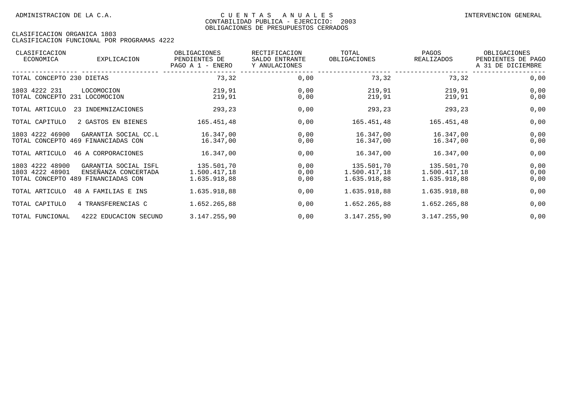| CLASIFICACION<br>ECONOMICA                     | EXPLICACION                                                                        | OBLIGACIONES<br>PENDIENTES DE<br>PAGO A 1 - ENERO | RECTIFICACION<br>SALDO ENTRANTE<br>Y ANULACIONES | TOTAL<br>OBLIGACIONES                      | PAGOS<br>REALIZADOS                        | OBLIGACIONES<br>PENDIENTES DE PAGO<br>A 31 DE DICIEMBRE |
|------------------------------------------------|------------------------------------------------------------------------------------|---------------------------------------------------|--------------------------------------------------|--------------------------------------------|--------------------------------------------|---------------------------------------------------------|
| TOTAL CONCEPTO 230 DIETAS                      |                                                                                    | 73,32                                             | 0,00                                             | 73,32                                      | 73,32                                      | 0,00                                                    |
| 1803 4222 231<br>TOTAL CONCEPTO 231 LOCOMOCION | LOCOMOCION                                                                         | 219,91<br>219,91                                  | 0,00<br>0,00                                     | 219,91<br>219,91                           | 219,91<br>219,91                           | 0,00<br>0,00                                            |
| TOTAL ARTICULO                                 | 23 INDEMNIZACIONES                                                                 | 293,23                                            | 0,00                                             | 293,23                                     | 293,23                                     | 0,00                                                    |
| TOTAL CAPITULO                                 | 2 GASTOS EN BIENES                                                                 | 165.451,48                                        | 0,00                                             | 165.451,48                                 | 165.451,48                                 | 0,00                                                    |
| 1803 4222 46900                                | GARANTIA SOCIAL CC.L<br>TOTAL CONCEPTO 469 FINANCIADAS CON                         | 16.347,00<br>16.347,00                            | 0,00<br>0,00                                     | 16.347,00<br>16.347,00                     | 16.347,00<br>16.347,00                     | 0,00<br>0,00                                            |
| TOTAL ARTICULO                                 | 46 A CORPORACIONES                                                                 | 16.347,00                                         | 0,00                                             | 16.347,00                                  | 16.347,00                                  | 0,00                                                    |
| 1803 4222 48900<br>1803 4222 48901             | GARANTIA SOCIAL ISFL<br>ENSEÑANZA CONCERTADA<br>TOTAL CONCEPTO 489 FINANCIADAS CON | 135.501,70<br>1.500.417,18<br>1.635.918,88        | 0,00<br>0,00<br>0,00                             | 135.501,70<br>1.500.417,18<br>1.635.918,88 | 135.501,70<br>1.500.417,18<br>1.635.918,88 | 0,00<br>0,00<br>0,00                                    |
| TOTAL ARTICULO                                 | 48 A FAMILIAS E INS                                                                | 1.635.918,88                                      | 0,00                                             | 1.635.918,88                               | 1.635.918,88                               | 0,00                                                    |
| TOTAL CAPITULO                                 | 4 TRANSFERENCIAS C                                                                 | 1.652.265,88                                      | 0,00                                             | 1.652.265,88                               | 1.652.265,88                               | 0,00                                                    |
| TOTAL FUNCIONAL                                | 4222 EDUCACION SECUND                                                              | 3.147.255,90                                      | 0,00                                             | 3.147.255,90                               | 3.147.255,90                               | 0,00                                                    |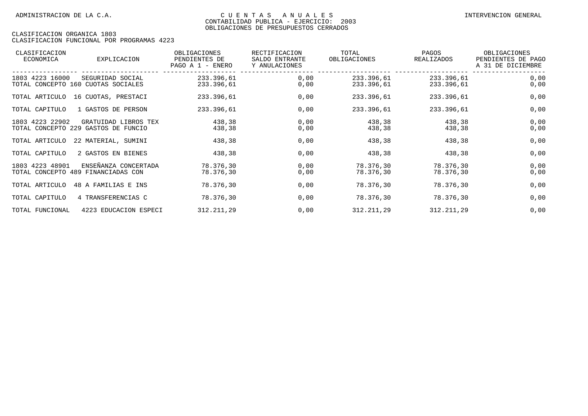| CLASIFICACION<br>ECONOMICA                            | EXPLICACION                                                 | OBLIGACIONES<br>PENDIENTES DE<br>PAGO A 1 - ENERO | RECTIFICACION<br>SALDO ENTRANTE<br>Y ANULACIONES | TOTAL<br>OBLIGACIONES    | PAGOS<br>REALIZADOS      | OBLIGACIONES<br>PENDIENTES DE PAGO<br>A 31 DE DICIEMBRE |
|-------------------------------------------------------|-------------------------------------------------------------|---------------------------------------------------|--------------------------------------------------|--------------------------|--------------------------|---------------------------------------------------------|
| 1803 4223 16000<br>TOTAL CONCEPTO 160 CUOTAS SOCIALES | SEGURIDAD SOCIAL                                            | 233.396,61<br>233.396,61                          | 0,00<br>0,00                                     | 233.396,61<br>233.396,61 | 233.396,61<br>233.396,61 | 0,00<br>0,00                                            |
| TOTAL ARTICULO                                        | 16 CUOTAS, PRESTACI                                         | 233.396,61                                        | 0,00                                             | 233.396,61               | 233.396,61               | 0,00                                                    |
| TOTAL CAPITULO                                        | 1 GASTOS DE PERSON                                          | 233.396,61                                        | 0,00                                             | 233.396,61               | 233.396,61               | 0,00                                                    |
| 1803 4223 22902                                       | GRATUIDAD LIBROS TEX<br>TOTAL CONCEPTO 229 GASTOS DE FUNCIO | 438,38<br>438,38                                  | 0,00<br>0,00                                     | 438,38<br>438,38         | 438,38<br>438,38         | 0,00<br>0,00                                            |
| TOTAL ARTICULO                                        | 22 MATERIAL, SUMINI                                         | 438,38                                            | 0,00                                             | 438,38                   | 438,38                   | 0,00                                                    |
| TOTAL CAPITULO                                        | 2 GASTOS EN BIENES                                          | 438,38                                            | 0,00                                             | 438,38                   | 438,38                   | 0,00                                                    |
| 1803 4223 48901<br>TOTAL CONCEPTO 489 FINANCIADAS CON | ENSEÑANZA CONCERTADA                                        | 78.376,30<br>78.376,30                            | 0,00<br>0,00                                     | 78.376,30<br>78.376,30   | 78.376,30<br>78.376,30   | 0,00<br>0,00                                            |
| TOTAL ARTICULO                                        | 48 A FAMILIAS E INS                                         | 78.376,30                                         | 0,00                                             | 78.376,30                | 78.376,30                | 0,00                                                    |
| TOTAL CAPITULO                                        | 4 TRANSFERENCIAS C                                          | 78.376,30                                         | 0,00                                             | 78.376,30                | 78.376,30                | 0,00                                                    |
| TOTAL FUNCIONAL                                       | 4223 EDUCACION ESPECI                                       | 312.211,29                                        | 0,00                                             | 312.211,29               | 312.211,29               | 0,00                                                    |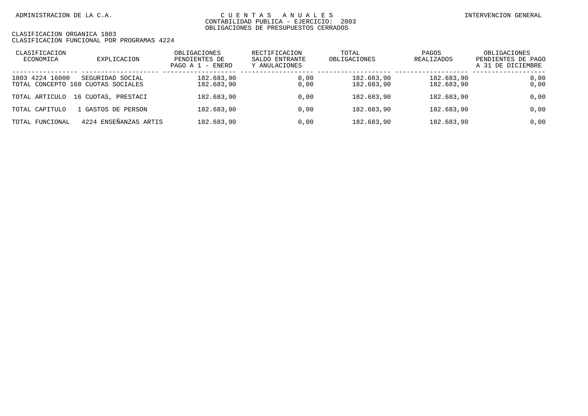| CLASIFICACION<br>ECONOMICA | EXPLICACION                        | OBLIGACIONES<br>PENDIENTES DE<br>PAGO A 1 - ENERO | RECTIFICACION<br>SALDO ENTRANTE<br>Y ANULACIONES | TOTAL<br>OBLIGACIONES | PAGOS<br>REALIZADOS | OBLIGACIONES<br>PENDIENTES DE PAGO<br>A 31 DE DICIEMBRE |
|----------------------------|------------------------------------|---------------------------------------------------|--------------------------------------------------|-----------------------|---------------------|---------------------------------------------------------|
| 1803 4224 16000            | SEGURIDAD SOCIAL                   | 182.683,90                                        | 0.00                                             | 182.683,90            | 182.683,90          | 0,00                                                    |
|                            | TOTAL CONCEPTO 160 CUOTAS SOCIALES | 182.683,90                                        | 0.00                                             | 182.683,90            | 182.683,90          | 0,00                                                    |
| TOTAL ARTICULO             | 16 CUOTAS, PRESTACI                | 182.683,90                                        | 0.00                                             | 182.683,90            | 182.683,90          | 0,00                                                    |
| TOTAL CAPITULO             | GASTOS DE PERSON                   | 182.683,90                                        | 0.00                                             | 182.683,90            | 182.683,90          | 0,00                                                    |
| TOTAL FUNCIONAL            | 4224 ENSEÑANZAS ARTIS              | 182.683,90                                        | 0.00                                             | 182.683,90            | 182.683,90          | 0,00                                                    |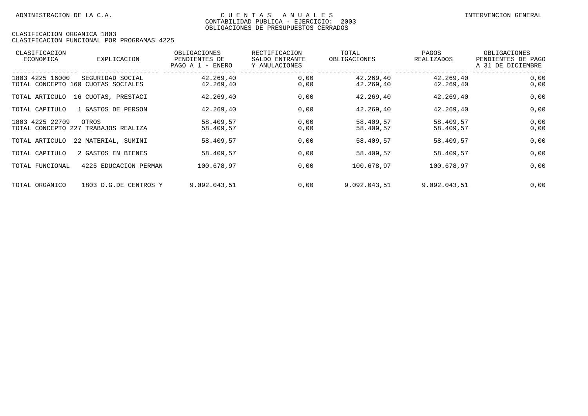| CLASIFICACION<br>ECONOMICA        | <b>EXPLICACION</b>                                     | OBLIGACIONES<br>PENDIENTES DE<br>ENERO<br>PAGO A $1$ - | RECTIFICACION<br>SALDO ENTRANTE<br>Y ANULACIONES | TOTAL<br>OBLIGACIONES  | PAGOS<br><b>REALIZADOS</b> | OBLIGACIONES<br>PENDIENTES DE PAGO<br>A 31 DE DICIEMBRE |
|-----------------------------------|--------------------------------------------------------|--------------------------------------------------------|--------------------------------------------------|------------------------|----------------------------|---------------------------------------------------------|
| 1803 4225 16000                   | SEGURIDAD SOCIAL<br>TOTAL CONCEPTO 160 CUOTAS SOCIALES | 42.269,40<br>42.269,40                                 | 0,00<br>0,00                                     | 42.269,40<br>42.269,40 | 42.269,40<br>42.269,40     | 0,00<br>0,00                                            |
| TOTAL ARTICULO                    | 16 CUOTAS, PRESTACI                                    | 42.269,40                                              | 0,00                                             | 42.269,40              | 42.269,40                  | 0,00                                                    |
| TOTAL CAPITULO                    | 1 GASTOS DE PERSON                                     | 42.269,40                                              | 0,00                                             | 42.269,40              | 42.269,40                  | 0,00                                                    |
| 1803 4225 22709<br>TOTAL CONCEPTO | OTROS<br>227<br>TRABAJOS REALIZA                       | 58.409,57<br>58.409,57                                 | 0,00<br>0,00                                     | 58.409,57<br>58.409,57 | 58.409,57<br>58.409,57     | 0,00<br>0,00                                            |
| TOTAL ARTICULO                    | 22 MATERIAL, SUMINI                                    | 58.409,57                                              | 0,00                                             | 58.409,57              | 58.409,57                  | 0,00                                                    |
| TOTAL CAPITULO                    | 2 GASTOS EN BIENES                                     | 58.409,57                                              | 0,00                                             | 58.409,57              | 58.409,57                  | 0,00                                                    |
| TOTAL FUNCIONAL                   | 4225 EDUCACION PERMAN                                  | 100.678,97                                             | 0,00                                             | 100.678,97             | 100.678,97                 | 0,00                                                    |
| TOTAL ORGANICO                    | 1803 D.G.DE CENTROS Y                                  | 9.092.043,51                                           | 0,00                                             | 9.092.043,51           | 9.092.043,51               | 0,00                                                    |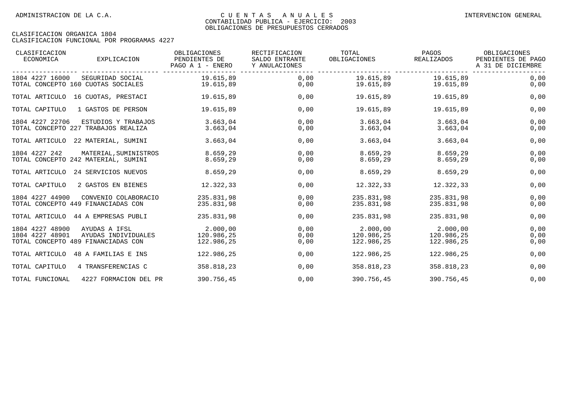| CLASIFICACION<br>ECONOMICA                                               | EXPLICACION                                                  | OBLIGACIONES<br>PENDIENTES DE<br>PAGO A 1 - ENERO | RECTIFICACION<br>SALDO ENTRANTE<br>Y ANULACIONES | TOTAL<br>OBLIGACIONES                | PAGOS<br>REALIZADOS                  | OBLIGACIONES<br>PENDIENTES DE PAGO<br>A 31 DE DICIEMBRE |
|--------------------------------------------------------------------------|--------------------------------------------------------------|---------------------------------------------------|--------------------------------------------------|--------------------------------------|--------------------------------------|---------------------------------------------------------|
| 1804 4227 16000<br>TOTAL CONCEPTO 160 CUOTAS SOCIALES                    | SEGURIDAD SOCIAL                                             | 19.615,89<br>19.615,89                            | 0,00<br>0,00                                     | 19.615,89<br>19.615,89               | 19.615,89<br>19.615,89               | 0,00<br>0,00                                            |
|                                                                          | TOTAL ARTICULO 16 CUOTAS, PRESTACI                           | 19.615,89                                         | 0,00                                             | 19.615,89                            | 19.615,89                            | 0,00                                                    |
| TOTAL CAPITULO                                                           | 1 GASTOS DE PERSON                                           | 19.615,89                                         | 0,00                                             | 19.615,89                            | 19.615,89                            | 0,00                                                    |
| 1804 4227 22706                                                          | ESTUDIOS Y TRABAJOS<br>TOTAL CONCEPTO 227 TRABAJOS REALIZA   | 3.663,04<br>3.663,04                              | 0,00<br>0,00                                     | 3.663,04<br>3.663,04                 | 3.663,04<br>3.663,04                 | 0,00<br>0,00                                            |
|                                                                          | TOTAL ARTICULO 22 MATERIAL, SUMINI                           | 3.663,04                                          | 0,00                                             | 3.663,04                             | 3.663,04                             | 0,00                                                    |
| 1804 4227 242                                                            | MATERIAL, SUMINISTROS<br>TOTAL CONCEPTO 242 MATERIAL, SUMINI | 8.659,29<br>8.659,29                              | 0,00<br>0,00                                     | 8.659,29<br>8.659,29                 | 8.659,29<br>8.659,29                 | 0,00<br>0,00                                            |
|                                                                          | TOTAL ARTICULO 24 SERVICIOS NUEVOS                           | 8.659,29                                          | 0,00                                             | 8.659,29                             | 8.659,29                             | 0,00                                                    |
| TOTAL CAPITULO                                                           | 2 GASTOS EN BIENES                                           | 12.322,33                                         | 0,00                                             | 12.322,33                            | 12.322,33                            | 0,00                                                    |
| 1804 4227 44900<br>TOTAL CONCEPTO 449 FINANCIADAS CON                    | CONVENIO COLABORACIO                                         | 235.831,98<br>235.831,98                          | 0,00<br>0,00                                     | 235.831,98<br>235.831,98             | 235.831,98<br>235.831,98             | 0,00<br>0,00                                            |
|                                                                          | TOTAL ARTICULO 44 A EMPRESAS PUBLI                           | 235.831,98                                        | 0,00                                             | 235.831,98                           | 235.831,98                           | 0,00                                                    |
| 1804 4227 48900<br>1804 4227 48901<br>TOTAL CONCEPTO 489 FINANCIADAS CON | AYUDAS A IFSL<br>AYUDAS INDIVIDUALES                         | 2,000,00<br>120.986,25<br>122.986,25              | 0,00<br>0,00<br>0,00                             | 2.000,00<br>120.986,25<br>122.986,25 | 2.000,00<br>120.986,25<br>122.986,25 | 0,00<br>0,00<br>0,00                                    |
| TOTAL ARTICULO                                                           | 48 A FAMILIAS E INS                                          | 122.986,25                                        | 0,00                                             | 122.986,25                           | 122.986,25                           | 0,00                                                    |
| TOTAL CAPITULO                                                           | 4 TRANSFERENCIAS C                                           | 358.818,23                                        | 0,00                                             | 358.818,23                           | 358.818,23                           | 0,00                                                    |
| TOTAL FUNCIONAL                                                          | 4227 FORMACION DEL PR                                        | 390.756,45                                        | 0,00                                             | 390.756,45                           | 390.756,45                           | 0,00                                                    |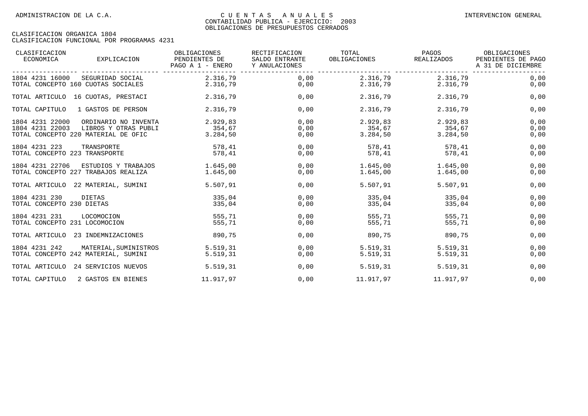| CLASIFICACION<br>ECONOMICA                                                | EXPLICACION                                  | OBLIGACIONES<br>PENDIENTES DE<br>PAGO A 1 - ENERO | RECTIFICACION<br>SALDO ENTRANTE<br>Y ANULACIONES | TOTAL<br>OBLIGACIONES          | PAGOS<br>REALIZADOS            | OBLIGACIONES<br>PENDIENTES DE PAGO<br>A 31 DE DICIEMBRE |
|---------------------------------------------------------------------------|----------------------------------------------|---------------------------------------------------|--------------------------------------------------|--------------------------------|--------------------------------|---------------------------------------------------------|
| 1804 4231 16000<br>TOTAL CONCEPTO 160 CUOTAS SOCIALES                     | SEGURIDAD SOCIAL                             | 2.316,79<br>2.316,79                              | 0,00<br>0,00                                     | 2.316,79<br>2.316,79           | 2.316,79<br>2.316.79           | 0,00<br>0,00                                            |
| TOTAL ARTICULO 16 CUOTAS, PRESTACI                                        |                                              | 2.316,79                                          | 0,00                                             | 2.316,79                       | 2.316,79                       | 0,00                                                    |
| TOTAL CAPITULO                                                            | 1 GASTOS DE PERSON                           | 2.316,79                                          | 0,00                                             | 2.316,79                       | 2.316,79                       | 0,00                                                    |
| 1804 4231 22000<br>1804 4231 22003<br>TOTAL CONCEPTO 220 MATERIAL DE OFIC | ORDINARIO NO INVENTA<br>LIBROS Y OTRAS PUBLI | 2.929,83<br>354,67<br>3.284.50                    | 0,00<br>0,00<br>0,00                             | 2.929,83<br>354,67<br>3.284,50 | 2.929,83<br>354,67<br>3.284,50 | 0,00<br>0,00<br>0,00                                    |
| 1804 4231 223<br>TOTAL CONCEPTO 223 TRANSPORTE                            | TRANSPORTE                                   | 578,41<br>578,41                                  | 0,00<br>0,00                                     | 578,41<br>578,41               | 578,41<br>578,41               | 0,00<br>0,00                                            |
| 1804 4231 22706<br>TOTAL CONCEPTO 227 TRABAJOS REALIZA                    | ESTUDIOS Y TRABAJOS                          | 1.645,00<br>1.645,00                              | 0,00<br>0,00                                     | 1.645,00<br>1.645,00           | 1.645,00<br>1.645,00           | 0,00<br>0,00                                            |
| TOTAL ARTICULO 22 MATERIAL, SUMINI                                        |                                              | 5.507,91                                          | 0,00                                             | 5.507.91                       | 5.507.91                       | 0,00                                                    |
| 1804 4231 230<br>TOTAL CONCEPTO 230 DIETAS                                | DIETAS                                       | 335,04<br>335,04                                  | 0,00<br>0,00                                     | 335,04<br>335,04               | 335,04<br>335,04               | 0,00<br>0,00                                            |
| 1804 4231 231<br>TOTAL CONCEPTO 231 LOCOMOCION                            | LOCOMOCION                                   | 555,71<br>555,71                                  | 0,00<br>0,00                                     | 555,71<br>555,71               | 555,71<br>555,71               | 0,00<br>0,00                                            |
| TOTAL ARTICULO 23 INDEMNIZACIONES                                         |                                              | 890,75                                            | 0,00                                             | 890,75                         | 890.75                         | 0,00                                                    |
| 1804 4231 242<br>TOTAL CONCEPTO 242 MATERIAL, SUMINI                      | MATERIAL, SUMINISTROS                        | 5.519,31<br>5.519,31                              | 0,00<br>0,00                                     | 5.519,31<br>5.519.31           | 5.519,31<br>5.519,31           | 0,00<br>0,00                                            |
| TOTAL ARTICULO                                                            | 24 SERVICIOS NUEVOS                          | 5.519,31                                          | 0,00                                             | 5.519,31                       | 5.519,31                       | 0,00                                                    |
| TOTAL CAPITULO                                                            | 2 GASTOS EN BIENES                           | 11.917,97                                         | 0,00                                             | 11.917,97                      | 11.917,97                      | 0,00                                                    |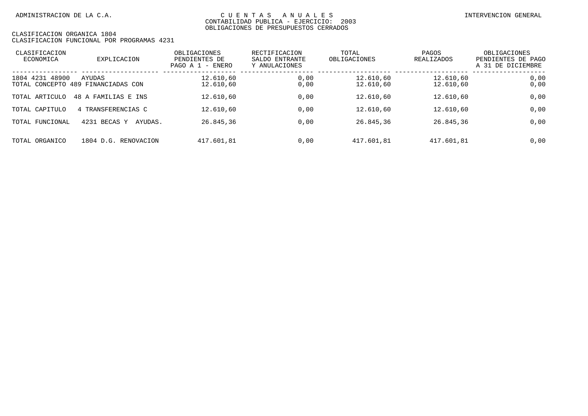| CLASIFICACION<br>ECONOMICA | EXPLICACION                                  | OBLIGACIONES<br>PENDIENTES DE<br>ENERO<br>PAGO A 1<br>$\overline{\phantom{0}}$ | RECTIFICACION<br>SALDO ENTRANTE<br>Y ANULACIONES | TOTAL<br>OBLIGACIONES  | PAGOS<br>REALIZADOS    | OBLIGACIONES<br>PENDIENTES DE PAGO<br>DE DICIEMBRE<br>A 31 |
|----------------------------|----------------------------------------------|--------------------------------------------------------------------------------|--------------------------------------------------|------------------------|------------------------|------------------------------------------------------------|
| 1804 4231 48900            | AYUDAS<br>TOTAL CONCEPTO 489 FINANCIADAS CON | 12.610,60<br>12.610,60                                                         | 0.00<br>0,00                                     | 12.610,60<br>12.610,60 | 12.610,60<br>12.610,60 | 0,00<br>0,00                                               |
| TOTAL ARTICULO             | 48 A FAMILIAS E INS                          | 12.610,60                                                                      | 0,00                                             | 12.610,60              | 12.610,60              | 0,00                                                       |
| TOTAL CAPITULO             | TRANSFERENCIAS C<br>$^{4}$                   | 12.610,60                                                                      | 0,00                                             | 12.610,60              | 12.610,60              | 0,00                                                       |
| TOTAL FUNCIONAL            | 4231 BECAS Y<br>AYUDAS.                      | 26.845,36                                                                      | 0,00                                             | 26.845,36              | 26.845,36              | 0,00                                                       |
| TOTAL ORGANICO             | 1804 D.G. RENOVACION                         | 417.601,81                                                                     | 0.00                                             | 417.601,81             | 417.601,81             | 0,00                                                       |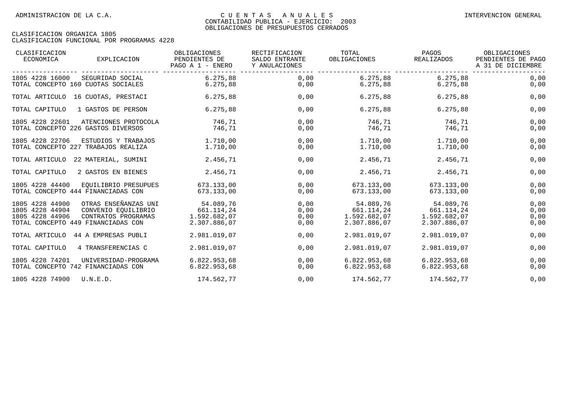| CLASIFICACION<br>ECONOMICA                                                                  | EXPLICACION                                                        | OBLIGACIONES<br>PENDIENTES DE<br>PAGO A 1 - ENERO       | RECTIFICACION<br>SALDO ENTRANTE<br>Y ANULACIONES | TOTAL<br>OBLIGACIONES                   | PAGOS<br>REALIZADOS                     | OBLIGACIONES<br>PENDIENTES DE PAGO<br>A 31 DE DICIEMBRE |
|---------------------------------------------------------------------------------------------|--------------------------------------------------------------------|---------------------------------------------------------|--------------------------------------------------|-----------------------------------------|-----------------------------------------|---------------------------------------------------------|
| 1805 4228 16000<br>SEGURIDAD SOCIAL<br>TOTAL CONCEPTO 160 CUOTAS SOCIALES                   |                                                                    | ------- -----------------<br>6.275.88<br>6.275.88       | -- -------------------- ---<br>0.00<br>0,00      | 6.275,88<br>6.275.88                    | 6.275,88<br>6.275.88                    | 0,00<br>0,00                                            |
| TOTAL ARTICULO 16 CUOTAS, PRESTACI                                                          |                                                                    | 6.275,88                                                | 0,00                                             | 6.275.88                                | 6.275,88                                | 0,00                                                    |
| TOTAL CAPITULO<br>1 GASTOS DE PERSON                                                        |                                                                    | 6.275,88                                                | 0,00                                             | 6.275.88                                | 6.275,88                                | 0,00                                                    |
| 1805 4228 22601<br>TOTAL CONCEPTO 226 GASTOS DIVERSOS                                       | ATENCIONES PROTOCOLA                                               | 746,71<br>746,71                                        | 0,00<br>0,00                                     | 746,71<br>746,71                        | 746,71<br>746,71                        | 0,00<br>0,00                                            |
| 1805 4228 22706<br>TOTAL CONCEPTO 227 TRABAJOS REALIZA                                      | ESTUDIOS Y TRABAJOS                                                | 1.710,00<br>1.710,00                                    | 0,00<br>0,00                                     | 1.710,00<br>1.710,00                    | 1.710,00<br>1.710,00                    | 0,00<br>0,00                                            |
| TOTAL ARTICULO 22 MATERIAL, SUMINI                                                          |                                                                    | 2.456,71                                                | 0,00                                             | 2.456,71                                | 2.456,71                                | 0,00                                                    |
| TOTAL CAPITULO<br>2 GASTOS EN BIENES                                                        |                                                                    | 2.456,71                                                | 0,00                                             | 2.456,71                                | 2.456,71                                | 0,00                                                    |
| 1805 4228 44400<br>TOTAL CONCEPTO 444 FINANCIADAS CON                                       | EQUILIBRIO PRESUPUES                                               | 673.133,00<br>673.133.00                                | 0,00<br>0,00                                     | 673.133,00<br>673.133,00                | 673.133,00<br>673.133,00                | 0,00<br>0,00                                            |
| 1805 4228 44900<br>1805 4228 44904<br>1805 4228 44906<br>TOTAL CONCEPTO 449 FINANCIADAS CON | OTRAS ENSEÑANZAS UNI<br>CONVENIO EQUILIBRIO<br>CONTRATOS PROGRAMAS | 54.089.76<br>661.114.24<br>1.592.682.07<br>2.307.886,07 | 0,00<br>0,00<br>0,00<br>0,00                     | 54.089,76<br>661.114.24<br>2.307.886,07 | 54.089,76<br>661.114.24<br>2.307.886,07 | 0,00<br>0,00<br>0,00<br>0,00                            |
| TOTAL ARTICULO 44 A EMPRESAS PUBLI                                                          |                                                                    | 2.981.019,07                                            | 0,00                                             | 2.981.019,07                            | 2.981.019,07                            | 0,00                                                    |
| TOTAL CAPITULO<br>4 TRANSFERENCIAS C                                                        |                                                                    | 2.981.019,07                                            | 0,00                                             | 2.981.019,07                            | 2.981.019,07                            | 0,00                                                    |
| 1805 4228 74201<br>TOTAL CONCEPTO 742 FINANCIADAS CON                                       | UNIVERSIDAD-PROGRAMA                                               | 6.822.953,68<br>6.822.953,68                            | 0,00<br>0,00                                     | 6.822.953,68<br>6.822.953,68            | 6.822.953,68<br>6.822.953,68            | 0,00<br>0,00                                            |
| 1805 4228 74900<br>U.N.E.D.                                                                 |                                                                    | 174.562,77                                              | 0,00                                             | 174.562,77                              | 174.562,77                              | 0,00                                                    |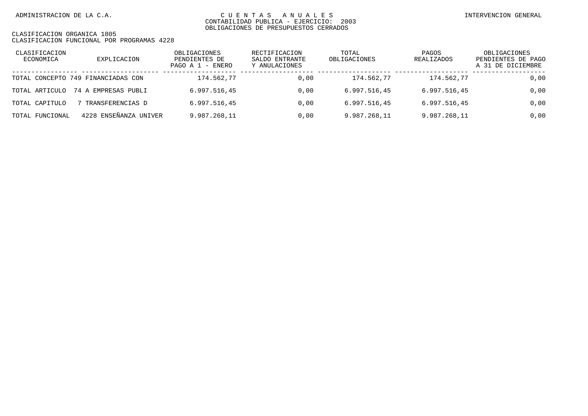| CLASIFICACION<br>ECONOMICA | EXPLICACION                        | OBLIGACIONES<br>PENDIENTES DE<br>PAGO A 1 - ENERO | RECTIFICACION<br>SALDO ENTRANTE<br>Y ANULACIONES | TOTAL<br>OBLIGACIONES | PAGOS<br>REALIZADOS | OBLIGACIONES<br>PENDIENTES DE PAGO<br>A 31 DE DICIEMBRE |
|----------------------------|------------------------------------|---------------------------------------------------|--------------------------------------------------|-----------------------|---------------------|---------------------------------------------------------|
|                            | TOTAL CONCEPTO 749 FINANCIADAS CON | 174.562,77                                        | 0,00                                             | 174.562,77            | 174.562,77          | 0,00                                                    |
| TOTAL ARTICULO             | 74 A EMPRESAS PUBLI                | 6.997.516,45                                      | 0.00                                             | 6.997.516.45          | 6.997.516.45        | 0,00                                                    |
| TOTAL CAPITULO             | TRANSFERENCIAS D                   | 6.997.516.45                                      | 0.00                                             | 6.997.516.45          | 6.997.516.45        | 0,00                                                    |
| TOTAL FUNCIONAL            | 4228 ENSEÑANZA UNIVER              | 9.987.268.11                                      | 0.00                                             | 9.987.268.11          | 9.987.268,11        | 0.00                                                    |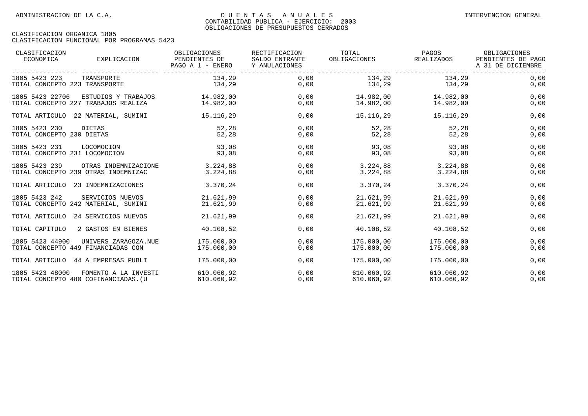| CLASIFICACION<br>ECONOMICA                     | EXPLICACION                                                  | OBLIGACIONES<br>PENDIENTES DE<br>PAGO A 1 - ENERO | RECTIFICACION<br>SALDO ENTRANTE<br>Y ANULACIONES | TOTAL<br>OBLIGACIONES    | PAGOS<br>REALIZADOS      | OBLIGACIONES<br>PENDIENTES DE PAGO<br>A 31 DE DICIEMBRE |
|------------------------------------------------|--------------------------------------------------------------|---------------------------------------------------|--------------------------------------------------|--------------------------|--------------------------|---------------------------------------------------------|
| 1805 5423 223<br>TOTAL CONCEPTO 223 TRANSPORTE | TRANSPORTE                                                   | 134,29<br>134,29                                  | 0.00<br>0,00                                     | 134,29<br>134,29         | 134,29<br>134,29         | 0,00<br>0,00                                            |
| 1805 5423 22706                                | ESTUDIOS Y TRABAJOS<br>TOTAL CONCEPTO 227 TRABAJOS REALIZA   | 14.982,00<br>14.982,00                            | 0.00<br>0,00                                     | 14.982,00                | 14.982,00                | 0,00<br>0,00                                            |
|                                                | TOTAL ARTICULO 22 MATERIAL, SUMINI                           | 15.116, 29                                        | 0,00                                             | 15.116,29                | 15.116,29                | 0,00                                                    |
| 1805 5423 230<br>TOTAL CONCEPTO 230 DIETAS     | DIETAS                                                       | 52,28<br>52,28                                    | 0,00<br>0,00                                     | 52,28<br>52,28           | 52,28<br>52,28           | 0,00<br>0,00                                            |
| 1805 5423 231<br>TOTAL CONCEPTO 231 LOCOMOCION | LOCOMOCION                                                   | 93,08<br>93,08                                    | 0,00<br>0,00                                     | 93,08<br>93,08           | 93,08<br>93,08           | 0,00<br>0,00                                            |
| 1805 5423 239                                  | OTRAS INDEMNIZACIONE<br>TOTAL CONCEPTO 239 OTRAS INDEMNIZAC  | 3.224,88<br>3.224,88                              | 0,00<br>0,00                                     | 3.224,88<br>3.224,88     | 3.224,88<br>3.224,88     | 0,00<br>0,00                                            |
|                                                | TOTAL ARTICULO 23 INDEMNIZACIONES                            | 3.370,24                                          | 0,00                                             | 3.370,24                 | 3.370,24                 | 0,00                                                    |
| 1805 5423 242                                  | SERVICIOS NUEVOS<br>TOTAL CONCEPTO 242 MATERIAL, SUMINI      | 21.621.99<br>21.621,99                            | 0,00<br>0,00                                     | 21.621,99<br>21.621,99   | 21.621.99<br>21.621,99   | 0,00<br>0,00                                            |
|                                                | TOTAL ARTICULO 24 SERVICIOS NUEVOS                           | 21.621,99                                         | 0,00                                             | 21.621,99                | 21.621,99                | 0,00                                                    |
| TOTAL CAPITULO                                 | 2 GASTOS EN BIENES                                           | 40.108,52                                         | 0,00                                             | 40.108,52                | 40.108,52                | 0,00                                                    |
| 1805 5423 44900                                | UNIVERS ZARAGOZA.NUE<br>TOTAL CONCEPTO 449 FINANCIADAS CON   | 175.000,00<br>175.000,00                          | 0,00<br>0,00                                     | 175.000.00<br>175.000,00 | 175.000,00<br>175.000,00 | 0,00<br>0,00                                            |
|                                                | TOTAL ARTICULO 44 A EMPRESAS PUBLI                           | 175.000,00                                        | 0,00                                             | 175.000,00               | 175.000,00               | 0,00                                                    |
| 1805 5423 48000                                | FOMENTO A LA INVESTI<br>TOTAL CONCEPTO 480 COFINANCIADAS. (U | 610.060,92<br>610.060,92                          | 0,00<br>0,00                                     | 610.060,92<br>610.060,92 | 610.060,92<br>610.060,92 | 0,00<br>0,00                                            |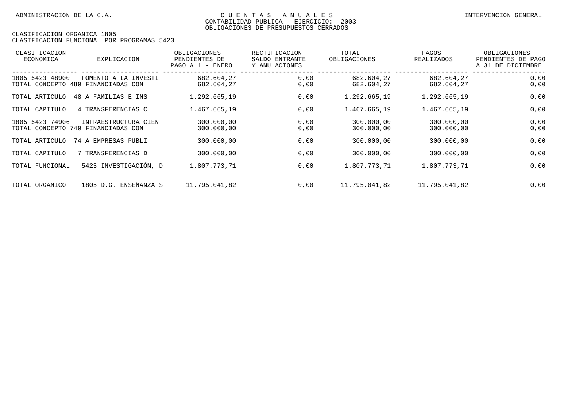| CLASIFICACION<br>ECONOMICA               | EXPLICACION                                                | OBLIGACIONES<br>PENDIENTES DE<br>PAGO A 1 - ENERO | RECTIFICACION<br>SALDO ENTRANTE<br>Y ANULACIONES | TOTAL<br>OBLIGACIONES    | PAGOS<br>REALIZADOS      | OBLIGACIONES<br>PENDIENTES DE PAGO<br>A 31 DE DICIEMBRE |
|------------------------------------------|------------------------------------------------------------|---------------------------------------------------|--------------------------------------------------|--------------------------|--------------------------|---------------------------------------------------------|
| 1805 5423 48900                          | FOMENTO A LA INVESTI<br>TOTAL CONCEPTO 489 FINANCIADAS CON | 682.604,27<br>682.604,27                          | 0,00<br>0,00                                     | 682.604,27<br>682.604,27 | 682.604,27<br>682.604,27 | 0,00<br>0,00                                            |
| TOTAL ARTICULO                           | 48 A FAMILIAS E INS                                        | 1.292.665,19                                      | 0,00                                             | 1.292.665,19             | 1.292.665,19             | 0,00                                                    |
| TOTAL CAPITULO                           | 4 TRANSFERENCIAS C                                         | 1.467.665,19                                      | 0,00                                             | 1.467.665,19             | 1.467.665,19             | 0,00                                                    |
| 1805 5423 74906<br>TOTAL CONCEPTO<br>749 | INFRAESTRUCTURA CIEN<br>FINANCIADAS CON                    | 300.000,00<br>300,000,00                          | 0,00<br>0,00                                     | 300.000,00<br>300,000,00 | 300,000,00<br>300.000,00 | 0,00<br>0,00                                            |
| TOTAL ARTICULO                           | 74 A EMPRESAS PUBLI                                        | 300.000,00                                        | 0,00                                             | 300.000,00               | 300.000,00               | 0,00                                                    |
| TOTAL CAPITULO                           | 7 TRANSFERENCIAS D                                         | 300.000,00                                        | 0,00                                             | 300.000,00               | 300,000,00               | 0,00                                                    |
| TOTAL FUNCIONAL                          | 5423 INVESTIGACIÓN, D                                      | 1.807.773.71                                      | 0,00                                             | 1.807.773.71             | 1.807.773,71             | 0,00                                                    |
| TOTAL ORGANICO                           | 1805 D.G. ENSEÑANZA S                                      | 11.795.041.82                                     | 0,00                                             | 11.795.041,82            | 11.795.041,82            | 0,00                                                    |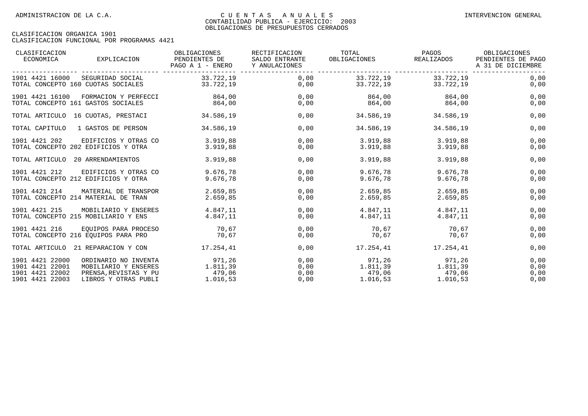| CLASIFICACION<br>ECONOMICA                            | EXPLICACION           | OBLIGACIONES<br>PENDIENTES DE<br>PAGO A 1 - ENERO | RECTIFICACION<br>SALDO ENTRANTE<br>Y ANULACIONES | TOTAL<br>OBLIGACIONES | PAGOS<br>REALIZADOS              | OBLIGACIONES<br>PENDIENTES DE PAGO<br>A 31 DE DICIEMBRE |
|-------------------------------------------------------|-----------------------|---------------------------------------------------|--------------------------------------------------|-----------------------|----------------------------------|---------------------------------------------------------|
| 1901 4421 16000<br>TOTAL CONCEPTO 160 CUOTAS SOCIALES | SEGURIDAD SOCIAL      | 33.722,19<br>33.722,19                            | 0,00<br>0,00                                     | 33.722,19             | 33.722,19 33.722,19<br>33.722,19 | 0,00<br>0,00                                            |
| 1901 4421 16100                                       | FORMACION Y PERFECCI  | 864,00                                            | 0,00                                             | 864,00                | 864,00                           | 0,00                                                    |
| TOTAL CONCEPTO 161 GASTOS SOCIALES                    |                       | 864,00                                            | 0,00                                             | 864,00                | 864,00                           | 0,00                                                    |
| TOTAL ARTICULO 16 CUOTAS, PRESTACI                    |                       | 34.586,19                                         | 0,00                                             | 34.586,19             | 34.586,19                        | 0,00                                                    |
| TOTAL CAPITULO                                        | 1 GASTOS DE PERSON    | 34.586,19                                         | 0,00                                             | 34.586,19             | 34.586,19                        | 0,00                                                    |
| 1901 4421 202                                         | EDIFICIOS Y OTRAS CO  | 3.919,88                                          | 0,00                                             | 3.919,88              | 3.919,88                         | 0,00                                                    |
| TOTAL CONCEPTO 202 EDIFICIOS Y OTRA                   |                       | 3.919,88                                          | 0,00                                             | 3.919,88              | 3.919,88                         | 0,00                                                    |
| TOTAL ARTICULO 20 ARRENDAMIENTOS                      |                       | 3.919,88                                          | 0,00                                             | 3.919,88              | 3.919,88                         | 0,00                                                    |
| 1901 4421 212                                         | EDIFICIOS Y OTRAS CO  | 9.676,78                                          | 0,00                                             | 9.676,78              | 9.676,78                         | 0,00                                                    |
| TOTAL CONCEPTO 212 EDIFICIOS Y OTRA                   |                       | 9.676.78                                          | 0,00                                             | 9.676,78              | 9.676,78                         | 0,00                                                    |
| 1901 4421 214                                         | MATERIAL DE TRANSPOR  | 2.659,85                                          | 0,00                                             | 2.659,85              | 2.659,85                         | 0,00                                                    |
| TOTAL CONCEPTO 214 MATERIAL DE TRAN                   |                       | 2.659,85                                          | 0,00                                             | 2.659,85              | 2.659,85                         | 0,00                                                    |
| 1901 4421 215                                         | MOBILIARIO Y ENSERES  | 4.847,11                                          | 0,00                                             | 4.847,11              | 4.847,11                         | 0,00                                                    |
| TOTAL CONCEPTO 215 MOBILIARIO Y ENS                   |                       | 4.847,11                                          | 0,00                                             | 4.847,11              | 4.847,11                         | 0,00                                                    |
| 1901 4421 216                                         | EOUIPOS PARA PROCESO  | 70,67                                             | 0,00                                             | 70.67                 | 70.67                            | 0,00                                                    |
| TOTAL CONCEPTO 216 EOUIPOS PARA PRO                   |                       | 70,67                                             | 0,00                                             | 70,67                 | 70,67                            | 0,00                                                    |
| TOTAL ARTICULO                                        | 21 REPARACION Y CON   | 17.254,41                                         | 0,00                                             | 17.254,41             | 17.254,41                        | 0,00                                                    |
| 1901 4421 22000                                       | ORDINARIO NO INVENTA  | 971,26                                            | 0,00                                             | 971,26                | 971,26                           | 0,00                                                    |
| 1901 4421 22001                                       | MOBILIARIO Y ENSERES  | 1.811,39                                          | 0,00                                             | 1.811,39              | 1.811,39                         | 0,00                                                    |
| 1901 4421 22002                                       | PRENSA, REVISTAS Y PU | 479,06                                            | 0,00                                             | 479,06                | 479,06                           | 0,00                                                    |
| 1901 4421 22003                                       | LIBROS Y OTRAS PUBLI  | 1.016,53                                          | 0,00                                             | 1.016,53              | 1.016,53                         | 0,00                                                    |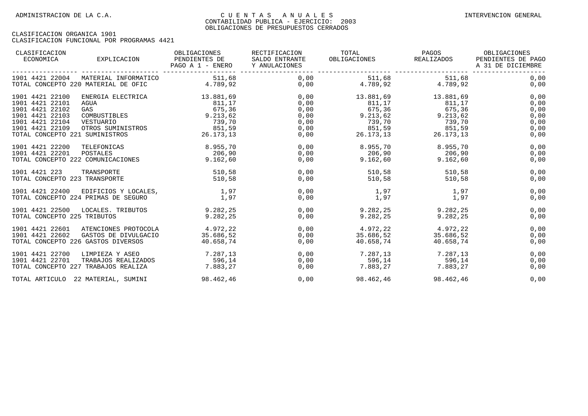| CLASIFICACION<br>ECONOMICA<br>EXPLICACION                                                                                                 | OBLIGACIONES<br>PENDIENTES DE<br>PAGO A 1 - ENERO   | RECTIFICACION<br>SALDO ENTRANTE<br>Y ANULACIONES | TOTAL<br>OBLIGACIONES REALIZADOS                                      | PAGOS                                                  | OBLIGACIONES<br>PENDIENTES DE PAGO<br>A 31 DE DICIEMBRE |
|-------------------------------------------------------------------------------------------------------------------------------------------|-----------------------------------------------------|--------------------------------------------------|-----------------------------------------------------------------------|--------------------------------------------------------|---------------------------------------------------------|
| 1901 4421 22004<br>MATERIAL INFORMATICO<br>TOTAL CONCEPTO 220 MATERIAL DE OFIC                                                            | 511,68<br>4.789,92                                  | 0,00                                             | 511,68<br>$0,00$ $4.789,92$ $4.789,92$                                | 511,68                                                 | 0,00<br>0,00                                            |
| 1901 4421 22100<br>ENERGIA ELECTRICA<br>1901 4421 22101<br>AGUA<br>1901 4421 22102<br>GAS                                                 | 13.881,69<br>811,17<br>675,36                       | 0,00<br>0,00<br>0,00                             | 811,17<br>675,36                                                      | 13.881,69 13.881,69<br>811,17                          | 0,00<br>0,00<br>0,00                                    |
| 1901 4421 22103<br>COMBUSTIBLES<br>1901 4421 22104<br>VESTUARIO<br>1901 4421 22109<br>OTROS SUMINISTROS<br>TOTAL CONCEPTO 221 SUMINISTROS | 9.213,62<br>739,70<br>851,59<br>851,59<br>26.173,13 | 0,00<br>0,00<br>0,00<br>0,00                     | 9.213,62<br>739,70<br>851,59<br>26.173,13                             | $675, 36$<br>9.213,62<br>739,70<br>851,59<br>26.173,13 | 0,00<br>0,00<br>0,00<br>0,00                            |
| 1901 4421 22200<br>TELEFONICAS<br>1901 4421 22201<br>POSTALES<br>TOTAL CONCEPTO 222 COMUNICACIONES                                        | 8.955,70<br>206,90<br>9.162.60                      | 0,00<br>0,00<br>0,00                             | 9.162, 60                                                             | 8.955,70 8.955,70<br>$206,90$ 206,90<br>9.162.60       | 0,00<br>0,00<br>0,00                                    |
| 1901 4421 223<br>TRANSPORTE<br>TOTAL CONCEPTO 223 TRANSPORTE                                                                              | 510,58<br>510,58                                    | 0,00<br>0,00                                     | 510,58<br>510,58                                                      | 510,58<br>510,58                                       | 0,00<br>0,00                                            |
| 1901 4421 22400<br>EDIFICIOS Y LOCALES,<br>TOTAL CONCEPTO 224 PRIMAS DE SEGURO                                                            | 1,97<br>1,97                                        | 0,00<br>0,00                                     | 1,97<br>1,97                                                          | 1,97<br>1,97                                           | 0,00<br>0,00                                            |
| 1901 4421 22500<br>LOCALES. TRIBUTOS<br>TOTAL CONCEPTO 225 TRIBUTOS                                                                       | 9.282, 25<br>9.282,25                               | 0,00<br>0,00                                     | $9.282, 25$ $9.282, 25$<br>9.282,25                                   | 9.282,25                                               | 0,00<br>0,00                                            |
| 1901 4421 22601<br>ATENCIONES PROTOCOLA<br>1901 4421 22602<br>GASTOS DE DIVULGACIO 35.686,52<br>TOTAL CONCEPTO 226 GASTOS DIVERSOS        | 4.972, 22<br>40.658,74                              | 0,00<br>0,00<br>0,00                             | 4.972, 22<br>40.658,74                                                | 4.972, 22<br>35.686,52 35.686,52<br>40.658,74          | 0,00<br>0,00<br>0,00                                    |
| 1901 4421 22700<br>LIMPIEZA Y ASEO<br>TRABAJOS REALIZADOS 596,14<br>1901 4421 22701<br>TOTAL CONCEPTO 227 TRABAJOS REALIZA 7.883,27       | 7.287,13                                            | 0,00<br>0,00                                     | $7.287,13$ $7.287,13$<br>$0,00$ 596,14 596,14<br>$7.883, 27$ 7.883,27 |                                                        | 0,00<br>0,00<br>0,00                                    |
| TOTAL ARTICULO 22 MATERIAL, SUMINI                                                                                                        | 98.462,46                                           | 0,00                                             | 98.462,46                                                             | 98.462,46                                              | 0,00                                                    |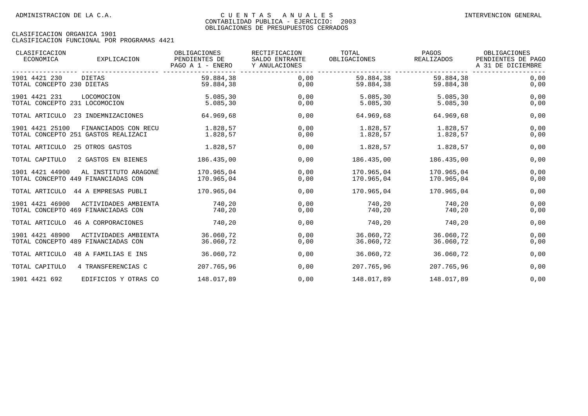| CLASIFICACION<br>ECONOMICA                                   | EXPLICACION          | OBLIGACIONES<br>PENDIENTES DE<br>PAGO A 1 - ENERO | RECTIFICACION<br>SALDO ENTRANTE<br>Y ANULACIONES | TOTAL<br>OBLIGACIONES    | PAGOS<br>REALIZADOS      | OBLIGACIONES<br>PENDIENTES DE PAGO<br>A 31 DE DICIEMBRE |
|--------------------------------------------------------------|----------------------|---------------------------------------------------|--------------------------------------------------|--------------------------|--------------------------|---------------------------------------------------------|
| 1901 4421 230<br>DIETAS<br>TOTAL CONCEPTO 230 DIETAS         |                      | ---- -----------------<br>59.884,38<br>59.884,38  | 0,00<br>0,00                                     | 59.884,38<br>59.884,38   | 59.884,38<br>59.884,38   | 0,00<br>0,00                                            |
| 1901 4421 231<br>LOCOMOCION<br>TOTAL CONCEPTO 231 LOCOMOCION |                      | 5.085,30<br>5.085, 30                             | 0,00<br>0,00                                     | 5.085, 30<br>5.085, 30   | 5.085,30<br>5.085,30     | 0,00<br>0,00                                            |
| TOTAL ARTICULO                                               | 23 INDEMNIZACIONES   | 64.969,68                                         | 0,00                                             | 64.969,68                | 64.969,68                | 0,00                                                    |
| 1901 4421 25100<br>TOTAL CONCEPTO 251 GASTOS REALIZACI       | FINANCIADOS CON RECU | 1.828,57<br>1.828,57                              | 0,00<br>0,00                                     | 1.828,57<br>1.828,57     | 1.828,57<br>1.828,57     | 0,00<br>0,00                                            |
| TOTAL ARTICULO 25 OTROS GASTOS                               |                      | 1.828,57                                          | 0,00                                             | 1.828,57                 | 1.828,57                 | 0,00                                                    |
| TOTAL CAPITULO                                               | 2 GASTOS EN BIENES   | 186.435,00                                        | 0,00                                             | 186.435,00               | 186.435,00               | 0,00                                                    |
| 1901 4421 44900<br>TOTAL CONCEPTO 449 FINANCIADAS CON        | AL INSTITUTO ARAGONÉ | 170.965,04<br>170.965,04                          | 0,00<br>0,00                                     | 170.965,04<br>170.965,04 | 170.965,04<br>170.965,04 | 0,00<br>0,00                                            |
| TOTAL ARTICULO 44 A EMPRESAS PUBLI                           |                      | 170.965,04                                        | 0,00                                             | 170.965,04               | 170.965,04               | 0,00                                                    |
| 1901 4421 46900<br>TOTAL CONCEPTO 469 FINANCIADAS CON        | ACTIVIDADES AMBIENTA | 740,20<br>740,20                                  | 0,00<br>0,00                                     | 740,20<br>740,20         | 740,20<br>740,20         | 0,00<br>0,00                                            |
| TOTAL ARTICULO 46 A CORPORACIONES                            |                      | 740,20                                            | 0,00                                             | 740,20                   | 740,20                   | 0,00                                                    |
| 1901 4421 48900<br>TOTAL CONCEPTO 489 FINANCIADAS CON        | ACTIVIDADES AMBIENTA | 36.060,72<br>36.060,72                            | 0,00<br>0,00                                     | 36.060,72<br>36.060,72   | 36.060,72<br>36.060,72   | 0,00<br>0,00                                            |
| TOTAL ARTICULO                                               | 48 A FAMILIAS E INS  | 36.060,72                                         | 0,00                                             | 36.060,72                | 36.060,72                | 0,00                                                    |
| TOTAL CAPITULO                                               | 4 TRANSFERENCIAS C   | 207.765,96                                        | 0,00                                             | 207.765,96               | 207.765,96               | 0,00                                                    |
| 1901 4421 692                                                | EDIFICIOS Y OTRAS CO | 148.017,89                                        | 0,00                                             | 148.017,89               | 148.017,89               | 0,00                                                    |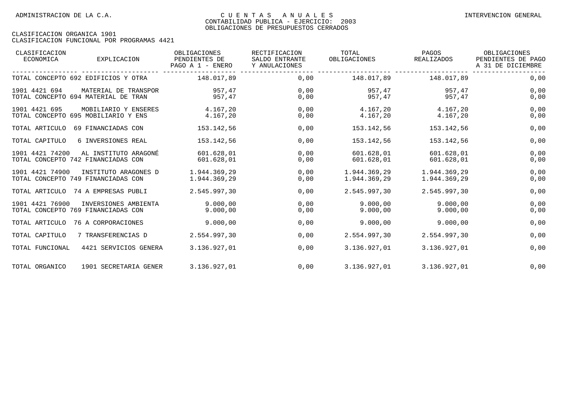| CLASIFICACION<br>ECONOMICA | EXPLICACION                                                 | OBLIGACIONES<br>PENDIENTES DE<br>PAGO A 1 - ENERO | RECTIFICACION<br>SALDO ENTRANTE<br>Y ANULACIONES | TOTAL<br>OBLIGACIONES        | PAGOS<br>REALIZADOS          | OBLIGACIONES<br>PENDIENTES DE PAGO<br>A 31 DE DICIEMBRE |
|----------------------------|-------------------------------------------------------------|---------------------------------------------------|--------------------------------------------------|------------------------------|------------------------------|---------------------------------------------------------|
|                            | TOTAL CONCEPTO 692 EDIFICIOS Y OTRA                         | 148.017.89                                        | 0.00                                             | 148.017.89                   | 148.017.89                   | 0.00                                                    |
| 1901 4421 694              | MATERIAL DE TRANSPOR<br>TOTAL CONCEPTO 694 MATERIAL DE TRAN | 957.47<br>957.47                                  | 0.00<br>0,00                                     | 957.47<br>957.47             | 957.47<br>957.47             | 0,00<br>0,00                                            |
| 1901 4421 695              | MOBILIARIO Y ENSERES<br>TOTAL CONCEPTO 695 MOBILIARIO Y ENS | 4.167.20<br>4.167,20                              | 0,00<br>0,00                                     | 4.167.20<br>4.167,20         | 4.167.20<br>4.167,20         | 0,00<br>0,00                                            |
| TOTAL ARTICULO             | 69 FINANCIADAS CON                                          | 153.142,56                                        | 0,00                                             | 153.142,56                   | 153.142,56                   | 0,00                                                    |
| TOTAL CAPITULO             | 6 INVERSIONES REAL                                          | 153.142.56                                        | 0,00                                             | 153.142.56                   | 153.142.56                   | 0,00                                                    |
| 1901 4421 74200            | AL INSTITUTO ARAGONÉ<br>TOTAL CONCEPTO 742 FINANCIADAS CON  | 601.628.01<br>601.628,01                          | 0,00<br>0,00                                     | 601.628.01<br>601.628,01     | 601.628.01<br>601.628,01     | 0,00<br>0,00                                            |
| 1901 4421 74900            | INSTITUTO ARAGONES D<br>TOTAL CONCEPTO 749 FINANCIADAS CON  | 1.944.369,29<br>1.944.369,29                      | 0.00<br>0,00                                     | 1.944.369.29<br>1.944.369,29 | 1.944.369,29<br>1.944.369,29 | 0,00<br>0,00                                            |
| TOTAL ARTICULO             | 74 A EMPRESAS PUBLI                                         | 2.545.997.30                                      | 0,00                                             | 2.545.997.30                 | 2.545.997.30                 | 0,00                                                    |
| 1901 4421 76900            | INVERSIONES AMBIENTA<br>TOTAL CONCEPTO 769 FINANCIADAS CON  | 9.000.00<br>9.000.00                              | 0,00<br>0,00                                     | 9.000.00<br>9.000,00         | 9.000.00<br>9.000.00         | 0,00<br>0,00                                            |
| TOTAL ARTICULO             | 76 A CORPORACIONES                                          | 9.000.00                                          | 0.00                                             | 9.000.00                     | 9.000.00                     | 0,00                                                    |
| TOTAL CAPITULO             | 7 TRANSFERENCIAS D                                          | 2.554.997.30                                      | 0.00                                             | 2.554.997.30                 | 2.554.997,30                 | 0,00                                                    |
| TOTAL FUNCIONAL            | 4421 SERVICIOS GENERA                                       | 3.136.927,01                                      | 0,00                                             | 3.136.927.01                 | 3.136.927,01                 | 0,00                                                    |
| TOTAL ORGANICO             | 1901 SECRETARIA GENER                                       | 3.136.927,01                                      | 0,00                                             | 3.136.927,01                 | 3.136.927,01                 | 0,00                                                    |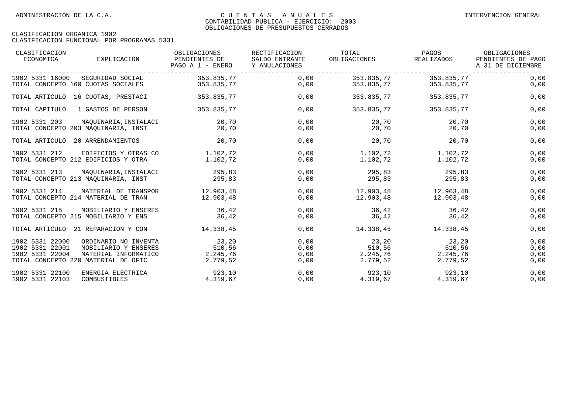| CLASIFICACION<br>ECONOMICA                            | EXPLICACION                                                                                                 | OBLIGACIONES<br>PENDIENTES DE<br>PAGO A 1 - ENERO | RECTIFICACION<br>SALDO ENTRANTE<br>Y ANULACIONES | TOTAL<br>OBLIGACIONES       | PAGOS<br>REALIZADOS                                   | OBLIGACIONES<br>PENDIENTES DE PAGO<br>A 31 DE DICIEMBRE |
|-------------------------------------------------------|-------------------------------------------------------------------------------------------------------------|---------------------------------------------------|--------------------------------------------------|-----------------------------|-------------------------------------------------------|---------------------------------------------------------|
| 1902 5331 16000<br>TOTAL CONCEPTO 160 CUOTAS SOCIALES | SEGURIDAD SOCIAL                                                                                            | 353.835,77<br>353.835,77                          | 0,00<br>0,00                                     | 353.835,77<br>353.835,77    | 353.835,77<br>353.835,77                              | 0,00<br>0,00                                            |
|                                                       | TOTAL ARTICULO 16 CUOTAS, PRESTACI                                                                          | 353.835,77                                        | 0,00                                             | 353.835,77                  | 353.835,77                                            | 0,00                                                    |
| TOTAL CAPITULO                                        | 1 GASTOS DE PERSON                                                                                          | 353.835,77                                        | 0,00                                             | 353.835,77                  | 353.835,77                                            | 0,00                                                    |
| 1902 5331 203                                         | MAOUINARIA, INSTALACI<br>TOTAL CONCEPTO 203 MAOUINARIA, INST                                                | 20,70<br>20, 70                                   | 0,00<br>0,00                                     | 20,70<br>20,70              | 20,70<br>20,70                                        | 0,00<br>0,00                                            |
| TOTAL ARTICULO 20 ARRENDAMIENTOS                      |                                                                                                             | 20,70                                             | 0,00                                             | 20,70                       | 20,70                                                 | 0,00                                                    |
| 1902 5331 212                                         | EDIFICIOS Y OTRAS CO<br>TOTAL CONCEPTO 212 EDIFICIOS Y OTRA                                                 | 1.102, 72<br>1.102, 72                            | 0,00<br>0,00                                     | 1.102,72<br>1.102,72        | 1.102, 72<br>1.102,72                                 | 0,00<br>0,00                                            |
| 1902 5331 213                                         | MAOUINARIA, INSTALACI<br>TOTAL CONCEPTO 213 MAOUINARIA, INST                                                | 295,83<br>295,83                                  | 0,00<br>0,00                                     | 295,83<br>295,83            | 295,83<br>295,83                                      | 0,00<br>0,00                                            |
| 1902 5331 214                                         | MATERIAL DE TRANSPOR 12.903.48<br>TOTAL CONCEPTO 214 MATERIAL DE TRAN                                       | 12.903,48                                         | 0,00<br>0,00                                     | $12.903, 48$ $12.903, 48$   | 12.903.48 12.903.48                                   | 0,00<br>0,00                                            |
| 1902 5331 215                                         | MOBILIARIO Y ENSERES<br>TOTAL CONCEPTO 215 MOBILIARIO Y ENS                                                 | 36,42<br>36,42                                    | 0,00<br>0,00                                     | 36,42<br>36,42              | 36,42<br>36,42                                        | 0,00<br>0,00                                            |
|                                                       | TOTAL ARTICULO 21 REPARACION Y CON                                                                          | 14.338,45                                         | 0,00                                             | 14.338,45                   | 14.338,45                                             | 0,00                                                    |
| 1902 5331 22000<br>1902 5331 22001<br>1902 5331 22004 | ORDINARIO NO INVENTA<br>MOBILIARIO Y ENSERES<br>MATERIAL INFORMATICO<br>TOTAL CONCEPTO 220 MATERIAL DE OFIC | 23,20<br>510,56<br>2.245,76<br>2.779,52           | 0,00<br>0,00<br>0,00<br>0,00                     | 23,20<br>510,56<br>2.779,52 | 23,20<br>510, 56<br>$2.245,76$ $2.245,76$<br>2.779,52 | 0,00<br>0,00<br>0,00<br>0,00                            |
| 1902 5331 22100<br>1902 5331 22103                    | ENERGIA ELECTRICA<br>COMBUSTIBLES                                                                           | 923,10<br>4.319,67                                | 0,00<br>0,00                                     | 923,10<br>4.319,67          | 923,10<br>4.319,67                                    | 0,00<br>0,00                                            |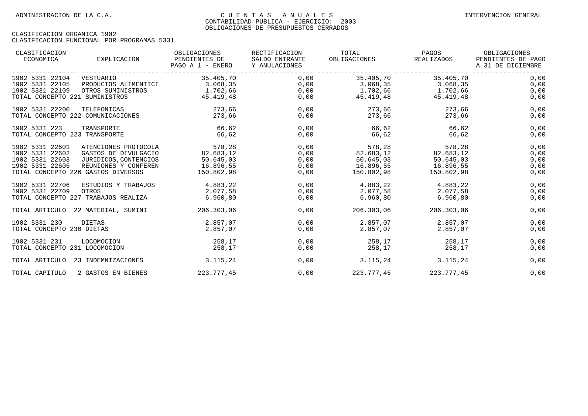| CLASIFICACION<br>ECONOMICA<br>EXPLICACION | OBLIGACIONES<br>PENDIENTES DE<br>PAGO A 1 - ENERO | RECTIFICACION<br>SALDO ENTRANTE<br>Y ANULACIONES | TOTAL<br>OBLIGACIONES | PAGOS<br>REALIZADOS | OBLIGACIONES<br>PENDIENTES DE PAGO<br>A 31 DE DICIEMBRE |
|-------------------------------------------|---------------------------------------------------|--------------------------------------------------|-----------------------|---------------------|---------------------------------------------------------|
| 1902 5331 22104<br>VESTUARIO              | 35.405,70                                         | 0,00                                             | 35.405,70             | 35.405,70           | 0,00                                                    |
| 1902 5331 22105<br>PRODUCTOS ALIMENTICI   | 3.068,35                                          | 0,00                                             | 3.068, 35             | 3.068, 35           | 0,00                                                    |
| 1902 5331 22109<br>OTROS SUMINISTROS      | 1.702,66                                          | 0,00                                             | $1.702,66$ $1.702,66$ |                     | 0,00                                                    |
| TOTAL CONCEPTO 221 SUMINISTROS            | 45.419,48                                         | 0,00                                             | 45.419,48             | 45.419,48           | 0,00                                                    |
| 1902 5331 22200<br>TELEFONICAS            | 273,66                                            | 0,00                                             | 273,66                | 273,66              | 0,00                                                    |
| TOTAL CONCEPTO 222 COMUNICACIONES         | 273,66                                            | 0,00                                             | 273,66                | 273,66              | 0,00                                                    |
| 1902 5331 223<br>TRANSPORTE               | 66,62                                             | 0,00                                             | 66,62                 | 66,62               | 0,00                                                    |
| TOTAL CONCEPTO 223 TRANSPORTE             | 66,62                                             | 0,00                                             | 66,62                 | 66,62               | 0,00                                                    |
| 1902 5331 22601<br>ATENCIONES PROTOCOLA   | 578,28                                            | 0,00                                             | 578,28                | 578,28              | 0,00                                                    |
| 1902 5331 22602<br>GASTOS DE DIVULGACIO   | 82.683,12                                         | 0,00                                             | 82.683,12             | 82.683,12           | 0,00                                                    |
| 1902 5331 22603<br>JURIDICOS, CONTENCIOS  | 50.645,03                                         | 0,00                                             | 50.645,03             | 50.645,03           | 0,00                                                    |
| 1902 5331 22605<br>REUNIONES Y CONFEREN   | 16.896,55                                         | 0,00                                             | 16.896,55             | 16.896,55           | 0,00                                                    |
| TOTAL CONCEPTO 226 GASTOS DIVERSOS        | 150.802,98                                        | 0,00                                             | 150.802,98            | 150.802,98          | 0,00                                                    |
| 1902 5331 22706<br>ESTUDIOS Y TRABAJOS    | 4.883,22                                          | 0,00                                             | 4.883,22              | 4.883,22            | 0,00                                                    |
| 1902 5331 22709<br>OTROS                  | 2.077,58                                          | 0,00                                             | 2.077,58              | 2.077,58            | 0,00                                                    |
| TOTAL CONCEPTO 227 TRABAJOS REALIZA       | 6.960, 80                                         | 0,00                                             | 6.960,80              | 6.960, 80           | 0,00                                                    |
| 22 MATERIAL, SUMINI<br>TOTAL ARTICULO     | 206.303,06                                        | 0,00                                             | 206.303,06            | 206.303,06          | 0,00                                                    |
| 1902 5331 230<br>DIETAS                   | 2.857,07                                          | 0.00                                             | 2.857,07              | 2.857.07            | 0,00                                                    |
| TOTAL CONCEPTO 230 DIETAS                 | 2.857,07                                          | 0,00                                             | 2.857,07              | 2.857.07            | 0,00                                                    |
| 1902 5331 231<br>LOCOMOCION               | 258.17                                            | 0,00                                             | 258,17                | 258.17              | 0,00                                                    |
| TOTAL CONCEPTO 231 LOCOMOCION             | 258,17                                            | 0,00                                             | 258,17                | 258,17              | 0,00                                                    |
| TOTAL ARTICULO 23 INDEMNIZACIONES         | 3.115,24                                          | 0,00                                             | 3.115,24              | 3.115,24            | 0,00                                                    |
| TOTAL CAPITULO<br>2 GASTOS EN BIENES      | 223.777,45                                        | 0,00                                             | 223.777,45            | 223.777.45          | 0,00                                                    |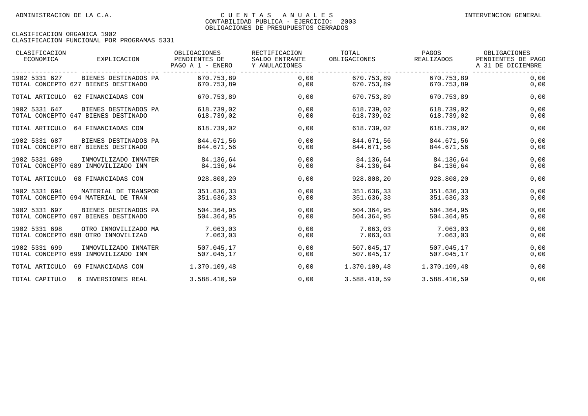| CLASIFICACION<br>ECONOMICA | EXPLICACION                         | OBLIGACIONES<br>PENDIENTES DE<br>PAGO A 1 - ENERO | RECTIFICACION<br>SALDO ENTRANTE<br>Y ANULACIONES | TOTAL<br>OBLIGACIONES | PAGOS<br>REALIZADOS | OBLIGACIONES<br>PENDIENTES DE PAGO<br>A 31 DE DICIEMBRE |
|----------------------------|-------------------------------------|---------------------------------------------------|--------------------------------------------------|-----------------------|---------------------|---------------------------------------------------------|
| 1902 5331 627              | BIENES DESTINADOS PA                | 670.753.89                                        | 0.00                                             | 670.753,89            | 670.753.89          | 0,00                                                    |
|                            | TOTAL CONCEPTO 627 BIENES DESTINADO | 670.753,89                                        | 0,00                                             | 670.753,89            | 670.753,89          | 0,00                                                    |
| TOTAL ARTICULO             | 62 FINANCIADAS CON                  | 670.753,89                                        | 0,00                                             | 670.753,89            | 670.753,89          | 0,00                                                    |
| 1902 5331 647              | BIENES DESTINADOS PA                | 618.739,02                                        | 0,00                                             | 618.739,02            | 618.739,02          | 0,00                                                    |
|                            | TOTAL CONCEPTO 647 BIENES DESTINADO | 618.739,02                                        | 0,00                                             | 618.739,02            | 618.739,02          | 0,00                                                    |
| TOTAL ARTICULO             | 64 FINANCIADAS CON                  | 618.739,02                                        | 0,00                                             | 618.739,02            | 618.739,02          | 0,00                                                    |
| 1902 5331 687              | BIENES DESTINADOS PA                | 844.671,56                                        | 0,00                                             | 844.671,56            | 844.671,56          | 0,00                                                    |
|                            | TOTAL CONCEPTO 687 BIENES DESTINADO | 844.671,56                                        | 0,00                                             | 844.671,56            | 844.671,56          | 0,00                                                    |
| 1902 5331 689              | INMOVILIZADO INMATER                | 84.136,64                                         | 0,00                                             | 84.136,64             | 84.136,64           | 0,00                                                    |
|                            | TOTAL CONCEPTO 689 INMOVILIZADO INM | 84.136,64                                         | 0,00                                             | 84.136,64             | 84.136,64           | 0,00                                                    |
| TOTAL ARTICULO             | 68 FINANCIADAS CON                  | 928.808,20                                        | 0,00                                             | 928.808,20            | 928.808,20          | 0,00                                                    |
| 1902 5331 694              | MATERIAL DE TRANSPOR                | 351.636,33                                        | 0,00                                             | 351.636,33            | 351.636,33          | 0,00                                                    |
|                            | TOTAL CONCEPTO 694 MATERIAL DE TRAN | 351.636,33                                        | 0,00                                             | 351.636,33            | 351.636,33          | 0,00                                                    |
| 1902 5331 697              | BIENES DESTINADOS PA                | 504.364,95                                        | 0,00                                             | 504.364,95            | 504.364,95          | 0,00                                                    |
|                            | TOTAL CONCEPTO 697 BIENES DESTINADO | 504.364,95                                        | 0,00                                             | 504.364,95            | 504.364,95          | 0,00                                                    |
| 1902 5331 698              | OTRO INMOVILIZADO MA                | 7.063.03                                          | 0,00                                             | 7.063,03              | 7.063,03            | 0,00                                                    |
|                            | TOTAL CONCEPTO 698 OTRO INMOVILIZAD | 7.063,03                                          | 0,00                                             | 7.063,03              | 7.063,03            | 0,00                                                    |
| 1902 5331 699              | INMOVILIZADO INMATER                | 507.045,17                                        | 0,00                                             | 507.045,17            | 507.045,17          | 0,00                                                    |
|                            | TOTAL CONCEPTO 699 INMOVILIZADO INM | 507.045,17                                        | 0,00                                             | 507.045,17            | 507.045,17          | 0,00                                                    |
| TOTAL ARTICULO             | 69 FINANCIADAS CON                  | 1.370.109,48                                      | 0,00                                             | 1.370.109,48          | 1.370.109,48        | 0,00                                                    |
| TOTAL CAPITULO             | 6 INVERSIONES REAL                  | 3.588.410,59                                      | 0,00                                             | 3.588.410,59          | 3.588.410,59        | 0,00                                                    |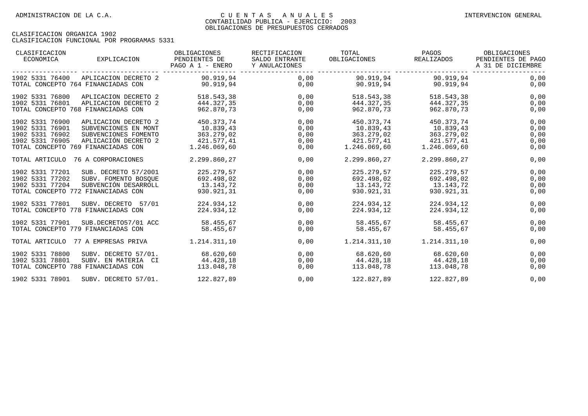| CLASIFICACION<br>ECONOMICA<br>EXPLICACION                                     | OBLIGACIONES<br>PENDIENTES DE<br>PAGO A 1 - ENERO | RECTIFICACION<br>SALDO ENTRANTE<br>Y ANULACIONES | TOTAL<br>OBLIGACIONES | PAGOS<br>REALIZADOS | OBLIGACIONES<br>PENDIENTES DE PAGO<br>A 31 DE DICIEMBRE |
|-------------------------------------------------------------------------------|---------------------------------------------------|--------------------------------------------------|-----------------------|---------------------|---------------------------------------------------------|
| 1902 5331 76400<br>APLICACION DECRETO 2<br>TOTAL CONCEPTO 764 FINANCIADAS CON | 90.919,94                                         | 0,00<br>0,00                                     | 90.919,94             | 90.919,94           | 0,00                                                    |
|                                                                               | 90.919,94                                         |                                                  | 90.919,94             | 90.919,94           | 0,00                                                    |
| 1902 5331 76800<br>APLICACION DECRETO 2                                       | 518.543,38                                        | 0,00                                             | 518.543,38            | 518.543,38          | 0,00                                                    |
| 1902 5331 76801<br>APLICACION DECRETO 2                                       | 444.327,35                                        | 0,00                                             | 444.327,35            | 444.327,35          | 0,00                                                    |
| TOTAL CONCEPTO 768 FINANCIADAS CON                                            | 962.870.73                                        | 0,00                                             | 962.870,73            | 962.870,73          | 0,00                                                    |
| 1902 5331 76900<br>APLICACION DECRETO 2                                       | 450.373,74                                        | 0,00                                             | 450.373,74            | 450.373,74          | 0,00                                                    |
| 1902 5331 76901<br>SUBVENCIONES EN MONT                                       | 10.839,43                                         | 0,00                                             | 10.839,43             | 10.839,43           | 0,00                                                    |
| 1902 5331 76902<br>SUBVENCIONES FOMENTO                                       | 363.279,02                                        | 0,00                                             | 363.279,02            | 363.279,02          | 0,00                                                    |
| APLICACIÓN DECRETO 2<br>1902 5331 76905                                       | 421.577.41                                        | 0,00                                             | 421.577,41            | 421.577,41          | 0,00                                                    |
| TOTAL CONCEPTO 769 FINANCIADAS CON                                            | 1.246.069,60                                      | 0,00                                             | 1.246.069,60          | 1.246.069,60        | 0,00                                                    |
| TOTAL ARTICULO 76 A CORPORACIONES                                             | 2.299.860,27                                      | 0,00                                             | 2.299.860,27          | 2.299.860,27        | 0,00                                                    |
| 1902 5331 77201<br>SUB. DECRETO 57/2001                                       | 225.279,57                                        | 0,00                                             | 225.279,57            | 225.279,57          | 0,00                                                    |
| 1902 5331 77202<br>SUBV. FOMENTO BOSOUE                                       | 692.498,02                                        | 0,00                                             | 692.498,02            | 692.498,02          | 0,00                                                    |
| SUBVENCIÓN DESARROLL<br>1902 5331 77204                                       | 13.143.72                                         | 0,00                                             | 13.143,72             | 13.143.72           | 0,00                                                    |
| TOTAL CONCEPTO 772 FINANCIADAS CON                                            | 930.921,31                                        | 0,00                                             | 930.921,31            | 930.921,31          | 0,00                                                    |
| 1902 5331 77801<br>SUBV. DECRETO 57/01                                        | 224.934.12                                        | 0,00                                             | 224.934.12            | 224.934.12          | 0,00                                                    |
| TOTAL CONCEPTO 778 FINANCIADAS CON                                            | 224.934,12                                        | 0,00                                             | 224.934,12            | 224.934,12          | 0,00                                                    |
| 1902 5331 77901<br>SUB.DECRETO57/01 ACC                                       | 58.455.67                                         | 0,00                                             | 58.455,67             | 58.455.67           | 0,00                                                    |
| TOTAL CONCEPTO 779 FINANCIADAS CON                                            | 58.455,67                                         | 0,00                                             | 58.455,67             | 58.455,67           | 0,00                                                    |
| TOTAL ARTICULO 77 A EMPRESAS PRIVA                                            | 1.214.311,10                                      | 0,00                                             | 1.214.311,10          | 1.214.311,10        | 0,00                                                    |
| 1902 5331 78800<br>SUBV. DECRETO 57/01.                                       | 68.620,60                                         | 0,00                                             | 68.620,60             | 68.620,60           | 0,00                                                    |
| 1902 5331 78801<br>SUBV. EN MATERIA CI                                        | 44.428,18                                         | 0,00                                             | 44.428,18             | 44.428,18           | 0,00                                                    |
| TOTAL CONCEPTO 788 FINANCIADAS CON                                            | 113.048,78                                        | 0,00                                             | 113.048,78            | 113.048,78          | 0,00                                                    |
| 1902 5331 78901<br>SUBV. DECRETO 57/01.                                       | 122.827,89                                        | 0,00                                             | 122.827,89            | 122.827,89          | 0,00                                                    |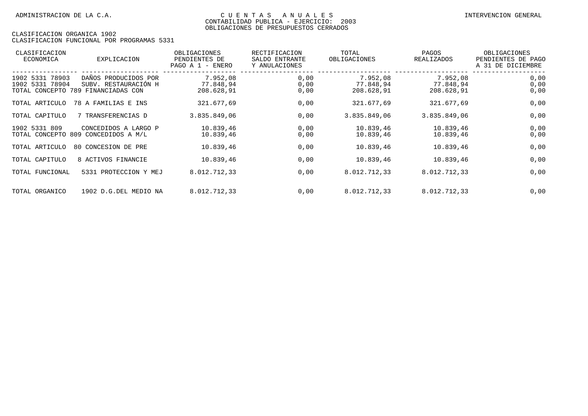| CLASIFICACION<br>ECONOMICA         | EXPLICACION                                                                        | OBLIGACIONES<br>PENDIENTES DE<br>PAGO A 1 - ENERO | RECTIFICACION<br>SALDO ENTRANTE<br>Y ANULACIONES | TOTAL<br>OBLIGACIONES               | PAGOS<br>REALIZADOS                 | OBLIGACIONES<br>PENDIENTES DE PAGO<br>A 31 DE DICIEMBRE |
|------------------------------------|------------------------------------------------------------------------------------|---------------------------------------------------|--------------------------------------------------|-------------------------------------|-------------------------------------|---------------------------------------------------------|
| 1902 5331 78903<br>1902 5331 78904 | DAÑOS PRODUCIDOS POR<br>SUBV. RESTAURACIÓN H<br>TOTAL CONCEPTO 789 FINANCIADAS CON | 7.952,08<br>77.848,94<br>208.628,91               | 0,00<br>0,00<br>0,00                             | 7.952,08<br>77.848,94<br>208.628,91 | 7.952,08<br>77.848,94<br>208.628,91 | 0,00<br>0,00<br>0,00                                    |
| TOTAL ARTICULO                     | 78 A FAMILIAS E INS                                                                | 321.677,69                                        | 0,00                                             | 321.677,69                          | 321.677,69                          | 0,00                                                    |
| TOTAL CAPITULO                     | 7 TRANSFERENCIAS D                                                                 | 3.835.849,06                                      | 0,00                                             | 3.835.849,06                        | 3.835.849,06                        | 0,00                                                    |
| 1902 5331 809                      | CONCEDIDOS A LARGO P<br>TOTAL CONCEPTO 809 CONCEDIDOS A M/L                        | 10.839,46<br>10.839,46                            | 0,00<br>0,00                                     | 10.839,46<br>10.839,46              | 10.839,46<br>10.839,46              | 0,00<br>0,00                                            |
| TOTAL ARTICULO                     | 80 CONCESION DE PRE                                                                | 10.839,46                                         | 0,00                                             | 10.839,46                           | 10.839,46                           | 0,00                                                    |
| TOTAL CAPITULO                     | 8 ACTIVOS FINANCIE                                                                 | 10.839,46                                         | 0,00                                             | 10.839,46                           | 10.839,46                           | 0,00                                                    |
| TOTAL FUNCIONAL                    | 5331 PROTECCION Y MEJ                                                              | 8.012.712,33                                      | 0,00                                             | 8.012.712,33                        | 8.012.712,33                        | 0,00                                                    |
| TOTAL ORGANICO                     | 1902 D.G.DEL MEDIO NA                                                              | 8.012.712,33                                      | 0,00                                             | 8.012.712,33                        | 8.012.712,33                        | 0,00                                                    |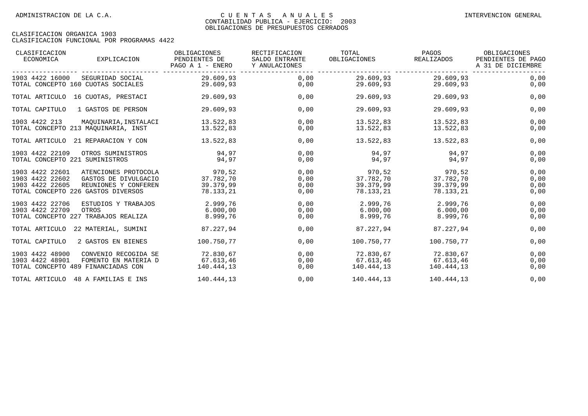| CLASIFICACION<br>ECONOMICA<br>EXPLICACION                                                                                                                           | OBLIGACIONES<br>PENDIENTES DE<br>PAGO A 1 - ENERO | RECTIFICACION<br>SALDO ENTRANTE<br>Y ANULACIONES | TOTAL<br>OBLIGACIONES                         | PAGOS<br>REALIZADOS                           | OBLIGACIONES<br>PENDIENTES DE PAGO<br>A 31 DE DICIEMBRE |
|---------------------------------------------------------------------------------------------------------------------------------------------------------------------|---------------------------------------------------|--------------------------------------------------|-----------------------------------------------|-----------------------------------------------|---------------------------------------------------------|
| 1903 4422 16000<br>SEGURIDAD SOCIAL<br>TOTAL CONCEPTO 160 CUOTAS SOCIALES                                                                                           | 29.609.93<br>29.609,93                            | 0.00<br>0,00                                     | 29.609,93<br>29.609,93                        | 29.609,93<br>29.609,93                        | 0,00<br>0,00                                            |
| TOTAL ARTICULO 16 CUOTAS, PRESTACI                                                                                                                                  | 29.609,93                                         | 0,00                                             | 29.609.93                                     | 29.609,93                                     | 0,00                                                    |
| TOTAL CAPITULO<br>1 GASTOS DE PERSON                                                                                                                                | 29.609,93                                         | 0,00                                             | 29.609,93                                     | 29.609,93                                     | 0,00                                                    |
| 1903 4422 213<br>MAQUINARIA, INSTALACI<br>TOTAL CONCEPTO 213 MAOUINARIA, INST                                                                                       | 13.522,83<br>13.522,83                            | 0,00<br>0,00                                     | 13.522,83<br>13.522,83                        | 13.522,83<br>13.522,83                        | 0,00<br>0,00                                            |
| TOTAL ARTICULO 21 REPARACION Y CON                                                                                                                                  | 13.522,83                                         | 0,00                                             | 13.522,83                                     | 13.522,83                                     | 0,00                                                    |
| 1903 4422 22109<br>OTROS SUMINISTROS<br>TOTAL CONCEPTO 221 SUMINISTROS                                                                                              | 94,97<br>94,97                                    | 0,00<br>0,00                                     | 94,97<br>94,97                                | 94.97<br>94,97                                | 0,00<br>0,00                                            |
| 1903 4422 22601<br>ATENCIONES PROTOCOLA<br>1903 4422 22602<br>GASTOS DE DIVULGACIO<br>1903 4422 22605<br>REUNIONES Y CONFEREN<br>TOTAL CONCEPTO 226 GASTOS DIVERSOS | 970,52<br>37.782,70<br>39.379,99<br>78.133,21     | 0,00<br>0,00<br>0,00<br>0,00                     | 970,52<br>37.782,70<br>39.379,99<br>78.133,21 | 970,52<br>37.782,70<br>39.379,99<br>78.133,21 | 0,00<br>0,00<br>0,00<br>0,00                            |
| 1903 4422 22706<br>ESTUDIOS Y TRABAJOS<br>1903 4422 22709<br>OTROS<br>TOTAL CONCEPTO 227 TRABAJOS REALIZA                                                           | 2.999,76<br>6.000,00<br>8.999,76                  | 0,00<br>0,00<br>0,00                             | 2.999,76<br>6.000,00<br>8.999,76              | 2.999,76<br>6.000,00<br>8.999,76              | 0,00<br>0,00<br>0,00                                    |
| TOTAL ARTICULO 22 MATERIAL, SUMINI                                                                                                                                  | 87.227,94                                         | 0,00                                             | 87.227,94                                     | 87.227,94                                     | 0,00                                                    |
| TOTAL CAPITULO<br>2 GASTOS EN BIENES                                                                                                                                | 100.750,77                                        | 0,00                                             | 100.750,77                                    | 100.750,77                                    | 0,00                                                    |
| 1903 4422 48900<br>CONVENIO RECOGIDA SE<br>1903 4422 48901<br>FOMENTO EN MATERIA D<br>TOTAL CONCEPTO 489 FINANCIADAS CON                                            | 72.830,67<br>67.613,46<br>140.444,13              | 0,00<br>0,00<br>0,00                             | 72.830,67<br>67.613,46<br>140.444,13          | 72.830,67<br>67.613,46<br>140.444,13          | 0,00<br>0,00<br>0,00                                    |
| TOTAL ARTICULO<br>48 A FAMILIAS E INS                                                                                                                               | 140.444,13                                        | 0,00                                             | 140.444,13                                    | 140.444,13                                    | 0,00                                                    |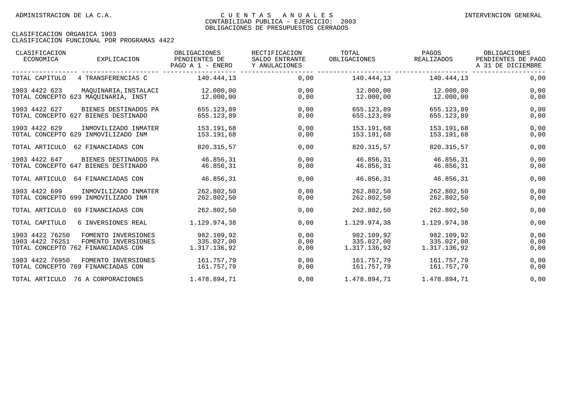| CLASIFICACION<br>ECONOMICA                                               | EXPLICACION                                | OBLIGACIONES<br>PENDIENTES DE<br>PAGO A 1 - ENERO | RECTIFICACION<br>SALDO ENTRANTE<br>Y ANULACIONES | TOTAL<br>OBLIGACIONES                    | PAGOS<br>REALIZADOS                      | OBLIGACIONES<br>PENDIENTES DE PAGO<br>A 31 DE DICIEMBRE |
|--------------------------------------------------------------------------|--------------------------------------------|---------------------------------------------------|--------------------------------------------------|------------------------------------------|------------------------------------------|---------------------------------------------------------|
| TOTAL CAPITULO                                                           | 4 TRANSFERENCIAS C                         | 140.444,13                                        | 0,00                                             | 140.444,13                               | 140.444,13                               | 0,00                                                    |
| 1903 4422 623<br>TOTAL CONCEPTO 623 MAOUINARIA, INST                     | MAOUINARIA, INSTALACI                      | 12.000,00<br>12.000,00                            | 0,00<br>0,00                                     | 12.000,00<br>12.000,00                   | 12.000,00<br>12.000,00                   | 0,00<br>0,00                                            |
| 1903 4422 627<br>TOTAL CONCEPTO 627 BIENES DESTINADO                     | BIENES DESTINADOS PA                       | 655.123,89<br>655.123,89                          | 0,00<br>0,00                                     | 655.123,89<br>655.123,89                 | 655.123,89<br>655.123,89                 | 0,00<br>0,00                                            |
| 1903 4422 629<br>TOTAL CONCEPTO 629 INMOVILIZADO INM                     | INMOVILIZADO INMATER                       | 153.191,68<br>153.191.68                          | 0,00<br>0,00                                     | 153.191,68<br>153.191,68                 | 153.191,68<br>153.191,68                 | 0,00<br>0,00                                            |
| TOTAL ARTICULO 62 FINANCIADAS CON                                        |                                            | 820.315,57                                        | 0,00                                             | 820.315,57                               | 820.315,57                               | 0,00                                                    |
| 1903 4422 647<br>TOTAL CONCEPTO 647 BIENES DESTINADO                     | BIENES DESTINADOS PA                       | 46.856,31<br>46.856,31                            | 0,00<br>0,00                                     | 46.856,31<br>46.856,31                   | 46.856,31<br>46.856,31                   | 0,00<br>0,00                                            |
| TOTAL ARTICULO                                                           | 64 FINANCIADAS CON                         | 46.856,31                                         | 0,00                                             | 46.856,31                                | 46.856,31                                | 0,00                                                    |
| 1903 4422 699<br>TOTAL CONCEPTO 699 INMOVILIZADO INM                     | INMOVILIZADO INMATER                       | 262.802.50<br>262.802,50                          | 0,00<br>0,00                                     | 262.802.50<br>262.802,50                 | 262.802.50<br>262.802,50                 | 0,00<br>0,00                                            |
| TOTAL ARTICULO                                                           | 69 FINANCIADAS CON                         | 262.802,50                                        | 0,00                                             | 262.802,50                               | 262.802,50                               | 0,00                                                    |
| TOTAL CAPITULO                                                           | 6 INVERSIONES REAL                         | 1.129.974,38                                      | 0,00                                             | 1.129.974,38                             | 1.129.974,38                             | 0,00                                                    |
| 1903 4422 76250<br>1903 4422 76251<br>TOTAL CONCEPTO 762 FINANCIADAS CON | FOMENTO INVERSIONES<br>FOMENTO INVERSIONES | 982.109,92<br>335.027,00<br>1.317.136,92          | 0,00<br>0,00<br>0,00                             | 982.109,92<br>335.027,00<br>1.317.136,92 | 982.109.92<br>335.027,00<br>1.317.136,92 | 0,00<br>0,00<br>0,00                                    |
| 1903 4422 76950<br>TOTAL CONCEPTO 769 FINANCIADAS CON                    | FOMENTO INVERSIONES                        | 161.757,79<br>161.757,79                          | 0,00<br>0,00                                     | 161.757,79<br>161.757,79                 | 161.757,79<br>161.757,79                 | 0,00<br>0,00                                            |
| TOTAL ARTICULO 76 A CORPORACIONES                                        |                                            | 1.478.894,71                                      | 0,00                                             | 1.478.894,71                             | 1.478.894,71                             | 0,00                                                    |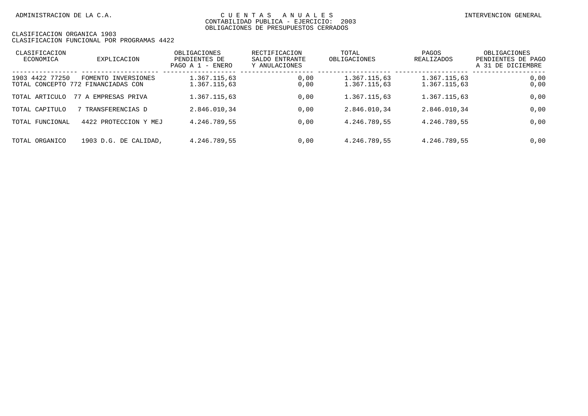| CLASIFICACION<br>ECONOMICA | EXPLICACION                                               | OBLIGACIONES<br>PENDIENTES DE<br>PAGO A 1 - ENERO | RECTIFICACION<br>SALDO ENTRANTE<br>Y ANULACIONES | TOTAL<br>OBLIGACIONES        | PAGOS<br>REALIZADOS          | OBLIGACIONES<br>PENDIENTES DE PAGO<br>A 31 DE DICIEMBRE |
|----------------------------|-----------------------------------------------------------|---------------------------------------------------|--------------------------------------------------|------------------------------|------------------------------|---------------------------------------------------------|
| 1903 4422 77250            | FOMENTO INVERSIONES<br>TOTAL CONCEPTO 772 FINANCIADAS CON | 1.367.115,63<br>1.367.115,63                      | 0.00<br>0,00                                     | 1.367.115.63<br>1.367.115,63 | 1.367.115,63<br>1.367.115,63 | 0,00<br>0,00                                            |
| TOTAL ARTICULO             | 77 A EMPRESAS PRIVA                                       | 1.367.115,63                                      | 0,00                                             | 1.367.115,63                 | 1.367.115,63                 | 0,00                                                    |
| TOTAL CAPITULO             | TRANSFERENCIAS D                                          | 2.846.010,34                                      | 0,00                                             | 2.846.010,34                 | 2.846.010,34                 | 0,00                                                    |
| TOTAL FUNCIONAL            | 4422 PROTECCION Y MEJ                                     | 4.246.789,55                                      | 0,00                                             | 4.246.789,55                 | 4.246.789,55                 | 0,00                                                    |
| TOTAL ORGANICO             | 1903 D.G. DE CALIDAD.                                     | 4.246.789,55                                      | 0.00                                             | 4.246.789,55                 | 4.246.789,55                 | 0,00                                                    |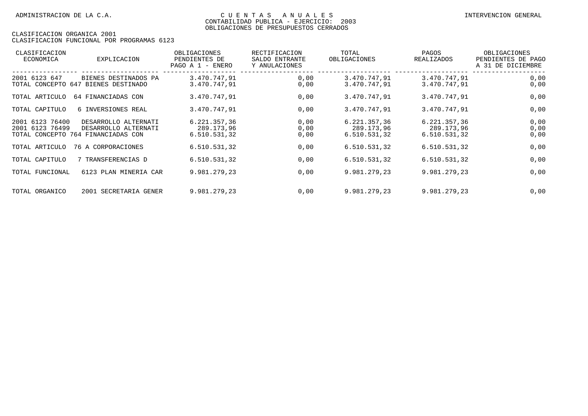| CLASIFICACION<br>ECONOMICA          | <b>EXPLICACION</b>                                                                 | OBLIGACIONES<br>PENDIENTES DE<br>PAGO A $1 -$<br>ENERO | RECTIFICACION<br>SALDO ENTRANTE<br>Y ANULACIONES | TOTAL<br>OBLIGACIONES                      | PAGOS<br><b>REALIZADOS</b>                 | OBLIGACIONES<br>PENDIENTES DE PAGO<br>A 31 DE DICIEMBRE |
|-------------------------------------|------------------------------------------------------------------------------------|--------------------------------------------------------|--------------------------------------------------|--------------------------------------------|--------------------------------------------|---------------------------------------------------------|
| 2001 6123 647<br>TOTAL CONCEPTO 647 | BIENES DESTINADOS PA<br>BIENES DESTINADO                                           | 3.470.747,91<br>3.470.747,91                           | 0,00<br>0,00                                     | 3.470.747,91<br>3.470.747,91               | 3.470.747,91<br>3.470.747,91               | 0,00<br>0,00                                            |
| TOTAL ARTICULO                      | 64 FINANCIADAS CON                                                                 | 3.470.747,91                                           | 0,00                                             | 3.470.747,91                               | 3.470.747,91                               | 0,00                                                    |
| TOTAL CAPITULO                      | 6 INVERSIONES REAL                                                                 | 3.470.747,91                                           | 0,00                                             | 3.470.747,91                               | 3.470.747,91                               | 0,00                                                    |
| 2001 6123 76400<br>2001 6123 76499  | DESARROLLO ALTERNATI<br>DESARROLLO ALTERNATI<br>TOTAL CONCEPTO 764 FINANCIADAS CON | 6.221.357,36<br>289.173,96<br>6.510.531,32             | 0,00<br>0,00<br>0,00                             | 6.221.357,36<br>289.173,96<br>6.510.531,32 | 6.221.357,36<br>289.173,96<br>6.510.531,32 | 0,00<br>0,00<br>0,00                                    |
| TOTAL ARTICULO                      | 76 A CORPORACIONES                                                                 | 6.510.531,32                                           | 0,00                                             | 6.510.531,32                               | 6.510.531,32                               | 0,00                                                    |
| TOTAL CAPITULO                      | 7 TRANSFERENCIAS D                                                                 | 6.510.531,32                                           | 0,00                                             | 6.510.531,32                               | 6.510.531,32                               | 0,00                                                    |
| TOTAL FUNCIONAL                     | 6123 PLAN MINERIA CAR                                                              | 9.981.279.23                                           | 0,00                                             | 9.981.279,23                               | 9.981.279.23                               | 0,00                                                    |
| TOTAL ORGANICO                      | 2001 SECRETARIA GENER                                                              | 9.981.279,23                                           | 0,00                                             | 9.981.279,23                               | 9.981.279,23                               | 0,00                                                    |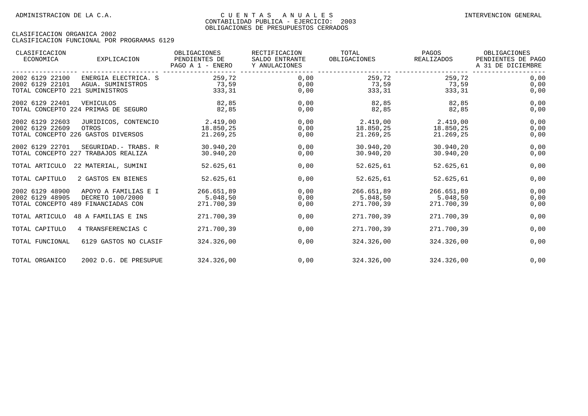| CLASIFICACION<br>ECONOMICA                                               | EXPLICACION                               | OBLIGACIONES<br>PENDIENTES DE<br>PAGO A 1 - ENERO | RECTIFICACION<br>SALDO ENTRANTE<br>Y ANULACIONES | TOTAL<br>OBLIGACIONES                | PAGOS<br>REALIZADOS                  | OBLIGACIONES<br>PENDIENTES DE PAGO<br>A 31 DE DICIEMBRE |
|--------------------------------------------------------------------------|-------------------------------------------|---------------------------------------------------|--------------------------------------------------|--------------------------------------|--------------------------------------|---------------------------------------------------------|
| 2002 6129 22100<br>2002 6129 22101<br>TOTAL CONCEPTO 221 SUMINISTROS     | ENERGIA ELECTRICA. S<br>AGUA. SUMINISTROS | 259.72<br>73,59<br>333,31                         | 0,00<br>0,00<br>0,00                             | 259,72<br>73,59<br>333,31            | 259,72<br>73,59<br>333,31            | 0,00<br>0,00<br>0,00                                    |
| 2002 6129 22401<br>TOTAL CONCEPTO 224 PRIMAS DE SEGURO                   | VEHICULOS                                 | 82,85<br>82,85                                    | 0,00<br>0,00                                     | 82,85<br>82,85                       | 82,85<br>82,85                       | 0,00<br>0,00                                            |
| 2002 6129 22603<br>2002 6129 22609<br>TOTAL CONCEPTO 226 GASTOS DIVERSOS | JURIDICOS, CONTENCIO<br>OTROS             | 2.419.00<br>18.850,25<br>21.269,25                | 0,00<br>0,00<br>0,00                             | 2.419,00<br>18.850,25<br>21.269,25   | 2.419,00<br>18.850, 25<br>21.269,25  | 0,00<br>0,00<br>0,00                                    |
| 2002 6129 22701<br>TOTAL CONCEPTO 227 TRABAJOS REALIZA                   | SEGURIDAD. - TRABS. R                     | 30.940,20<br>30.940,20                            | 0,00<br>0,00                                     | 30.940,20<br>30.940,20               | 30.940,20<br>30.940,20               | 0,00<br>0,00                                            |
| TOTAL ARTICULO                                                           | 22 MATERIAL, SUMINI                       | 52.625,61                                         | 0,00                                             | 52.625,61                            | 52.625,61                            | 0,00                                                    |
| TOTAL CAPITULO                                                           | 2 GASTOS EN BIENES                        | 52.625,61                                         | 0,00                                             | 52.625,61                            | 52.625,61                            | 0,00                                                    |
| 2002 6129 48900<br>2002 6129 48905<br>TOTAL CONCEPTO 489 FINANCIADAS CON | APOYO A FAMILIAS E I<br>DECRETO 100/2000  | 266.651,89<br>5.048,50<br>271.700,39              | 0,00<br>0,00<br>0,00                             | 266.651,89<br>5.048,50<br>271.700,39 | 266.651,89<br>5.048,50<br>271.700,39 | 0,00<br>0,00<br>0,00                                    |
| TOTAL ARTICULO                                                           | 48 A FAMILIAS E INS                       | 271.700,39                                        | 0,00                                             | 271.700,39                           | 271.700,39                           | 0,00                                                    |
| TOTAL CAPITULO                                                           | 4 TRANSFERENCIAS C                        | 271.700.39                                        | 0.00                                             | 271.700.39                           | 271.700.39                           | 0,00                                                    |
| TOTAL FUNCIONAL                                                          | 6129 GASTOS NO CLASIF                     | 324.326,00                                        | 0,00                                             | 324.326,00                           | 324.326,00                           | 0,00                                                    |
| TOTAL ORGANICO                                                           | 2002 D.G. DE PRESUPUE                     | 324.326,00                                        | 0,00                                             | 324.326,00                           | 324.326,00                           | 0,00                                                    |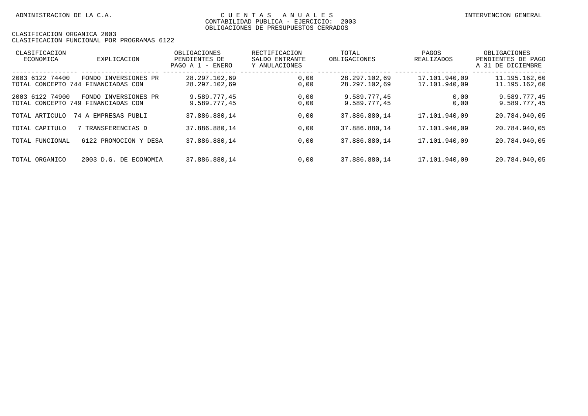| CLASIFICACION<br>ECONOMICA | EXPLICACION                                                | OBLIGACIONES<br>PENDIENTES DE<br>$PAGO A 1 -$<br>ENERO | RECTIFICACION<br>SALDO ENTRANTE<br>Y ANULACIONES | TOTAL<br>OBLIGACIONES          | PAGOS<br><b>REALIZADOS</b>     | OBLIGACIONES<br>PENDIENTES DE PAGO<br>A 31 DE DICIEMBRE |
|----------------------------|------------------------------------------------------------|--------------------------------------------------------|--------------------------------------------------|--------------------------------|--------------------------------|---------------------------------------------------------|
| 2003 6122 74400            | FONDO INVERSIONES PR<br>TOTAL CONCEPTO 744 FINANCIADAS CON | 28.297.102.69<br>28.297.102,69                         | 0,00<br>0,00                                     | 28.297.102.69<br>28.297.102,69 | 17.101.940.09<br>17.101.940,09 | 11.195.162,60<br>11.195.162,60                          |
| 2003 6122 74900            | FONDO INVERSIONES PR<br>TOTAL CONCEPTO 749 FINANCIADAS CON | 9.589.777.45<br>9.589.777.45                           | 0,00<br>0,00                                     | 9.589.777.45<br>9.589.777.45   | 0,00<br>0,00                   | 9.589.777.45<br>9.589.777.45                            |
| TOTAL ARTICULO             | 74 A EMPRESAS PUBLI                                        | 37.886.880,14                                          | 0,00                                             | 37.886.880.14                  | 17.101.940.09                  | 20.784.940,05                                           |
| TOTAL CAPITULO             | TRANSFERENCIAS D                                           | 37.886.880.14                                          | 0,00                                             | 37.886.880.14                  | 17.101.940.09                  | 20.784.940,05                                           |
| TOTAL FUNCIONAL            | 6122 PROMOCION Y DESA                                      | 37.886.880.14                                          | 0,00                                             | 37.886.880,14                  | 17.101.940.09                  | 20.784.940,05                                           |
| TOTAL ORGANICO             | $2003$ D.G.<br>DE ECONOMIA                                 | 37.886.880,14                                          | 0,00                                             | 37.886.880,14                  | 17.101.940.09                  | 20.784.940,05                                           |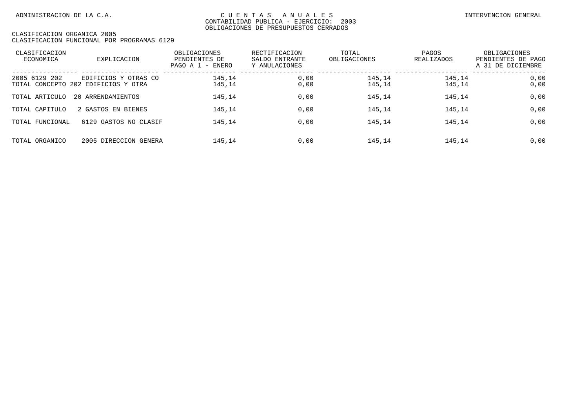| CLASIFICACION<br>ECONOMICA | EXPLICACION                                                 | OBLIGACIONES<br>PENDIENTES DE<br>PAGO A 1 - ENERO | RECTIFICACION<br>SALDO ENTRANTE<br>Y ANULACIONES | TOTAL<br>OBLIGACIONES | PAGOS<br>REALIZADOS | OBLIGACIONES<br>PENDIENTES DE PAGO<br>A 31 DE DICIEMBRE |
|----------------------------|-------------------------------------------------------------|---------------------------------------------------|--------------------------------------------------|-----------------------|---------------------|---------------------------------------------------------|
| 2005 6129 202              | EDIFICIOS Y OTRAS CO<br>TOTAL CONCEPTO 202 EDIFICIOS Y OTRA | 145,14<br>145,14                                  | 0.00<br>0,00                                     | 145,14<br>145,14      | 145.14<br>145,14    | 0,00<br>0,00                                            |
| TOTAL ARTICULO             | 20 ARRENDAMIENTOS                                           | 145,14                                            | 0,00                                             | 145,14                | 145,14              | 0,00                                                    |
| TOTAL CAPITULO             | 2 GASTOS EN BIENES                                          | 145,14                                            | 0,00                                             | 145,14                | 145,14              | 0,00                                                    |
| TOTAL FUNCIONAL            | 6129 GASTOS NO CLASIF                                       | 145,14                                            | 0,00                                             | 145,14                | 145,14              | 0,00                                                    |
| TOTAL ORGANICO             | 2005 DIRECCION GENERA                                       | 145,14                                            | 0.00                                             | 145,14                | 145.14              | 0,00                                                    |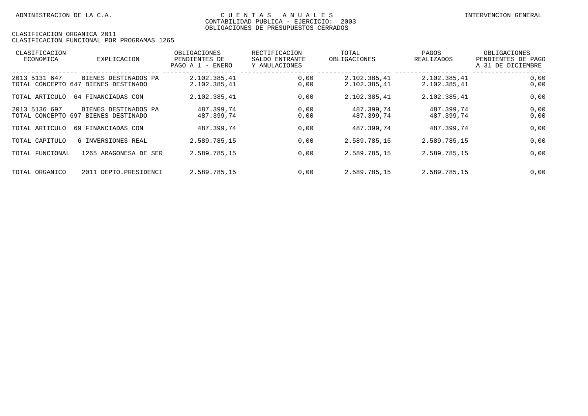| CLASIFICACION<br>ECONOMICA          | <b>EXPLICACION</b>                              | OBLIGACIONES<br>PENDIENTES DE<br>PAGO A $1$ - ENERO | RECTIFICACION<br>SALDO ENTRANTE<br>Y ANULACIONES | TOTAL<br>OBLIGACIONES        | PAGOS<br>REALIZADOS          | OBLIGACIONES<br>PENDIENTES DE PAGO<br>A 31 DE DICIEMBRE |
|-------------------------------------|-------------------------------------------------|-----------------------------------------------------|--------------------------------------------------|------------------------------|------------------------------|---------------------------------------------------------|
| 2013 5131 647<br>TOTAL CONCEPTO     | BIENES DESTINADOS PA<br>BIENES DESTINADO<br>647 | 2.102.385,41<br>2.102.385,41                        | 0,00<br>0,00                                     | 2.102.385,41<br>2.102.385,41 | 2.102.385,41<br>2.102.385,41 | 0,00<br>0,00                                            |
| TOTAL ARTICULO                      | 64 FINANCIADAS CON                              | 2.102.385,41                                        | 0,00                                             | 2.102.385,41                 | 2.102.385,41                 | 0,00                                                    |
| 2013 5136 697<br>TOTAL CONCEPTO 697 | BIENES DESTINADOS PA<br>BIENES DESTINADO        | 487.399,74<br>487.399,74                            | 0,00<br>0,00                                     | 487.399,74<br>487.399,74     | 487.399,74<br>487.399,74     | 0,00<br>0,00                                            |
| TOTAL ARTICULO                      | 69 FINANCIADAS CON                              | 487.399,74                                          | 0,00                                             | 487.399,74                   | 487.399.74                   | 0,00                                                    |
| TOTAL CAPITULO                      | 6 INVERSIONES REAL                              | 2.589.785,15                                        | 0,00                                             | 2.589.785,15                 | 2.589.785.15                 | 0,00                                                    |
| TOTAL FUNCIONAL                     | 1265 ARAGONESA DE SER                           | 2.589.785,15                                        | 0,00                                             | 2.589.785,15                 | 2.589.785,15                 | 0,00                                                    |
| TOTAL ORGANICO                      | 2011 DEPTO.PRESIDENCI                           | 2.589.785.15                                        | 0,00                                             | 2.589.785.15                 | 2.589.785.15                 | 0,00                                                    |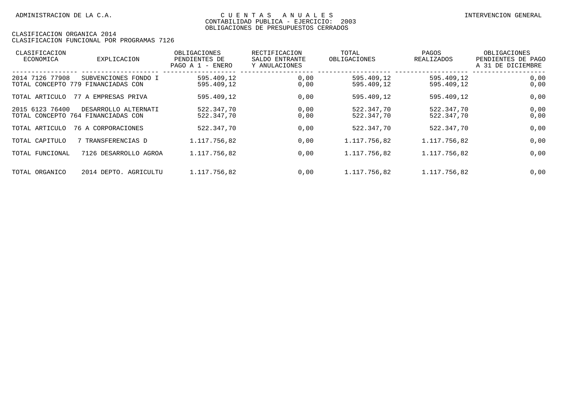| CLASIFICACION<br>ECONOMICA            | <b>EXPLICACION</b>                                         | OBLIGACIONES<br>PENDIENTES DE<br>PAGO A 1 - ENERO | RECTIFICACION<br>SALDO ENTRANTE<br>Y ANULACIONES | TOTAL<br>OBLIGACIONES    | PAGOS<br>REALIZADOS      | OBLIGACIONES<br>PENDIENTES DE PAGO<br>A 31 DE DICIEMBRE |
|---------------------------------------|------------------------------------------------------------|---------------------------------------------------|--------------------------------------------------|--------------------------|--------------------------|---------------------------------------------------------|
| 2014 7126 77908<br>TOTAL CONCEPTO 779 | SUBVENCIONES FONDO I<br>FINANCIADAS CON                    | 595.409.12<br>595.409,12                          | 0,00<br>0,00                                     | 595.409,12<br>595.409,12 | 595.409,12<br>595.409,12 | 0,00<br>0,00                                            |
| TOTAL ARTICULO                        | 77 A EMPRESAS PRIVA                                        | 595.409,12                                        | 0,00                                             | 595.409,12               | 595.409,12               | 0,00                                                    |
| 2015 6123 76400                       | DESARROLLO ALTERNATI<br>TOTAL CONCEPTO 764 FINANCIADAS CON | 522.347,70<br>522.347,70                          | 0,00<br>0,00                                     | 522.347,70<br>522.347,70 | 522.347,70<br>522.347,70 | 0,00<br>0,00                                            |
| TOTAL ARTICULO                        | 76 A CORPORACIONES                                         | 522.347,70                                        | 0,00                                             | 522.347,70               | 522.347,70               | 0,00                                                    |
| TOTAL CAPITULO                        | 7 TRANSFERENCIAS D                                         | 1.117.756,82                                      | 0,00                                             | 1.117.756,82             | 1.117.756.82             | 0,00                                                    |
| TOTAL FUNCIONAL                       | 7126 DESARROLLO AGROA                                      | 1.117.756,82                                      | 0,00                                             | 1.117.756,82             | 1.117.756,82             | 0,00                                                    |
| TOTAL ORGANICO                        | 2014 DEPTO. AGRICULTU                                      | 1.117.756.82                                      | 0,00                                             | 1.117.756.82             | 1.117.756.82             | 0,00                                                    |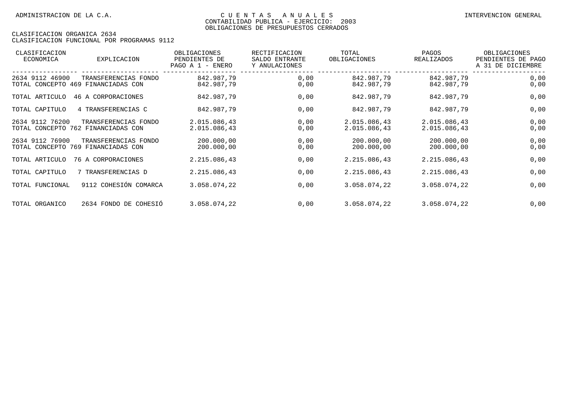| CLASIFICACION<br>ECONOMICA        | <b>EXPLICACION</b>                                         | OBLIGACIONES<br>PENDIENTES DE<br>PAGO A 1 - ENERO | RECTIFICACION<br>SALDO ENTRANTE<br>Y ANULACIONES | TOTAL<br>OBLIGACIONES        | PAGOS<br>REALIZADOS          | OBLIGACIONES<br>PENDIENTES DE PAGO<br>A 31 DE DICIEMBRE |
|-----------------------------------|------------------------------------------------------------|---------------------------------------------------|--------------------------------------------------|------------------------------|------------------------------|---------------------------------------------------------|
| 2634 9112 46900                   | TRANSFERENCIAS FONDO<br>TOTAL CONCEPTO 469 FINANCIADAS CON | 842.987,79<br>842.987,79                          | 0,00<br>0,00                                     | 842.987,79<br>842.987,79     | 842.987,79<br>842.987,79     | 0,00<br>0,00                                            |
| TOTAL ARTICULO                    | 46 A CORPORACIONES                                         | 842.987,79                                        | 0,00                                             | 842.987,79                   | 842.987,79                   | 0,00                                                    |
| TOTAL CAPITULO                    | 4 TRANSFERENCIAS C                                         | 842.987,79                                        | 0,00                                             | 842.987,79                   | 842.987,79                   | 0,00                                                    |
| 2634 9112 76200                   | TRANSFERENCIAS FONDO<br>TOTAL CONCEPTO 762 FINANCIADAS CON | 2.015.086,43<br>2.015.086,43                      | 0,00<br>0,00                                     | 2.015.086,43<br>2.015.086,43 | 2.015.086,43<br>2.015.086,43 | 0,00<br>0,00                                            |
| 2634 9112 76900<br>TOTAL CONCEPTO | TRANSFERENCIAS FONDO<br>769 FINANCIADAS CON                | 200.000,00<br>200.000,00                          | 0,00<br>0,00                                     | 200.000,00<br>200.000,00     | 200.000,00<br>200,000,00     | 0,00<br>0,00                                            |
| TOTAL ARTICULO                    | 76 A CORPORACIONES                                         | 2.215.086,43                                      | 0,00                                             | 2.215.086,43                 | 2.215.086,43                 | 0,00                                                    |
| TOTAL CAPITULO                    | 7 TRANSFERENCIAS D                                         | 2.215.086,43                                      | 0,00                                             | 2.215.086,43                 | 2.215.086,43                 | 0,00                                                    |
| TOTAL FUNCIONAL                   | 9112 COHESIÓN COMARCA                                      | 3.058.074,22                                      | 0,00                                             | 3.058.074,22                 | 3.058.074,22                 | 0,00                                                    |
| TOTAL ORGANICO                    | 2634 FONDO DE COHESIÓ                                      | 3.058.074,22                                      | 0,00                                             | 3.058.074,22                 | 3.058.074,22                 | 0,00                                                    |